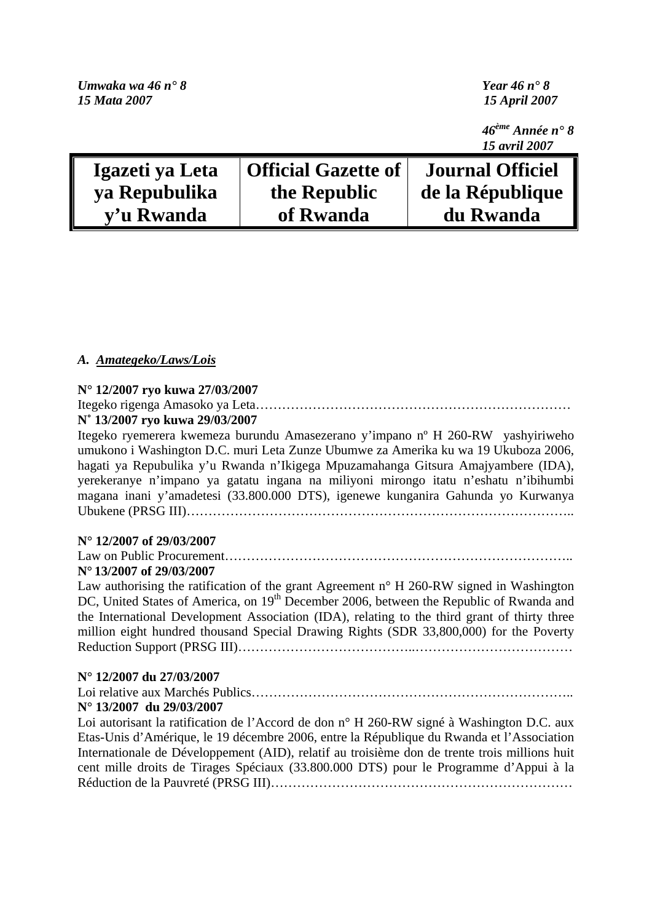| Umwaka wa 46 n° 8 |                            | Year 46 $n \cdot 8$                           |
|-------------------|----------------------------|-----------------------------------------------|
| 15 Mata 2007      |                            | <b>15 April 2007</b>                          |
|                   |                            | $46^{\text{ème}}$ Année n° 8<br>15 avril 2007 |
| Igazeti ya Leta   | <b>Official Gazette of</b> | <b>Journal Officiel</b>                       |
| ya Repubulika     | the Republic               | de la République                              |
| v'u Rwanda        | of Rwanda                  | du Rwanda                                     |

### *A. Amategeko/Laws/Lois*

#### **N° 12/2007 ryo kuwa 27/03/2007**

Itegeko rigenga Amasoko ya Leta……………………………………………………………… **N˚ 13/2007 ryo kuwa 29/03/2007** 

Itegeko ryemerera kwemeza burundu Amasezerano y'impano nº H 260-RW yashyiriweho umukono i Washington D.C. muri Leta Zunze Ubumwe za Amerika ku wa 19 Ukuboza 2006, hagati ya Repubulika y'u Rwanda n'Ikigega Mpuzamahanga Gitsura Amajyambere (IDA), yerekeranye n'impano ya gatatu ingana na miliyoni mirongo itatu n'eshatu n'ibihumbi magana inani y'amadetesi (33.800.000 DTS), igenewe kunganira Gahunda yo Kurwanya Ubukene (PRSG III)……………………………………………………………………………..

#### **N° 12/2007 of 29/03/2007**

Law on Public Procurement…………………………………………………………………….. **N° 13/2007 of 29/03/2007** 

Law authorising the ratification of the grant Agreement  $n^{\circ}$  H 260-RW signed in Washington DC, United States of America, on 19<sup>th</sup> December 2006, between the Republic of Rwanda and the International Development Association (IDA), relating to the third grant of thirty three million eight hundred thousand Special Drawing Rights (SDR 33,800,000) for the Poverty Reduction Support (PRSG III)…………………………………..………………………………

#### **N° 12/2007 du 27/03/2007**

Loi relative aux Marchés Publics……………………………………………………………….. **N° 13/2007 du 29/03/2007** 

Loi autorisant la ratification de l'Accord de don n° H 260-RW signé à Washington D.C. aux Etas-Unis d'Amérique, le 19 décembre 2006, entre la République du Rwanda et l'Association Internationale de Développement (AID), relatif au troisième don de trente trois millions huit cent mille droits de Tirages Spéciaux (33.800.000 DTS) pour le Programme d'Appui à la Réduction de la Pauvreté (PRSG III)……………………………………………………………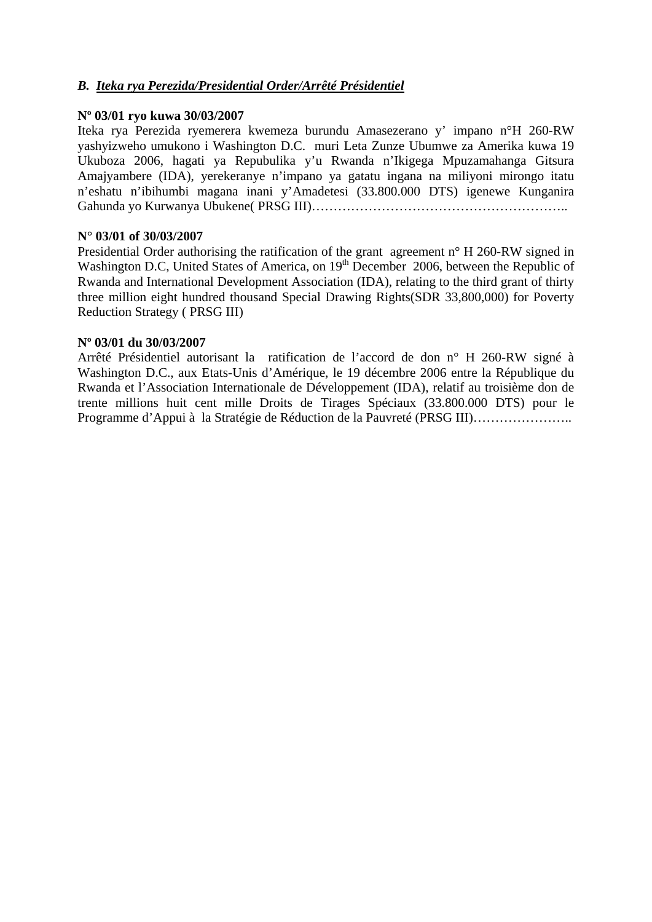## *B. Iteka rya Perezida/Presidential Order/Arrêté Présidentiel*

#### **Nº 03/01 ryo kuwa 30/03/2007**

Iteka rya Perezida ryemerera kwemeza burundu Amasezerano y' impano n°H 260-RW yashyizweho umukono i Washington D.C. muri Leta Zunze Ubumwe za Amerika kuwa 19 Ukuboza 2006, hagati ya Repubulika y'u Rwanda n'Ikigega Mpuzamahanga Gitsura Amajyambere (IDA), yerekeranye n'impano ya gatatu ingana na miliyoni mirongo itatu n'eshatu n'ibihumbi magana inani y'Amadetesi (33.800.000 DTS) igenewe Kunganira Gahunda yo Kurwanya Ubukene( PRSG III)…………………………………………………..

#### **N° 03/01 of 30/03/2007**

Presidential Order authorising the ratification of the grant agreement n° H 260-RW signed in Washington D.C, United States of America, on 19<sup>th</sup> December 2006, between the Republic of Rwanda and International Development Association (IDA), relating to the third grant of thirty three million eight hundred thousand Special Drawing Rights(SDR 33,800,000) for Poverty Reduction Strategy ( PRSG III)

#### **Nº 03/01 du 30/03/2007**

Arrêté Présidentiel autorisant la ratification de l'accord de don n° H 260-RW signé à Washington D.C., aux Etats-Unis d'Amérique, le 19 décembre 2006 entre la République du Rwanda et l'Association Internationale de Développement (IDA), relatif au troisième don de trente millions huit cent mille Droits de Tirages Spéciaux (33.800.000 DTS) pour le Programme d'Appui à la Stratégie de Réduction de la Pauvreté (PRSG III)…………………..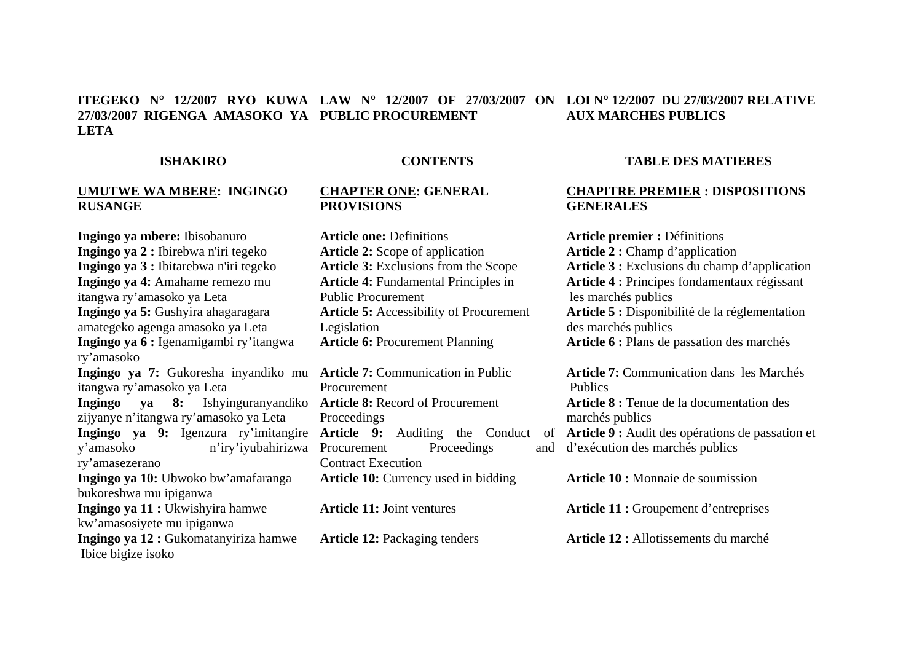#### **ITEGEKO N° 12/2007 RYO KUWA LAW N° 12/2007 OF 27/03/2007 ON LOI N° 12/2007 DU 27/03/2007 RELATIVE 27/03/2007 RIGENGA AMASOKO YA PUBLIC PROCUREMENT LETAAUX MARCHES PUBLICS**

#### **ISHAKIRO**

**Ingingo ya mbere:** Ibisobanuro **Ingingo ya 2 :** Ibirebwa n'iri tegeko

#### **CONTENTS**

#### **UMUTWE WA MBERE: INGINGO CHAPTER ONE: GENERAL PROVISIONS**

**Article one:** Definitions **Article 2:** Scope of application **Article 3:** Exclusions from the Scope **Article 4:** Fundamental Principles in Public Procurement **Article 5:** Accessibility of Procurement Legislation **Article 6:** Procurement Planning

**Article 7:** Communication in Public Procurement **Article 8:** Record of Procurement Proceedings Procurement Proceedings Contract Execution Article 10: Currency used in bidding

**Article 11:** Joint ventures

**Article 12:** Packaging tenders

#### **TABLE DES MATIERES**

#### **CHAPITRE PREMIER : DISPOSITIONS GENERALES**

**Article premier :** Définitions **Article 2 :** Champ d'application **Article 3 :** Exclusions du champ d'application **Article 4 :** Principes fondamentaux régissant les marchés publics **Article 5 :** Disponibilité de la réglementation des marchés publics **Article 6 :** Plans de passation des marchés

**Article 9:** Auditing the Conduct of **Article 9 :** Audit des opérations de passation et **Article 7:** Communication dans les Marchés Publics **Article 8 :** Tenue de la documentation des marchés publics d'exécution des marchés publics

**Article 10 :** Monnaie de soumission

**Article 11 :** Groupement d'entreprises

**Article 12 :** Allotissements du marché

**Ingingo ya 3 :** Ibitarebwa n'iri tegeko **Ingingo ya 4:** Amahame remezo mu itangwa ry'amasoko ya Leta **Ingingo ya 5:** Gushyira ahagaragara amategeko agenga amasoko ya Leta **Ingingo ya 6 :** Igenamigambi ry'itangwa ry'amasoko **Ingingo ya 7:** Gukoresha inyandiko mu itangwa ry'amasoko ya Leta **Ingingo ya 8:** Ishyinguranyandiko zijyanye n'itangwa ry'amasoko ya Leta **Ingingo ya 9:** Igenzura ry'imitangire y'amasoko n'iry'iyubahirizwa ry'amasezerano **Ingingo ya 10:** Ubwoko bw'amafaranga bukoreshwa mu ipiganwa **Ingingo ya 11 :** Ukwishyira hamwe kw'amasosiyete mu ipiganwa **Ingingo ya 12 :** Gukomatanyiriza hamwe

Ibice bigize isoko

**RUSANGE**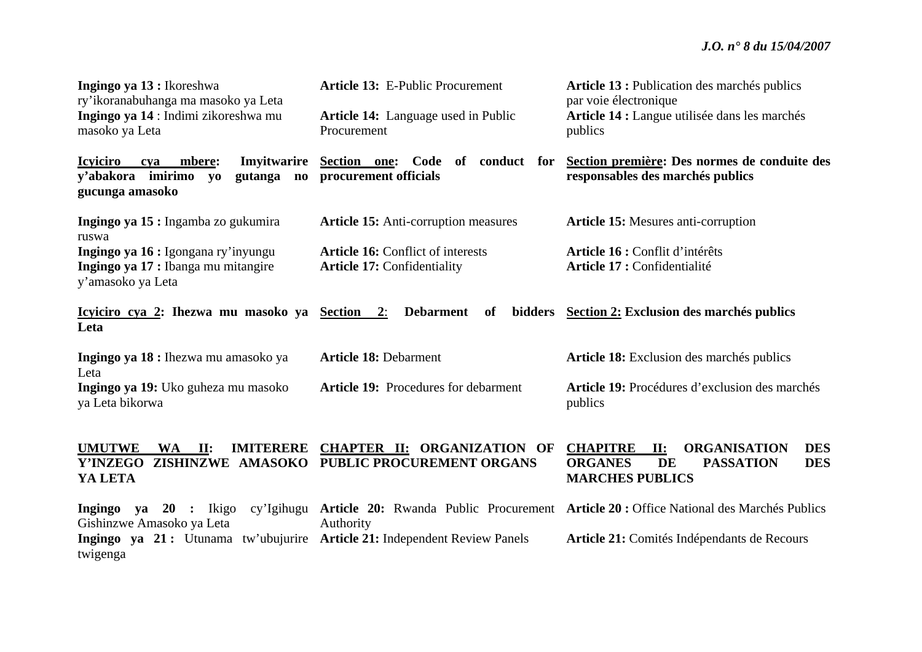| Ingingo ya 13 : Ikoreshwa<br>ry'ikoranabuhanga ma masoko ya Leta<br>Ingingo ya 14 : Indimi zikoreshwa mu<br>masoko ya Leta         | <b>Article 13: E-Public Procurement</b><br><b>Article 14:</b> Language used in Public<br>Procurement | Article 13 : Publication des marchés publics<br>par voie électronique<br>Article 14 : Langue utilisée dans les marchés<br>publics               |
|------------------------------------------------------------------------------------------------------------------------------------|------------------------------------------------------------------------------------------------------|-------------------------------------------------------------------------------------------------------------------------------------------------|
| <b>Icyiciro</b><br>mbere:<br>Imyitwarire<br>cva<br>v'abakora imirimo<br>gutanga<br>yo<br>$\mathbf{n}\mathbf{o}$<br>gucunga amasoko | Section one: Code of conduct for<br>procurement officials                                            | Section première: Des normes de conduite des<br>responsables des marchés publics                                                                |
| Ingingo ya 15 : Ingamba zo gukumira<br>ruswa<br>Ingingo ya 16 : Igongana ry'inyungu                                                | <b>Article 15:</b> Anti-corruption measures<br><b>Article 16: Conflict of interests</b>              | <b>Article 15:</b> Mesures anti-corruption<br>Article 16 : Conflit d'intérêts                                                                   |
| Ingingo ya 17 : Ibanga mu mitangire<br>y'amasoko ya Leta                                                                           | <b>Article 17: Confidentiality</b>                                                                   | Article 17 : Confidentialité                                                                                                                    |
| <u>Icyiciro cya 2:</u> Ihezwa mu masoko ya Section 2:<br>Leta                                                                      | <b>Debarment</b><br>of<br>bidders                                                                    | Section 2: Exclusion des marchés publics                                                                                                        |
| Ingingo ya 18 : Ihezwa mu amasoko ya<br>Leta                                                                                       | <b>Article 18: Debarment</b>                                                                         | Article 18: Exclusion des marchés publics                                                                                                       |
| Ingingo ya 19: Uko guheza mu masoko<br>ya Leta bikorwa                                                                             | <b>Article 19:</b> Procedures for debarment                                                          | Article 19: Procédures d'exclusion des marchés<br>publics                                                                                       |
| <b>UMUTWE</b><br>WA<br>$\mathbf{II:}$<br><b>IMITERERE</b><br><b>Y'INZEGO</b><br>YA LETA                                            | <b>CHAPTER II: ORGANIZATION OF</b><br>ZISHINZWE AMASOKO PUBLIC PROCUREMENT ORGANS                    | <b>CHAPITRE</b><br><b>ORGANISATION</b><br><b>DES</b><br>II:<br><b>ORGANES</b><br><b>PASSATION</b><br><b>DES</b><br>DE<br><b>MARCHES PUBLICS</b> |
| Ingingo ya $20$ : Ikigo<br>Gishinzwe Amasoko ya Leta                                                                               | Authority                                                                                            | cy'Igihugu Article 20: Rwanda Public Procurement Article 20: Office National des Marchés Publics                                                |
| Ingingo ya 21: Utunama tw'ubujurire Article 21: Independent Review Panels<br>twigenga                                              |                                                                                                      | Article 21: Comités Indépendants de Recours                                                                                                     |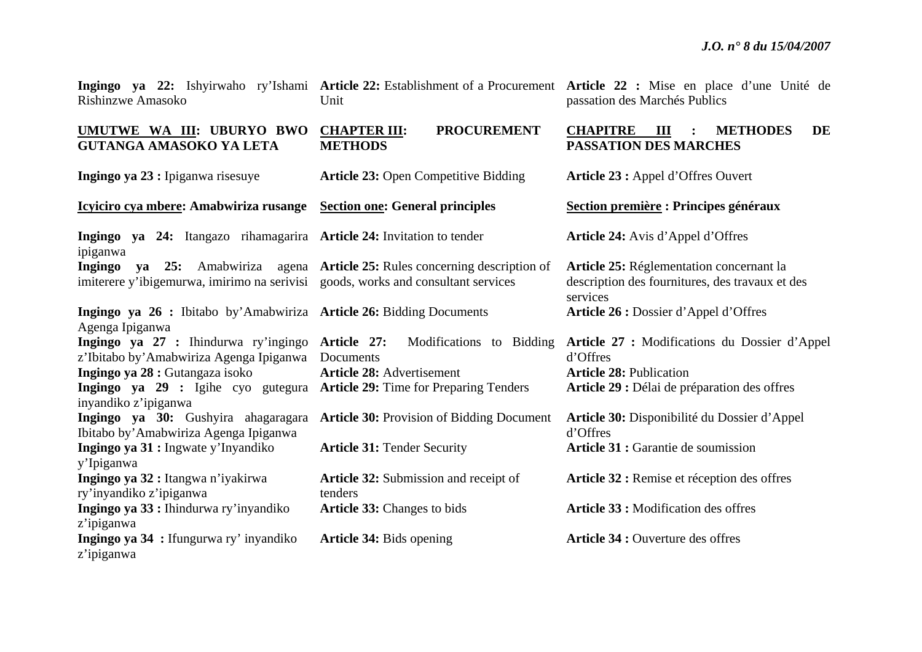| Rishinzwe Amasoko                                                                                 | Unit                                                                        | Ingingo ya 22: Ishyirwaho ry'Ishami Article 22: Establishment of a Procurement Article 22: Mise en place d'une Unité de<br>passation des Marchés Publics |
|---------------------------------------------------------------------------------------------------|-----------------------------------------------------------------------------|----------------------------------------------------------------------------------------------------------------------------------------------------------|
| UMUTWE WA III: UBURYO BWO<br><b>GUTANGA AMASOKO YA LETA</b>                                       | <b>CHAPTER III:</b><br><b>PROCUREMENT</b><br><b>METHODS</b>                 | <b>CHAPITRE III</b><br><b>METHODES</b><br><b>DE</b><br><b>PASSATION DES MARCHES</b>                                                                      |
| Ingingo ya 23 : Ipiganwa risesuye                                                                 | <b>Article 23: Open Competitive Bidding</b>                                 | Article 23 : Appel d'Offres Ouvert                                                                                                                       |
| Icyiciro cya mbere: Amabwiriza rusange                                                            | <b>Section one: General principles</b>                                      | Section première : Principes généraux                                                                                                                    |
| Ingingo ya 24: Itangazo rihamagarira Article 24: Invitation to tender<br>ipiganwa                 |                                                                             | Article 24: Avis d'Appel d'Offres                                                                                                                        |
| imiterere y'ibigemurwa, imirimo na serivisi goods, works and consultant services                  | Ingingo ya 25: Amabwiriza agena Article 25: Rules concerning description of | Article 25: Réglementation concernant la<br>description des fournitures, des travaux et des<br>services                                                  |
| Ingingo ya 26 : Ibitabo by'Amabwiriza Article 26: Bidding Documents<br>Agenga Ipiganwa            |                                                                             | Article 26 : Dossier d'Appel d'Offres                                                                                                                    |
| Ingingo ya 27 : Ihindurwa ry'ingingo Article 27:<br>z'Ibitabo by'Amabwiriza Agenga Ipiganwa       | Modifications to Bidding<br>Documents                                       | Article 27 : Modifications du Dossier d'Appel<br>d'Offres                                                                                                |
| Ingingo ya 28 : Gutangaza isoko                                                                   | <b>Article 28: Advertisement</b>                                            | <b>Article 28: Publication</b>                                                                                                                           |
| Ingingo ya 29 : Igihe cyo gutegura Article 29: Time for Preparing Tenders<br>inyandiko z'ipiganwa |                                                                             | Article 29 : Délai de préparation des offres                                                                                                             |
| Ingingo ya 30: Gushyira ahagaragara<br>Ibitabo by' Amabwiriza Agenga Ipiganwa                     | <b>Article 30: Provision of Bidding Document</b>                            | Article 30: Disponibilité du Dossier d'Appel<br>d'Offres                                                                                                 |
| Ingingo ya 31 : Ingwate y'Inyandiko<br>y'Ipiganwa                                                 | <b>Article 31: Tender Security</b>                                          | Article 31 : Garantie de soumission                                                                                                                      |
| Ingingo ya 32 : Itangwa n'iyakirwa<br>ry'inyandiko z'ipiganwa                                     | Article 32: Submission and receipt of<br>tenders                            | Article 32 : Remise et réception des offres                                                                                                              |
| Ingingo ya 33 : Ihindurwa ry'inyandiko<br>z'ipiganwa                                              | Article 33: Changes to bids                                                 | <b>Article 33 : Modification des offres</b>                                                                                                              |
| Ingingo ya 34 : Ifungurwa ry' inyandiko<br>z'ipiganwa                                             | Article 34: Bids opening                                                    | <b>Article 34 : Ouverture des offres</b>                                                                                                                 |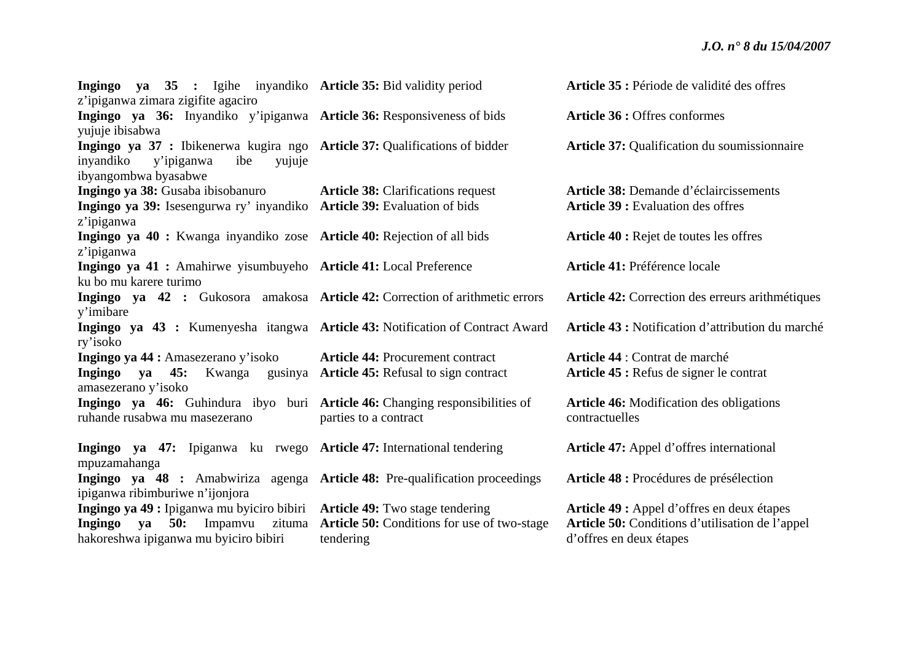| Ingingo ya 35 : Igihe inyandiko Article 35: Bid validity period<br>z'ipiganwa zimara zigifite agaciro                  |                                                    | Article 35 : Période de validité des offres       |
|------------------------------------------------------------------------------------------------------------------------|----------------------------------------------------|---------------------------------------------------|
| Ingingo ya 36: Inyandiko y'ipiganwa Article 36: Responsiveness of bids<br>yujuje ibisabwa                              |                                                    | Article 36 : Offres conformes                     |
| Ingingo ya 37 : Ibikenerwa kugira ngo Article 37: Qualifications of bidder<br>inyandiko<br>y'ipiganwa<br>ibe<br>yujuje |                                                    | Article 37: Qualification du soumissionnaire      |
| ibyangombwa byasabwe                                                                                                   |                                                    |                                                   |
| Ingingo ya 38: Gusaba ibisobanuro                                                                                      | <b>Article 38:</b> Clarifications request          | Article 38: Demande d'éclaircissements            |
| Ingingo ya 39: Isesengurwa ry' inyandiko Article 39: Evaluation of bids                                                |                                                    | <b>Article 39 : Evaluation des offres</b>         |
| z'ipiganwa                                                                                                             |                                                    |                                                   |
| Ingingo ya 40 : Kwanga inyandiko zose Article 40: Rejection of all bids                                                |                                                    | Article 40 : Rejet de toutes les offres           |
| z'ipiganwa                                                                                                             |                                                    |                                                   |
| Ingingo ya 41 : Amahirwe yisumbuyeho Article 41: Local Preference                                                      |                                                    | Article 41: Préférence locale                     |
| ku bo mu karere turimo                                                                                                 |                                                    |                                                   |
| Ingingo ya 42 : Gukosora amakosa Article 42: Correction of arithmetic errors                                           |                                                    | Article 42: Correction des erreurs arithmétiques  |
| y'imibare                                                                                                              |                                                    |                                                   |
| Ingingo ya 43 : Kumenyesha itangwa Article 43: Notification of Contract Award                                          |                                                    | Article 43 : Notification d'attribution du marché |
| ry'isoko                                                                                                               |                                                    |                                                   |
| Ingingo ya 44 : Amasezerano y'isoko                                                                                    | <b>Article 44: Procurement contract</b>            | Article 44 : Contrat de marché                    |
| Ingingo ya 45: Kwanga gusinya Article 45: Refusal to sign contract                                                     |                                                    | Article 45 : Refus de signer le contrat           |
| amasezerano y'isoko                                                                                                    |                                                    |                                                   |
| Ingingo ya 46: Guhindura ibyo buri Article 46: Changing responsibilities of                                            |                                                    | <b>Article 46:</b> Modification des obligations   |
| ruhande rusabwa mu masezerano                                                                                          | parties to a contract                              | contractuelles                                    |
|                                                                                                                        |                                                    |                                                   |
| Ingingo ya 47: Ipiganwa ku rwego Article 47: International tendering                                                   |                                                    | <b>Article 47:</b> Appel d'offres international   |
| mpuzamahanga                                                                                                           |                                                    |                                                   |
| Ingingo ya 48 : Amabwiriza agenga Article 48: Pre-qualification proceedings                                            |                                                    | Article 48 : Procédures de présélection           |
| ipiganwa ribimburiwe n'ijonjora                                                                                        |                                                    |                                                   |
| Ingingo ya 49 : Ipiganwa mu byiciro bibiri Article 49: Two stage tendering                                             |                                                    | Article 49 : Appel d'offres en deux étapes        |
| 50:<br>Impamvu<br>Ingingo<br>va                                                                                        | zituma Article 50: Conditions for use of two-stage | Article 50: Conditions d'utilisation de l'appel   |
| hakoreshwa ipiganwa mu byiciro bibiri                                                                                  | tendering                                          | d'offres en deux étapes                           |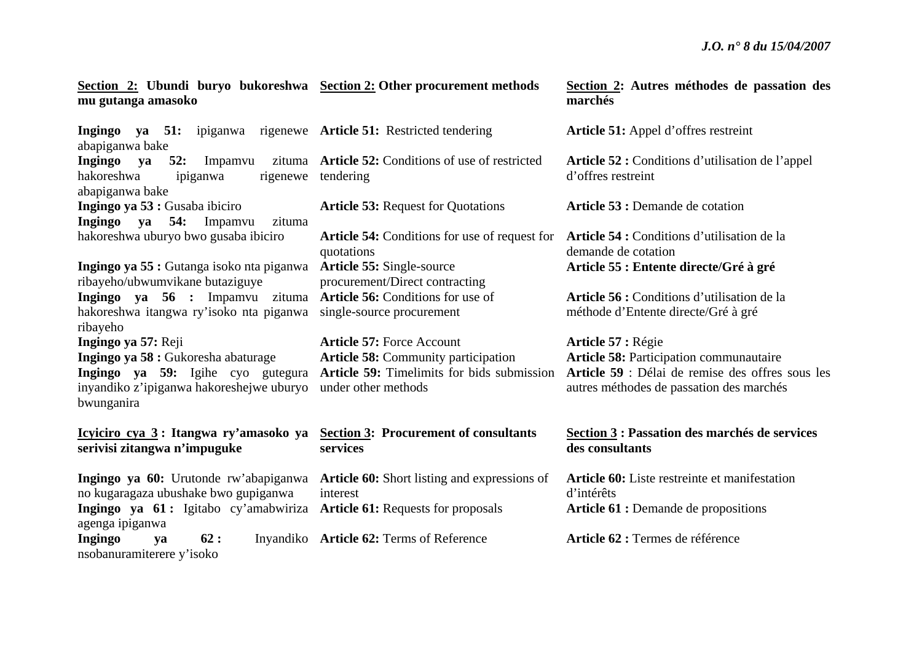**Section 2: Ubundi buryo bukoreshwa Section 2: Other procurement methods mu gutanga amasoko** 

**Ingingo ya 51:** ipiganwa rigenewe **Article 51:** Restricted tendering abapiganwa bake **Ingingo ya 52:** Impamvu hakoreshwa ipiganwa abapiganwa bake **Ingingo ya 53 :** Gusaba ibiciro **Ingingo ya 54:** Impamvu zituma hakoreshwa uburyo bwo gusaba ibiciro **Ingingo ya 55 :** Gutanga isoko nta piganwa **Article 55:** Single-source ribayeho/ubwumvikane butaziguye **Ingingo** ya 56 : Impamvu zituma Article 56: Conditions for use of hakoreshwa itangwa ry'isoko nta piganwa single-source procurement ribayeho **Ingingo ya 57:** Reji **Ingingo ya 58 :** Gukoresha abaturage **Ingingo ya 59:** Igihe cyo gutegura **Article 59:** Timelimits for bids submission inyandiko z'ipiganwa hakoreshejwe uburyo under other methods bwunganira **Icyiciro cya 3 : Itangwa ry'amasoko ya Section 3: Procurement of consultants serivisi zitangwa n'impuguke**  rigenewe tendering

**Ingingo ya 60:** Urutonde rw'abapiganwa no kugaragaza ubushake bwo gupiganwa **Ingingo** ya 61: Igitabo cy'amabwiriza Article 61: Requests for proposals agenga ipiganwa **Ingingo ya 62:** Inyandiko Article **62:** Terms of Reference nsobanuramiterere y'isoko

zituma **Article 52:** Conditions of use of restricted

**Article 53:** Request for Quotations **Article 54:** Conditions for use of request for quotations procurement/Direct contracting

**Article 57:** Force Account **Article 58:** Community participation

**services** 

**Article 60:** Short listing and expressions of interest

| Section 2: Autres méthodes de passation des |  |  |  |
|---------------------------------------------|--|--|--|
| marchés                                     |  |  |  |

**Article 51:** Appel d'offres restreint

**Article 52 :** Conditions d'utilisation de l'appel d'offres restreint

**Article 53 :** Demande de cotation

Article 54 : Conditions d'utilisation de la demande de cotation **Article 55 : Entente directe/Gré à gré** 

**Article 56 :** Conditions d'utilisation de la méthode d'Entente directe/Gré à gré

**Article 57 :** Régie **Article 58:** Participation communautaire **Article 59** : Délai de remise des offres sous les autres méthodes de passation des marchés

#### **Section 3 : Passation des marchés de services des consultants**

**Article 60:** Liste restreinte et manifestation d'intérêts Article 61 : Demande de propositions

**Article 62 :** Termes de référence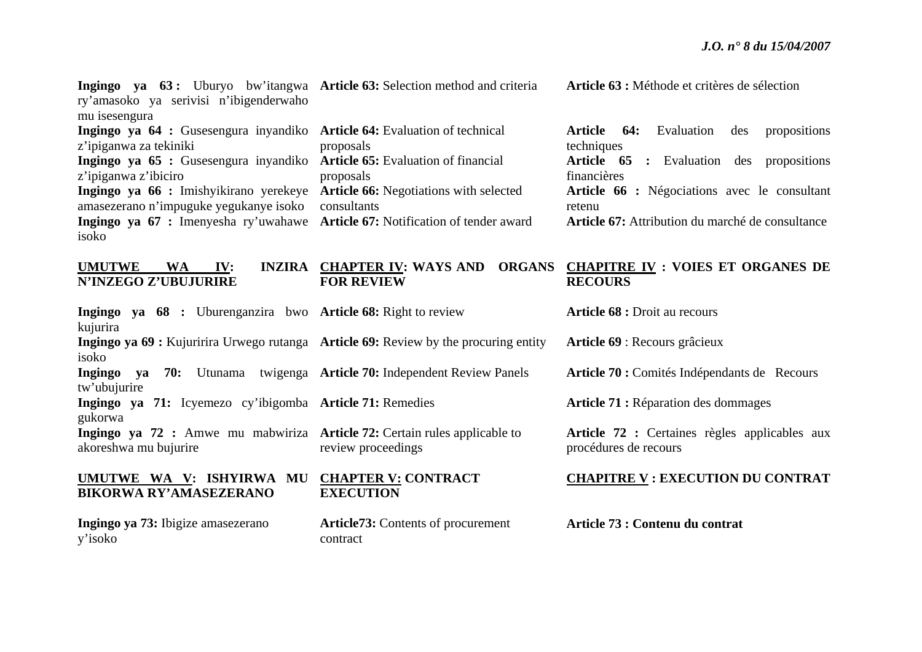| Ingingo ya 63: Uburyo bw'itangwa Article 63: Selection method and criteria<br>ry'amasoko ya serivisi n'ibigenderwaho<br>mu isesengura                                                                                                                                                                                                              |                                                                                                                                      | Article 63 : Méthode et critères de sélection                                                                                                                                                                                                        |
|----------------------------------------------------------------------------------------------------------------------------------------------------------------------------------------------------------------------------------------------------------------------------------------------------------------------------------------------------|--------------------------------------------------------------------------------------------------------------------------------------|------------------------------------------------------------------------------------------------------------------------------------------------------------------------------------------------------------------------------------------------------|
| Ingingo ya 64 : Gusesengura inyandiko Article 64: Evaluation of technical<br>z'ipiganwa za tekiniki<br>Ingingo ya 65 : Gusesengura inyandiko<br>z'ipiganwa z'ibiciro<br>Ingingo ya 66 : Imishyikirano yerekeye<br>amasezerano n'impuguke yegukanye isoko<br>Ingingo ya 67 : Imenyesha ry'uwahawe Article 67: Notification of tender award<br>isoko | proposals<br><b>Article 65:</b> Evaluation of financial<br>proposals<br><b>Article 66:</b> Negotiations with selected<br>consultants | Evaluation<br><b>Article</b><br>64:<br>propositions<br>des<br>techniques<br>Article 65<br>: Evaluation des propositions<br>financières<br>Article 66 : Négociations avec le consultant<br>retenu<br>Article 67: Attribution du marché de consultance |
| <b>UMUTWE</b><br>IV:<br><b>WA</b><br>N'INZEGO Z'UBUJURIRE                                                                                                                                                                                                                                                                                          | INZIRA CHAPTER IV: WAYS AND<br><b>FOR REVIEW</b>                                                                                     | ORGANS CHAPITRE IV : VOIES ET ORGANES DE<br><b>RECOURS</b>                                                                                                                                                                                           |
| Ingingo ya 68 : Uburenganzira bwo Article 68: Right to review<br>kujurira                                                                                                                                                                                                                                                                          |                                                                                                                                      | Article 68 : Droit au recours                                                                                                                                                                                                                        |
| Ingingo ya 69 : Kujuririra Urwego rutanga Article 69: Review by the procuring entity<br>isoko                                                                                                                                                                                                                                                      |                                                                                                                                      | Article 69 : Recours grâcieux                                                                                                                                                                                                                        |
| Ingingo<br>ya<br>tw'ubujurire                                                                                                                                                                                                                                                                                                                      | <b>70:</b> Utunama twigenga <b>Article 70:</b> Independent Review Panels                                                             | Article 70 : Comités Indépendants de Recours                                                                                                                                                                                                         |
| Ingingo ya 71: Icyemezo cy'ibigomba Article 71: Remedies<br>gukorwa                                                                                                                                                                                                                                                                                |                                                                                                                                      | Article 71 : Réparation des dommages                                                                                                                                                                                                                 |
| Ingingo ya 72 : Amwe mu mabwiriza Article 72: Certain rules applicable to<br>akoreshwa mu bujurire                                                                                                                                                                                                                                                 | review proceedings                                                                                                                   | Article 72 : Certaines règles applicables aux<br>procédures de recours                                                                                                                                                                               |
| UMUTWE WA V: ISHYIRWA MU<br><b>BIKORWA RY'AMASEZERANO</b>                                                                                                                                                                                                                                                                                          | <b>CHAPTER V: CONTRACT</b><br><b>EXECUTION</b>                                                                                       | <b>CHAPITRE V: EXECUTION DU CONTRAT</b>                                                                                                                                                                                                              |
| Ingingo ya 73: Ibigize amasezerano                                                                                                                                                                                                                                                                                                                 | <b>Article73:</b> Contents of procurement                                                                                            | Article 73 : Contenu du contrat                                                                                                                                                                                                                      |

contract

y'isoko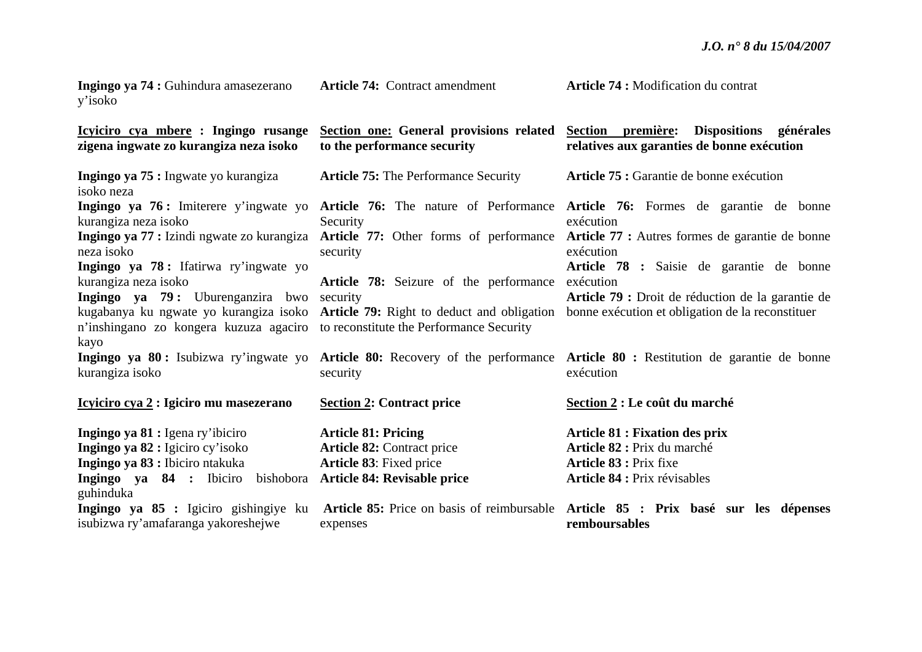| Ingingo ya 74 : Guhindura amasezerano<br>y'isoko                                        | <b>Article 74: Contract amendment</b>                                             | Article 74 : Modification du contrat                                                                                             |
|-----------------------------------------------------------------------------------------|-----------------------------------------------------------------------------------|----------------------------------------------------------------------------------------------------------------------------------|
| Icyiciro cya mbere : Ingingo rusange<br>zigena ingwate zo kurangiza neza isoko          | to the performance security                                                       | Section one: General provisions related Section première: Dispositions générales<br>relatives aux garanties de bonne exécution   |
| Ingingo ya 75 : Ingwate yo kurangiza<br>isoko neza                                      | <b>Article 75: The Performance Security</b>                                       | Article 75 : Garantie de bonne exécution                                                                                         |
| kurangiza neza isoko                                                                    | Security                                                                          | Ingingo ya 76: Imiterere y'ingwate yo Article 76: The nature of Performance Article 76: Formes de garantie de bonne<br>exécution |
| Ingingo ya 77 : Izindi ngwate zo kurangiza<br>neza isoko                                | security                                                                          | Article 77: Other forms of performance Article 77: Autres formes de garantie de bonne<br>exécution                               |
| Ingingo ya 78: Ifatirwa ry'ingwate yo<br>kurangiza neza isoko                           | Article 78: Seizure of the performance                                            | Article 78 : Saisie de garantie de bonne<br>exécution                                                                            |
| Ingingo ya 79: Uburenganzira bwo                                                        | security                                                                          | Article 79 : Droit de réduction de la garantie de                                                                                |
| n'inshingano zo kongera kuzuza agaciro to reconstitute the Performance Security<br>kayo | kugabanya ku ngwate yo kurangiza isoko Article 79: Right to deduct and obligation | bonne exécution et obligation de la reconstituer                                                                                 |
| Ingingo ya 80: Isubizwa ry'ingwate yo<br>kurangiza isoko                                | security                                                                          | Article 80: Recovery of the performance Article 80 : Restitution de garantie de bonne<br>exécution                               |
| Icyiciro cya 2 : Igiciro mu masezerano                                                  | <b>Section 2: Contract price</b>                                                  | Section 2 : Le coût du marché                                                                                                    |
| Ingingo ya 81 : Igena ry'ibiciro                                                        | <b>Article 81: Pricing</b>                                                        | <b>Article 81 : Fixation des prix</b>                                                                                            |
| Ingingo ya 82 : Igiciro cy'isoko                                                        | <b>Article 82: Contract price</b>                                                 | Article 82 : Prix du marché                                                                                                      |
| Ingingo ya 83 : Ibiciro ntakuka                                                         | <b>Article 83:</b> Fixed price                                                    | Article 83 : Prix fixe                                                                                                           |
| Ingingo ya 84 : Ibiciro<br>bishobora<br>guhinduka                                       | Article 84: Revisable price                                                       | <b>Article 84 : Prix révisables</b>                                                                                              |
| Ingingo ya 85 : Igiciro gishingiye ku<br>isubizwa ry'amafaranga yakoreshejwe            | expenses                                                                          | Article 85: Price on basis of reimbursable Article 85 : Prix basé sur les dépenses<br>remboursables                              |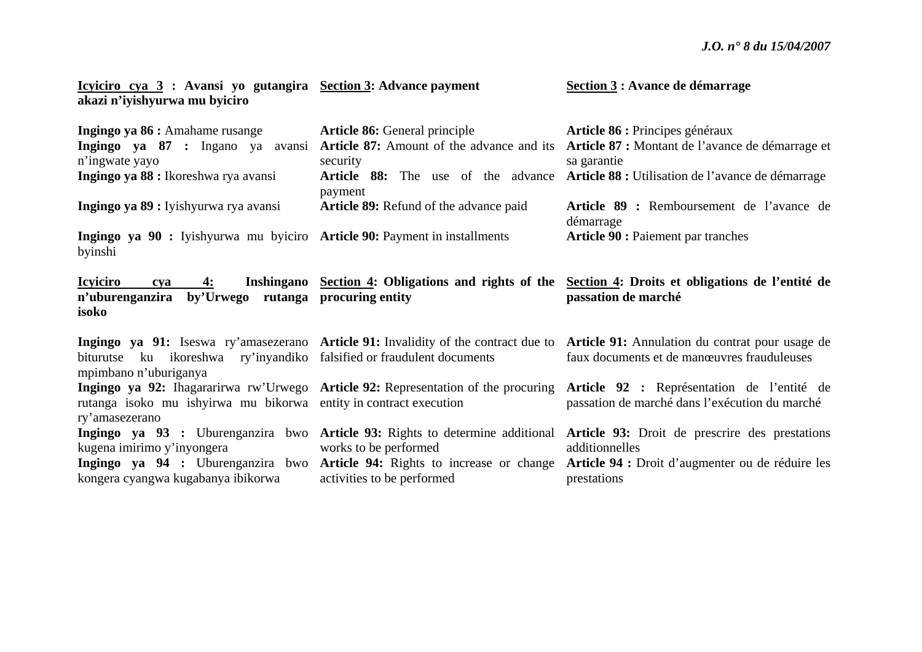| Section 3 : Avance de démarrage |
|---------------------------------|
|                                 |
|                                 |

| Ingingo ya 86 : Amahame rusange                                                                | <b>Article 86:</b> General principle          | Article 86 : Principes généraux                                                                                                                                                   |
|------------------------------------------------------------------------------------------------|-----------------------------------------------|-----------------------------------------------------------------------------------------------------------------------------------------------------------------------------------|
| Ingingo ya 87 : Ingano ya avansi                                                               |                                               | Article 87: Amount of the advance and its Article 87 : Montant de l'avance de démarrage et                                                                                        |
| n'ingwate yayo                                                                                 | security                                      | sa garantie                                                                                                                                                                       |
| Ingingo ya 88 : Ikoreshwa rya avansi                                                           | payment                                       | <b>Article 88:</b> The use of the advance <b>Article 88:</b> Utilisation de l'avance de démarrage                                                                                 |
| Ingingo ya 89 : Iyishyurwa rya avansi                                                          | <b>Article 89:</b> Refund of the advance paid | Article 89 : Remboursement de l'avance de<br>démarrage                                                                                                                            |
| Ingingo ya 90 : Iyishyurwa mu byiciro Article 90: Payment in installments<br>byinshi           |                                               | <b>Article 90 : Paiement par tranches</b>                                                                                                                                         |
| <b>Icyiciro</b><br>4:<br>cva<br>n'uburenganzira<br>by'Urwego rutanga procuring entity<br>isoko |                                               | Inshingano Section 4: Obligations and rights of the Section 4: Droits et obligations de l'entité de<br>passation de marché                                                        |
| biturutse ku ikoreshwa ry'inyandiko falsified or fraudulent documents<br>mpimbano n'uburiganya |                                               | Ingingo ya 91: Iseswa ry'amasezerano Article 91: Invalidity of the contract due to Article 91: Annulation du contrat pour usage de<br>faux documents et de manœuvres frauduleuses |
| rutanga isoko mu ishyirwa mu bikorwa entity in contract execution<br>ry'amasezerano            |                                               | Ingingo ya 92: Ihagararirwa rw'Urwego Article 92: Representation of the procuring Article 92 : Représentation de l'entité de<br>passation de marché dans l'exécution du marché    |
|                                                                                                |                                               | Ingingo ya 93 : Uburenganzira bwo Article 93: Rights to determine additional Article 93: Droit de prescrire des prestations                                                       |
| kugena imirimo y'inyongera                                                                     | works to be performed                         | additionnelles                                                                                                                                                                    |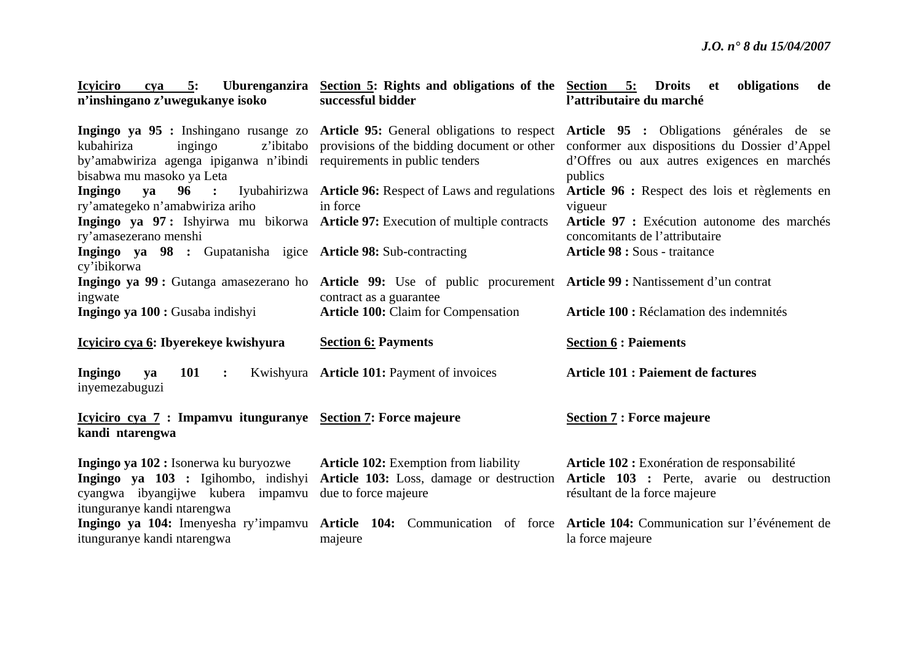| <b>Icviciro</b><br>5:<br>cya<br>n'inshingano z'uwegukanye isoko                                                             | Uburenganzira Section 5: Rights and obligations of the Section 5: Droits et<br>successful bidder                                               | obligations<br>de<br>l'attributaire du marché                                                                                                                                                                                                                                              |
|-----------------------------------------------------------------------------------------------------------------------------|------------------------------------------------------------------------------------------------------------------------------------------------|--------------------------------------------------------------------------------------------------------------------------------------------------------------------------------------------------------------------------------------------------------------------------------------------|
| kubahiriza<br>ingingo<br>by'amabwiriza agenga ipiganwa n'ibindi requirements in public tenders<br>bisabwa mu masoko ya Leta |                                                                                                                                                | Ingingo ya 95 : Inshingano rusange zo Article 95: General obligations to respect Article 95 : Obligations générales de se<br>z'ibitabo provisions of the bidding document or other conformer aux dispositions du Dossier d'Appel<br>d'Offres ou aux autres exigences en marchés<br>publics |
| Ingingo<br>ya<br>ry'amategeko n'amabwiriza ariho                                                                            | 96 : Iyubahirizwa Article 96: Respect of Laws and regulations<br>in force                                                                      | Article 96 : Respect des lois et règlements en<br>vigueur                                                                                                                                                                                                                                  |
| Ingingo ya 97: Ishyirwa mu bikorwa Article 97: Execution of multiple contracts<br>ry'amasezerano menshi                     |                                                                                                                                                | Article 97 : Exécution autonome des marchés<br>concomitants de l'attributaire                                                                                                                                                                                                              |
| Ingingo ya 98 : Gupatanisha igice Article 98: Sub-contracting<br>cy'ibikorwa                                                |                                                                                                                                                | <b>Article 98 : Sous - traitance</b>                                                                                                                                                                                                                                                       |
| ingwate                                                                                                                     | Ingingo ya 99 : Gutanga amasezerano ho Article 99: Use of public procurement Article 99 : Nantissement d'un contrat<br>contract as a guarantee |                                                                                                                                                                                                                                                                                            |
| Ingingo ya 100 : Gusaba indishyi                                                                                            | <b>Article 100:</b> Claim for Compensation                                                                                                     | Article 100 : Réclamation des indemnités                                                                                                                                                                                                                                                   |
| Icyiciro cya 6: Ibyerekeye kwishyura                                                                                        | <b>Section 6: Payments</b>                                                                                                                     | <b>Section 6 : Paiements</b>                                                                                                                                                                                                                                                               |
| <b>101</b><br>Ingingo<br>ya<br>$\ddot{\cdot}$<br>inyemezabuguzi                                                             | Kwishyura Article 101: Payment of invoices                                                                                                     | <b>Article 101 : Paiement de factures</b>                                                                                                                                                                                                                                                  |
| <u>Icyiciro cya 7</u> : Impamvu itunguranye Section 7: Force majeure<br>kandi ntarengwa                                     |                                                                                                                                                | <b>Section 7: Force majeure</b>                                                                                                                                                                                                                                                            |
| Ingingo ya 102 : Isonerwa ku buryozwe                                                                                       | <b>Article 102:</b> Exemption from liability                                                                                                   | Article 102 : Exonération de responsabilité                                                                                                                                                                                                                                                |
| Ingingo ya 103 : Igihombo, indishyi<br>cyangwa ibyangijwe kubera impamvu<br>itunguranye kandi ntarengwa                     | due to force majeure                                                                                                                           | Article 103: Loss, damage or destruction Article 103 : Perte, avarie ou destruction<br>résultant de la force majeure                                                                                                                                                                       |
| Ingingo ya 104: Imenyesha ry'impamvu<br>itunguranye kandi ntarengwa                                                         | majeure                                                                                                                                        | Article 104: Communication of force Article 104: Communication sur l'événement de<br>la force majeure                                                                                                                                                                                      |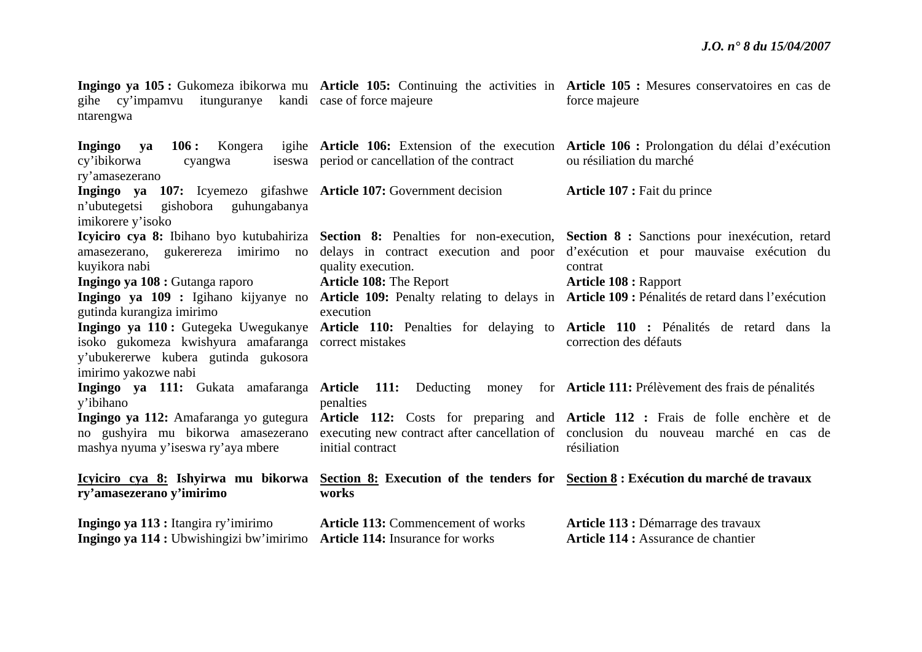| Ingingo ya 113 : Itangira ry'imirimo<br>Ingingo ya 114 : Ubwishingizi bw'imirimo Article 114: Insurance for works | <b>Article 113: Commencement of works</b>     | Article 113 : Démarrage des travaux<br>Article 114 : Assurance de chantier                                                                                                                                                                                     |
|-------------------------------------------------------------------------------------------------------------------|-----------------------------------------------|----------------------------------------------------------------------------------------------------------------------------------------------------------------------------------------------------------------------------------------------------------------|
| ry'amasezerano y'imirimo                                                                                          | works                                         | Icyiciro cya 8: Ishyirwa mu bikorwa Section 8: Execution of the tenders for Section 8: Exécution du marché de travaux                                                                                                                                          |
| y'ibihano<br>mashya nyuma y'iseswa ry'aya mbere                                                                   | penalties<br>initial contract                 | Ingingo ya 112: Amafaranga yo gutegura Article 112: Costs for preparing and Article 112: Frais de folle enchère et de<br>no gushyira mu bikorwa amasezerano executing new contract after cancellation of conclusion du nouveau marché en cas de<br>résiliation |
| y'ubukererwe kubera gutinda gukosora<br>imirimo yakozwe nabi                                                      |                                               | Ingingo ya 111: Gukata amafaranga Article 111: Deducting money for Article 111: Prélèvement des frais de pénalités                                                                                                                                             |
| gutinda kurangiza imirimo<br>isoko gukomeza kwishyura amafaranga correct mistakes                                 | execution                                     | Ingingo ya 110: Gutegeka Uwegukanye Article 110: Penalties for delaying to Article 110 : Pénalités de retard dans la<br>correction des défauts                                                                                                                 |
| Ingingo ya 108 : Gutanga raporo                                                                                   | <b>Article 108: The Report</b>                | <b>Article 108 : Rapport</b><br>Ingingo ya 109 : Igihano kijyanye no Article 109: Penalty relating to delays in Article 109 : Pénalités de retard dans l'exécution                                                                                             |
| amasezerano, gukerereza imirimo no<br>kuyikora nabi                                                               | quality execution.                            | delays in contract execution and poor d'exécution et pour mauvaise exécution du<br>contrat                                                                                                                                                                     |
| gishobora guhungabanya<br>n'ubutegetsi<br>imikorere y'isoko                                                       |                                               | Icyliciro cya 8: Ibihano byo kutubahiriza Section 8: Penalties for non-execution, Section 8: Sanctions pour inexécution, retard                                                                                                                                |
| ry'amasezerano<br>Ingingo ya 107: Icyemezo gifashwe Article 107: Government decision                              |                                               | Article 107 : Fait du prince                                                                                                                                                                                                                                   |
| Ingingo<br>va<br>cy'ibikorwa<br>cyangwa                                                                           | iseswa period or cancellation of the contract | 106: Kongera igihe Article 106: Extension of the execution Article 106: Prolongation du délai d'exécution<br>ou résiliation du marché                                                                                                                          |
| gihe cy'impamvu itunguranye kandi case of force majeure<br>ntarengwa                                              |                                               | Ingingo ya 105 : Gukomeza ibikorwa mu Article 105: Continuing the activities in Article 105 : Mesures conservatoires en cas de<br>force majeure                                                                                                                |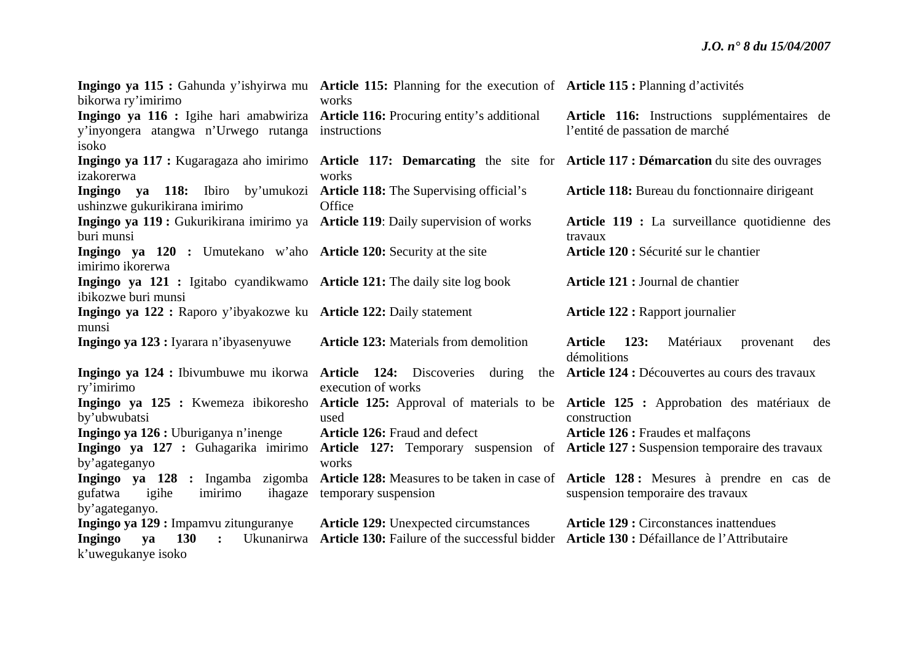|                                                                                                         | Ingingo ya 115 : Gahunda y'ishyirwa mu Article 115: Planning for the execution of Article 115 : Planning d'activités<br>works |                                                                                                                              |
|---------------------------------------------------------------------------------------------------------|-------------------------------------------------------------------------------------------------------------------------------|------------------------------------------------------------------------------------------------------------------------------|
| bikorwa ry'imirimo<br>Ingingo ya 116 : Igihe hari amabwiriza Article 116: Procuring entity's additional |                                                                                                                               | Article 116: Instructions supplémentaires de                                                                                 |
| y'inyongera atangwa n'Urwego rutanga instructions                                                       |                                                                                                                               | l'entité de passation de marché                                                                                              |
| isoko                                                                                                   |                                                                                                                               |                                                                                                                              |
|                                                                                                         |                                                                                                                               | Ingingo ya 117 : Kugaragaza aho imirimo Article 117: Demarcating the site for Article 117 : Démarcation du site des ouvrages |
| izakorerwa                                                                                              | works                                                                                                                         |                                                                                                                              |
| Ingingo ya 118: Ibiro by'umukozi Article 118: The Supervising official's                                |                                                                                                                               | Article 118: Bureau du fonctionnaire dirigeant                                                                               |
| ushinzwe gukurikirana imirimo                                                                           | Office                                                                                                                        |                                                                                                                              |
| Ingingo ya 119 : Gukurikirana imirimo ya Article 119: Daily supervision of works                        |                                                                                                                               | Article 119 : La surveillance quotidienne des                                                                                |
| buri munsi                                                                                              |                                                                                                                               | travaux                                                                                                                      |
| Ingingo ya 120 : Umutekano w'aho Article 120: Security at the site                                      |                                                                                                                               | Article 120 : Sécurité sur le chantier                                                                                       |
| imirimo ikorerwa                                                                                        |                                                                                                                               |                                                                                                                              |
| Ingingo ya 121 : Igitabo cyandikwamo Article 121: The daily site log book                               |                                                                                                                               | Article 121 : Journal de chantier                                                                                            |
| ibikozwe buri munsi                                                                                     |                                                                                                                               |                                                                                                                              |
| Ingingo ya 122 : Raporo y'ibyakozwe ku Article 122: Daily statement                                     |                                                                                                                               | <b>Article 122 : Rapport journalier</b>                                                                                      |
| munsi                                                                                                   |                                                                                                                               |                                                                                                                              |
| Ingingo ya 123 : Iyarara n'ibyasenyuwe                                                                  | <b>Article 123:</b> Materials from demolition                                                                                 | <b>Article</b><br>123:<br>Matériaux<br>des<br>provenant<br>démolitions                                                       |
|                                                                                                         |                                                                                                                               | Ingingo ya 124 : Ibivumbuwe mu ikorwa Article 124: Discoveries during the Article 124 : Découvertes au cours des travaux     |
| ry'imirimo                                                                                              | execution of works                                                                                                            |                                                                                                                              |
|                                                                                                         |                                                                                                                               | Ingingo ya 125 : Kwemeza ibikoresho Article 125: Approval of materials to be Article 125 : Approbation des matériaux de      |
| by'ubwubatsi                                                                                            | used                                                                                                                          | construction                                                                                                                 |
| Ingingo ya 126 : Uburiganya n'inenge                                                                    | <b>Article 126:</b> Fraud and defect                                                                                          | Article 126 : Fraudes et malfaçons                                                                                           |
| Ingingo ya 127 : Guhagarika imirimo                                                                     |                                                                                                                               | Article 127: Temporary suspension of Article 127: Suspension temporaire des travaux                                          |
| by'agateganyo                                                                                           | works                                                                                                                         |                                                                                                                              |
|                                                                                                         |                                                                                                                               | Ingingo ya 128 : Ingamba zigomba Article 128: Measures to be taken in case of Article 128: Mesures à prendre en cas de       |
| gufatwa<br>igihe<br>imirimo                                                                             | ihagaze temporary suspension                                                                                                  | suspension temporaire des travaux                                                                                            |
| by'agateganyo.                                                                                          |                                                                                                                               |                                                                                                                              |
| Ingingo ya 129 : Impamvu zitunguranye                                                                   | <b>Article 129:</b> Unexpected circumstances                                                                                  | <b>Article 129 : Circonstances inattendues</b>                                                                               |
| Ingingo<br><b>130</b><br>va<br>$\ddot{\cdot}$                                                           | Ukunanirwa Article 130: Failure of the successful bidder Article 130 : Défaillance de l'Attributaire                          |                                                                                                                              |
| k'uwegukanye isoko                                                                                      |                                                                                                                               |                                                                                                                              |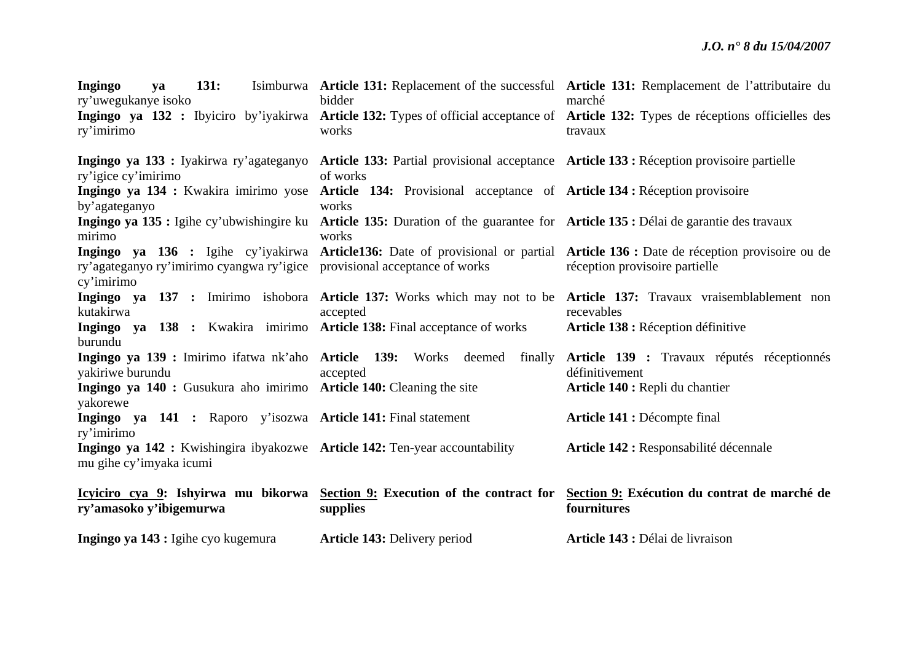| 131:<br>Ingingo<br>ya<br>ry'uwegukanye isoko<br>ry'imirimo                                             | bidder<br>works                                                                                                                           | Isimburwa Article 131: Replacement of the successful Article 131: Remplacement de l'attributaire du<br>marché<br>Ingingo ya 132 : Ibyiciro by'iyakirwa Article 132: Types of official acceptance of Article 132: Types de réceptions officielles des<br>travaux |  |  |
|--------------------------------------------------------------------------------------------------------|-------------------------------------------------------------------------------------------------------------------------------------------|-----------------------------------------------------------------------------------------------------------------------------------------------------------------------------------------------------------------------------------------------------------------|--|--|
|                                                                                                        | Ingingo ya 133 : Iyakirwa ry'agateganyo Article 133: Partial provisional acceptance Article 133 : Réception provisoire partielle          |                                                                                                                                                                                                                                                                 |  |  |
| ry'igice cy'imirimo<br>by'agateganyo                                                                   | of works<br>Ingingo ya 134 : Kwakira imirimo yose Article 134: Provisional acceptance of Article 134 : Réception provisoire<br>works      |                                                                                                                                                                                                                                                                 |  |  |
| mirimo                                                                                                 | Ingingo ya 135 : Igihe cy'ubwishingire ku Article 135: Duration of the guarantee for Article 135 : Délai de garantie des travaux<br>works |                                                                                                                                                                                                                                                                 |  |  |
| ry'agateganyo ry'imirimo cyangwa ry'igice provisional acceptance of works<br>cy'imirimo                |                                                                                                                                           | Ingingo ya 136 : Igihe cy'iyakirwa Article136: Date of provisional or partial Article 136 : Date de réception provisoire ou de<br>réception provisoire partielle                                                                                                |  |  |
| kutakirwa                                                                                              | accepted                                                                                                                                  | Ingingo ya 137 : Imirimo ishobora Article 137: Works which may not to be Article 137: Travaux vraisemblablement non<br>recevables                                                                                                                               |  |  |
| Ingingo ya 138 : Kwakira imirimo Article 138: Final acceptance of works<br>burundu                     |                                                                                                                                           | Article 138 : Réception définitive                                                                                                                                                                                                                              |  |  |
| yakiriwe burundu                                                                                       | accepted                                                                                                                                  | Ingingo ya 139 : Imirimo ifatwa nk'aho Article 139: Works deemed finally Article 139 : Travaux réputés réceptionnés<br>définitivement                                                                                                                           |  |  |
| Ingingo ya 140 : Gusukura aho imirimo Article 140: Cleaning the site<br>yakorewe                       |                                                                                                                                           | Article 140 : Repli du chantier                                                                                                                                                                                                                                 |  |  |
| Ingingo ya 141 : Raporo y'isozwa Article 141: Final statement<br>ry'imirimo                            |                                                                                                                                           | Article 141 : Décompte final                                                                                                                                                                                                                                    |  |  |
| Ingingo ya 142 : Kwishingira ibyakozwe Article 142: Ten-year accountability<br>mu gihe cy'imyaka icumi |                                                                                                                                           | Article 142 : Responsabilité décennale                                                                                                                                                                                                                          |  |  |
| ry'amasoko y'ibigemurwa                                                                                | supplies                                                                                                                                  | Icyiciro cya 9: Ishyirwa mu bikorwa Section 9: Execution of the contract for Section 9: Exécution du contrat de marché de<br>fournitures                                                                                                                        |  |  |
| Ingingo ya 143 : Igihe cyo kugemura                                                                    | <b>Article 143: Delivery period</b>                                                                                                       | Article 143 : Délai de livraison                                                                                                                                                                                                                                |  |  |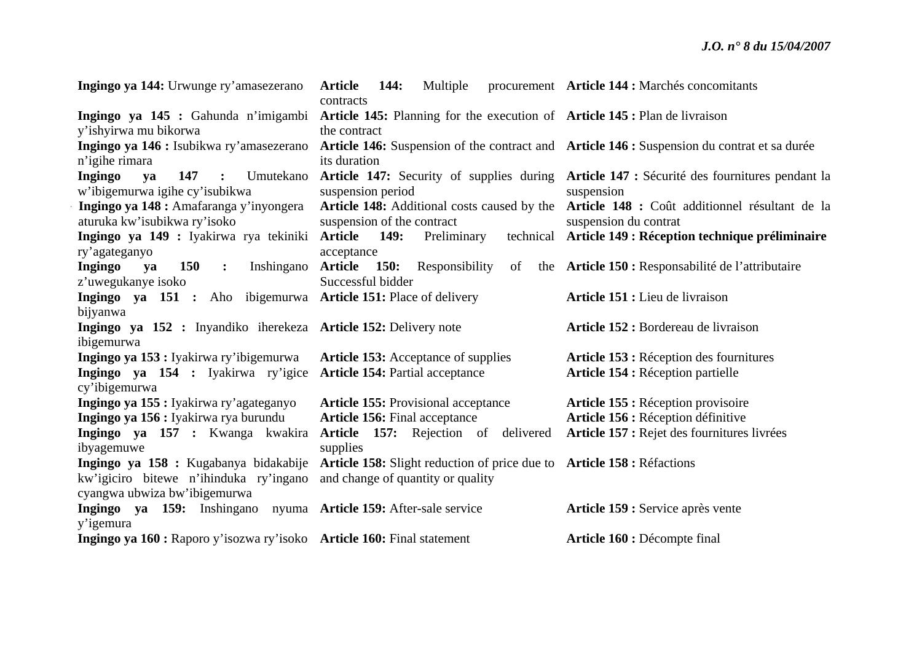| Ingingo ya 144: Urwunge ry'amasezerano                                                   | Multiple<br>Article 144:<br>contracts                                                     | procurement Article 144 : Marchés concomitants                                                                      |
|------------------------------------------------------------------------------------------|-------------------------------------------------------------------------------------------|---------------------------------------------------------------------------------------------------------------------|
| Ingingo ya 145 : Gahunda n'imigambi<br>y'ishyirwa mu bikorwa                             | Article 145: Planning for the execution of Article 145: Plan de livraison<br>the contract |                                                                                                                     |
| Ingingo ya 146 : Isubikwa ry'amasezerano<br>n'igihe rimara                               | its duration                                                                              | Article 146: Suspension of the contract and Article 146 : Suspension du contrat et sa durée                         |
| 147 :<br>Umutekano<br><b>Ingingo</b><br>ya<br>w'ibigemurwa igihe cy'isubikwa             | suspension period                                                                         | Article 147: Security of supplies during Article 147: Sécurité des fournitures pendant la<br>suspension             |
| Ingingo ya 148 : Amafaranga y'inyongera<br>aturuka kw'isubikwa ry'isoko                  | suspension of the contract                                                                | Article 148: Additional costs caused by the Article 148 : Coût additionnel résultant de la<br>suspension du contrat |
| Ingingo ya 149 : Iyakirwa rya tekiniki<br>ry'agateganyo                                  | Article 149:<br>Preliminary<br>acceptance                                                 | technical Article 149 : Réception technique préliminaire                                                            |
| <b>150</b><br>Inshingano<br><b>Ingingo</b><br>ya<br>$\ddot{\cdot}$<br>z'uwegukanye isoko | Article 150: Responsibility<br>of<br>Successful bidder                                    | the Article 150 : Responsabilité de l'attributaire                                                                  |
| Ingingo ya 151 : Aho ibigemurwa Article 151: Place of delivery<br>bijyanwa               |                                                                                           | Article 151 : Lieu de livraison                                                                                     |
| Ingingo ya 152 : Inyandiko iherekeza Article 152: Delivery note<br>ibigemurwa            |                                                                                           | Article 152 : Bordereau de livraison                                                                                |
| Ingingo ya 153 : Iyakirwa ry'ibigemurwa                                                  | <b>Article 153:</b> Acceptance of supplies                                                | Article 153 : Réception des fournitures                                                                             |
| Ingingo ya 154 : Iyakirwa ry'igice<br>cy'ibigemurwa                                      | <b>Article 154: Partial acceptance</b>                                                    | Article 154 : Réception partielle                                                                                   |
| Ingingo ya 155 : Iyakirwa ry'agateganyo                                                  | <b>Article 155: Provisional acceptance</b>                                                | Article 155 : Réception provisoire                                                                                  |
| Ingingo ya 156 : Iyakirwa rya burundu                                                    | <b>Article 156:</b> Final acceptance                                                      | Article 156 : Réception définitive                                                                                  |
| Ingingo ya 157 : Kwanga kwakira<br>ibyagemuwe                                            | Article 157: Rejection of delivered<br>supplies                                           | Article 157 : Rejet des fournitures livrées                                                                         |
| Ingingo ya 158 : Kugabanya bidakabije                                                    | Article 158: Slight reduction of price due to Article 158: Réfactions                     |                                                                                                                     |
| kw'igiciro bitewe n'ihinduka ry'ingano<br>cyangwa ubwiza bw'ibigemurwa                   | and change of quantity or quality                                                         |                                                                                                                     |
| Ingingo ya 159: Inshingano nyuma Article 159: After-sale service<br>y'igemura            |                                                                                           | Article 159 : Service après vente                                                                                   |
| Ingingo ya 160 : Raporo y'isozwa ry'isoko Article 160: Final statement                   |                                                                                           | Article 160 : Décompte final                                                                                        |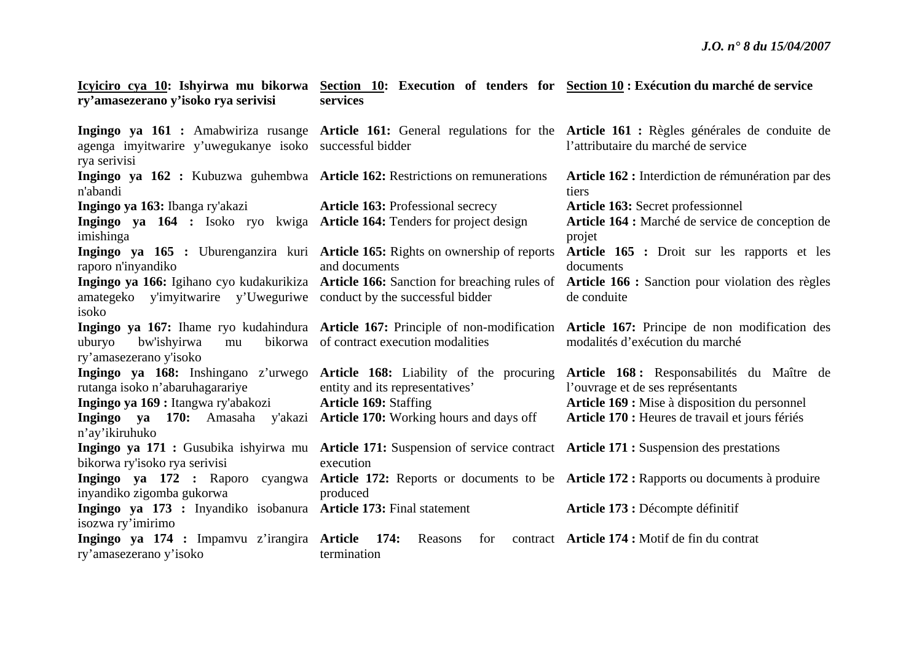#### **Icyiciro cya 10: Ishyirwa mu bikorwa Section 10: Execution of tenders for Section 10 : Exécution du marché de service ry'amasezerano y'isoko rya serivisi services**

|                                                                              |                                                                                                                            | Ingingo ya 161 : Amabwiriza rusange Article 161: General regulations for the Article 161 : Règles générales de conduite de            |  |
|------------------------------------------------------------------------------|----------------------------------------------------------------------------------------------------------------------------|---------------------------------------------------------------------------------------------------------------------------------------|--|
| agenga imyitwarire y'uwegukanye isoko successful bidder                      |                                                                                                                            | l'attributaire du marché de service                                                                                                   |  |
| rya serivisi                                                                 |                                                                                                                            |                                                                                                                                       |  |
| Ingingo ya 162 : Kubuzwa guhembwa Article 162: Restrictions on remunerations |                                                                                                                            | Article 162 : Interdiction de rémunération par des                                                                                    |  |
| n'abandi                                                                     |                                                                                                                            | tiers                                                                                                                                 |  |
| Ingingo ya 163: Ibanga ry'akazi                                              | <b>Article 163: Professional secrecy</b>                                                                                   | Article 163: Secret professionnel                                                                                                     |  |
| Ingingo ya 164 : Isoko ryo kwiga Article 164: Tenders for project design     |                                                                                                                            | Article 164 : Marché de service de conception de                                                                                      |  |
| imishinga                                                                    |                                                                                                                            | projet                                                                                                                                |  |
|                                                                              | Ingingo ya 165 : Uburenganzira kuri Article 165: Rights on ownership of reports                                            | Article 165 : Droit sur les rapports et les                                                                                           |  |
| raporo n'inyandiko                                                           | and documents                                                                                                              | documents                                                                                                                             |  |
|                                                                              |                                                                                                                            | Ingingo ya 166: Igihano cyo kudakurikiza Article 166: Sanction for breaching rules of Article 166: Sanction pour violation des règles |  |
| amategeko y'imyitwarire y'Uweguriwe conduct by the successful bidder         |                                                                                                                            | de conduite                                                                                                                           |  |
| isoko                                                                        |                                                                                                                            |                                                                                                                                       |  |
|                                                                              |                                                                                                                            | Ingingo ya 167: Ihame ryo kudahindura Article 167: Principle of non-modification Article 167: Principe de non modification des        |  |
| uburyo<br>bw'ishyirwa<br>mu                                                  | bikorwa of contract execution modalities                                                                                   | modalités d'exécution du marché                                                                                                       |  |
| ry'amasezerano y'isoko                                                       |                                                                                                                            |                                                                                                                                       |  |
|                                                                              |                                                                                                                            | Ingingo ya 168: Inshingano z'urwego Article 168: Liability of the procuring Article 168: Responsabilités du Maître de                 |  |
| rutanga isoko n'abaruhagarariye                                              | entity and its representatives'                                                                                            | l'ouvrage et de ses représentants                                                                                                     |  |
| Ingingo ya 169 : Itangwa ry'abakozi                                          | <b>Article 169: Staffing</b>                                                                                               | Article 169 : Mise à disposition du personnel                                                                                         |  |
| Ingingo ya 170: Amasaha                                                      | y'akazi Article 170: Working hours and days off                                                                            | Article 170 : Heures de travail et jours fériés                                                                                       |  |
| n'ay'ikiruhuko                                                               |                                                                                                                            |                                                                                                                                       |  |
|                                                                              | Ingingo ya 171 : Gusubika ishyirwa mu Article 171: Suspension of service contract Article 171 : Suspension des prestations |                                                                                                                                       |  |
| bikorwa ry'isoko rya serivisi                                                | execution                                                                                                                  |                                                                                                                                       |  |
|                                                                              |                                                                                                                            | Ingingo ya 172 : Raporo cyangwa Article 172: Reports or documents to be Article 172: Rapports ou documents à produire                 |  |
| inyandiko zigomba gukorwa                                                    | produced                                                                                                                   |                                                                                                                                       |  |
| Ingingo ya 173 : Inyandiko isobanura Article 173: Final statement            |                                                                                                                            | Article 173 : Décompte définitif                                                                                                      |  |
| isozwa ry'imirimo                                                            |                                                                                                                            |                                                                                                                                       |  |
| Ingingo ya 174 : Impamvu z'irangira Article 174:                             | Reasons<br>for                                                                                                             | contract <b>Article 174</b> : Motif de fin du contrat                                                                                 |  |
| ry'amasezerano y'isoko                                                       | termination                                                                                                                |                                                                                                                                       |  |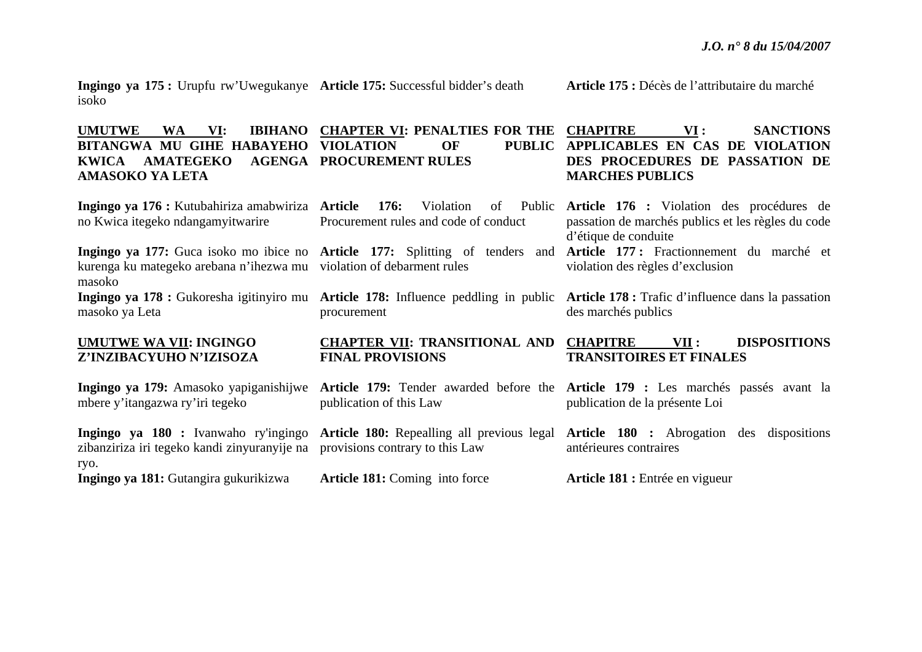**Ingingo ya 175 :** Urupfu rw'Uwegukanye **Article 175:** Successful bidder's death isoko

#### **UMUTWE WA VI: IBIHANO CHAPTER VI: PENALTIES FOR THE BITANGWA MU GIHE HABAYEHO VIOLATION OF PUBLIC KWICA AMATEGEKO PROCUREMENT RULES AMASOKO YA LETA CHAPITRE VI : SANCTIONS**  PUBLIC APPLICABLES EN CAS DE VIOLATION **MARCHES PUBLICS**

**Ingingo ya 176 :** Kutubahiriza amabwiriza **Article 176:** Violation of Public no Kwica itegeko ndangamyitwarire **Ingingo ya 177:** Guca isoko mo ibice no **Article 177:** Splitting of tenders and **Article 177 :** Fractionnement du marché et kurenga ku mategeko arebana n'ihezwa mu violation of debarment rules masoko Public Procurement rules and code of conduct**Article 176 :** Violation des procédures de passation de marchés publics et les règles du code d'étique de conduite violation des règles d'exclusion

**Ingingo ya 178 :** Gukoresha igitinyiro mu masoko ya Leta

#### **UMUTWE WA VII: INGINGO Z'INZIBACYUHO N'IZISOZA**

**Ingingo ya 179:** Amasoko yapiganishijwe mbere y'itangazwa ry'iri tegeko

**Ingingo ya 180 :** Ivanwaho ry'ingingo zibanziriza iri tegeko kandi zinyuranyije na ryo.

**Ingingo ya 181:** Gutangira gukurikizwa

procurement

#### **CHAPTER VII: TRANSITIONAL AND FINAL PROVISIONS**

publication of this Law

provisions contrary to this Law

**Article 181:** Coming into force

**Article 175 :** Décès de l'attributaire du marché

# **DES PROCEDURES DE PASSATION DE**

**Article 178:** Influence peddling in public **Article 178 :** Trafic d'influence dans la passation des marchés publics

#### **CHAPITRE VII : DISPOSITIONS TRANSITOIRES ET FINALES**

**Article 179:** Tender awarded before the **Article 179 :** Les marchés passés avant la publication de la présente Loi

**Article 180:** Repealling all previous legal **Article 180 :** Abrogation des dispositions antérieures contraires

**Article 181 :** Entrée en vigueur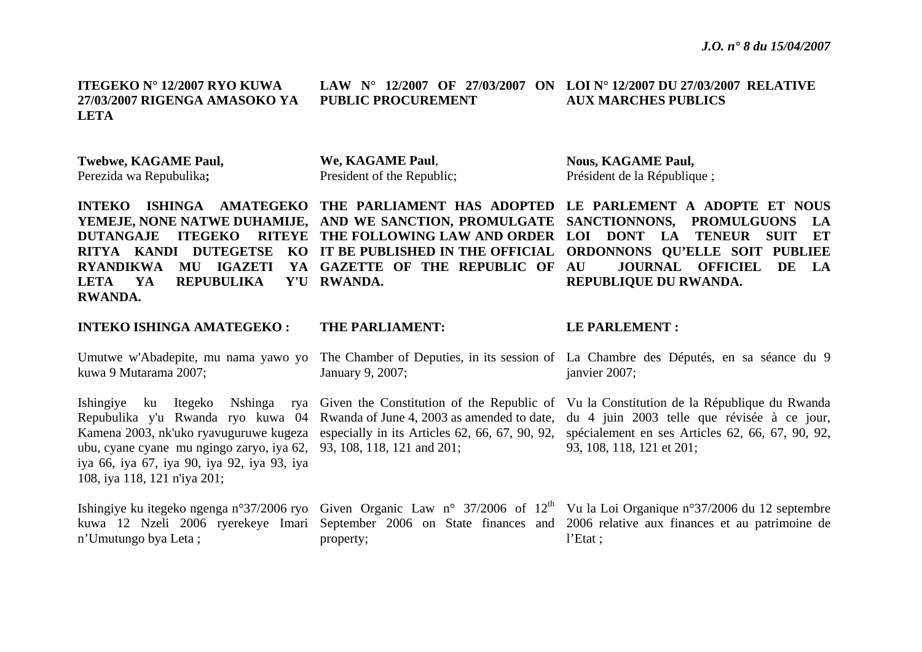**ITEGEKO N° 12/2007 RYO KUWA 27/03/2007 RIGENGA AMASOKO YA LETA** 

**PUBLIC PROCUREMENT** 

#### **LAW N° 12/2007 OF 27/03/2007 ON LOI N° 12/2007 DU 27/03/2007 RELATIVE AUX MARCHES PUBLICS**

**Twebwe, KAGAME Paul,**  Perezida wa Repubulika**;** 

**We, KAGAME Paul**, President of the Republic; **Nous, KAGAME Paul,**  Président de la République ;

**INTEKO ISHINGA AMATEGEKO THE PARLIAMENT HAS ADOPTED LE PARLEMENT A ADOPTE ET NOUS YEMEJE, NONE NATWE DUHAMIJE, AND WE SANCTION, PROMULGATE SANCTIONNONS, PROMULGUONS LA DUTANGAJE ITEGEKO RITEYE THE FOLLOWING LAW AND ORDER LOI DONT LA TENEUR SUIT ET RITYA KANDI DUTEGETSE KO IT BE PUBLISHED IN THE OFFICIAL ORDONNONS QU'ELLE SOIT PUBLIEE RYANDIKWA MU IGAZETI YA GAZETTE OF THE REPUBLIC OF**  LETA YA REPUBULIKA **RWANDA. RWANDA.** 

#### **INTEKO ISHINGA AMATEGEKO :**

kuwa 9 Mutarama 2007;

ubu, cyane cyane mu ngingo zaryo, iya 62, 93, 108, 118, 121 and 201; iya 66, iya 67, iya 90, iya 92, iya 93, iya 108, iya 118, 121 n'iya 201;

<sup>n</sup>'Umutungo bya Leta ;

#### **THE PARLIAMENT:**

January 9, 2007;

property;

#### **LE PARLEMENT :**

**REPUBLIQUE DU RWANDA.** 

Umutwe w'Abadepite, mu nama yawo yo The Chamber of Deputies, in its session of La Chambre des Députés, en sa séance du 9 janvier 2007;

**AU JOURNAL OFFICIEL DE LA** 

Ishingiye ku Itegeko Nshinga rya Given the Constitution of the Republic of Vu la Constitution de la République du Rwanda Repubulika y'u Rwanda ryo kuwa 04 Rwanda of June 4, 2003 as amended to date, du 4 juin 2003 telle que révisée à ce jour, Kamena 2003, nk'uko ryavuguruwe kugeza especially in its Articles 62, 66, 67, 90, 92, spécialement en ses Articles 62, 66, 67, 90, 92, 93, 108, 118, 121 et 201;

Ishingiye ku itegeko ngenga n°37/2006 ryo Given Organic Law n° 37/2006 of 12<sup>th</sup> Vu la Loi Organique n°37/2006 du 12 septembre kuwa 12 Nzeli 2006 ryerekeye Imari September 2006 on State finances and 2006 relative aux finances et au patrimoine de l'Etat ;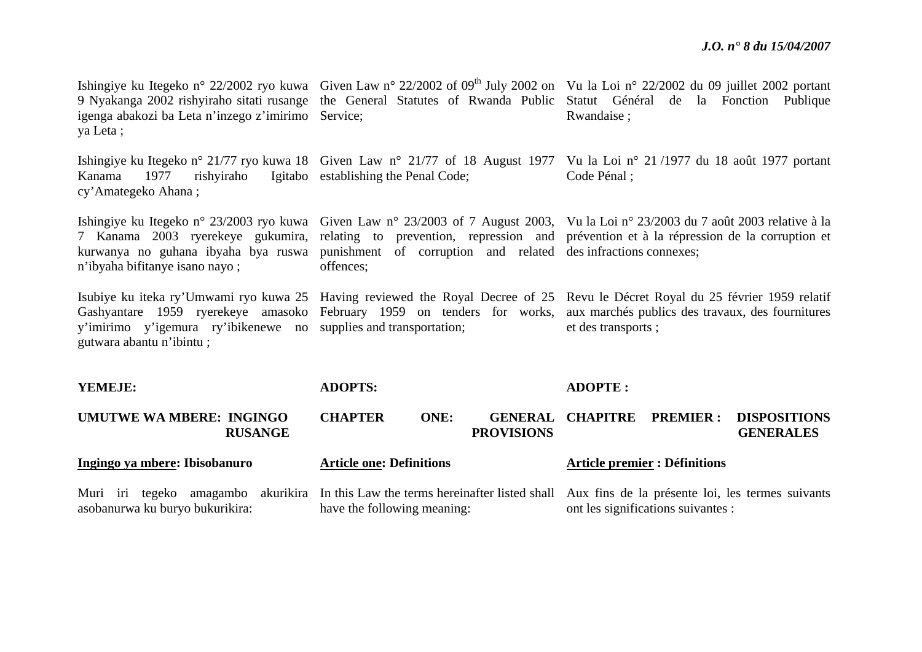| igenga abakozi ba Leta n'inzego z'imirimo Service;<br>ya Leta;                               |                                                                                                                                                                                                         | Ishingiye ku Itegeko n° 22/2002 ryo kuwa Given Law n° 22/2002 of 09 <sup>th</sup> July 2002 on Vu la Loi n° 22/2002 du 09 juillet 2002 portant<br>9 Nyakanga 2002 rishyiraho sitati rusange the General Statutes of Rwanda Public Statut Général de la Fonction Publique<br>Rwandaise; |  |  |
|----------------------------------------------------------------------------------------------|---------------------------------------------------------------------------------------------------------------------------------------------------------------------------------------------------------|----------------------------------------------------------------------------------------------------------------------------------------------------------------------------------------------------------------------------------------------------------------------------------------|--|--|
| Kanama<br>1977<br>cy' Amategeko Ahana;                                                       | rishyiraho Igitabo establishing the Penal Code;                                                                                                                                                         | Ishingiye ku Itegeko n° 21/77 ryo kuwa 18 Given Law n° 21/77 of 18 August 1977 Vu la Loi n° 21/1977 du 18 août 1977 portant<br>Code Pénal ;                                                                                                                                            |  |  |
| n'ibyaha bifitanye isano nayo;                                                               | kurwanya no guhana ibyaha bya ruswa punishment of corruption and related desinfractions connexes;<br>offences;                                                                                          | Ishingiye ku Itegeko n° 23/2003 ryo kuwa Given Law n° 23/2003 of 7 August 2003, Vu la Loi n° 23/2003 du 7 août 2003 relative à la<br>7 Kanama 2003 ryerekeye gukumira, relating to prevention, repression and prévention et à la répression de la corruption et                        |  |  |
| y'imirimo y'igemura ry'ibikenewe no supplies and transportation;<br>gutwara abantu n'ibintu; |                                                                                                                                                                                                         | Isubiye ku iteka ry'Umwami ryo kuwa 25 Having reviewed the Royal Decree of 25 Revu le Décret Royal du 25 février 1959 relatif<br>Gashyantare 1959 ryerekeye amasoko February 1959 on tenders for works, aux marchés publics des travaux, des fournitures<br>et des transports;         |  |  |
| YEMEJE:                                                                                      | <b>ADOPTS:</b>                                                                                                                                                                                          | <b>ADOPTE:</b>                                                                                                                                                                                                                                                                         |  |  |
| <b>UMUTWE WA MBERE: INGINGO</b><br><b>RUSANGE</b>                                            | <b>CHAPTER</b><br>ONE:<br><b>GENERAL</b><br><b>PROVISIONS</b>                                                                                                                                           | <b>CHAPITRE</b><br><b>PREMIER:</b><br><b>DISPOSITIONS</b><br><b>GENERALES</b>                                                                                                                                                                                                          |  |  |
| Ingingo ya mbere: Ibisobanuro                                                                | <b>Article one: Definitions</b>                                                                                                                                                                         | <b>Article premier : Définitions</b>                                                                                                                                                                                                                                                   |  |  |
| asobanurwa ku buryo bukurikira:                                                              | Muri iri tegeko amagambo akurikira In this Law the terms hereinafter listed shall Aux fins de la présente loi, les termes suivants<br>have the following meaning:<br>ont les significations suivantes : |                                                                                                                                                                                                                                                                                        |  |  |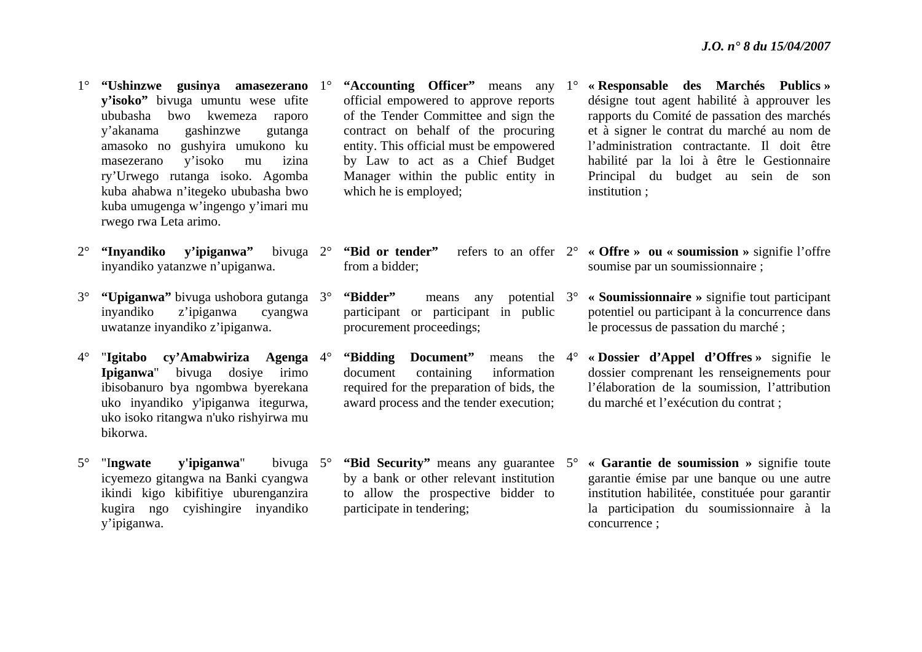- 1° **"Ushinzwe gusinya amasezerano**  1°**y'isoko"** bivuga umuntu wese ufite ububasha bwo kwemeza raporo y'akanama gashinzwe gutanga amasoko no gushyira umukono ku masezerano y'isoko mu izina ry'Urwego rutanga isoko. Agomba kuba ahabwa n'itegeko ububasha bwo kuba umugenga w'ingengo y'imari mu rwego rwa Leta arimo.
- 2° **"Inyandiko y'ipiganwa"** bivuga inyandiko yatanzwe n'upiganwa. bivuga 2°
- $3^\circ$  **"Upiganwa"** bivuga ushobora gutanga 3°inyandiko z'ipiganwa cyangwa uwatanze inyandiko z'ipiganwa.
- $4^\circ$  "**Igitabo cy'Amabwiriza Agenga**  4°**Ipiganwa**" bivuga dosiye irimo ibisobanuro bya ngombwa byerekana uko inyandiko y'ipiganwa itegurwa, uko isoko ritangwa n'uko rishyirwa mu bikorwa.
- $5^{\circ}$ "Ingwate v'ipiganwa" icyemezo gitangwa na Banki cyangwa ikindi kigo kibifitiye uburenganzira kugira ngo cyishingire inyandiko y'ipiganwa. bivuga 5°
- <sup>o</sup> **"Accounting Officer"** means any 1° official empowered to approve reports of the Tender Committee and sign the contract on behalf of the procuring entity. This official must be empowered by Law to act as a Chief Budget Manager within the public entity in which he is employed;
	- from a bidder;
- **"Bidder"** means any participant or participant in public procurement proceedings; potential 3°
- **"Bidding Document"** document containing information required for the preparation of bids, the award process and the tender execution; means the 4°
- **"Bid Security"** means any guarantee 5°by a bank or other relevant institution to allow the prospective bidder to participate in tendering;
- **« Responsable des Marchés Publics »** désigne tout agent habilité à approuver les rapports du Comité de passation des marchés et à signer le contrat du marché au nom de l'administration contractante. Il doit être habilité par la loi à être le Gestionnaire Principal du budget au sein de son institution ;
- **"Bid or tender"** refers to an offer 2° **« Offre » ou « soumission »** signifie l'offre soumise par un soumissionnaire ;
	- **« Soumissionnaire »** signifie tout participant potentiel ou participant à la concurrence dans le processus de passation du marché ;
	- **« Dossier d'Appel d'Offres »** signifie le dossier comprenant les renseignements pour l'élaboration de la soumission, l'attribution du marché et l'exécution du contrat ;
	- **« Garantie de soumission »** signifie toute garantie émise par une banque ou une autre institution habilitée, constituée pour garantir la participation du soumissionnaire à la concurrence ;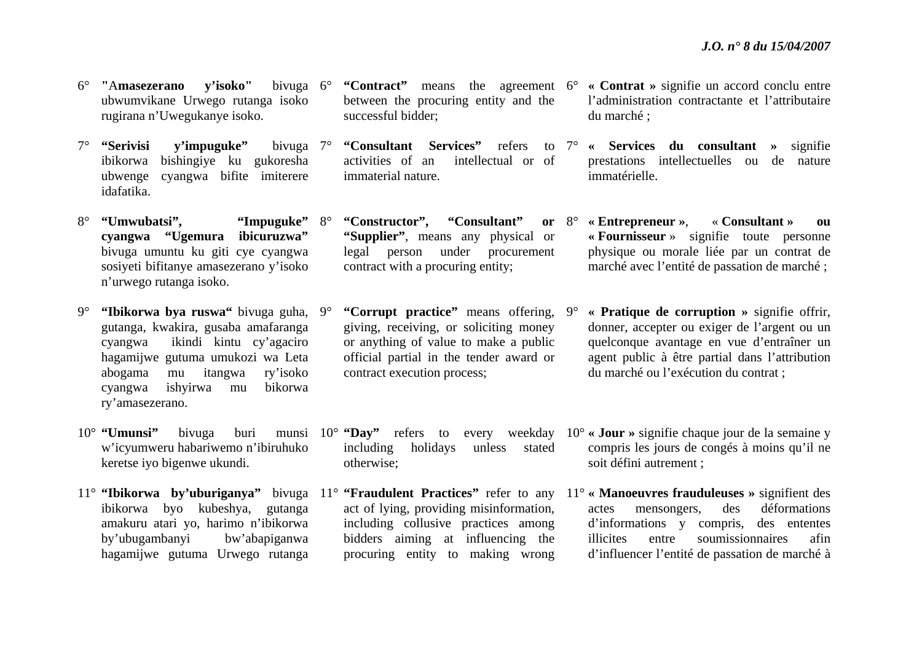- $6^{\circ}$  **"**A**masezerano y'isoko"** bivuga ubwumvikane Urwego rutanga isoko rugirana n'Uwegukanye isoko. bivuga 6°
- 7° "Serivisi v'impuguke" ibikorwa bishingiye ku gukoresha ubwenge cyangwa bifite imiterere idafatika.bivuga 7°
- 8°"Umwubatsi". **cyangwa "Ugemura ibicuruzwa"** bivuga umuntu ku giti cye cyangwa sosiyeti bifitanye amasezerano y'isoko <sup>n</sup>'urwego rutanga isoko. "Impuguke" 8°
- $9^\circ$  **"Ibikorwa bya ruswa"** bivuga guha, 9°gutanga, kwakira, gusaba amafaranga cyangwa ikindi kintu cy'agaciro hagamijwe gutuma umukozi wa Leta abogama mu itangwa ry'isoko cyangwa ishyirwa mu bikorwa ry'amasezerano.
- 10° **"Umunsi"** bivuga buri munsi <sup>w</sup>'icyumweru habariwemo n'ibiruhuko keretse iyo bigenwe ukundi.
- ibikorwa byo kubeshya, gutanga amakuru atari yo, harimo n'ibikorwa by'ubugambanyi bw'abapiganwa hagamijwe gutuma Urwego rutanga
- <sup>o</sup> "Contract" means the agreement 6<sup>o</sup> between the procuring entity and the successful bidder;
	- activities of an intellectual or of immaterial nature.
- "Constructor", "Consultant" **"Supplier"**, means any physical or legal person under procurement contract with a procuring entity; or  $8^\circ$ 
	- **"Corrupt practice"** means offering, giving, receiving, or soliciting money or anything of value to make a public official partial in the tender award or contract execution process;
- including holidays unless stated otherwise;
- act of lying, providing misinformation, including collusive practices among bidders aiming at influencing the procuring entity to making wrong
- **« Contrat »** signifie un accord conclu entre l'administration contractante et l'attributaire du marché ;
- **"Consultant Services"** refers to 7° **« Services du consultant »** signifie prestations intellectuelles ou de nature immatérielle.
	- **« Entrepreneur »**, « **Consultant » ou « Fournisseur** » signifie toute personne physique ou morale liée par un contrat de marché avec l'entité de passation de marché ;
	- 9° **« Pratique de corruption »** signifie offrir, donner, accepter ou exiger de l'argent ou un quelconque avantage en vue d'entraîner un agent public à être partial dans l'attribution du marché ou l'exécution du contrat ;
- 10° **"Day"** refers to every weekday 10° **« Jour »** signifie chaque jour de la semaine y compris les jours de congés à moins qu'il ne soit défini autrement ;
- 11° **"Ibikorwa by'uburiganya"** bivuga 11° **"Fraudulent Practices"** refer to any 11° **« Manoeuvres frauduleuses »** signifient des actes mensongers, des déformations d'informations y compris, des ententes illicites entre soumissionnaires afin d'influencer l'entité de passation de marché à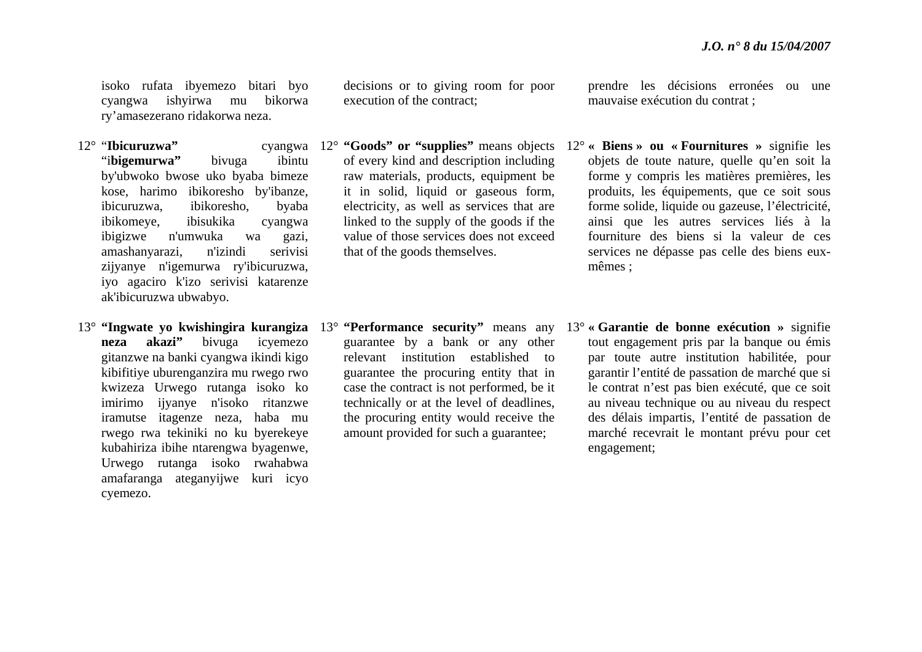isoko rufata ibyemezo bitari byo cyangwa ishyirwa mu bikorwa ry'amasezerano ridakorwa neza.

- 12° "**Ibicuruzwa"** cyangwa "i**bigemurwa"** bivuga ibintu by'ubwoko bwose uko byaba bimeze kose, harimo ibikoresho by'ibanze, ibicuruzwa, ibikoresho, byaba ibikomeye, ibisukika cyangwa ibigizwe n'umwuka wa gazi, amashanyarazi, n'izindi serivisi zijyanye n'igemurwa ry'ibicuruzwa, iyo agaciro k'izo serivisi katarenze ak'ibicuruzwa ubwabyo.
- 13° **"Ingwate yo kwishingira kurangiza**  13° **"Performance security"** means any **neza akazi"** bivuga icyemezo gitanzwe na banki cyangwa ikindi kigo kibifitiye uburenganzira mu rwego rwo kwizeza Urwego rutanga isoko ko imirimo ijyanye n'isoko ritanzwe iramutse itagenze neza, haba mu rwego rwa tekiniki no ku byerekeye kubahiriza ibihe ntarengwa byagenwe, Urwego rutanga isoko rwahabwa amafaranga ateganyijwe kuri icyo cyemezo.

decisions or to giving room for poor execution of the contract;

- of every kind and description including raw materials, products, equipment be it in solid, liquid or gaseous form, electricity, as well as services that are linked to the supply of the goods if the value of those services does not exceed that of the goods themselves.
- guarantee by a bank or any other relevant institution established to guarantee the procuring entity that in case the contract is not performed, be it technically or at the level of deadlines, the procuring entity would receive the amount provided for such a guarantee;

prendre les décisions erronées ou une mauvaise exécution du contrat ;

- 12° **"Goods" or "supplies"** means objects 12° **« Biens » ou « Fournitures »** signifie les objets de toute nature, quelle qu'en soit la forme y compris les matières premières, les produits, les équipements, que ce soit sous forme solide, liquide ou gazeuse, l'électricité, ainsi que les autres services liés à la fourniture des biens si la valeur de ces services ne dépasse pas celle des biens euxmêmes ;
	- 13° **« Garantie de bonne exécution »** signifie tout engagement pris par la banque ou émis par toute autre institution habilitée, pour garantir l'entité de passation de marché que si le contrat n'est pas bien exécuté, que ce soit au niveau technique ou au niveau du respect des délais impartis, l'entité de passation de marché recevrait le montant prévu pour cet engagement;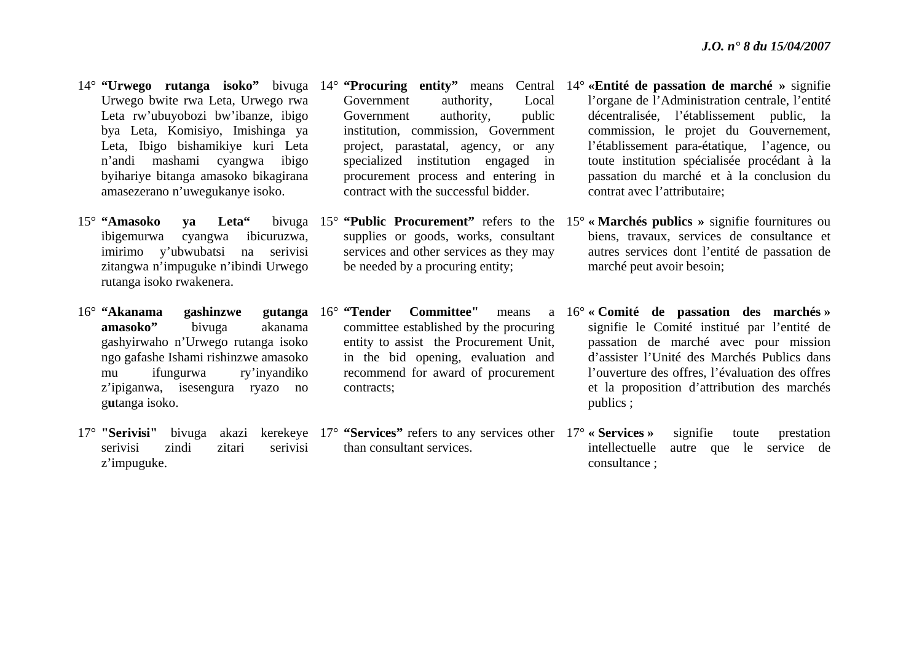- Urwego bwite rwa Leta, Urwego rwa Leta rw'ubuyobozi bw'ibanze, ibigo bya Leta, Komisiyo, Imishinga ya Leta, Ibigo bishamikiye kuri Leta <sup>n</sup>'andi mashami cyangwa ibigo byihariye bitanga amasoko bikagirana amasezerano n'uwegukanye isoko.
- 15° **"Amasoko ya Leta"** bivuga ibigemurwa cyangwa ibicuruzwa, imirimo y'ubwubatsi na serivisi zitangwa n'impuguke n'ibindi Urwego rutanga isoko rwakenera.
- 16° "Akanama **gashinzwe amasoko"** bivuga akanama gashyirwaho n'Urwego rutanga isoko ngo gafashe Ishami rishinzwe amasoko mu ifungurwa ry'inyandiko <sup>z</sup>'ipiganwa, isesengura ryazo no g**<sup>u</sup>**tanga isoko.
- 17° "Serivisi" serivisi zindi zitari serivisi <sup>z</sup>'impuguke.
- Government authority, Local Government authority, public institution, commission, Government project, parastatal, agency, or any specialized institution engaged in procurement process and entering in contract with the successful bidder.
- supplies or goods, works, consultant services and other services as they may be needed by a procuring entity;
- 16° **"Tender Committee"** means a committee established by the procuring entity to assist the Procurement Unit, in the bid opening, evaluation and recommend for award of procurement contracts;
- <sup>o</sup> "Serivisi" bivuga akazi kerekeye 17<sup>°</sup> "Services" refers to any services other 17<sup>°</sup> than consultant services.
- 14° **"Urwego rutanga isoko"** bivuga 14° **"Procuring entity"** means Central 14° **«Entité de passation de marché »** signifie l'organe de l'Administration centrale, l'entité décentralisée, l'établissement public, la commission, le projet du Gouvernement, l'établissement para-étatique, l'agence, ou toute institution spécialisée procédant à la passation du marché et à la conclusion du contrat avec l'attributaire;
	- 15° **"Public Procurement"** refers to the 15° **« Marchés publics »** signifie fournitures ou biens, travaux, services de consultance et autres services dont l'entité de passation de marché peut avoir besoin;
		- 16° **« Comité de passation des marchés »** signifie le Comité institué par l'entité de passation de marché avec pour mission d'assister l'Unité des Marchés Publics dans l'ouverture des offres, l'évaluation des offres et la proposition d'attribution des marchés publics ;
			- signifie toute prestation intellectuelle autre que le service de consultance ;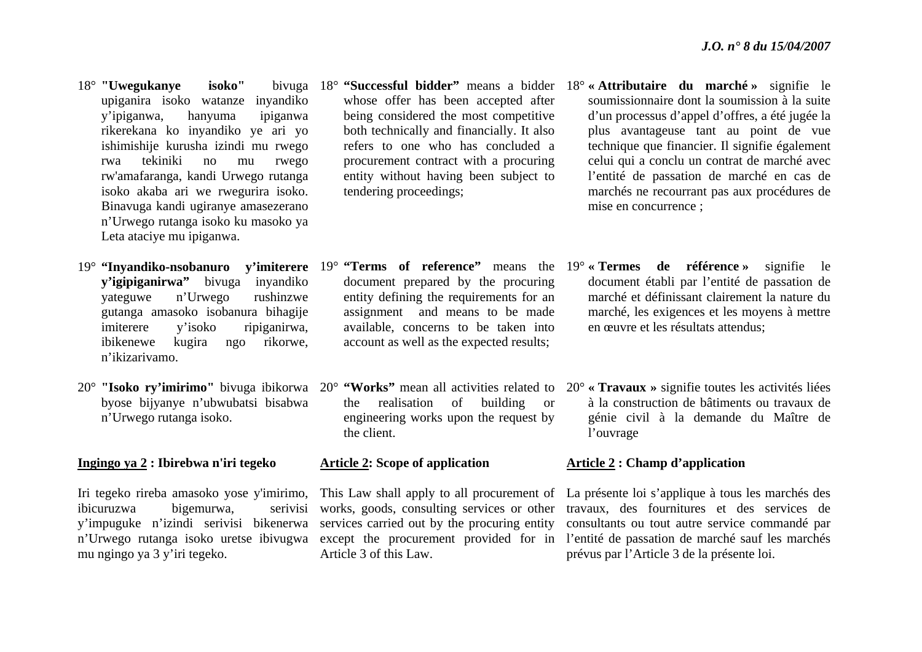- 18° **"Uwegukanye isoko"** bivuga upiganira isoko watanze inyandiko y'ipiganwa, hanyuma ipiganwa rikerekana ko inyandiko ye ari yo ishimishije kurusha izindi mu rwego rwa tekiniki no mu rwego rw'amafaranga, kandi Urwego rutanga isoko akaba ari we rwegurira isoko. Binavuga kandi ugiranye amasezerano <sup>n</sup>'Urwego rutanga isoko ku masoko ya Leta ataciye mu ipiganwa.
- **y'igipiganirwa"** bivuga inyandiko yateguwe n'Urwego rushinzwe gutanga amasoko isobanura bihagije imiterere y'isoko ripiganirwa, ibikenewe kugira ngo rikorwe, n'ikizarivamo.
- byose bijyanye n'ubwubatsi bisabwa <sup>n</sup>'Urwego rutanga isoko.

#### **Ingingo ya 2 : Ibirebwa n'iri tegeko**

ibicuruzwa bigemurwa, serivisi y'impuguke n'izindi serivisi bikenerwa mu ngingo ya 3 y'iri tegeko.

- whose offer has been accepted after being considered the most competitive both technically and financially. It also refers to one who has concluded a procurement contract with a procuring entity without having been subject to tendering proceedings;
- document prepared by the procuring entity defining the requirements for an assignment and means to be made available, concerns to be taken into account as well as the expected results;
- the realisation of building or engineering works upon the request by the client.

#### **Article 2: Scope of application**

Article 3 of this Law.

- 18° **"Successful bidder"** means a bidder 18° **« Attributaire du marché »** signifie le soumissionnaire dont la soumission à la suite d'un processus d'appel d'offres, a été jugée la plus avantageuse tant au point de vue technique que financier. Il signifie également celui qui a conclu un contrat de marché avec l'entité de passation de marché en cas de marchés ne recourrant pas aux procédures de mise en concurrence ;
- 19° **"Inyandiko-nsobanuro y'imiterere**  19° **"Terms of reference"** means the 19° **« Termes de référence »** signifie le document établi par l'entité de passation de marché et définissant clairement la nature du marché, les exigences et les moyens à mettre en œuvre et les résultats attendus;
- 20<sup>°</sup> "Isoko ry'imirimo" bivuga ibikorwa 20° "Works" mean all activities related to 20° « Travaux » signifie toutes les activités liées à la construction de bâtiments ou travaux de génie civil à la demande du Maître de l'ouvrage

#### **Article 2 : Champ d'application**

Iri tegeko rireba amasoko yose y'imirimo, This Law shall apply to all procurement of La présente loi s'applique à tous les marchés des <sup>n</sup>'Urwego rutanga isoko uretse ibivugwa except the procurement provided for in l'entité de passation de marché sauf les marchés works, goods, consulting services or other travaux, des fournitures et des services de services carried out by the procuring entity consultants ou tout autre service commandé par prévus par l'Article 3 de la présente loi.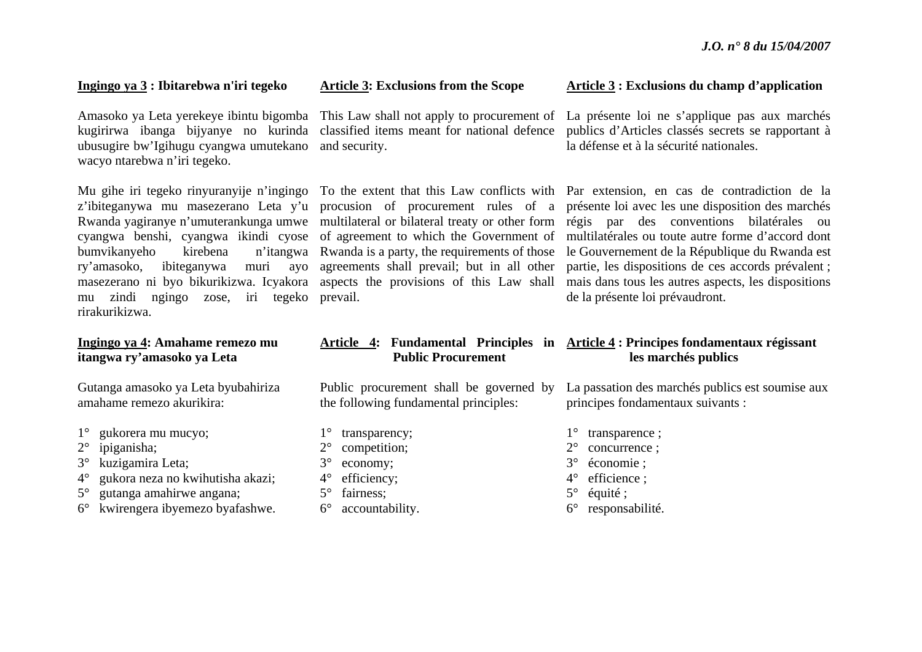#### **Ingingo ya 3 : Ibitarebwa n'iri tegeko**

ubusugire bw'Igihugu cyangwa umutekano and security. wacyo ntarebwa n'iri tegeko.

bumvikanyeho kirebena ry'amasoko, ibiteganywa mu zindi ngingo zose, iri tegeko prevail. rirakurikizwa.

#### **Ingingo ya 4: Amahame remezo mu itangwa ry'amasoko ya Leta**

Gutanga amasoko ya Leta byubahiriza amahame remezo akurikira:

- 1°gukorera mu mucyo;
- $2^{\circ}$ ipiganisha;
- $3^\circ$ kuzigamira Leta;
- $4^\circ$ gukora neza no kwihutisha akazi;
- 5°gutanga amahirwe angana;
- 6° kwirengera ibyemezo byafashwe.

#### **Article 3: Exclusions from the Scope**

#### **Article 3 : Exclusions du champ d'application**

Amasoko ya Leta yerekeye ibintu bigomba This Law shall not apply to procurement of La présente loi ne s'applique pas aux marchés kugirirwa ibanga bijyanye no kurinda classified items meant for national defence publics d'Articles classés secrets se rapportant à la défense et à la sécurité nationales.

Mu gihe iri tegeko rinyuranyije n'ingingo To the extent that this Law conflicts with Par extension, en cas de contradiction de la z'ibiteganywa mu masezerano Leta y'u procusion of procurement rules of a présente loi avec les une disposition des marchés Rwanda yagiranye n'umuterankunga umwe multilateral or bilateral treaty or other form régis par des conventions bilatérales ou cyangwa benshi, cyangwa ikindi cyose of agreement to which the Government of multilatérales ou toute autre forme d'accord dont masezerano ni byo bikurikizwa. Icyakora aspects the provisions of this Law shall mais dans tous les autres aspects, les dispositions Rwanda is a party, the requirements of those le Gouvernement de la République du Rwanda est agreements shall prevail; but in all other partie, les dispositions de ces accords prévalent ; de la présente loi prévaudront.

#### **Article 4: Fundamental Principles in Article 4 : Principes fondamentaux régissant Public Procurement les marchés publics**

Public procurement shall be governed by the following fundamental principles: principes fondamentaux suivants :

- 1° transparency; 2° competition;
- 3° economy;
- 4° efficiency;
- 5° fairness;
- $6^{\circ}$ accountability.

La passation des marchés publics est soumise aux

- 1° transparence ;
- 2° concurrence ;
- 3° économie ;
- 4° efficience ;
- 5° équité ;
- 6° responsabilité.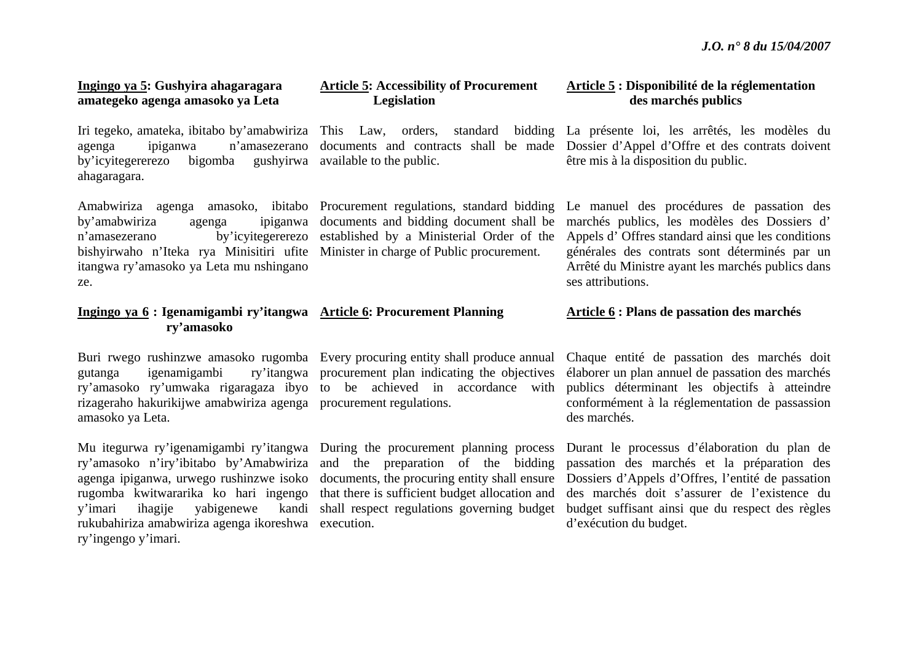#### **Ingingo ya 5: Gushyira ahagaragara amategeko agenga amasoko ya Leta**

agenga ipiganwa n'amasezerano by'icyitegererezo bigomba ahagaragara.

Amabwiriza agenga amasoko, ibitabo Procurement regulations, standard bidding by'amabwiriza agenga <sup>n</sup>'amasezerano by'icyitegererezo bishyirwaho n'Iteka rya Minisitiri ufite Minister in charge of Public procurement. itangwa ry'amasoko ya Leta mu nshingano ze.

#### **Ingingo ya 6 : Igenamigambi ry'itangwa Article 6: Procurement Planning ry'amasoko**

Buri rwego rushinzwe amasoko rugomba Every procuring entity shall produce annual gutanga igenamigambi ry'amasoko ry'umwaka rigaragaza ibyo to be achieved in accordance with rizageraho hakurikijwe amabwiriza agenga procurement regulations. amasoko ya Leta.

Mu itegurwa ry'igenamigambi ry'itangwa During the procurement planning process ry'amasoko n'iry'ibitabo by'Amabwiriza agenga ipiganwa, urwego rushinzwe isoko rugomba kwitwararika ko hari ingengo y'imari ihagije vabigenewe rukubahiriza amabwiriza agenga ikoreshwa execution. ry'ingengo y'imari.

#### **Article 5: Accessibility of Procurement Legislation**

available to the public.

documents and bidding document shall be established by a Ministerial Order of the

#### **Article 5 : Disponibilité de la réglementation des marchés publics**

Iri tegeko, amateka, ibitabo by'amabwiriza This Law, orders, standard bidding La présente loi, les arrêtés, les modèles du documents and contracts shall be made Dossier d'Appel d'Offre et des contrats doivent être mis à la disposition du public.

> Le manuel des procédures de passation des marchés publics, les modèles des Dossiers d' Appels d' Offres standard ainsi que les conditions générales des contrats sont déterminés par un Arrêté du Ministre ayant les marchés publics dans ses attributions.

#### **Article 6 : Plans de passation des marchés**

Chaque entité de passation des marchés doit élaborer un plan annuel de passation des marchés publics déterminant les objectifs à atteindre conformément à la réglementation de passassion des marchés.

Durant le processus d'élaboration du plan de passation des marchés et la préparation des Dossiers d'Appels d'Offres, l'entité de passation des marchés doit s'assurer de l'existence du budget suffisant ainsi que du respect des règles d'exécution du budget.

ry'itangwa procurement plan indicating the objectives

and the preparation of the bidding documents, the procuring entity shall ensure that there is sufficient budget allocation and shall respect regulations governing budget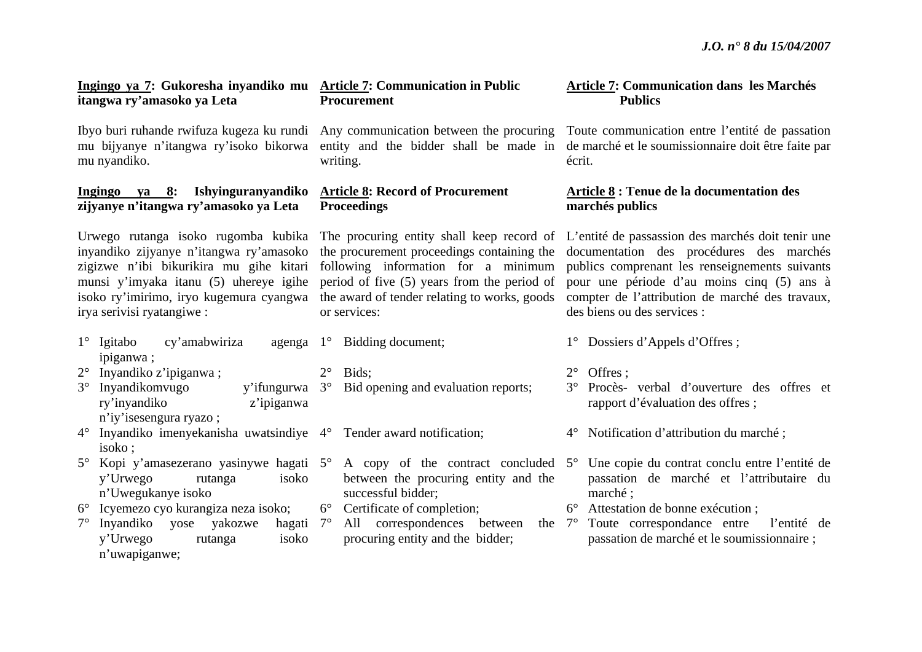#### **Ingingo ya 7: Gukoresha inyandiko mu Article 7: Communication in Public itangwa ry'amasoko ya Leta**

mu nyandiko.

#### **Ingingo ya 8: Ishyinguranyandiko zijyanye n'itangwa ry'amasoko ya Leta**

irya serivisi ryatangiwe :

- 1° Igitabo cy'amabwiriza ipiganwa ; 2° Inyandiko z'ipiganwa ; 3° Inyandikomvugo y'ifungurwa ry'inyandiko z'ipiganwa 1° Bidding document; 2° Bids;
- <sup>n</sup>'iy'isesengura ryazo ; 4° Inyandiko imenyekanisha uwatsindiye 4° Tender award notification;
- isoko ; 5° Kopi y'amasezerano yasinywe hagati 5° A copy of the contract concluded 5°y'Urwego rutanga isoko <sup>n</sup>'Uwegukanye isoko
- 6° Icyemezo cyo kurangiza neza isoko;
- 7° Inyandiko yose yakozwe hagati y'Urwego rutanga isoko <sup>n</sup>'uwapiganwe; hagati 7°

**Procurement** 

Ibyo buri ruhande rwifuza kugeza ku rundi Any communication between the procuring writing.

#### **Article 8: Record of Procurement Proceedings**

munsi y'imyaka itanu (5) uhereye igihe period of five (5) years from the period of or services:

- 3° Bid opening and evaluation reports;
	-
	- between the procuring entity and the successful bidder;
- 6° Certificate of completion;
	- All correspondences between procuring entity and the bidder;

#### **Article 7: Communication dans les Marchés Publics**

mu bijyanye n'itangwa ry'isoko bikorwa entity and the bidder shall be made in de marché et le soumissionnaire doit être faite par Toute communication entre l'entité de passation écrit.

### **Article 8 : Tenue de la documentation des marchés publics**

Urwego rutanga isoko rugomba kubika The procuring entity shall keep record of L'entité de passassion des marchés doit tenir une inyandiko zijyanye n'itangwa ry'amasoko the procurement proceedings containing the documentation des procédures des marchés zigizwe n'ibi bikurikira mu gihe kitari following information for a minimum publics comprenant les renseignements suivants isoko ry'imirimo, iryo kugemura cyangwa the award of tender relating to works, goods compter de l'attribution de marché des travaux, pour une période d'au moins cinq (5) ans à des biens ou des services :

- 1° Dossiers d'Appels d'Offres ;
- 2° Offres ;
- 3° Procès- verbal d'ouverture des offres et rapport d'évaluation des offres ;
- 4° Notification d'attribution du marché ;
- Une copie du contrat conclu entre l'entité de passation de marché et l'attributaire du marché ;
- 6° Attestation de bonne exécution ;
- 7° Toute correspondance entre l'entité de passation de marché et le soumissionnaire ;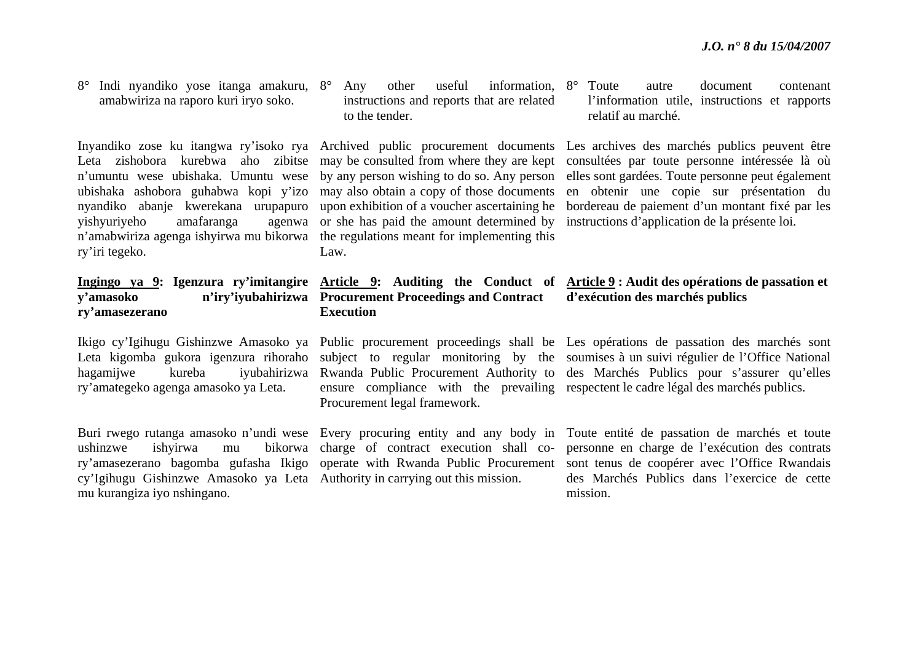8° Indi nyandiko yose itanga amakuru, 8°amabwiriza na raporo kuri iryo soko.

n'umuntu wese ubishaka. Umuntu wese ubishaka ashobora guhabwa kopi y'izo nyandiko abanje kwerekana urupapuro vishyuriyeho amafaranga <sup>n</sup>'amabwiriza agenga ishyirwa mu bikorwa the regulations meant for implementing this ry'iri tegeko.

## **y'amasoko n'iry'iyubahirizwa Procurement Proceedings and Contract ry'amasezerano**

ry'amategeko agenga amasoko ya Leta.

ushinzwe ishyirwa mu bikorwa charge of contract execution shall cocy'Igihugu Gishinzwe Amasoko ya Leta Authority in carrying out this mission. mu kurangiza iyo nshingano.

<sup>o</sup> Any other useful information, 8<sup>o</sup> instructions and reports that are related to the tender.

by any person wishing to do so. Any person may also obtain a copy of those documents upon exhibition of a voucher ascertaining he agenwa or she has paid the amount determined by Law.

## **Execution**

ensure compliance with the prevailing respectent le cadre légal des marchés publics. Procurement legal framework.

autre document contenant l'information utile, instructions et rapports relatif au marché.

Inyandiko zose ku itangwa ry'isoko rya Archived public procurement documents Les archives des marchés publics peuvent être Leta zishobora kurebwa aho zibitse may be consulted from where they are kept consultées par toute personne intéressée là où elles sont gardées. Toute personne peut également en obtenir une copie sur présentation du bordereau de paiement d'un montant fixé par les instructions d'application de la présente loi.

#### **Ingingo ya 9: Igenzura ry'imitangire Article 9: Auditing the Conduct of Article 9 : Audit des opérations de passation et d'exécution des marchés publics**

Ikigo cy'Igihugu Gishinzwe Amasoko ya Public procurement proceedings shall be Les opérations de passation des marchés sont Leta kigomba gukora igenzura rihoraho subject to regular monitoring by the soumises à un suivi-régulier de l'Office-National hagamijwe kureba iyubahirizwa Rwanda Public Procurement Authority to des Marchés Publics pour s'assurer qu'elles

Buri rwego rutanga amasoko n'undi wese Every procuring entity and any body in Toute entité de passation de marchés et toute ry'amasezerano bagomba gufasha Ikigo operate with Rwanda Public Procurement sont tenus de coopérer avec l'Office Rwandais personne en charge de l'exécution des contrats des Marchés Publics dans l'exercice de cette mission.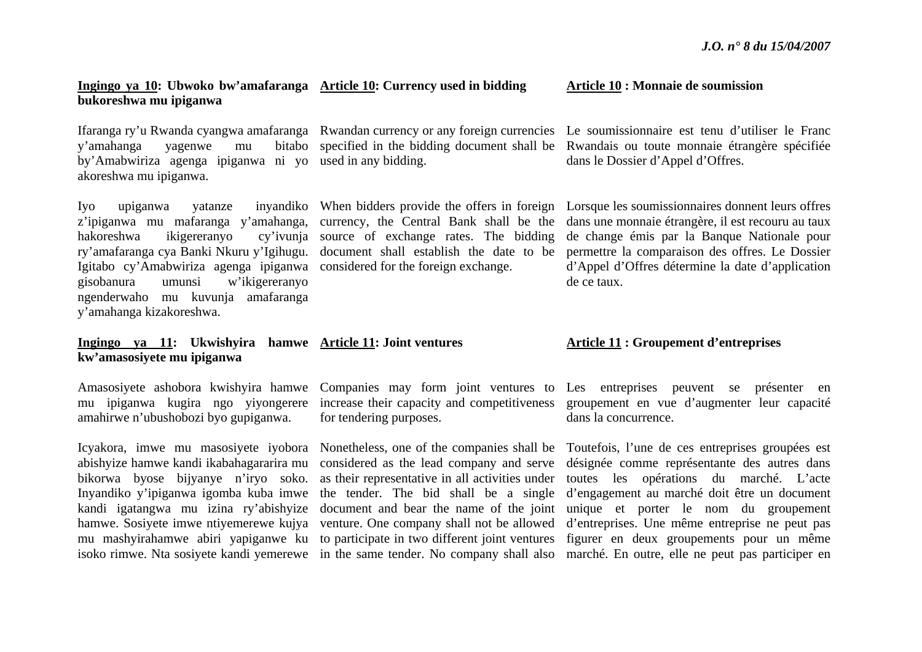### **Ingingo ya 10: Ubwoko bw'amafaranga Article 10: Currency used in bidding bukoreshwa mu ipiganwa**

y'amahanga yagenwe mu bitabo by'Amabwiriza agenga ipiganwa ni yo used in any bidding. akoreshwa mu ipiganwa.

<sup>z</sup>'ipiganwa mu mafaranga y'amahanga, currency, the Central Bank shall be the hakoreshwa ikigereranyo ry'amafaranga cya Banki Nkuru y'Igihugu. document shall establish the date to be Igitabo cy'Amabwiriza agenga ipiganwa considered for the foreign exchange. gisobanura umunsi w'ikigereranyo ngenderwaho mu kuvunja amafaranga y'amahanga kizakoreshwa. cy'ivunja source of exchange rates. The bidding

#### **Ingingo ya 11: Ukwishyira hamwe Article 11: Joint ventures kw'amasosiyete mu ipiganwa**

mu ipiganwa kugira ngo yiyongerere amahirwe n'ubushobozi byo gupiganwa.

abishyize hamwe kandi ikabahagararira mu bikorwa byose bijyanye n'iryo soko. Inyandiko y'ipiganwa igomba kuba imwe kandi igatangwa mu izina ry'abishyize

increase their capacity and competitiveness for tendering purposes.

**Article 10 : Monnaie de soumission** 

Ifaranga ry'u Rwanda cyangwa amafaranga Rwandan currency or any foreign currencies Le soumissionnaire est tenu d'utiliser le Franc specified in the bidding document shall be Rwandais ou toute monnaie étrangère spécifiée dans le Dossier d'Appel d'Offres.

Iyo upiganwa yatanze inyandiko When bidders provide the offers in foreign Lorsque les soumissionnaires donnent leurs offres dans une monnaie étrangère, il est recouru au taux de change émis par la Banque Nationale pour permettre la comparaison des offres. Le Dossier d'Appel d'Offres détermine la date d'application de ce taux.

#### **Article 11 : Groupement d'entreprises**

Amasosiyete ashobora kwishyira hamwe Companies may form joint ventures to Les entreprises peuvent se présenter en groupement en vue d'augmenter leur capacité dans la concurrence.

Icyakora, imwe mu masosiyete iyobora Nonetheless, one of the companies shall be Toutefois, l'une de ces entreprises groupées est hamwe. Sosiyete imwe ntiyemerewe kujya venture. One company shall not be allowed d'entreprises. Une même entreprise ne peut pas mu mashyirahamwe abiri yapiganwe ku to participate in two different joint ventures figurer en deux groupements pour un même isoko rimwe. Nta sosiyete kandi yemerewe in the same tender. No company shall also marché. En outre, elle ne peut pas participer en considered as the lead company and serve désignée comme représentante des autres dans as their representative in all activities under toutes les opérations du marché. L'acte the tender. The bid shall be a single d'engagement au marché doit être un document document and bear the name of the joint unique et porter le nom du groupement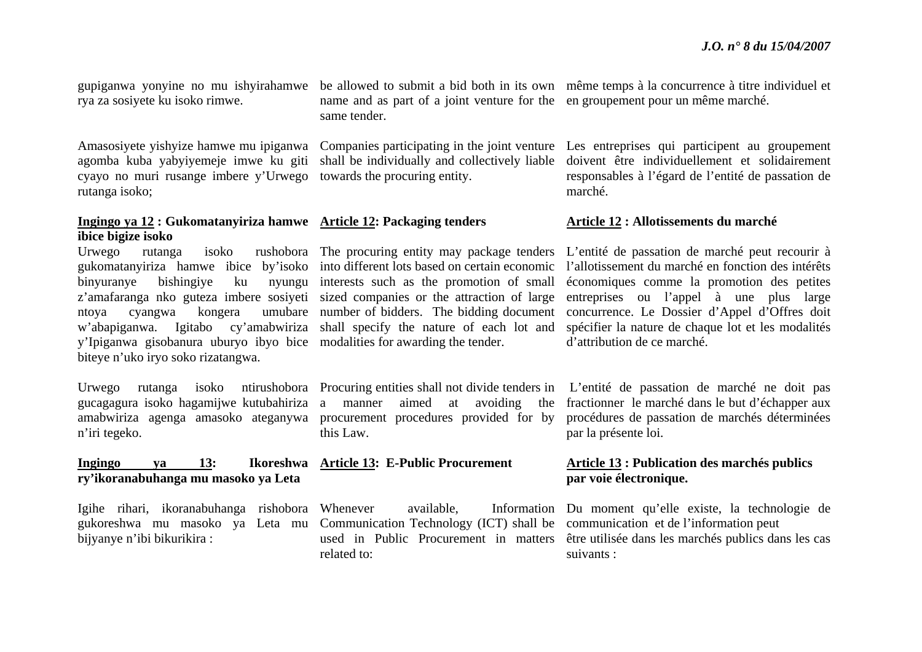rya za sosiyete ku isoko rimwe.

Amasosiyete yishyize hamwe mu ipiganwa agomba kuba yabyiyemeje imwe ku giti cyayo no muri rusange imbere y'Urwego towards the procuring entity. rutanga isoko;

#### **Ingingo ya 12 : Gukomatanyiriza hamwe Article 12: Packaging tenders ibice bigize isoko**

binyuranye bishingiye ku y'Ipiganwa gisobanura uburyo ibyo bice modalities for awarding the tender. biteye n'uko iryo soko rizatangwa.

gucagagura isoko hagamijwe kutubahiriza <sup>n</sup>'iri tegeko.

#### **Ingingo ya 13: Ikoreshwa Article 13: E-Public Procurement ry'ikoranabuhanga mu masoko ya Leta**

Igihe rihari, ikoranabuhanga rishobora bijyanye n'ibi bikurikira :

name and as part of a joint venture for the en groupement pour un même marché. same tender.

shall be individually and collectively liable

gukomatanyiriza hamwe ibice by'isoko into different lots based on certain economic <sup>z</sup>'amafaranga nko guteza imbere sosiyeti sized companies or the attraction of large nyungu interests such as the promotion of small

amabwiriza agenga amasoko ateganywa procurement procedures provided for by aimed at avoiding the this Law.

gukoreshwa mu masoko ya Leta mu Communication Technology (ICT) shall be communication et de l'information peut related to:

gupiganwa yonyine no mu ishyirahamwe be allowed to submit a bid both in its own même temps à la concurrence à titre individuel et

Companies participating in the joint venture Les entreprises qui participent au groupement doivent être individuellement et solidairement responsables à l'égard de l'entité de passation de marché.

#### **Article 12 : Allotissements du marché**

Urwego rutanga isoko rushobora The procuring entity may package tenders L'entité de passation de marché peut recourir à ntoya cyangwa kongera umubare number of bidders. The bidding document concurrence. Le Dossier d'Appel d'Offres doit <sup>w</sup>'abapiganwa. Igitabo cy'amabwiriza shall specify the nature of each lot and spécifier la nature de chaque lot et les modalités l'allotissement du marché en fonction des intérêts économiques comme la promotion des petites entreprises ou l'appel à une plus large d'attribution de ce marché.

Urwego rutanga isoko ntirushobora Procuring entities shall not divide tenders in L'entité de passation de marché ne doit pas fractionner le marché dans le but d'échapper aux procédures de passation de marchés déterminées par la présente loi.

#### **Article 13 : Publication des marchés publics par voie électronique.**

Whenever available, Information Du moment qu'elle existe, la technologie de used in Public Procurement in matters être utilisée dans les marchés publics dans les cas suivants :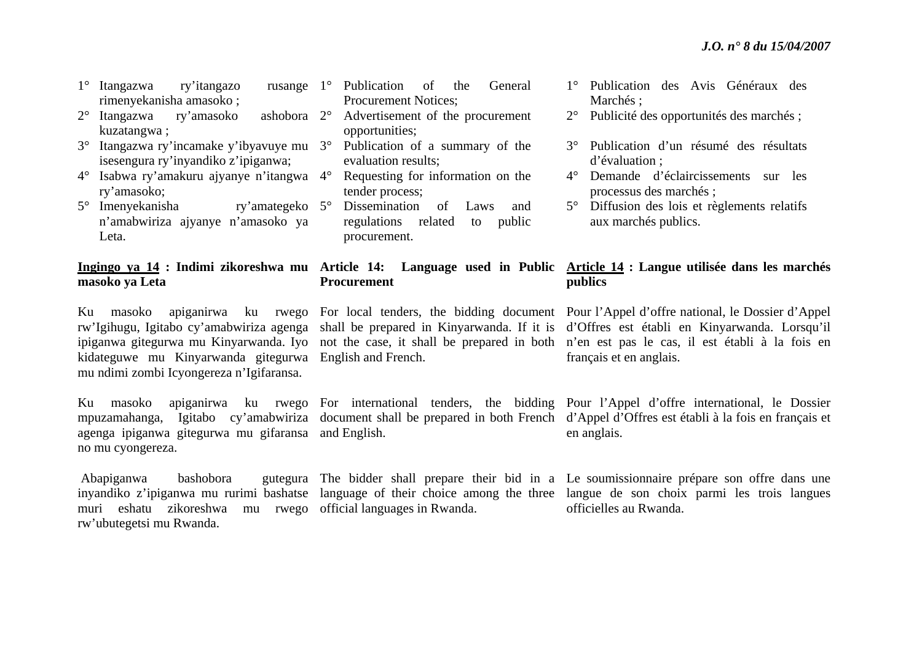- 1° Itangazwa ry'itangazo rusange rimenyekanisha amasoko ;
- 2° Itangazwa ry'amasoko ashobora kuzatangwa ; ashobora 2°
- 3° Itangazwa ry'incamake y'ibyavuye mu 3°isesengura ry'inyandiko z'ipiganwa;
- 4° Isabwa ry'amakuru ajyanye n'itangwa 4°ry'amasoko;
- 5° Imenyekanisha ry'amategeko <sup>n</sup>'amabwiriza ajyanye n'amasoko ya Leta. ry'amategeko 5°

## **masoko ya Leta**

kidateguwe mu Kinyarwanda gitegurwa English and French. mu ndimi zombi Icyongereza n'Igifaransa.

agenga ipiganwa gitegurwa mu gifaransa and English. no mu cyongereza.

Abapiganwa bashobora muri eshatu zikoreshwa mu rwego official languages in Rwanda. rw'ubutegetsi mu Rwanda.

- 1° Publication of the General Procurement Notices; Advertisement of the procurement opportunities;
- Publication of a summary of the evaluation results;
- Requesting for information on the tender process;
- Dissemination of Laws and regulations related to public procurement.

#### **Ingingo ya 14 : Indimi zikoreshwa mu Article 14: Language used in Public Article 14 : Langue utilisée dans les marchés Procurement publics**

- 1° Publication des Avis Généraux des Marchés ;
- 2° Publicité des opportunités des marchés ;
- 3° Publication d'un résumé des résultats d'évaluation ;
- 4° Demande d'éclaircissements sur les processus des marchés ;
- 5° Diffusion des lois et règlements relatifs aux marchés publics.

Ku masoko apiganirwa ku rwego For local tenders, the bidding document Pour l'Appel d'offre national, le Dossier d'Appel rw'Igihugu, Igitabo cy'amabwiriza agenga shall be prepared in Kinyarwanda. If it is d'Offres est établi en Kinyarwanda. Lorsqu'il ipiganwa gitegurwa mu Kinyarwanda. Iyo not the case, it shall be prepared in both <sup>n</sup>'en est pas le cas, il est établi à la fois en français et en anglais.

Ku masoko apiganirwa ku rwego For international tenders, the bidding Pour l'Appel d'offre international, le Dossier mpuzamahanga, Igitabo cy'amabwiriza document shall be prepared in both French d'Appel d'Offres est établi à la fois en français et en anglais.

inyandiko z'ipiganwa mu rurimi bashatse language of their choice among the three langue de son choix parmi les trois langues The bidder shall prepare their bid in a Le soumissionnaire prépare son offre dans une officielles au Rwanda.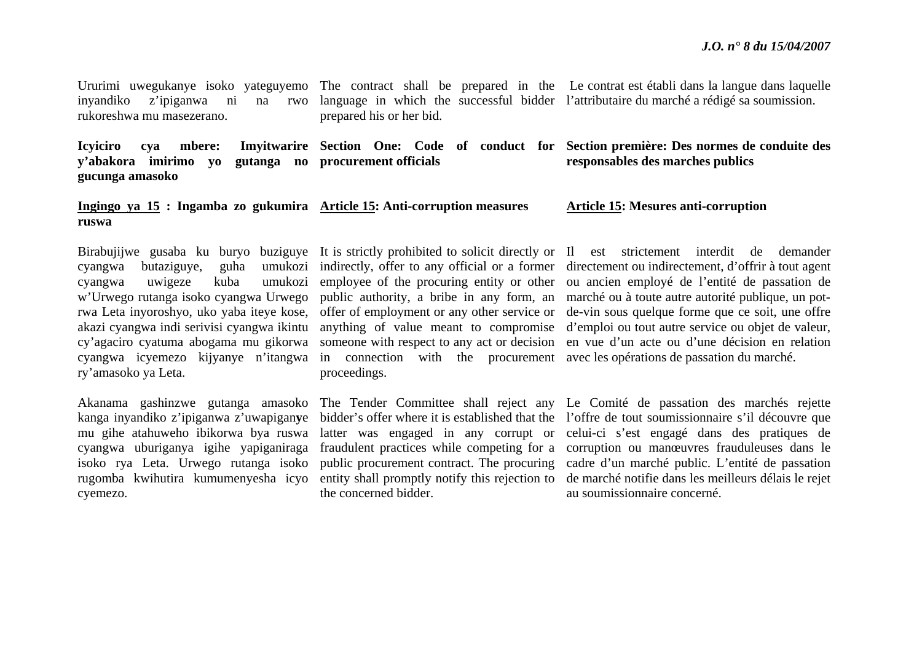Ururimi uwegukanye isoko yateguyemo The contract shall be prepared in the Le contrat est établi dans la langue dans laquelle inyandiko z'ipiganwa ni na rwo rukoreshwa mu masezerano.language in which the successful bidder l'attributaire du marché a rédigé sa soumission. prepared his or her bid.

**Icyiciro cya mbere: Imyitwarire Section One: Code of conduct for Section première: Des normes de conduite des y'abakora imirimo yo gutanga no procurement officials gucunga amasoko responsables des marches publics** 

#### **Ingingo ya 15 : Ingamba zo gukumira Article 15: Anti-corruption measures ruswa**

ry'amasoko ya Leta.

isoko rya Leta. Urwego rutanga isoko cyemezo.

cyangwa icyemezo kijyanye n'itangwa in connection with the procurement avec les opérations de passation du marché. proceedings.

the concerned bidder.

#### **Article 15: Mesures anti-corruption**

Birabujijwe gusaba ku buryo buziguye It is strictly prohibited to solicit directly or Il est strictement interdit de demander cyangwa butaziguye, guha umukozi indirectly, offer to any official or a former directement ou indirectement, d'offrir à tout agent cyangwa uwigeze kuba umukozi employee of the procuring entity or other ou ancien employé de l'entité de passation de <sup>w</sup>'Urwego rutanga isoko cyangwa Urwego public authority, a bribe in any form, an marché ou à toute autre autorité publique, un potrwa Leta inyoroshyo, uko yaba iteye kose, offer of employment or any other service or de-vin sous quelque forme que ce soit, une offre akazi cyangwa indi serivisi cyangwa ikintu anything of value meant to compromise d'emploi ou tout autre service ou objet de valeur, cy'agaciro cyatuma abogama mu gikorwa someone with respect to any act or decision en vue d'un acte ou d'une décision en relation

Akanama gashinzwe gutanga amasoko The Tender Committee shall reject any Le Comité de passation des marchés rejette kanga inyandiko z'ipiganwa z'uwapigan**y**<sup>e</sup> bidder's offer where it is established that the l'offre de tout soumissionnaire s'il découvre que mu gihe atahuweho ibikorwa bya ruswa latter was engaged in any corrupt or celui-ci s'est engagé dans des pratiques de cyangwa uburiganya igihe yapiganiraga fraudulent practices while competing for a corruption ou manœuvres frauduleuses dans le rugomba kwihutira kumumenyesha icyo entity shall promptly notify this rejection to de marché notifie dans les meilleurs délais le rejet public procurement contract. The procuring cadre d'un marché public. L'entité de passation au soumissionnaire concerné.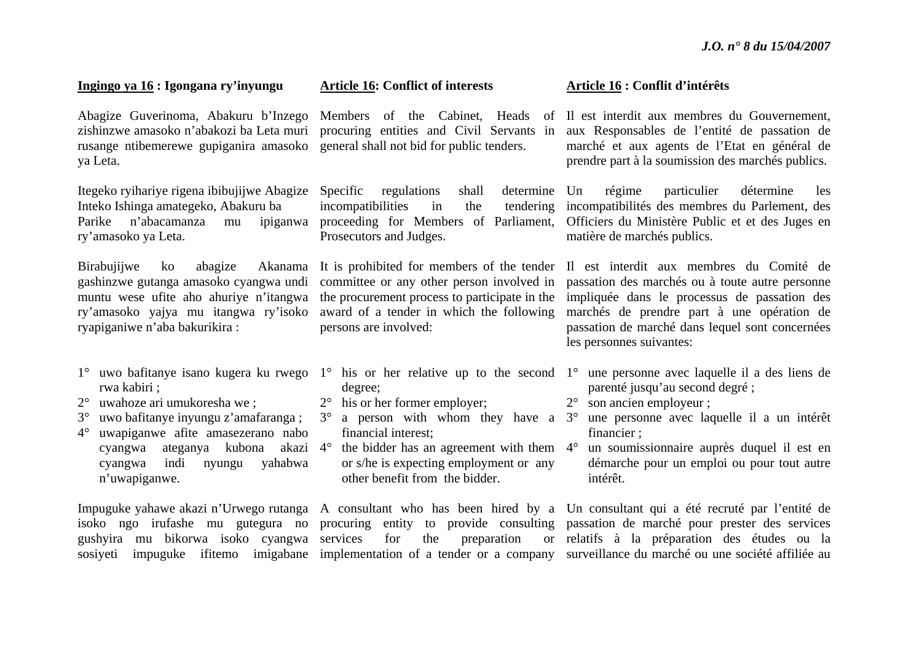#### **Ingingo ya 16 : Igongana ry'inyungu**

rusange ntibemerewe gupiganira amasoko general shall not bid for public tenders. ya Leta.

Itegeko ryihariye rigena ibibujijwe Abagize Inteko Ishinga amategeko, Abakuru ba Parike n'abacamanza mu ipiganwa ry'amasoko ya Leta.

Birabujijwe ko abagize gashinzwe gutanga amasoko cyangwa undi muntu wese ufite aho ahuriye n'itangwa ryapiganiwe n'aba bakurikira :

- rwa kabiri ;
- $2^{\circ}$ uwahoze ari umukoresha we ;
- $3^\circ$ uwo bafitanye inyungu z'amafaranga ;
- $4^{\circ}$  uwapiganwe afite amasezerano nabo cyangwa ateganya kubona cyangwa indi nyungu yahabwa <sup>n</sup>'uwapiganwe.

#### **Article 16: Conflict of interests**

Specific regulations shall incompatibilities in the tendering Prosecutors and Judges.

ry'amasoko yajya mu itangwa ry'isoko award of a tender in which the following committee or any other person involved in the procurement process to participate in the persons are involved:

- degree;
- 2° his or her former employer;
- 3° a person with whom they have a 3°financial interest;
- $4^{\circ}$  the bidder has an agreement with them  $4^{\circ}$ or s/he is expecting employment or any other benefit from the bidder.

gushyira mu bikorwa isoko cyangwa services for the preparation or

#### **Article 16 : Conflit d'intérêts**

Abagize Guverinoma, Abakuru b'Inzego Members of the Cabinet, Heads of Il est interdit aux membres du Gouvernement, zishinzwe amasoko n'abakozi ba Leta muri procuring entities and Civil Servants in aux Responsables de l'entité de passation de marché et aux agents de l'Etat en général de prendre part à la soumission des marchés publics.

> proceeding for Members of Parliament, Officiers du Ministère Public et et des Juges en determine Un régime particulier détermine les incompatibilités des membres du Parlement, des matière de marchés publics.

> It is prohibited for members of the tender Il est interdit aux membres du Comité de passation des marchés ou à toute autre personne impliquée dans le processus de passation des marchés de prendre part à une opération de passation de marché dans lequel sont concernées les personnes suivantes:

- 1° uwo bafitanye isano kugera ku rwego 1° his or her relative up to the second 1° une personne avec laquelle il a des liens de parenté jusqu'au second degré ;
	- 2° son ancien employeur ;
	- une personne avec laquelle il a un intérêt financier ;
	- un soumissionnaire auprès duquel il est en démarche pour un emploi ou pour tout autre intérêt.

Impuguke yahawe akazi n'Urwego rutanga A consultant who has been hired by a Un consultant qui a été recruté par l'entité de isoko ngo irufashe mu gutegura no procuring entity to provide consulting passation de marché pour prester des services sosiyeti impuguke ifitemo imigabane implementation of a tender or a company surveillance du marché ou une société affiliée au relatifs à la préparation des études ou la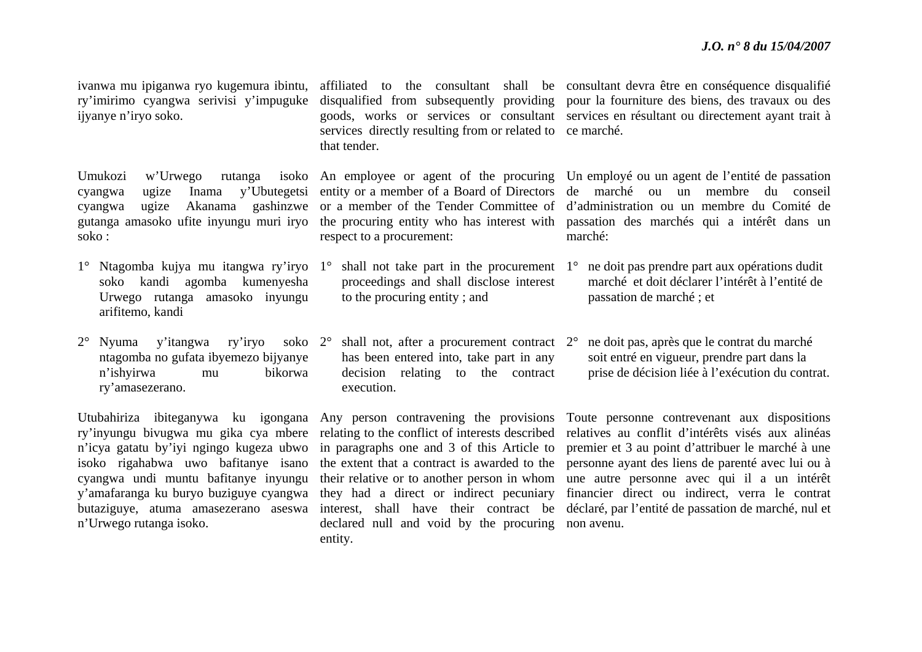ry'imirimo cyangwa serivisi y'impuguke ijyanye n'iryo soko.

Umukozi w'Urwego rutanga soko :

- soko kandi agomba kumenyesha Urwego rutanga amasoko inyungu arifitemo, kandi
- 2° Nyuma y'itangwa ry'iryo soko 2°ntagomba no gufata ibyemezo bijyanye <sup>n</sup>'ishyirwa mu bikorwa ry'amasezerano.

ry'inyungu bivugwa mu gika cya mbere <sup>n</sup>'icya gatatu by'iyi ngingo kugeza ubwo isoko rigahabwa uwo bafitanye isano cyangwa undi muntu bafitanye inyungu y'amafaranga ku buryo buziguye cyangwa butaziguye, atuma amasezerano aseswa <sup>n</sup>'Urwego rutanga isoko.

services directly resulting from or related to ce marché. that tender.

respect to a procurement:

- proceedings and shall disclose interest to the procuring entity ; and
- $\degree$  shall not, after a procurement contract  $2\degree$ has been entered into, take part in any decision relating to the contract execution.

in paragraphs one and 3 of this Article to the extent that a contract is awarded to the declared null and void by the procuring non avenu. entity.

ivanwa mu ipiganwa ryo kugemura ibintu, affiliated to the consultant shall be consultant devra être en conséquence disqualifié disqualified from subsequently providing pour la fourniture des biens, des travaux ou des goods, works or services or consultant services en résultant ou directement ayant trait à

cyangwa ugize Inama y'Ubutegetsi entity-or-a-member-of-a-Board-of-Directors de marché ou un membre du conseil cyangwa ugize Akanama gashinzwe or a member of the Tender Committee of d'administration ou un membre du Comité de gutanga amasoko ufite inyungu muri iryo the procuring entity who has interest with passation des marchés qui a intérêt dans un An employee or agent of the procuring Un employé ou un agent de l'entité de passation marché:

- 1° Ntagomba kujya mu itangwa ry'iryo 1° shall not take part in the procurement 1° ne doit pas prendre part aux opérations dudit marché et doit déclarer l'intérêt à l'entité de passation de marché ; et
	- ne doit pas, après que le contrat du marché soit entré en vigueur, prendre part dans la prise de décision liée à l'exécution du contrat.

Utubahiriza ibiteganywa ku igongana Any person contravening the provisions Toute personne contrevenant aux dispositions relating to the conflict of interests described relatives au conflit d'intérêts visés aux alinéas their relative or to another person in whom une autre personne avec qui il a un intérêt they had a direct or indirect pecuniary financier direct ou indirect, verra le contrat interest, shall have their contract be déclaré, par l'entité de passation de marché, nul et premier et 3 au point d'attribuer le marché à une personne ayant des liens de parenté avec lui ou à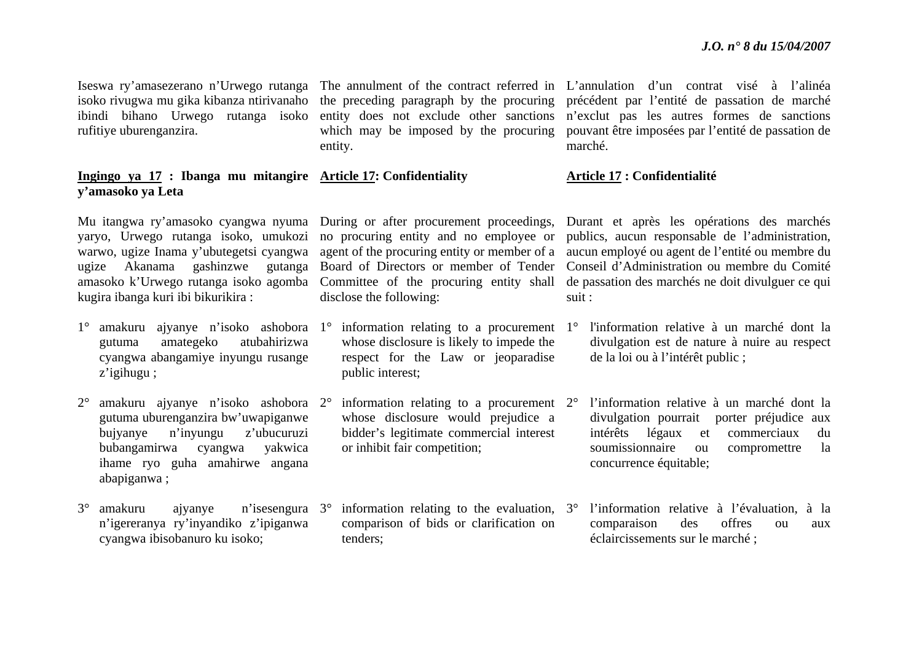isoko rivugwa mu gika kibanza ntirivanaho ibindi bihano Urwego rutanga isoko rufitiye uburenganzira.

#### **Ingingo ya 17 : Ibanga mu mitangire Article 17: Confidentiality y'amasoko ya Leta**

yaryo, Urwego rutanga isoko, umukozi warwo, ugize Inama y'ubutegetsi cyangwa ugize Akanama gashinzwe gutanga amasoko k'Urwego rutanga isoko agomba kugira ibanga kuri ibi bikurikira :

- 1° amakuru ajyanye n'isoko ashobora 1° information relating to a procurement 1°gutuma amategeko atubahirizwa cyangwa abangamiye inyungu rusange <sup>z</sup>'igihugu ;
- $2^{\circ}$  amakuru ajyanye n'isoko ashobora 2°gutuma uburenganzira bw'uwapiganwe bujyanye n'inyungu z'ubucuruzi bubangamirwa cyangwa yakwica ihame ryo guha amahirwe angana abapiganwa ;
- 3° amakuru ajyanye n'isesengura 3°<sup>n</sup>'igereranya ry'inyandiko z'ipiganwa cyangwa ibisobanuro ku isoko;

entity.

Board of Directors or member of Tender Committee of the procuring entity shall disclose the following:

- whose disclosure is likely to impede the respect for the Law or jeoparadise public interest;
- $\degree$  information relating to a procurement  $2\degree$ whose disclosure would prejudice a bidder's legitimate commercial interest or inhibit fair competition;
- $\degree$  information relating to the evaluation,  $3\degree$ comparison of bids or clarification on tenders;

Iseswa ry'amasezerano n'Urwego rutanga The annulment of the contract referred in L'annulation d'un contrat visé à l'alinéa the preceding paragraph by the procuring précédent par l'entité de passation de marché entity does not exclude other sanctions <sup>n</sup>'exclut pas les autres formes de sanctions which may be imposed by the procuring pouvant être imposées par l'entité de passation de marché.

#### **Article 17 : Confidentialité**

Mu itangwa ry'amasoko cyangwa nyuma During or after procurement proceedings, Durant et après les opérations des marchés no procuring entity and no employee or publics, aucun responsable de l'administration, agent of the procuring entity or member of a aucun employé ou agent de l'entité ou membre du Conseil d'Administration ou membre du Comité de passation des marchés ne doit divulguer ce qui suit :

- l'information relative à un marché dont la divulgation est de nature à nuire au respect de la loi ou à l'intérêt public ;
- l'information relative à un marché dont la divulgation pourrait porter préjudice aux intérêts légaux et commerciaux du soumissionnaire ou compromettre la concurrence équitable;
- l'information relative à l'évaluation, à la comparaison des offres ou aux éclaircissements sur le marché ;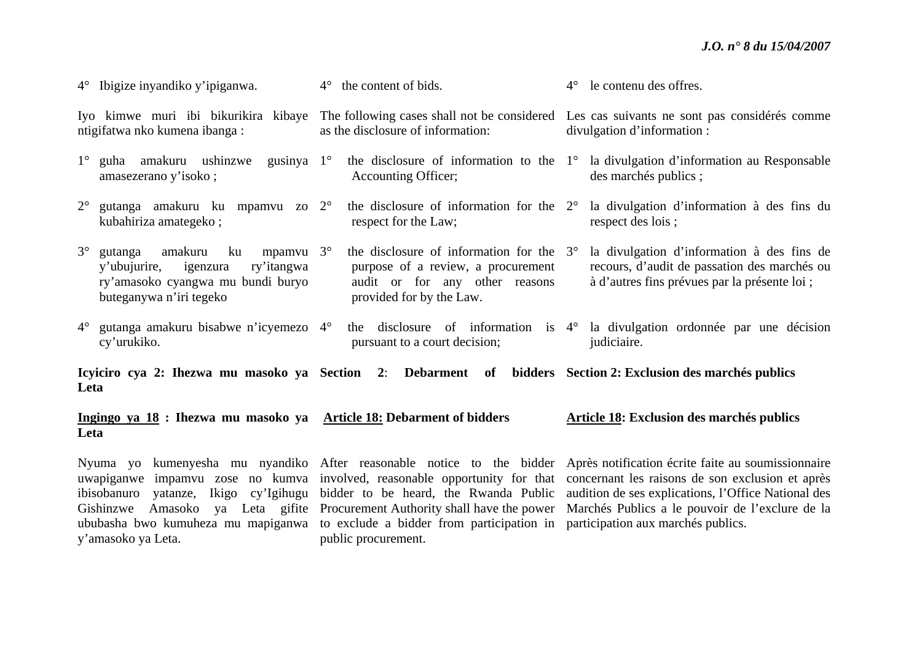|             | $4^{\circ}$ Ibigize inyandiko y'ipiganwa.                                                                                                              | $4^{\circ}$ the content of bids.                                                                                                                    | $4^{\circ}$ | le contenu des offres.                                                                                                                      |
|-------------|--------------------------------------------------------------------------------------------------------------------------------------------------------|-----------------------------------------------------------------------------------------------------------------------------------------------------|-------------|---------------------------------------------------------------------------------------------------------------------------------------------|
|             | Iyo kimwe muri ibi bikurikira kibaye<br>ntigifatwa nko kumena ibanga:                                                                                  | as the disclosure of information:                                                                                                                   |             | The following cases shall not be considered Les cas suivants ne sont pas considérés comme<br>divulgation d'information :                    |
|             | $1^{\circ}$ guha amakuru ushinzwe<br>gusinya $1^\circ$<br>amasezerano y'isoko;                                                                         | Accounting Officer;                                                                                                                                 |             | the disclosure of information to the $1^{\circ}$ la divulgation d'information au Responsable<br>des marchés publics;                        |
|             | $2^{\circ}$ gutanga amakuru ku mpamvu zo $2^{\circ}$<br>kubahiriza amategeko;                                                                          | the disclosure of information for the $2^{\circ}$<br>respect for the Law;                                                                           |             | la divulgation d'information à des fins du<br>respect des lois;                                                                             |
| $3^{\circ}$ | amakuru<br>ku<br>mpamvu $3^\circ$<br>gutanga<br>ry'itangwa<br>y'ubujurire,<br>igenzura<br>ry'amasoko cyangwa mu bundi buryo<br>buteganywa n'iri tegeko | the disclosure of information for the $3^\circ$<br>purpose of a review, a procurement<br>audit or for any other reasons<br>provided for by the Law. |             | la divulgation d'information à des fins de<br>recours, d'audit de passation des marchés ou<br>à d'autres fins prévues par la présente loi ; |
|             | $4^{\circ}$ gutanga amakuru bisabwe n'icyemezo $4^{\circ}$<br>cy'urukiko.                                                                              | pursuant to a court decision;                                                                                                                       |             | the disclosure of information is $4^{\circ}$ la divulgation ordonnée par une décision<br>judiciaire.                                        |
| Leta        |                                                                                                                                                        | Icyiciro cya 2: Ihezwa mu masoko ya Section 2: Debarment of bidders Section 2: Exclusion des marchés publics                                        |             |                                                                                                                                             |
|             |                                                                                                                                                        |                                                                                                                                                     |             |                                                                                                                                             |

**Ingingo ya 18 : Ihezwa mu masoko ya Article 18: Debarment of bidders Leta Article 18: Exclusion des marchés publics** 

Nyuma yo kumenyesha mu nyandiko After reasonable notice to the bidder Après notification écrite faite au soumissionnaire uwapiganwe impamvu zose no kumva involved, reasonable opportunity for that concernant les raisons de son exclusion et après ibisobanuro yatanze, Ikigo cy'Igihugu bidder to be heard, the Rwanda Public audition de ses explications, l'Office National des Gishinzwe Amasoko ya Leta gifite Procurement Authority shall have the power Marchés Publics a le pouvoir de l'exclure de la ububasha bwo kumuheza mu mapiganwa to exclude a bidder from participation in participation aux marchés publics. y'amasoko ya Leta. public procurement.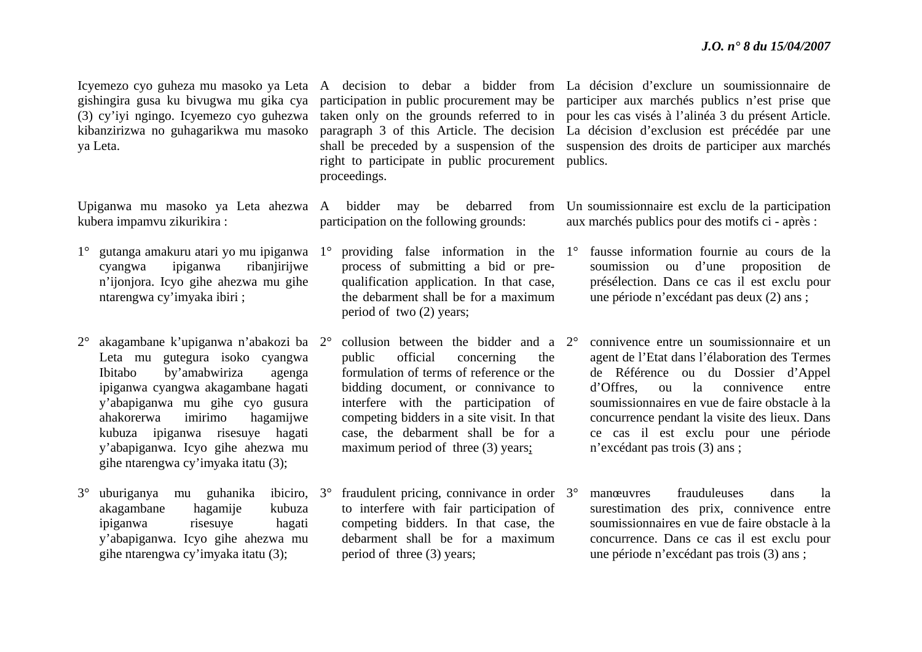(3) cy'iyi ngingo. Icyemezo cyo guhezwa kibanzirizwa no guhagarikwa mu masoko ya Leta.

kubera impamvu zikurikira :

- cyangwa ipiganwa ribanjirijwe <sup>n</sup>'ijonjora. Icyo gihe ahezwa mu gihe ntarengwa cy'imyaka ibiri ;
- 2° akagambane k'upiganwa n'abakozi ba 2°Leta mu gutegura isoko cyangwa Ibitabo by'amabwiriza agenga ipiganwa cyangwa akagambane hagati y'abapiganwa mu gihe cyo gusura ahakorerwa imirimo hagamijwe kubuza ipiganwa risesuye hagati y'abapiganwa. Icyo gihe ahezwa mu gihe ntarengwa cy'imyaka itatu (3);
- 3° uburiganya mu guhanika ibiciro, akagambane hagamije kubuza ipiganwa risesuye hagati y'abapiganwa. Icyo gihe ahezwa mu gihe ntarengwa cy'imyaka itatu (3); ibiciro. 3<sup>°</sup>

right to participate in public procurement publics. proceedings.

participation on the following grounds:

process of submitting a bid or prequalification application. In that case, the debarment shall be for a maximum period of two (2) years;

- <sup>o</sup> collusion between the bidder and a 2<sup>o</sup> public official concerning the formulation of terms of reference or the bidding document, or connivance to interfere with the participation of competing bidders in a site visit. In that case, the debarment shall be for a maximum period of three (3) years;
- $\degree$  fraudulent pricing, connivance in order  $3\degree$ to interfere with fair participation of competing bidders. In that case, the debarment shall be for a maximum period of three (3) years;

Icyemezo cyo guheza mu masoko ya Leta A decision to debar a bidder from La décision d'exclure un soumissionnaire de gishingira gusa ku bivugwa mu gika cya participation in public procurement may be participer aux marchés publics n'est prise que taken only on the grounds referred to in pour les cas visés à l'alinéa 3 du présent Article. paragraph 3 of this Article. The decision La décision d'exclusion est précédée par une shall be preceded by a suspension of the suspension des droits de participer aux marchés

Upiganwa mu masoko ya Leta ahezwa A bidder may be debarred from Un soumissionnaire est exclu de la participation aux marchés publics pour des motifs ci - après :

- 1° gutanga amakuru atari yo mu ipiganwa 1° providing false information in the 1° fausse information fournie au cours de la soumission ou d'une proposition de présélection. Dans ce cas il est exclu pour une période n'excédant pas deux (2) ans ;
	- connivence entre un soumissionnaire et un agent de l'Etat dans l'élaboration des Termes de Référence ou du Dossier d'Appel d'Offres, ou la connivence entre soumissionnaires en vue de faire obstacle à la concurrence pendant la visite des lieux. Dans ce cas il est exclu pour une période <sup>n</sup>'excédant pas trois (3) ans ;
	- manœuvres frauduleuses dans la surestimation des prix, connivence entre soumissionnaires en vue de faire obstacle à la concurrence. Dans ce cas il est exclu pour une période n'excédant pas trois (3) ans ;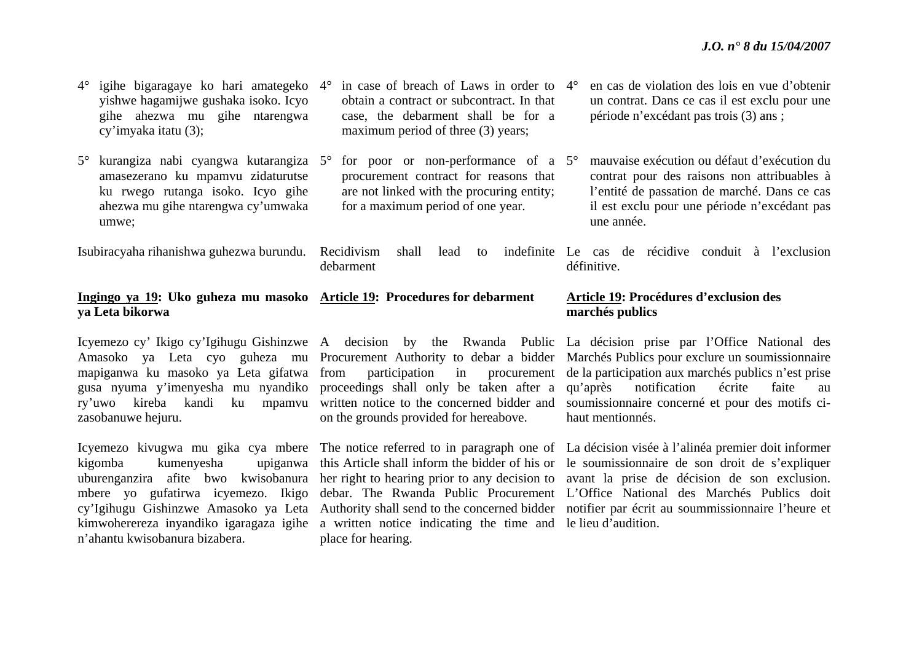| $4^{\circ}$ igihe bigaragaye ko hari amategeko $4^{\circ}$<br>yishwe hagamijwe gushaka isoko. Icyo<br>gihe ahezwa mu gihe ntarengwa<br>cy'imyaka itatu (3); | in case of breach of Laws in order to $4^{\circ}$<br>obtain a contract or subcontract. In that<br>case, the debarment shall be for a<br>maximum period of three (3) years;                    | en cas de violation des lois en vue d'obtenir<br>un contrat. Dans ce cas il est exclu pour une<br>période n'excédant pas trois (3) ans ;   |
|-------------------------------------------------------------------------------------------------------------------------------------------------------------|-----------------------------------------------------------------------------------------------------------------------------------------------------------------------------------------------|--------------------------------------------------------------------------------------------------------------------------------------------|
| amasezerano ku mpamvu zidaturutse<br>ku rwego rutanga isoko. Icyo gihe                                                                                      | $5^{\circ}$ kurangiza nabi cyangwa kutarangiza $5^{\circ}$ for poor or non-performance of a $5^{\circ}$<br>procurement contract for reasons that<br>are not linked with the procuring entity; | mauvaise exécution ou défaut d'exécution du<br>contrat pour des raisons non attribuables à<br>l'entité de passation de marché. Dans ce cas |

for a maximum period of one year.

umwe;

ahezwa mu gihe ntarengwa cy'umwaka

## **Ingingo ya 19: Uko guheza mu masoko Article 19: Procedures for debarment ya Leta bikorwa**

debarment

zasobanuwe hejuru.

kigomba kumenyesha n'ahantu kwisobanura bizabera.

on the grounds provided for hereabove.

kimwoherereza inyandiko igaragaza igihe a written notice indicating the time and le lieu d'audition. place for hearing.

l'entité de passation de marché. Dans ce cas il est exclu pour une période n'excédant pas une année.

Isubiracyaha rihanishwa guhezwa burundu. Recidivism shall lead to indefinite Le cas de récidive conduit à l'exclusion définitive.

### **Article 19: Procédures d'exclusion des marchés publics**

Icyemezo cy' Ikigo cy'Igihugu Gishinzwe A decision by the Rwanda Public La décision prise par l'Office National des Amasoko ya Leta cyo guheza mu Procurement Authority to debar a bidder Marchés Publics pour exclure un soumissionnaire mapiganwa ku masoko ya Leta gifatwa from participation in procurement de la participation aux marchés publics n'est prise gusa nyuma y'imenyesha mu nyandiko proceedings shall only be taken after a qu'après notification écrite faite au ry'uwo kireba kandi ku mpamvu written notice to the concerned bidder and soumissionnaire concerné et pour des motifs cihaut mentionnés.

Icyemezo kivugwa mu gika cya mbere The notice referred to in paragraph one of La décision visée à l'alinéa premier doit informer uburenganzira afite bwo kwisobanura her right to hearing prior to any decision to avant la prise de décision de son exclusion. mbere yo gufatirwa icyemezo. Ikigo debar. The Rwanda Public Procurement L'Office National des Marchés Publics doit cy'Igihugu Gishinzwe Amasoko ya Leta Authority shall send to the concerned bidder notifier par écrit au soummissionnaire l'heure et this Article shall inform the bidder of his or le soumissionnaire de son droit de s'expliquer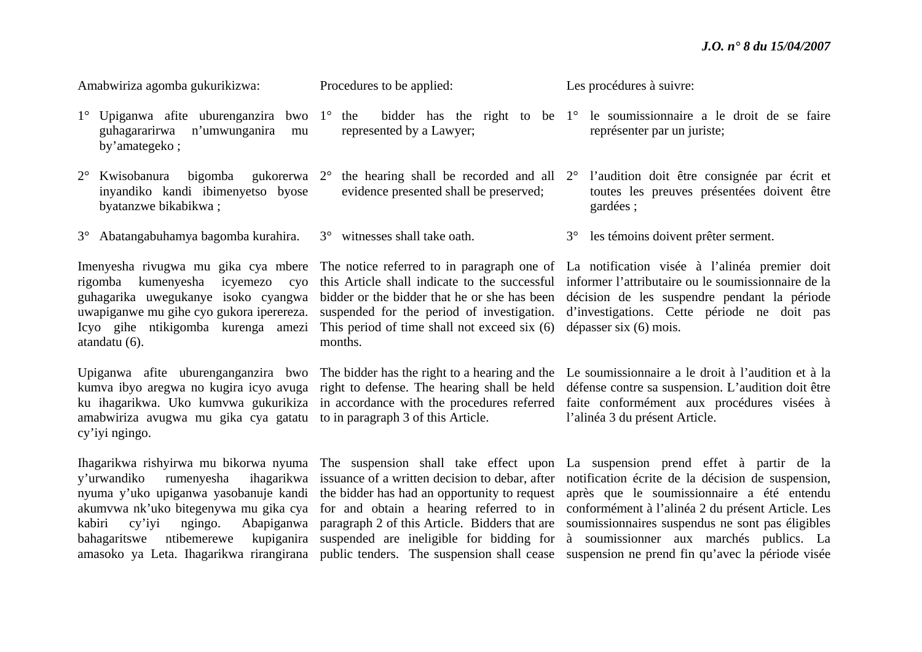Amabwiriza agomba gukurikizwa:

#### Procedures to be applied:

represented by a Lawyer;

Les procédures à suivre:

- $\degree$  the bidder has the right to be  $1\degree$  le soumissionnaire a le droit de se faire représenter par un juriste;
	- l'audition doit être consignée par écrit et toutes les preuves présentées doivent être gardées ;
	- 3° les témoins doivent prêter serment.

Imenyesha rivugwa mu gika cya mbere The notice referred to in paragraph one of La notification visée à l'alinéa premier doit rigomba kumenyesha icyemezo cyo this Article shall indicate to the successful informer l'attributaire ou le soumissionnaire de la guhagarika uwegukanye isoko cyangwa bidder or the bidder that he or she has been décision de les suspendre pendant la période uwapiganwe mu gihe cyo gukora iperereza. suspended for the period of investigation. d'investigations. Cette période ne doit pas

Upiganwa afite uburenganganzira bwo The bidder has the right to a hearing and the Le soumissionnaire a le droit à l'audition et à la kumva ibyo aregwa no kugira icyo avuga right to defense. The hearing shall be held défense contre sa suspension. L'audition doit être ku ihagarikwa. Uko kumvwa gukurikiza in accordance with the procedures referred faite conformément aux procédures visées à l'alinéa 3 du présent Article.

Ihagarikwa rishyirwa mu bikorwa nyuma The suspension shall take effect upon La suspension prend effet à partir de la y'urwandiko rumenyesha ihagarikwa issuance of a written decision to debar, after notification écrite de la décision de suspension, nyuma y'uko upiganwa yasobanuje kandi the bidder has had an opportunity to request après que le soumissionnaire a été entendu akumvwa nk'uko bitegenywa mu gika cya for and obtain a hearing referred to in conformément à l'alinéa 2 du présent Article. Les kabiri cy'iyi ngingo. Abapiganwa paragraph 2 of this Article. Bidders that are soumissionnaires suspendus ne sont pas éligibles bahagaritswe ntibemerewe kupiganira suspended are ineligible for bidding for à soumissionner aux marchés publics. La amasoko ya Leta. Ihagarikwa rirangirana public tenders. The suspension shall cease suspension ne prend fin qu'avec la période visée

- 1° Upiganwa afite uburenganzira bwo 1°guhagararirwa n'umwunganira mu by'amategeko ;
- 2° Kwisobanura bigomba gukorerwa 2° the hearing shall be recorded and all 2°inyandiko kandi ibimenyetso byose byatanzwe bikabikwa ;
- 3° Abatangabuhamya bagomba kurahira. 3° witnesses shall take oath.

atandatu (6).

amabwiriza avugwa mu gika cya gatatu to in paragraph 3 of this Article. cy'iyi ngingo.

Icyo gihe ntikigomba kurenga amezi This period of time shall not exceed six (6) dépasser six (6) mois. months.

evidence presented shall be preserved;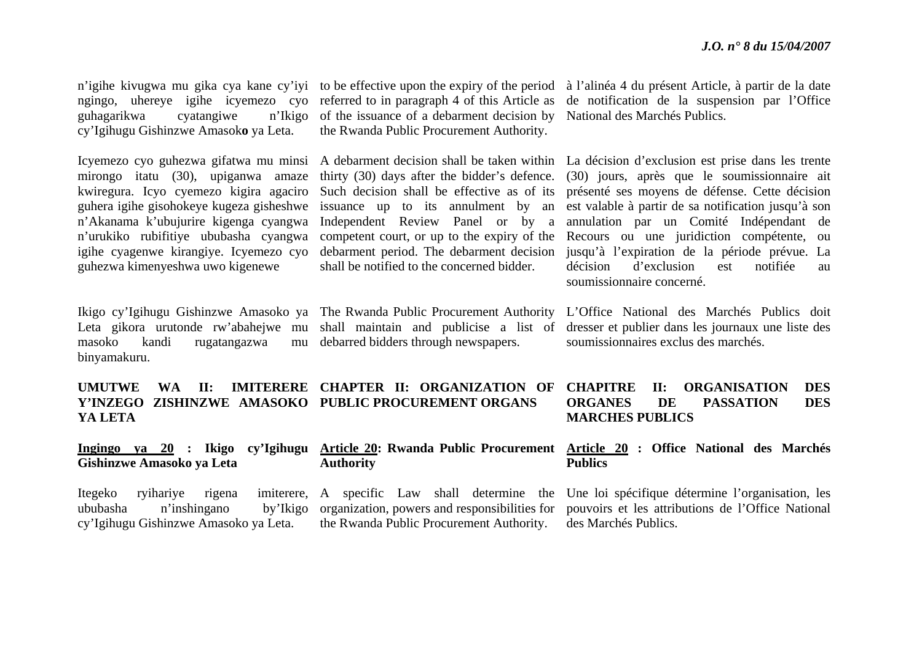**DES** 

guhagarikwa cyatangiwe n'Ikigo cy'Igihugu Gishinzwe Amasok**<sup>o</sup>** ya Leta.

Icyemezo cyo guhezwa gifatwa mu minsi mirongo itatu (30), upiganwa amaze kwiregura. Icyo cyemezo kigira agaciro guhera igihe gisohokeye kugeza gisheshwe <sup>n</sup>'Akanama k'ubujurire kigenga cyangwa <sup>n</sup>'urukiko rubifitiye ububasha cyangwa guhezwa kimenyeshwa uwo kigenewe

masoko kandi rugatangazwa mu binyamakuru.

ngingo, uhereye igihe icyemezo cyo referred to in paragraph 4 of this Article as of the issuance of a debarment decision by the Rwanda Public Procurement Authority.

> thirty (30) days after the bidder's defence. Such decision shall be effective as of its competent court, or up to the expiry of the shall be notified to the concerned bidder.

Ikigo cy'Igihugu Gishinzwe Amasoko ya The Rwanda Public Procurement Authority debarred bidders through newspapers.

<sup>n</sup>'igihe kivugwa mu gika cya kane cy'iyi to be effective upon the expiry of the period à l'alinéa 4 du présent Article, à partir de la date de notification de la suspension par l'Office National des Marchés Publics.

igihe cyagenwe kirangiye. Icyemezo cyo debarment period. The debarment decision jusqu'à l'expiration de la période prévue. La A debarment decision shall be taken within La décision d'exclusion est prise dans les trente issuance up to its annulment by an est valable à partir de sa notification jusqu'à son Independent Review Panel or by a annulation par un Comité Indépendant de (30) jours, après que le soumissionnaire ait présenté ses moyens de défense. Cette décision Recours ou une juridiction compétente, ou décision d'exclusion est notifiée au soumissionnaire concerné.

Leta gikora urutonde rw'abahejwe mu shall maintain and publicise a list of dresser et publier dans les journaux une liste des L'Office National des Marchés Publics doit soumissionnaires exclus des marchés.

**Publics** 

#### **UMUTWE WA II: IMITERERE CHAPTER II: ORGANIZATION OF Y'INZEGO ZISHINZWE AMASOKO PUBLIC PROCUREMENT ORGANS YA LETA CHAPITRE II: ORGANISATION DES ORGANES** DE PASSATION **MARCHES PUBLICS**

#### **Ingingo ya 20 : Ikigo cy'Igihugu Article 20: Rwanda Public Procurement Article 20 : Office National des Marchés Gishinzwe Amasoko ya Leta Authority**

#### Itegeko ryihariye rigena ububasha n'inshingano by'Ikigo cy'Igihugu Gishinzwe Amasoko ya Leta. A specific Law shall determine the organization, powers and responsibilities for pouvoirs et les attributions de l'Office National the Rwanda Public Procurement Authority. Une loi spécifique détermine l'organisation, les des Marchés Publics.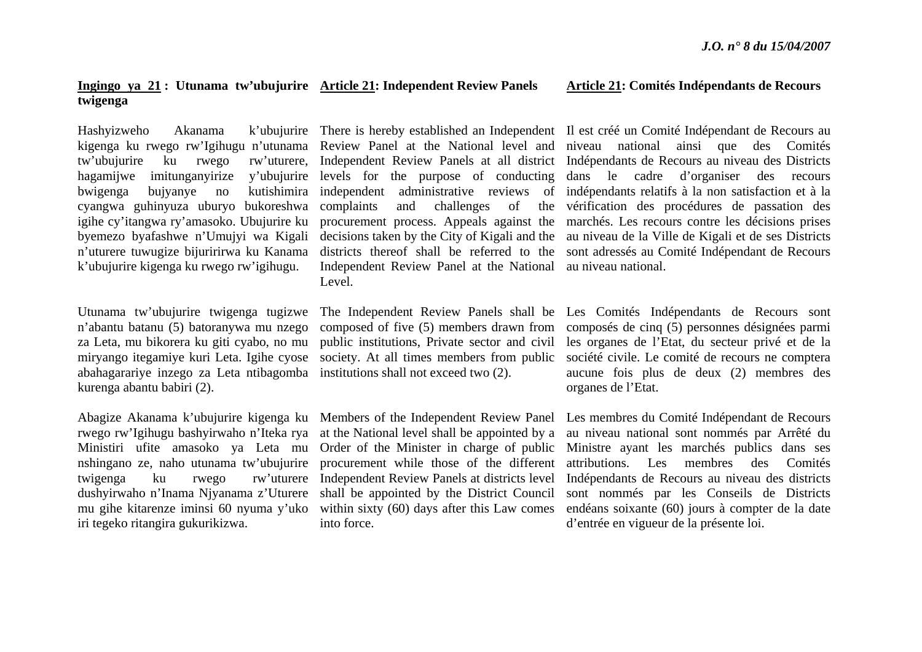#### **Ingingo ya 21 : Utunama tw'ubujurire Article 21: Independent Review Panels twigenga**

Hashyizweho Akanama tw'ubujurire ku rwego hagamijwe imitunganyirize bwigenga bujyanye no cyangwa guhinyuza uburyo bukoreshwa igihe cy'itangwa ry'amasoko. Ubujurire ku byemezo byafashwe n'Umujyi wa Kigali <sup>n</sup>'uturere tuwugize bijuririrwa ku Kanama k'ubujurire kigenga ku rwego rw'igihugu.

Utunama tw'ubujurire twigenga tugizwe <sup>n</sup>'abantu batanu (5) batoranywa mu nzego za Leta, mu bikorera ku giti cyabo, no mu miryango itegamiye kuri Leta. Igihe cyose abahagarariye inzego za Leta ntibagomba institutions shall not exceed two (2). kurenga abantu babiri (2).

nshingano ze, naho utunama tw'ubujurire dushyirwaho n'Inama Njyanama z'Uturere mu gihe kitarenze iminsi 60 nyuma y'uko iri tegeko ritangira gukurikizwa.

y'ubujurire levels for the purpose of conducting Independent Review Panel at the National au niveau national. Level.

> public institutions, Private sector and civil society. At all times members from public

twigenga ku rwego rw'uturere Independent Review Panels at districts level procurement while those of the different shall be appointed by the District Council within sixty (60) days after this Law comes into force.

#### **Article 21: Comités Indépendants de Recours**

kigenga ku rwego rw'Igihugu n'utunama Review Panel at the National level and niveau national ainsi que des Comités There is hereby established an Independent Il est créé un Comité Indépendant de Recours au Independent Review Panels at all district Indépendants de Recours au niveau des Districts independent administrative reviews of indépendants relatifs à la non satisfaction et à la complaints and challenges of the vérification des procédures de passation des procurement process. Appeals against the marchés. Les recours contre les décisions prises decisions taken by the City of Kigali and the au niveau de la Ville de Kigali et de ses Districts districts thereof shall be referred to the sont adressés au Comité Indépendant de Recours dans le cadre d'organiser des recours

> The Independent Review Panels shall be Les Comités Indépendants de Recours sont composed of five (5) members drawn from composés de cinq (5) personnes désignées parmi les organes de l'Etat, du secteur privé et de la société civile. Le comité de recours ne comptera aucune fois plus de deux (2) membres des organes de l'Etat.

Abagize Akanama k'ubujurire kigenga ku Members of the Independent Review Panel Les membres du Comité Indépendant de Recours rwego rw'Igihugu bashyirwaho n'Iteka rya at the National level shall be appointed by a au niveau national sont nommés par Arrêté du Ministiri ufite amasoko ya Leta mu Order of the Minister in charge of public Ministre ayant les marchés publics dans ses attributions. Les membres des Comités Indépendants de Recours au niveau des districts sont nommés par les Conseils de Districts endéans soixante (60) jours à compter de la date d'entrée en vigueur de la présente loi.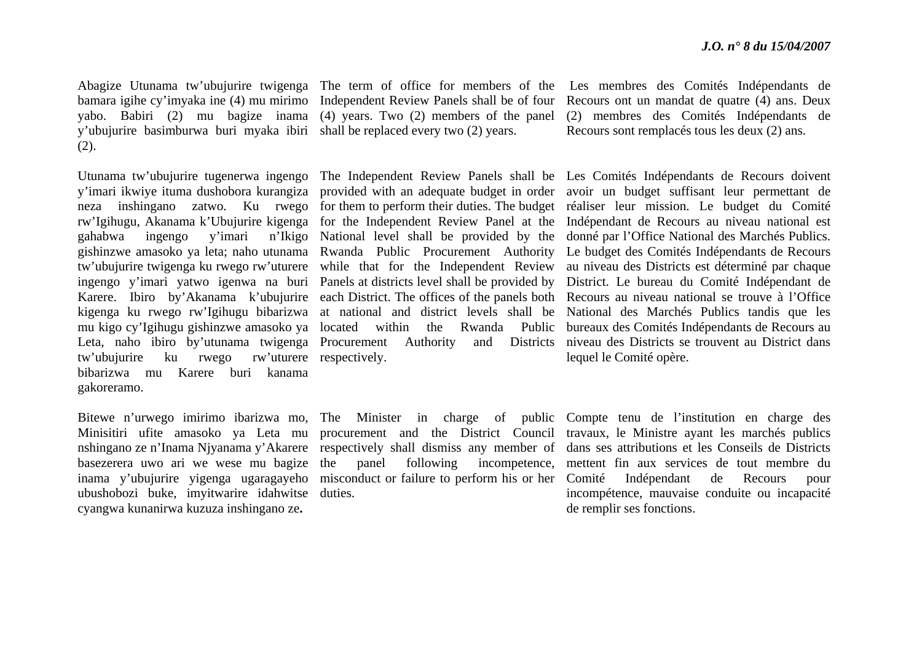y'ubujurire basimburwa buri myaka ibiri shall be replaced every two (2) years.  $(2).$ 

tw'ubujurire ku rwego rw'uturere respectively. bibarizwa mu Karere buri kanama gakoreramo.

ubushobozi buke, imyitwarire idahwitse cyangwa kunanirwa kuzuza inshingano ze**.** 

basezerera uwo ari we wese mu bagize the panel following incompetence, duties.

Abagize Utunama tw'ubujurire twigenga The term of office for members of the Les membres des Comités Indépendants de bamara igihe cy'imyaka ine (4) mu mirimo Independent Review Panels shall be of four Recours ont un mandat de quatre (4) ans. Deux yabo. Babiri (2) mu bagize inama (4) years. Two (2) members of the panel (2) membres des Comités Indépendants de Recours sont remplacés tous les deux (2) ans.

Utunama tw'ubujurire tugenerwa ingengo The Independent Review Panels shall be Les Comités Indépendants de Recours doivent y'imari ikwiye ituma dushobora kurangiza provided with an adequate budget in order avoir un budget suffisant leur permettant de neza inshingano zatwo. Ku rwego for them to perform their duties. The budget réaliser leur mission. Le budget du Comité rw'Igihugu, Akanama k'Ubujurire kigenga for the Independent Review Panel at the Indépendant de Recours au niveau national est gahabwa ingengo y'imari n'Ikigo National level shall be provided by the donné par l'Office National des Marchés Publics. gishinzwe amasoko ya leta; naho utunama Rwanda Public Procurement Authority Le budget des Comités Indépendants de Recours tw'ubujurire twigenga ku rwego rw'uturere while that for the Independent Review au niveau des Districts est déterminé par chaque ingengo y'imari yatwo igenwa na buri Panels at districts level shall be provided by District. Le bureau du Comité Indépendant de Karere. Ibiro by'Akanama k'ubujurire each District. The offices of the panels both Recours au niveau national se trouve à l'Office kigenga ku rwego rw'Igihugu bibarizwa at national and district levels shall be National des Marchés Publics tandis que les mu kigo cy'Igihugu gishinzwe amasoko ya located within the Rwanda Public bureaux des Comités Indépendants de Recours au Leta, naho ibiro by'utunama twigenga Procurement Authority and Districts niveau des Districts se trouvent au District dans lequel le Comité opère.

Bitewe n'urwego imirimo ibarizwa mo, The Minister in charge of public Compte tenu de l'institution en charge des Minisitiri ufite amasoko ya Leta mu procurement and the District Council travaux, le Ministre ayant les marchés publics nshingano ze n'Inama Njyanama y'Akarere respectively shall dismiss any member of dans ses attributions et les Conseils de Districts inama y'ubujurire yigenga ugaragayeho misconduct or failure to perform his or her Comité Indépendant de Recours pour mettent fin aux services de tout membre du incompétence, mauvaise conduite ou incapacité de remplir ses fonctions.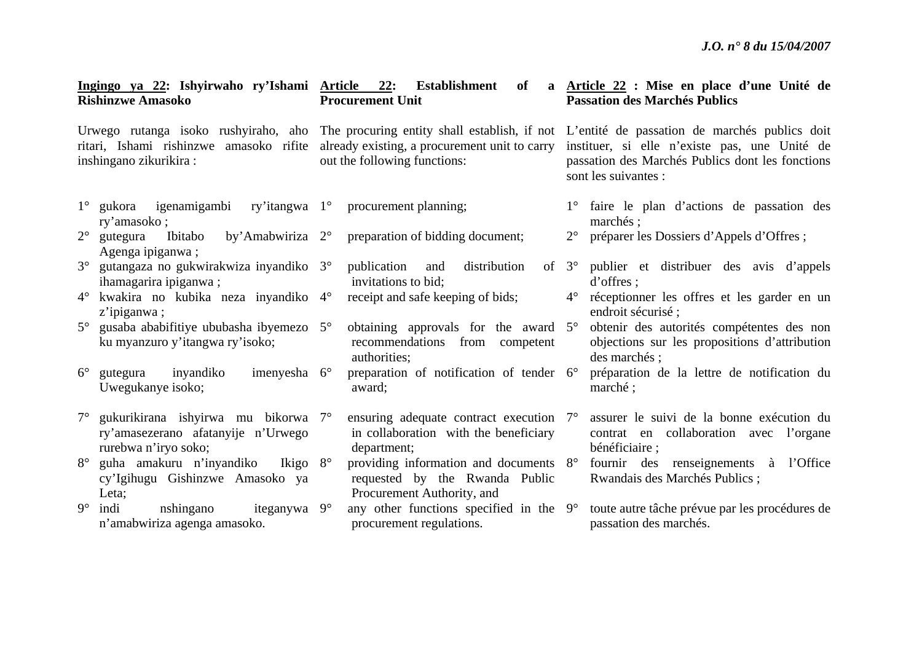|                                                                                                                 | Ingingo ya 22: Ishyirwaho ry'Ishami Article 22: Establishment<br><b>Rishinzwe Amasoko</b>         |  | of<br><b>Procurement Unit</b>                                                                          | a Article 22 : Mise en place d'une Unité de<br><b>Passation des Marchés Publics</b>                                                                                                                                                                          |                                                                                                             |  |
|-----------------------------------------------------------------------------------------------------------------|---------------------------------------------------------------------------------------------------|--|--------------------------------------------------------------------------------------------------------|--------------------------------------------------------------------------------------------------------------------------------------------------------------------------------------------------------------------------------------------------------------|-------------------------------------------------------------------------------------------------------------|--|
| ritari, Ishami rishinzwe amasoko rifite already existing, a procurement unit to carry<br>inshingano zikurikira: |                                                                                                   |  | out the following functions:                                                                           | Urwego rutanga isoko rushyiraho, aho The procuring entity shall establish, if not L'entité de passation de marchés publics doit<br>instituer, si elle n'existe pas, une Unité de<br>passation des Marchés Publics dont les fonctions<br>sont les suivantes : |                                                                                                             |  |
|                                                                                                                 | $1^{\circ}$ gukora igenamigambi<br>ry'itangwa 1°<br>ry'amasoko;                                   |  | procurement planning;                                                                                  |                                                                                                                                                                                                                                                              | faire le plan d'actions de passation des<br>marchés;                                                        |  |
| $2^{\circ}$                                                                                                     | Ibitabo<br>by'Amabwiriza $2^{\circ}$<br>gutegura<br>Agenga ipiganwa;                              |  | preparation of bidding document;                                                                       | $2^{\circ}$                                                                                                                                                                                                                                                  | préparer les Dossiers d'Appels d'Offres;                                                                    |  |
| $3^\circ$                                                                                                       | gutangaza no gukwirakwiza inyandiko 3°<br>ihamagarira ipiganwa;                                   |  | publication<br>distribution<br>of<br>and<br>invitations to bid;                                        | $3^\circ$                                                                                                                                                                                                                                                    | publier et distribuer des avis d'appels<br>d'offres :                                                       |  |
|                                                                                                                 | kwakira no kubika neza inyandiko 4°<br>z'ipiganwa;                                                |  | receipt and safe keeping of bids;                                                                      | $4^\circ$                                                                                                                                                                                                                                                    | réceptionner les offres et les garder en un<br>endroit sécurisé ;                                           |  |
| $5^{\circ}$                                                                                                     | gusaba ababifitiye ububasha ibyemezo 5°<br>ku myanzuro y'itangwa ry'isoko;                        |  | obtaining approvals for the award 5°<br>recommendations from competent<br>authorities;                 |                                                                                                                                                                                                                                                              | obtenir des autorités compétentes des non<br>objections sur les propositions d'attribution<br>des marchés ; |  |
| $6^{\circ}$                                                                                                     | inyandiko<br>imenyesha $6^\circ$<br>gutegura<br>Uwegukanye isoko;                                 |  | preparation of notification of tender 6°<br>award;                                                     |                                                                                                                                                                                                                                                              | préparation de la lettre de notification du<br>marché;                                                      |  |
| $7^{\circ}$                                                                                                     | gukurikirana ishyirwa mu bikorwa 7°<br>ry'amasezerano afatanyije n'Urwego<br>rurebwa n'iryo soko; |  | ensuring adequate contract execution 7°<br>in collaboration with the beneficiary<br>department;        |                                                                                                                                                                                                                                                              | assurer le suivi de la bonne exécution du<br>contrat en collaboration avec l'organe<br>bénéficiaire;        |  |
| $8^{\circ}$                                                                                                     | guha amakuru n'inyandiko Ikigo 8°<br>cy'Igihugu Gishinzwe Amasoko ya<br>Leta;                     |  | providing information and documents 8°<br>requested by the Rwanda Public<br>Procurement Authority, and |                                                                                                                                                                                                                                                              | fournir des renseignements à l'Office<br>Rwandais des Marchés Publics;                                      |  |
|                                                                                                                 | $9^\circ$ indi<br>nshingano<br>iteganywa $9^\circ$<br>n'amabwiriza agenga amasoko.                |  | any other functions specified in the 9°<br>procurement regulations.                                    |                                                                                                                                                                                                                                                              | toute autre tâche prévue par les procédures de<br>passation des marchés.                                    |  |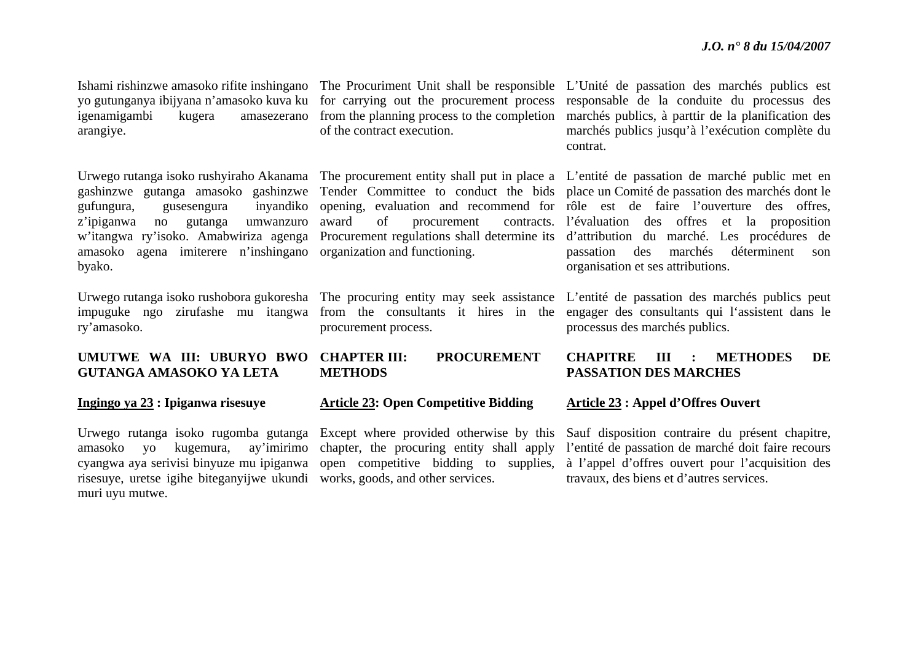yo gutunganya ibijyana n'amasoko kuva ku igenamigambi kugera amasezerano arangiye.

gufungura, gusesengura <sup>z</sup>'ipiganwa no gutanga umwanzuro amasoko agena imiterere n'inshingano organization and functioning. byako.

ry'amasoko.

#### **UMUTWE WA III: UBURYO BWO GUTANGA AMASOKO YA LETA**

#### **Ingingo ya 23 : Ipiganwa risesuye**

amasoko yo kugemura. risesuye, uretse igihe biteganyijwe ukundi works, goods, and other services. muri uyu mutwe.

for carrying out the procurement process from the planning process to the completion of the contract execution.

of procurement

procurement process.

#### **CHAPTER III: PROCUREMENT METHODS**

#### **Article 23: Open Competitive Bidding**

Urwego rutanga isoko rugomba gutanga Except where provided otherwise by this cyangwa aya serivisi binyuze mu ipiganwa open competitive bidding to supplies, ay'imirimo chapter, the procuring entity shall apply

Ishami rishinzwe amasoko rifite inshingano The Procuriment Unit shall be responsible L'Unité de passation des marchés publics est responsable de la conduite du processus des marchés publics, à parttir de la planification des marchés publics jusqu'à l'exécution complète du contrat.

Urwego rutanga isoko rushyiraho Akanama The procurement entity shall put in place a L'entité de passation de marché public met en gashinzwe gutanga amasoko gashinzwe Tender Committee to conduct the bids place un Comité de passation des marchés dont le w'itangwa ry'isoko. Amabwiriza agenga Procurement regulations shall determine its d'attribution du marché. Les procédures de opening, evaluation and recommend for rôle est de faire l'ouverture des offres, l'évaluation des offres et la proposition passation des marchés déterminent son organisation et ses attributions.

Urwego rutanga isoko rushobora gukoresha The procuring entity may seek assistance L'entité de passation des marchés publics peut impuguke ngo zirufashe mu itangwa from the consultants it hires in the engager des consultants qui l'assistent dans le processus des marchés publics.

#### **CHAPITRE III : METHODES DE PASSATION DES MARCHES**

#### **Article 23 : Appel d'Offres Ouvert**

Sauf disposition contraire du présent chapitre, l'entité de passation de marché doit faire recours à l'appel d'offres ouvert pour l'acquisition des travaux, des biens et d'autres services.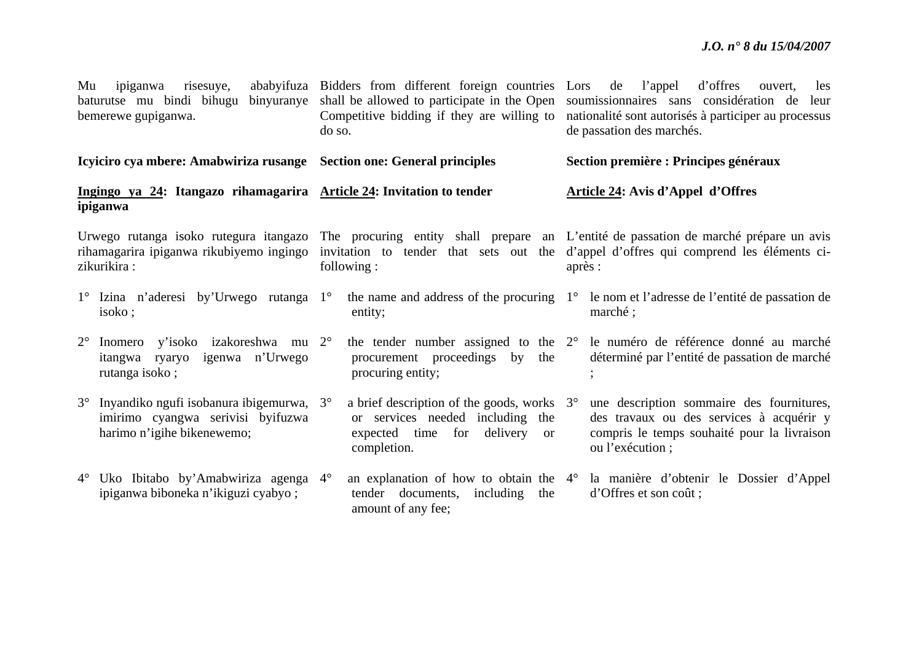| Mu<br>ipiganwa<br>risesuye,<br>baturutse mu bindi bihugu<br>binyuranye<br>bemerewe gupiganwa. |                                                                                                                |  | ababyifuza Bidders from different foreign countries Lors de<br>shall be allowed to participate in the Open<br>Competitive bidding if they are willing to<br>do so. |                                   | d'offres<br>l'appel<br>ouvert.<br>les<br>soumissionnaires sans considération de<br>leur<br>nationalité sont autorisés à participer au processus<br>de passation des marchés.                                                     |  |  |  |  |  |
|-----------------------------------------------------------------------------------------------|----------------------------------------------------------------------------------------------------------------|--|--------------------------------------------------------------------------------------------------------------------------------------------------------------------|-----------------------------------|----------------------------------------------------------------------------------------------------------------------------------------------------------------------------------------------------------------------------------|--|--|--|--|--|
|                                                                                               | Icyiciro cya mbere: Amabwiriza rusange Section one: General principles                                         |  |                                                                                                                                                                    |                                   | Section première : Principes généraux                                                                                                                                                                                            |  |  |  |  |  |
| Ingingo ya 24: Itangazo rihamagarira Article 24: Invitation to tender<br>ipiganwa             |                                                                                                                |  |                                                                                                                                                                    | Article 24: Avis d'Appel d'Offres |                                                                                                                                                                                                                                  |  |  |  |  |  |
| rihamagarira ipiganwa rikubiyemo ingingo<br>zikurikira:                                       |                                                                                                                |  | following:                                                                                                                                                         |                                   | Urwego rutanga isoko rutegura itangazo The procuring entity shall prepare an L'entité de passation de marché prépare un avis<br>invitation to tender that sets out the d'appel d'offres qui comprend les éléments ci-<br>après : |  |  |  |  |  |
|                                                                                               | 1° Izina n'aderesi by'Urwego rutanga 1°<br>isoko;                                                              |  | entity;                                                                                                                                                            |                                   | the name and address of the procuring $1^{\circ}$ le nom et l'adresse de l'entité de passation de<br>marché ;                                                                                                                    |  |  |  |  |  |
| $2^{\circ}$                                                                                   | Inomero y'isoko izakoreshwa mu 2°<br>itangwa ryaryo igenwa n'Urwego<br>rutanga isoko;                          |  | the tender number assigned to the $2^{\circ}$<br>procurement proceedings by<br>the<br>procuring entity;                                                            |                                   | le numéro de référence donné au marché<br>déterminé par l'entité de passation de marché                                                                                                                                          |  |  |  |  |  |
|                                                                                               | 3° Inyandiko ngufi isobanura ibigemurwa, 3°<br>imirimo cyangwa serivisi byifuzwa<br>harimo n'igihe bikenewemo; |  | a brief description of the goods, works $3^\circ$<br>or services needed including the<br>expected time for delivery<br><b>or</b><br>completion.                    |                                   | une description sommaire des fournitures,<br>des travaux ou des services à acquérir y<br>compris le temps souhaité pour la livraison<br>ou l'exécution ;                                                                         |  |  |  |  |  |
|                                                                                               | 4° Uko Ibitabo by'Amabwiriza agenga 4°<br>ipiganwa biboneka n'ikiguzi cyabyo;                                  |  | tender documents, including<br>the<br>amount of any fee;                                                                                                           |                                   | an explanation of how to obtain the 4 <sup>°</sup> la manière d'obtenir le Dossier d'Appel<br>d'Offres et son coût;                                                                                                              |  |  |  |  |  |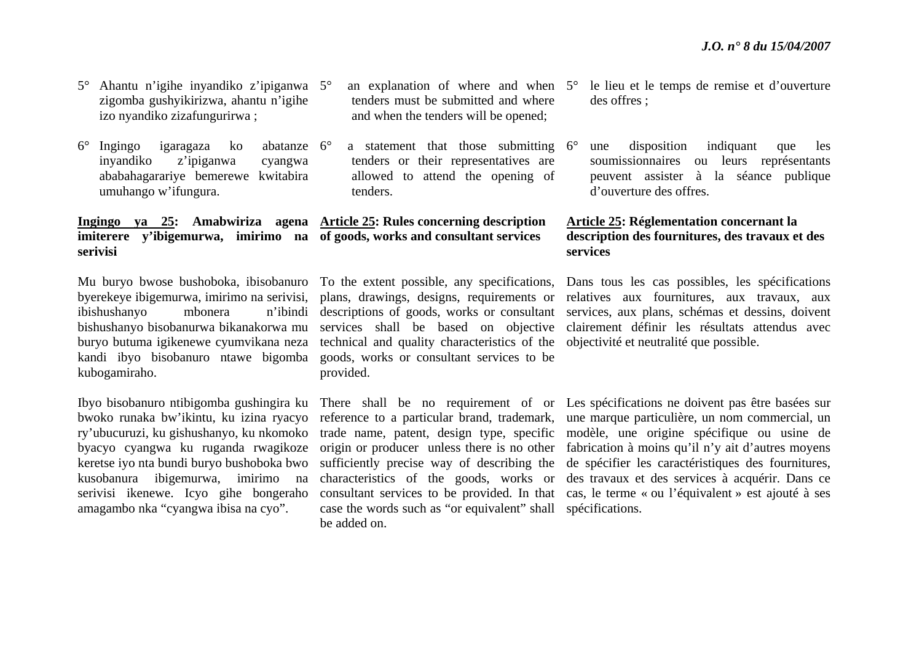- 5° Ahantu n'igihe inyandiko z'ipiganwa 5°zigomba gushyikirizwa, ahantu n'igihe izo nyandiko zizafungurirwa ;
- $6^\circ$ Ingingo igaragaza ko inyandiko z'ipiganwa cyangwa ababahagarariye bemerewe kwitabira umuhango w'ifungura. abatanze 6°

**Ingingo ya 25: Amabwiriza agena Article 25: Rules concerning description imiterere y'ibigemurwa, imirimo na of goods, works and consultant services serivisi** 

ibishushanyo mbonera buryo butuma igikenewe cyumvikana neza kubogamiraho.

Ibyo bisobanuro ntibigomba gushingira ku bwoko runaka bw'ikintu, ku izina ryacyo ry'ubucuruzi, ku gishushanyo, ku nkomoko byacyo cyangwa ku ruganda rwagikoze keretse iyo nta bundi buryo bushoboka bwo kusobanura ibigemurwa, imirimo na serivisi ikenewe. Icyo gihe bongeraho amagambo nka "cyangwa ibisa na cyo".

- $\degree$  an explanation of where and when  $5\degree$ tenders must be submitted and where and when the tenders will be opened;
- $\degree$  a statement that those submitting 6 $\degree$ tenders or their representatives are allowed to attend the opening of tenders.

kandi ibyo bisobanuro ntawe bigomba goods, works or consultant services to be technical and quality characteristics of the objectivité et neutralité que possible. provided.

> case the words such as "or equivalent" shall spécifications. be added on.

- le lieu et le temps de remise et d'ouverture des offres ;
- une disposition indiquant que les soumissionnaires ou leurs représentants peuvent assister à la séance publique d'ouverture des offres.

### **Article 25: Réglementation concernant la description des fournitures, des travaux et des services**

Mu buryo bwose bushoboka, ibisobanuro To the extent possible, any specifications, Dans tous les cas possibles, les spécifications byerekeye ibigemurwa, imirimo na serivisi, plans, drawings, designs, requirements or relatives aux fournitures, aux travaux, aux bishushanyo bisobanurwa bikanakorwa mu services shall be based on objective clairement définir les résultats attendus avec descriptions of goods, works or consultant services, aux plans, schémas et dessins, doivent

> There shall be no requirement of or Les spécifications ne doivent pas être basées sur reference to a particular brand, trademark, une marque particulière, un nom commercial, un trade name, patent, design type, specific modèle, une origine spécifique ou usine de origin or producer unless there is no other fabrication à moins qu'il n'y ait d'autres moyens sufficiently precise way of describing the de spécifier les caractéristiques des fournitures, characteristics of the goods, works or des travaux et des services à acquérir. Dans ce consultant services to be provided. In that cas, le terme « ou l'équivalent » est ajouté à ses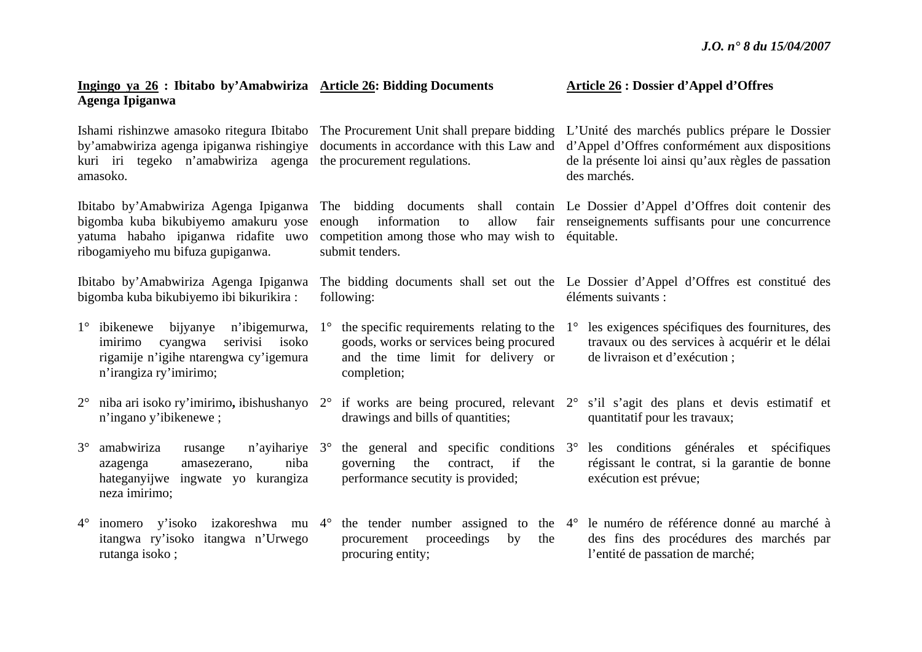| Ingingo ya 26 : Ibitabo by'Amabwiriza Article 26: Bidding Documents<br>Agenga Ipiganwa                                                                    |                                                                                                                                                                   | <b>Article 26 : Dossier d'Appel d'Offres</b>                                                                                                                                                                                 |  |  |
|-----------------------------------------------------------------------------------------------------------------------------------------------------------|-------------------------------------------------------------------------------------------------------------------------------------------------------------------|------------------------------------------------------------------------------------------------------------------------------------------------------------------------------------------------------------------------------|--|--|
| by'amabwiriza agenga ipiganwa rishingiye<br>kuri iri tegeko n'amabwiriza agenga<br>amasoko.                                                               | Ishami rishinzwe amasoko ritegura Ibitabo The Procurement Unit shall prepare bidding<br>documents in accordance with this Law and<br>the procurement regulations. | L'Unité des marchés publics prépare le Dossier<br>d'Appel d'Offres conformément aux dispositions<br>de la présente loi ainsi qu'aux règles de passation<br>des marchés.                                                      |  |  |
| Ibitabo by'Amabwiriza Agenga Ipiganwa<br>bigomba kuba bikubiyemo amakuru yose<br>yatuma habaho ipiganwa ridafite uwo<br>ribogamiyeho mu bifuza gupiganwa. | allow<br>enough<br>information<br>to<br>competition among those who may wish to<br>submit tenders.                                                                | The bidding documents shall contain Le Dossier d'Appel d'Offres doit contenir des<br>fair renseignements suffisants pour une concurrence<br>équitable.                                                                       |  |  |
| Ibitabo by'Amabwiriza Agenga Ipiganwa<br>bigomba kuba bikubiyemo ibi bikurikira:                                                                          | following:                                                                                                                                                        | The bidding documents shall set out the Le Dossier d'Appel d'Offres est constitué des<br>éléments suivants :                                                                                                                 |  |  |
| 1° ibikenewe bijyanye n'ibigemurwa, 1°<br>serivisi<br>cyangwa<br>isoko<br>imirimo<br>rigamije n'igihe ntarengwa cy'igemura<br>n'irangiza ry'imirimo;      | the specific requirements relating to the $1^{\circ}$<br>goods, works or services being procured<br>and the time limit for delivery or<br>completion;             | les exigences spécifiques des fournitures, des<br>travaux ou des services à acquérir et le délai<br>de livraison et d'exécution;                                                                                             |  |  |
| $2^{\circ}$ niba ari isoko ry'imirimo, ibishushanyo $2^{\circ}$<br>n'ingano y'ibikenewe;                                                                  | drawings and bills of quantities;                                                                                                                                 | if works are being procured, relevant $2^{\circ}$ s'il s'agit des plans et devis estimatif et<br>quantitatif pour les travaux;                                                                                               |  |  |
| $3^\circ$<br>amabwiriza<br>n'ayihariye 3°<br>rusange<br>niba<br>amasezerano,<br>azagenga<br>hateganyijwe ingwate yo kurangiza<br>neza imirimo;            | if<br>governing<br>the<br>contract,<br>the<br>performance secutity is provided;                                                                                   | the general and specific conditions 3° les conditions générales et spécifiques<br>régissant le contrat, si la garantie de bonne<br>exécution est prévue;                                                                     |  |  |
| itangwa ry'isoko itangwa n'Urwego<br>rutanga isoko;                                                                                                       | proceedings<br>procurement<br>the<br>by<br>procuring entity;                                                                                                      | $4^{\circ}$ inomero y'isoko izakoreshwa mu $4^{\circ}$ the tender number assigned to the $4^{\circ}$ le numéro de référence donné au marché à<br>des fins des procédures des marchés par<br>l'entité de passation de marché; |  |  |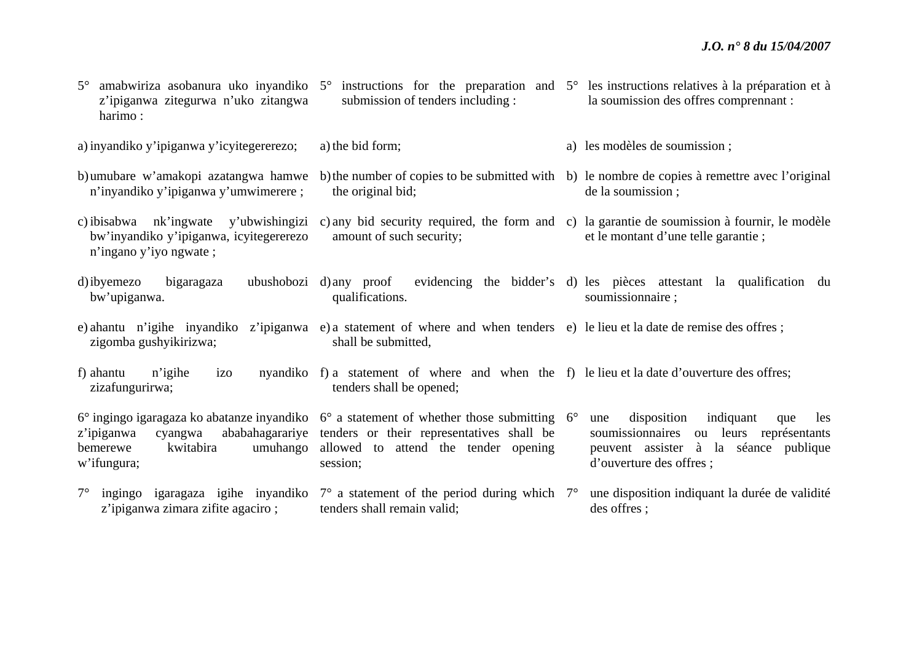| $5^{\circ}$<br>z'ipiganwa zitegurwa n'uko zitangwa<br>harimo:                                              | submission of tenders including :                                                                                                                                                                                    | amabwiriza asobanura uko inyandiko 5 <sup>°</sup> instructions for the preparation and 5 <sup>°</sup> les instructions relatives à la préparation et à<br>la soumission des offres comprennant : |
|------------------------------------------------------------------------------------------------------------|----------------------------------------------------------------------------------------------------------------------------------------------------------------------------------------------------------------------|--------------------------------------------------------------------------------------------------------------------------------------------------------------------------------------------------|
| a) inyandiko y'ipiganwa y'icyitegererezo;                                                                  | a) the bid form;                                                                                                                                                                                                     | a) les modèles de soumission;                                                                                                                                                                    |
| b) umubare w'amakopi azatangwa hamwe<br>n'inyandiko y'ipiganwa y'umwimerere;                               | the original bid;                                                                                                                                                                                                    | b) the number of copies to be submitted with b) le nombre de copies à remettre avec l'original<br>de la soumission;                                                                              |
| c) ibisabwa nk'ingwate y'ubwishingizi<br>bw'inyandiko y'ipiganwa, icyitegererezo<br>n'ingano y'iyo ngwate; | amount of such security;                                                                                                                                                                                             | c) any bid security required, the form and c) la garantie de soumission à fournir, le modèle<br>et le montant d'une telle garantie;                                                              |
| d) ibyemezo<br>bigaragaza<br>bw'upiganwa.                                                                  | ubushobozi d) any proof<br>qualifications.                                                                                                                                                                           | evidencing the bidder's d) les pièces attestant la qualification du<br>soumissionnaire;                                                                                                          |
| zigomba gushyikirizwa;                                                                                     | e) ahantu n'igihe inyandiko z'ipiganwa e) a statement of where and when tenders e) le lieu et la date de remise des offres;<br>shall be submitted,                                                                   |                                                                                                                                                                                                  |
| f) ahantu<br>n'igihe<br>izo<br>zizafungurirwa;                                                             | nyandiko f) a statement of where and when the f) le lieu et la date d'ouverture des offres;<br>tenders shall be opened;                                                                                              |                                                                                                                                                                                                  |
| ababahagarariye<br>z'ipiganwa<br>cyangwa<br>kwitabira<br>umuhango<br>bemerewe<br>w'ifungura;               | $6^{\circ}$ ingingo igaragaza ko abatanze inyandiko $6^{\circ}$ a statement of whether those submitting $6^{\circ}$<br>tenders or their representatives shall be<br>allowed to attend the tender opening<br>session; | disposition<br>indiquant<br>une<br>les<br>que<br>soumissionnaires<br>ou leurs représentants<br>peuvent assister à la séance publique<br>d'ouverture des offres ;                                 |
| $7^{\circ}$<br>ingingo igaragaza igihe inyandiko<br>z'ipiganwa zimara zifite agaciro;                      | $7^\circ$ a statement of the period during which $7^\circ$<br>tenders shall remain valid;                                                                                                                            | une disposition indiquant la durée de validité<br>des offres;                                                                                                                                    |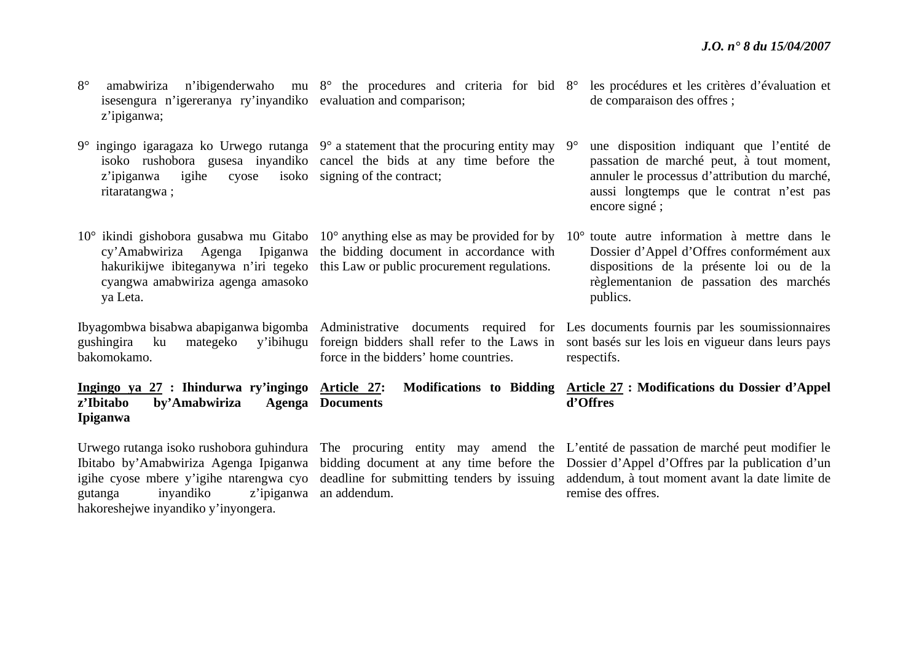|             |                                                                 |  |  |  |  | 8° amabwiriza n'ibigenderwaho mu 8° the procedures and criteria for bid 8° les procédures et les critères d'évaluation et |
|-------------|-----------------------------------------------------------------|--|--|--|--|---------------------------------------------------------------------------------------------------------------------------|
|             | isesengura n'igereranya ry'inyandiko evaluation and comparison; |  |  |  |  | de comparaison des offres;                                                                                                |
| z'ipiganwa; |                                                                 |  |  |  |  |                                                                                                                           |

9° ingingo igaragaza ko Urwego rutanga 9° a statement that the procuring entity may 9°isoko rushobora gusesa inyandiko cancel the bids at any time before the z'ipiganwa igihe cyose ritaratangwa ; isoko signing of the contract:

 $10^{\circ}$  ikindi gishobora gusabwa mu Gitabo  $10^{\circ}$  anything else as may be provided for by  $10^{\circ}$  toute autre information à mettre dans le cy'Amabwiriza Agenga Ipiganwa the bidding document in accordance with hakurikijwe ibiteganywa n'iri tegeko this Law or public procurement regulations. cyangwa amabwiriza agenga amasoko ya Leta. Dossier d'Appel d'Offres conformément aux dispositions de la présente loi ou de la règlementanion de passation des marchés publics.

**Documents** 

bakomokamo.

z'Ibitabo by'Amabwiriza

**Ipiganwa** 

Ibyagombwa bisabwa abapiganwa bigomba Administrative documents required for Les documents fournis par les soumissionnaires gushingira ku mategeko y'ibihugu foreign bidders shall refer to the Laws in sont basés sur les lois en vigueur dans leurs pays force in the bidders' home countries.

> **Article 27: Modifications to Bidding Article 27 : Modifications du Dossier d'Appel d'Offres**

 une disposition indiquant que l'entité de passation de marché peut, à tout moment, annuler le processus d'attribution du marché, aussi longtemps que le contrat n'est pas

encore signé ;

respectifs.

gutanga inyandiko z'ipiganwa an addendum. hakoreshejwe inyandiko y'inyongera.

**Ingingo ya 27 : Ihindurwa ry'ingingo** 

Urwego rutanga isoko rushobora guhindura The procuring entity may amend the L'entité de passation de marché peut modifier le Ibitabo by'Amabwiriza Agenga Ipiganwa bidding document at any time before the Dossier d'Appel d'Offres par la publication d'un igihe cyose mbere y'igihe ntarengwa cyo deadline for submitting tenders by issuing addendum, à tout moment avant la date limite de remise des offres.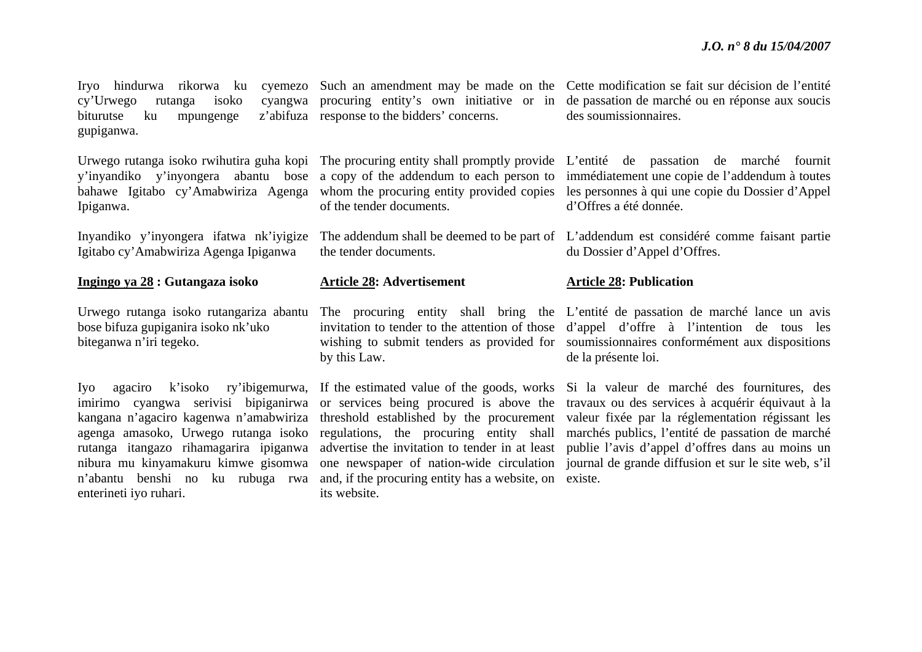$cy'Urwego$  rutanga isoko biturutse ku mpungenge gupiganwa.

y'inyandiko y'inyongera abantu bose a copy of the addendum to each person to Ipiganwa.

Inyandiko y'inyongera ifatwa nk'iyigize Igitabo cy'Amabwiriza Agenga Ipiganwa

#### **Ingingo ya 28 : Gutangaza isoko**

Urwego rutanga isoko rutangariza abantu bose bifuza gupiganira isoko nk'uko biteganwa n'iri tegeko.

imirimo cyangwa serivisi bipiganirwa kangana n'agaciro kagenwa n'amabwiriza agenga amasoko, Urwego rutanga isoko rutanga itangazo rihamagarira ipiganwa nibura mu kinyamakuru kimwe gisomwa enterineti iyo ruhari.

z'abifuza response to the bidders' concerns.

of the tender documents.

the tender documents.

#### **Article 28: Advertisement**

by this Law.

<sup>n</sup>'abantu benshi no ku rubuga rwa and, if the procuring entity has a website, on existe. its website.

Iryo hindurwa rikorwa ku cyemezo Such an amendment may be made on the Cette modification se fait sur décision de l'entité procuring entity's own initiative or in de passation de marché ou en réponse aux soucis des soumissionnaires.

Urwego rutanga isoko rwihutira guha kopi The procuring entity shall promptly provide L'entité de passation de marché fournit bahawe Igitabo cy'Amabwiriza Agenga whom the procuring entity provided copies les personnes à qui une copie du Dossier d'Appel immédiatement une copie de l'addendum à toutes d'Offres a été donnée.

> The addendum shall be deemed to be part of L'addendum est considéré comme faisant partie du Dossier d'Appel d'Offres.

#### **Article 28: Publication**

The procuring entity shall bring the L'entité de passation de marché lance un avis invitation to tender to the attention of those d'appel d'offre à l'intention de tous les wishing to submit tenders as provided for soumissionnaires conformément aux dispositions de la présente loi.

Iyo agaciro k'isoko ry'ibigemurwa, If the estimated value of the goods, works Si la valeur de marché des fournitures, des or services being procured is above the travaux ou des services à acquérir équivaut à la threshold established by the procurement valeur fixée par la réglementation régissant les regulations, the procuring entity shall marchés publics, l'entité de passation de marché advertise the invitation to tender in at least publie l'avis d'appel d'offres dans au moins un one newspaper of nation-wide circulation journal de grande diffusion et sur le site web, s'il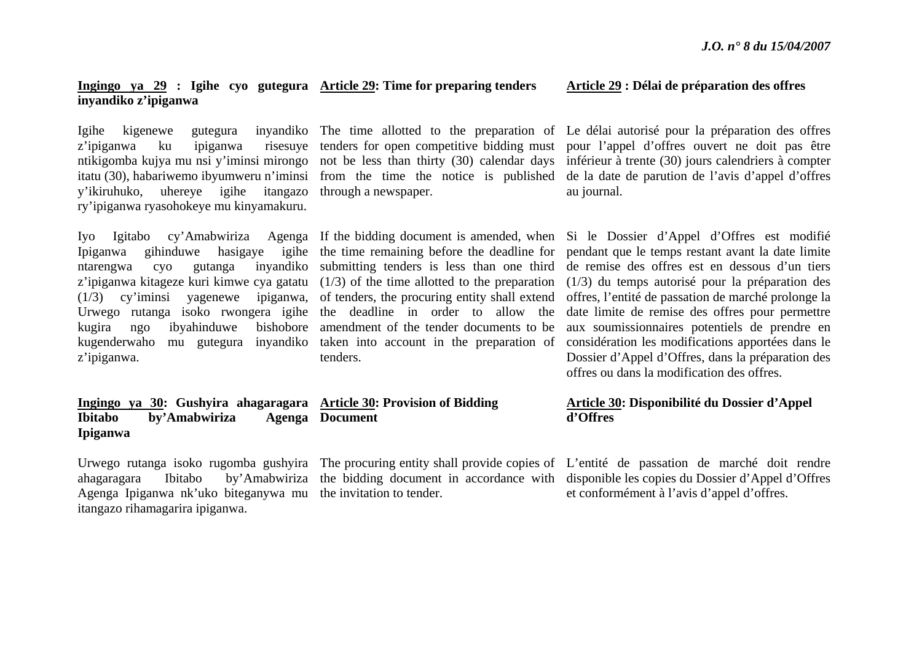### **Ingingo ya 29 : Igihe cyo gutegura Article 29: Time for preparing tenders inyandiko z'ipiganwa**

Igihe kigenewe gutegura z'ipiganwa ku ipiganwa y'ikiruhuko, uhereye igihe itangazo through a newspaper. ry'ipiganwa ryasohokeye mu kinyamakuru.

ntarengwa cyo gutanga inyandiko submitting tenders is less than one third <sup>z</sup>'ipiganwa kitageze kuri kimwe cya gatatu (1/3) of the time allotted to the preparation  $(1/3)$  cy'iminsi yagenewe Urwego rutanga isoko rwongera igihe the deadline in order to allow the kugira ngo ibyahinduwe kugenderwaho mu gutegura inyandiko taken into account in the preparation of <sup>z</sup>'ipiganwa.

ipiganwa, of tenders, the procuring entity shall extend amendment of the tender documents to be tenders.

# **Ibitabo** by'Amabwiriza **Document**

Agenga Ipiganwa nk'uko biteganywa mu the invitation to tender. itangazo rihamagarira ipiganwa.

**Ipiganwa** 

# **Ingingo ya 30: Gushyira ahagaragara Article 30: Provision of Bidding**

#### **Article 29 : Délai de préparation des offres**

ntikigomba kujya mu nsi y'iminsi mirongo not be less than thirty (30) calendar days inférieur à trente (30) jours calendriers à compter itatu (30), habariwemo ibyumweru n'iminsi from the time the notice is published de la date de parution de l'avis d'appel d'offres The time allotted to the preparation of Le délai autorisé pour la préparation des offres tenders for open competitive bidding must pour l'appel d'offres ouvert ne doit pas être au journal.

Iyo Igitabo cy'Amabwiriza Agenga If the bidding document is amended, when Si le Dossier d'Appel d'Offres est modifié Ipiganwa gihinduwe hasigaye igihe the time remaining before the deadline for pendant que le temps restant avant la date limite de remise des offres est en dessous d'un tiers (1/3) du temps autorisé pour la préparation des offres, l'entité de passation de marché prolonge la date limite de remise des offres pour permettre aux soumissionnaires potentiels de prendre en considération les modifications apportées dans le Dossier d'Appel d'Offres, dans la préparation des offres ou dans la modification des offres.

#### **Article 30: Disponibilité du Dossier d'Appel d'Offres**

Urwego rutanga isoko rugomba gushyira The procuring entity shall provide copies of L'entité de passation de marché doit rendre ahagaragara Ibitabo by'Amabwiriza the bidding document in accordance with disponible les copies du Dossier d'Appel d'Offres et conformément à l'avis d'appel d'offres.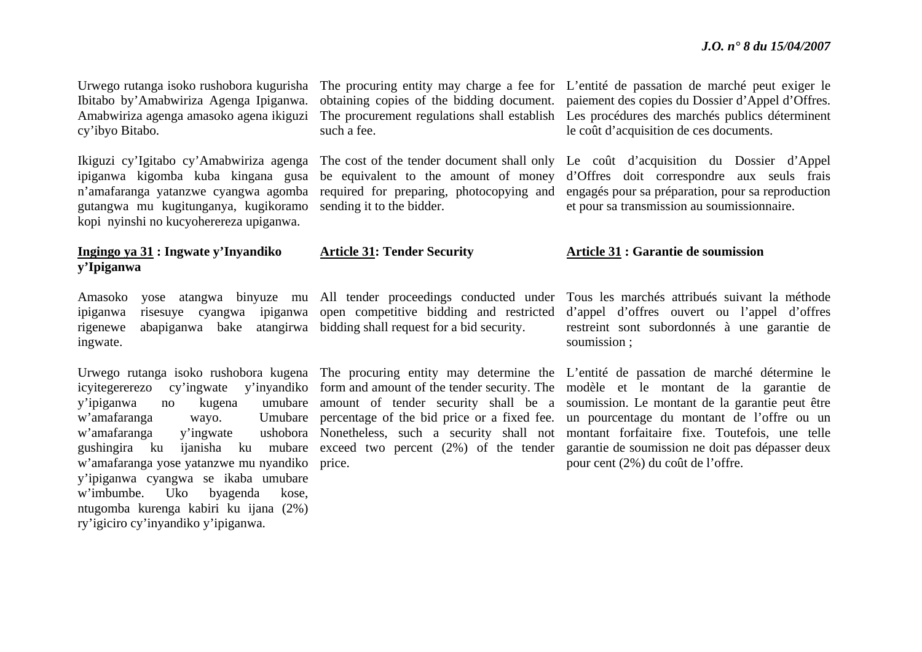Ibitabo by'Amabwiriza Agenga Ipiganwa. Amabwiriza agenga amasoko agena ikiguzi cy'ibyo Bitabo.

ipiganwa kigomba kuba kingana gusa <sup>n</sup>'amafaranga yatanzwe cyangwa agomba gutangwa mu kugitunganya, kugikoramo kopi nyinshi no kucyoherereza upiganwa.

### **Ingingo ya 31 : Ingwate y'Inyandiko y'Ipiganwa**

rigenewe abapiganwa bake atangirwa bidding shall request for a bid security. ingwate.

y'ipiganwa no kugena w'amafaranga wayo. w'amafaranga y'ingwate <sup>w</sup>'amafaranga yose yatanzwe mu nyandiko price. y'ipiganwa cyangwa se ikaba umubare <sup>w</sup>'imbumbe. Uko byagenda kose, ntugomba kurenga kabiri ku ijana (2%) ry'igiciro cy'inyandiko y'ipiganwa.

such a fee.

be equivalent to the amount of money sending it to the bidder.

#### **Article 31: Tender Security**

Urwego rutanga isoko rushobora kugurisha The procuring entity may charge a fee for L'entité de passation de marché peut exiger le obtaining copies of the bidding document. paiement des copies du Dossier d'Appel d'Offres. The procurement regulations shall establish Les procédures des marchés publics déterminent le coût d'acquisition de ces documents.

Ikiguzi cy'Igitabo cy'Amabwiriza agenga The cost of the tender document shall only Le coût d'acquisition du Dossier d'Appel required for preparing, photocopying and engagés pour sa préparation, pour sa reproduction d'Offres doit correspondre aux seuls frais et pour sa transmission au soumissionnaire.

#### **Article 31 : Garantie de soumission**

Amasoko yose atangwa binyuze mu All tender proceedings conducted under Tous les marchés attribués suivant la méthode ipiganwa risesuye cyangwa ipiganwa open competitive bidding and restricted d'appel d'offres ouvert ou l'appel d'offres restreint sont subordonnés à une garantie de soumission ;

Urwego rutanga isoko rushobora kugena The procuring entity may determine the L'entité de passation de marché détermine le icyitegererezo cy'ingwate y'inyandiko form and amount of the tender security. The modèle et le montant de la garantie de gushingira ku ijanisha ku mubare exceed two percent (2%) of the tender garantie de soumission ne doit pas dépasser deux amount of tender security shall be a soumission. Le montant de la garantie peut être percentage of the bid price or a fixed fee. un pourcentage du montant de l'offre ou un Nonetheless, such a security shall not montant forfaitaire fixe. Toutefois, une telle pour cent (2%) du coût de l'offre.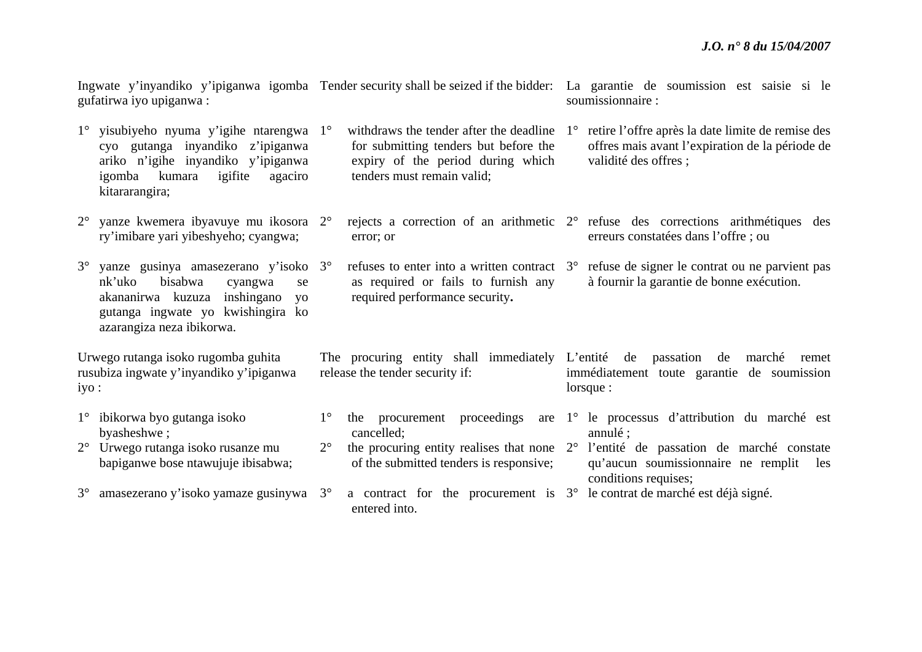erreurs constatées dans l'offre ; ou

qu'aucun soumissionnaire ne remplit les

annulé ;

Ingwate y'inyandiko y'ipiganwa igomba Tender security shall be seized if the bidder: La garantie de soumission est saisie si le gufatirwa iyo upiganwa : soumissionnaire :

- 1° yisubiyeho nyuma y'igihe ntarengwa 1°cyo gutanga inyandiko z'ipiganwa ariko n'igihe inyandiko y'ipiganwa igomba kumara igifite agaciro kitararangira;  $\degree$  withdraws the tender after the deadline  $1^\circ$ for submitting tenders but before the expiry of the period during which tenders must remain valid; retire l'offre après la date limite de remise des offres mais avant l'expiration de la période de validité des offres ;
- 2° yanze kwemera ibyavuye mu ikosora 2°ry'imibare yari yibeshyeho; cyangwa;  $\degree$  rejects a correction of an arithmetic  $2\degree$  refuse des corrections arithmétiques des error; or
- $3^\circ$  yanze gusinya amasezerano y'isoko 3°nk'uko bisabwa cyangwa se akananirwa kuzuza inshingano yo gutanga ingwate yo kwishingira ko azarangiza neza ibikorwa.  $\degree$  refuses to enter into a written contract  $\degree$  refuse de signer le contrat ou ne parvient pas as required or fails to furnish any required performance security**.**  à fournir la garantie de bonne exécution.
- Urwego rutanga isoko rugomba guhita rusubiza ingwate y'inyandiko y'ipiganwa The procuring entity shall immediately L'entité de passation de marché remet release the tender security if: immédiatement toute garantie de soumission lorsque :
- 1° ibikorwa byo gutanga isoko byasheshwe ;  $1^{\circ}$ 
	- 2° Urwego rutanga isoko rusanze mu bapiganwe bose ntawujuje ibisabwa;

iyo :

- 3°<sup>o</sup> amasezerano y'isoko yamaze gusinywa 3<sup>o</sup>
- the procurement proceedings are 1° le processus d'attribution du marché est cancelled;
- $2^{\circ}$  $\degree$  the procuring entity realises that none  $2\degree$  l'entité de passation de marché constate of the submitted tenders is responsive;
- $\degree$  a contract for the procurement is  $3\degree$  le contrat de marché est déjà signé. entered into. conditions requises;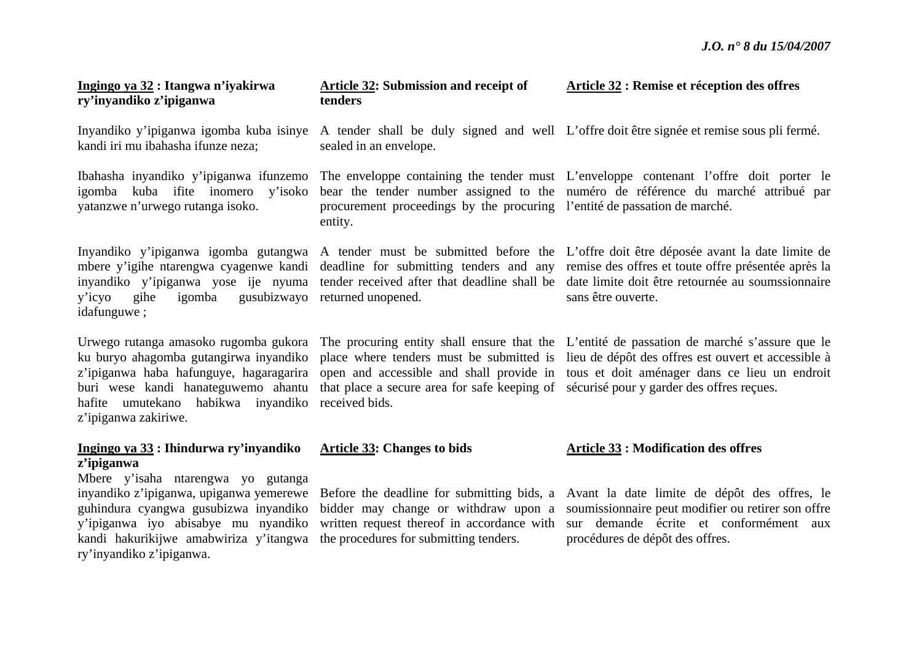| Ingingo ya 32 : Itangwa n'iyakirwa<br>ry'inyandiko z'ipiganwa                                                                                                                                                                         | <b>Article 32: Submission and receipt of</b><br>tenders                                                       | Article 32 : Remise et réception des offres                                                                                                                                                                                                                                          |
|---------------------------------------------------------------------------------------------------------------------------------------------------------------------------------------------------------------------------------------|---------------------------------------------------------------------------------------------------------------|--------------------------------------------------------------------------------------------------------------------------------------------------------------------------------------------------------------------------------------------------------------------------------------|
| Inyandiko y'ipiganwa igomba kuba isinye<br>kandi iri mu ibahasha ifunze neza;                                                                                                                                                         | sealed in an envelope.                                                                                        | A tender shall be duly signed and well L'offre doit être signée et remise sous pli fermé.                                                                                                                                                                                            |
| Ibahasha inyandiko y'ipiganwa ifunzemo<br>igomba kuba ifite inomero y'isoko<br>yatanzwe n'urwego rutanga isoko.                                                                                                                       | procurement proceedings by the procuring l'entité de passation de marché.<br>entity.                          | The enveloppe containing the tender must L'enveloppe contenant l'offre doit porter le<br>bear the tender number assigned to the numéro de référence du marché attribué par                                                                                                           |
| Inyandiko y'ipiganwa igomba gutangwa<br>mbere y'igihe ntarengwa cyagenwe kandi<br>inyandiko y'ipiganwa yose ije nyuma<br>gusubizwayo<br>gihe<br>igomba<br>y'icyo<br>idafunguwe;                                                       | deadline for submitting tenders and any<br>tender received after that deadline shall be<br>returned unopened. | A tender must be submitted before the L'offre doit être déposée avant la date limite de<br>remise des offres et toute offre présentée après la<br>date limite doit être retournée au soumssionnaire<br>sans être ouverte.                                                            |
| Urwego rutanga amasoko rugomba gukora<br>ku buryo ahagomba gutangirwa inyandiko<br>z'ipiganwa haba hafunguye, hagaragarira<br>buri wese kandi hanateguwemo ahantu<br>umutekano<br>habikwa inyandiko<br>hafite<br>z'ipiganwa zakiriwe. | that place a secure area for safe keeping of sécurisé pour y garder des offres reçues.<br>received bids.      | The procuring entity shall ensure that the L'entité de passation de marché s'assure que le<br>place where tenders must be submitted is lieu de dépôt des offres est ouvert et accessible à<br>open and accessible and shall provide in tous et doit aménager dans ce lieu un endroit |
| Ingingo ya 33 : Ihindurwa ry'inyandiko<br>z'ipiganwa                                                                                                                                                                                  | <b>Article 33: Changes to bids</b>                                                                            | <b>Article 33 : Modification des offres</b>                                                                                                                                                                                                                                          |
| Mbere y'isaha ntarengwa yo gutanga<br>inyandiko z'ipiganwa, upiganwa yemerewe<br>guhindura cyangwa gusubizwa inyandiko<br>y'ipiganwa iyo abisabye mu nyandiko<br>kandi hakurikijwe amabwiriza y'itangwa<br>ry'inyandiko z'ipiganwa.   | bidder may change or withdraw upon a<br>the procedures for submitting tenders.                                | Before the deadline for submitting bids, a Avant la date limite de dépôt des offres, le<br>soumissionnaire peut modifier ou retirer son offre<br>written request thereof in accordance with sur demande écrite et conformément aux<br>procédures de dépôt des offres.                |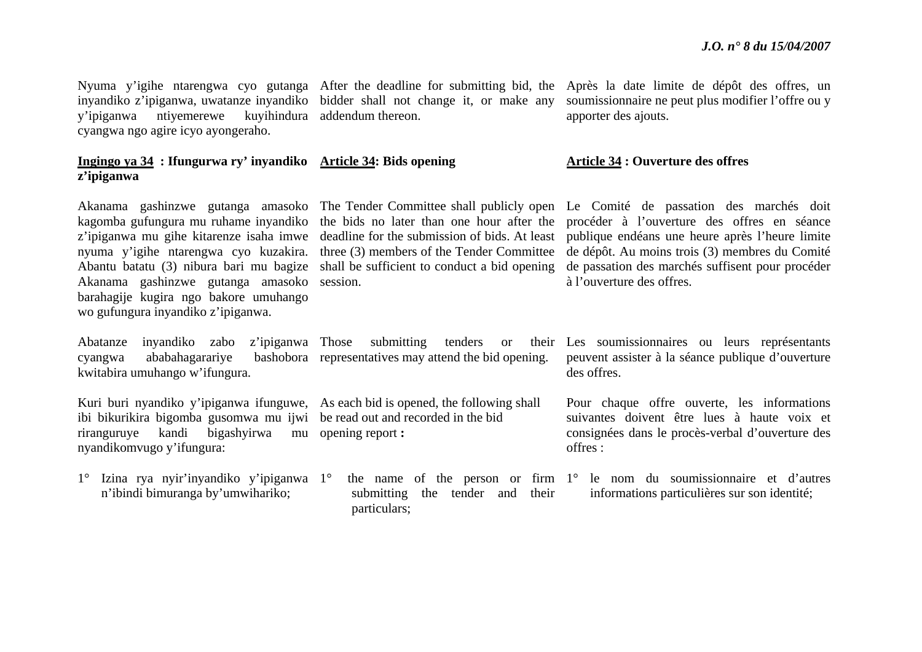inyandiko z'ipiganwa, uwatanze inyandiko bidder shall not change it, or make any y'ipiganwa ntiyemerewe cyangwa ngo agire icyo ayongeraho.

#### **Ingingo ya 34 : Ifungurwa ry' inyandiko Article 34: Bids opening <sup>z</sup>'ipiganwa**

kagomba gufungura mu ruhame inyandiko <sup>z</sup>'ipiganwa mu gihe kitarenze isaha imwe deadline for the submission of bids. At least nyuma y'igihe ntarengwa cyo kuzakira. three (3) members of the Tender Committee Abantu batatu (3) nibura bari mu bagize shall be sufficient to conduct a bid opening Akanama gashinzwe gutanga amasoko session. barahagije kugira ngo bakore umuhango wo gufungura inyandiko z'ipiganwa.

Abatanze inyandiko zabo z'ipiganwa cyangwa ababahagarariye kwitabira umuhango w'ifungura.

Kuri buri nyandiko y'ipiganwa ifunguwe, As each bid is opened, the following shall ibi bikurikira bigomba gusomwa mu ijwi be read out and recorded in the bid riranguruye kandi bigashyirwa mu opening report **:** nyandikomvugo y'ifungura:

1° Izina rya nyir'inyandiko y'ipiganwa 1°<sup>n</sup>'ibindi bimuranga by'umwihariko;

addendum thereon.

Nyuma y'igihe ntarengwa cyo gutanga After the deadline for submitting bid, the Après la date limite de dépôt des offres, un soumissionnaire ne peut plus modifier l'offre ou y apporter des ajouts.

#### **Article 34 : Ouverture des offres**

the bids no later than one hour after the

bashobora representatives may attend the bid opening.

submitting the tender and their particulars;

Akanama gashinzwe gutanga amasoko The Tender Committee shall publicly open Le Comité de passation des marchés doit procéder à l'ouverture des offres en séance publique endéans une heure après l'heure limite de dépôt. Au moins trois (3) membres du Comité de passation des marchés suffisent pour procéder à l'ouverture des offres.

> Those submitting tenders or their Les soumissionnaires ou leurs représentants peuvent assister à la séance publique d'ouverture des offres.

> > Pour chaque offre ouverte, les informations suivantes doivent être lues à haute voix et consignées dans le procès-verbal d'ouverture des offres :

the name of the person or firm 1° le nom du soumissionnaire et d'autres informations particulières sur son identité;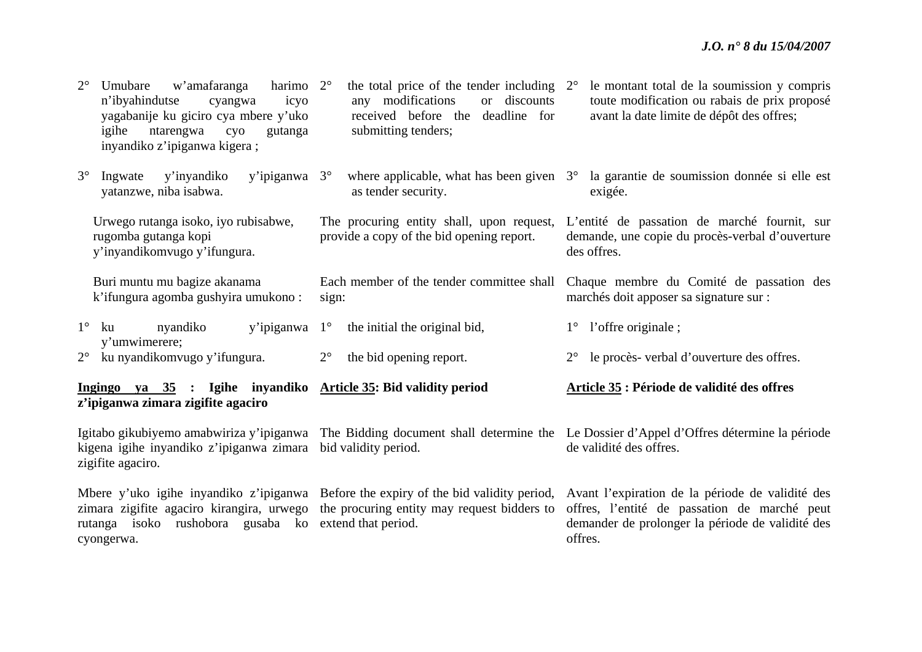| $2^{\circ}$<br>harimo $2^{\circ}$<br>w'amafaranga<br>Umubare<br>n'ibyahindutse<br>icyo<br>cyangwa<br>yagabanije ku giciro cya mbere y'uko<br>igihe<br>ntarengwa<br>cyo<br>gutanga<br>inyandiko z'ipiganwa kigera; | the total price of the tender including $2^{\circ}$<br>any modifications<br>or discounts<br>received before the<br>deadline for<br>submitting tenders; | le montant total de la soumission y compris<br>toute modification ou rabais de prix proposé<br>avant la date limite de dépôt des offres;                                                                                                             |  |  |
|-------------------------------------------------------------------------------------------------------------------------------------------------------------------------------------------------------------------|--------------------------------------------------------------------------------------------------------------------------------------------------------|------------------------------------------------------------------------------------------------------------------------------------------------------------------------------------------------------------------------------------------------------|--|--|
| $3^\circ$<br>y'inyandiko<br>Ingwate<br>y'ipiganwa $3^\circ$<br>yatanzwe, niba isabwa.                                                                                                                             | as tender security.                                                                                                                                    | where applicable, what has been given 3° la garantie de soumission donnée si elle est<br>exigée.                                                                                                                                                     |  |  |
| Urwego rutanga isoko, iyo rubisabwe,<br>rugomba gutanga kopi<br>y'inyandikomvugo y'ifungura.                                                                                                                      | The procuring entity shall, upon request,<br>provide a copy of the bid opening report.                                                                 | L'entité de passation de marché fournit, sur<br>demande, une copie du procès-verbal d'ouverture<br>des offres.                                                                                                                                       |  |  |
| Buri muntu mu bagize akanama<br>k'ifungura agomba gushyira umukono:                                                                                                                                               | Each member of the tender committee shall<br>sign:                                                                                                     | Chaque membre du Comité de passation des<br>marchés doit apposer sa signature sur :                                                                                                                                                                  |  |  |
| $1^{\circ}$<br>y'ipiganwa $1^\circ$<br>nyandiko<br>ku                                                                                                                                                             | the initial the original bid,                                                                                                                          | l'offre originale;<br>$1^{\circ}$                                                                                                                                                                                                                    |  |  |
| y'umwimerere;<br>ku nyandikomvugo y'ifungura.<br>$2^{\circ}$                                                                                                                                                      | $2^{\circ}$<br>the bid opening report.                                                                                                                 | le procès-verbal d'ouverture des offres.<br>$2^{\circ}$                                                                                                                                                                                              |  |  |
| Ingingo ya 35 : Igihe inyandiko Article 35: Bid validity period<br>z'ipiganwa zimara zigifite agaciro                                                                                                             |                                                                                                                                                        | Article 35 : Période de validité des offres                                                                                                                                                                                                          |  |  |
| Igitabo gikubiyemo amabwiriza y'ipiganwa<br>kigena igihe inyandiko z'ipiganwa zimara<br>zigifite agaciro.                                                                                                         | bid validity period.                                                                                                                                   | The Bidding document shall determine the Le Dossier d'Appel d'Offres détermine la période<br>de validité des offres.                                                                                                                                 |  |  |
| zimara zigifite agaciro kirangira, urwego<br>rutanga isoko rushobora gusaba ko extendithat period.<br>cyongerwa.                                                                                                  | the procuring entity may request bidders to                                                                                                            | Mbere y'uko igihe inyandiko z'ipiganwa Before the expiry of the bid validity period, Avant l'expiration de la période de validité des<br>offres, l'entité de passation de marché peut<br>demander de prolonger la période de validité des<br>offres. |  |  |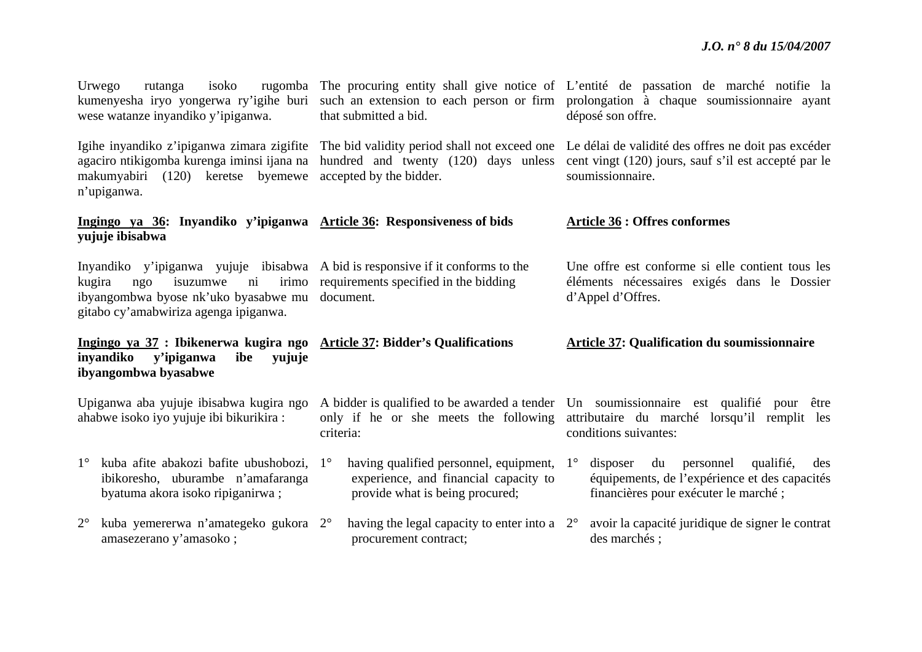|                                                                                    | Urwego<br>rutanga<br>isoko<br>kumenyesha iryo yongerwa ry'igihe buri<br>wese watanze inyandiko y'ipiganwa.                                                                                                                      | that submitted a bid.                                                                                                                | rugomba The procuring entity shall give notice of L'entité de passation de marché notifie la<br>such an extension to each person or firm prolongation à chaque soumissionnaire ayant<br>déposé son offre.               |  |  |  |
|------------------------------------------------------------------------------------|---------------------------------------------------------------------------------------------------------------------------------------------------------------------------------------------------------------------------------|--------------------------------------------------------------------------------------------------------------------------------------|-------------------------------------------------------------------------------------------------------------------------------------------------------------------------------------------------------------------------|--|--|--|
|                                                                                    | agaciro ntikigomba kurenga iminsi ijana na<br>makumyabiri (120) keretse byemewe<br>n'upiganwa.                                                                                                                                  | hundred and twenty (120) days unless<br>accepted by the bidder.                                                                      | Igihe inyandiko z'ipiganwa zimara zigifite The bid validity period shall not exceed one Le délai de validité des offres ne doit pas excéder<br>cent vingt (120) jours, sauf s'il est accepté par le<br>soumissionnaire. |  |  |  |
|                                                                                    | Ingingo ya 36: Inyandiko y'ipiganwa Article 36: Responsiveness of bids<br>yujuje ibisabwa                                                                                                                                       |                                                                                                                                      | <b>Article 36 : Offres conformes</b>                                                                                                                                                                                    |  |  |  |
|                                                                                    | Inyandiko y'ipiganwa yujuje ibisabwa A bid is responsive if it conforms to the<br>isuzumwe<br>irimo<br>kugira<br>ngo<br>$\overline{\text{ni}}$<br>ibyangombwa byose nk'uko byasabwe mu<br>gitabo cy'amabwiriza agenga ipiganwa. | requirements specified in the bidding<br>document.                                                                                   | Une offre est conforme si elle contient tous les<br>éléments nécessaires exigés dans le Dossier<br>d'Appel d'Offres.                                                                                                    |  |  |  |
|                                                                                    | Ingingo ya 37 : Ibikenerwa kugira ngo Article 37: Bidder's Qualifications<br>inyandiko<br>y'ipiganwa<br>ibe<br>yujuje<br>ibyangombwa byasabwe                                                                                   |                                                                                                                                      | <b>Article 37: Qualification du soumissionnaire</b>                                                                                                                                                                     |  |  |  |
| Upiganwa aba yujuje ibisabwa kugira ngo<br>ahabwe isoko iyo yujuje ibi bikurikira: |                                                                                                                                                                                                                                 | only if he or she meets the following<br>criteria:                                                                                   | A bidder is qualified to be awarded a tender Un soumission aire est qualifie pour être<br>attributaire du marché lorsqu'il remplit les<br>conditions suivantes:                                                         |  |  |  |
|                                                                                    | 1° kuba afite abakozi bafite ubushobozi,<br>ibikoresho, uburambe n'amafaranga<br>byatuma akora isoko ripiganirwa;                                                                                                               | having qualified personnel, equipment, 1°<br>$1^{\circ}$<br>experience, and financial capacity to<br>provide what is being procured; | disposer<br>du<br>personnel<br>qualifié,<br>des<br>équipements, de l'expérience et des capacités<br>financières pour exécuter le marché;                                                                                |  |  |  |
|                                                                                    |                                                                                                                                                                                                                                 |                                                                                                                                      |                                                                                                                                                                                                                         |  |  |  |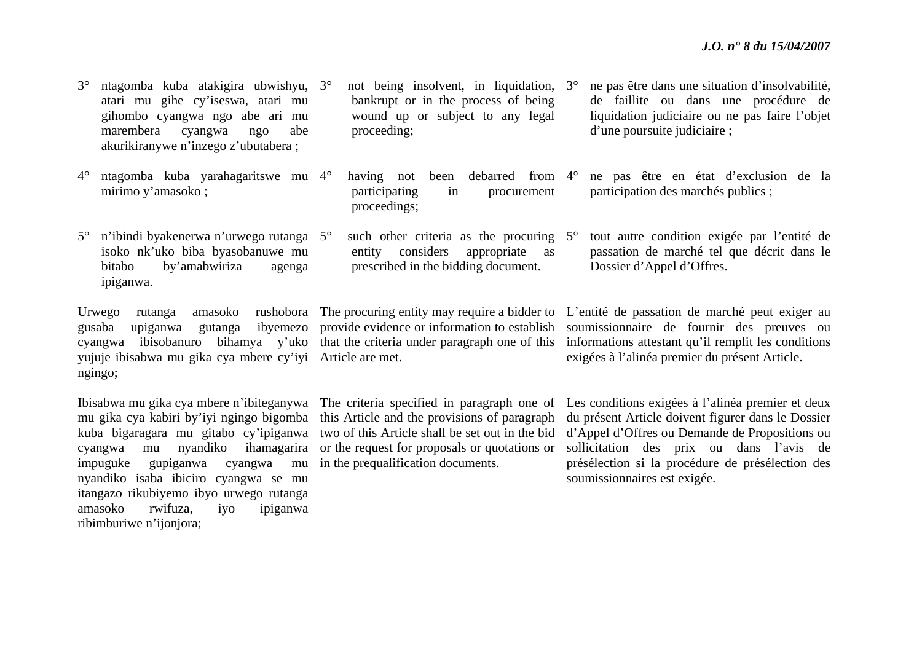| $3^\circ$   | ntagomba kuba atakigira ubwishyu, 3 <sup>°</sup><br>atari mu gihe cy'iseswa, atari mu<br>gihombo cyangwa ngo abe ari mu<br>marembera<br>abe<br>cyangwa<br>ngo<br>akurikiranywe n'inzego z'ubutabera; | not being insolvent, in liquidation, $3^{\circ}$<br>bankrupt or in the process of being<br>wound up or subject to any legal<br>proceeding; |           | ne pas être dans une situation d'insolvabilité,<br>de faillite ou dans une procédure de<br>liquidation judiciaire ou ne pas faire l'objet<br>d'une poursuite judiciaire;                       |
|-------------|------------------------------------------------------------------------------------------------------------------------------------------------------------------------------------------------------|--------------------------------------------------------------------------------------------------------------------------------------------|-----------|------------------------------------------------------------------------------------------------------------------------------------------------------------------------------------------------|
| $4^\circ$   | ntagomba kuba yarahagaritswe mu 4°<br>mirimo y'amasoko;                                                                                                                                              | debarred from $4^\circ$<br>been<br>having not<br>participating<br>procurement<br>in<br>proceedings;                                        |           | ne pas être en état d'exclusion de la<br>participation des marchés publics;                                                                                                                    |
| $5^{\circ}$ | n'ibindi byakenerwa n'urwego rutanga 5°<br>isoko nk'uko biba byasobanuwe mu<br>bitabo<br>by'amabwiriza<br>agenga<br>ipiganwa.                                                                        | such other criteria as the procuring<br>considers<br>appropriate as<br>entity<br>prescribed in the bidding document.                       | $5^\circ$ | tout autre condition exigée par l'entité de<br>passation de marché tel que décrit dans le<br>Dossier d'Appel d'Offres.                                                                         |
|             | amasoko<br>rushobora<br>Urwego<br>rutanga<br>gusaba<br>upiganwa<br>gutanga                                                                                                                           |                                                                                                                                            |           | The procuring entity may require a bidder to L'entité de passation de marché peut exiger au<br>ibyemezo provide evidence or information to establish soumissionnaire de fournir des preuves ou |

cyangwa ibisobanuro bihamya y'uko that the criteria under paragraph one of this informations attestant qu'il remplit les conditions yujuje ibisabwa mu gika cya mbere cy'iyi Article are met. ngingo;

mu gika cya kabiri by'iyi ngingo bigomba kuba bigaragara mu gitabo cy'ipiganwa cyangwa mu nyandiko ihamagarira impuguke gupiganwa cyangwa mu nyandiko isaba ibiciro cyangwa se mu itangazo rikubiyemo ibyo urwego rutanga amasoko rwifuza, iyo ipiganwa ribimburiwe n'ijonjora;

or the request for proposals or quotations or in the prequalification documents.

Ibisabwa mu gika cya mbere n'ibiteganywa The criteria specified in paragraph one of Les conditions exigées à l'alinéa premier et deux this Article and the provisions of paragraph du présent Article doivent figurer dans le Dossier two of this Article shall be set out in the bid d'Appel d'Offres ou Demande de Propositions ou sollicitation des prix ou dans l'avis de présélection si la procédure de présélection des soumissionnaires est exigée.

exigées à l'alinéa premier du présent Article.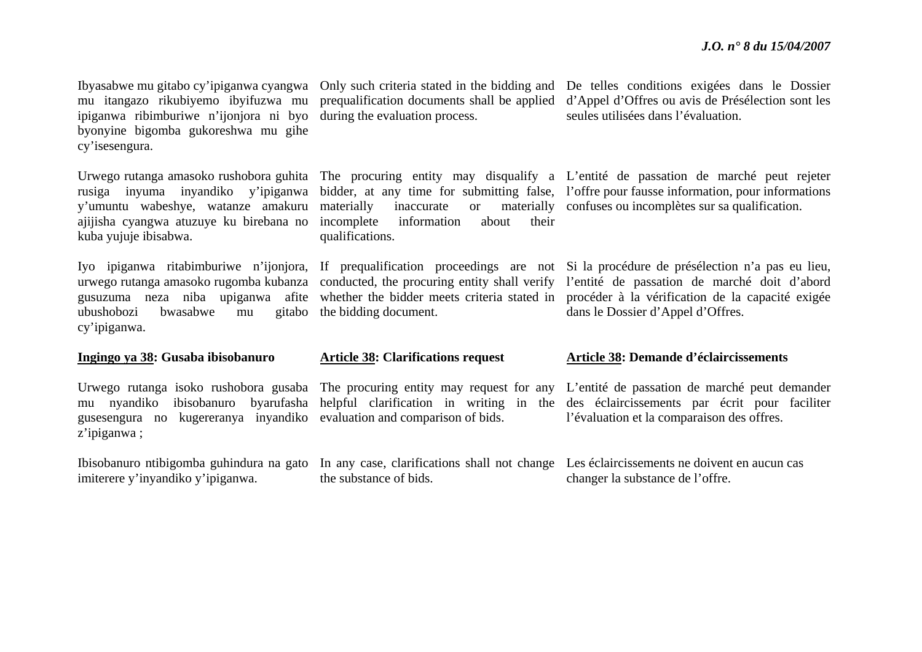mu itangazo rikubiyemo ibyifuzwa mu ipiganwa ribimburiwe n'ijonjora ni byo byonyine bigomba gukoreshwa mu gihe cy'isesengura.

y'umuntu wabeshye, watanze amakuru ajijisha cyangwa atuzuye ku birebana no kuba yujuje ibisabwa.

ubushobozi bwasabwe mu cy'ipiganwa.

#### **Ingingo ya 38: Gusaba ibisobanuro**

mu nyandiko ibisobanuro gusesengura no kugereranya inyandiko evaluation and comparison of bids. <sup>z</sup>'ipiganwa ;

imiterere y'inyandiko y'ipiganwa.

during the evaluation process.

materially inaccurate or materially confuses ou incomplètes sur sa qualification. incomplete information about their qualifications.

gitabo the bidding document.

#### **Article 38: Clarifications request**

the substance of bids.

Ibyasabwe mu gitabo cy'ipiganwa cyangwa Only such criteria stated in the bidding and De telles conditions exigées dans le Dossier prequalification documents shall be applied d'Appel d'Offres ou avis de Présélection sont les seules utilisées dans l'évaluation.

Urwego rutanga amasoko rushobora guhita The procuring entity may disqualify a L'entité de passation de marché peut rejeter rusiga inyuma inyandiko y'ipiganwa bidder, at any time for submitting false, l'offre pour fausse information, pour informations

Iyo ipiganwa ritabimburiwe n'ijonjora, If prequalification proceedings are not Si la procédure de présélection n'a pas eu lieu, urwego rutanga amasoko rugomba kubanza conducted, the procuring entity shall verify l'entité de passation de marché doit d'abord gusuzuma neza niba upiganwa afite whether the bidder meets criteria stated in procéder à la vérification de la capacité exigée dans le Dossier d'Appel d'Offres.

#### **Article 38: Demande d'éclaircissements**

Urwego rutanga isoko rushobora gusaba The procuring entity may request for any L'entité de passation de marché peut demander helpful clarification in writing in the des éclaircissements par écrit pour faciliter l'évaluation et la comparaison des offres.

Ibisobanuro ntibigomba guhindura na gato In any case, clarifications shall not change Les éclaircissements ne doivent en aucun cas changer la substance de l'offre.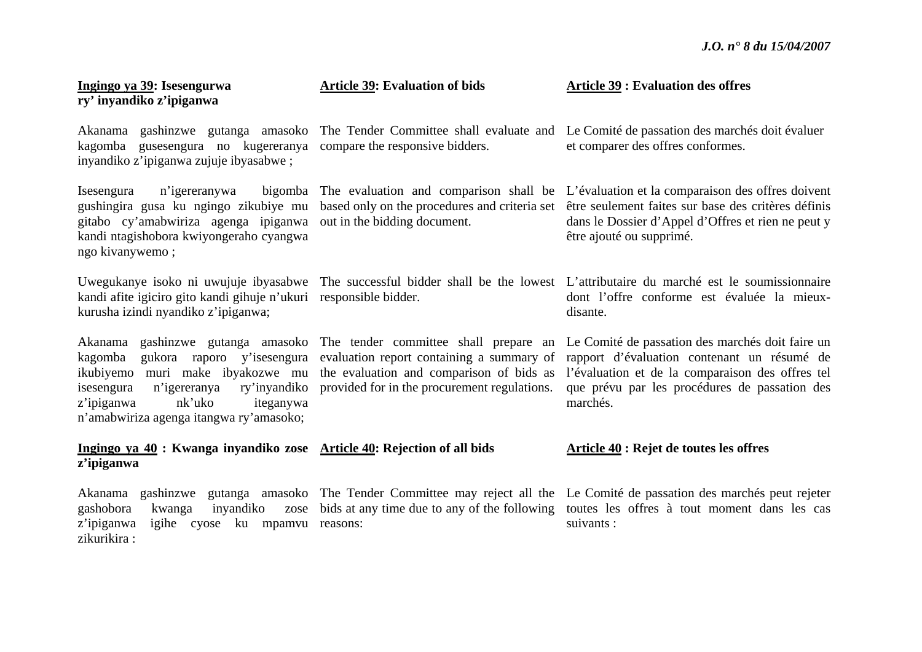| Ingingo ya 39: Isesengurwa<br>ry' inyandiko z'ipiganwa                                                                                                                                                  | <b>Article 39: Evaluation of bids</b>                                                                                                                                                                            | <b>Article 39: Evaluation des offres</b>                                                                                                                                                                                                   |
|---------------------------------------------------------------------------------------------------------------------------------------------------------------------------------------------------------|------------------------------------------------------------------------------------------------------------------------------------------------------------------------------------------------------------------|--------------------------------------------------------------------------------------------------------------------------------------------------------------------------------------------------------------------------------------------|
| kagomba gusesengura no kugereranya compare the responsive bidders.<br>inyandiko z'ipiganwa zujuje ibyasabwe;                                                                                            |                                                                                                                                                                                                                  | Akanama gashinzwe gutanga amasoko The Tender Committee shall evaluate and Le Comité de passation des marchés doit évaluer<br>et comparer des offres conformes.                                                                             |
| Isesengura<br>n'igereranywa<br>gushingira gusa ku ngingo zikubiye mu<br>gitabo cy'amabwiriza agenga ipiganwa<br>kandi ntagishobora kwiyongeraho cyangwa<br>ngo kivanywemo;                              | based only on the procedures and criteria set<br>out in the bidding document.                                                                                                                                    | bigomba. The evaluation and comparison shall be L'évaluation et la comparaison des offres doivent<br>être seulement faites sur base des critères définis<br>dans le Dossier d'Appel d'Offres et rien ne peut y<br>être ajouté ou supprimé. |
| Uwegukanye isoko ni uwujuje ibyasabwe<br>kandi afite igiciro gito kandi gihuje n'ukuri responsible bidder.<br>kurusha izindi nyandiko z'ipiganwa;                                                       |                                                                                                                                                                                                                  | The successful bidder shall be the lowest L'attributaire du marché est le soumissionnaire<br>dont l'offre conforme est évaluée la mieux-<br>disante.                                                                                       |
| kagomba<br>gukora raporo y'isesengura<br>ikubiyemo muri make ibyakozwe mu<br>ry'inyandiko<br>isesengura<br>n'igereranya<br>z'ipiganwa<br>nk'uko<br>iteganywa<br>n'amabwiriza agenga itangwa ry'amasoko; | Akanama gashinzwe gutanga amasoko The tender committee shall prepare an<br>evaluation report containing a summary of<br>the evaluation and comparison of bids as<br>provided for in the procurement regulations. | Le Comité de passation des marchés doit faire un<br>rapport d'évaluation contenant un résumé de<br>l'évaluation et de la comparaison des offres tel<br>que prévu par les procédures de passation des<br>marchés.                           |
| Ingingo ya 40 : Kwanga inyandiko zose Article 40: Rejection of all bids<br>z'ipiganwa                                                                                                                   |                                                                                                                                                                                                                  | <b>Article 40 : Rejet de toutes les offres</b>                                                                                                                                                                                             |
| Akanama<br>gashobora<br>kwanga<br>inyandiko<br>zose<br>z'ipiganwa<br>igihe cyose ku mpamvu reasons:                                                                                                     | bids at any time due to any of the following                                                                                                                                                                     | gashinzwe gutanga amasoko The Tender Committee may reject all the Le Comité de passation des marchés peut rejeter<br>toutes les offres à tout moment dans les cas<br>suivants :                                                            |

zikurikira :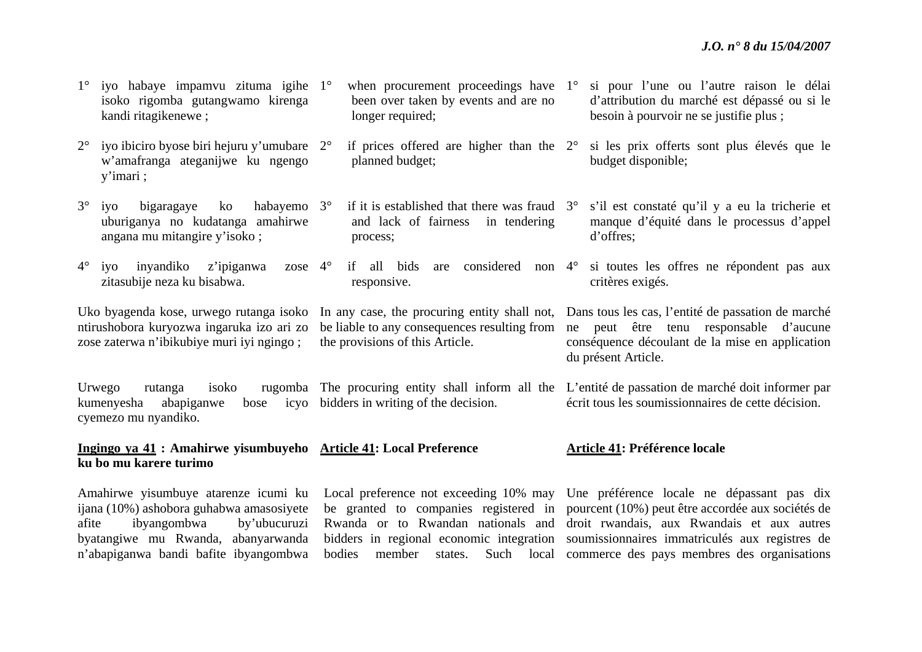| 1° iyo habaye impamvu zituma igihe 1° when procurement proceedings have 1° si pour l'une ou l'autre raison le |                                      |                                        |
|---------------------------------------------------------------------------------------------------------------|--------------------------------------|----------------------------------------|
| isoko rigomba gutangwamo kirenga                                                                              | been over taken by events and are no | d'attribution du marché est dépassé o  |
| kandi ritagikenewe;                                                                                           | longer required;                     | besoin à pourvoir ne se justifie plus; |

and lack of fairness in tendering

planned budget;

process;

responsive.

the provisions of this Article.

- $2^{\circ}$ <sup>o</sup> iyo ibiciro byose biri hejuru y'umubare 2<sup>o</sup> <sup>w</sup>'amafranga ateganijwe ku ngengo y'imari ;
- 3° iyo bigaragaye ko habayemo uburiganya no kudatanga amahirwe angana mu mitangire y'isoko ; habayemo 3°
- $4^\circ$ zitasubije neza ku bisabwa.

ntirushobora kuryozwa ingaruka izo ari zo zose zaterwa n'ibikubiye muri iyi ngingo ;

Urwego rutanga isoko rugomba The procuring entity shall inform all the L'entité de passation de marché doit informer par kumenyesha abapiganwe bose icyo bidders in writing of the decision. cyemezo mu nyandiko. écrit tous les soumissionnaires de cette décision.

#### **Ingingo ya 41 : Amahirwe yisumbuyeho Article 41: Local Preference ku bo mu karere turimo**

ijana (10%) ashobora guhabwa amasosiyete afite ibyangombwa by'ubucuruzi byatangiwe mu Rwanda, abanyarwanda

- si pour l'une ou l'autre raison le délai pu si le besoin à pourvoir ne se justifie plus ;
- $\degree$  if prices offered are higher than the  $2\degree$  si les prix offerts sont plus élevés que le budget disponible;
- $\degree$  if it is established that there was fraud  $\degree$  s'il est constaté qu'il y a eu la tricherie et manque d'équité dans le processus d'appel d'offres;
- iyo inyandiko z'ipiganwa zose 4° if all bids are considered non 4° si toutes les offres ne répondent pas aux critères exigés.

Uko byagenda kose, urwego rutanga isoko In any case, the procuring entity shall not, Dans tous les cas, l'entité de passation de marché be liable to any consequences resulting from ne peut être tenu responsable d'aucune conséquence découlant de la mise en application du présent Article.

#### **Article 41: Préférence locale**

Amahirwe yisumbuye atarenze icumi ku Local preference not exceeding 10% may Une préférence locale ne dépassant pas dix <sup>n</sup>'abapiganwa bandi bafite ibyangombwa bodies member states. Such local commerce des pays membres des organisations be granted to companies registered in pourcent (10%) peut être accordée aux sociétés de Rwanda or to Rwandan nationals and droit rwandais, aux Rwandais et aux autres bidders in regional economic integration soumissionnaires immatriculés aux registres de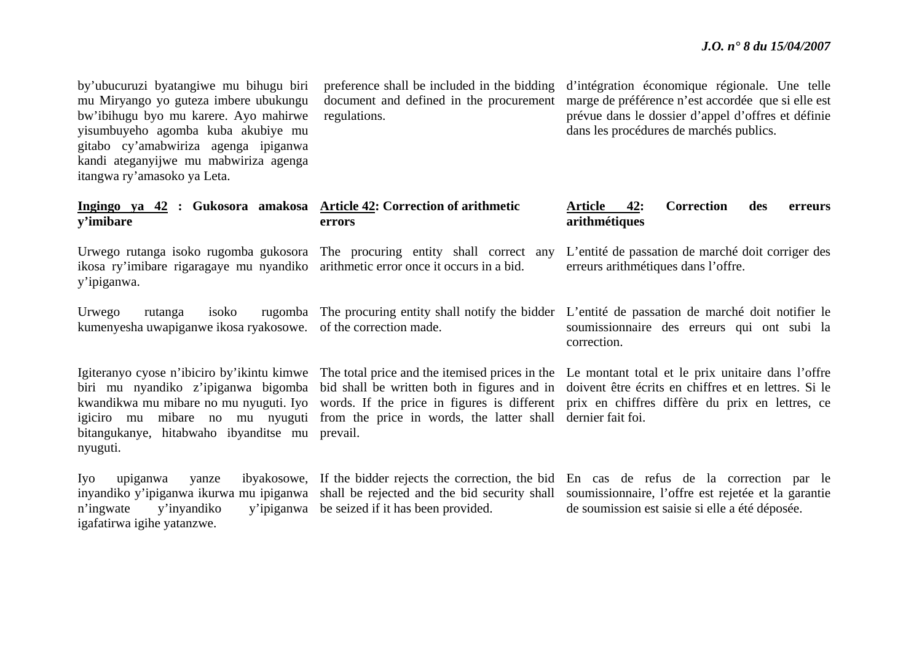by'ubucuruzi byatangiwe mu bihugu biri mu Miryango yo guteza imbere ubukungu bw'ibihugu byo mu karere. Ayo mahirwe yisumbuyeho agomba kuba akubiye mu gitabo cy'amabwiriza agenga ipiganwa kandi ateganyijwe mu mabwiriza agenga itangwa ry'amasoko ya Leta.

preference shall be included in the bidding document and defined in the procurement regulations.

d'intégration économique régionale. Une telle marge de préférence n'est accordée que si elle est prévue dans le dossier d'appel d'offres et définie dans les procédures de marchés publics.

#### **Ingingo ya 42 : Gukosora amakosa Article 42: Correction of arithmetic y'imibare errors** Article 42: Correction des erreurs **arithmétiques**

Urwego rutanga isoko rugomba gukosora The procuring entity shall correct any ikosa ry'imibare rigaragaye mu nyandiko arithmetic error once it occurs in a bid. y'ipiganwa. L'entité de passation de marché doit corriger des erreurs arithmétiques dans l'offre.

Urwego rutanga isoko rugomba The procuring entity shall notify the bidder L'entité de passation de marché doit notifier le kumenyesha uwapiganwe ikosa ryakosowe. of the correction made.

bitangukanye, hitabwaho ibyanditse mu prevail. nyuguti.

Igiteranyo cyose n'ibiciro by'ikintu kimwe The total price and the itemised prices in the Le montant total et le prix unitaire dans l'offre igiciro mu mibare no mu nyuguti from the price in words, the latter shall dernier fait foi.

soumissionnaire des erreurs qui ont subi la correction.

biri mu nyandiko z'ipiganwa bigomba bid shall be written both in figures and in doivent être écrits en chiffres et en lettres. Si le kwandikwa mu mibare no mu nyuguti. Iyo words. If the price in figures is different prix en chiffres diffère du prix en lettres, ce

Iyo upiganwa yanze ibyakosowe, If the bidder rejects the correction, the bid En cas de refus de la correction par le inyandiko y'ipiganwa ikurwa mu ipiganwa shall be rejected and the bid security shall soumissionnaire, l'offre est rejetée et la garantie <sup>n</sup>'ingwate y'inyandiko y'ipiganwa be seized if it has been provided. igafatirwa igihe yatanzwe. de soumission est saisie si elle a été déposée.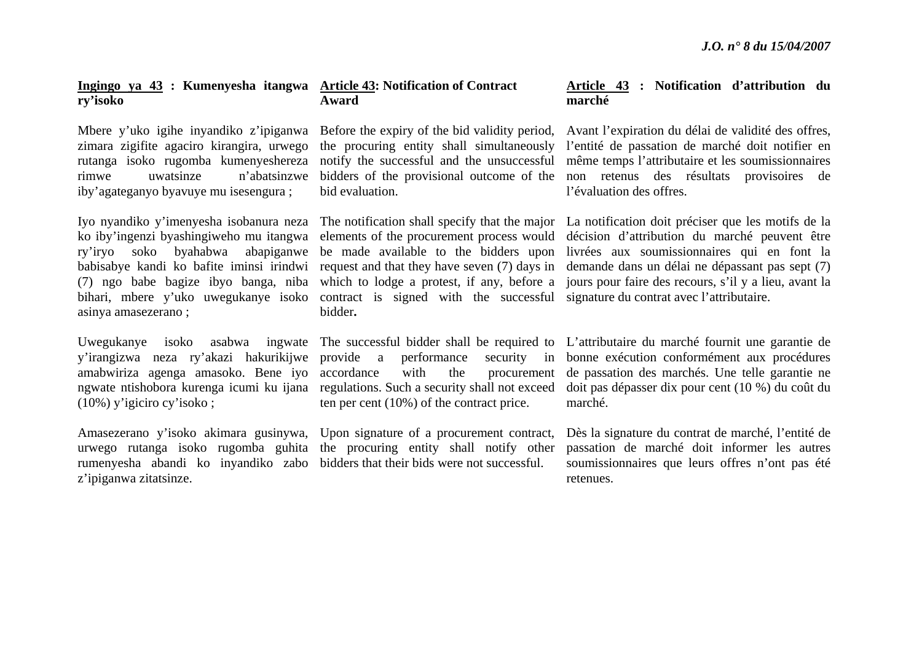#### **Ingingo ya 43 : Kumenyesha itangwa Article 43: Notification of Contract ry'isoko**

Mbere y'uko igihe inyandiko z'ipiganwa zimara zigifite agaciro kirangira, urwego rutanga isoko rugomba kumenyeshereza rimwe uwatsinze n'abatsinzwe iby'agateganyo byavuye mu isesengura ;

ko iby'ingenzi byashingiweho mu itangwa (7) ngo babe bagize ibyo banga, niba bihari, mbere y'uko uwegukanye isoko asinya amasezerano ;

Uwegukanye isoko asabwa y'irangizwa neza ry'akazi hakurikijwe amabwiriza agenga amasoko. Bene iyo (10%) y'igiciro cy'isoko ;

rumenyesha abandi ko inyandiko zabo bidders that their bids were not successful. <sup>z</sup>'ipiganwa zitatsinze.

# **Award**

Before the expiry of the bid validity period, bidders of the provisional outcome of the bid evaluation.

contract is signed with the successful signature du contrat avec l'attributaire. bidder**.**

performance ten per cent (10%) of the contract price.

Amasezerano y'isoko akimara gusinywa, Upon signature of a procurement contract, urwego rutanga isoko rugomba guhita the procuring entity shall notify other

#### **Article 43 : Notification d'attribution du marché**

the procuring entity shall simultaneously l'entité de passation de marché doit notifier en notify the successful and the unsuccessful même temps l'attributaire et les soumissionnaires Avant l'expiration du délai de validité des offres, non retenus des résultats provisoires de l'évaluation des offres.

Iyo nyandiko y'imenyesha isobanura neza The notification shall specify that the major La notification doit préciser que les motifs de la ry'iryo soko byahabwa abapiganwe be made available to the bidders upon livrées aux soumissionnaires qui en font la babisabye kandi ko bafite iminsi irindwi request and that they have seven (7) days in demande dans un délai ne dépassant pas sept (7) elements of the procurement process would décision d'attribution du marché peuvent être which to lodge a protest, if any, before a jours pour faire des recours, s'il y a lieu, avant la

ngwate ntishobora kurenga icumi ku ijana regulations. Such a security shall not exceed doit pas dépasser dix pour cent (10 %) du coût du The successful bidder shall be required to L'attributaire du marché fournit une garantie de accordance with the procurement de passation des marchés. Une telle garantie ne security in bonne exécution conformément aux procédures marché.

> Dès la signature du contrat de marché, l'entité de passation de marché doit informer les autres soumissionnaires que leurs offres n'ont pas été retenues.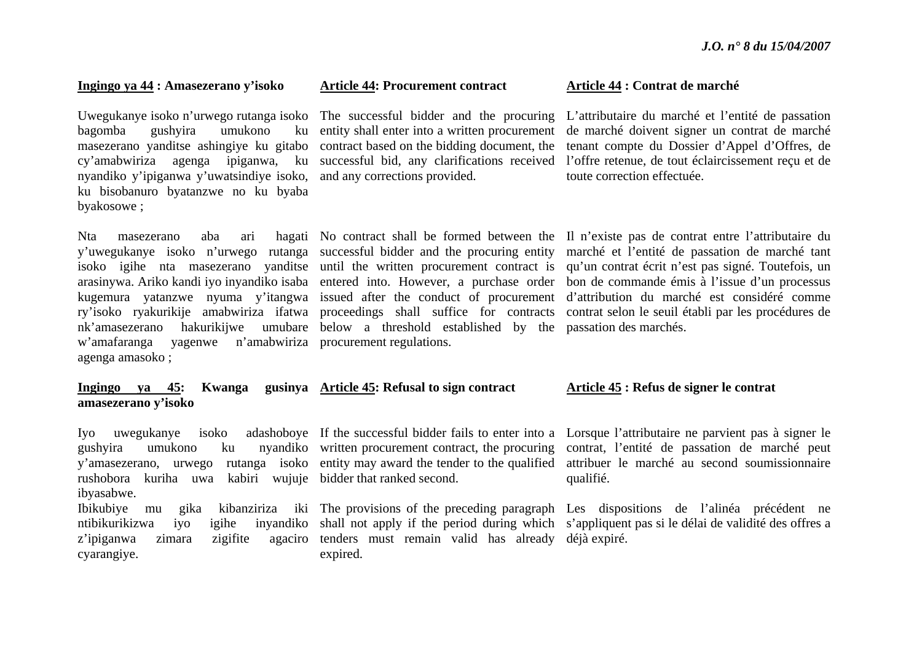#### **Ingingo ya 44 : Amasezerano y'isoko**

Uwegukanye isoko n'urwego rutanga isoko The successful bidder and the procuring bagomba gushyira umukono ku masezerano yanditse ashingiye ku gitabo cy'amabwiriza agenga ipiganwa, ku nyandiko y'ipiganwa y'uwatsindiye isoko, ku bisobanuro byatanzwe no ku byaba byakosowe ;

Nta masezerano aba ari <sup>w</sup>'amafaranga yagenwe n'amabwiriza procurement regulations. agenga amasoko ;

#### **Article 44: Procurement contract**

contract based on the bidding document, the and any corrections provided.

nk'amasezerano hakurikijwe umubare below a threshold established by the passation des marchés.

#### **Article 44 : Contrat de marché**

entity shall enter into a written procurement de marché doivent signer un contrat de marché successful bid, any clarifications received l'offre retenue, de tout éclaircissement reçu et de L'attributaire du marché et l'entité de passation tenant compte du Dossier d'Appel d'Offres, de toute correction effectuée.

y'uwegukanye isoko n'urwego rutanga successful bidder and the procuring entity marché et l'entité de passation de marché tant isoko igihe nta masezerano yanditse until the written procurement contract is qu'un contrat écrit n'est pas signé. Toutefois, un arasinywa. Ariko kandi iyo inyandiko isaba entered into. However, a purchase order bon de commande émis à l'issue d'un processus kugemura yatanzwe nyuma y'itangwa issued after the conduct of procurement d'attribution du marché est considéré comme ry'isoko ryakurikije amabwiriza ifatwa proceedings shall suffice for contracts contrat-selon-le-seuil-établi-par-les-procédures-de-No contract shall be formed between the Il n'existe pas de contrat entre l'attributaire du

#### **Ingingo** ya 45: **amasezerano y'isoko Article 45: Refusal to sign contract**

Iyo uwegukanye isoko rushobora kuriha uwa kabiri wujuje bidder that ranked second. ibyasabwe. ntibikurikizwa iyo igihe

z'ipiganwa zimara zigifite cyarangiye.

tenders must remain valid has already déjà expiré. expired.

#### **Article 45 : Refus de signer le contrat**

gushyira umukono ku nyandiko written procurement contract, the procuring contrat, l'entité de passation de marché peut y'amasezerano, urwego rutanga isoko entity may award the tender to the qualified attribuer le marché au second soumissionnaire If the successful bidder fails to enter into a Lorsque l'attributaire ne parvient pas à signer le qualifié.

Ibikubiye mu gika kibanziriza iki The provisions of the preceding paragraph Les dispositions de l'alinéa précédent ne shall not apply if the period during which <sup>s</sup>'appliquent pas si le délai de validité des offres a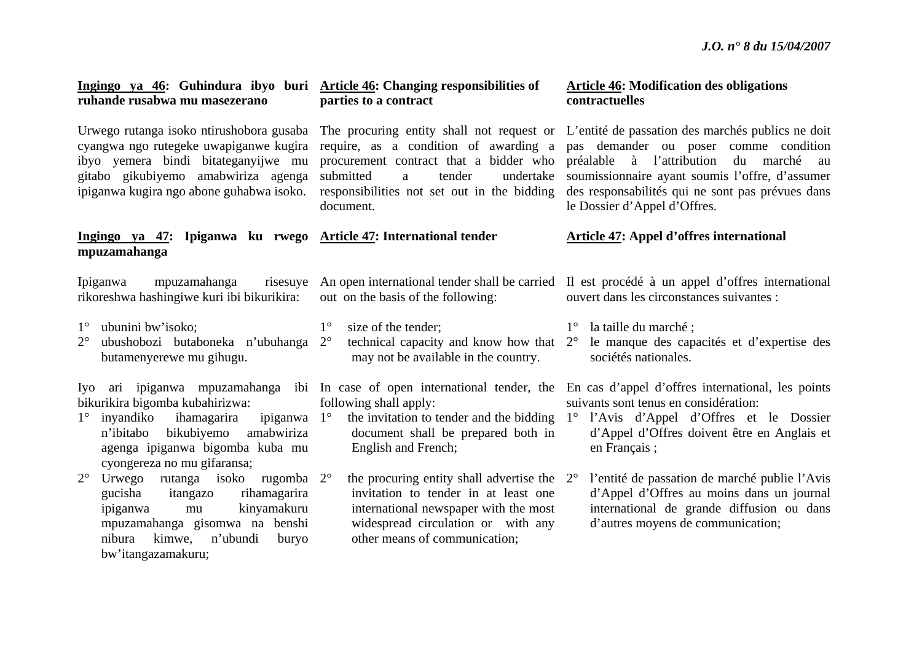| <u>Ingingo ya 46</u> : Guhindura ibyo buri <u>Article 46</u> : Changing responsibilities of<br>ruhande rusabwa mu masezerano                                                                                      | parties to a contract                                                                                                                                                                                                       | <b>Article 46: Modification des obligations</b><br>contractuelles                                                                                                                                                                                                                                                                                                    |
|-------------------------------------------------------------------------------------------------------------------------------------------------------------------------------------------------------------------|-----------------------------------------------------------------------------------------------------------------------------------------------------------------------------------------------------------------------------|----------------------------------------------------------------------------------------------------------------------------------------------------------------------------------------------------------------------------------------------------------------------------------------------------------------------------------------------------------------------|
| ibyo yemera bindi bitateganyijwe mu<br>gitabo gikubiyemo amabwiriza agenga<br>ipiganwa kugira ngo abone guhabwa isoko.                                                                                            | cyangwa ngo rutegeke uwapiganwe kugira require, as a condition of awarding a<br>procurement contract that a bidder who<br>submitted<br>undertake<br>tender<br>a<br>responsibilities not set out in the bidding<br>document. | Urwego rutanga isoko ntirushobora gusaba The procuring entity shall not request or L'entité de passation des marchés publics ne doit<br>pas demander ou poser comme condition<br>préalable à l'attribution<br>du<br>marché au<br>soumissionnaire ayant soumis l'offre, d'assumer<br>des responsabilités qui ne sont pas prévues dans<br>le Dossier d'Appel d'Offres. |
| Ingingo ya 47: Ipiganwa ku rwego Article 47: International tender<br>mpuzamahanga                                                                                                                                 |                                                                                                                                                                                                                             | <b>Article 47: Appel d'offres international</b>                                                                                                                                                                                                                                                                                                                      |
| mpuzamahanga<br>Ipiganwa<br>risesuye<br>rikoreshwa hashingiwe kuri ibi bikurikira:                                                                                                                                | out on the basis of the following:                                                                                                                                                                                          | An open international tender shall be carried Il est procédé à un appel d'offres international<br>ouvert dans les circonstances suivantes :                                                                                                                                                                                                                          |
| ubunini bw'isoko;<br>$1^{\circ}$<br>ubushobozi butaboneka n'ubuhanga 2°<br>$2^{\circ}$<br>butamenyerewe mu gihugu.                                                                                                | $1^{\circ}$<br>size of the tender;<br>technical capacity and know how that 2°<br>may not be available in the country.                                                                                                       | $1^\circ$ la taille du marché;<br>le manque des capacités et d'expertise des<br>sociétés nationales.                                                                                                                                                                                                                                                                 |
| bikurikira bigomba kubahirizwa:<br>ipiganwa $1^\circ$<br>inyandiko<br>ihamagarira<br>$1^{\circ}$<br>amabwiriza<br>bikubiyemo<br>n'ibitabo<br>agenga ipiganwa bigomba kuba mu<br>cyongereza no mu gifaransa;       | following shall apply:<br>the invitation to tender and the bidding<br>document shall be prepared both in<br>English and French;                                                                                             | Iyo ari ipiganwa mpuzamahanga ibi In case of open international tender, the En cas d'appel d'offres international, les points<br>suivants sont tenus en considération:<br>1° l'Avis d'Appel d'Offres et le Dossier<br>d'Appel d'Offres doivent être en Anglais et<br>en Français;                                                                                    |
| Urwego rutanga isoko rugomba 2°<br>$2^{\circ}$<br>gucisha<br>rihamagarira<br>itangazo<br>kinyamakuru<br>ipiganwa<br>mu<br>mpuzamahanga gisomwa na benshi<br>nibura kimwe, n'ubundi<br>buryo<br>bw'itangazamakuru; | the procuring entity shall advertise the $2^{\circ}$<br>invitation to tender in at least one<br>international newspaper with the most<br>widespread circulation or with any<br>other means of communication;                | l'entité de passation de marché publie l'Avis<br>d'Appel d'Offres au moins dans un journal<br>international de grande diffusion ou dans<br>d'autres moyens de communication;                                                                                                                                                                                         |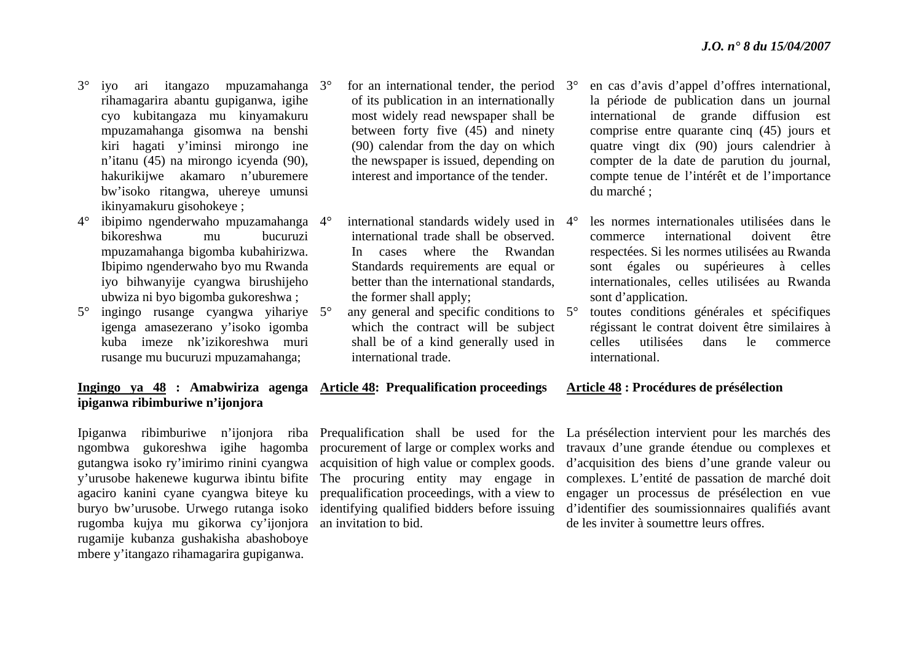- 3° iyo ari itangazo mpuzamahanga 3°rihamagarira abantu gupiganwa, igihe cyo kubitangaza mu kinyamakuru mpuzamahanga gisomwa na benshi kiri hagati y'iminsi mirongo ine <sup>n</sup>'itanu (45) na mirongo icyenda (90), hakurikijwe akamaro n'uburemere bw'isoko ritangwa, uhereye umunsi ikinyamakuru gisohokeye ;
- 4° ibipimo ngenderwaho mpuzamahanga 4°bikoreshwa mu bucuruzi mpuzamahanga bigomba kubahirizwa. Ibipimo ngenderwaho byo mu Rwanda iyo bihwanyije cyangwa birushijeho ubwiza ni byo bigomba gukoreshwa ;
- 5° ingingo rusange cyangwa yihariye 5°igenga amasezerano y'isoko igomba kuba imeze nk'izikoreshwa muri rusange mu bucuruzi mpuzamahanga;

**ipiganwa ribimburiwe n'ijonjora** 

### $\degree$  for an international tender, the period  $3\degree$ of its publication in an internationally most widely read newspaper shall be between forty five (45) and ninety (90) calendar from the day on which the newspaper is issued, depending on interest and importance of the tender.

- <sup>o</sup> international standards widely used in 4<sup>o</sup> international trade shall be observed. In cases where the Rwandan Standards requirements are equal or better than the international standards, the former shall apply;
- $\degree$  any general and specific conditions to  $5\degree$ which the contract will be subject shall be of a kind generally used in international trade.

# **Ingingo ya 48 : Amabwiriza agenga Article 48: Prequalification proceedings**

rugomba kujya mu gikorwa cy'ijonjora an invitation to bid. rugamije kubanza gushakisha abashoboye mbere y'itangazo rihamagarira gupiganwa.

Ipiganwa ribimburiwe n'ijonjora riba Prequalification shall be used for the ngombwa gukoreshwa igihe hagomba procurement of large or complex works and gutangwa isoko ry'imirimo rinini cyangwa acquisition of high value or complex goods. y'urusobe hakenewe kugurwa ibintu bifite The procuring entity may engage in agaciro kanini cyane cyangwa biteye ku prequalification proceedings, with a view to buryo bw'urusobe. Urwego rutanga isoko identifying qualified bidders before issuing

- en cas d'avis d'appel d'offres international, la période de publication dans un journal international de grande diffusion est comprise entre quarante cinq (45) jours et quatre vingt dix (90) jours calendrier à compter de la date de parution du journal, compte tenue de l'intérêt et de l'importance du marché ;
- les normes internationales utilisées dans le commerce international doivent être respectées. Si les normes utilisées au Rwanda sont égales ou supérieures à celles internationales, celles utilisées au Rwanda sont d'application.
- toutes conditions générales et spécifiques régissant le contrat doivent être similaires à celles utilisées dans le commerce international.

### **Article 48 : Procédures de présélection**

La présélection intervient pour les marchés des travaux d'une grande étendue ou complexes et d'acquisition des biens d'une grande valeur ou complexes. L'entité de passation de marché doit engager un processus de présélection en vue d'identifier des soumissionnaires qualifiés avant de les inviter à soumettre leurs offres.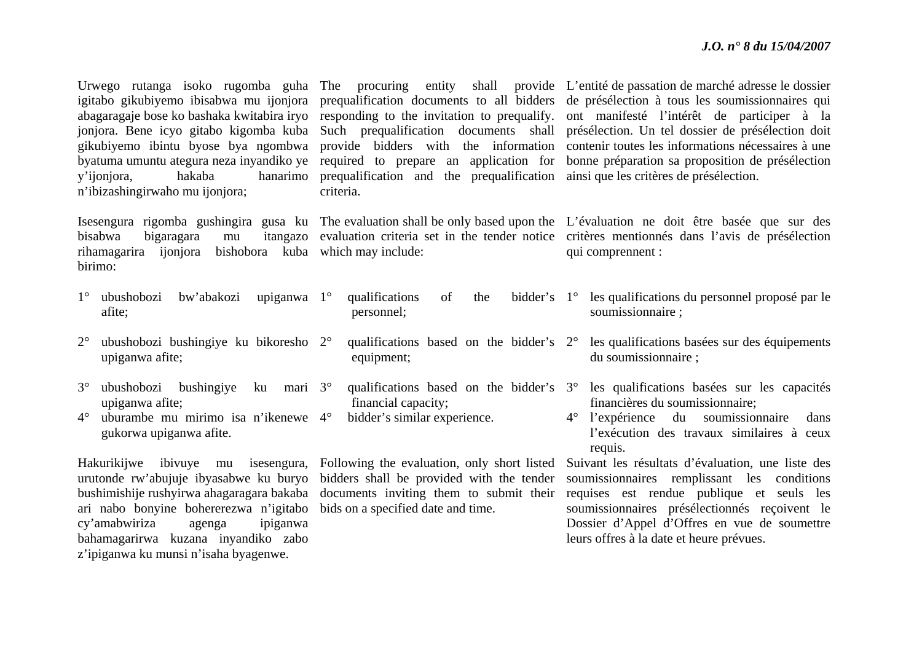| hakaba<br>y'ijonjora,<br>n'ibizashingirwaho mu ijonjora;                                                                                                                                                                                                                                   | hanarimo prequalification and the prequalification ainsi que les critères de présélection.<br>criteria.                                                                   | Urwego rutanga isoko rugomba guha The procuring entity shall provide L'entité de passation de marché adresse le dossier<br>igitabo gikubiyemo ibisabwa mu ijonjora prequalification documents to all bidders de présélection à tous les soumissionnaires qui<br>abagaragaje bose ko bashaka kwitabira iryo responding to the invitation to prequalify. ont manifesté l'intérêt de participer à la<br>jonjora. Bene icyo gitabo kigomba kuba Such prequalification documents shall présélection. Un tel dossier de présélection doit<br>gikubiyemo ibintu byose bya ngombwa provide bidders with the information contenir toutes les informations nécessaires à une<br>byatuma umuntu ategura neza inyandiko ye required to prepare an application for bonne préparation sa proposition de présélection |
|--------------------------------------------------------------------------------------------------------------------------------------------------------------------------------------------------------------------------------------------------------------------------------------------|---------------------------------------------------------------------------------------------------------------------------------------------------------------------------|--------------------------------------------------------------------------------------------------------------------------------------------------------------------------------------------------------------------------------------------------------------------------------------------------------------------------------------------------------------------------------------------------------------------------------------------------------------------------------------------------------------------------------------------------------------------------------------------------------------------------------------------------------------------------------------------------------------------------------------------------------------------------------------------------------|
| bisabwa<br>bigaragara<br>itangazo<br>mu<br>rihamagarira ijonjora<br>birimo:                                                                                                                                                                                                                | bishobora kuba which may include:                                                                                                                                         | Isesengura rigomba gushingira gusa ku The evaluation shall be only based upon the L'évaluation ne doit être basée que sur des<br>evaluation criteria set in the tender notice critères mentionnés dans l'avis de présélection<br>qui comprennent :                                                                                                                                                                                                                                                                                                                                                                                                                                                                                                                                                     |
| $1^{\circ}$<br>ubushobozi<br>bw'abakozi<br>upiganwa $1^\circ$<br>afite;                                                                                                                                                                                                                    | qualifications<br>of<br>bidder's $1^\circ$<br>the<br>personnel;                                                                                                           | les qualifications du personnel proposé par le<br>soumissionnaire;                                                                                                                                                                                                                                                                                                                                                                                                                                                                                                                                                                                                                                                                                                                                     |
| $2^{\circ}$<br>ubushobozi bushingiye ku bikoresho 2°<br>upiganwa afite;                                                                                                                                                                                                                    | qualifications based on the bidder's 2°<br>equipment;                                                                                                                     | les qualifications basées sur des équipements<br>du soumissionnaire;                                                                                                                                                                                                                                                                                                                                                                                                                                                                                                                                                                                                                                                                                                                                   |
| $3^\circ$<br>bushingiye<br>mari 3°<br>ubushobozi<br>ku<br>upiganwa afite;<br>uburambe mu mirimo isa n'ikenewe 4°<br>$4^{\circ}$<br>gukorwa upiganwa afite.                                                                                                                                 | qualifications based on the bidder's 3°<br>financial capacity;<br>bidder's similar experience.                                                                            | les qualifications basées sur les capacités<br>financières du soumissionnaire;<br>$4^{\circ}$<br>soumissionnaire<br>l'expérience<br>du<br>dans<br>l'exécution des travaux similaires à ceux<br>requis.                                                                                                                                                                                                                                                                                                                                                                                                                                                                                                                                                                                                 |
| Hakurikijwe ibivuye mu isesengura,<br>urutonde rw'abujuje ibyasabwe ku buryo<br>bushimishije rushyirwa ahagaragara bakaba<br>ari nabo bonyine bohererezwa n'igitabo<br>cy'amabwiriza<br>ipiganwa<br>agenga<br>bahamagarirwa kuzana inyandiko zabo<br>z'ipiganwa ku munsi n'isaha byagenwe. | Following the evaluation, only short listed<br>bidders shall be provided with the tender<br>documents inviting them to submit their<br>bids on a specified date and time. | Suivant les résultats d'évaluation, une liste des<br>soumissionnaires remplissant les conditions<br>requises est rendue publique et seuls les<br>soumissionnaires présélectionnés reçoivent le<br>Dossier d'Appel d'Offres en vue de soumettre<br>leurs offres à la date et heure prévues.                                                                                                                                                                                                                                                                                                                                                                                                                                                                                                             |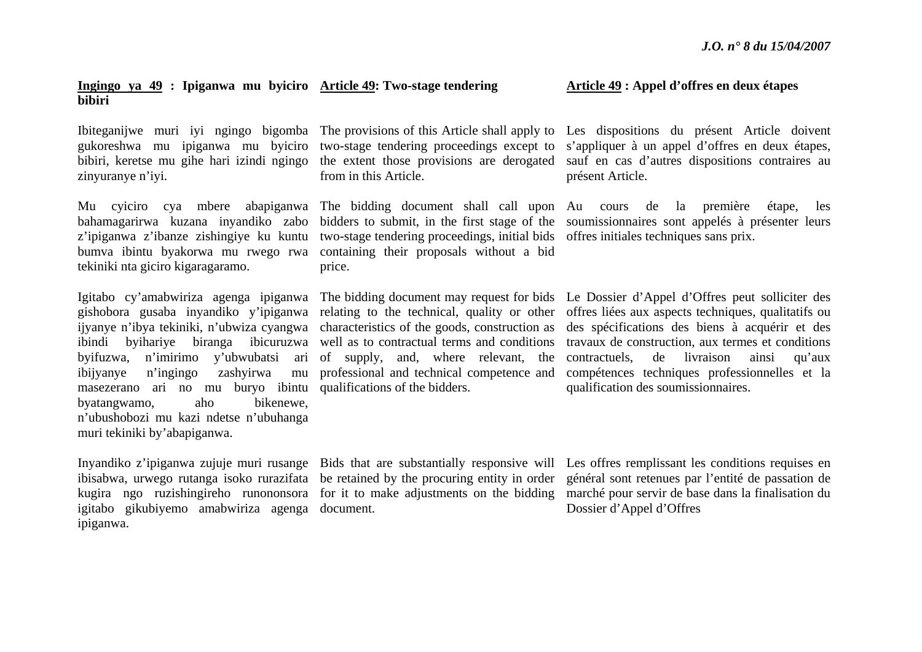#### **Ingingo ya 49 : Ipiganwa mu byiciro Article 49: Two-stage tendering bibiri**

bibiri, keretse mu gihe hari izindi ngingo zinyuranye n'iyi.

<sup>z</sup>'ipiganwa z'ibanze zishingiye ku kuntu tekiniki nta giciro kigaragaramo.

masezerano ari no mu buryo ibintu qualifications of the bidders. byatangwamo, aho bikenewe, <sup>n</sup>'ubushobozi mu kazi ndetse n'ubuhanga muri tekiniki by'abapiganwa.

igitabo gikubiyemo amabwiriza agenga document. ipiganwa.

from in this Article.

bumva ibintu byakorwa mu rwego rwa containing their proposals without a bid two-stage tendering proceedings, initial bids offres initiales techniques sans prix. price.

Inyandiko z'ipiganwa zujuje muri rusange Bids that are substantially responsive will Les offres remplissant les conditions requises en ibisabwa, urwego rutanga isoko rurazifata be retained by the procuring entity in order général sont retenues par l'entité de passation de kugira ngo ruzishingireho runononsora for it to make adjustments on the bidding marché pour servir de base dans la finalisation du Dossier d'Appel d'Offres

#### **Article 49 : Appel d'offres en deux étapes**

Ibiteganijwe muri iyi ngingo bigomba The provisions of this Article shall apply to Les dispositions du présent Article doivent gukoreshwa mu ipiganwa mu byiciro two-stage tendering proceedings except to <sup>s</sup>'appliquer à un appel d'offres en deux étapes, the extent those provisions are derogated sauf en cas d'autres dispositions contraires au présent Article.

Mu cyiciro cya mbere abapiganwa The bidding document shall call upon Au cours de la première étape, les bahamagarirwa kuzana inyandiko zabo bidders to submit, in the first stage of the soumissionnaires sont appelés à présenter leurs

Igitabo cy'amabwiriza agenga ipiganwa The bidding document may request for bids Le Dossier d'Appel d'Offres peut solliciter des gishobora gusaba inyandiko y'ipiganwa relating to the technical, quality or other offres liées aux aspects techniques, qualitatifs ou ijyanye n'ibya tekiniki, n'ubwiza cyangwa characteristics of the goods, construction as des spécifications des biens à acquérir et des ibindi byihariye biranga ibicuruzwa well as to contractual terms and conditions travaux de construction, aux termes et conditions byifuzwa, n'imirimo y'ubwubatsi ari of supply, and, where relevant, the contractuels, de livraison ainsi qu'aux ibijyanye n'ingingo zashyirwa mu professional and technical competence and compétences techniques professionnelles et la qualification des soumissionnaires.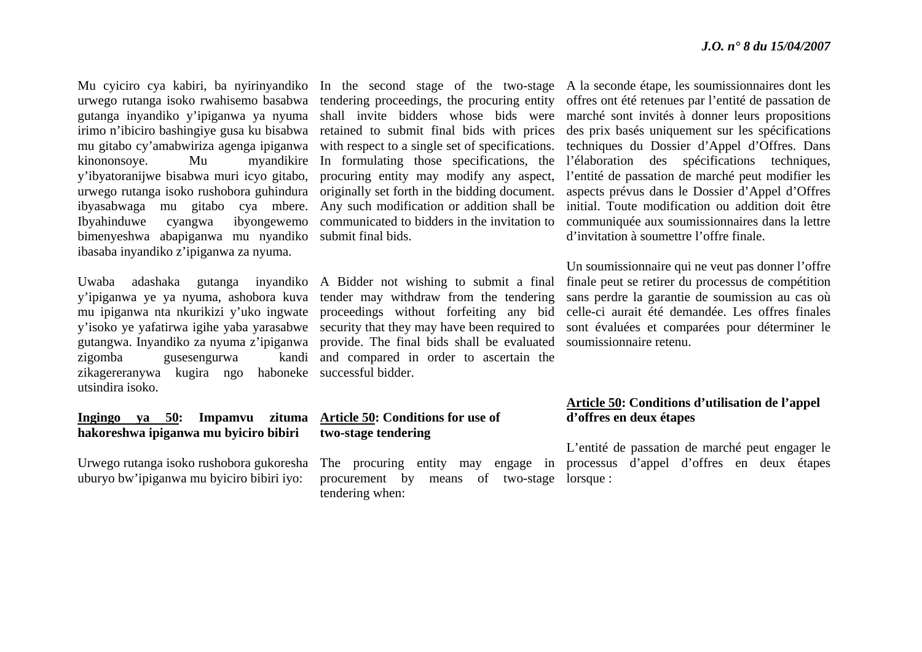gutanga inyandiko y'ipiganwa ya nyuma mu gitabo cy'amabwiriza agenga ipiganwa kinononsoye. Mu myandikire y'ibyatoranijwe bisabwa muri icyo gitabo, urwego rutanga isoko rushobora guhindura ibyasabwaga mu gitabo cya mbere. Ibyahinduwe cyangwa ibyongewemo bimenyeshwa abapiganwa mu nyandiko submit final bids. ibasaba inyandiko z'ipiganwa za nyuma.

zigomba gusesengurwa zikagereranywa kugira ngo haboneke successful bidder. utsindira isoko.

#### **Ingingo ya 50: Impamvu zituma Article 50: Conditions for use of hakoreshwa ipiganwa mu byiciro bibiri**

Urwego rutanga isoko rushobora gukoresha uburyo bw'ipiganwa mu byiciro bibiri iyo:

irimo n'ibiciro bashingiye gusa ku bisabwa retained to submit final bids with prices shall invite bidders whose bids were with respect to a single set of specifications. In formulating those specifications, the procuring entity may modify any aspect, originally set forth in the bidding document. Any such modification or addition shall be communicated to bidders in the invitation to

Uwaba adashaka gutanga inyandiko A Bidder not wishing to submit a final y'ipiganwa ye ya nyuma, ashobora kuva tender may withdraw from the tendering mu ipiganwa nta nkurikizi y'uko ingwate proceedings without forfeiting any bid y'isoko ye yafatirwa igihe yaba yarasabwe security that they may have been required to gutangwa. Inyandiko za nyuma z'ipiganwa provide. The final bids shall be evaluated kandi and compared in order to ascertain the

# **two-stage tendering**

The procuring entity may engage in procurement by means of two-stage lorsque : tendering when:

Mu cyiciro cya kabiri, ba nyirinyandiko In the second stage of the two-stage A la seconde étape, les soumissionnaires dont les urwego rutanga isoko rwahisemo basabwa tendering proceedings, the procuring entity offres ont été retenues par l'entité de passation de marché sont invités à donner leurs propositions des prix basés uniquement sur les spécifications techniques du Dossier d'Appel d'Offres. Dans l'élaboration des spécifications techniques, l'entité de passation de marché peut modifier les aspects prévus dans le Dossier d'Appel d'Offres initial. Toute modification ou addition doit être communiquée aux soumissionnaires dans la lettre d'invitation à soumettre l'offre finale.

> Un soumissionnaire qui ne veut pas donner l'offre finale peut se retirer du processus de compétition sans perdre la garantie de soumission au cas où celle-ci aurait été demandée. Les offres finales sont évaluées et comparées pour déterminer le soumissionnaire retenu.

#### **Article 50: Conditions d'utilisation de l'appel d'offres en deux étapes**

L'entité de passation de marché peut engager le processus d'appel d'offres en deux étapes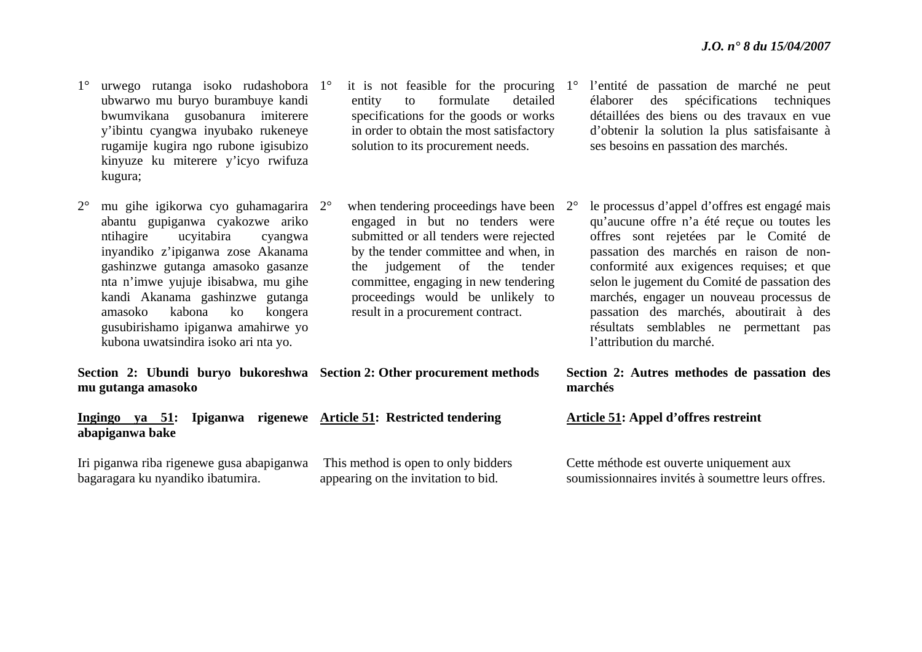- 1° urwego rutanga isoko rudashobora 1°ubwarwo mu buryo burambuye kandi bwumvikana gusobanura imiterere y'ibintu cyangwa inyubako rukeneye rugamije kugira ngo rubone igisubizo kinyuze ku miterere y'icyo rwifuza kugura;
- $2^{\circ}$  mu gihe igikorwa cyo guhamagarira 2°abantu gupiganwa cyakozwe ariko ntihagire ucyitabira cyangwa inyandiko z'ipiganwa zose Akanama gashinzwe gutanga amasoko gasanze nta n'imwe yujuje ibisabwa, mu gihe kandi Akanama gashinzwe gutanga amasoko kabona ko kongera gusubirishamo ipiganwa amahirwe yo kubona uwatsindira isoko ari nta yo.
- $\degree$  it is not feasible for the procuring 1 $\degree$ entity to formulate detailed specifications for the goods or works in order to obtain the most satisfactory solution to its procurement needs.
- $\degree$  when tendering proceedings have been  $2\degree$ engaged in but no tenders were submitted or all tenders were rejected by the tender committee and when, in the judgement of the tender committee, engaging in new tendering proceedings would be unlikely to result in a procurement contract.

**Section 2: Ubundi buryo bukoreshwa Section 2: Other procurement methods mu gutanga amasoko** 

**Ingingo ya 51: Ipiganwa rigenewe Article 51: Restricted tendering abapiganwa bake** 

Iri piganwa riba rigenewe gusa abapiganwa bagaragara ku nyandiko ibatumira.

 This method is open to only bidders appearing on the invitation to bid.

- l'entité de passation de marché ne peut élaborer des spécifications techniques détaillées des biens ou des travaux en vue d'obtenir la solution la plus satisfaisante à ses besoins en passation des marchés.
- le processus d'appel d'offres est engagé mais qu'aucune offre n'a été reçue ou toutes les offres sont rejetées par le Comité de passation des marchés en raison de nonconformité aux exigences requises; et que selon le jugement du Comité de passation des marchés, engager un nouveau processus de passation des marchés, aboutirait à des résultats semblables ne permettant pas l'attribution du marché.

**Section 2: Autres methodes de passation des marchés** 

**Article 51: Appel d'offres restreint** 

Cette méthode est ouverte uniquement aux soumissionnaires invités à soumettre leurs offres.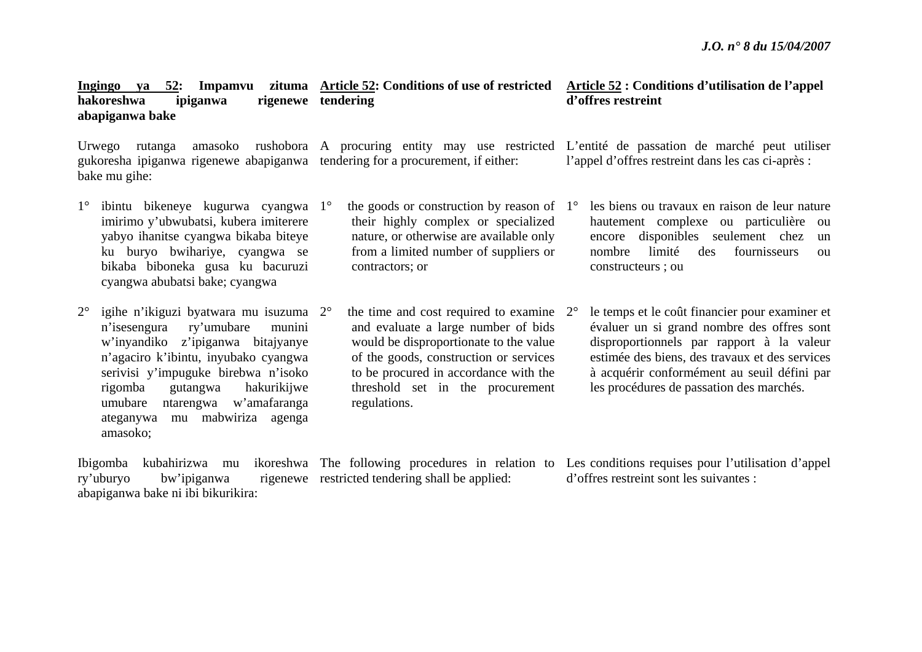#### **Ingingo ya 52: Impamvu zituma Article 52: Conditions of use of restricted Article 52 : Conditions d'utilisation de l'appel**  hakoreshwa ipiganwa **abapiganwa bake**  rigenewe tendering

Urwego rutanga amasoko rushobora A procuring entity may use restricted L'entité de passation de marché peut utiliser gukoresha ipiganwa rigenewe abapiganwa tendering for a procurement, if either: bake mu gihe:

- 1° ibintu bikeneye kugurwa cyangwa 1°imirimo y'ubwubatsi, kubera imiterere yabyo ihanitse cyangwa bikaba biteye ku buryo bwihariye, cyangwa se bikaba biboneka gusa ku bacuruzi cyangwa abubatsi bake; cyangwa
- $2^{\circ}$  igihe n'ikiguzi byatwara mu isuzuma 2°<sup>n</sup>'isesengura ry'umubare munini <sup>w</sup>'inyandiko z'ipiganwa bitajyanye <sup>n</sup>'agaciro k'ibintu, inyubako cyangwa serivisi y'impuguke birebwa n'isoko rigomba gutangwa hakurikijwe umubare ntarengwa w'amafaranga ateganywa mu mabwiriza agenga amasoko;
- $\degree$  the goods or construction by reason of 1 $\degree$ their highly complex or specialized nature, or otherwise are available only from a limited number of suppliers or contractors; or
- $\degree$  the time and cost required to examine 2 $\degree$ and evaluate a large number of bids would be disproportionate to the value of the goods, construction or services to be procured in accordance with the threshold set in the procurement regulations.

**d'offres restreint** 

l'appel d'offres restreint dans les cas ci-après :

- les biens ou travaux en raison de leur nature hautement complexe ou particulière ou encore disponibles seulement chez un nombre limité des fournisseurs ou constructeurs ; ou
- le temps et le coût financier pour examiner et évaluer un si grand nombre des offres sont disproportionnels par rapport à la valeur estimée des biens, des travaux et des services à acquérir conformément au seuil défini par les procédures de passation des marchés.

Ibigomba kubahirizwa mu ry'uburyo bw'ipiganwa abapiganwa bake ni ibi bikurikira: The following procedures in relation to Les conditions requises pour l'utilisation d'appel rigenewe restricted tendering shall be applied: d'offres restreint sont les suivantes :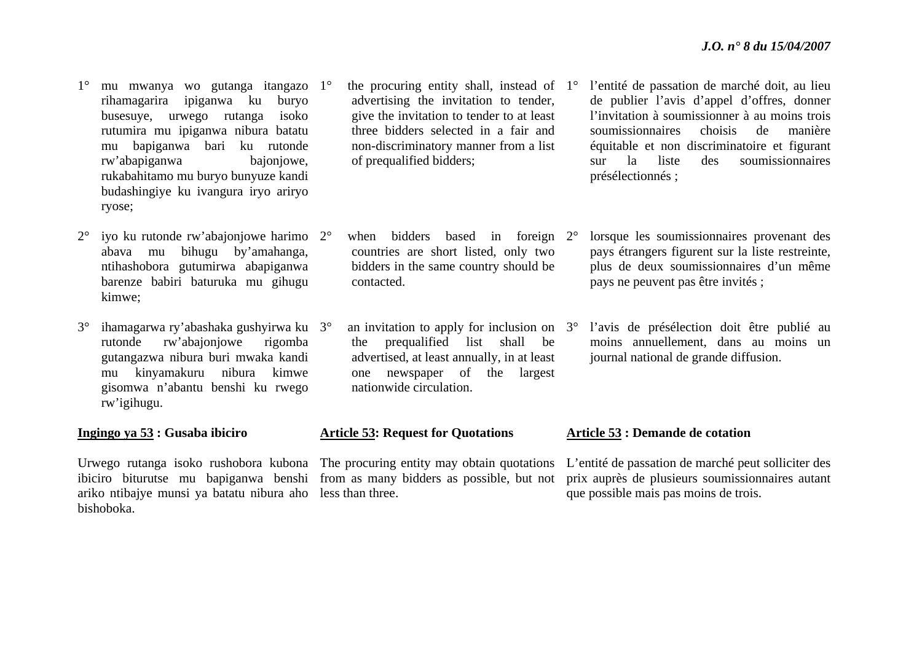- 1° mu mwanya wo gutanga itangazo 1°rihamagarira ipiganwa ku buryo busesuye, urwego rutanga isoko rutumira mu ipiganwa nibura batatu mu bapiganwa bari ku rutonde rw'abapiganwa bajonjowe, rukabahitamo mu buryo bunyuze kandi budashingiye ku ivangura iryo ariryo ryose;
- 2° iyo ku rutonde rw'abajonjowe harimo 2°abava mu bihugu by'amahanga, ntihashobora gutumirwa abapiganwa barenze babiri baturuka mu gihugu kimwe;
- $3^\circ$  ihamagarwa ry'abashaka gushyirwa ku 3°rutonde rw'abajonjowe rigomba gutangazwa nibura buri mwaka kandi mu kinyamakuru nibura kimwe gisomwa n'abantu benshi ku rwego rw'igihugu.
- **Ingingo ya 53 : Gusaba ibiciro**

Urwego rutanga isoko rushobora kubona The procuring entity may obtain quotations ariko ntibajye munsi ya batatu nibura aho less than three. bishoboka.

- $\degree$  the procuring entity shall, instead of 1 $\degree$ advertising the invitation to tender, give the invitation to tender to at least three bidders selected in a fair and non-discriminatory manner from a list of prequalified bidders;
- when bidders based in foreign 2°countries are short listed, only two bidders in the same country should be contacted.
- $\degree$  an invitation to apply for inclusion on  $3\degree$ the prequalified list shall be advertised, at least annually, in at least one newspaper of the largest nationwide circulation.

#### **Article 53: Request for Quotations**

- l'entité de passation de marché doit, au lieu de publier l'avis d'appel d'offres, donner l'invitation à soumissionner à au moins trois soumissionnaires choisis de manière équitable et non discriminatoire et figurant sur la liste des soumissionnaires présélectionnés ;
- lorsque les soumissionnaires provenant des pays étrangers figurent sur la liste restreinte, plus de deux soumissionnaires d'un même pays ne peuvent pas être invités ;
- l'avis de présélection doit être publié au moins annuellement, dans au moins un journal national de grande diffusion.

#### **Article 53 : Demande de cotation**

ibiciro biturutse mu bapiganwa benshi from as many bidders as possible, but not prix auprès de plusieurs soumissionnaires autant L'entité de passation de marché peut solliciter des que possible mais pas moins de trois.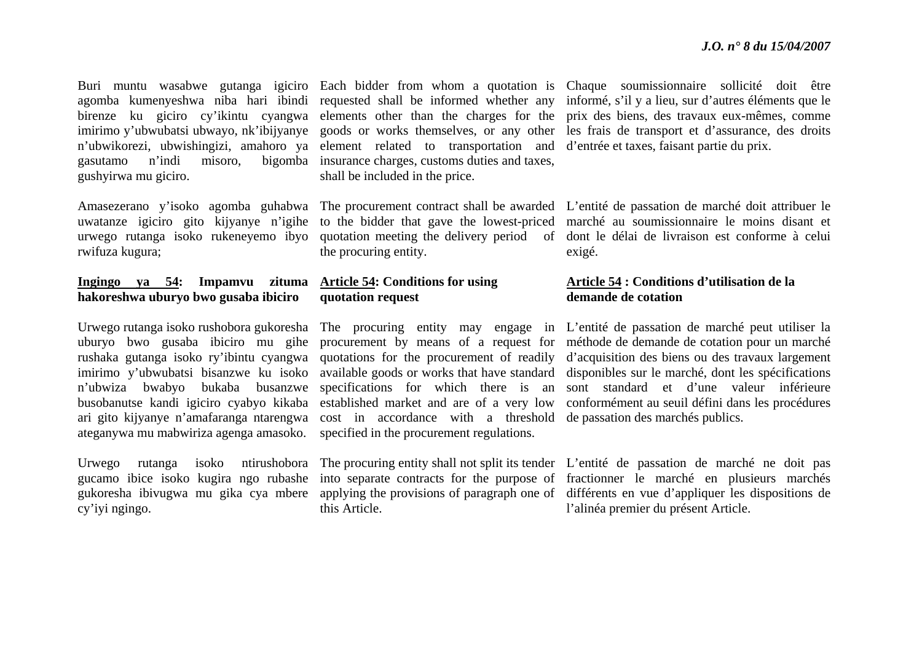gasutamo n'indi misoro, bigomba insurance charges, customs duties and taxes, gushyirwa mu giciro.

rwifuza kugura;

#### **Ingingo ya 54: Impamvu zituma Article 54: Conditions for using hakoreshwa uburyo bwo gusaba ibiciro**

ateganywa mu mabwiriza agenga amasoko. specified in the procurement regulations.

cy'iyi ngingo.

<sup>n</sup>'ubwikorezi, ubwishingizi, amahoro ya element related to transportation and d'entrée et taxes, faisant partie du prix. shall be included in the price.

the procuring entity.

# **quotation request**

ari gito kijyanye n'amafaranga ntarengwa cost in accordance with a threshold de passation des marchés publics.

this Article.

Buri muntu wasabwe gutanga igiciro Each bidder from whom a quotation is Chaque soumissionnaire sollicité doit être agomba kumenyeshwa niba hari ibindi requested shall be informed whether any informé, s'il y a lieu, sur d'autres éléments que le birenze ku giciro cy'ikintu cyangwa elements other than the charges for the prix des biens, des travaux eux-mêmes, comme imirimo y'ubwubatsi ubwayo, nk'ibijyanye goods or works themselves, or any other les frais de transport et d'assurance, des droits

Amasezerano y'isoko agomba guhabwa The procurement contract shall be awarded L'entité de passation de marché doit attribuer le uwatanze igiciro gito kijyanye n'igihe to the bidder that gave the lowest-priced marché au soumissionnaire le moins disant et urwego rutanga isoko rukeneyemo ibyo quotation meeting the delivery period of dont le délai de livraison est conforme à celui exigé.

### **Article 54 : Conditions d'utilisation de la demande de cotation**

Urwego rutanga isoko rushobora gukoresha The procuring entity may engage in L'entité de passation de marché peut utiliser la uburyo bwo gusaba ibiciro mu gihe procurement by means of a request for méthode de demande de cotation pour un marché rushaka gutanga isoko ry'ibintu cyangwa quotations for the procurement of readily d'acquisition des biens ou des travaux largement imirimo y'ubwubatsi bisanzwe ku isoko available goods or works that have standard disponibles sur le marché, dont les spécifications <sup>n</sup>'ubwiza bwabyo bukaba busanzwe specifications for which there is an sont standard et d'une valeur inférieure busobanutse kandi igiciro cyabyo kikaba established market and are of a very low conformément au seuil défini dans les procédures

Urwego rutanga isoko ntirushobora The procuring entity shall not split its tender L'entité de passation de marché ne doit pas gucamo ibice isoko kugira ngo rubashe into separate contracts for the purpose of fractionner le marché en plusieurs marchés gukoresha ibivugwa mu gika cya mbere applying the provisions of paragraph one of différents en vue d'appliquer les dispositions de l'alinéa premier du présent Article.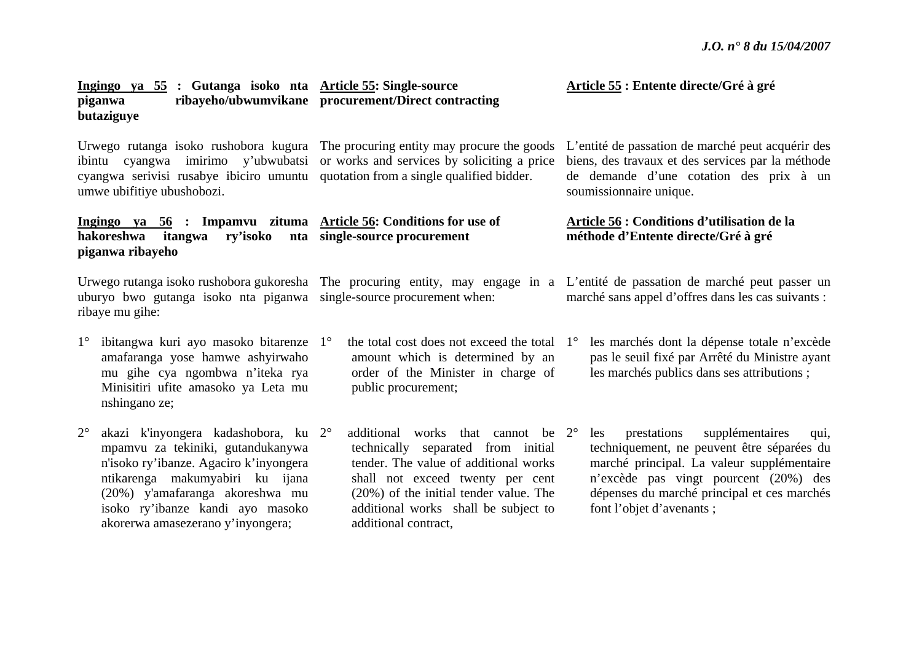|                                                                                                                                                         | <u> Ingingo ya 55</u> : Gutanga isoko nta <u>Article 55</u> : Single-source<br>piganwa<br>butaziguye                                                                                                                                                               | ribayeho/ubwumvikane procurement/Direct contracting                                                                                                                                                                                                                |  | Article 55 : Entente directe/Gré à gré                                                                                                                                                                                                                        |  |  |
|---------------------------------------------------------------------------------------------------------------------------------------------------------|--------------------------------------------------------------------------------------------------------------------------------------------------------------------------------------------------------------------------------------------------------------------|--------------------------------------------------------------------------------------------------------------------------------------------------------------------------------------------------------------------------------------------------------------------|--|---------------------------------------------------------------------------------------------------------------------------------------------------------------------------------------------------------------------------------------------------------------|--|--|
| Urwego rutanga isoko rushobora kugura<br>cyangwa imirimo y'ubwubatsi<br>ibintu<br>cyangwa serivisi rusabye ibiciro umuntu<br>umwe ubifitiye ubushobozi. |                                                                                                                                                                                                                                                                    | The procuring entity may procure the goods<br>or works and services by soliciting a price<br>quotation from a single qualified bidder.                                                                                                                             |  | L'entité de passation de marché peut acquérir des<br>biens, des travaux et des services par la méthode<br>de demande d'une cotation des prix à un<br>soumissionnaire unique.                                                                                  |  |  |
| Ingingo ya 56 : Impamvu zituma Article 56: Conditions for use of<br>hakoreshwa<br>itangwa<br>piganwa ribayeho                                           |                                                                                                                                                                                                                                                                    | ry'isoko nta single-source procurement                                                                                                                                                                                                                             |  | Article 56 : Conditions d'utilisation de la<br>méthode d'Entente directe/Gré à gré                                                                                                                                                                            |  |  |
|                                                                                                                                                         | uburyo bwo gutanga isoko nta piganwa single-source procurement when:<br>ribaye mu gihe:                                                                                                                                                                            |                                                                                                                                                                                                                                                                    |  | Urwego rutanga isoko rushobora gukoresha The procuring entity, may engage in a L'entité de passation de marché peut passer un<br>marché sans appel d'offres dans les cas suivants :                                                                           |  |  |
| $1^{\circ}$                                                                                                                                             | ibitangwa kuri ayo masoko bitarenze 1°<br>amafaranga yose hamwe ashyirwaho<br>mu gihe cya ngombwa n'iteka rya<br>Minisitiri ufite amasoko ya Leta mu<br>nshingano ze;                                                                                              | the total cost does not exceed the total 1 <sup>o</sup><br>amount which is determined by an<br>order of the Minister in charge of<br>public procurement;                                                                                                           |  | les marchés dont la dépense totale n'excède<br>pas le seuil fixé par Arrêté du Ministre ayant<br>les marchés publics dans ses attributions;                                                                                                                   |  |  |
| $2^{\circ}$                                                                                                                                             | akazi k'inyongera kadashobora, ku 2°<br>mpamvu za tekiniki, gutandukanywa<br>n'isoko ry'ibanze. Agaciro k'inyongera<br>ntikarenga makumyabiri ku ijana<br>(20%) y'amafaranga akoreshwa mu<br>isoko ry'ibanze kandi ayo masoko<br>akorerwa amasezerano y'inyongera; | additional works that cannot be 2°<br>technically separated from initial<br>tender. The value of additional works<br>shall not exceed twenty per cent<br>$(20\%)$ of the initial tender value. The<br>additional works shall be subject to<br>additional contract, |  | supplémentaires<br>prestations<br>les<br>qui,<br>techniquement, ne peuvent être séparées du<br>marché principal. La valeur supplémentaire<br>n'excède pas vingt pourcent (20%) des<br>dépenses du marché principal et ces marchés<br>font l'objet d'avenants; |  |  |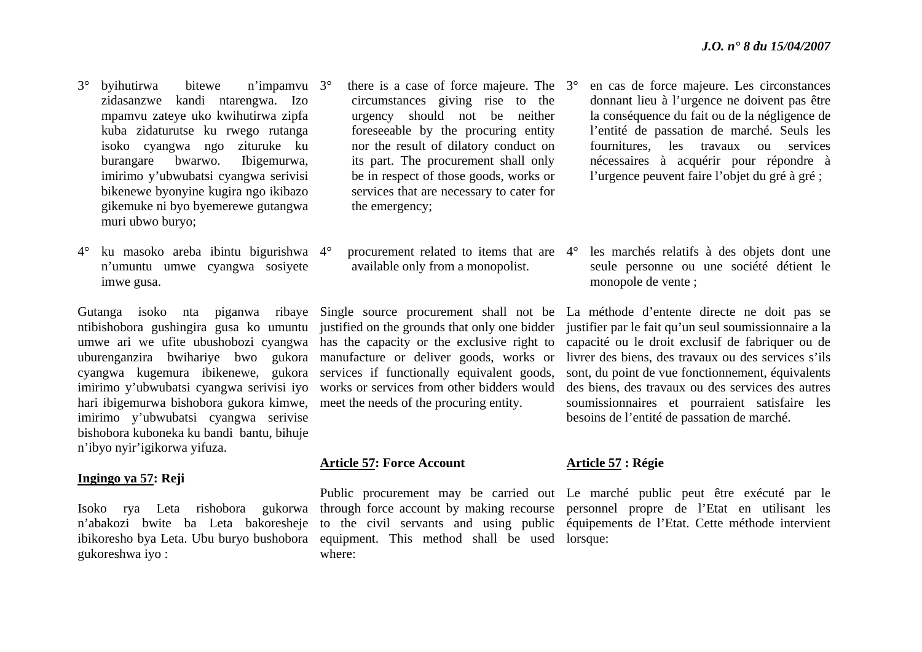- 3° byihutirwa bitewe n'impamvu zidasanzwe kandi ntarengwa. Izo mpamvu zateye uko kwihutirwa zipfa kuba zidaturutse ku rwego rutanga isoko cyangwa ngo zituruke ku burangare bwarwo. Ibigemurwa, imirimo y'ubwubatsi cyangwa serivisi bikenewe byonyine kugira ngo ikibazo gikemuke ni byo byemerewe gutangwa muri ubwo buryo; n'impamvu 3°
- $4^\circ$ ° ku masoko areba ibintu bigurishwa 4° <sup>n</sup>'umuntu umwe cyangwa sosiyete imwe gusa.

hari ibigemurwa bishobora gukora kimwe, meet the needs of the procuring entity. imirimo y'ubwubatsi cyangwa serivise bishobora kuboneka ku bandi bantu, bihuje <sup>n</sup>'ibyo nyir'igikorwa yifuza.

#### **Ingingo ya 57: Reji**

gukoreshwa iyo :

- $\degree$  there is a case of force majeure. The  $3\degree$ circumstances giving rise to the urgency should not be neither foreseeable by the procuring entity nor the result of dilatory conduct on its part. The procurement shall only be in respect of those goods, works or services that are necessary to cater for the emergency;
- available only from a monopolist.

umwe ari we ufite ubushobozi cyangwa has the capacity or the exclusive right to uburenganzira bwihariye bwo gukora manufacture or deliver goods, works or cyangwa kugemura ibikenewe, gukora services if functionally equivalent goods, imirimo y'ubwubatsi cyangwa serivisi iyo works or services from other bidders would

#### **Article 57: Force Account**

ibikoresho bya Leta. Ubu buryo bushobora equipment. This method shall be used lorsque: where:

- en cas de force majeure. Les circonstances donnant lieu à l'urgence ne doivent pas être la conséquence du fait ou de la négligence de l'entité de passation de marché. Seuls les fournitures, les travaux ou services nécessaires à acquérir pour répondre à l'urgence peuvent faire l'objet du gré à gré ;
- procurement related to items that are 4° les marchés relatifs à des objets dont une seule personne ou une société détient le monopole de vente ;

Gutanga isoko nta piganwa ribaye Single source procurement shall not be La méthode d'entente directe ne doit pas se ntibishobora gushingira gusa ko umuntu justified on the grounds that only one bidder justifier par le fait qu'un seul soumissionnaire a la capacité ou le droit exclusif de fabriquer ou de livrer des biens, des travaux ou des services s'ils sont, du point de vue fonctionnement, équivalents des biens, des travaux ou des services des autres soumissionnaires et pourraient satisfaire les besoins de l'entité de passation de marché.

# **Article 57 : Régie**

Isoko rya Leta rishobora gukorwa through force account by making recourse personnel propre de l'Etat en utilisant les <sup>n</sup>'abakozi bwite ba Leta bakoresheje to the civil servants and using public équipements de l'Etat. Cette méthode intervient Public procurement may be carried out Le marché public peut être exécuté par le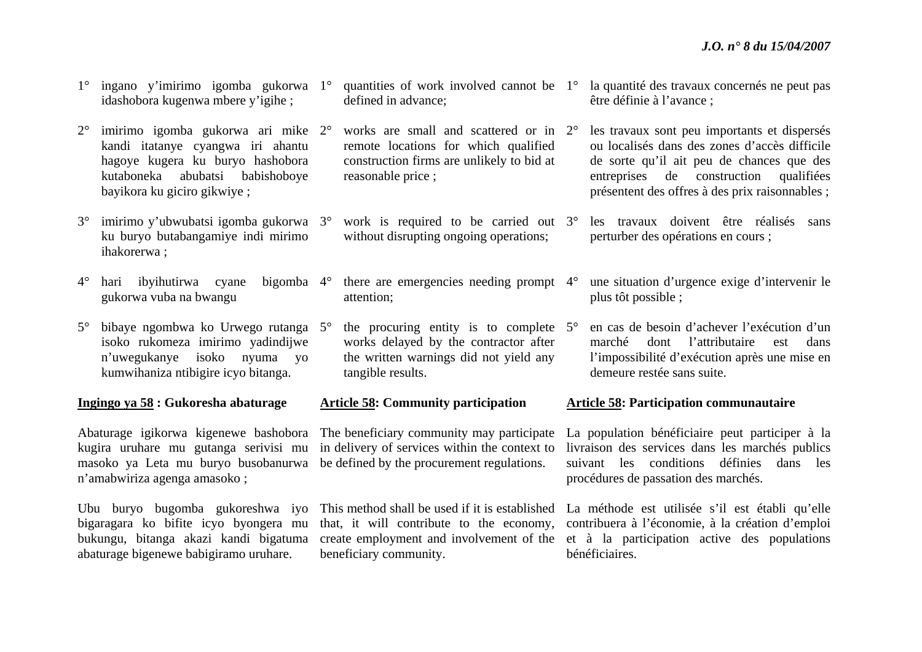- 1° ingano y'imirimo igomba gukorwa 1°idashobora kugenwa mbere y'igihe ;
- $2^{\circ}$  imirimo igomba gukorwa ari mike 2°kandi itatanye cyangwa iri ahantu hagoye kugera ku buryo hashobora kutaboneka abubatsi babishoboye bayikora ku giciro gikwiye ;
- 3° imirimo y'ubwubatsi igomba gukorwa 3°ku buryo butabangamiye indi mirimo ihakorerwa ;
- $4^\circ$ hari ibyihutirwa cyane gukorwa vuba na bwangu bigomba 4°
- 5° bibaye ngombwa ko Urwego rutanga 5°isoko rukomeza imirimo yadindijwe <sup>n</sup>'uwegukanye isoko nyuma yo kumwihaniza ntibigire icyo bitanga.

#### **Ingingo ya 58 : Gukoresha abaturage**

Abaturage igikorwa kigenewe bashobora kugira uruhare mu gutanga serivisi mu masoko ya Leta mu buryo busobanurwa <sup>n</sup>'amabwiriza agenga amasoko ;

Ubu buryo bugomba gukoreshwa iyo bigaragara ko bifite icyo byongera mu bukungu, bitanga akazi kandi bigatuma abaturage bigenewe babigiramo uruhare.

- $\degree$  quantities of work involved cannot be  $1\degree$ defined in advance;
- works are small and scattered or in 2°remote locations for which qualified construction firms are unlikely to bid at reasonable price ;
- <sup>o</sup> work is required to be carried out 3<sup>o</sup> without disrupting ongoing operations:
- $\degree$  there are emergencies needing prompt 4 $\degree$ attention;
- $\degree$  the procuring entity is to complete  $5\degree$ works delayed by the contractor after the written warnings did not yield any tangible results.

#### **Article 58: Community participation**

The beneficiary community may participate in delivery of services within the context to be defined by the procurement regulations.

beneficiary community.

- la quantité des travaux concernés ne peut pas être définie à l'avance ;
- les travaux sont peu importants et dispersés ou localisés dans des zones d'accès difficile de sorte qu'il ait peu de chances que des entreprises de construction qualifiées présentent des offres à des prix raisonnables ;
- les travaux doivent être réalisés sans perturber des opérations en cours ;
- une situation d'urgence exige d'intervenir le plus tôt possible ;
- en cas de besoin d'achever l'exécution d'un marché dont l'attributaire est dans l'impossibilité d'exécution après une mise en demeure restée sans suite.

#### **Article 58: Participation communautaire**

La population bénéficiaire peut participer à la livraison des services dans les marchés publics suivant les conditions définies dans les procédures de passation des marchés.

This method shall be used if it is established La méthode est utilisée s'il est établi qu'elle that, it will contribute to the economy, contribuera à l'économie, à la création d'emploi create employment and involvement of the et à la participation active des populations bénéficiaires.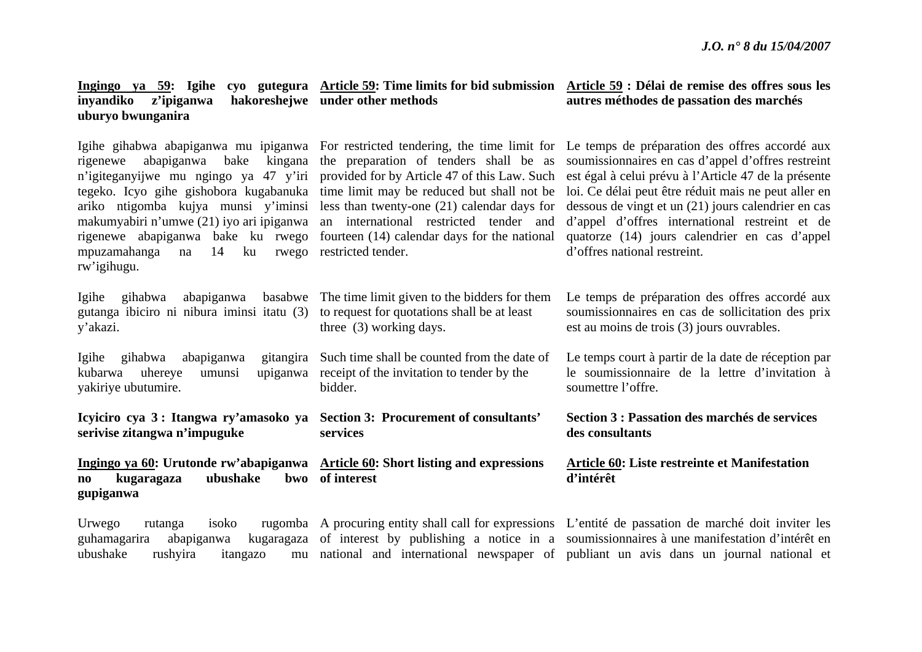| z'ipiganwa<br>inyandiko<br>uburyo bwunganira                                                                                                                                                                                                                         | hakoreshejwe under other methods                                                                                                                                                                                                                                                                                                           | autres méthodes de passation des marchés                                                                                                                                                                                                                                                                                                                                                                                                                                                         |
|----------------------------------------------------------------------------------------------------------------------------------------------------------------------------------------------------------------------------------------------------------------------|--------------------------------------------------------------------------------------------------------------------------------------------------------------------------------------------------------------------------------------------------------------------------------------------------------------------------------------------|--------------------------------------------------------------------------------------------------------------------------------------------------------------------------------------------------------------------------------------------------------------------------------------------------------------------------------------------------------------------------------------------------------------------------------------------------------------------------------------------------|
| abapiganwa<br>bake<br>kingana<br>rigenewe<br>n'igiteganyijwe mu ngingo ya 47 y'iri<br>ariko ntigomba kujya munsi y'iminsi<br>makumyabiri n'umwe (21) iyo ari ipiganwa<br>rigenewe abapiganwa bake ku rwego<br>14<br>mpuzamahanga<br>ku<br>na<br>rwego<br>rw'igihugu. | the preparation of tenders shall be as<br>provided for by Article 47 of this Law. Such<br>tegeko. Icyo gihe gishobora kugabanuka time limit may be reduced but shall not be<br>less than twenty-one (21) calendar days for<br>an international restricted tender and<br>fourteen (14) calendar days for the national<br>restricted tender. | Igihe gihabwa abapiganwa mu ipiganwa For restricted tendering, the time limit for Le temps de préparation des offres accordé aux<br>soumissionnaires en cas d'appel d'offres restreint<br>est égal à celui prévu à l'Article 47 de la présente<br>loi. Ce délai peut être réduit mais ne peut aller en<br>dessous de vingt et un (21) jours calendrier en cas<br>d'appel d'offres international restreint et de<br>quatorze (14) jours calendrier en cas d'appel<br>d'offres national restreint. |
| abapiganwa<br>Igihe<br>gihabwa<br>gutanga ibiciro ni nibura iminsi itatu (3)<br>y'akazi.                                                                                                                                                                             | basabwe The time limit given to the bidders for them<br>to request for quotations shall be at least<br>three (3) working days.                                                                                                                                                                                                             | Le temps de préparation des offres accordé aux<br>soumissionnaires en cas de sollicitation des prix<br>est au moins de trois (3) jours ouvrables.                                                                                                                                                                                                                                                                                                                                                |
| abapiganwa<br>Igihe<br>gihabwa<br>upiganwa<br>kubarwa<br>uhereye<br>umunsi<br>yakiriye ubutumire.                                                                                                                                                                    | gitangira Such time shall be counted from the date of<br>receipt of the invitation to tender by the<br>bidder.                                                                                                                                                                                                                             | Le temps court à partir de la date de réception par<br>le soumissionnaire de la lettre d'invitation à<br>soumettre l'offre.                                                                                                                                                                                                                                                                                                                                                                      |
| Icyiciro cya 3: Itangwa ry'amasoko ya Section 3: Procurement of consultants'<br>serivise zitangwa n'impuguke                                                                                                                                                         | services                                                                                                                                                                                                                                                                                                                                   | Section 3 : Passation des marchés de services<br>des consultants                                                                                                                                                                                                                                                                                                                                                                                                                                 |
| Ingingo ya 60: Urutonde rw'abapiganwa Article 60: Short listing and expressions<br>ubushake<br>kugaragaza<br>no<br>gupiganwa                                                                                                                                         | bwo of interest                                                                                                                                                                                                                                                                                                                            | Article 60: Liste restreinte et Manifestation<br>d'intérêt                                                                                                                                                                                                                                                                                                                                                                                                                                       |
| Urwego<br>isoko<br>rutanga<br>guhamagarira<br>abapiganwa<br>ubushake<br>rushyira<br>itangazo                                                                                                                                                                         |                                                                                                                                                                                                                                                                                                                                            | rugomba A procuring entity shall call for expressions L'entité de passation de marché doit inviter les<br>kugaragaza of interest by publishing a notice in a soumission aires à une manifestation d'intérêt en<br>mu national and international newspaper of publiant un avis dans un journal national et                                                                                                                                                                                        |

**Ingingo ya 59: Igihe cyo gutegura Article 59: Time limits for bid submission Article 59 : Délai de remise des offres sous les**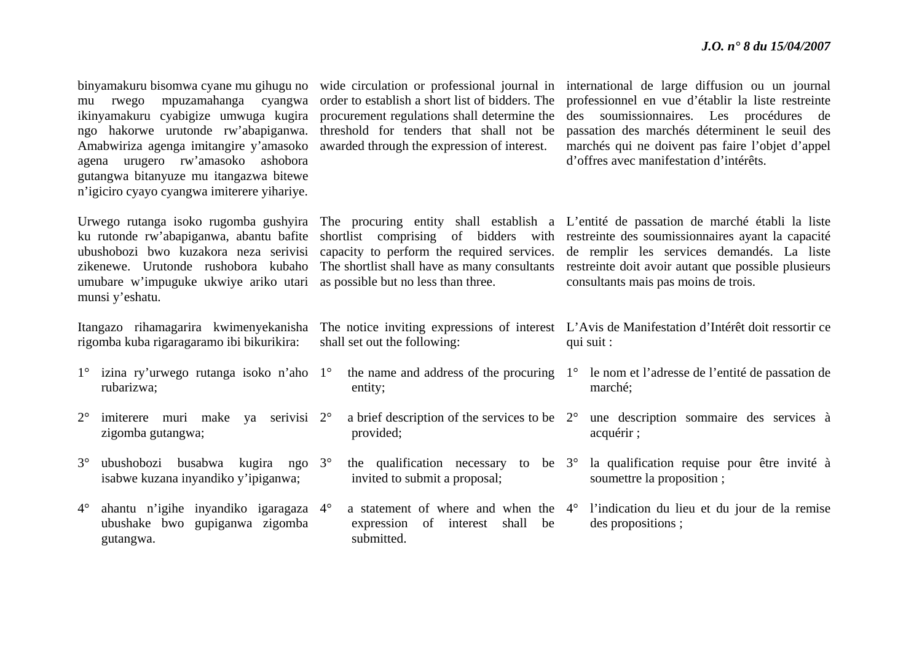| agena                                                                              | binyamakuru bisomwa cyane mu gihugu no<br>mpuzamahanga cyangwa<br>mu rwego<br>ikinyamakuru cyabigize umwuga kugira<br>ngo hakorwe urutonde rw'abapiganwa.<br>Amabwiriza agenga imitangire y'amasoko<br>urugero rw'amasoko ashobora<br>gutangwa bitanyuze mu itangazwa bitewe<br>n'igiciro cyayo cyangwa imiterere yihariye. | procurement regulations shall determine the<br>threshold for tenders that shall not be<br>awarded through the expression of interest. |                                                                                 | wide circulation or professional journal in international de large diffusion ou un journal<br>order to establish a short list of bidders. The professionnel en vue d'établir la liste restreinte<br>des soumissionnaires. Les procédures de<br>passation des marchés déterminent le seuil des<br>marchés qui ne doivent pas faire l'objet d'appel<br>d'offres avec manifestation d'intérêts. |                                                                                                                                                                                                                                                                                                                                                                                                                                                   |  |
|------------------------------------------------------------------------------------|-----------------------------------------------------------------------------------------------------------------------------------------------------------------------------------------------------------------------------------------------------------------------------------------------------------------------------|---------------------------------------------------------------------------------------------------------------------------------------|---------------------------------------------------------------------------------|----------------------------------------------------------------------------------------------------------------------------------------------------------------------------------------------------------------------------------------------------------------------------------------------------------------------------------------------------------------------------------------------|---------------------------------------------------------------------------------------------------------------------------------------------------------------------------------------------------------------------------------------------------------------------------------------------------------------------------------------------------------------------------------------------------------------------------------------------------|--|
|                                                                                    | ku rutonde rw'abapiganwa, abantu bafite<br>ubushobozi bwo kuzakora neza serivisi<br>zikenewe. Urutonde rushobora kubaho<br>umubare w'impuguke ukwiye ariko utari<br>munsi y'eshatu.                                                                                                                                         |                                                                                                                                       | shortlist<br>as possible but no less than three.                                |                                                                                                                                                                                                                                                                                                                                                                                              | Urwego rutanga isoko rugomba gushyira The procuring entity shall establish a L'entité de passation de marché établi la liste<br>comprising of bidders with restreinte des soumissionnaires ayant la capacité<br>capacity to perform the required services. de remplir les services demandés. La liste<br>The shortlist shall have as many consultants restreinte doit avoir autant que possible plusieurs<br>consultants mais pas moins de trois. |  |
| Itangazo rihamagarira kwimenyekanisha<br>rigomba kuba rigaragaramo ibi bikurikira: |                                                                                                                                                                                                                                                                                                                             | shall set out the following:                                                                                                          |                                                                                 |                                                                                                                                                                                                                                                                                                                                                                                              | The notice inviting expressions of interest L'Avis de Manifestation d'Intérêt doit ressortir ce<br>qui suit :                                                                                                                                                                                                                                                                                                                                     |  |
|                                                                                    |                                                                                                                                                                                                                                                                                                                             |                                                                                                                                       |                                                                                 |                                                                                                                                                                                                                                                                                                                                                                                              |                                                                                                                                                                                                                                                                                                                                                                                                                                                   |  |
|                                                                                    | $1^{\circ}$ izina ry'urwego rutanga isoko n'aho $1^{\circ}$<br>rubarizwa;                                                                                                                                                                                                                                                   |                                                                                                                                       | entity;                                                                         |                                                                                                                                                                                                                                                                                                                                                                                              | the name and address of the procuring $1^{\circ}$ le nom et l'adresse de l'entité de passation de<br>marché;                                                                                                                                                                                                                                                                                                                                      |  |
| $2^{\circ}$                                                                        | imiterere muri make ya serivisi 2°<br>zigomba gutangwa;                                                                                                                                                                                                                                                                     |                                                                                                                                       | a brief description of the services to be $2^{\circ}$<br>provided;              |                                                                                                                                                                                                                                                                                                                                                                                              | une description sommaire des services à<br>acquérir ;                                                                                                                                                                                                                                                                                                                                                                                             |  |
| $3^\circ$                                                                          | ngo $3^\circ$<br>ubushobozi busabwa<br>kugira<br>isabwe kuzana inyandiko y'ipiganwa;                                                                                                                                                                                                                                        |                                                                                                                                       | the qualification necessary<br>to be $3^\circ$<br>invited to submit a proposal; |                                                                                                                                                                                                                                                                                                                                                                                              | la qualification requise pour être invité à<br>soumettre la proposition;                                                                                                                                                                                                                                                                                                                                                                          |  |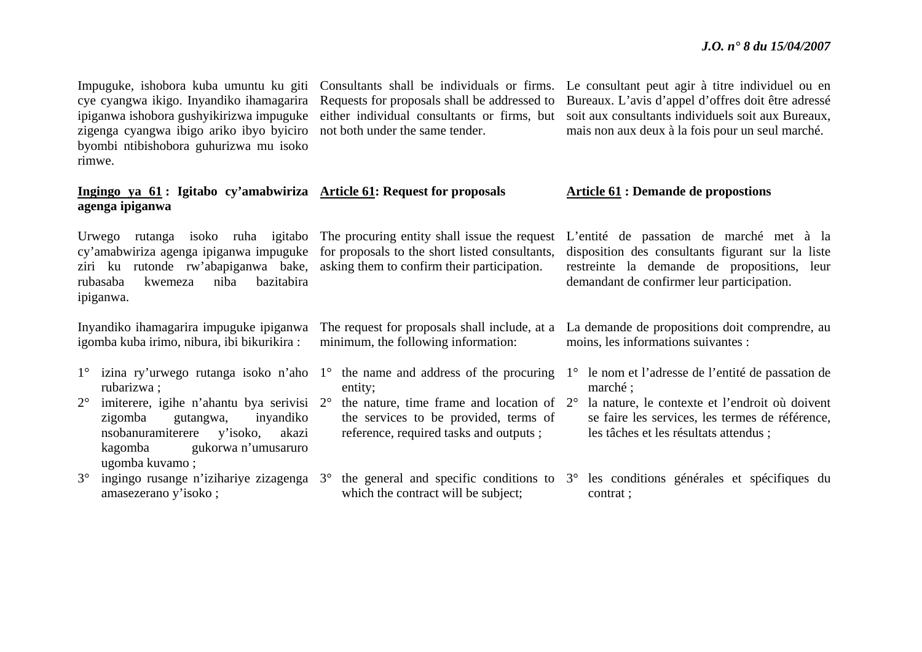cye cyangwa ikigo. Inyandiko ihamagarira ipiganwa ishobora gushyikirizwa impuguke zigenga cyangwa ibigo ariko ibyo byiciro byombi ntibishobora guhurizwa mu isoko rimwe.

# **Ingingo ya 61 : Igitabo cy'amabwiriza Article 61: Request for proposals agenga ipiganwa**

Urwego rutanga isoko ruha igitabo The procuring entity shall issue the request cy'amabwiriza agenga ipiganwa impuguke for proposals to the short listed consultants, ziri ku rutonde rw'abapiganwa bake, asking them to confirm their participation. rubasaba kwemeza niba bazitabira ipiganwa.

Inyandiko ihamagarira impuguke ipiganwa igomba kuba irimo, nibura, ibi bikurikira :

- rubarizwa ;
- $2^{\circ}$  $\degree$  imiterere, igihe n'ahantu bya serivisi 2 $\degree$ zigomba gutangwa, inyandiko nsobanuramiterere y'isoko, akazi kagomba gukorwa n'umusaruro ugomba kuvamo ;
- amasezerano y'isoko ;

Requests for proposals shall be addressed to either individual consultants or firms, but not both under the same tender.

The request for proposals shall include, at a minimum, the following information:

- entity;
- $\degree$  the nature, time frame and location of 2 $\degree$ the services to be provided, terms of reference, required tasks and outputs ;
- which the contract will be subject:

Impuguke, ishobora kuba umuntu ku giti Consultants shall be individuals or firms. Le consultant peut agir à titre individuel ou en Bureaux. L'avis d'appel d'offres doit être adressé soit aux consultants individuels soit aux Bureaux, mais non aux deux à la fois pour un seul marché.

# **Article 61 : Demande de propostions**

L'entité de passation de marché met à la disposition des consultants figurant sur la liste restreinte la demande de propositions, leur demandant de confirmer leur participation.

La demande de propositions doit comprendre, au moins, les informations suivantes :

1° izina ry'urwego rutanga isoko n'aho 1° the name and address of the procuring 1° le nom et l'adresse de l'entité de passation de marché ;

> la nature, le contexte et l'endroit où doivent se faire les services, les termes de référence, les tâches et les résultats attendus ;

3° ingingo rusange n'izihariye zizagenga 3° the general and specific conditions to 3° les conditions générales et spécifiques du contrat ;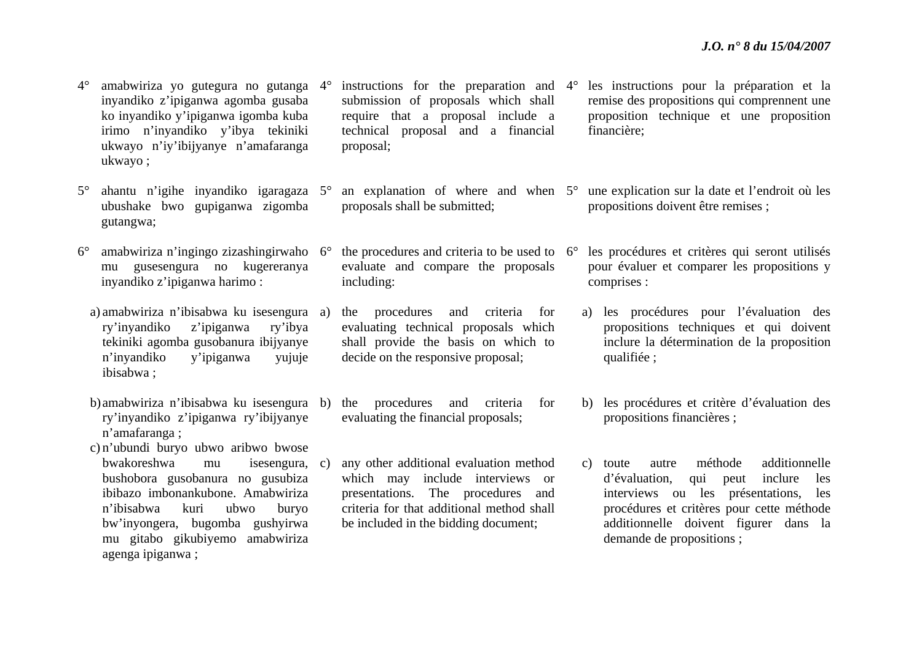$4^\circ$ ° amabwiriza yo gutegura no gutanga 4° inyandiko z'ipiganwa agomba gusaba ko inyandiko y'ipiganwa igomba kuba irimo n'inyandiko y'ibya tekiniki ukwayo n'iy'ibijyanye n'amafaranga ukwayo ;

- $5^\circ$  ahantu n'igihe inyandiko igaragaza 5°ubushake bwo gupiganwa zigomba gutangwa;
- $6^\circ$  amabwiriza n'ingingo zizashingirwaho 6°mu gusesengura no kugereranya inyandiko z'ipiganwa harimo :
	- a) amabwiriza n'ibisabwa ku isesengura ry'inyandiko z'ipiganwa ry'ibya tekiniki agomba gusobanura ibijyanye <sup>n</sup>'inyandiko y'ipiganwa yujuje ibisabwa ;
	- b) amabwiriza n'ibisabwa ku isesengura ry'inyandiko z'ipiganwa ry'ibijyanye <sup>n</sup>'amafaranga ;
	- c) <sup>n</sup>'ubundi buryo ubwo aribwo bwose bwakoreshwa mu isesengura, bushobora gusobanura no gusubiza ibibazo imbonankubone. Amabwiriza <sup>n</sup>'ibisabwa kuri ubwo buryo bw'inyongera, bugomba gushyirwa mu gitabo gikubiyemo amabwiriza agenga ipiganwa ;

 $\degree$  instructions for the preparation and 4 $\degree$ submission of proposals which shall require that a proposal include a technical proposal and a financial proposal;

 $\degree$  an explanation of where and when  $5\degree$ proposals shall be submitted;

 $\degree$  the procedures and criteria to be used to 6 $\degree$ evaluate and compare the proposals including:

a) the procedures and criteria for evaluating technical proposals which shall provide the basis on which to decide on the responsive proposal;

- b) the procedures and criteria for evaluating the financial proposals;
- any other additional evaluation method which may include interviews or presentations. The procedures and criteria for that additional method shall be included in the bidding document;
- les instructions pour la préparation et la remise des propositions qui comprennent une proposition technique et une proposition financière;
- une explication sur la date et l'endroit où les propositions doivent être remises ;
- les procédures et critères qui seront utilisés pour évaluer et comparer les propositions y comprises :
	- a) les procédures pour l'évaluation des propositions techniques et qui doivent inclure la détermination de la proposition qualifiée ;
- b) les procédures et critère d'évaluation des propositions financières ;
- c) toute autre méthode additionnelle d'évaluation, qui peut inclure les interviews ou les présentations, les procédures et critères pour cette méthode additionnelle doivent figurer dans la demande de propositions ;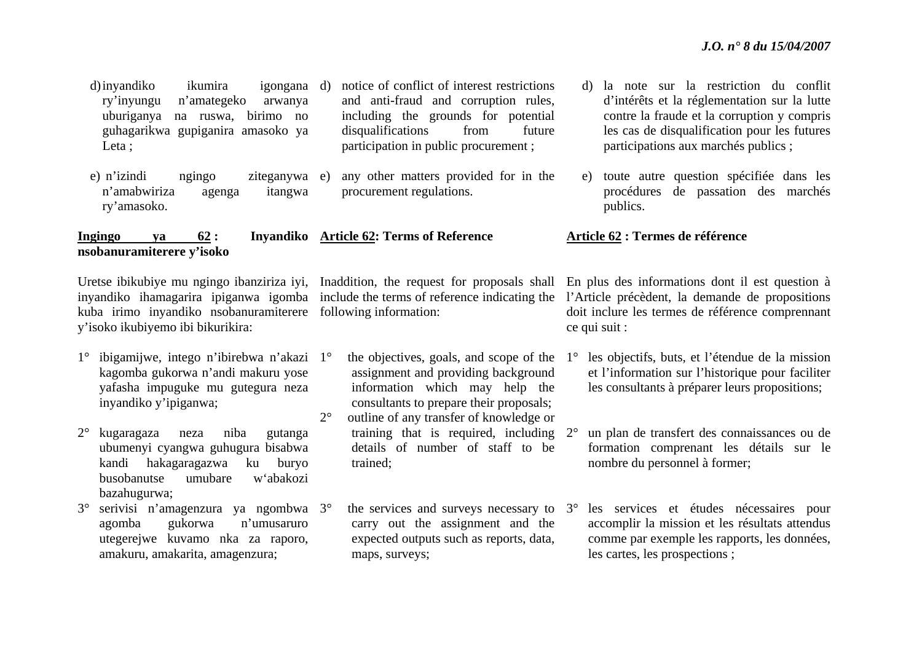d)inyandiko ikumira ry'inyungu n'amategeko arwanya uburiganya na ruswa, birimo no guhagarikwa gupiganira amasoko ya Leta ; igongana d) notice of conflict of interest restrictions and anti-fraud and corruption rules, including the grounds for potential disqualifications from future participation in public procurement ;

e) n'izindi ngingo ziteganywa <sup>n</sup>'amabwiriza agenga itangwa ry'amasoko. any other matters provided for in the procurement regulations.

# **Ingingo ya 62 : Inyandiko Article 62: Terms of Reference nsobanuramiterere y'isoko**

Uretse ibikubiye mu ngingo ibanziriza iyi, Inaddition, the request for proposals shall inyandiko ihamagarira ipiganwa igomba include the terms of reference indicating the kuba irimo inyandiko nsobanuramiterere following information: y'isoko ikubiyemo ibi bikurikira:

- 1° ibigamijwe, intego n'ibirebwa n'akazi 1°kagomba gukorwa n'andi makuru yose yafasha impuguke mu gutegura neza inyandiko y'ipiganwa;
- 2° kugaragaza neza niba gutanga ubumenyi cyangwa guhugura bisabwa kandi hakagaragazwa ku buryo busobanutse umubare w'abakozi bazahugurwa;
- 3° serivisi n'amagenzura ya ngombwa 3°agomba gukorwa n'umusaruro utegerejwe kuvamo nka za raporo, amakuru, amakarita, amagenzura;

 the objectives, goals, and scope of the assignment and providing background information which may help the consultants to prepare their proposals;  $2^{\circ}$  outline of any transfer of knowledge or training that is required, including 2°details of number of staff to be trained;

 $\degree$  the services and surveys necessary to 3 $\degree$ carry out the assignment and the expected outputs such as reports, data, maps, surveys;

- d) la note sur la restriction du conflit d'intérêts et la réglementation sur la lutte contre la fraude et la corruption y compris les cas de disqualification pour les futures participations aux marchés publics ;
- e) toute autre question spécifiée dans les procédures de passation des marchés publics.

# **Article 62 : Termes de référence**

En plus des informations dont il est question à l'Article précèdent, la demande de propositions doit inclure les termes de référence comprennant ce qui suit :

- $1^{\circ}$  les objectifs, buts, et l'étendue de la mission et l'information sur l'historique pour faciliter les consultants à préparer leurs propositions;
	- un plan de transfert des connaissances ou de formation comprenant les détails sur le nombre du personnel à former;
	- les services et études nécessaires pour accomplir la mission et les résultats attendus comme par exemple les rapports, les données, les cartes, les prospections ;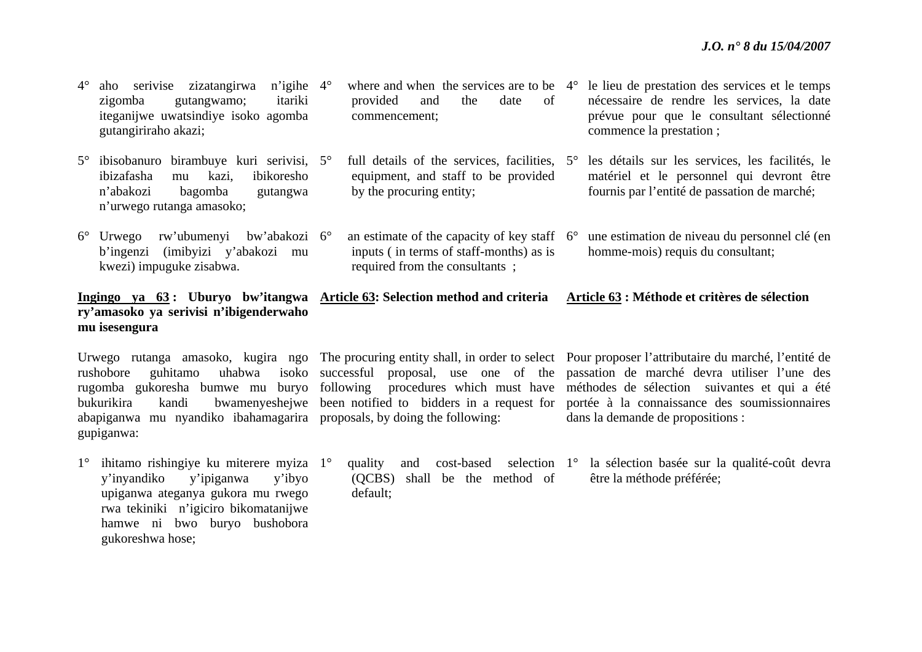| $4^\circ$ | n'igihe $4^\circ$<br>zizatangirwa<br>aho<br>serivise<br>itariki<br>zigomba<br>gutangwamo;<br>iteganijwe uwatsindiye isoko agomba<br>gutangiriraho akazi; | where and when the services are to be<br>provided<br>of<br>and<br>the<br>date<br>commencement;                                  | $4^\circ$ | le lieu de prestation des services et le temps<br>nécessaire de rendre les services, la date<br>prévue pour que le consultant sélectionné<br>commence la prestation; |
|-----------|----------------------------------------------------------------------------------------------------------------------------------------------------------|---------------------------------------------------------------------------------------------------------------------------------|-----------|----------------------------------------------------------------------------------------------------------------------------------------------------------------------|
| $5^\circ$ | ibisobanuro birambuye kuri serivisi, 5°<br>ibizafasha<br>ibikoresho<br>kazi,<br>mu<br>n'abakozi<br>bagomba<br>gutangwa<br>n'urwego rutanga amasoko;      | full details of the services, facilities, 5°<br>equipment, and staff to be provided<br>by the procuring entity;                 |           | les détails sur les services, les facilités, le<br>matériel et le personnel qui devront être<br>fournis par l'entité de passation de marché;                         |
| $6^\circ$ | bw'abakozi 6°<br>rw'ubumenyi<br>Urwego<br>(imibyizi y'abakozi mu<br>b'ingenzi<br>kwezi) impuguke zisabwa.                                                | an estimate of the capacity of key staff $6^\circ$<br>inputs (in terms of staff-months) as is<br>required from the consultants; |           | une estimation de niveau du personnel clé (en<br>homme-mois) requis du consultant;                                                                                   |

# **Ingingo ya 63 : Uburyo bw'itangwa Article 63: Selection method and criteria Article 63 : Méthode et critères de sélection ry'amasoko ya serivisi n'ibigenderwaho mu isesengura**

abapiganwa mu nyandiko ibahamagarira proposals, by doing the following: gupiganwa:

1° ihitamo rishingiye ku miterere myiza 1°y'inyandiko y'ipiganwa y'ibyo upiganwa ateganya gukora mu rwego rwa tekiniki n'igiciro bikomatanijwe hamwe ni bwo buryo bushobora gukoreshwa hose;

(QCBS) shall be the method of default;

Urwego rutanga amasoko, kugira ngo The procuring entity shall, in order to select Pour proposer l'attributaire du marché, l'entité de rushobore guhitamo uhabwa isoko successful proposal, use one of the passation de marché devra utiliser l'une des rugomba gukoresha bumwe mu buryo following procedures which must have méthodes de sélection suivantes et qui a été bukurikira kandi bwamenyeshejwe been notified to bidders in a request for portée à la connaissance des soumissionnaires dans la demande de propositions :

> quality and cost-based selection 1° la sélection basée sur la qualité-coût devra être la méthode préférée;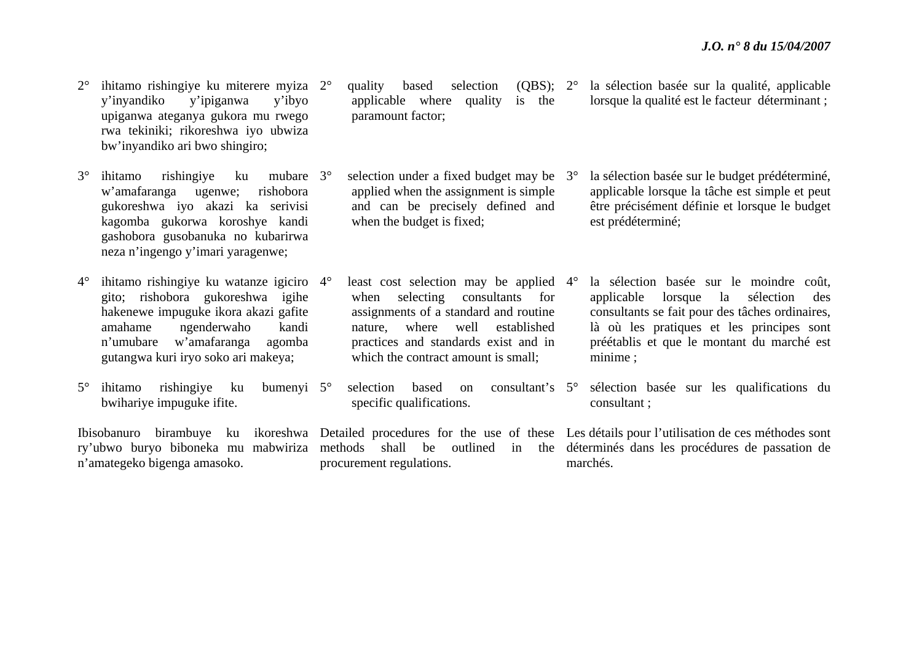- $2^{\circ}$  $\degree$  ihitamo rishingiye ku miterere myiza 2 $\degree$ y'inyandiko y'ipiganwa y'ibyo upiganwa ateganya gukora mu rwego rwa tekiniki; rikoreshwa iyo ubwiza bw'inyandiko ari bwo shingiro;
- $3^\circ$ ihitamo rishingiye ku <sup>w</sup>'amafaranga ugenwe; rishobora gukoreshwa iyo akazi ka serivisi kagomba gukorwa koroshye kandi gashobora gusobanuka no kubarirwa neza n'ingengo y'imari yaragenwe; mubare 3<sup>°</sup>
- $4^{\circ}$  $\degree$  ihitamo rishingiye ku watanze igiciro 4 $\degree$ gito; rishobora gukoreshwa igihe hakenewe impuguke ikora akazi gafite amahame ngenderwaho kandi <sup>n</sup>'umubare w'amafaranga agomba gutangwa kuri iryo soko ari makeya;
- $5^\circ$ ihitamo rishingiye ku bwihariye impuguke ifite. bumenyi 5°

<sup>n</sup>'amategeko bigenga amasoko.

quality based selection applicable where quality is the paramount factor;

 $\degree$  selection under a fixed budget may be  $\degree$ 3 $\degree$ applied when the assignment is simple and can be precisely defined and when the budget is fixed;

<sup>o</sup> least cost selection may be applied 4<sup>o</sup> when selecting consultants for assignments of a standard and routine nature, where well established practices and standards exist and in which the contract amount is small:

selection based on specific qualifications. consultant's 5°

procurement regulations.

2° la sélection basée sur la qualité, applicable lorsque la qualité est le facteur déterminant ;

 la sélection basée sur le budget prédéterminé, applicable lorsque la tâche est simple et peut être précisément définie et lorsque le budget est prédéterminé;

 la sélection basée sur le moindre coût, applicable lorsque la sélection des consultants se fait pour des tâches ordinaires, là où les pratiques et les principes sont préétablis et que le montant du marché est minime ;

 sélection basée sur les qualifications du consultant ;

Ibisobanuro birambuye ku ikoreshwa Detailed procedures for the use of these Les détails pour l'utilisation de ces méthodes sont ry'ubwo buryo biboneka mu mabwiriza methods shall be outlined in the déterminés dans les procédures de passation de marchés.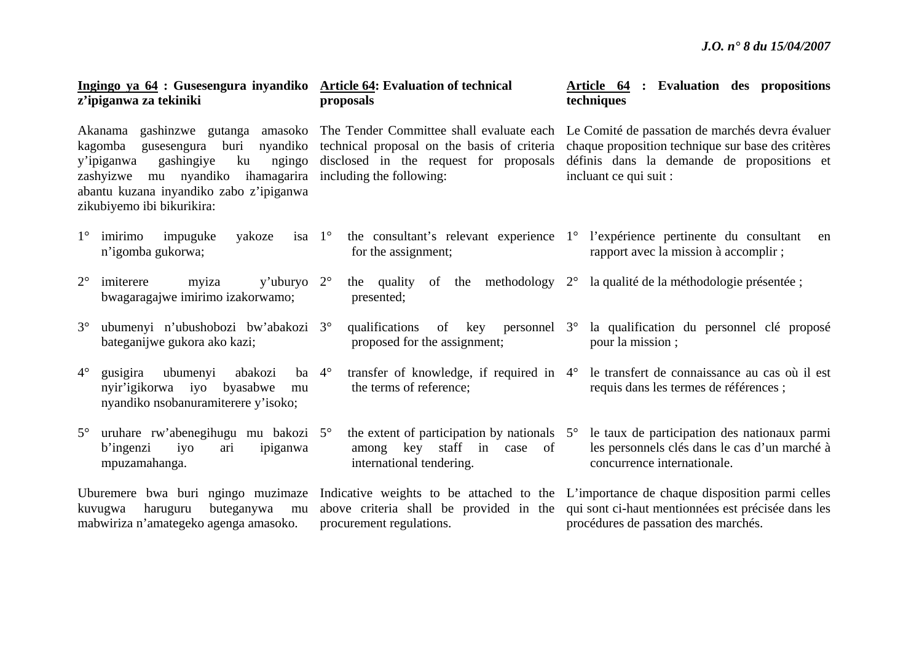procédures de passation des marchés.

| Ingingo ya 64 : Gusesengura inyandiko Article 64: Evaluation of technical<br>z'ipiganwa za tekiniki                                                                                   | proposals                                                                                                    | Article 64 : Evaluation des propositions<br>techniques                                                                                                                                                                                                                                               |
|---------------------------------------------------------------------------------------------------------------------------------------------------------------------------------------|--------------------------------------------------------------------------------------------------------------|------------------------------------------------------------------------------------------------------------------------------------------------------------------------------------------------------------------------------------------------------------------------------------------------------|
| nyandiko<br>buri<br>kagomba gusesengura<br>gashingiye<br>ku<br>y'ipiganwa<br>ngingo<br>zashyizwe mu nyandiko<br>abantu kuzana inyandiko zabo z'ipiganwa<br>zikubiyemo ibi bikurikira: | disclosed in the request for proposals<br>ihamagarira including the following:                               | Akanama gashinzwe gutanga amasoko The Tender Committee shall evaluate each Le Comité de passation de marchés devra évaluer<br>technical proposal on the basis of criteria chaque proposition technique sur base des critères<br>définis dans la demande de propositions et<br>incluant ce qui suit : |
| $1^{\circ}$<br>isa $1^\circ$<br>imirimo<br>impuguke<br>yakoze<br>n'igomba gukorwa;                                                                                                    | for the assignment;                                                                                          | the consultant's relevant experience 1 <sup>°</sup> l'expérience pertinente du consultant<br>en<br>rapport avec la mission à accomplir ;                                                                                                                                                             |
| $2^{\circ}$<br>y'uburyo $2^{\circ}$<br>imiterere<br>myiza<br>bwagaragajwe imirimo izakorwamo;                                                                                         | of the methodology $2^{\circ}$<br>the quality<br>presented;                                                  | la qualité de la méthodologie présentée ;                                                                                                                                                                                                                                                            |
| $3^\circ$<br>ubumenyi n'ubushobozi bw'abakozi 3°<br>bateganijwe gukora ako kazi;                                                                                                      | qualifications of key personnel 3 <sup>o</sup><br>proposed for the assignment;                               | la qualification du personnel clé proposé<br>pour la mission;                                                                                                                                                                                                                                        |
| $4^\circ$<br>gusigira<br>ubumenyi<br>abakozi<br>ba $4^\circ$<br>nyir'igikorwa iyo<br>byasabwe<br>mu<br>nyandiko nsobanuramiterere y'isoko;                                            | the terms of reference;                                                                                      | transfer of knowledge, if required in 4° le transfert de connaissance au cas où il est<br>requis dans les termes de références ;                                                                                                                                                                     |
| uruhare rw'abenegihugu mu bakozi 5°<br>$5^{\circ}$<br>b'ingenzi<br>ipiganwa<br>iyo<br>ari<br>mpuzamahanga.                                                                            | the extent of participation by nationals $5^\circ$<br>among key staff in case of<br>international tendering. | le taux de participation des nationaux parmi<br>les personnels clés dans le cas d'un marché à<br>concurrence internationale.                                                                                                                                                                         |
| kuvugwa<br>haruguru<br>buteganywa<br>mu                                                                                                                                               |                                                                                                              | Uburemere bwa buri ngingo muzimaze Indicative weights to be attached to the L'importance de chaque disposition parmi celles<br>above criteria shall be provided in the qui sont ci-haut mentionnées est précisée dans les                                                                            |

procurement regulations.

mabwiriza n'amategeko agenga amasoko.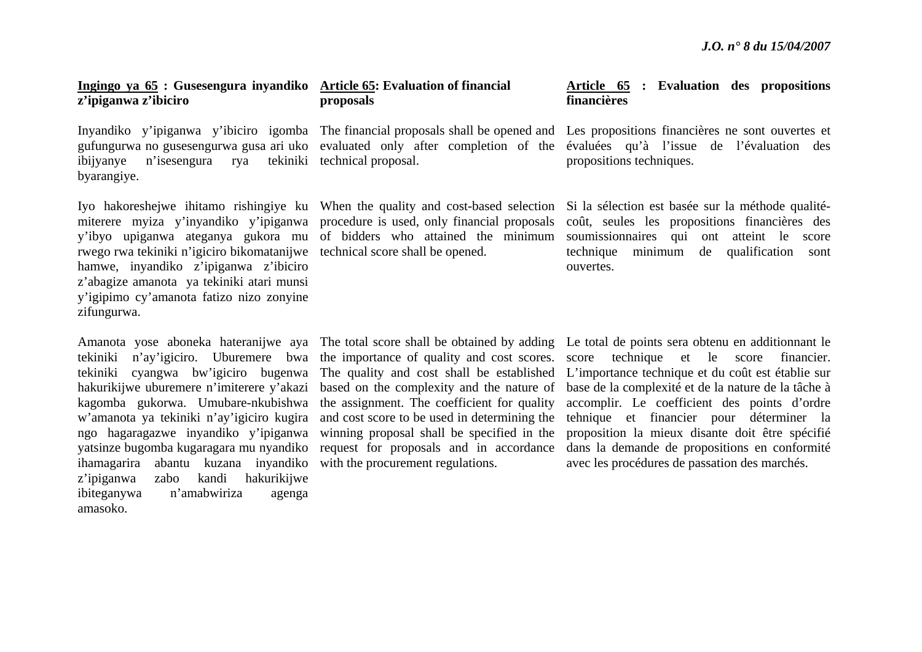## **Ingingo ya 65 : Gusesengura inyandiko Article 65: Evaluation of financial <sup>z</sup>'ipiganwa z'ibiciro**

ibijyanye n'isesengura rya tekiniki technical proposal. byarangiye.

rwego rwa tekiniki n'igiciro bikomatanijwe technical score shall be opened. hamwe, inyandiko z'ipiganwa z'ibiciro <sup>z</sup>'abagize amanota ya tekiniki atari munsi y'igipimo cy'amanota fatizo nizo zonyine zifungurwa.

hakurikijwe uburemere n'imiterere y'akazi kagomba gukorwa. Umubare-nkubishwa <sup>w</sup>'amanota ya tekiniki n'ay'igiciro kugira ihamagarira abantu kuzana inyandiko <sup>z</sup>'ipiganwa zabo kandi hakurikijwe ibiteganywa n'amabwiriza agenga amasoko.

# **proposals**

miterere myiza y'inyandiko y'ipiganwa procedure is used, only financial proposals

ngo hagaragazwe inyandiko y'ipiganwa winning proposal shall be specified in the yatsinze bugomba kugaragara mu nyandiko request for proposals and in accordance the assignment. The coefficient for quality and cost score to be used in determining the with the procurement regulations.

# **Article 65 : Evaluation des propositions financières**

Inyandiko y'ipiganwa y'ibiciro igomba The financial proposals shall be opened and Les propositions financières ne sont ouvertes et gufungurwa no gusesengurwa gusa ari uko evaluated only after completion of the évaluées qu'à l'issue de l'évaluation des propositions techniques.

Iyo hakoreshejwe ihitamo rishingiye ku When the quality and cost-based selection Si la sélection est basée sur la méthode qualitéy'ibyo upiganwa ateganya gukora mu of bidders who attained the minimum soumissionnaires qui ont atteint le score coût, seules les propositions financières des technique minimum de qualification sont ouvertes.

Amanota yose aboneka hateranijwe aya The total score shall be obtained by adding Le total de points sera obtenu en additionnant le tekiniki n'ay'igiciro. Uburemere bwa the importance of quality and cost scores. score technique et le score financier. tekiniki cyangwa bw'igiciro bugenwa The quality and cost shall be established L'importance technique et du coût est établie sur based on the complexity and the nature of base de la complexité et de la nature de la tâche à accomplir. Le coefficient des points d'ordre tehnique et financier pour déterminer la proposition la mieux disante doit être spécifié dans la demande de propositions en conformité avec les procédures de passation des marchés.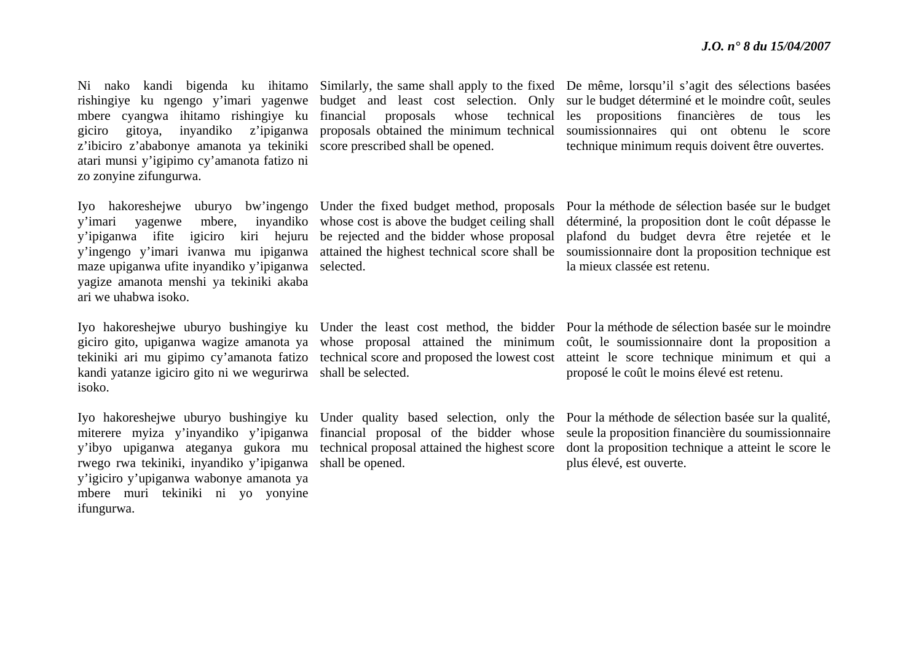mbere cyangwa ihitamo rishingiye ku giciro gitoya, inyandiko z'ipiganwa <sup>z</sup>'ibiciro z'ababonye amanota ya tekiniki score prescribed shall be opened. atari munsi y'igipimo cy'amanota fatizo ni zo zonyine zifungurwa.

Iyo hakoreshejwe uburyo bw'ingengo Under the fixed budget method, proposals y'imari yagenwe mbere, inyandiko whose cost is above the budget ceiling shall y'ipiganwa ifite igiciro kiri hejuru maze upiganwa ufite inyandiko y'ipiganwa selected. yagize amanota menshi ya tekiniki akaba ari we uhabwa isoko.

kandi yatanze igiciro gito ni we wegurirwa shall be selected. isoko.

rwego rwa tekiniki, inyandiko y'ipiganwa y'igiciro y'upiganwa wabonye amanota ya mbere muri tekiniki ni yo yonyine ifungurwa.

be rejected and the bidder whose proposal

shall be opened.

Ni nako kandi bigenda ku ihitamo Similarly, the same shall apply to the fixed De même, lorsqu'il s'agit des sélections basées rishingiye ku ngengo y'imari yagenwe budget and least cost selection. Only sur-le-budget-déterminé-et-le-moindre-coût, seules financial proposals whose technical les propositions financières de tous les proposals obtained the minimum technical soumissionnaires qui ont obtenu le score technique minimum requis doivent être ouvertes.

y'ingengo y'imari ivanwa mu ipiganwa attained the highest technical score shall be soumissionnaire dont la proposition technique est Pour la méthode de sélection basée sur le budget déterminé, la proposition dont le coût dépasse le plafond du budget devra être rejetée et le la mieux classée est retenu.

Iyo hakoreshejwe uburyo bushingiye ku Under the least cost method, the bidder Pour la méthode de sélection basée sur le moindre giciro gito, upiganwa wagize amanota ya whose proposal attained the minimum coût, le soumissionnaire dont la proposition a tekiniki ari mu gipimo cy'amanota fatizo technical score and proposed the lowest cost atteint le score technique minimum et qui a proposé le coût le moins élevé est retenu.

Iyo hakoreshejwe uburyo bushingiye ku Under quality based selection, only the Pourla méthode de sélection basée sur la qualité, miterere myiza y'inyandiko y'ipiganwa financial proposal of the bidder whose seule la proposition financière du soumissionnaire y'ibyo upiganwa ateganya gukora mu technical proposal attained the highest score dont la proposition technique a atteint le score le plus élevé, est ouverte.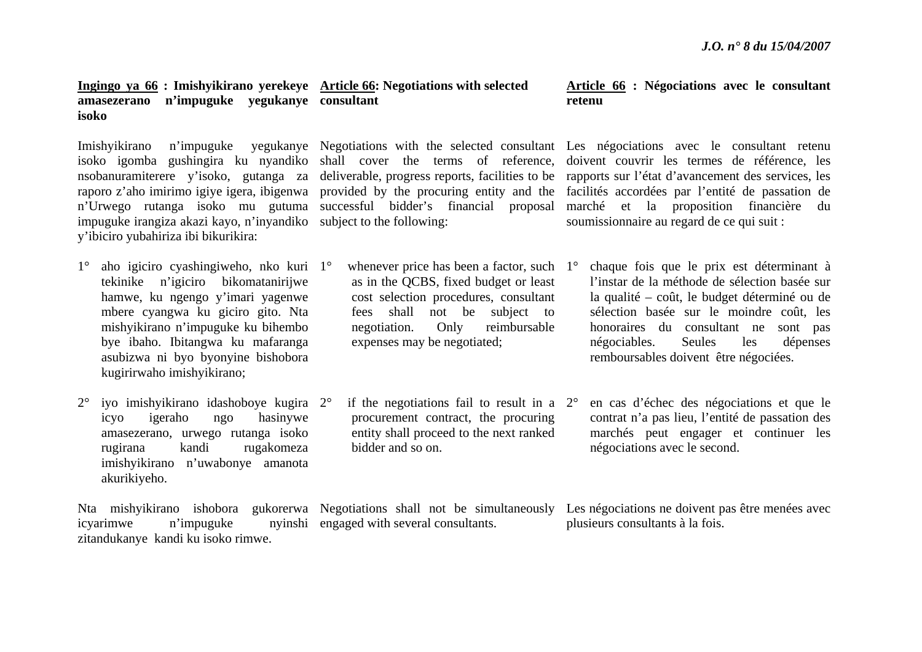#### **Ingingo ya 66 : Imishyikirano yerekeye Article 66: Negotiations with selected amasezerano n'impuguke yegukanye consultant isoko**

impuguke irangiza akazi kayo, n'inyandiko subject to the following: y'ibiciro yubahiriza ibi bikurikira:

- 1° aho igiciro cyashingiweho, nko kuri 1°tekinike n'igiciro bikomatanirijwe hamwe, ku ngengo y'imari yagenwe mbere cyangwa ku giciro gito. Nta mishyikirano n'impuguke ku bihembo bye ibaho. Ibitangwa ku mafaranga asubizwa ni byo byonyine bishobora kugirirwaho imishyikirano;
- $2^{\circ}$  iyo imishyikirano idashoboye kugira 2°icyo igeraho ngo hasinywe amasezerano, urwego rutanga isoko rugirana kandi rugakomeza imishyikirano n'uwabonye amanota akurikiyeho.

Nta mishyikirano ishobora gukorerwa Negotiations shall not be simultaneously Les négociations ne doivent pas être menées avec icyarimwe n'impuguke zitandukanye kandi ku isoko rimwe. nyinshi engaged with several consultants.

- $\degree$  whenever price has been a factor, such 1 $\degree$ as in the QCBS, fixed budget or least cost selection procedures, consultant fees shall not be subject to negotiation. Only reimbursable expenses may be negotiated;
- $\degree$  if the negotiations fail to result in a  $2\degree$ procurement contract, the procuring entity shall proceed to the next ranked bidder and so on.

# **Article 66 : Négociations avec le consultant retenu**

Imishyikirano n'impuguke yegukanye Negotiations with the selected consultant Les négociations avec le consultant retenu isoko igomba gushingira ku nyandiko shall cover the terms of reference, doivent couvrir les termes de référence, les nsobanuramiterere y'isoko, gutanga za deliverable, progress reports, facilities to be rapports sur l'état d'avancement des services, les raporo z'aho imirimo igiye igera, ibigenwa provided by the procuring entity and the facilités accordées par l'entité de passation de <sup>n</sup>'Urwego rutanga isoko mu gutuma successful bidder's financial proposal marché et la proposition financière du soumissionnaire au regard de ce qui suit :

- chaque fois que le prix est déterminant à l'instar de la méthode de sélection basée sur la qualité – coût, le budget déterminé ou de sélection basée sur le moindre coût, les honoraires du consultant ne sont pas négociables. Seules les dépenses remboursables doivent être négociées.
- en cas d'échec des négociations et que le contrat n'a pas lieu, l'entité de passation des marchés peut engager et continuer les négociations avec le second.

plusieurs consultants à la fois.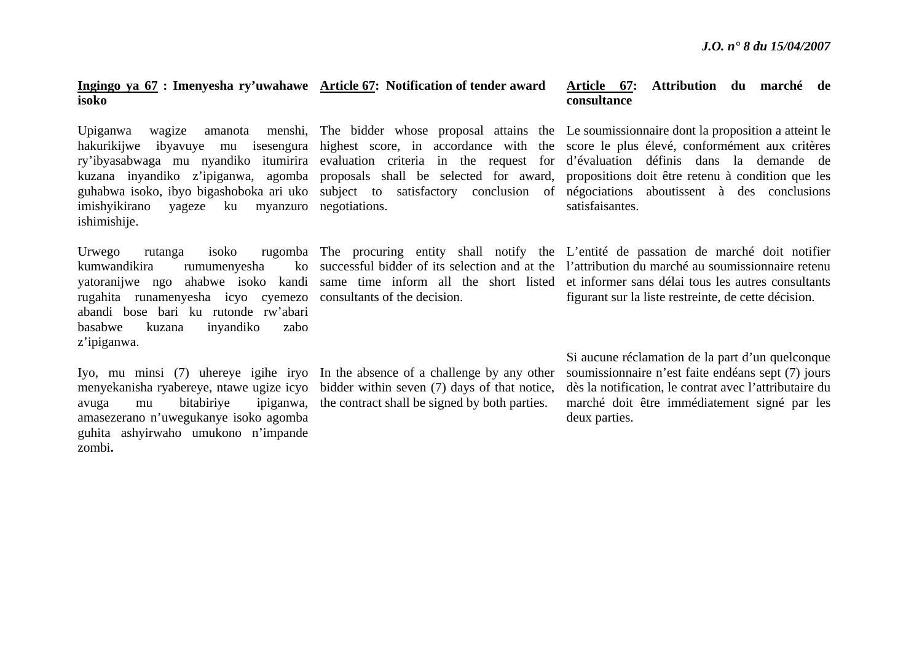# **Ingingo ya 67 : Imenyesha ry'uwahawe Article 67: Notification of tender award isoko**

imishyikirano yageze ku myanzuro negotiations. ishimishije.

kumwandikira rumumenyesha rugahita runamenyesha icyo cyemezo consultants of the decision. abandi bose bari ku rutonde rw'abari basabwe kuzana inyandiko zabo <sup>z</sup>'ipiganwa.

Iyo, mu minsi (7) uhereye igihe iryo In the absence of a challenge by any other menyekanisha ryabereye, ntawe ugize icyo bidder within seven (7) days of that notice, avuga mu bitabiriye ipiganwa, the contract shall be signed by both parties. amasezerano n'uwegukanye isoko agomba guhita ashyirwaho umukono n'impande zombi**.** 

### **Article 67: Attribution du marché de consultance**

Upiganwa wagize amanota menshi, The bidder whose proposal attains the Le soumissionnaire dont la proposition a atteint le hakurikijwe ibyavuye mu isesengura highest score, in accordance with the score le plus élevé, conformément aux critères ry'ibyasabwaga mu nyandiko itumirira evaluation criteria in the request for d'évaluation définis dans la demande de kuzana inyandiko z'ipiganwa, agomba proposals shall be selected for award, propositions doit être-retenu à condition que les guhabwa isoko, ibyo bigashoboka ari uko subject to satisfactory conclusion of négociations aboutissent à des conclusions satisfaisantes.

Urwego rutanga isoko rugomba The procuring entity shall notify the L'entité de passation de marché doit notifier yatoranijwe ngo ahabwe isoko kandi same time inform all the short listed et informer sans délai tous les autres consultants successful bidder of its selection and at the l'attribution du marché au soumissionnaire retenu figurant sur la liste restreinte, de cette décision.

> Si aucune réclamation de la part d'un quelconque soumissionnaire n'est faite endéans sept (7) jours dès la notification, le contrat avec l'attributaire du marché doit être immédiatement signé par les deux parties.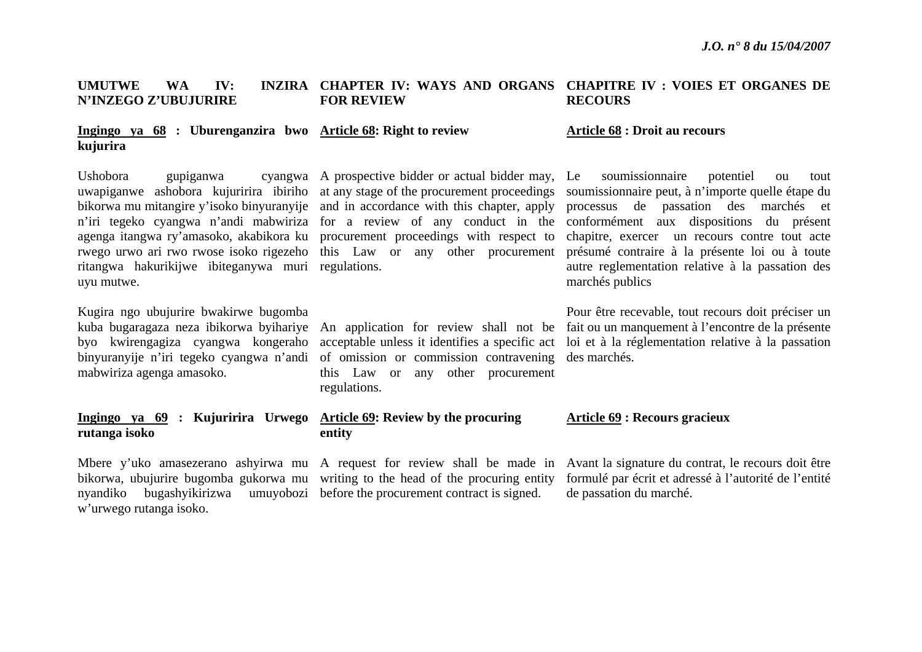#### **UMUTWE WA IV: N'INZEGO Z'UBUJURIRE CHAPTER IV: WAYS AND ORGANS CHAPITRE IV : VOIES ET ORGANES DE FOR REVIEW RECOURS**

#### **Ingingo ya 68 : Uburenganzira bwo Article 68: Right to review kujurira**

Ushobora gupiganwa <sup>n</sup>'iri tegeko cyangwa n'andi mabwiriza for a review of any conduct in the agenga itangwa ry'amasoko, akabikora ku procurement proceedings with respect to ritangwa hakurikijwe ibiteganywa muri regulations. uyu mutwe.

Kugira ngo ubujurire bwakirwe bugomba mabwiriza agenga amasoko.

# **Ingingo ya 69 : Kujuririra Urwego Article 69: Review by the procuring rutanga isoko**

nyandiko bugashyikirizwa umuyobozi before the procurement contract is signed. <sup>w</sup>'urwego rutanga isoko.

A prospective bidder or actual bidder may,

binyuranyije n'iri tegeko cyangwa n'andi of omission or commission contravening des marchés. this Law or any other procurement regulations.

# **entity**

#### **Article 68 : Droit au recours**

uwapiganwe ashobora kujuririra ibiriho at any stage of the procurement proceedings soumissionnaire peut, à n'importe quelle étape du bikorwa mu mitangire y'isoko binyuranyije and in accordance with this chapter, apply processus de passation des marchés et rwego urwo ari rwo rwose isoko rigezeho this Law or any other procurement présumé contraire à la présente loi ou à toute soumissionnaire potentiel ou tout conformément aux dispositions du présent chapitre, exercer un recours contre tout acte autre reglementation relative à la passation des marchés publics

kuba bugaragaza neza ibikorwa byihariye An application for review shall not be fait ou un manquement à l'encontre de la présente byo kwirengagiza cyangwa kongeraho acceptable unless it identifies a specific act loi et à la réglementation relative à la passation Pour être recevable, tout recours doit préciser un

#### **Article 69 : Recours gracieux**

Mbere y'uko amasezerano ashyirwa mu A request for review shall be made in Avant la signature du contrat, le recours doit être bikorwa, ubujurire bugomba gukorwa mu writing to the head of the procuring entity formulé par écrit et adressé à l'autorité de l'entité de passation du marché.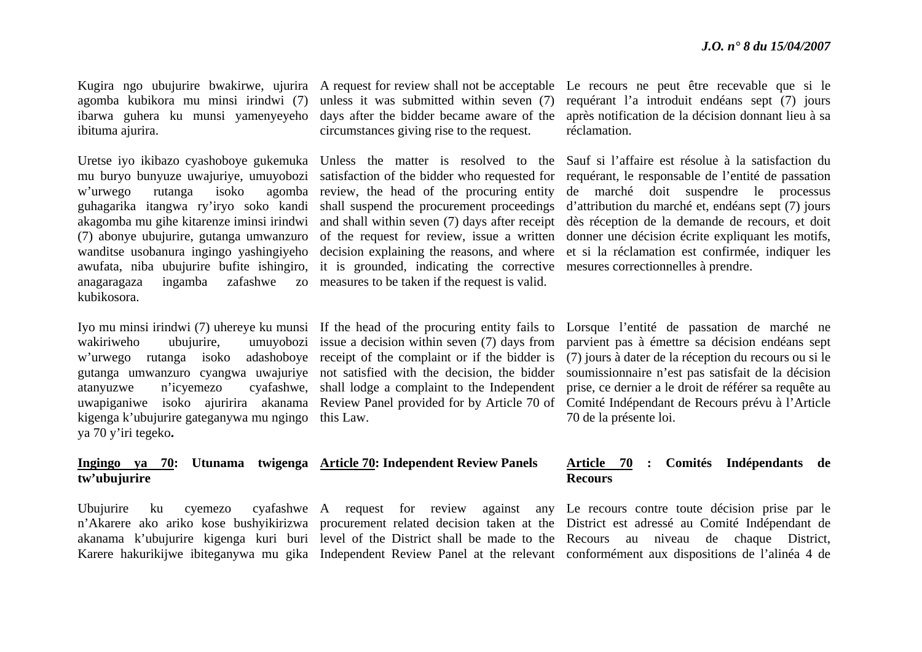agomba kubikora mu minsi irindwi (7) ibituma ajurira.

w'urwego rutanga isoko akagomba mu gihe kitarenze iminsi irindwi (7) abonye ubujurire, gutanga umwanzuro anagaragaza ingamba zafashwe kubikosora.

w'urwego rutanga isoko kigenga k'ubujurire gateganywa mu ngingo this Law. ya 70 y'iri tegeko**.** 

#### **Ingingo ya 70: Utunama twigenga Article 70: Independent Review Panels tw'ubujurire**

ibarwa guhera ku munsi yamenyeyeho days after the bidder became aware of the unless it was submitted within seven (7) circumstances giving rise to the request.

wanditse usobanura ingingo yashingiyeho decision explaining the reasons, and where awufata, niba ubujurire bufite ishingiro, it is grounded, indicating the corrective mesures correctionnelles à prendre. measures to be taken if the request is valid.

adashoboye receipt of the complaint or if the bidder is

Ubujurire ku cyemezo cyafashwe A request for review against any Le recours contre toute décision prise par le

Kugira ngo ubujurire bwakirwe, ujurira A request for review shall not be acceptable Le recours ne peut être recevable que si le requérant l'a introduit endéans sept (7) jours après notification de la décision donnant lieu à sa réclamation.

Uretse iyo ikibazo cyashoboye gukemuka Unless the matter is resolved to the Sauf si l'affaire est résolue à la satisfaction du mu buryo bunyuze uwajuriye, umuyobozi satisfaction of the bidder who requested for requérant, le responsable de l'entité de passation guhagarika itangwa ry'iryo soko kandi shall suspend the procurement proceedings d'attribution du marché et, endéans sept (7) jours review, the head of the procuring entity de marché doit suspendre le processus and shall within seven (7) days after receipt dès réception de la demande de recours, et doit of the request for review, issue a written donner une décision écrite expliquant les motifs, et si la réclamation est confirmée, indiquer les

Iyo mu minsi irindwi (7) uhereye ku munsi If the head of the procuring entity fails to Lorsque l'entité de passation de marché ne wakiriweho ubujurire, umuyobozi issue a decision within seven (7) days from parvient pas à émettre sa décision endéans sept gutanga umwanzuro cyangwa uwajuriye not satisfied with the decision, the bidder soumissionnaire n'est pas satisfait de la décision atanyuzwe n'icyemezo cyafashwe, shall lodge a complaint to the Independent prise, ce dernier a le droit de référer sa requête au uwapiganiwe isoko ajuririra akanama Review Panel provided for by Article 70 of Comité Indépendant de Recours prévu à l'Article (7) jours à dater de la réception du recours ou si le 70 de la présente loi.

#### **Article 70 : Comités Indépendants de Recours**

<sup>n</sup>'Akarere ako ariko kose bushyikirizwa procurement related decision taken at the District est adressé au Comité Indépendant de akanama k'ubujurire kigenga kuri buri level of the District shall be made to the Recours au niveau de chaque District, Karere hakurikijwe ibiteganywa mu gika Independent Review Panel at the relevant conformément aux dispositions de l'alinéa 4 de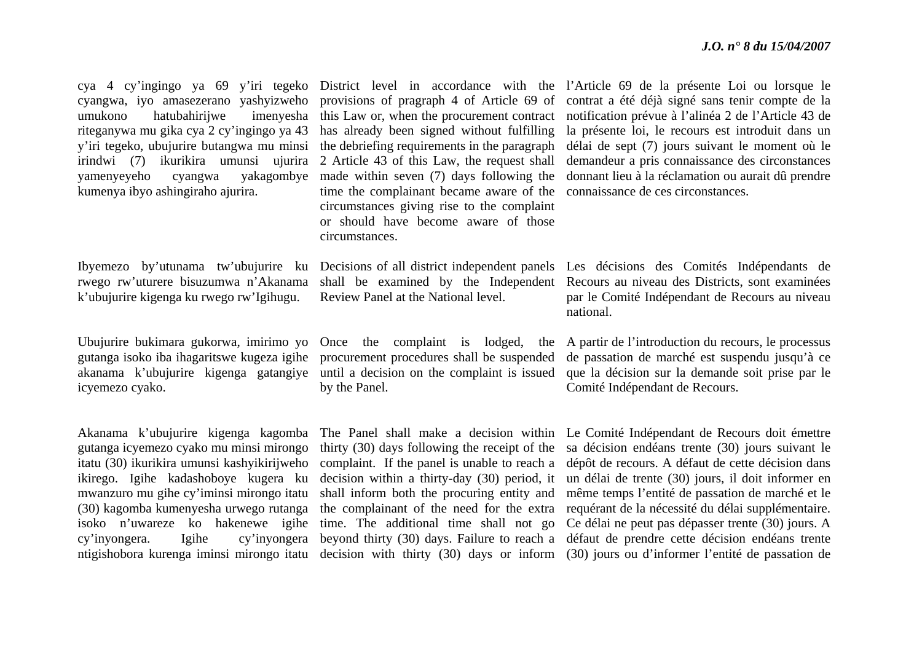umukono hatubahirijwe riteganywa mu gika cya 2 cy'ingingo ya 43 has already been signed without fulfilling y'iri tegeko, ubujurire butangwa mu minsi irindwi (7) ikurikira umunsi ujurira 2 Article 43 of this Law, the request shall yamenyeyeho cyangwa yakagombye kumenya ibyo ashingiraho ajurira.

rwego rw'uturere bisuzumwa n'Akanama k'ubujurire kigenga ku rwego rw'Igihugu.

Ubujurire bukimara gukorwa, imirimo yo Once the complaint is lodged, the icyemezo cyako.

gutanga icyemezo cyako mu minsi mirongo itatu (30) ikurikira umunsi kashyikirijweho ikirego. Igihe kadashoboye kugera ku mwanzuro mu gihe cy'iminsi mirongo itatu (30) kagomba kumenyesha urwego rutanga isoko n'uwareze ko hakenewe igihe cy'inyongera. Igihe cy'inyongera

the debriefing requirements in the paragraph made within seven (7) days following the time the complainant became aware of the circumstances giving rise to the complaint or should have become aware of those circumstances.

shall be examined by the Independent Review Panel at the National level.

gutanga isoko iba ihagaritswe kugeza igihe procurement procedures shall be suspended by the Panel.

cya 4 cy'ingingo ya 69 y'iri tegeko District level in accordance with the l'Article 69 de la présente Loi ou lorsque le cyangwa, iyo amasezerano yashyizweho provisions of pragraph 4 of Article 69 of contrat a été déjà signé sans tenir compte de la this Law or, when the procurement contract notification prévue à l'alinéa 2 de l'Article 43 de la présente loi, le recours est introduit dans un délai de sept (7) jours suivant le moment où le demandeur a pris connaissance des circonstances donnant lieu à la réclamation ou aurait dû prendre connaissance de ces circonstances.

Ibyemezo by'utunama tw'ubujurire ku Decisions of all district independent panels Les décisions des Comités Indépendants de Recours au niveau des Districts, sont examinées par le Comité Indépendant de Recours au niveau national.

akanama k'ubujurire kigenga gatangiye until a decision on the complaint is issued que la décision sur la demande soit prise par le A partir de l'introduction du recours, le processus de passation de marché est suspendu jusqu'à ce Comité Indépendant de Recours.

Akanama k'ubujurire kigenga kagomba The Panel shall make a decision within Le Comité Indépendant de Recours doit émettre ntigishobora kurenga iminsi mirongo itatu decision with thirty (30) days or inform (30) jours ou d'informer l'entité de passation de thirty (30) days following the receipt of the sa décision endéans trente (30) jours suivant le complaint. If the panel is unable to reach a dépôt de recours. A défaut de cette décision dans decision within a thirty-day (30) period, it un délai de trente (30) jours, il doit informer en shall inform both the procuring entity and même temps l'entité de passation de marché et le the complainant of the need for the extra requérant de la nécessité du délai supplémentaire. time. The additional time shall not go Ce délai ne peut pas dépasser trente (30) jours. A beyond thirty (30) days. Failure to reach a défaut de prendre cette décision endéans trente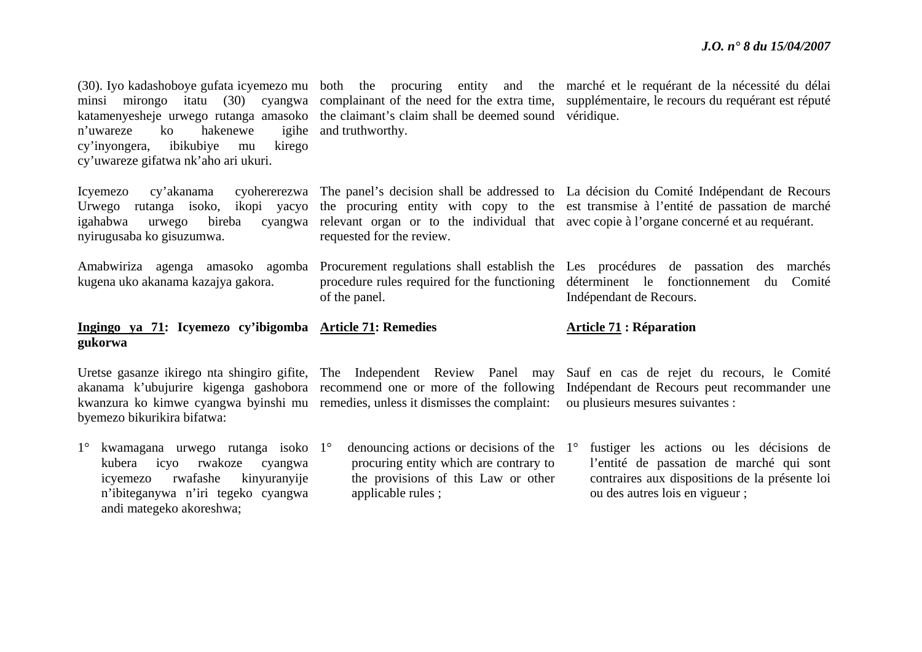ou des autres lois en vigueur ;

| hakenewe<br>n'uwareze<br>ko<br>ibikubiye<br>cy'inyongera,<br>kirego<br>mu<br>cy'uwareze gifatwa nk'aho ari ukuri.        | katamenyesheje urwego rutanga amasoko the claimant's claim shall be deemed sound véridique.<br>igihe and truthworthy. | (30). Iyo kadashoboye gufata icyemezo mu both the procuring entity and the marché et le requérant de la nécessité du délai<br>minsi mirongo itatu (30) cyangwa complainant of the need for the extra time, supplémentaire, le recours du requérant est réputé                                     |
|--------------------------------------------------------------------------------------------------------------------------|-----------------------------------------------------------------------------------------------------------------------|---------------------------------------------------------------------------------------------------------------------------------------------------------------------------------------------------------------------------------------------------------------------------------------------------|
| Icyemezo<br>cy'akanama<br>Urwego rutanga isoko, ikopi yacyo<br>igahabwa<br>bireba<br>urwego<br>nyirugusaba ko gisuzumwa. | requested for the review.                                                                                             | cyohererezwa The panel's decision shall be addressed to La décision du Comité Indépendant de Recours<br>the procuring entity with copy to the est transmise à l'entité de passation de marché<br>cyangwa relevant organ or to the individual that avec copie à l'organe concerné et au requérant. |
| kugena uko akanama kazajya gakora.                                                                                       | procedure rules required for the functioning déterminent le fonctionnement du<br>of the panel.                        | Amabwiriza agenga amasoko agomba Procurement regulations shall establish the Les procédures de passation des marchés<br>Comité<br>Indépendant de Recours.                                                                                                                                         |
| Ingingo ya 71: Icyemezo cy'ibigomba Article 71: Remedies                                                                 |                                                                                                                       |                                                                                                                                                                                                                                                                                                   |
| gukorwa                                                                                                                  |                                                                                                                       | <b>Article 71: Réparation</b>                                                                                                                                                                                                                                                                     |
| byemezo bikurikira bifatwa:                                                                                              | kwanzura ko kimwe cyangwa byinshi mu remedies, unless it dismisses the complaint:                                     | Uretse gasanze ikirego nta shingiro gifite, The Independent Review Panel may Sauf en cas de rejet du recours, le Comité<br>akanama k'ubujurire kigenga gashobora recommend one or more of the following Indépendant de Recours peut recommander une<br>ou plusieurs mesures suivantes :           |

applicable rules ;

<sup>n</sup>'ibiteganywa n'iri tegeko cyangwa

andi mategeko akoreshwa;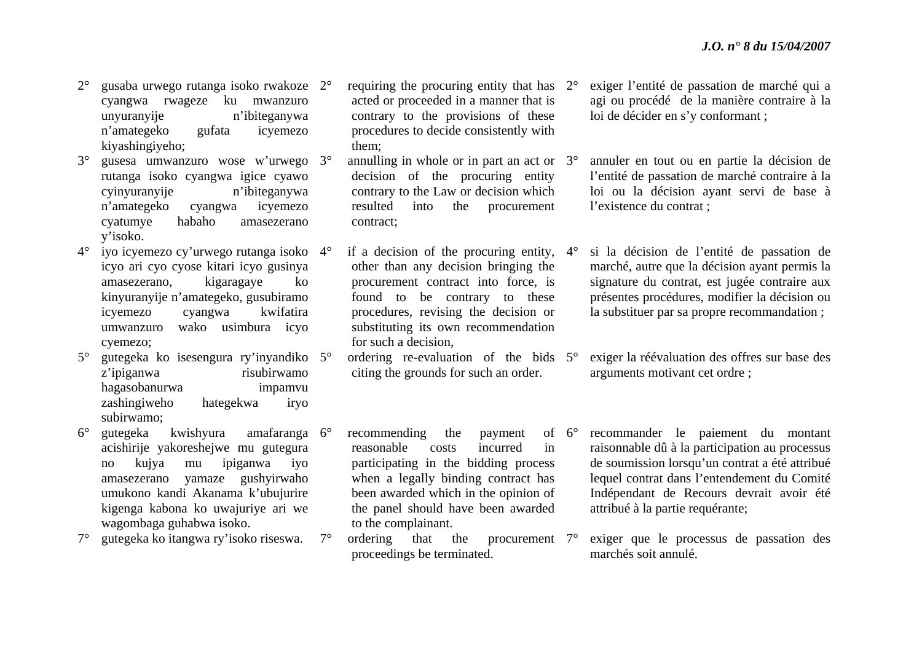- $2^{\circ}$  gusaba urwego rutanga isoko rwakoze 2°cyangwa rwageze ku mwanzuro unyuranyije n'ibiteganywa <sup>n</sup>'amategeko gufata icyemezo kiyashingiyeho;
- $3^\circ$ ° gusesa umwanzuro wose w'urwego 3° rutanga isoko cyangwa igice cyawo cyinyuranyije n'ibiteganywa <sup>n</sup>'amategeko cyangwa icyemezo cyatumye habaho amasezerano y'isoko.
- $4^\circ$  iyo icyemezo cy'urwego rutanga isoko 4°icyo ari cyo cyose kitari icyo gusinya amasezerano, kigaragaye ko kinyuranyije n'amategeko, gusubiramo icyemezo cyangwa kwifatira umwanzuro wako usimbura icyo cyemezo;
- $5^\circ$ <sup>o</sup> gutegeka ko isesengura ry'inyandiko 5<sup>o</sup> z'ipiganwa risubirwamo hagasobanurwa impamvu zashingiweho hategekwa iryo subirwamo;
- $6^{\circ}$  $\degree$  gutegeka kwishyura amafaranga 6 $\degree$ acishirije yakoreshejwe mu gutegura no kujya mu ipiganwa iyo amasezerano yamaze gushyirwaho umukono kandi Akanama k'ubujurire kigenga kabona ko uwajuriye ari we wagombaga guhabwa isoko.
- $7^{\circ}$  gutegeka ko itangwa ry'isoko riseswa. 7°
- $\degree$  requiring the procuring entity that has  $2\degree$ acted or proceeded in a manner that is contrary to the provisions of these procedures to decide consistently with them;
- $\degree$  annulling in whole or in part an act or  $3\degree$ decision of the procuring entity contrary to the Law or decision which resulted into the procurement contract;
- $\degree$  if a decision of the procuring entity,  $4\degree$ other than any decision bringing the procurement contract into force, is found to be contrary to these procedures, revising the decision or substituting its own recommendation for such a decision,
- $\degree$  ordering re-evaluation of the bids  $5\degree$ citing the grounds for such an order.
- recommending the payment reasonable costs incurred in participating in the bidding process when a legally binding contract has been awarded which in the opinion of the panel should have been awarded to the complainant. of  $6^\circ$
- ordering that the proceedings be terminated. procurement 7°

 exiger l'entité de passation de marché qui a agi ou procédé de la manière contraire à la loi de décider en s'y conformant ;

 annuler en tout ou en partie la décision de l'entité de passation de marché contraire à la loi ou la décision ayant servi de base à l'existence du contrat ;

- si la décision de l'entité de passation de marché, autre que la décision ayant permis la signature du contrat, est jugée contraire aux présentes procédures, modifier la décision ou la substituer par sa propre recommandation ;
- exiger la réévaluation des offres sur base des arguments motivant cet ordre ;
- recommander le paiement du montant raisonnable dû à la participation au processus de soumission lorsqu'un contrat a été attribué lequel contrat dans l'entendement du Comité Indépendant de Recours devrait avoir été attribué à la partie requérante;
- exiger que le processus de passation des marchés soit annulé.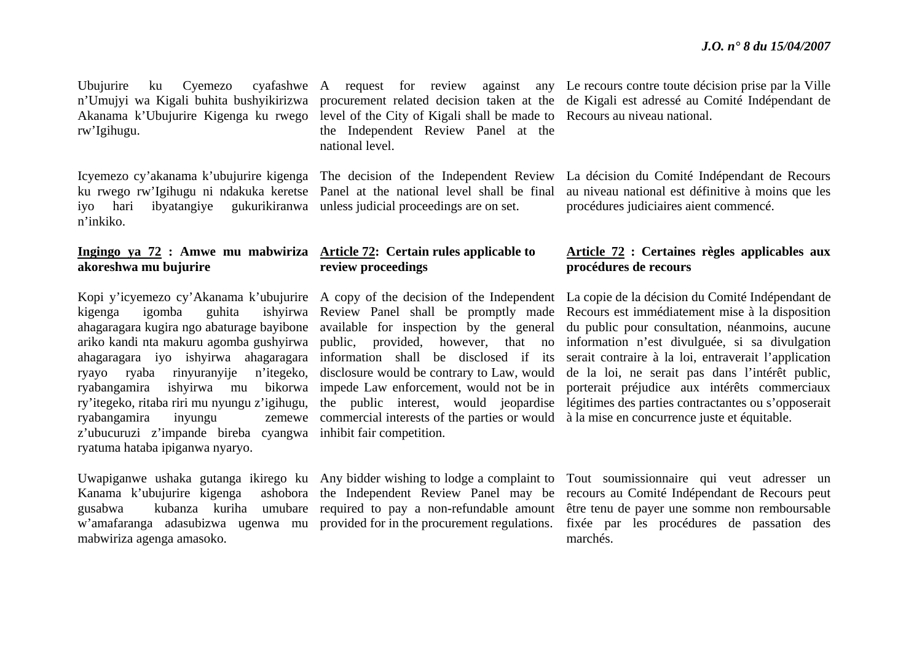Ubujurire ku Cyemezo rw'Igihugu.

iyo hari ibyatangiye gukurikiranwa unless judicial proceedings are on set. n'inkiko.

### **Ingingo ya 72 : Amwe mu mabwiriza Article 72: Certain rules applicable to akoreshwa mu bujurire**

ryabangamira inyungu <sup>z</sup>'ubucuruzi z'impande bireba cyangwa inhibit fair competition. ryatuma hataba ipiganwa nyaryo.

<sup>w</sup>'amafaranga adasubizwa ugenwa mu provided for in the procurement regulations. mabwiriza agenga amasoko.

Akanama k'Ubujurire Kigenga ku rwego level of the City of Kigali shall be made to Recours au niveau national. the Independent Review Panel at the national level.

ku rwego rw'Igihugu ni ndakuka keretse Panel at the national level shall be final

# **review proceedings**

commercial interests of the parties or would à la mise en concurrence juste et équitable.

<sup>n</sup>'Umujyi wa Kigali buhita bushyikirizwa procurement related decision taken at the de Kigali est adressé au Comité Indépendant de A request for review against any Le recours contre toute décision prise par la Ville

Icyemezo cy'akanama k'ubujurire kigenga The decision of the Independent Review La décision du Comité Indépendant de Recours au niveau national est définitive à moins que les procédures judiciaires aient commencé.

# **Article 72 : Certaines règles applicables aux procédures de recours**

Kopi y'icyemezo cy'Akanama k'ubujurire A copy of the decision of the Independent La copie de la décision du Comité Indépendant de kigenga igomba guhita ishyirwa Review Panel shall be promptly made Recours est immédiatement mise à la disposition ahagaragara kugira ngo abaturage bayibone available for inspection by the general du public pour consultation, néanmoins, aucune ariko kandi nta makuru agomba gushyirwa public, provided, however, that no information n'est divulguée, si sa divulgation ahagaragara iyo ishyirwa ahagaragara information shall be disclosed if its serait contraire à la loi, entraverait l'application ryayo ryaba rinyuranyije n'itegeko, disclosure would be contrary to Law, would de la loi, ne serait pas dans l'intérêt public, ryabangamira ishyirwa mu bikorwa impede Law enforcement, would not be in porterait préjudice aux intérêts commerciaux ry'itegeko, ritaba riri mu nyungu z'igihugu, the public interest, would jeopardise légitimes des parties contractantes ou s'opposerait

Uwapiganwe ushaka gutanga ikirego ku Any bidder wishing to lodge a complaint to Tout soumissionnaire qui veut adresser un Kanama k'ubujurire kigenga ashobora the Independent Review Panel may be recours au Comité Indépendant de Recours peut gusabwa kubanza kuriha umubare required to pay a non-refundable amount être-tenu-de-payer-une-somme-non-remboursable fixée par les procédures de passation des marchés.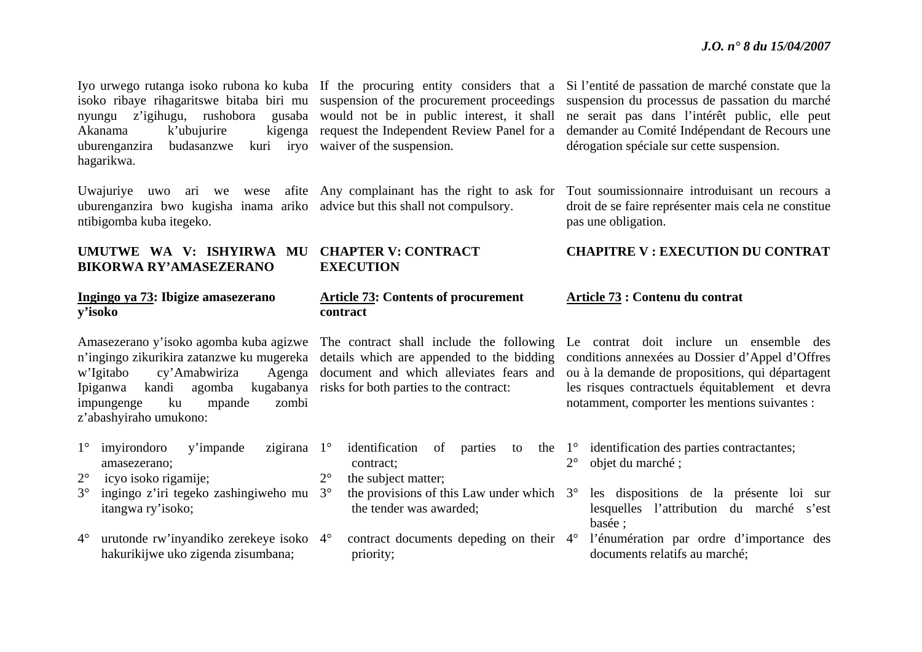nyungu z'igihugu, rushobora Akanama k'ubujurire uburenganzira budasanzwe hagarikwa.

uburenganzira bwo kugisha inama ariko advice but this shall not compulsory. ntibigomba kuba itegeko.

### **UMUTWE WA V: ISHYIRWA MU CHAPTER V: CONTRACT BIKORWA RY'AMASEZERANO**

#### **Ingingo ya 73: Ibigize amasezerano y'isoko**

w'Igitabo cy'Amabwiriza Ipiganwa kandi agomba kugabanya risks for both parties to the contract: impungenge ku mpande zombi <sup>z</sup>'abashyiraho umukono:

- 1° imyirondoro y'impande zigirana amasezerano; 2° icyo isoko rigamije; 3°<sup>o</sup> ingingo z'iri tegeko zashingiweho mu 3<sup>o</sup> itangwa ry'isoko; zigirana 1° contract;  $2^{\circ}$ the subject matter;
- $4^\circ$  urutonde rw'inyandiko zerekeye isoko 4°hakurikijwe uko zigenda zisumbana;

would not be in public interest, it shall kuri irvo waiver of the suspension.

# **EXECUTION**

### **Article 73: Contents of procurement contract**

<sup>n</sup>'ingingo zikurikira zatanzwe ku mugereka details which are appended to the bidding document and which alleviates fears and

> $\degree$  identification of parties to the  $1\degree$  identification desparties contractantes;  $\degree$  the provisions of this Law under which  $3\degree$ the tender was awarded;  $2^{\circ}$ objet du marché ;

priority;

Iyo urwego rutanga isoko rubona ko kuba If the procuring entity considers that a Si l'entité de passation de marché constate que la isoko ribaye rihagaritswe bitaba biri mu suspension of the procurement proceedings suspension du processus de passation du marché request the Independent Review Panel for a demander au Comité Indépendant de Recours une ne serait pas dans l'intérêt public, elle peut dérogation spéciale sur cette suspension.

Uwajuriye uwo ari we wese afite Any complainant has the right to ask for Tout soumissionnaire introduisant un recours a droit de se faire représenter mais cela ne constitue pas une obligation.

# **CHAPITRE V : EXECUTION DU CONTRAT**

#### **Article 73 : Contenu du contrat**

Amasezerano y'isoko agomba kuba agizwe The contract shall include the following Le contrat doit inclure un ensemble des conditions annexées au Dossier d'Appel d'Offres ou à la demande de propositions, qui départagent les risques contractuels équitablement et devra notamment, comporter les mentions suivantes :

- 
- les dispositions de la présente loi sur lesquelles l'attribution du marché s'est basée ;
- contract documents depeding on their 4° l'énumération par ordre d'importance des documents relatifs au marché;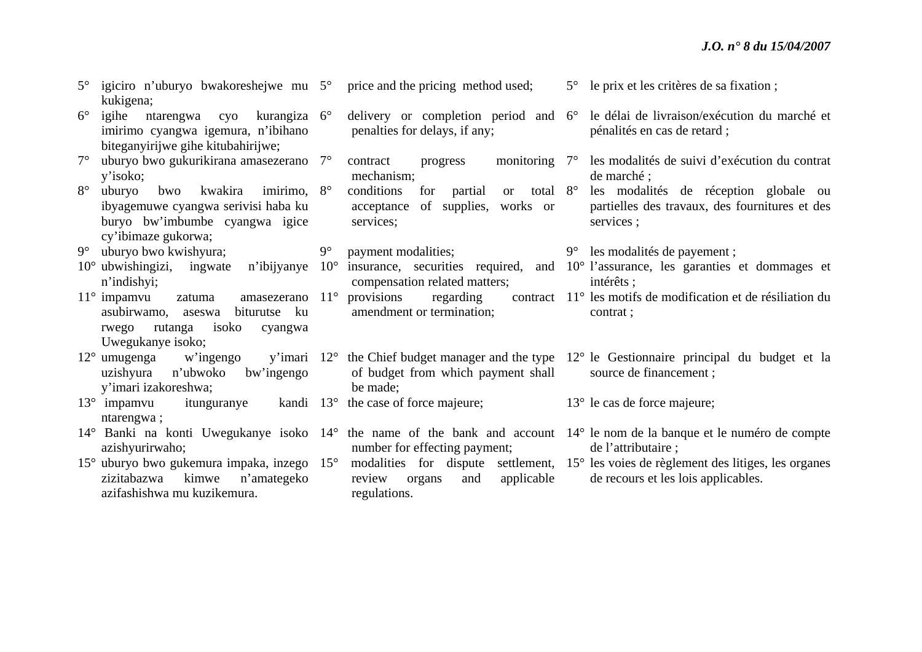| $5^{\circ}$ | igiciro n'uburyo bwakoreshejwe mu 5°<br>kukigena;                                                                                                                 |              | price and the pricing method used;                                                                           | $5^{\circ}$ | le prix et les critères de sa fixation;                                                                                                        |
|-------------|-------------------------------------------------------------------------------------------------------------------------------------------------------------------|--------------|--------------------------------------------------------------------------------------------------------------|-------------|------------------------------------------------------------------------------------------------------------------------------------------------|
| $6^{\circ}$ | igihe<br>ntarengwa cyo<br>kurangiza $6^\circ$<br>imirimo cyangwa igemura, n'ibihano<br>biteganyirijwe gihe kitubahirijwe;                                         |              | delivery or completion period and $6^{\circ}$<br>penalties for delays, if any;                               |             | le délai de livraison/exécution du marché et<br>pénalités en cas de retard;                                                                    |
| $7^\circ$   | uburyo bwo gukurikirana amasezerano 7°<br>y'isoko;                                                                                                                |              | monitoring $7^\circ$<br>contract<br>progress<br>mechanism;                                                   |             | les modalités de suivi d'exécution du contrat<br>de marché ;                                                                                   |
| $8^{\circ}$ | imirimo, $8^\circ$<br>kwakira<br>uburyo<br>bwo<br>ibyagemuwe cyangwa serivisi haba ku<br>buryo bw'imbumbe cyangwa igice<br>cy'ibimaze gukorwa;                    |              | conditions<br>total $8^\circ$<br>for<br>partial<br>or<br>of supplies,<br>acceptance<br>works or<br>services; |             | les modalités de réception globale ou<br>partielles des travaux, des fournitures et des<br>services ;                                          |
| $9^{\circ}$ | uburyo bwo kwishyura;                                                                                                                                             | $9^{\circ}$  | payment modalities;                                                                                          |             | 9° les modalités de payement ;                                                                                                                 |
|             | $10^{\circ}$ ubwishingizi, ingwate n'ibijyanye<br>n'indishyi;                                                                                                     | $10^{\circ}$ | compensation related matters;                                                                                |             | insurance, securities required, and 10° l'assurance, les garanties et dommages et<br>intérêts ;                                                |
|             | $11^\circ$ impamvu<br>amasezerano $11^{\circ}$<br>zatuma<br>asubirwamo,<br>ku<br>biturutse<br>aseswa<br>rutanga<br>isoko<br>rwego<br>cyangwa<br>Uwegukanye isoko; |              | provisions<br>regarding<br>amendment or termination;                                                         |             | contract 11 <sup>°</sup> les motifs de modification et de résiliation du<br>contrat;                                                           |
|             | $12^{\circ}$ umugenga w'ingengo<br>uzishyura<br>n'ubwoko<br>bw'ingengo<br>y'imari izakoreshwa;                                                                    |              | of budget from which payment shall<br>be made;                                                               |             | y'imari 12° the Chief budget manager and the type 12° le Gestionnaire principal du budget et la<br>source de financement ;                     |
|             | $13^{\circ}$ impamvu<br>itunguranye kandi 13 <sup>°</sup><br>ntarengwa;                                                                                           |              | the case of force majeure;                                                                                   |             | $13^{\circ}$ le cas de force majeure;                                                                                                          |
|             | azishyurirwaho;                                                                                                                                                   |              | number for effecting payment;                                                                                |             | 14° Banki na konti Uwegukanye isoko 14° the name of the bank and account 14° le nom de la banque et le numéro de compte<br>de l'attributaire ; |
|             | 15° uburyo bwo gukemura impaka, inzego 15°<br>kimwe<br>zizitabazwa<br>n'amategeko<br>azifashishwa mu kuzikemura.                                                  |              | applicable<br>review<br>and<br>organs<br>regulations.                                                        |             | modalities for dispute settlement, 15° les voies de règlement des litiges, les organes<br>de recours et les lois applicables.                  |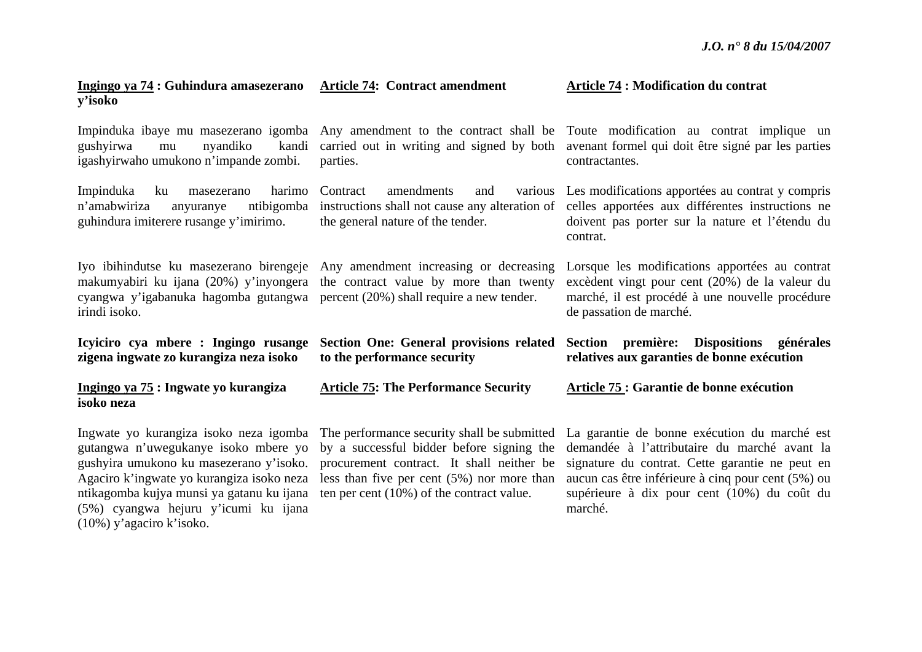| Ingingo ya 74 : Guhindura amasezerano<br>y'isoko                                                                                                                                                                                                            | <b>Article 74: Contract amendment</b>                                                                                                                                                                                                 | <b>Article 74 : Modification du contrat</b>                                                                                                                                                                                                                     |  |
|-------------------------------------------------------------------------------------------------------------------------------------------------------------------------------------------------------------------------------------------------------------|---------------------------------------------------------------------------------------------------------------------------------------------------------------------------------------------------------------------------------------|-----------------------------------------------------------------------------------------------------------------------------------------------------------------------------------------------------------------------------------------------------------------|--|
| gushyirwa<br>nyandiko<br>kandi<br>mu<br>igashyirwaho umukono n'impande zombi.                                                                                                                                                                               | parties.                                                                                                                                                                                                                              | Impinduka ibaye mu masezerano igomba Any amendment to the contract shall be Toute modification au contrat implique un<br>carried out in writing and signed by both avenant formel qui doit être signé par les parties<br>contractantes.                         |  |
| Impinduka<br>harimo<br>ku<br>masezerano<br>n'amabwiriza<br>ntibigomba<br>anyuranye<br>guhindura imiterere rusange y'imirimo.                                                                                                                                | Contract<br>amendments<br>and<br>the general nature of the tender.                                                                                                                                                                    | various Les modifications apportées au contrat y compris<br>instructions shall not cause any alteration of celles apportées aux différentes instructions ne<br>doivent pas porter sur la nature et l'étendu du<br>contrat.                                      |  |
| cyangwa y'igabanuka hagomba gutangwa percent (20%) shall require a new tender.<br>irindi isoko.                                                                                                                                                             | Iyo ibihindutse ku masezerano birengeje Any amendment increasing or decreasing<br>makumyabiri ku ijana (20%) y'inyongera the contract value by more than twenty                                                                       | Lorsque les modifications apportées au contrat<br>excèdent vingt pour cent (20%) de la valeur du<br>marché, il est procédé à une nouvelle procédure<br>de passation de marché.                                                                                  |  |
| Icyiciro cya mbere : Ingingo rusange<br>zigena ingwate zo kurangiza neza isoko                                                                                                                                                                              | <b>Section One: General provisions related</b><br>to the performance security                                                                                                                                                         | Section première: Dispositions générales<br>relatives aux garanties de bonne exécution                                                                                                                                                                          |  |
| Ingingo ya 75 : Ingwate yo kurangiza<br>isoko neza                                                                                                                                                                                                          | <b>Article 75: The Performance Security</b>                                                                                                                                                                                           | Article 75 : Garantie de bonne exécution                                                                                                                                                                                                                        |  |
| Ingwate yo kurangiza isoko neza igomba<br>gutangwa n'uwegukanye isoko mbere yo<br>gushyira umukono ku masezerano y'isoko.<br>Agaciro k'ingwate yo kurangiza isoko neza<br>ntikagomba kujya munsi ya gatanu ku ijana<br>(5%) cyangwa hejuru y'icumi ku ijana | The performance security shall be submitted<br>by a successful bidder before signing the<br>procurement contract. It shall neither be<br>less than five per cent $(5%)$ nor more than<br>ten per cent $(10\%)$ of the contract value. | La garantie de bonne exécution du marché est<br>demandée à l'attributaire du marché avant la<br>signature du contrat. Cette garantie ne peut en<br>aucun cas être inférieure à cinq pour cent (5%) ou<br>supérieure à dix pour cent (10%) du coût du<br>marché. |  |

(10%) y'agaciro k'isoko.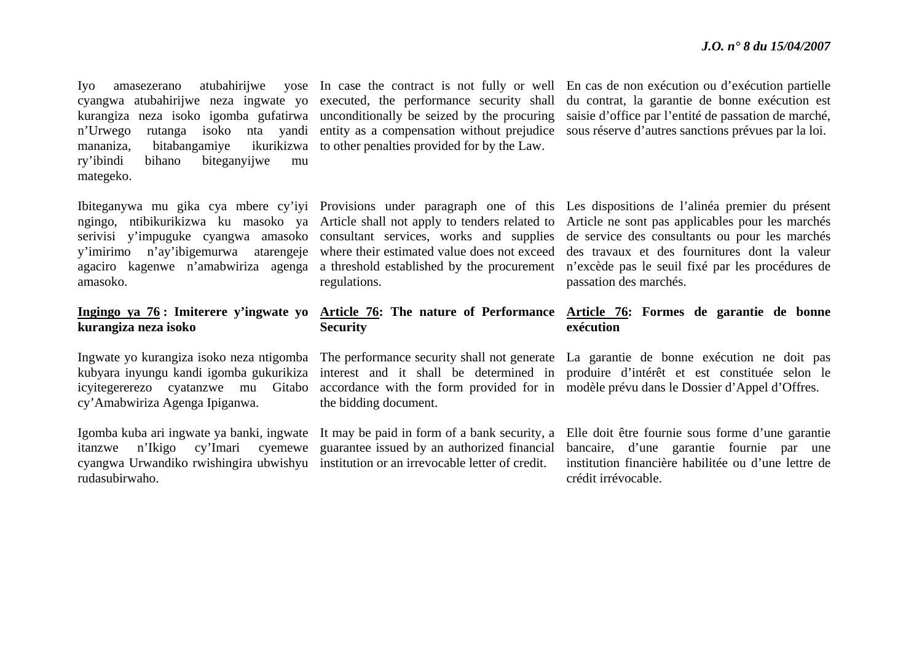kurangiza neza isoko igomba gufatirwa unconditionally be seized by the procuring mananiza, bitabangamiye ry'ibindi bihano biteganyijwe mu mategeko.

amasoko.

# **kurangiza neza isoko**

icyitegererezo cyatanzwe mu Gitabo cy'Amabwiriza Agenga Ipiganwa.

cyangwa Urwandiko rwishingira ubwishyu institution or an irrevocable letter of credit. rudasubirwaho.

ikurikizwa to other penalties provided for by the Law.

regulations.

# **Security**

the bidding document.

itanzwe n'Ikigo cy'Imari cyemewe guarantee issued by an authorized financial

Iyo amasezerano atubahirijwe yose In case the contract is not fully or well En cas de non exécution ou d'exécution partielle cyangwa atubahirijwe neza ingwate yo executed, the performance security shall du contrat, la garantie de bonne exécution est <sup>n</sup>'Urwego rutanga isoko nta yandi entity as a compensation without prejudice sous réserve d'autres sanctions prévues par la loi. saisie d'office par l'entité de passation de marché,

Ibiteganywa mu gika cya mbere cy'iyi Provisions under paragraph one of this Les dispositions de l'alinéa premier du présent ngingo, ntibikurikizwa ku masoko ya Article-shall-not-apply-to-tenders-related-to-Article-ne-sont-pas-applicables-pour-les-marchésserivisi y'impuguke cyangwa amasoko consultant services, works and supplies de service des consultants ou pour les marchés y'imirimo n'ay'ibigemurwa atarengeje where their estimated value does not exceed des travaux et des fournitures dont la valeur agaciro kagenwe n'amabwiriza agenga a threshold established by the procurement <sup>n</sup>'excède pas le seuil fixé par les procédures de passation des marchés.

### **Ingingo ya 76 : Imiterere y'ingwate yo Article 76: The nature of Performance Article 76: Formes de garantie de bonne exécution**

Ingwate yo kurangiza isoko neza ntigomba The performance security shall not generate La garantie de bonne exécution ne doit pas kubyara inyungu kandi igomba gukurikiza interest and it shall be determined in produire d'intérêt et est constituée selon le accordance with the form provided for in modèle prévu dans le Dossier d'Appel d'Offres.

Igomba kuba ari ingwate ya banki, ingwate It may be paid in form of a bank security, a Elle doit être fournie sous forme d'une garantie bancaire, d'une garantie fournie par une institution financière habilitée ou d'une lettre de crédit irrévocable.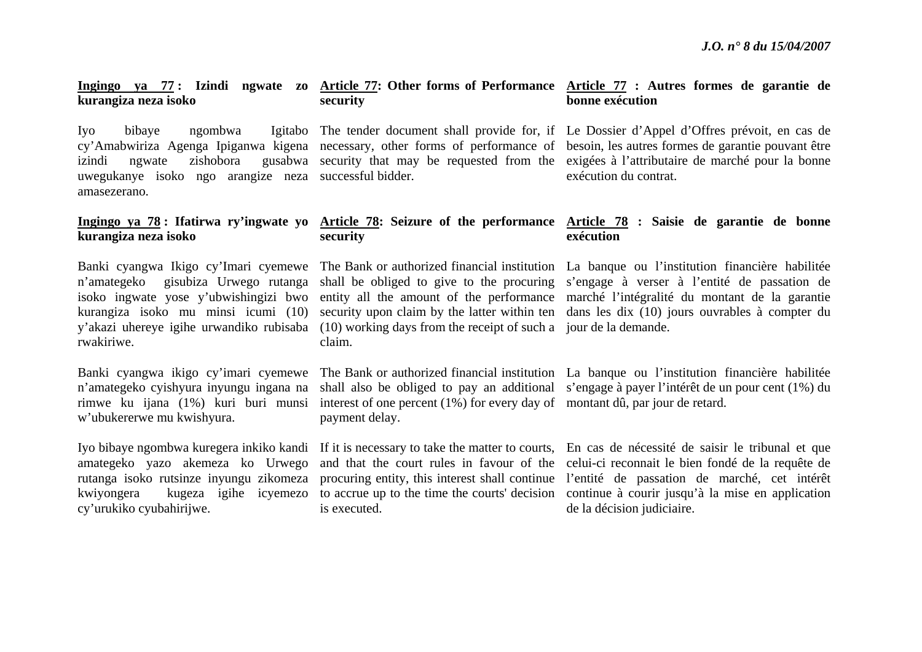# **kurangiza neza isoko**

Iyo bibaye ngombwa uwegukanye isoko ngo arangize neza successful bidder. amasezerano.

# **kurangiza neza isoko**

<sup>n</sup>'amategeko gisubiza Urwego rutanga isoko ingwate yose y'ubwishingizi bwo rwakiriwe.

Banki cyangwa ikigo cy'imari cyemewe <sup>n</sup>'amategeko cyishyura inyungu ingana na rimwe ku ijana (1%) kuri buri munsi <sup>w</sup>'ubukererwe mu kwishyura.

amategeko yazo akemeza ko Urwego cy'urukiko cyubahirijwe.

# **security**

#### **Ingingo ya 78 : Ifatirwa ry'ingwate yo Article 78: Seizure of the performance Article 78 : Saisie de garantie de bonne security exécution**

y'akazi uhereye igihe urwandiko rubisaba (10) working days from the receipt of such a jour de la demande. claim.

> interest of one percent (1%) for every day of montant dû, par jour de retard. payment delay.

is executed.

#### **Ingingo ya 77 : Izindi ngwate zo Article 77: Other forms of Performance Article 77 : Autres formes de garantie de bonne exécution**

cy'Amabwiriza Agenga Ipiganwa kigena necessary, other forms of performance of besoin, les autres formes de garantie pouvant être izindi ngwate zishobora gusabwa security that may be requested from the exigées à l'attributaire de marché pour la bonne The tender document shall provide for, if Le Dossier d'Appel d'Offres prévoit, en cas de exécution du contrat.

Banki cyangwa Ikigo cy'Imari cyemewe The Bank or authorized financial institution La banque ou l'institution financière habilitée kurangiza isoko mu minsi icumi (10) security upon claim by the latter within ten dans les dix (10) jours ouvrables à compter du shall be obliged to give to the procuring <sup>s</sup>'engage à verser à l'entité de passation de entity all the amount of the performance marché l'intégralité du montant de la garantie

> The Bank or authorized financial institution La banque ou l'institution financière habilitée shall also be obliged to pay an additional <sup>s</sup>'engage à payer l'intérêt de un pour cent (1%) du

Iyo bibaye ngombwa kuregera inkiko kandi If it is necessary to take the matter to courts, En cas de nécessité de saisir le tribunal et que rutanga isoko rutsinze inyungu zikomeza procuring entity, this interest shall continue l'entité de passation de marché, cet intérêt kwiyongera kugeza igihe icyemezo to accrue up to the time the courts' decision continue à courir jusqu'à la mise en application and that the court rules in favour of the celui-ci reconnait le bien fondé de la requête de de la décision judiciaire.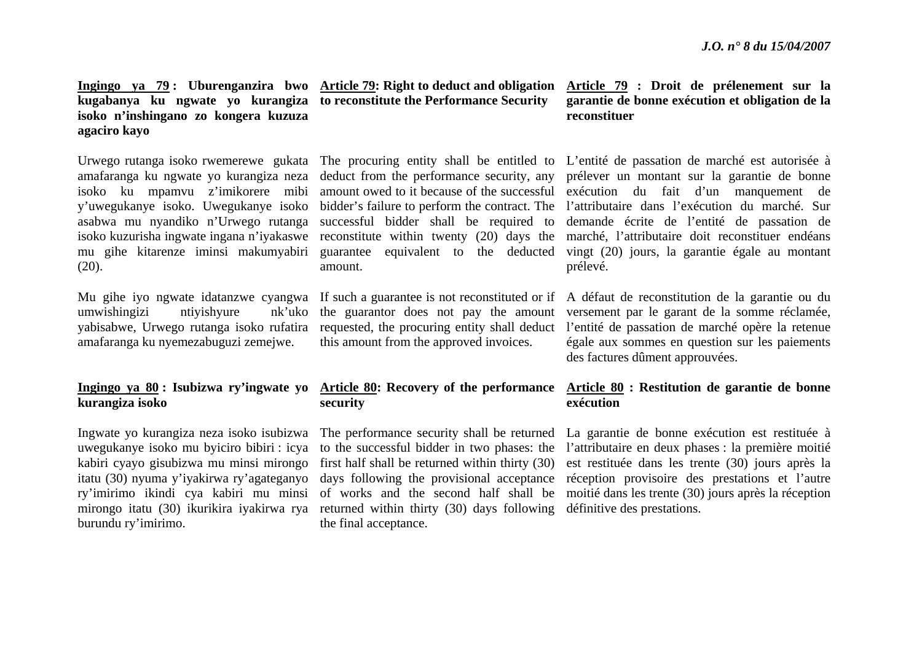# **Ingingo ya 79 : Uburenganzira bwo Article 79: Right to deduct and obligation kugabanya ku ngwate yo kurangiza to reconstitute the Performance Security isoko n'inshingano zo kongera kuzuza agaciro kayo**

amafaranga ku ngwate yo kurangiza neza isoko ku mpamvu z'imikorere mibi y'uwegukanye isoko. Uwegukanye isoko asabwa mu nyandiko n'Urwego rutanga isoko kuzurisha ingwate ingana n'iyakaswe (20).

umwishingizi ntiyishyure nk'uko yabisabwe, Urwego rutanga isoko rufatira amafaranga ku nyemezabuguzi zemejwe.

# **Ingingo ya 80 : Isubizwa ry'ingwate yo kurangiza isoko**

Ingwate yo kurangiza neza isoko isubizwa uwegukanye isoko mu byiciro bibiri : icya kabiri cyayo gisubizwa mu minsi mirongo burundu ry'imirimo.

successful bidder shall be required to amount.

this amount from the approved invoices.

# **Article 80: Recovery of the performance security**

itatu (30) nyuma y'iyakirwa ry'agateganyo days following the provisional acceptance ry'imirimo ikindi cya kabiri mu minsi of works and the second half shall be mirongo itatu (30) ikurikira iyakirwa rya returned within thirty (30) days following définitive des prestations. The performance security shall be returned to the successful bidder in two phases: the first half shall be returned within thirty (30) the final acceptance.

## **Article 79 : Droit de prélenement sur la garantie de bonne exécution et obligation de la reconstituer**

Urwego rutanga isoko rwemerewe gukata The procuring entity shall be entitled to L'entité de passation de marché est autorisée à mu gihe kitarenze iminsi makumyabiri guarantee equivalent to the deducted vingt (20) jours, la garantie égale au montant deduct from the performance security, any prélever un montant sur la garantie de bonne amount owed to it because of the successful exécution du fait d'un manquement de bidder's failure to perform the contract. The l'attributaire dans l'exécution du marché. Sur reconstitute within twenty (20) days the marché, l'attributaire doit reconstituer endéans demande écrite de l'entité de passation de prélevé.

Mu gihe iyo ngwate idatanzwe cyangwa If such a guarantee is not reconstituted or if A défaut de reconstitution de la garantie ou du the guarantor does not pay the amount versement par le garant de la somme réclamée, requested, the procuring entity shall deduct l'entité de passation de marché opère la retenue égale aux sommes en question sur les paiements des factures dûment approuvées.

# **Article 80 : Restitution de garantie de bonne exécution**

La garantie de bonne exécution est restituée à l'attributaire en deux phases : la première moitié est restituée dans les trente (30) jours après la réception provisoire des prestations et l'autre moitié dans les trente (30) jours après la réception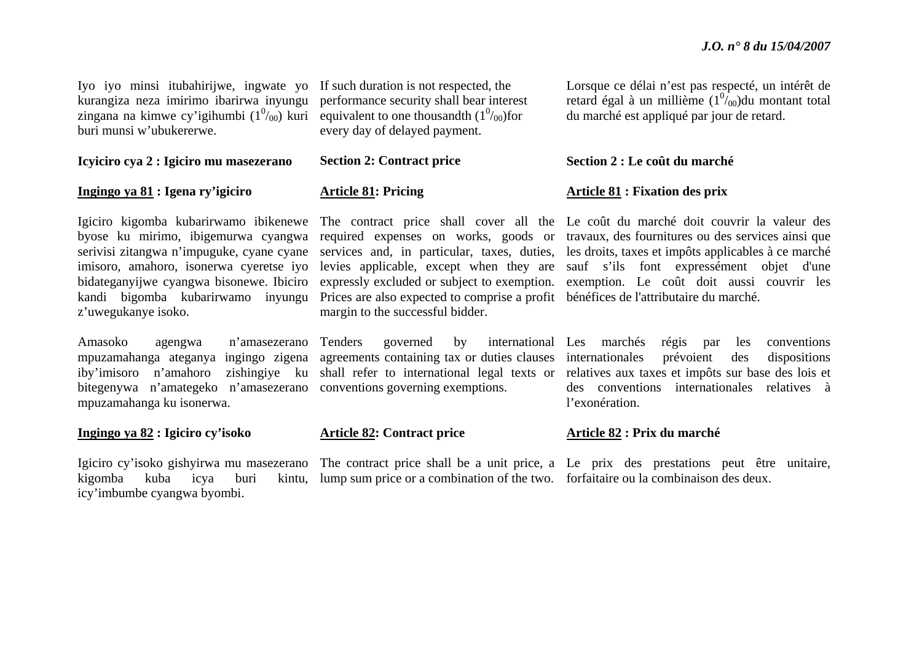Iyo iyo minsi itubahirijwe, ingwate yo If such duration is not respected, the kurangiza neza imirimo ibarirwa inyungu zingana na kimwe cy'igihumbi  $(1^0/00)$  kuri buri munsi w'ubukererwe.

#### **Icyiciro cya 2 : Igiciro mu masezerano**

#### **Ingingo ya 81 : Igena ry'igiciro**

kandi bigomba kubarirwamo inyungu <sup>z</sup>'uwegukanye isoko.

# Amasoko agengwa n'amasezerano bitegenywa n'amategeko n'amasezerano conventions governing exemptions. mpuzamahanga ku isonerwa.

#### **Ingingo ya 82 : Igiciro cy'isoko**

kigomba kuba icya buri icy'imbumbe cyangwa byombi.

performance security shall bear interest equivalent to one thousandth  $(1<sup>0</sup>/0<sub>0</sub>)$  for every day of delayed payment.

# **Section 2: Contract price**

#### **Article 81: Pricing**

Prices are also expected to comprise a profit bénéfices de l'attributaire du marché. margin to the successful bidder.

## **Article 82: Contract price**

lump sum price or a combination of the two. forfaitaire ou la combinaison des deux.

Lorsque ce délai n'est pas respecté, un intérêt de retard égal à un millième  $(1^{07}_{00})$ du montant total du marché est appliqué par jour de retard.

#### **Section 2 : Le coût du marché**

### **Article 81 : Fixation des prix**

Igiciro kigomba kubarirwamo ibikenewe The contract price shall cover all the Le coût du marché doit couvrir la valeur des byose ku mirimo, ibigemurwa cyangwa required expenses on works, goods or travaux, des fournitures ou des services ainsi que serivisi zitangwa n'impuguke, cyane cyane services and, in particular, taxes, duties, les droits, taxes et impôts applicables à ce marché imisoro, amahoro, isonerwa cyeretse iyo levies applicable, except when they are sauf s'ils font expressément objet d'une bidateganyijwe cyangwa bisonewe. Ibiciro expressly excluded or subject to exemption. exemption. Le coût doit aussi couvrir les

mpuzamahanga ateganya ingingo zigena agreements containing tax or duties clauses internationales prévoient des dispositions iby'imisoro n'amahoro zishingiye ku shall refer to international legal texts or relatives aux taxes et impôts sur base des lois et Tenders governed by international Les marchés régis par les conventions des conventions internationales relatives à l'exonération.

#### **Article 82 : Prix du marché**

Igiciro cy'isoko gishyirwa mu masezerano The contract price shall be a unit price, a Le prix des prestations peut être unitaire,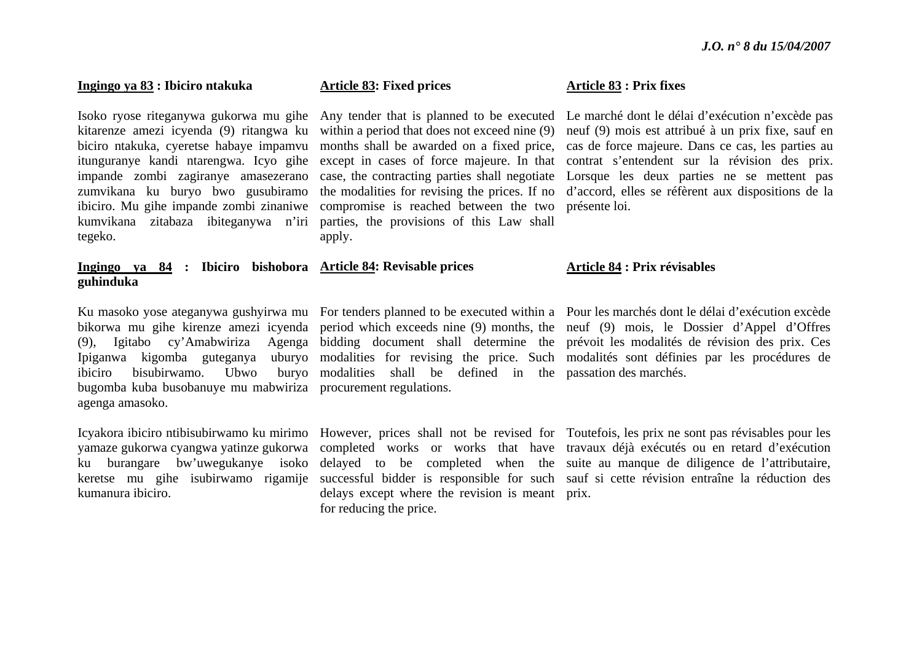### **Ingingo ya 83 : Ibiciro ntakuka**

Isoko ryose riteganywa gukorwa mu gihe kitarenze amezi icyenda (9) ritangwa ku biciro ntakuka, cyeretse habaye impamvu itunguranye kandi ntarengwa. Icyo gihe impande zombi zagiranye amasezerano zumvikana ku buryo bwo gusubiramo ibiciro. Mu gihe impande zombi zinaniwe kumvikana zitabaza ibiteganywa n'iri tegeko.

# **Ingingo ya 84 : Ibiciro bishobora Article 84: Revisable prices guhinduka**

bugomba kuba busobanuye mu mabwiriza procurement regulations. agenga amasoko.

kumanura ibiciro.

### **Article 83: Fixed prices**

within a period that does not exceed nine  $(9)$ case, the contracting parties shall negotiate compromise is reached between the two présente loi. parties, the provisions of this Law shall apply.

ibiciro bisubirwamo. Ubwo buryo modalities shall be defined in the passation des marchés.

delays except where the revision is meant prix. for reducing the price.

#### **Article 83 : Prix fixes**

Any tender that is planned to be executed Le marché dont le délai d'exécution n'excède pas months shall be awarded on a fixed price, cas de force majeure. Dans ce cas, les parties au except in cases of force majeure. In that contrat s'entendent sur la révision des prix. the modalities for revising the prices. If no d'accord, elles se réfèrent aux dispositions de la neuf (9) mois est attribué à un prix fixe, sauf en Lorsque les deux parties ne se mettent pas

#### **Article 84 : Prix révisables**

Ku masoko yose ateganywa gushyirwa mu For tenders planned to be executed within a Pour les marchés dont le délai d'exécution excède bikorwa mu gihe kirenze amezi icyenda period which exceeds nine (9) months, the neuf (9) mois, le Dossier d'Appel d'Offres (9), Igitabo cy'Amabwiriza Agenga bidding document shall determine the prévoit les modalités de révision des prix. Ces Ipiganwa kigomba guteganya uburyo modalities for revising the price. Such modalités sont définies par les procédures de

Icyakora ibiciro ntibisubirwamo ku mirimo However, prices shall not be revised for Toutefois, les prix ne sont pas révisables pour les yamaze gukorwa cyangwa yatinze gukorwa completed works or works that have travaux déjà exécutés ou en retard d'exécution ku burangare bw'uwegukanye isoko delayed to be completed when the suite au manque de diligence de l'attributaire, keretse mu gihe isubirwamo rigamije successful bidder is responsible for such sauf si cette révision entraîne la réduction des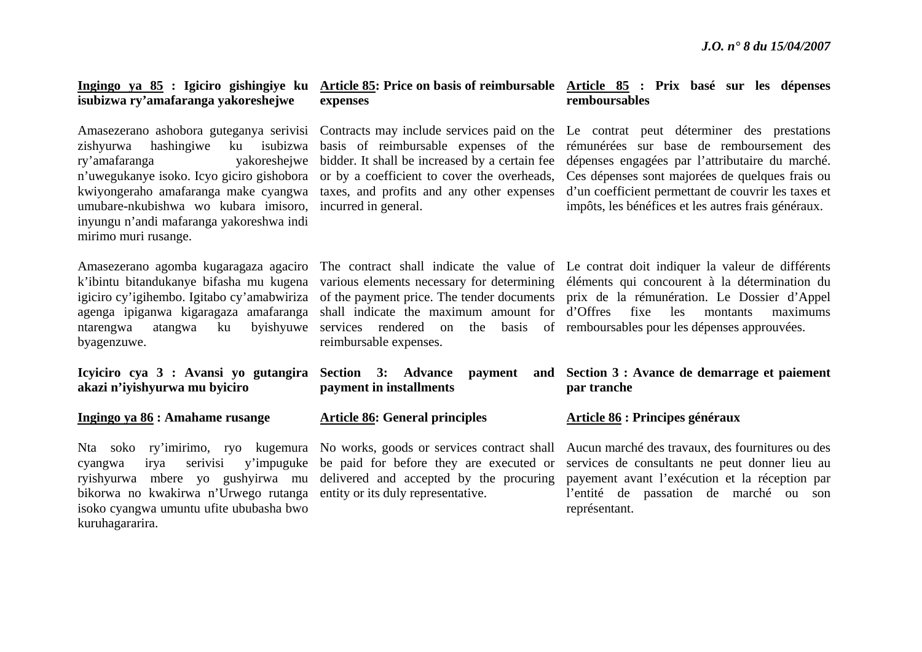# **isubizwa ry'amafaranga yakoreshejwe**

ry'amafaranga <sup>n</sup>'uwegukanye isoko. Icyo giciro gishobora kwiyongeraho amafaranga make cyangwa umubare-nkubishwa wo kubara imisoro, incurred in general. inyungu n'andi mafaranga yakoreshwa indi mirimo muri rusange.

ntarengwa atangwa ku byagenzuwe.

**Icyiciro cya 3 : Avansi yo gutangira akazi n'iyishyurwa mu byiciro**

**Ingingo ya 86 : Amahame rusange** 

cyangwa irya serivisi y'impuguke bikorwa no kwakirwa n'Urwego rutanga entity or its duly representative. isoko cyangwa umuntu ufite ububasha bwo kuruhagararira.

# **expenses**

or by a coefficient to cover the overheads, taxes, and profits and any other expenses

services rendered on the basis of remboursables pour les dépenses approuvées. reimbursable expenses.

|  | Section 3: Advance payment and |  |
|--|--------------------------------|--|
|  | payment in installments        |  |

### **Article 86: General principles**

be paid for before they are executed or

## **Ingingo ya 85 : Igiciro gishingiye ku Article 85: Price on basis of reimbursable Article 85 : Prix basé sur les dépenses remboursables**

Amasezerano ashobora guteganya serivisi Contracts may include services paid on the Le contrat peut déterminer des prestations zishyurwa hashingiwe ku isubizwa basis of reimbursable expenses of the rémunérées sur base de remboursement des bidder. It shall be increased by a certain fee dépenses engagées par l'attributaire du marché. Ces dépenses sont majorées de quelques frais ou d'un coefficient permettant de couvrir les taxes et impôts, les bénéfices et les autres frais généraux.

Amasezerano agomba kugaragaza agaciro The contract shall indicate the value of Le contrat doit indiquer la valeur de différents k'ibintu bitandukanye bifasha mu kugena various elements necessary for determining éléments qui concourent à la détermination du igiciro cy'igihembo. Igitabo cy'amabwiriza of the payment price. The tender documents prix de la rémunération. Le Dossier d'Appel agenga ipiganwa kigaragaza amafaranga shall indicate the maximum amount for d'Offres fixe les montants maximums

# **Section 3 : Avance de demarrage et paiement par tranche**

#### **Article 86 : Principes généraux**

Nta soko ry'imirimo, ryo kugemura No works, goods or services contract shall Aucun marché des travaux, des fournitures ou des ryishyurwa mbere yo gushyirwa mu delivered and accepted by the procuring payement avant l'exécution et la réception par services de consultants ne peut donner lieu au l'entité de passation de marché ou son représentant.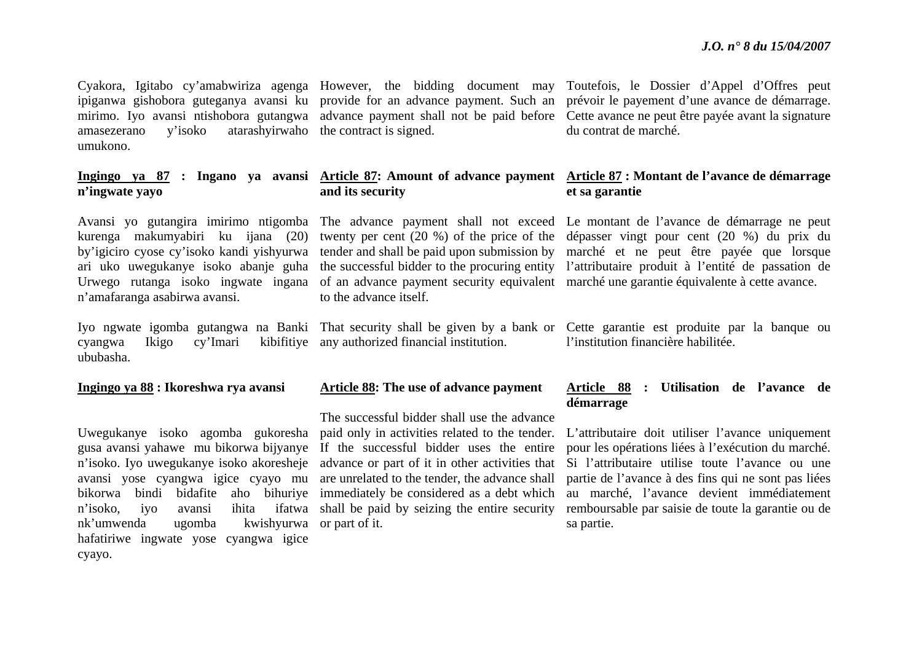amasezerano y'isoko atarashyirwaho the contract is signed. umukono.

# **<sup>n</sup>'ingwate yayo**

ari uko uwegukanye isoko abanje guha Urwego rutanga isoko ingwate ingana <sup>n</sup>'amafaranga asabirwa avansi.

cyangwa Ikigo cy'Imari kibifitiye any authorized financial institution. ububasha.

#### **Ingingo ya 88 : Ikoreshwa rya avansi**

nk'umwenda ugomba kwishyurwa or part of it. hafatiriwe ingwate yose cyangwa igice cyayo.

**and its security**

to the advance itself.

#### **Article 88: The use of advance payment**

Uwegukanye isoko agomba gukoresha paid only in activities related to the tender. gusa avansi yahawe mu bikorwa bijyanye If the successful bidder uses the entire <sup>n</sup>'isoko. Iyo uwegukanye isoko akoresheje advance or part of it in other activities that avansi yose cyangwa igice cyayo mu are unrelated to the tender, the advance shall bikorwa bindi bidafite aho bihuriye immediately be considered as a debt which <sup>n</sup>'isoko, iyo avansi ihita ifatwa shall be paid by seizing the entire security The successful bidder shall use the advance

Cyakora, Igitabo cy'amabwiriza agenga However, the bidding document may Toutefois, le Dossier d'Appel d'Offres peut ipiganwa gishobora guteganya avansi ku provide for an advance payment. Such an prévoir le payement d'une avance de démarrage. mirimo. Iyo avansi ntishobora gutangwa advance payment shall not be paid before Cette avance ne peut être payée avant la signature du contrat de marché.

#### **Ingingo ya 87 : Ingano ya avansi Article 87: Amount of advance payment Article 87 : Montant de l'avance de démarrage et sa garantie**

Avansi yo gutangira imirimo ntigomba The advance payment shall not exceed Le montant de l'avance de démarrage ne peut kurenga makumyabiri ku ijana (20) twenty per cent (20 %) of the price of the dépasser vingt pour cent (20 %) du prix du by'igiciro cyose cy'isoko kandi yishyurwa tender and shall be paid upon submission by marché et ne peut être payée que lorsque the successful bidder to the procuring entity l'attributaire produit à l'entité de passation de of an advance payment security equivalent marché une garantie équivalente à cette avance.

Iyo ngwate igomba gutangwa na Banki That security shall be given by a bank or Cette garantie est produite par la banque ou l'institution financière habilitée.

### **Article 88 : Utilisation de l'avance de démarrage**

L'attributaire doit utiliser l'avance uniquement pour les opérations liées à l'exécution du marché. Si l'attributaire utilise toute l'avance ou une partie de l'avance à des fins qui ne sont pas liées au marché, l'avance devient immédiatement remboursable par saisie de toute la garantie ou de sa partie.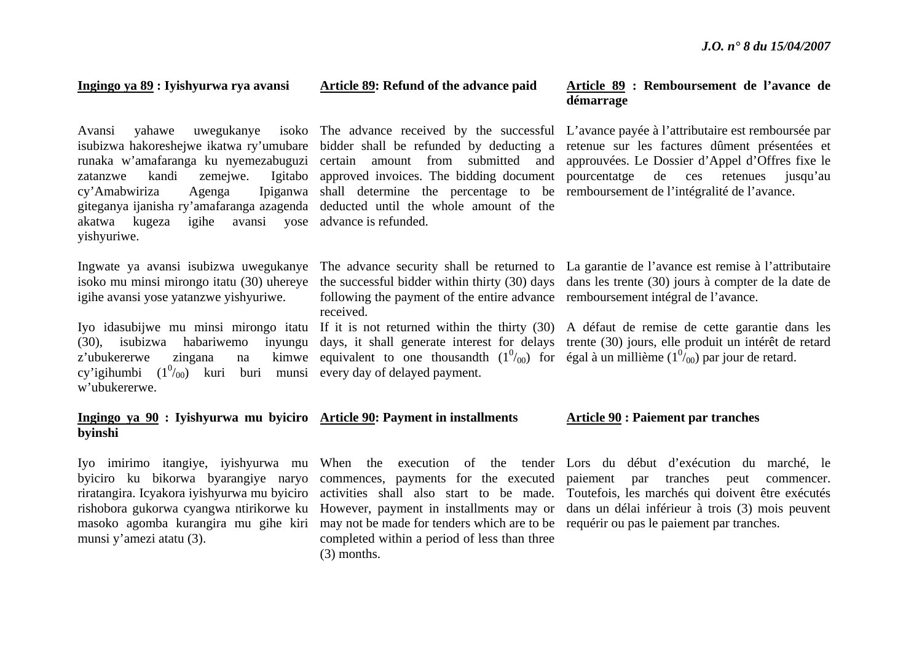#### **Ingingo ya 89 : Iyishyurwa rya avansi**

zatanzwe kandi zemejwe.  $cy'Amabwiriza$  Agenga giteganya ijanisha ry'amafaranga azagenda deducted until the whole amount of the akatwa kugeza igihe avansi yose advance is refunded. yishyuriwe.

isoko mu minsi mirongo itatu (30) uhereye igihe avansi yose yatanzwe yishyuriwe.

 $(30)$ , isubizwa habariwemo z'ubukererwe zingana na cy'igihumbi  $(1^0/_{00})$  kuri buri munsi every day of delayed payment. w'ubukererwe.

#### **Ingingo ya 90 : Iyishyurwa mu byiciro Article 90: Payment in installments byinshi**

munsi y'amezi atatu (3).

masoko agomba kurangira mu gihe kiri may not be made for tenders which are to be requérir ou pas le paiement par tranches. completed within a period of less than three (3) months.

# **Article 89: Refund of the advance paid**

shall determine the percentage to be remboursement de l'intégralité de l'avance.

following the payment of the entire advance remboursement intégral de l'avance. received.

equivalent to one thousandth  $(1^0/_{00})$  for égal à un millième  $(1^0/_{00})$  par jour de retard.

### **Article 89 : Remboursement de l'avance de démarrage**

Avansi yahawe uwegukanye isoko The advance received by the successful L'avance payée à l'attributaire est remboursée par isubizwa hakoreshejwe ikatwa ry'umubare bidder shall be refunded by deducting a retenue sur les factures dûment présentées et runaka w'amafaranga ku nyemezabuguzi certain amount from submitted and approuvées. Le Dossier d'Appel d'Offres fixe le approved invoices. The bidding document pourcentatge de ces retenues jusqu'au

Ingwate ya avansi isubizwa uwegukanye The advance security shall be returned to La garantie de l'avance est remise à l'attributaire the successful bidder within thirty (30) days dans les trente (30) jours à compter de la date de

Iyo idasubijwe mu minsi mirongo itatu If it is not returned within the thirty (30) A défaut de remise de cette garantie dans les days, it shall generate interest for delays trente (30) jours, elle produit un intérêt de retard

#### **Article 90 : Paiement par tranches**

Iyo imirimo itangiye, iyishyurwa mu When the execution of the tender Lors du début d'exécution du marché, le byiciro ku bikorwa byarangiye naryo commences, payments for the executed paiement par tranches peut commencer. riratangira. Icyakora iyishyurwa mu byiciro activities shall also start to be made. Toutefois, les marchés qui doivent être exécutés rishobora gukorwa cyangwa ntirikorwe ku However, payment in installments may or dans un délai inférieur à trois (3) mois peuvent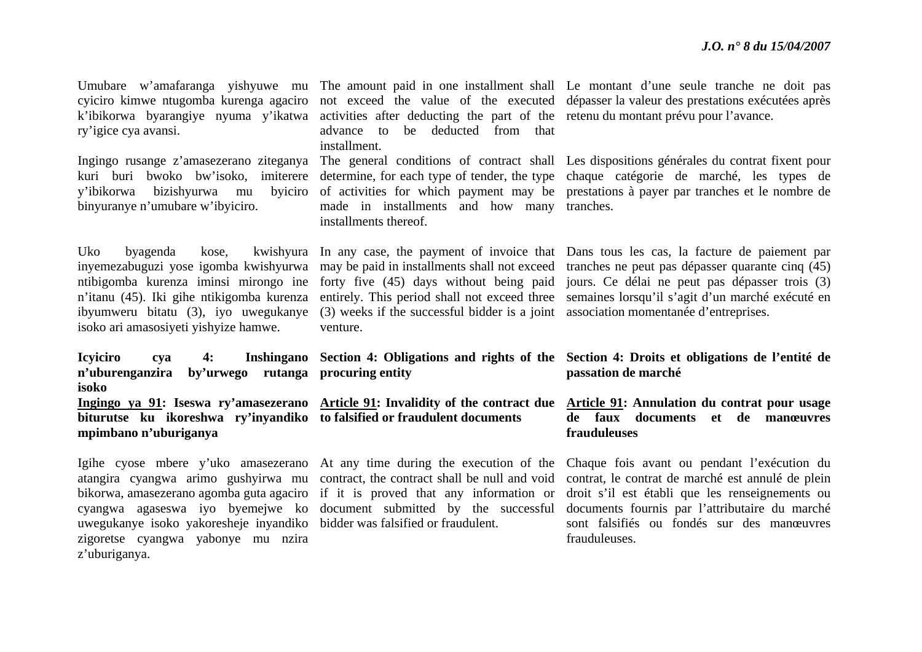| cyiciro kimwe ntugomba kurenga agaciro<br>k'ibikorwa byarangiye nyuma y'ikatwa<br>ry'igice cya avansi.<br>Ingingo rusange z'amasezerano ziteganya<br>kuri buri bwoko bw'isoko, imiterere<br>bizishyurwa<br>y'ibikorwa<br>byiciro<br>mu<br>binyuranye n'umubare w'ibyiciro. | activities after deducting the part of the retenu du montant prévu pour l'avance.<br>be deducted from that<br>advance<br>to<br>installment.<br>determine, for each type of tender, the type<br>of activities for which payment may be<br>made in installments and how many<br>installments thereof. | Umubare w'amafaranga yishyuwe mu The amount paid in one installment shall Le montant d'une seule tranche ne doit pas<br>not exceed the value of the executed dépasser la valeur des prestations exécutées après<br>The general conditions of contract shall Les dispositions générales du contrat fixent pour<br>chaque catégorie de marché, les types de<br>prestations à payer par tranches et le nombre de<br>tranches. |
|----------------------------------------------------------------------------------------------------------------------------------------------------------------------------------------------------------------------------------------------------------------------------|-----------------------------------------------------------------------------------------------------------------------------------------------------------------------------------------------------------------------------------------------------------------------------------------------------|----------------------------------------------------------------------------------------------------------------------------------------------------------------------------------------------------------------------------------------------------------------------------------------------------------------------------------------------------------------------------------------------------------------------------|
| Uko<br>byagenda<br>kwishyura<br>kose,<br>inyemezabuguzi yose igomba kwishyurwa<br>ntibigomba kurenza iminsi mirongo ine<br>n'itanu (45). Iki gihe ntikigomba kurenza<br>ibyumweru bitatu (3), iyo uwegukanye<br>isoko ari amasosiyeti yishyize hamwe.                      | In any case, the payment of invoice that<br>may be paid in installments shall not exceed<br>forty five (45) days without being paid<br>entirely. This period shall not exceed three<br>(3) weeks if the successful bidder is a joint<br>venture.                                                    | Dans tous les cas, la facture de paiement par<br>tranches ne peut pas dépasser quarante cinq (45)<br>jours. Ce délai ne peut pas dépasser trois (3)<br>semaines lorsqu'il s'agit d'un marché exécuté en<br>association momentanée d'entreprises.                                                                                                                                                                           |
| <b>Icyiciro</b><br><b>Inshingano</b><br>4:<br>cya<br>n'uburenganzira<br>by'urwego rutanga<br>isoko                                                                                                                                                                         | Section 4: Obligations and rights of the<br>procuring entity                                                                                                                                                                                                                                        | Section 4: Droits et obligations de l'entité de<br>passation de marché                                                                                                                                                                                                                                                                                                                                                     |
| biturutse ku ikoreshwa ry'inyandiko<br>mpimbano n'uburiganya                                                                                                                                                                                                               | Ingingo ya 91: Iseswa ry'amasezerano Article 91: Invalidity of the contract due<br>to falsified or fraudulent documents                                                                                                                                                                             | <b>Article 91:</b> Annulation du contrat pour usage<br>de faux documents<br>et de manœuvres<br>frauduleuses                                                                                                                                                                                                                                                                                                                |
| Igihe cyose mbere y'uko amasezerano<br>atangira cyangwa arimo gushyirwa mu<br>bikorwa, amasezerano agomba guta agaciro<br>cyangwa agaseswa iyo byemejwe ko document submitted by the successful                                                                            | At any time during the execution of the<br>contract, the contract shall be null and void<br>if it is proved that any information or                                                                                                                                                                 | Chaque fois avant ou pendant l'exécution du<br>contrat, le contrat de marché est annulé de plein<br>droit s'il est établi que les renseignements ou                                                                                                                                                                                                                                                                        |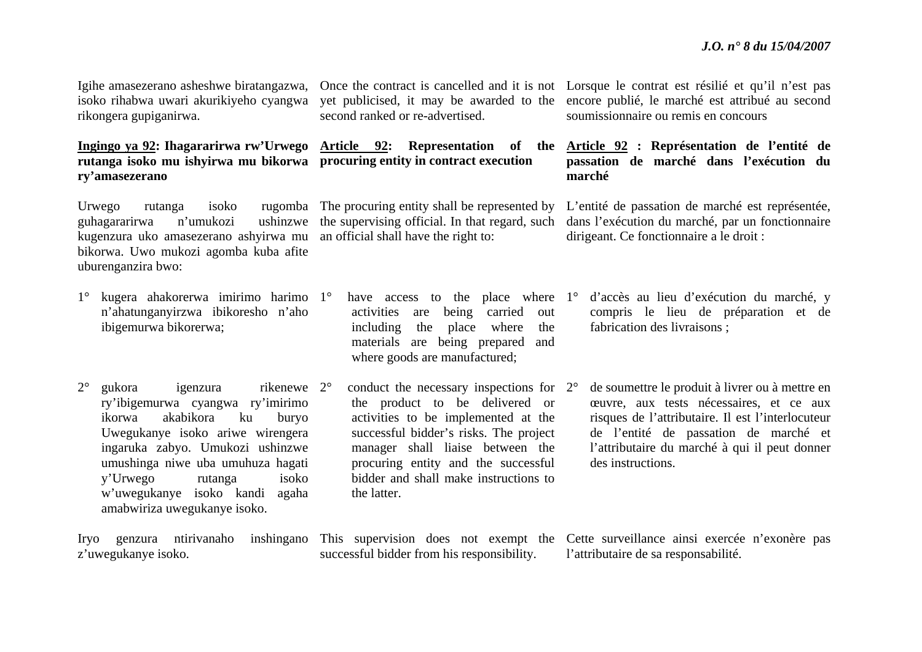Igihe amasezerano asheshwe biratangazwa, isoko rihabwa uwari akurikiyeho cyangwa rikongera gupiganirwa.

# **Ingingo ya 92: Ihagararirwa rw'Urwego rutanga isoko mu ishyirwa mu bikorwa procuring entity in contract execution ry'amasezerano**

Urwego rutanga isoko rugomba The procuring entity shall be represented by guhagararirwa n'umukozi kugenzura uko amasezerano ashyirwa mu bikorwa. Uwo mukozi agomba kuba afite uburenganzira bwo:

- 1° kugera ahakorerwa imirimo harimo 1°<sup>n</sup>'ahatunganyirzwa ibikoresho n'aho ibigemurwa bikorerwa;
- $2^{\circ}$ gukora igenzura ry'ibigemurwa cyangwa ry'imirimo ikorwa akabikora ku buryo Uwegukanye isoko ariwe wirengera ingaruka zabyo. Umukozi ushinzwe umushinga niwe uba umuhuza hagati y'Urwego rutanga isoko <sup>w</sup>'uwegukanye isoko kandi agaha amabwiriza uwegukanye isoko. rikenewe 2°

second ranked or re-advertised.

ushinzwe the supervising official. In that regard, such an official shall have the right to:

> <sup>o</sup> have access to the place where 1<sup>o</sup> activities are being carried out including the place where the materials are being prepared and where goods are manufactured;

> $\degree$  conduct the necessary inspections for  $2\degree$ the product to be delivered or activities to be implemented at the successful bidder's risks. The project manager shall liaise between the procuring entity and the successful bidder and shall make instructions to the latter.

Once the contract is cancelled and it is not Lorsque le contrat est résilié et qu'il n'est pas yet publicised, it may be awarded to the encore publié, le marché est attribué au second soumissionnaire ou remis en concours

**Article 92: Representation of the Article 92 : Représentation de l'entité de passation de marché dans l'exécution du marché**

> L'entité de passation de marché est représentée, dans l'exécution du marché, par un fonctionnaire dirigeant. Ce fonctionnaire a le droit :

- d'accès au lieu d'exécution du marché, y compris le lieu de préparation et de fabrication des livraisons ;
- de soumettre le produit à livrer ou à mettre en œuvre, aux tests nécessaires, et ce aux risques de l'attributaire. Il est l'interlocuteur de l'entité de passation de marché et l'attributaire du marché à qui il peut donner des instructions.

Iryo genzura ntirivanaho inshingano This supervision does not exempt the Cette surveillance ainsi exercée n'exonère pas <sup>z</sup>'uwegukanye isoko. successful bidder from his responsibility. l'attributaire de sa responsabilité.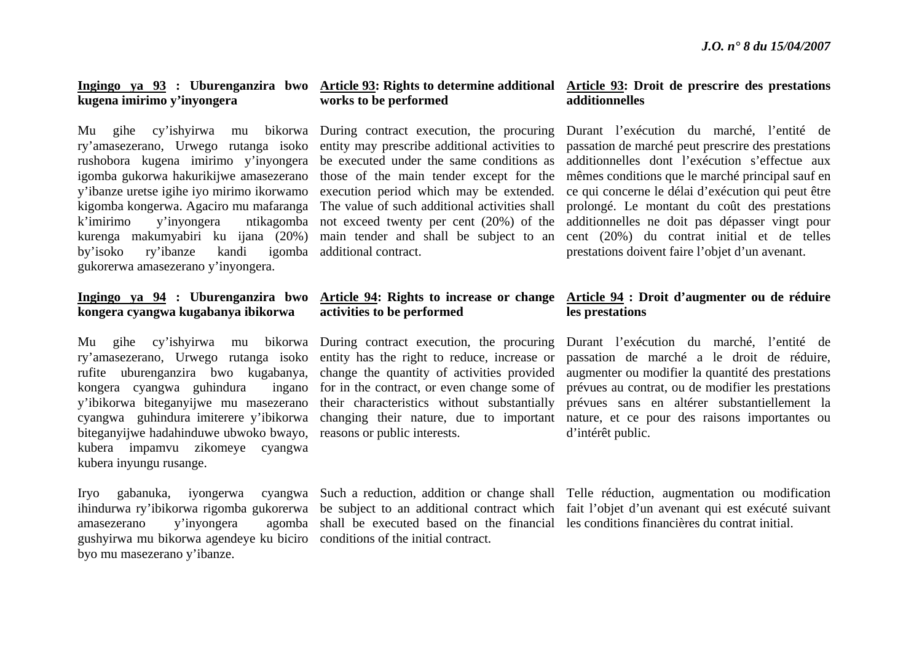# **kugena imirimo y'inyongera**

Mu gihe cy'ishyirwa mu ry'amasezerano, Urwego rutanga isoko rushobora kugena imirimo y'inyongera igomba gukorwa hakurikijwe amasezerano y'ibanze uretse igihe iyo mirimo ikorwamo kigomba kongerwa. Agaciro mu mafaranga k'imirimo y'inyongera ntikagomba kurenga makumyabiri ku ijana (20%) by'isoko ry'ibanze kandi igomba additional contract. gukorerwa amasezerano y'inyongera.

# **Ingingo ya 94 : Uburenganzira bwo kongera cyangwa kugabanya ibikorwa**

Mu gihe cy'ishyirwa mu kongera cyangwa guhindura y'ibikorwa biteganyijwe mu masezerano cyangwa guhindura imiterere y'ibikorwa biteganyijwe hadahinduwe ubwoko bwayo, reasons or public interests. kubera impamvu zikomeye cyangwa kubera inyungu rusange.

amasezerano v'invongera gushyirwa mu bikorwa agendeye ku biciro conditions of the initial contract. byo mu masezerano y'ibanze.

# **works to be performed**

bikorwa During contract execution, the procuring entity may prescribe additional activities to be executed under the same conditions as those of the main tender except for the execution period which may be extended. The value of such additional activities shall not exceed twenty per cent (20%) of the main tender and shall be subject to an

# **activities to be performed**

ry'amasezerano, Urwego rutanga isoko entity has the right to reduce, increase or rufite uburenganzira bwo kugabanya, change the quantity of activities provided bikorwa During contract execution, the procuring ing in the contract, or even change some of their characteristics without substantially

shall be executed based on the financial les conditions financières du contrat initial.

# **Ingingo ya 93 : Uburenganzira bwo Article 93: Rights to determine additional Article 93: Droit de prescrire des prestations additionnelles**

Durant l'exécution du marché, l'entité de passation de marché peut prescrire des prestations additionnelles dont l'exécution s'effectue aux mêmes conditions que le marché principal sauf en ce qui concerne le délai d'exécution qui peut être prolongé. Le montant du coût des prestations additionnelles ne doit pas dépasser vingt pour cent (20%) du contrat initial et de telles prestations doivent faire l'objet d'un avenant.

### **Article 94: Rights to increase or change Article 94 : Droit d'augmenter ou de réduire les prestations**

changing their nature, due to important nature, et ce pour des raisons importantes ou Durant l'exécution du marché, l'entité de passation de marché a le droit de réduire, augmenter ou modifier la quantité des prestations prévues au contrat, ou de modifier les prestations prévues sans en altérer substantiellement la d'intérêt public.

Iryo gabanuka, iyongerwa cyangwa Such a reduction, addition or change shall Telle réduction, augmentation ou modification ihindurwa ry'ibikorwa rigomba gukorerwa be subject to an additional contract which fait l'objet d'un avenant qui est exécuté suivant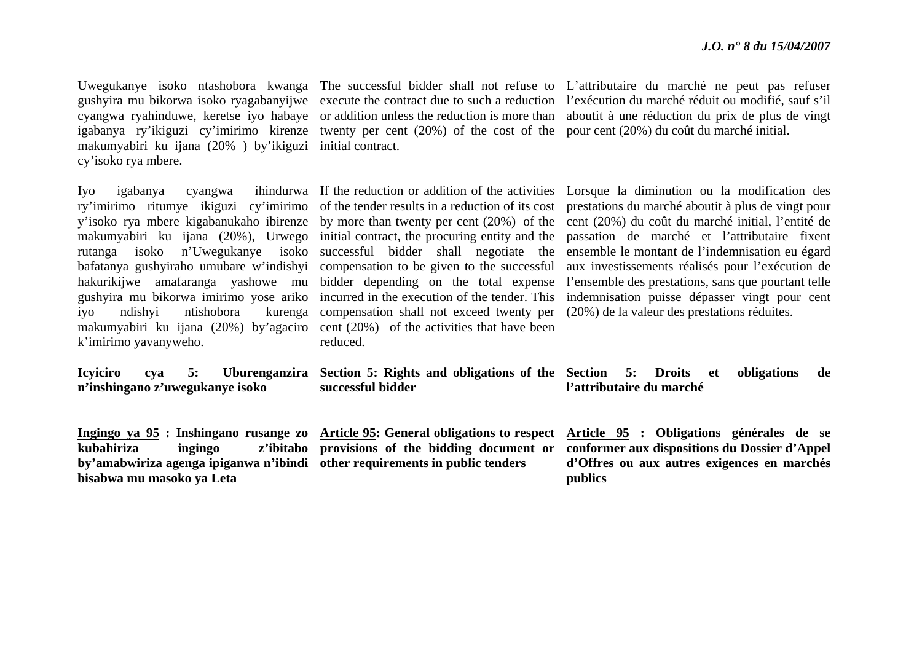makumyabiri ku ijana (20% ) by'ikiguzi initial contract. cy'isoko rya mbere.

iyo ndishyi ntishobora k'imirimo yavanyweho.

**Icyiciro cya 5: Uburenganzira <sup>n</sup>'inshingano z'uwegukanye isoko** 

**by'amabwiriza agenga ipiganwa n'ibindi other requirements in public tenders bisabwa mu masoko ya Leta** 

igabanya ry'ikiguzi cy'imirimo kirenze twenty per cent (20%) of the cost of the pour cent (20%) du coût du marché initial.

makumyabiri ku ijana (20%), Urwego initial contract, the procuring entity and the makumyabiri ku ijana (20%) by'agaciro cent (20%) of the activities that have been compensation shall not exceed twenty per (20%) de la valeur des prestations réduites. reduced.

**successful bidder**

**kubahiriza ingingo z'ibitabo provisions of the bidding document or** 

Uwegukanye isoko ntashobora kwanga The successful bidder shall not refuse to L'attributaire du marché ne peut pas refuser gushyira mu bikorwa isoko ryagabanyijwe execute the contract due to such a reduction l'exécution du marché réduit ou modifié, sauf s'il cyangwa ryahinduwe, keretse iyo habaye or addition unless the reduction is more than aboutit à une réduction du prix de plus de vingt

Iyo igabanya cyangwa ihindurwa If the reduction or addition of the activities Lorsque la diminution ou la modification des ry'imirimo ritumye ikiguzi cy'imirimo of the tender results in a reduction of its cost prestations du marché aboutit à plus de vingt pour y'isoko rya mbere kigabanukaho ibirenze by more than twenty per cent (20%) of the cent (20%) du coût du marché initial, l'entité de rutanga isoko n'Uwegukanye isoko successful bidder shall negotiate the ensemble le montant de l'indemnisation eu égard bafatanya gushyiraho umubare w'indishyi compensation to be given to the successful aux investissements réalisés pour l'exécution de hakurikijwe amafaranga yashowe mu bidder depending on the total expense l'ensemble des prestations, sans que pourtant telle gushyira mu bikorwa imirimo yose ariko incurred in the execution of the tender. This indemnisation puisse dépasser vingt pour cent passation de marché et l'attributaire fixent

> **Section 5: Rights and obligations of the Section 5: Droits et obligations de l'attributaire du marché**

**Ingingo ya 95 : Inshingano rusange zo Article 95: General obligations to respect Article 95 : Obligations générales de se conformer aux dispositions du Dossier d'Appel d'Offres ou aux autres exigences en marchés publics**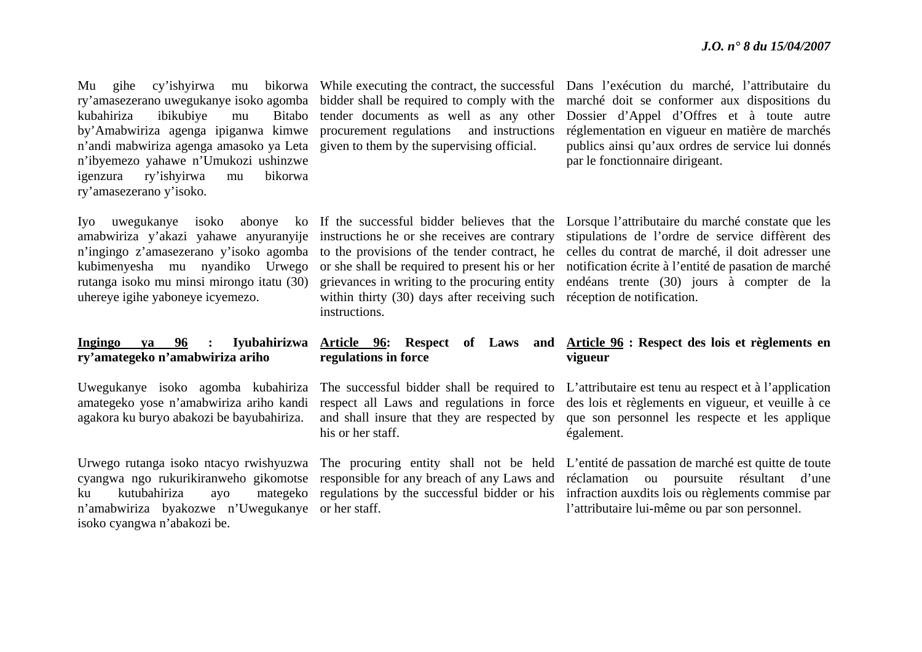ry'amasezerano uwegukanye isoko agomba bidder shall be required to comply with the kubahiriza ibikubiye mu Bitabo by'Amabwiriza agenga ipiganwa kimwe procurement regulations and instructions <sup>n</sup>'andi mabwiriza agenga amasoko ya Leta given to them by the supervising official. <sup>n</sup>'ibyemezo yahawe n'Umukozi ushinzwe igenzura ry'ishyirwa mu bikorwa ry'amasezerano y'isoko.

rutanga isoko mu minsi mirongo itatu (30) uhereye igihe yaboneye icyemezo.

#### **Ingingo ya 96 : Iyubahirizwa ry'amategeko n'amabwiriza ariho**

amategeko yose n'amabwiriza ariho kandi agakora ku buryo abakozi be bayubahiriza.

ku kutubahiriza ayo <sup>n</sup>'amabwiriza byakozwe n'Uwegukanye or her staff. isoko cyangwa n'abakozi be.

tender documents as well as any other

Mu gihe cy'ishyirwa mu bikorwa While executing the contract, the successful Dans l'exécution du marché, l'attributaire du marché doit se conformer aux dispositions du Dossier d'Appel d'Offres et à toute autre réglementation en vigueur en matière de marchés publics ainsi qu'aux ordres de service lui donnés par le fonctionnaire dirigeant.

> within thirty (30) days after receiving such réception de notification. instructions.

Iyo uwegukanye isoko abonye ko If the successful bidder believes that the Lorsque l'attributaire du marché constate que les amabwiriza y'akazi yahawe anyuranyije instructions he or she receives are contrary stipulations de l'ordre de service diffèrent des <sup>n</sup>'ingingo z'amasezerano y'isoko agomba to the provisions of the tender contract, he celles du contrat de marché, il doit adresser une kubimenyesha mu nyandiko Urwego or she shall be required to present his or her notification écrite à l'entité de pasation de marché grievances in writing to the procuring entity endéans trente (30) jours à compter de la

## **regulations in force**

respect all Laws and regulations in force his or her staff.

### **Article 96: Respect of Laws and Article 96 : Respect des lois et règlements en vigueur**

Uwegukanye isoko agomba kubahiriza The successful bidder shall be required to L'attributaire est tenu au respect et à l'application and shall insure that they are respected by que son personnel les respecte et les applique des lois et règlements en vigueur, et veuille à ce également.

Urwego rutanga isoko ntacyo rwishyuzwa The procuring entity shall not be held L'entité de passation de marché est quitte de toute cyangwa ngo rukurikiranweho gikomotse responsible for any breach of any Laws and réclamation ou poursuite résultant d'une regulations by the successful bidder or his infraction auxdits lois ou règlements commise par l'attributaire lui-même ou par son personnel.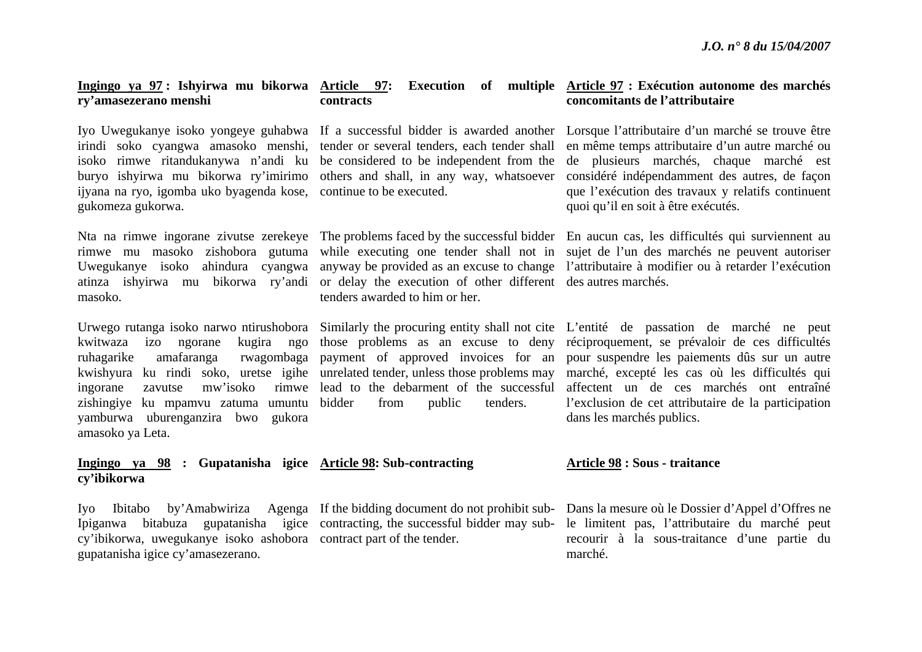#### **Ingingo ya 97 : Ishyirwa mu bikorwa Article 97: Execution of multiple Article 97 : Exécution autonome des marchés ry'amasezerano menshi contracts**

isoko rimwe ritandukanywa n'andi ku be considered to be independent from the buryo ishyirwa mu bikorwa ry'imirimo others and shall, in any way, whatsoever ijyana na ryo, igomba uko byagenda kose, continue to be executed. gukomeza gukorwa.

atinza ishyirwa mu bikorwa ry'andi or delay the execution of other different des autres marchés. masoko.

zishingiye ku mpamvu zatuma umuntu yamburwa uburenganzira bwo gukora amasoko ya Leta.

#### **Ingingo ya 98 : Gupatanisha igice Article 98: Sub-contracting cy'ibikorwa**

cy'ibikorwa, uwegukanye isoko ashobora contract part of the tender. gupatanisha igice cy'amasezerano.

Ipiganwa bitabuza gupatanisha igice contracting, the successful bidder may sub-

from public tenders.

tenders awarded to him or her.

# **concomitants de l'attributaire**

Iyo Uwegukanye isoko yongeye guhabwa If a successful bidder is awarded another Lorsque l'attributaire d'un marché se trouve être irindi soko cyangwa amasoko menshi, tender or several tenders, each tender shall en même temps attributaire d'un autre marché ou de plusieurs marchés, chaque marché est considéré indépendamment des autres, de façon que l'exécution des travaux y relatifs continuent quoi qu'il en soit à être exécutés.

Nta na rimwe ingorane zivutse zerekeye The problems faced by the successful bidder En aucun cas, les difficultés qui surviennent au rimwe mu masoko zishobora gutuma while executing one tender shall not in sujet de l'un des marchés ne peuvent autoriser Uwegukanye isoko ahindura cyangwa anyway be provided as an excuse to change l'attributaire à modifier ou à retarder l'exécution

Urwego rutanga isoko narwo ntirushobora Similarly the procuring entity shall not cite L'entité de passation de marché ne peut kwitwaza izo ngorane kugira ngo those problems as an excuse to deny réciproquement, se prévaloir de ces difficultés ruhagarike amafaranga rwagombaga payment of approved invoices for an pour suspendre les paiements dûs sur un autre kwishyura ku rindi soko, uretse igihe unrelated tender, unless those problems may marché, excepté les cas où les difficultés qui ingorane zavutse mw'isoko rimwe lead to the debarment of the successful affectent un de ces marchés ont entraîné l'exclusion de cet attributaire de la participation dans les marchés publics.

#### **Article 98 : Sous - traitance**

Iyo Ibitabo by'Amabwiriza Agenga If the bidding document do not prohibit sub-Dans la mesure où le Dossier d'Appel d'Offres ne le limitent pas, l'attributaire du marché peut recourir à la sous-traitance d'une partie du marché.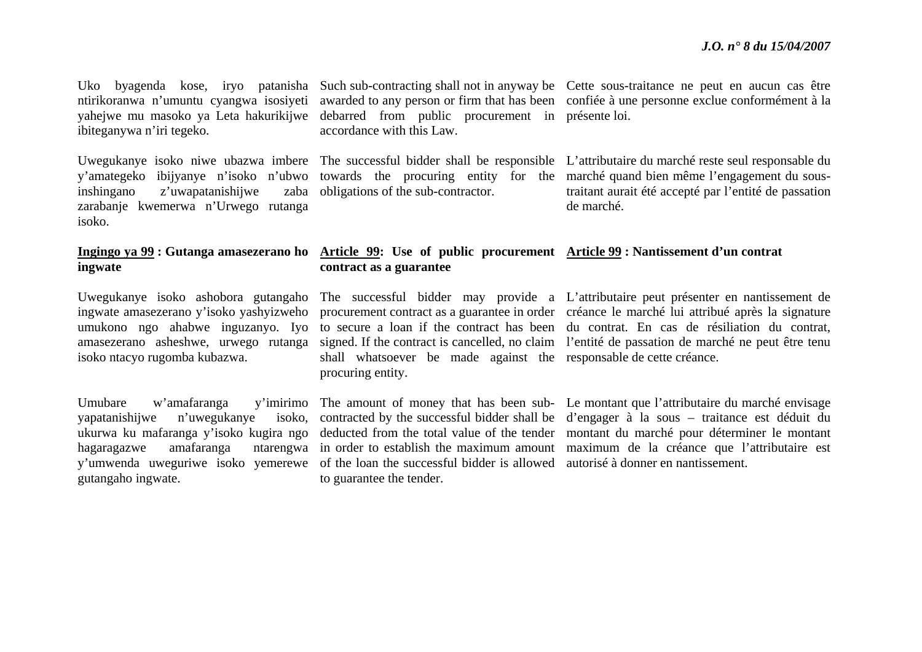yahejwe mu masoko ya Leta hakurikijwe ibiteganywa n'iri tegeko.

inshingano z'uwapatanishijwe zarabanje kwemerwa n'Urwego rutanga isoko.

## **ingwate**

isoko ntacyo rugomba kubazwa.

Umubare w'amafaranga yapatanishijwe n'uwegukanye hagaragazwe amafaranga gutangaho ingwate.

debarred from public procurement in présente loi. accordance with this Law.

zaba obligations of the sub-contractor.

Uko byagenda kose, iryo patanisha Such sub-contracting shall not in anyway be Cette sous-traitance ne peut en aucun cas être ntirikoranwa n'umuntu cyangwa isosiyeti awarded to any person or firm that has been confiée à une personne exclue conformément à la

Uwegukanye isoko niwe ubazwa imbere The successful bidder shall be responsible L'attributaire du marché reste seul responsable du y'amategeko ibijyanye n'isoko n'ubwo towards the procuring entity for the marché quand bien même l'engagement du soustraitant aurait été accepté par l'entité de passation de marché.

#### **Ingingo ya 99 : Gutanga amasezerano ho Article 99: Use of public procurement Article 99 : Nantissement d'un contrat contract as a guarantee**

shall whatsoever be made against the responsable de cette créance. procuring entity.

y'umwenda uweguriwe isoko yemerewe of the loan the successful bidder is allowed autorisé à donner en nantissement. to guarantee the tender.

Uwegukanye isoko ashobora gutangaho The successful bidder may provide a L'attributaire peut présenter en nantissement de ingwate amasezerano y'isoko yashyizweho procurement contract as a guarantee in order créance le marché lui attribué après la signature umukono ngo ahabwe inguzanyo. Iyo to secure a loan if the contract has been du contrat. En cas de résiliation du contrat, amasezerano asheshwe, urwego rutanga signed. If the contract is cancelled, no claim l'entité de passation de marché ne peut être tenu

ukurwa ku mafaranga y'isoko kugira ngo deducted from the total value of the tender montant du marché pour déterminer le montant The amount of money that has been sub-Le montant que l'attributaire du marché envisage contracted by the successful bidder shall be d'engager à la sous – traitance est déduit du in order to establish the maximum amount maximum de la créance que l'attributaire est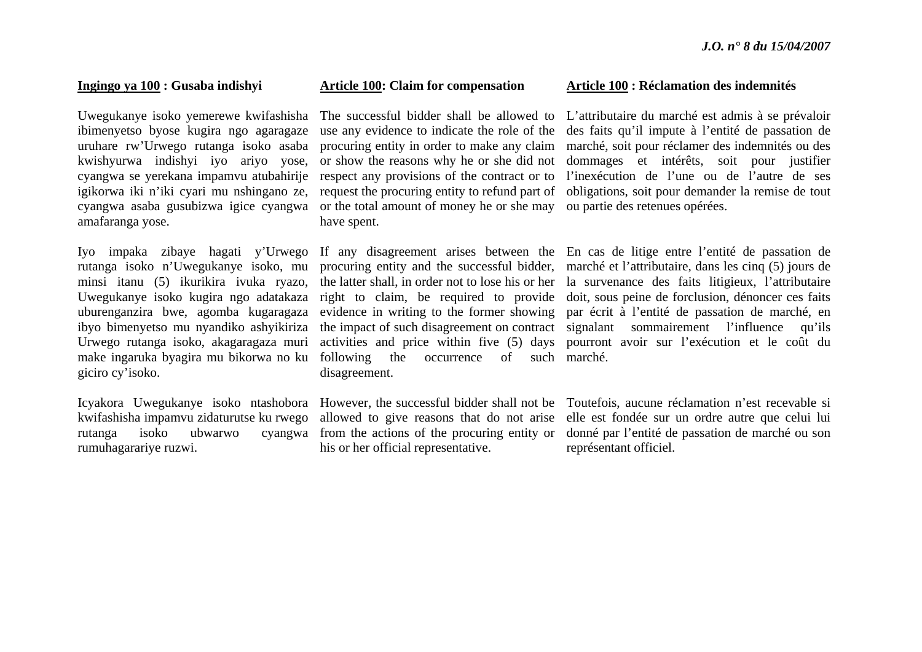#### **Ingingo ya 100 : Gusaba indishyi**

Uwegukanye isoko yemerewe kwifashisha ibimenyetso byose kugira ngo agaragaze uruhare rw'Urwego rutanga isoko asaba kwishyurwa indishyi iyo ariyo yose, cyangwa se yerekana impamvu atubahirije igikorwa iki n'iki cyari mu nshingano ze, cyangwa asaba gusubizwa igice cyangwa or the total amount of money he or she may ou partie des retenues opérées. amafaranga yose.

Uwegukanye isoko kugira ngo adatakaza uburenganzira bwe, agomba kugaragaza ibyo bimenyetso mu nyandiko ashyikiriza Urwego rutanga isoko, akagaragaza muri giciro cy'isoko.

kwifashisha impamvu zidaturutse ku rwego rumuhagarariye ruzwi.

#### **Article 100: Claim for compensation**

The successful bidder shall be allowed to use any evidence to indicate the role of the procuring entity in order to make any claim or show the reasons why he or she did not respect any provisions of the contract or to request the procuring entity to refund part of have spent.

make ingaruka byagira mu bikorwa no ku following the occurrence of such marché. disagreement.

his or her official representative.

#### **Article 100 : Réclamation des indemnités**

L'attributaire du marché est admis à se prévaloir des faits qu'il impute à l'entité de passation de marché, soit pour réclamer des indemnités ou des dommages et intérêts, soit pour justifier l'inexécution de l'une ou de l'autre de ses obligations, soit pour demander la remise de tout

Iyo impaka zibaye hagati y'Urwego If any disagreement arises between the En cas de litige entre l'entité de passation de rutanga isoko n'Uwegukanye isoko, mu procuring entity and the successful bidder, marché et l'attributaire, dans les cinq (5) jours de minsi itanu (5) ikurikira ivuka ryazo, the latter shall, in order not to lose his or her la survenance des faits litigieux, l'attributaire right to claim, be required to provide doit, sous peine de forclusion, dénoncer ces faits evidence in writing to the former showing par écrit à l'entité de passation de marché, en the impact of such disagreement on contract signalant sommairement l'influence qu'ils activities and price within five (5) days pourront avoir sur l'exécution et le coût du

Icyakora Uwegukanye isoko ntashobora However, the successful bidder shall not be Toutefois, aucune réclamation n'est recevable si rutanga isoko ubwarwo cyangwa from the actions of the procuring entity or donné par l'entité de passation de marché ou son allowed to give reasons that do not arise elle est fondée sur un ordre autre que celui lui représentant officiel.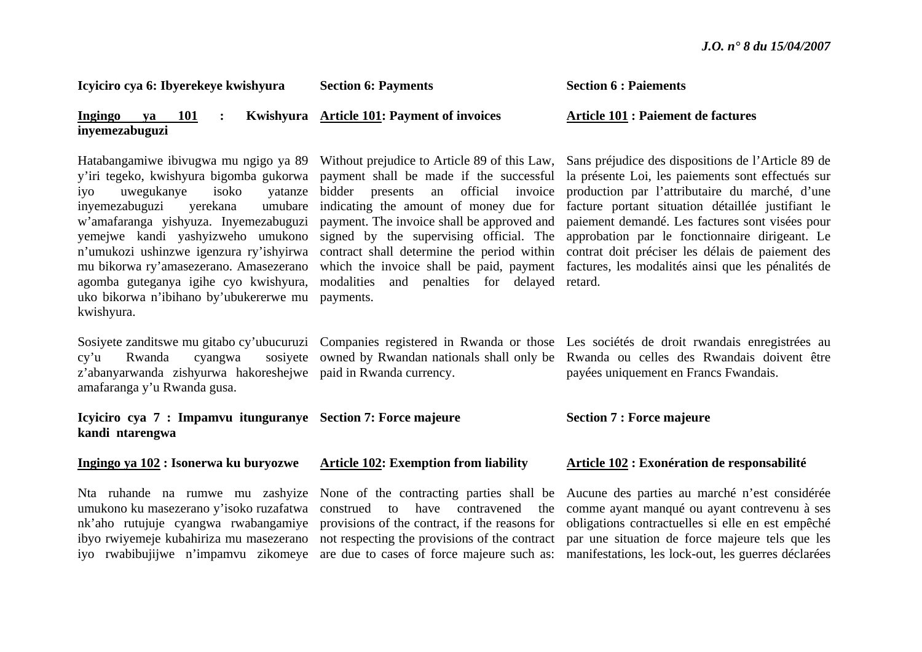manifestations, les lock-out, les guerres déclarées

| Icyiciro cya 6: Ibyerekeye kwishyura                                                                                                                                                                                                                                                                                                                                                                                                   | <b>Section 6: Payments</b>                                                                                                                                                                                                                                                                                                                                             | <b>Section 6 : Paiements</b>                                                                                                                                                                                                                                                                                                                                                                                                                                                          |
|----------------------------------------------------------------------------------------------------------------------------------------------------------------------------------------------------------------------------------------------------------------------------------------------------------------------------------------------------------------------------------------------------------------------------------------|------------------------------------------------------------------------------------------------------------------------------------------------------------------------------------------------------------------------------------------------------------------------------------------------------------------------------------------------------------------------|---------------------------------------------------------------------------------------------------------------------------------------------------------------------------------------------------------------------------------------------------------------------------------------------------------------------------------------------------------------------------------------------------------------------------------------------------------------------------------------|
| <b>Ingingo</b><br>101<br>ya<br>inyemezabuguzi                                                                                                                                                                                                                                                                                                                                                                                          | Kwishyura Article 101: Payment of invoices                                                                                                                                                                                                                                                                                                                             | <b>Article 101: Paiement de factures</b>                                                                                                                                                                                                                                                                                                                                                                                                                                              |
| Hatabangamiwe ibivugwa mu ngigo ya 89<br>y'iri tegeko, kwishyura bigomba gukorwa<br>uwegukanye<br>isoko<br>yatanze<br>iyo<br>umubare<br>inyemezabuguzi<br>yerekana<br>w'amafaranga yishyuza. Inyemezabuguzi<br>yemejwe kandi yashyizweho umukono<br>n'umukozi ushinzwe igenzura ry'ishyirwa<br>mu bikorwa ry'amasezerano. Amasezerano<br>agomba guteganya igihe cyo kwishyura,<br>uko bikorwa n'ibihano by'ubukererwe mu<br>kwishyura. | payment shall be made if the successful<br>an official invoice<br>bidder presents<br>indicating the amount of money due for<br>payment. The invoice shall be approved and<br>signed by the supervising official. The<br>contract shall determine the period within<br>which the invoice shall be paid, payment<br>and penalties for delayed<br>modalities<br>payments. | Without prejudice to Article 89 of this Law, Sans préjudice des dispositions de l'Article 89 de<br>la présente Loi, les paiements sont effectués sur<br>production par l'attributaire du marché, d'une<br>facture portant situation détaillée justifiant le<br>paiement demandé. Les factures sont visées pour<br>approbation par le fonctionnaire dirigeant. Le<br>contrat doit préciser les délais de paiement des<br>factures, les modalités ainsi que les pénalités de<br>retard. |
| sosiyete<br>cy'u<br>Rwanda<br>cyangwa<br>z'abanyarwanda zishyurwa hakoreshejwe paid in Rwanda currency.<br>amafaranga y'u Rwanda gusa.                                                                                                                                                                                                                                                                                                 |                                                                                                                                                                                                                                                                                                                                                                        | Sosiyete zanditswe mu gitabo cy'ubucuruzi Companies registered in Rwanda or those Les sociétés de droit rwandais enregistrées au<br>owned by Rwandan nationals shall only be Rwanda ou celles des Rwandais doivent être<br>payées uniquement en Francs Fwandais.                                                                                                                                                                                                                      |
| Icyiciro cya 7 : Impamvu itunguranye Section 7: Force majeure<br>kandi ntarengwa                                                                                                                                                                                                                                                                                                                                                       |                                                                                                                                                                                                                                                                                                                                                                        | <b>Section 7 : Force majeure</b>                                                                                                                                                                                                                                                                                                                                                                                                                                                      |
| Ingingo ya 102 : Isonerwa ku buryozwe                                                                                                                                                                                                                                                                                                                                                                                                  | <b>Article 102: Exemption from liability</b>                                                                                                                                                                                                                                                                                                                           | <b>Article 102 : Exonération de responsabilité</b>                                                                                                                                                                                                                                                                                                                                                                                                                                    |
| umukono ku masezerano y'isoko ruzafatwa                                                                                                                                                                                                                                                                                                                                                                                                | construed<br>have<br>the<br>to<br>contravened<br>nk'aho rutujuje cyangwa rwabangamiye provisions of the contract, if the reasons for<br>ibyo rwiyemeje kubahiriza mu masezerano not respecting the provisions of the contract                                                                                                                                          | Nta ruhande na rumwe mu zashyize None of the contracting parties shall be Aucune des parties au marché n'est considérée<br>comme ayant manqué ou ayant contrevenu à ses<br>obligations contractuelles si elle en est empêché<br>par une situation de force majeure tels que les                                                                                                                                                                                                       |

are due to cases of force majeure such as:

iyo rwabibujijwe n'impamvu zikomeye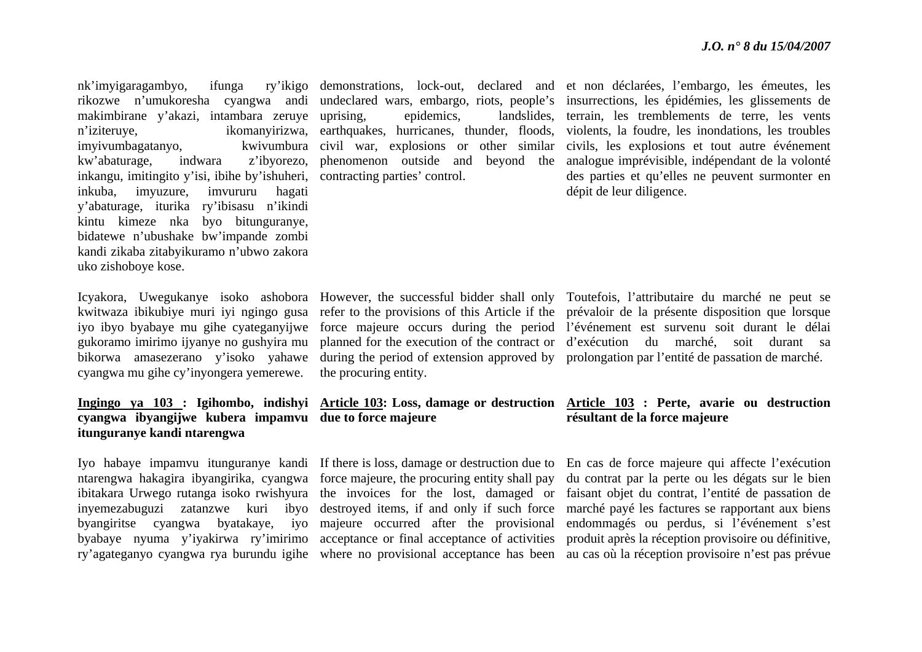nk'imvigaragambyo. makimbirane y'akazi, intambara zeruye imyivumbagatanyo. kw'abaturage, indwara inkangu, imitingito y'isi, ibihe by'ishuheri, contracting parties' control. inkuba, imyuzure, imvururu hagati y'abaturage, iturika ry'ibisasu n'ikindi kintu kimeze nka byo bitunguranye, bidatewe n'ubushake bw'impande zombi kandi zikaba zitabyikuramo n'ubwo zakora uko zishoboye kose.

cyangwa mu gihe cy'inyongera yemerewe.

### **cyangwa ibyangijwe kubera impamvu due to force majeure itunguranye kandi ntarengwa**

rikozwe n'umukoresha cyangwa andi undeclared wars, embargo, riots, people's insurrections, les épidémies, les glissements de <sup>n</sup>'iziteruye, ikomanyirizwa, earthquakes, hurricanes, thunder, floods, violents, la foudre, les inondations, les troubles demonstrations, lock-out, declared and et non déclarées, l'embargo, les émeutes, les uprising, epidemics, landslides, terrain, les tremblements de terre, les vents civil war, explosions or other similar civils, les explosions et tout autre événement phenomenon outside and beyond the analogue imprévisible, indépendant de la volonté des parties et qu'elles ne peuvent surmonter en dépit de leur diligence.

the procuring entity.

ntarengwa hakagira ibyangirika, cyangwa force majeure, the procuring entity shall pay inyemezabuguzi zatanzwe kuri ibyo destroyed items, if and only if such force byangiritse cyangwa byatakaye, iyo majeure occurred after the provisional

Icyakora, Uwegukanye isoko ashobora However, the successful bidder shall only Toutefois, l'attributaire du marché ne peut se kwitwaza ibikubiye muri iyi ngingo gusa refer to the provisions of this Article if the prévaloir de la présente disposition que lorsque iyo ibyo byabaye mu gihe cyateganyijwe force majeure occurs during the period l'événement est survenu soit durant le délai gukoramo imirimo ijyanye no gushyira mu planned for the execution of the contract or d'exécution du marché, soit durant sa bikorwa amasezerano y'isoko yahawe during the period of extension approved by prolongation par l'entité de passation de marché.

#### **Ingingo ya 103 : Igihombo, indishyi Article 103: Loss, damage or destruction Article 103 : Perte, avarie ou destruction résultant de la force majeure**

Iyo habaye impamvu itunguranye kandi If there is loss, damage or destruction due to En cas de force majeure qui affecte l'exécution ibitakara Urwego rutanga isoko rwishyura the invoices for the lost, damaged or faisant objet du contrat, l'entité de passation de byabaye nyuma y'iyakirwa ry'imirimo acceptance or final acceptance of activities produit après la réception provisoire ou définitive, ry'agateganyo cyangwa rya burundu igihe where no provisional acceptance has been au cas où la réception provisoire n'est pas prévue du contrat par la perte ou les dégats sur le bien marché payé les factures se rapportant aux biens endommagés ou perdus, si l'événement s'est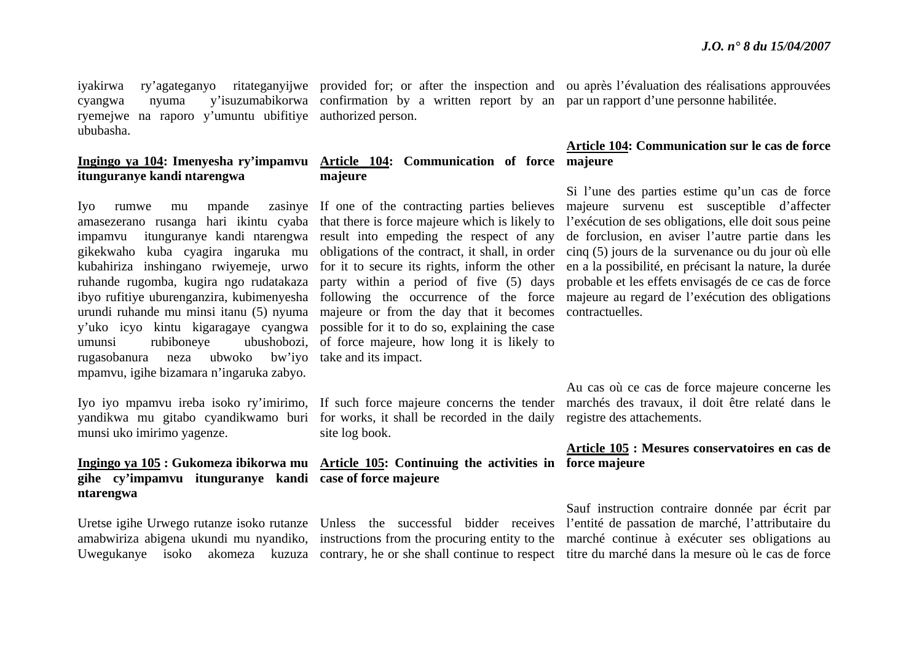ryemejwe na raporo y'umuntu ubifitiye authorized person. ububasha.

### **itunguranye kandi ntarengwa**

rugasobanura neza ubwoko bw'iyo take and its impact. mpamvu, igihe bizamara n'ingaruka zabyo.

munsi uko imirimo yagenze.

### **gihe cy'impamvu itunguranye kandi case of force majeure ntarengwa**

cyangwa nyuma y'isuzumabikorwa confirmation by a written report by an par un rapport d'une personne habilitée.

#### **Ingingo ya 104: Imenyesha ry'impamvu Article 104: Communication of force majeure majeure**

Iyo rumwe mu mpande zasinye If one of the contracting parties believes amasezerano rusanga hari ikintu cyaba that there is force majeure which is likely to impamvu itunguranye kandi ntarengwa result into empeding the respect of any urundi ruhande mu minsi itanu (5) nyuma majeure or from the day that it becomes contractuelles. y'uko icyo kintu kigaragaye cyangwa possible for it to do so, explaining the case umunsi rubiboneye ubushobozi, of force majeure, how long it is likely to

yandikwa mu gitabo cyandikwamo buri for works, it shall be recorded in the daily registre des attachements. site log book.

## **Ingingo ya 105 : Gukomeza ibikorwa mu Article 105: Continuing the activities in force majeure**

iyakirwa ry'agateganyo ritateganyijwe provided for; or after the inspection and ou après l'évaluation des réalisations approuvées

### **Article 104: Communication sur le cas de force**

gikekwaho kuba cyagira ingaruka mu obligations of the contract, it shall, in order cinq (5) jours de la survenance ou du jour où elle kubahiriza inshingano rwiyemeje, urwo for it to secure its rights, inform the other en a la possibilité, en précisant la nature, la durée ruhande rugomba, kugira ngo rudatakaza party within a period of five (5) days probable et les effets envisagés de ce cas de force ibyo rufitiye uburenganzira, kubimenyesha following the occurrence of the force majeure au regard de l'exécution des obligations Si l'une des parties estime qu'un cas de force majeure survenu est susceptible d'affecter l'exécution de ses obligations, elle doit sous peine de forclusion, en aviser l'autre partie dans les

Iyo iyo mpamvu ireba isoko ry'imirimo, If such force majeure concerns the tender marchés des travaux, il doit être relaté dans le Au cas où ce cas de force majeure concerne les

### **Article 105 : Mesures conservatoires en cas de**

Uretse igihe Urwego rutanze isoko rutanze Unless the successful bidder receives l'entité de passation de marché, l'attributaire du amabwiriza abigena ukundi mu nyandiko, instructions from the procuring entity to the marché continue à exécuter ses obligations au Uwegukanye isoko akomeza kuzuza contrary, he or she shall continue to respect titre du marché dans la mesure où le cas de force Sauf instruction contraire donnée par écrit par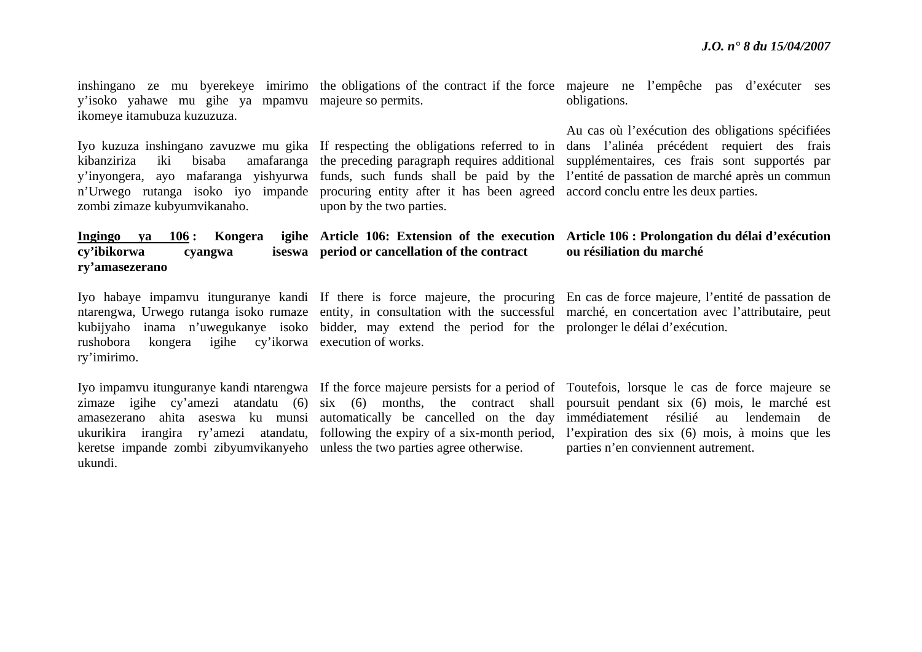inshingano ze mu byerekeye imirimo the obligations of the contract if the force majeure ne l'empêche pas d'exécuter ses y'isoko yahawe mu gihe ya mpamvu majeure so permits. ikomeye itamubuza kuzuzuza.

<sup>n</sup>'Urwego rutanga isoko iyo impande procuring entity after it has been agreed accord conclu entre les deux parties. zombi zimaze kubyumvikanaho.

**Ingingo ya 106 : Kongera** 

**cy'ibikorwa cyangwa iseswa** 

**ry'amasezerano** 

## **period or cancellation of the contract**

upon by the two parties.

obligations.

Iyo kuzuza inshingano zavuzwe mu gika If respecting the obligations referred to in dans l'alinéa précédent requiert des frais kibanziriza iki bisaba amafaranga the preceding paragraph requires additional supplémentaires, ces frais sont supportés par y'inyongera, ayo mafaranga yishyurwa funds, such funds shall be paid by the l'entité de passation de marché après un commun Au cas où l'exécution des obligations spécifiées

#### **Article 106: Extension of the execution Article 106 : Prolongation du délai d'exécution ou résiliation du marché**

rushobora kongera igihe cy'ikorwa execution of works. ry'imirimo.

keretse impande zombi zibyumvikanyeho unless the two parties agree otherwise. ukundi.

kubijyaho inama n'uwegukanye isoko bidder, may extend the period for the prolonger le délai d'exécution.

amasezerano ahita aseswa ku munsi automatically be cancelled on the day

Iyo habaye impamvu itunguranye kandi If there is force majeure, the procuring En cas de force majeure, l'entité de passation de ntarengwa, Urwego rutanga isoko rumaze entity, in consultation with the successful marché, en concertation avec l'attributaire, peut

Iyo impamvu itunguranye kandi ntarengwa If the force majeure persists for a period of Toutefois, lorsque le cas de force majeure se zimaze igihe cy'amezi atandatu (6) six (6) months, the contract shall poursuit pendant six (6) mois, le marché est ukurikira irangira ry'amezi atandatu, following the expiry of a six-month period, l'expiration des six (6) mois, à moins que les immédiatement résilié au lendemain de parties n'en conviennent autrement.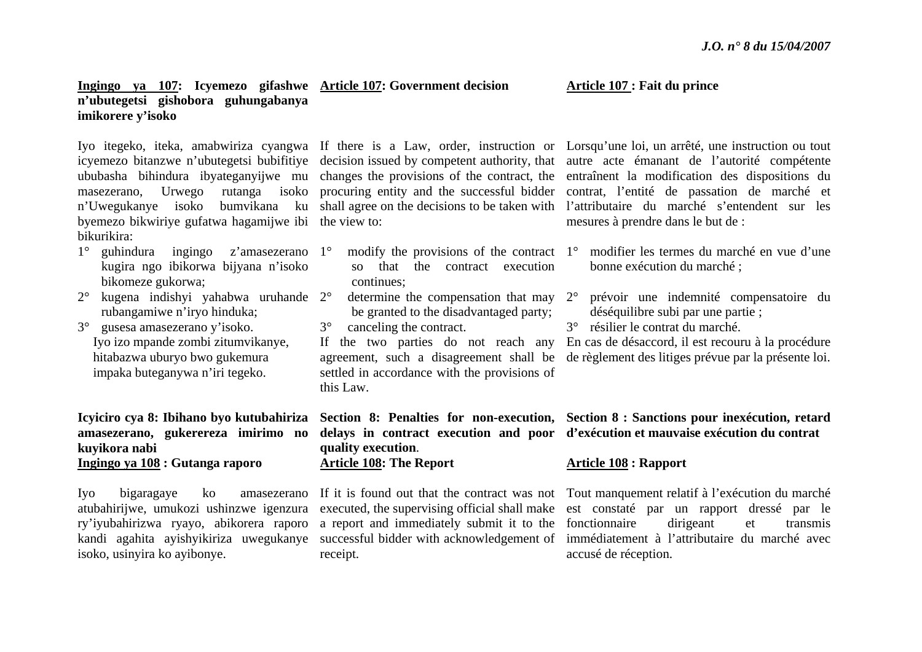### **Ingingo ya 107: Icyemezo gifashwe Article 107: Government decision <sup>n</sup>'ubutegetsi gishobora guhungabanya imikorere y'isoko**

ububasha bihindura ibyateganyijwe mu changes the provisions of the contract, the byemezo bikwiriye gufatwa hagamijwe ibi the view to: bikurikira:

- 1° guhindura ingingo z'amasezerano 1°kugira ngo ibikorwa bijyana n'isoko bikomeze gukorwa;
- 2° kugena indishyi yahabwa uruhande 2°rubangamiwe n'iryo hinduka;
- 3° gusesa amasezerano y'isoko. Iyo izo mpande zombi zitumvikanye, hitabazwa uburyo bwo gukemura impaka buteganywa n'iri tegeko.

### **Icyiciro cya 8: Ibihano byo kutubahiriza amasezerano, gukerereza imirimo no kuyikora nabi Ingingo ya 108 : Gutanga raporo**

isoko, usinyira ko ayibonye.

- $\degree$  modify the provisions of the contract 1 $\degree$ so that the contract execution continues;
- $\degree$  determine the compensation that may 2 $\degree$ be granted to the disadvantaged party;
- 3° canceling the contract.

If the two parties do not reach any agreement, such a disagreement shall be settled in accordance with the provisions of this Law.

**quality execution**. **Article 108: The Report**

atubahirijwe, umukozi ushinzwe igenzura executed, the supervising official shall make ry'iyubahirizwa ryayo, abikorera raporo a report and immediately submit it to the receipt.

Iyo itegeko, iteka, amabwiriza cyangwa If there is a Law, order, instruction or Lorsqu'une loi, un arrêté, une instruction ou tout icyemezo bitanzwe n'ubutegetsi bubifitiye decision issued by competent authority, that autre acte émanant de l'autorité compétente masezerano, Urwego rutanga isoko procuring entity and the successful bidder contrat, l'entité de passation de marché et <sup>n</sup>'Uwegukanye isoko bumvikana ku shall agree on the decisions to be taken with l'attributaire du marché s'entendent sur les entraînent la modification des dispositions du mesures à prendre dans le but de :

- modifier les termes du marché en vue d'une bonne exécution du marché ;
- prévoir une indemnité compensatoire du déséquilibre subi par une partie ;
- 3° résilier le contrat du marché.

**Article 107 : Fait du prince** 

En cas de désaccord, il est recouru à la procédure de règlement des litiges prévue par la présente loi.

### **Section 8: Penalties for non-execution, Section 8 : Sanctions pour inexécution, retard delays in contract execution and poor d'exécution et mauvaise exécution du contrat**

### **Article 108 : Rapport**

Iyo bigaragaye ko amasezerano If it is found out that the contract was not Tout manquement relatif à l'exécution du marché kandi agahita ayishyikiriza uwegukanye successful bidder with acknowledgement of immédiatement à l'attributaire du marché avec est constaté par un rapport dressé par le fonctionnaire dirigeant et transmis accusé de réception.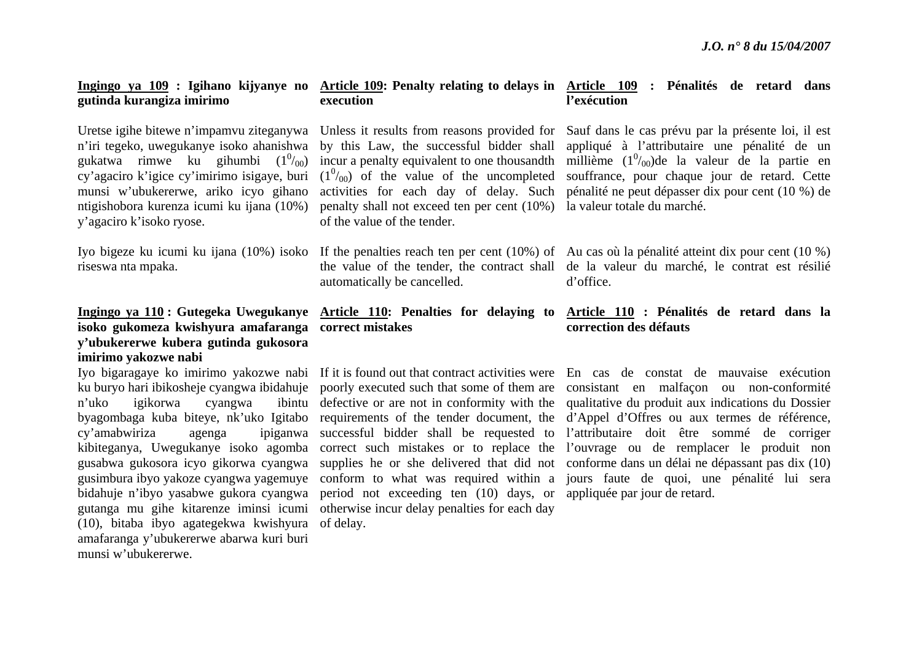## **gutinda kurangiza imirimo**

Uretse igihe bitewe n'impamvu ziteganywa <sup>n</sup>'iri tegeko, uwegukanye isoko ahanishwa gukatwa rimwe ku gihumbi  $(1^0/00)$ cy'agaciro k'igice cy'imirimo isigaye, buri munsi w'ubukererwe, ariko icyo gihano y'agaciro k'isoko ryose.

riseswa nta mpaka.

### **isoko gukomeza kwishyura amafaranga correct mistakes y'ubukererwe kubera gutinda gukosora imirimo yakozwe nabi**

n'uko igikorwa cyangwa cy'amabwiriza agenga (10), bitaba ibyo agategekwa kwishyura of delay. amafaranga y'ubukererwe abarwa kuri buri munsi w'ubukererwe.

# **execution**

ntigishobora kurenza icumi ku ijana (10%) penalty shall not exceed ten per cent (10%) la valeur totale du marché. of the value of the tender.

automatically be cancelled.

bidahuje n'ibyo yasabwe gukora cyangwa period not exceeding ten (10) days, or appliquée par jour de retard. gutanga mu gihe kitarenze iminsi icumi otherwise incur delay penalties for each day

### **Ingingo ya 109 : Igihano kijyanye no Article 109: Penalty relating to delays in Article 109 : Pénalités de retard dans l'exécution**

Unless it results from reasons provided for Sauf dans le cas prévu par la présente loi, il est by this Law, the successful bidder shall appliqué à l'attributaire une pénalité de un incur a penalty equivalent to one thousandth millième  $(1^0/_{00})$ de la valeur de la partie en  $(1<sup>0</sup>/_{00})$  of the value of the uncompleted souffrance, pour chaque jour de retard. Cette activities for each day of delay. Such pénalité ne peut dépasser dix pour cent (10 %) de

Iyo bigeze ku icumi ku ijana (10%) isoko If the penalties reach ten per cent (10%) of Au cas où la pénalité atteint dix pour cent (10 %) the value of the tender, the contract shall de la valeur du marché, le contrat est résilié d'office.

#### **Ingingo ya 110 : Gutegeka Uwegukanye Article 110: Penalties for delaying to Article 110 : Pénalités de retard dans la correction des défauts**

Iyo bigaragaye ko imirimo yakozwe nabi If it is found out that contract activities were En cas de constat de mauvaise exécution ku buryo hari ibikosheje cyangwa ibidahuje poorly executed such that some of them are consistant en malfaçon ou non-conformité byagombaga kuba biteye, nk'uko Igitabo requirements of the tender document, the d'Appel d'Offres ou aux termes de référence, kibiteganya, Uwegukanye isoko agomba correct such mistakes or to replace the l'ouvrage ou de remplacer le produit non gusabwa gukosora icyo gikorwa cyangwa supplies he or she delivered that did not conforme dans un délai ne dépassant pas dix (10) gusimbura ibyo yakoze cyangwa yagemuye conform to what was required within a jours faute de quoi, une pénalité lui sera defective or are not in conformity with the qualitative du produit aux indications du Dossier successful bidder shall be requested to l'attributaire doit être sommé de corriger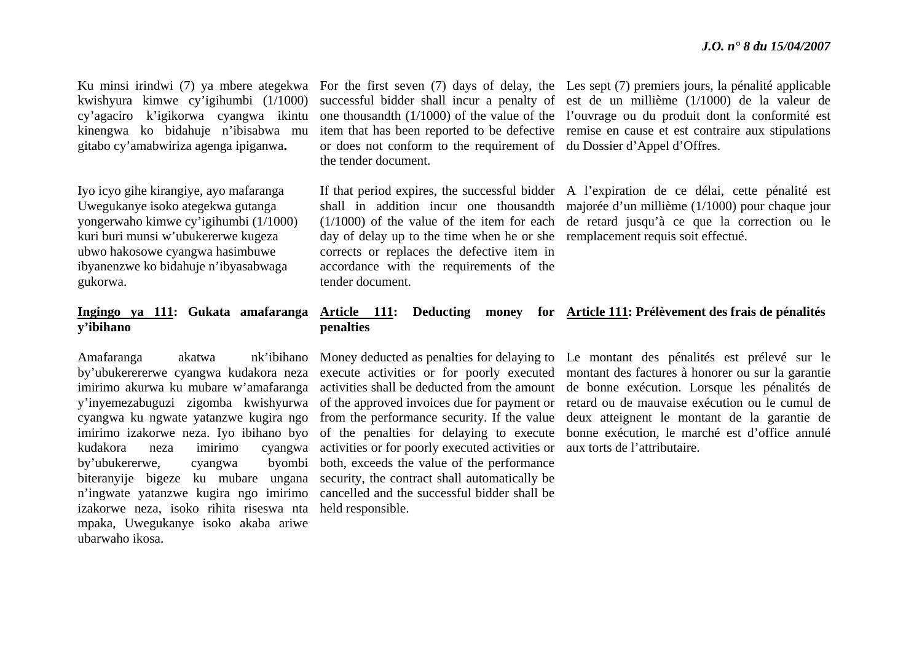kwishyura kimwe cy'igihumbi (1/1000) cy'agaciro k'igikorwa cyangwa ikintu kinengwa ko bidahuje n'ibisabwa mu gitabo cy'amabwiriza agenga ipiganwa**.** 

Iyo icyo gihe kirangiye, ayo mafaranga Uwegukanye isoko ategekwa gutanga yongerwaho kimwe cy'igihumbi (1/1000) kuri buri munsi w'ubukererwe kugeza ubwo hakosowe cyangwa hasimbuwe ibyanenzwe ko bidahuje n'ibyasabwaga gukorwa.

## **y'ibihano**

Amafaranga akatwa nk'ibihano imirimo akurwa ku mubare w'amafaranga by'ubukererwe, cyangwa byombi izakorwe neza, isoko rihita riseswa nta held responsible. mpaka, Uwegukanye isoko akaba ariwe ubarwaho ikosa.

or does not conform to the requirement of du Dossier d'Appel d'Offres. the tender document.

day of delay up to the time when he or she remplacement requis soit effectué. corrects or replaces the defective item in accordance with the requirements of the tender document.

Ku minsi irindwi (7) ya mbere ategekwa For the first seven (7) days of delay, the Les sept (7) premiers jours, la pénalité applicable successful bidder shall incur a penalty of est de un millième (1/1000) de la valeur de one thousandth (1/1000) of the value of the l'ouvrage ou du produit dont la conformité est item that has been reported to be defective remise en cause et est contraire aux stipulations

> If that period expires, the successful bidder A l'expiration de ce délai, cette pénalité est shall in addition incur one thousandth majorée d'un millième (1/1000) pour chaque jour (1/1000) of the value of the item for each de retard jusqu'à ce que la correction ou le

### **Ingingo ya 111: Gukata amafaranga Article 111: Deducting money for Article 111: Prélèvement des frais de pénalités penalties**

y'inyemezabuguzi zigomba kwishyurwa of the approved invoices due for payment or cyangwa ku ngwate yatanzwe kugira ngo from the performance security. If the value imirimo izakorwe neza. Iyo ibihano byo of the penalties for delaying to execute kudakora neza imirimo cyangwa activities or for poorly executed activities or aux torts de l'attributaire. biteranyije bigeze ku mubare ungana security, the contract shall automatically be <sup>n</sup>'ingwate yatanzwe kugira ngo imirimo cancelled and the successful bidder shall be activities shall be deducted from the amount both, exceeds the value of the performance

by'ubukerererwe cyangwa kudakora neza execute activities or for poorly executed montant des factures à honorer ou sur la garantie Money deducted as penalties for delaying to Le montant des pénalités est prélevé sur le de bonne exécution. Lorsque les pénalités de retard ou de mauvaise exécution ou le cumul de deux atteignent le montant de la garantie de bonne exécution, le marché est d'office annulé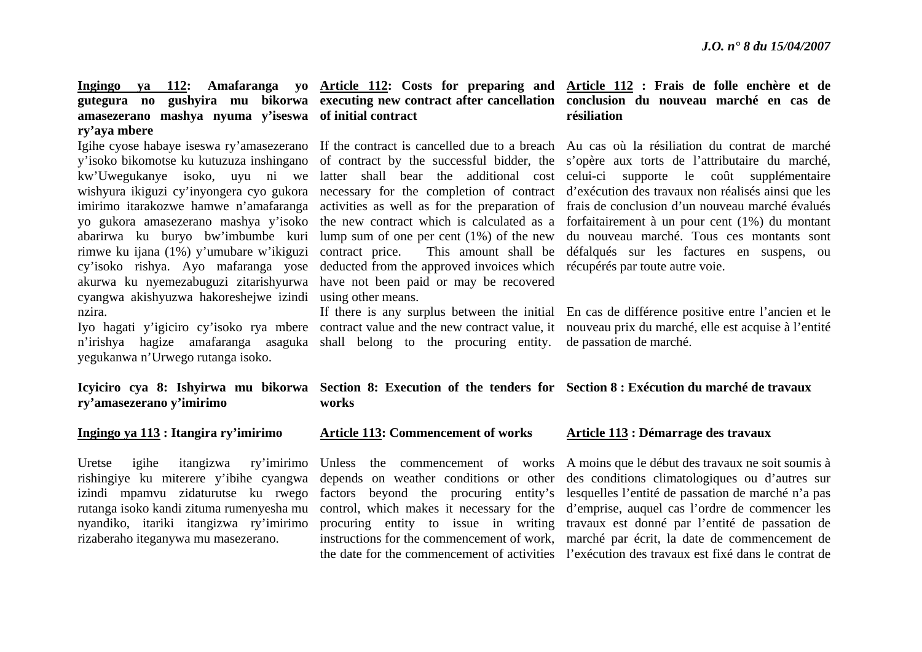# **amasezerano mashya nyuma y'iseswa of initial contract ry'aya mbere**

rimwe ku ijana (1%) y'umubare w'ikiguzi cyangwa akishyuzwa hakoreshejwe izindi using other means. nzira.

yegukanwa n'Urwego rutanga isoko.

cy'isoko rishya. Ayo mafaranga yose deducted from the approved invoices which récupérés par toute autre voie. akurwa ku nyemezabuguzi zitarishyurwa have not been paid or may be recovered

<sup>n</sup>'irishya hagize amafaranga asaguka shall belong to the procuring entity. de passation de marché.

#### **Ingingo ya 112: Amafaranga yo Article 112: Costs for preparing and Article 112 : Frais de folle enchère et de gutegura no gushyira mu bikorwa executing new contract after cancellation conclusion du nouveau marché en cas de résiliation**

Igihe cyose habaye iseswa ry'amasezerano If the contract is cancelled due to a breach Au cas où la résiliation du contrat de marché y'isoko bikomotse ku kutuzuza inshingano of contract by the successful bidder, the <sup>s</sup>'opère aux torts de l'attributaire du marché, kw'Uwegukanye isoko, uyu ni we latter shall bear the additional cost celui-ci supporte le coût supplémentaire wishyura ikiguzi cy'inyongera cyo gukora necessary for the completion of contract d'exécution des travaux non réalisés ainsi que les imirimo itarakozwe hamwe n'amafaranga activities as well as for the preparation of frais de conclusion d'un nouveau marché évalués yo gukora amasezerano mashya y'isoko the new contract which is calculated as a forfaitairement à un pour cent (1%) du montant abarirwa ku buryo bw'imbumbe kuri lump sum of one per cent (1%) of the new du nouveau marché. Tous ces montants sont contract price. This amount shall be défalqués sur les factures en suspens, ou

Iyo hagati y'igiciro cy'isoko rya mbere contract value and the new contract value, it nouveau prix du marché, elle est acquise à l'entité If there is any surplus between the initial En cas de différence positive entre l'ancien et le

#### **Icyiciro cya 8: Ishyirwa mu bikorwa Section 8: Execution of the tenders for Section 8 : Exécution du marché de travaux works**

#### **Ingingo ya 113 : Itangira ry'imirimo**

**ry'amasezerano y'imirimo**

izindi mpamvu zidaturutse ku rwego rutanga isoko kandi zituma rumenyesha mu nyandiko, itariki itangizwa ry'imirimo rizaberaho iteganywa mu masezerano.

#### **Article 113: Commencement of works**

#### **Article 113 : Démarrage des travaux**

Uretse igihe itangizwa ry'imirimo Unless the commencement of works A moins que le début des travaux ne soit soumis à rishingiye ku miterere y'ibihe cyangwa depends on weather conditions or other des conditions climatologiques ou d'autres sur factors beyond the procuring entity's lesquelles l'entité de passation de marché n'a pas control, which makes it necessary for the d'emprise, auquel cas l'ordre de commencer les procuring entity to issue in writing travaux est donné par l'entité de passation de instructions for the commencement of work, marché par écrit, la date de commencement de the date for the commencement of activities l'exécution des travaux est fixé dans le contrat de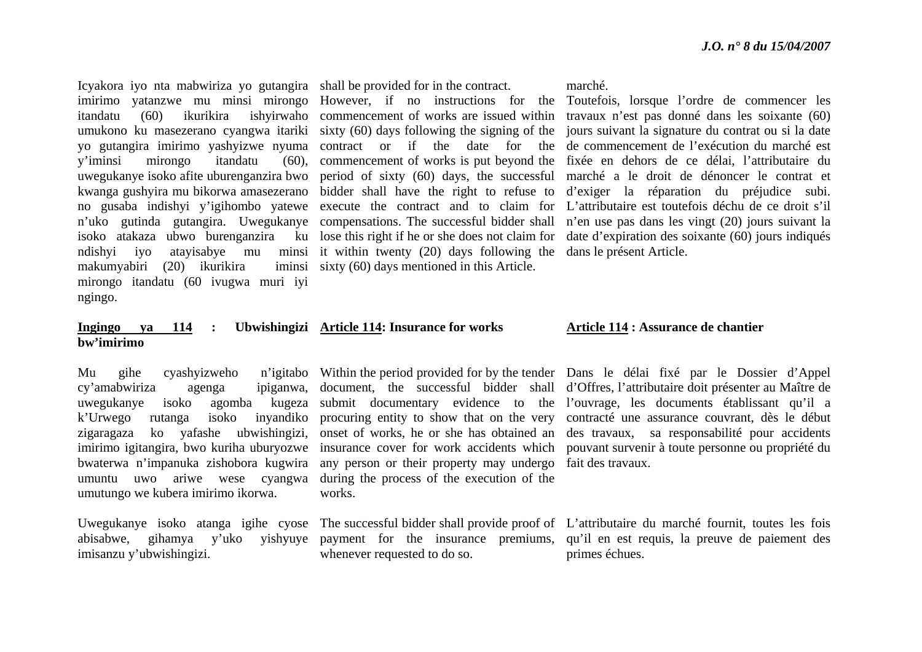Icyakora iyo nta mabwiriza yo gutangira shall be provided for in the contract. y'iminsi mirongo itandatu (60), isoko atakaza ubwo burenganzira ku ndishyi iyo atayisabye mu minsi it within twenty (20) days following the dans le présent Article. makumyabiri (20) ikurikira mirongo itandatu (60 ivugwa muri iyi ngingo.

iminsi sixty (60) days mentioned in this Article.

#### marché.

imirimo yatanzwe mu minsi mirongo However, if no instructions for the Toutefois, lorsque l'ordre de commencer les itandatu (60) ikurikira ishyirwaho commencement of works are issued within travaux n'est pas donné dans les soixante (60) umukono ku masezerano cyangwa itariki sixty (60) days following the signing of the jours suivant la signature du contrat ou si la date yo gutangira imirimo yashyizwe nyuma contract or if the date for the de commencement de l'exécution du marché est uwegukanye isoko afite uburenganzira bwo period of sixty (60) days, the successful marché a le droit de dénoncer le contrat et kwanga gushyira mu bikorwa amasezerano bidder shall have the right to refuse to d'exiger la réparation du préjudice subi. no gusaba indishyi y'igihombo yatewe execute the contract and to claim for L'attributaire est toutefois déchu de ce droit s'il <sup>n</sup>'uko gutinda gutangira. Uwegukanye compensations. The successful bidder shall <sup>n</sup>'en use pas dans les vingt (20) jours suivant la commencement of works is put beyond the fixée en dehors de ce délai, l'attributaire du lose this right if he or she does not claim for date d'expiration des soixante (60) jours indiqués

#### **Ingingo ya 114 : Ubwishingizi Article 114: Insurance for works bw'imirimo**

cy'amabwiriza agenga ipiganwa, k'Urwego rutanga isoko inyandiko zigaragaza ko yafashe ubwishingizi, imirimo igitangira, bwo kuriha uburyozwe bwaterwa n'impanuka zishobora kugwira umutungo we kubera imirimo ikorwa.

imisanzu y'ubwishingizi.

umuntu uwo ariwe wese cyangwa during the process of the execution of the any person or their property may undergo fait des travaux. works.

whenever requested to do so.

#### **Article 114 : Assurance de chantier**

Mu gihe cyashyizweho n'igitabo Within the period provided for by the tender Dans le délai fixé par le Dossier d'Appel uwegukanye isoko agomba kugeza submit documentary evidence to the l'ouvrage, les documents établissant qu'il a document, the successful bidder shall d'Offres, l'attributaire doit présenter au Maître de procuring entity to show that on the very contracté une assurance couvrant, dès le début onset of works, he or she has obtained an des travaux, sa responsabilité pour accidents insurance cover for work accidents which pouvant survenir à toute personne ou propriété du

Uwegukanye isoko atanga igihe cyose The successful bidder shall provide proof of L'attributaire du marché fournit, toutes les fois abisabwe, gihamya y'uko yishyuye payment for the insurance premiums, qu'il en est requis, la preuve de paiement des primes échues.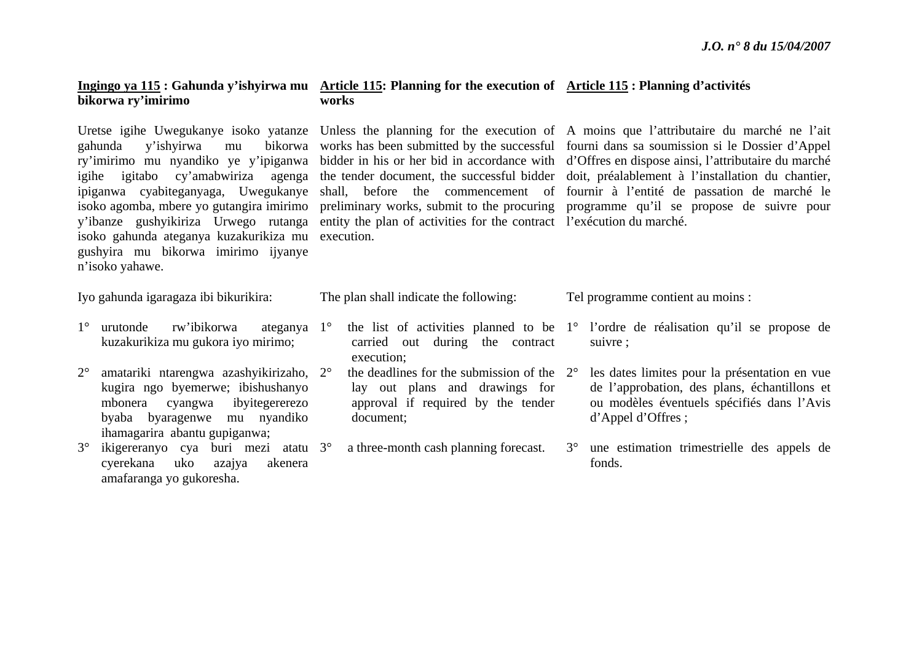## **bikorwa ry'imirimo**

gahunda y'ishyirwa mu igihe igitabo cy'amabwiriza agenga isoko gahunda ateganya kuzakurikiza mu execution. gushyira mu bikorwa imirimo ijyanye <sup>n</sup>'isoko yahawe.

#### **Ingingo ya 115 : Gahunda y'ishyirwa mu Article 115: Planning for the execution of Article 115 : Planning d'activités works**

y'ibanze gushyikiriza Urwego rutanga entity the plan of activities for the contract l'exécution du marché.

Uretse igihe Uwegukanye isoko yatanze Unless the planning for the execution of A moins que l'attributaire du marché ne l'ait ry'imirimo mu nyandiko ye y'ipiganwa bidder in his or her bid in accordance with d'Offres en dispose ainsi, l'attributaire du marché ipiganwa cyabiteganyaga, Uwegukanye shall, before the commencement of fournir à l'entité de passation de marché le isoko agomba, mbere yo gutangira imirimo preliminary works, submit to the procuring programme qu'il se propose de suivre pour works has been submitted by the successful fourni dans sa soumission si le Dossier d'Appel the tender document, the successful bidder doit, préalablement à l'installation du chantier,

Iyo gahunda igaragaza ibi bikurikira:

- 1° urutonde rw'ibikorwa kuzakurikiza mu gukora iyo mirimo; ateganya 1°
- $2^{\circ}$  amatariki ntarengwa azashyikirizaho, 2°kugira ngo byemerwe; ibishushanyo mbonera cyangwa ibyitegererezo byaba byaragenwe mu nyandiko ihamagarira abantu gupiganwa;
- 3° ikigereranyo cya buri mezi atatu 3°cyerekana uko azajya akenera amafaranga yo gukoresha.

carried out during the contract execution;

The plan shall indicate the following:

- $\degree$  the deadlines for the submission of the  $2^{\circ}$ lay out plans and drawings for approval if required by the tender document;
	- a three-month cash planning forecast.

 the list of activities planned to be 1° l'ordre de réalisation qu'il se propose de suivre ;

Tel programme contient au moins :

- les dates limites pour la présentation en vue de l'approbation, des plans, échantillons et ou modèles éventuels spécifiés dans l'Avis d'Appel d'Offres ;
- 3° une estimation trimestrielle des appels de fonds.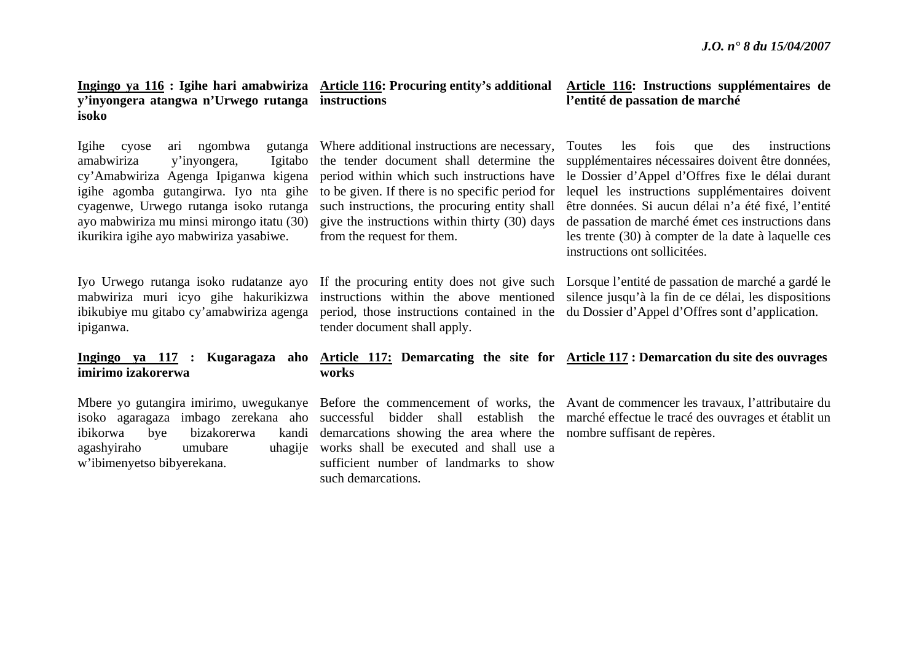**Ingingo ya 116 : Igihe hari amabwiriza Article 116: Procuring entity's additional y'inyongera atangwa n'Urwego rutanga instructions isoko** 

Igihe cyose ari ngombwa gutanga amabwiriza y'inyongera, Igitabo cy'Amabwiriza Agenga Ipiganwa kigena igihe agomba gutangirwa. Iyo nta gihe cyagenwe, Urwego rutanga isoko rutanga ayo mabwiriza mu minsi mirongo itatu (30) ikurikira igihe ayo mabwiriza yasabiwe.

mabwiriza muri icyo gihe hakurikizwa ipiganwa.

# **imirimo izakorerwa**

ibikorwa bye bizakorerwa agashyiraho umubare <sup>w</sup>'ibimenyetso bibyerekana.

Where additional instructions are necessary, the tender document shall determine the period within which such instructions have to be given. If there is no specific period for such instructions, the procuring entity shall give the instructions within thirty (30) days from the request for them.

tender document shall apply.

### **Article 116: Instructions supplémentaires de l'entité de passation de marché**

Toutes les fois que des instructions supplémentaires nécessaires doivent être données, le Dossier d'Appel d'Offres fixe le délai durant lequel les instructions supplémentaires doivent être données. Si aucun délai n'a été fixé, l'entité de passation de marché émet ces instructions dans les trente (30) à compter de la date à laquelle ces instructions ont sollicitées.

Iyo Urwego rutanga isoko rudatanze ayo If the procuring entity does not give such Lorsque l'entité de passation de marché a gardé le ibikubiye mu gitabo cy'amabwiriza agenga period, those instructions contained in the du Dossier d'Appel d'Offres sont d'application. instructions within the above mentioned silence jusqu'à la fin de ce délai, les dispositions

#### **Ingingo ya 117 : Kugaragaza aho Article 117: Demarcating the site for Article 117 : Demarcation du site des ouvrages works**

demarcations showing the area where the nombre suffisant de repères. works shall be executed and shall use a sufficient number of landmarks to show such demarcations.

Mbere yo gutangira imirimo, uwegukanye Before the commencement of works, the Avant de commencer les travaux, l'attributaire du isoko agaragaza imbago zerekana aho successful bidder shall establish the marché effectue le tracé des ouvrages et établit un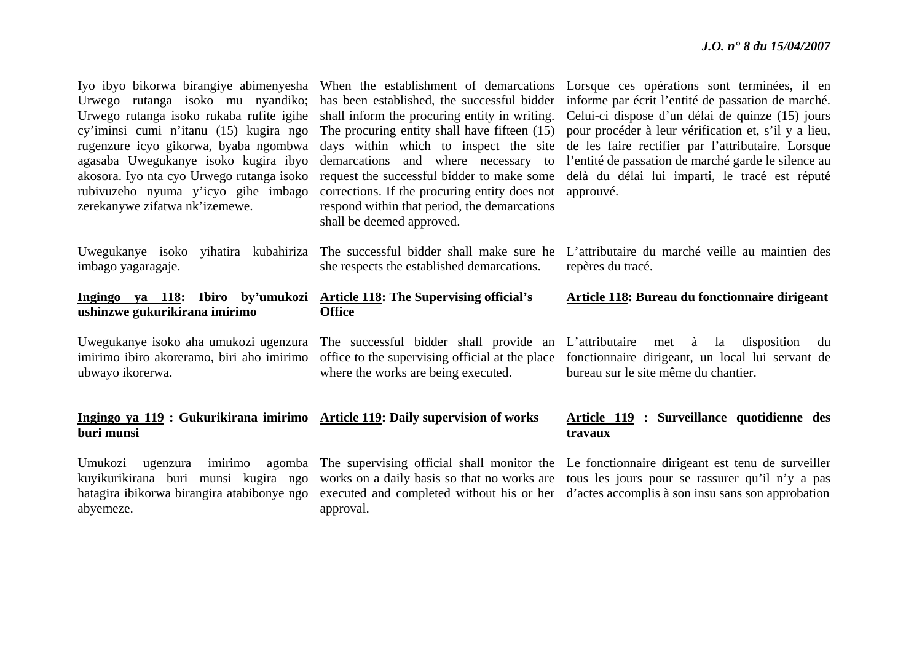| Urwego rutanga isoko mu nyandiko;<br>Urwego rutanga isoko rukaba rufite igihe<br>cy'iminsi cumi n'itanu (15) kugira ngo<br>rugenzure icyo gikorwa, byaba ngombwa<br>agasaba Uwegukanye isoko kugira ibyo<br>akosora. Iyo nta cyo Urwego rutanga isoko<br>rubivuzeho nyuma y'icyo gihe imbago<br>zerekanywe zifatwa nk'izemewe. | has been established, the successful bidder<br>shall inform the procuring entity in writing.<br>The procuring entity shall have fifteen (15)<br>days within which to inspect the site<br>demarcations and where necessary to<br>request the successful bidder to make some<br>corrections. If the procuring entity does not<br>respond within that period, the demarcations<br>shall be deemed approved. | Iyo ibyo bikorwa birangiye abimenyesha When the establishment of demarcations Lorsque ces opérations sont terminées, il en<br>informe par écrit l'entité de passation de marché.<br>Celui-ci dispose d'un délai de quinze (15) jours<br>pour procéder à leur vérification et, s'il y a lieu,<br>de les faire rectifier par l'attributaire. Lorsque<br>l'entité de passation de marché garde le silence au<br>delà du délai lui imparti, le tracé est réputé<br>approuvé. |
|--------------------------------------------------------------------------------------------------------------------------------------------------------------------------------------------------------------------------------------------------------------------------------------------------------------------------------|----------------------------------------------------------------------------------------------------------------------------------------------------------------------------------------------------------------------------------------------------------------------------------------------------------------------------------------------------------------------------------------------------------|--------------------------------------------------------------------------------------------------------------------------------------------------------------------------------------------------------------------------------------------------------------------------------------------------------------------------------------------------------------------------------------------------------------------------------------------------------------------------|
| Uwegukanye isoko yihatira kubahiriza<br>imbago yagaragaje.                                                                                                                                                                                                                                                                     | The successful bidder shall make sure he<br>she respects the established demarcations.                                                                                                                                                                                                                                                                                                                   | L'attributaire du marché veille au maintien des<br>repères du tracé.                                                                                                                                                                                                                                                                                                                                                                                                     |
| Ingingo ya 118: Ibiro by'umukozi<br>ushinzwe gukurikirana imirimo                                                                                                                                                                                                                                                              | <b>Article 118: The Supervising official's</b><br><b>Office</b>                                                                                                                                                                                                                                                                                                                                          | <b>Article 118: Bureau du fonctionnaire dirigeant</b>                                                                                                                                                                                                                                                                                                                                                                                                                    |
| Uwegukanye isoko aha umukozi ugenzura<br>imirimo ibiro akoreramo, biri aho imirimo<br>ubwayo ikorerwa.                                                                                                                                                                                                                         | The successful bidder shall provide an L'attributaire<br>office to the supervising official at the place<br>where the works are being executed.                                                                                                                                                                                                                                                          | met à la disposition<br>du<br>fonctionnaire dirigeant, un local lui servant de<br>bureau sur le site même du chantier.                                                                                                                                                                                                                                                                                                                                                   |
| Ingingo ya 119 : Gukurikirana imirimo Article 119: Daily supervision of works<br>buri munsi                                                                                                                                                                                                                                    |                                                                                                                                                                                                                                                                                                                                                                                                          | Article 119 : Surveillance quotidienne des<br>travaux                                                                                                                                                                                                                                                                                                                                                                                                                    |
| imirimo<br>Umukozi<br>ugenzura<br>agomba<br>kuyikurikirana buri munsi kugira ngo<br>hatagira ibikorwa birangira atabibonye ngo                                                                                                                                                                                                 |                                                                                                                                                                                                                                                                                                                                                                                                          | The supervising official shall monitor the Le fonctionnaire dirigeant est tenu de surveiller<br>works on a daily basis so that no works are tous les jours pour se rassurer qu'il n'y a pas<br>executed and completed without his or her d'actes accomplis à son insu sans son approbation                                                                                                                                                                               |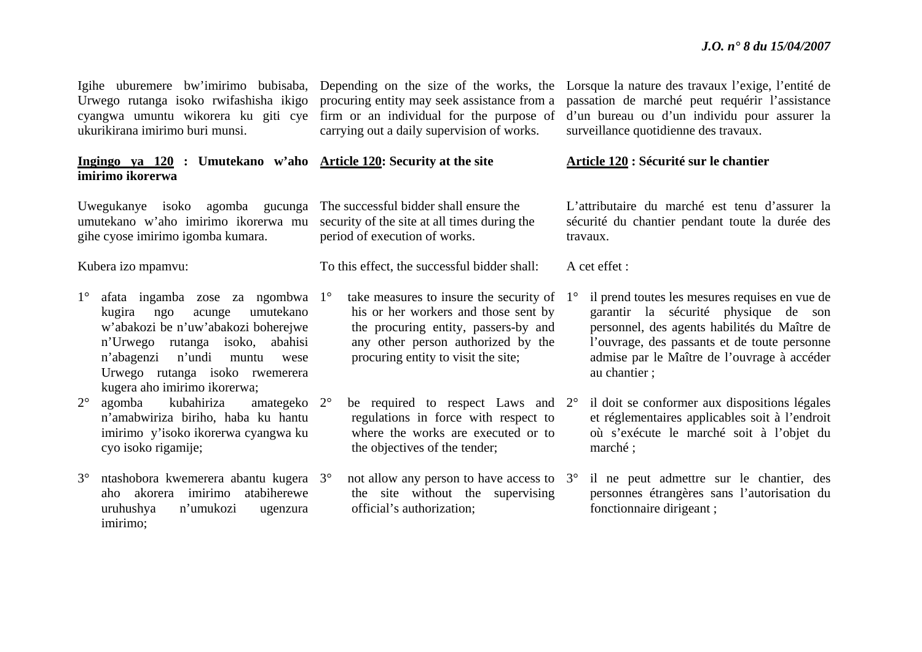ukurikirana imirimo buri munsi.

#### **Ingingo ya 120 : Umutekano w'aho Article 120: Security at the site imirimo ikorerwa**

Uwegukanye isoko agomba gucunga The successful bidder shall ensure the umutekano w'aho imirimo ikorerwa mu gihe cyose imirimo igomba kumara.

Kubera izo mpamvu:

- 1° afata ingamba zose za ngombwa 1°kugira ngo acunge umutekano <sup>w</sup>'abakozi be n'uw'abakozi boherejwe <sup>n</sup>'Urwego rutanga isoko, abahisi <sup>n</sup>'abagenzi n'undi muntu wese Urwego rutanga isoko rwemerera kugera aho imirimo ikorerwa;
- $2^{\circ}$  agomba kubahiriza amategeko 2°<sup>n</sup>'amabwiriza biriho, haba ku hantu imirimo y'isoko ikorerwa cyangwa ku cyo isoko rigamije;
- 3° ntashobora kwemerera abantu kugera 3°aho akorera imirimo atabiherewe uruhushya n'umukozi ugenzura imirimo;

Urwego rutanga isoko rwifashisha ikigo procuring entity may seek assistance from a cyangwa umuntu wikorera ku giti cye firm or an individual for the purpose of carrying out a daily supervision of works.

security of the site at all times during the period of execution of works.

To this effect, the successful bidder shall:

- $\degree$  take measures to insure the security of 1<sup>o</sup> his or her workers and those sent by the procuring entity, passers-by and any other person authorized by the procuring entity to visit the site;
- <sup>o</sup> be required to respect Laws and 2<sup>o</sup> regulations in force with respect to where the works are executed or to the objectives of the tender;
- <sup>o</sup> not allow any person to have access to 3<sup>o</sup> the site without the supervising official's authorization;

Igihe uburemere bw'imirimo bubisaba, Depending on the size of the works, the Lorsque la nature des travaux l'exige, l'entité de passation de marché peut requérir l'assistance d'un bureau ou d'un individu pour assurer la surveillance quotidienne des travaux.

#### **Article 120 : Sécurité sur le chantier**

L'attributaire du marché est tenu d'assurer la sécurité du chantier pendant toute la durée des travaux.

A cet effet :

- il prend toutes les mesures requises en vue de garantir la sécurité physique de son personnel, des agents habilités du Maître de l'ouvrage, des passants et de toute personne admise par le Maître de l'ouvrage à accéder au chantier ;
- il doit se conformer aux dispositions légales et réglementaires applicables soit à l'endroit où s'exécute le marché soit à l'objet du marché ;
- il ne peut admettre sur le chantier, des personnes étrangères sans l'autorisation du fonctionnaire dirigeant ;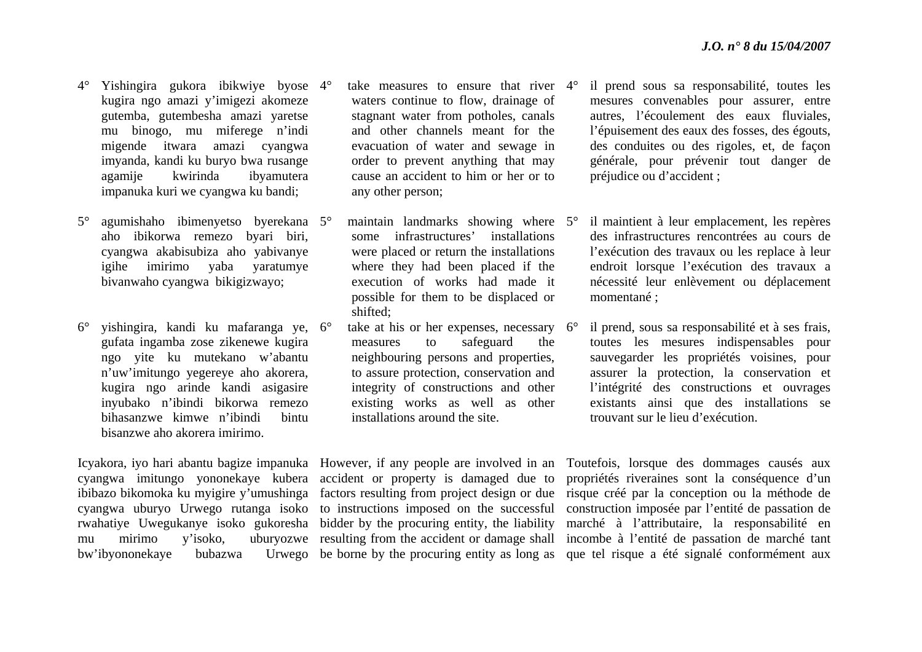- 4° Yishingira gukora ibikwiye byose 4°kugira ngo amazi y'imigezi akomeze gutemba, gutembesha amazi yaretse mu binogo, mu miferege n'indi migende itwara amazi cyangwa imyanda, kandi ku buryo bwa rusange agamije kwirinda ibyamutera impanuka kuri we cyangwa ku bandi;
- $5^\circ$  agumishaho ibimenyetso byerekana 5°aho ibikorwa remezo byari biri, cyangwa akabisubiza aho yabivanye igihe imirimo yaba yaratumye bivanwaho cyangwa bikigizwayo;
- $6^{\circ}$ ° yishingira, kandi ku mafaranga ye, 6° gufata ingamba zose zikenewe kugira ngo yite ku mutekano w'abantu <sup>n</sup>'uw'imitungo yegereye aho akorera, kugira ngo arinde kandi asigasire inyubako n'ibindi bikorwa remezo bihasanzwe kimwe n'ibindi bintu bisanzwe aho akorera imirimo.

- <sup>o</sup> take measures to ensure that river 4<sup>o</sup> waters continue to flow, drainage of stagnant water from potholes, canals and other channels meant for the evacuation of water and sewage in order to prevent anything that may cause an accident to him or her or to any other person;
- <sup>o</sup> maintain landmarks showing where 5<sup>o</sup> some infrastructures' installations were placed or return the installations where they had been placed if the execution of works had made it possible for them to be displaced or shifted;
- $\degree$  take at his or her expenses, necessary 6 $\degree$ measures to safeguard the neighbouring persons and properties, to assure protection, conservation and integrity of constructions and other existing works as well as other installations around the site.

cyangwa imitungo yononekaye kubera accident or property is damaged due to ibibazo bikomoka ku myigire y'umushinga factors resulting from project design or due rwahatiye Uwegukanye isoko gukoresha bidder by the procuring entity, the liability

- il prend sous sa responsabilité, toutes les mesures convenables pour assurer, entre autres, l'écoulement des eaux fluviales, l'épuisement des eaux des fosses, des égouts, des conduites ou des rigoles, et, de façon générale, pour prévenir tout danger de préjudice ou d'accident ;
- il maintient à leur emplacement, les repères des infrastructures rencontrées au cours de l'exécution des travaux ou les replace à leur endroit lorsque l'exécution des travaux a nécessité leur enlèvement ou déplacement momentané ;
- il prend, sous sa responsabilité et à ses frais, toutes les mesures indispensables pour sauvegarder les propriétés voisines, pour assurer la protection, la conservation et l'intégrité des constructions et ouvrages existants ainsi que des installations se trouvant sur le lieu d'exécution.

Icyakora, iyo hari abantu bagize impanuka However, if any people are involved in an Toutefois, lorsque des dommages causés aux cyangwa uburyo Urwego rutanga isoko to instructions imposed on the successful construction imposée par l'entité de passation de mu mirimo y'isoko, uburyozwe resulting from the accident or damage shall incombe à l'entité de passation de marché tant bw'ibyononekaye bubazwa Urwego be borne by the procuring entity as long as que tel risque a été signalé conformément aux propriétés riveraines sont la conséquence d'un risque créé par la conception ou la méthode de marché à l'attributaire, la responsabilité en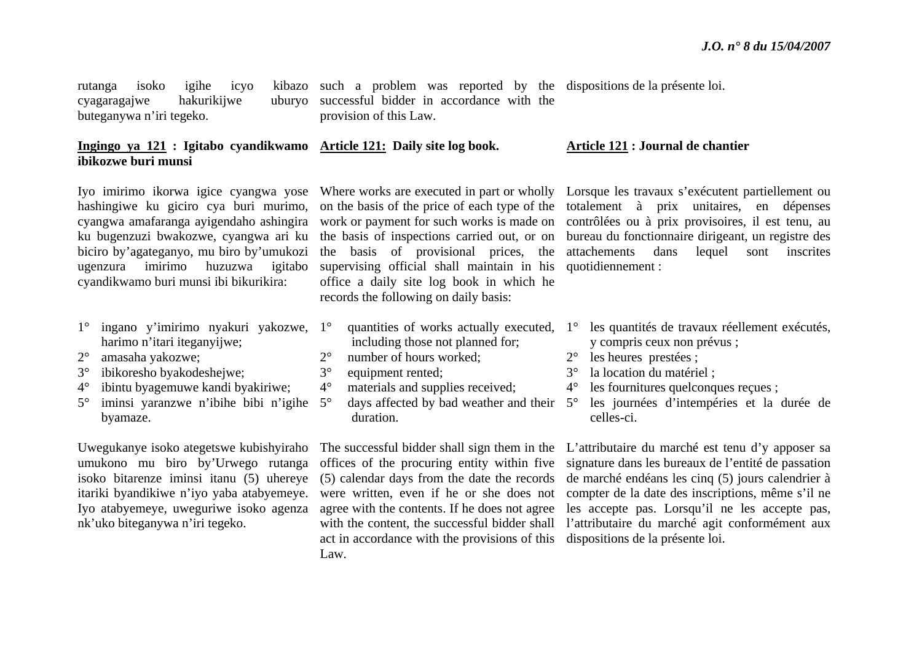rutanga isoko igihe icyo cyagaragajwe hakurikijwe buteganywa n'iri tegeko.

such a problem was reported by the dispositions de la présente loi. successful bidder in accordance with the provision of this Law.

#### **Ingingo ya 121 : Igitabo cyandikwamo Article 121: Daily site log book. ibikozwe buri munsi Article 121 : Journal de chantier**

Iyo imirimo ikorwa igice cyangwa yose hashingiwe ku giciro cya buri murimo, cyangwa amafaranga ayigendaho ashingira ku bugenzuzi bwakozwe, cyangwa ari ku biciro by'agateganyo, mu biro by'umukozi ugenzura imirimo huzuzwa igitabo cyandikwamo buri munsi ibi bikurikira:

- 1° ingano y'imirimo nyakuri yakozwe, 1°harimo n'itari iteganyijwe;
- $2^{\circ}$ amasaha yakozwe;
- $3^\circ$ ibikoresho byakodeshejwe;
- $4^{\circ}$ ibintu byagemuwe kandi byakiriwe;
- $5^\circ$  $\degree$  iminsi yaranzwe n'ibihe bibi n'igihe 5 $\degree$ byamaze.

umukono mu biro by'Urwego rutanga isoko bitarenze iminsi itanu (5) uhereye itariki byandikiwe n'iyo yaba atabyemeye. Iyo atabyemeye, uweguriwe isoko agenza nk'uko biteganywa n'iri tegeko.

supervising official shall maintain in his quotidiennement : office a daily site log book in which he records the following on daily basis:

- $\degree$  quantities of works actually executed, 1 $\degree$ including those not planned for;
- $2^{\circ}$ number of hours worked;
- 3°equipment rented:
- 4°materials and supplies received;
- $\degree$  days affected by bad weather and their  $5^\circ$ duration.

act in accordance with the provisions of this dispositions de la présente loi. Law.

Where works are executed in part or wholly Lorsque les travaux s'exécutent partiellement ou on the basis of the price of each type of the totalement à prix unitaires, en dépenses work or payment for such works is made on contrôlées ou à prix provisoires, il est tenu, au the basis of inspections carried out, or on bureau du fonctionnaire dirigeant, un registre des the basis of provisional prices, the attachements dans lequel sont inscrites

- les quantités de travaux réellement exécutés, y compris ceux non prévus ;
- 2° les heures prestées ;
- 3°la location du matériel ;
- $4^{\circ}$ les fournitures quelconques recues :
- les journées d'intempéries et la durée de celles-ci.

Uwegukanye isoko ategetswe kubishyiraho The successful bidder shall sign them in the L'attributaire du marché est tenu d'y apposer sa offices of the procuring entity within five signature dans les bureaux de l'entité de passation (5) calendar days from the date the records de marché endéans les cinq (5) jours calendrier à were written, even if he or she does not compter de la date des inscriptions, même s'il ne agree with the contents. If he does not agree les accepte pas. Lorsqu'il ne les accepte pas, with the content, the successful bidder shall l'attributaire du marché agit conformément aux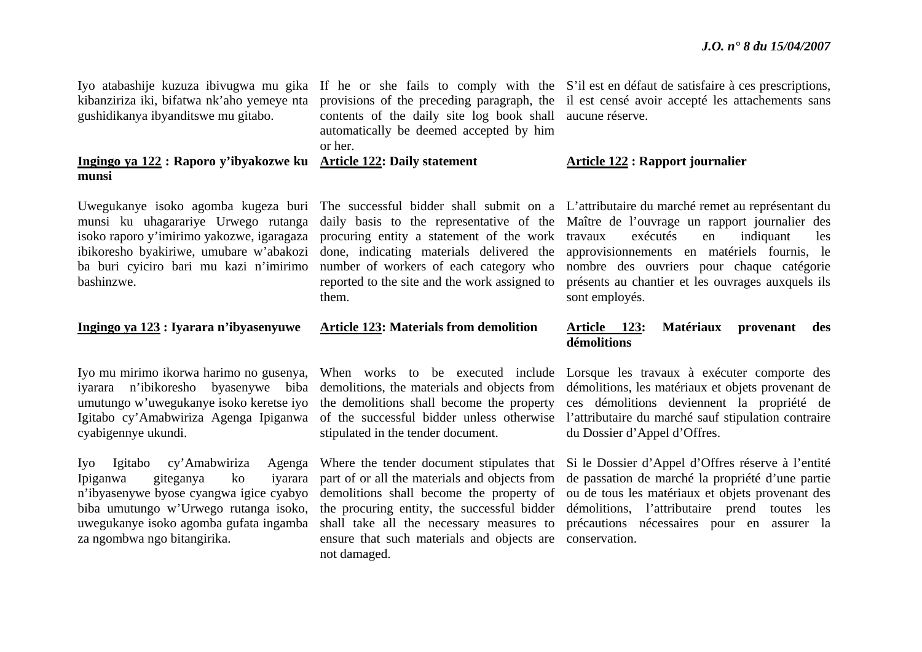kibanziriza iki, bifatwa nk'aho yemeye nta gushidikanya ibyanditswe mu gitabo.

#### **Ingingo ya 122 : Raporo y'ibyakozwe ku Article 122: Daily statement munsi**

Uwegukanye isoko agomba kugeza buri munsi ku uhagarariye Urwego rutanga isoko raporo y'imirimo yakozwe, igaragaza ibikoresho byakiriwe, umubare w'abakozi ba buri cyiciro bari mu kazi n'imirimo bashinzwe.

#### **Ingingo ya 123 : Iyarara n'ibyasenyuwe**

umutungo w'uwegukanye isoko keretse iyo cyabigennye ukundi.

Iyo Igitabo cy'Amabwiriza Agenga Ipiganwa giteganya ko iyarara <sup>n</sup>'ibyasenywe byose cyangwa igice cyabyo biba umutungo w'Urwego rutanga isoko, uwegukanye isoko agomba gufata ingamba za ngombwa ngo bitangirika.

contents of the daily site log book shall aucune réserve. automatically be deemed accepted by him or her.

procuring entity a statement of the work done, indicating materials delivered the reported to the site and the work assigned to them.

#### **Article 123: Materials from demolition**

iyarara n'ibikoresho byasenywe biba demolitions, the materials and objects from the demolitions shall become the property stipulated in the tender document.

> shall take all the necessary measures to ensure that such materials and objects are conservation. not damaged.

Iyo atabashije kuzuza ibivugwa mu gika If he or she fails to comply with the S'il est en défaut de satisfaire à ces prescriptions, provisions of the preceding paragraph, the il est censé avoir accepté les attachements sans

#### **Article 122 : Rapport journalier**

The successful bidder shall submit on a L'attributaire du marché remet au représentant du daily basis to the representative of the Maître de l'ouvrage un rapport journalier des number of workers of each category who nombre des ouvriers pour chaque catégorie exécutés en indiquant les approvisionnements en matériels fournis, le présents au chantier et les ouvrages auxquels ils sont employés.

#### **Article 123: Matériaux provenant des démolitions**

Iyo mu mirimo ikorwa harimo no gusenya, When works to be executed include Lorsque les travaux à exécuter comporte des Igitabo cy'Amabwiriza Agenga Ipiganwa of the successful bidder unless otherwise l'attributaire du marché sauf stipulation contraire démolitions, les matériaux et objets provenant de ces démolitions deviennent la propriété de du Dossier d'Appel d'Offres.

> Where the tender document stipulates that Si le Dossier d'Appel d'Offres réserve à l'entité part of or all the materials and objects from de passation de marché la propriété d'une partie demolitions shall become the property of ou de tous les matériaux et objets provenant des the procuring entity, the successful bidder démolitions, l'attributaire prend toutes les précautions nécessaires pour en assurer la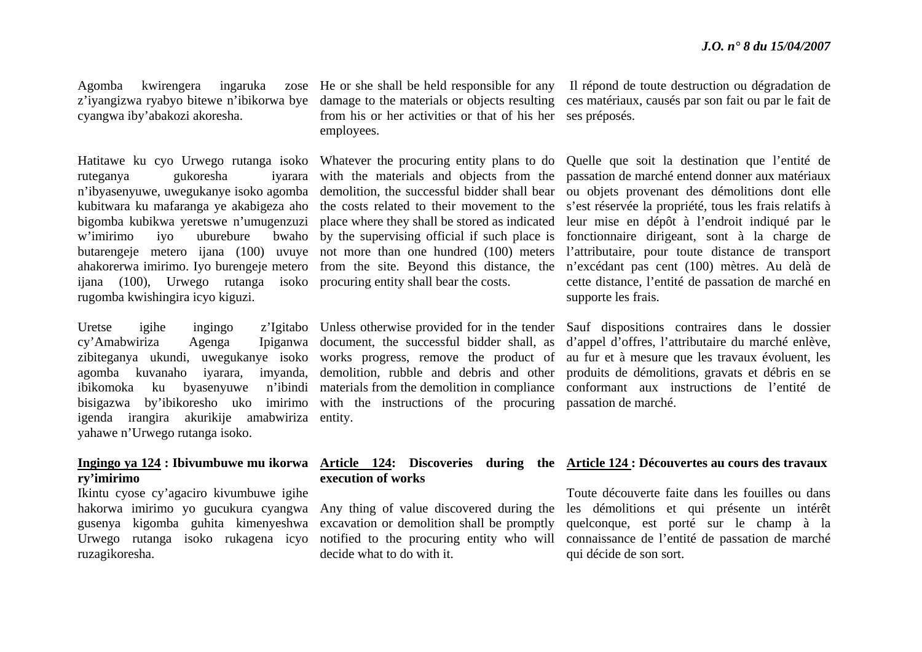Agomba kwirengera ingaruka cyangwa iby'abakozi akoresha.

ruteganya gukoresha  $w'$ imirimo iyo uburebure ijana (100), Urwego rutanga isoko procuring entity shall bear the costs. rugomba kwishingira icyo kiguzi.

 $cy'Amabwiriza$  Agenga ibikomoka ku byasenyuwe igenda irangira akurikije amabwiriza entity. yahawe n'Urwego rutanga isoko.

### **ry'imirimo**

Ikintu cyose cy'agaciro kivumbuwe igihe hakorwa imirimo yo gucukura cyangwa gusenya kigomba guhita kimenyeshwa ruzagikoresha.

<sup>z</sup>'iyangizwa ryabyo bitewe n'ibikorwa bye damage to the materials or objects resulting from his or her activities or that of his her ses préposés. employees.

Hatitawe ku cyo Urwego rutanga isoko Whatever the procuring entity plans to do <sup>n</sup>'ibyasenyuwe, uwegukanye isoko agomba demolition, the successful bidder shall bear kubitwara ku mafaranga ye akabigeza aho the costs related to their movement to the bigomba kubikwa yeretswe n'umugenzuzi place where they shall be stored as indicated butarengeje metero ijana (100) uvuye not more than one hundred (100) meters ahakorerwa imirimo. Iyo burengeje metero from the site. Beyond this distance, the ivarara with the materials and objects from the by the supervising official if such place is

zibiteganya ukundi, uwegukanye isoko works progress, remove the product of bisigazwa by'ibikoresho uko imirimo with the instructions of the procuring passation de marché. Ipiganwa document, the successful bidder shall, as

#### **Ingingo ya 124 : Ibivumbuwe mu ikorwa Article 124: Discoveries during the Article 124 : Découvertes au cours des travaux execution of works**

Any thing of value discovered during the excavation or demolition shall be promptly decide what to do with it.

He or she shall be held responsible for any Il répond de toute destruction ou dégradation de ces matériaux, causés par son fait ou par le fait de

> Quelle que soit la destination que l'entité de passation de marché entend donner aux matériaux ou objets provenant des démolitions dont elle <sup>s</sup>'est réservée la propriété, tous les frais relatifs à leur mise en dépôt à l'endroit indiqué par le fonctionnaire dirigeant, sont à la charge de l'attributaire, pour toute distance de transport <sup>n</sup>'excédant pas cent (100) mètres. Au delà de cette distance, l'entité de passation de marché en supporte les frais.

Uretse igihe ingingo z'Igitabo Unless otherwise provided for in the tender Sauf dispositions contraires dans le dossier agomba kuvanaho iyarara, imyanda, demolition, rubble and debris and other produits de démolitions, gravats et débris en se materials from the demolition in compliance conformant aux instructions de l'entité de d'appel d'offres, l'attributaire du marché enlève, au fur et à mesure que les travaux évoluent, les

Urwego rutanga isoko rukagena icyo notified to the procuring entity who will connaissance de l'entité de passation de marché Toute découverte faite dans les fouilles ou dans les démolitions et qui présente un intérêt quelconque, est porté sur le champ à la qui décide de son sort.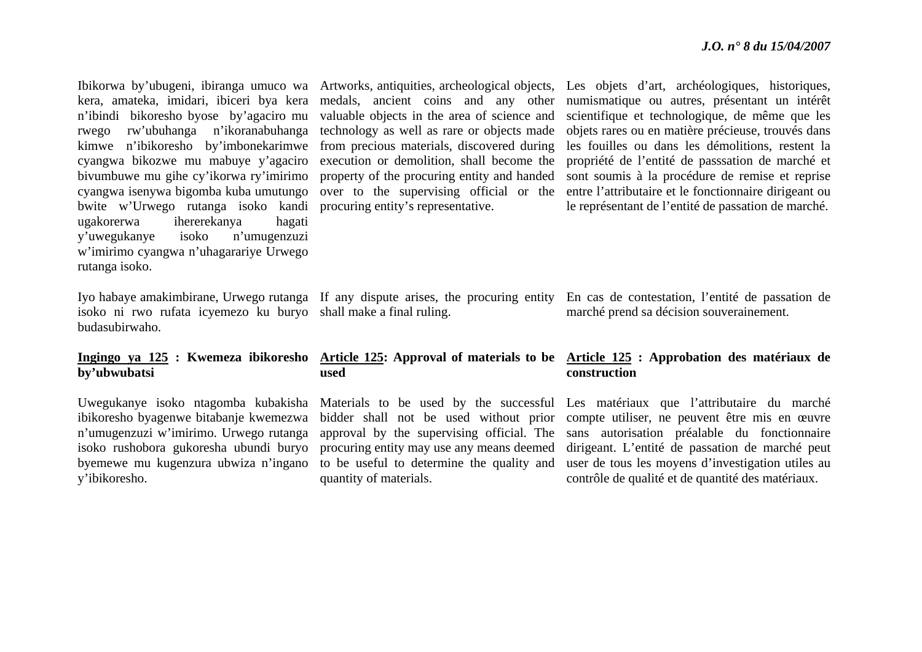kera, amateka, imidari, ibiceri bya kera <sup>n</sup>'ibindi bikoresho byose by'agaciro mu rwego rw'ubuhanga n'ikoranabuhanga kimwe n'ibikoresho by'imbonekarimwe cyangwa bikozwe mu mabuye y'agaciro bivumbuwe mu gihe cy'ikorwa ry'imirimo cyangwa isenywa bigomba kuba umutungo bwite w'Urwego rutanga isoko kandi procuring entity's representative. ugakorerwa ihererekanya hagati y'uwegukanye isoko n'umugenzuzi <sup>w</sup>'imirimo cyangwa n'uhagarariye Urwego rutanga isoko.

isoko ni rwo rufata icyemezo ku buryo shall make a final ruling. budasubirwaho.

## **by'ubwubatsi**

Uwegukanye isoko ntagomba kubakisha ibikoresho byagenwe bitabanje kwemezwa <sup>n</sup>'umugenzuzi w'imirimo. Urwego rutanga isoko rushobora gukoresha ubundi buryo byemewe mu kugenzura ubwiza n'ingano y'ibikoresho.

valuable objects in the area of science and technology as well as rare or objects made from precious materials, discovered during execution or demolition, shall become the property of the procuring entity and handed over to the supervising official or the

## **used**

procuring entity may use any means deemed to be useful to determine the quality and quantity of materials.

Ibikorwa by'ubugeni, ibiranga umuco wa Artworks, antiquities, archeological objects, Les objets d'art, archéologiques, historiques, medals, ancient coins and any other numismatique ou autres, présentant un intérêt scientifique et technologique, de même que les objets rares ou en matière précieuse, trouvés dans les fouilles ou dans les démolitions, restent la propriété de l'entité de passsation de marché et sont soumis à la procédure de remise et reprise entre l'attributaire et le fonctionnaire dirigeant ou le représentant de l'entité de passation de marché.

Iyo habaye amakimbirane, Urwego rutanga If any dispute arises, the procuring entity En cas de contestation, l'entité de passation de marché prend sa décision souverainement.

### **Ingingo ya 125 : Kwemeza ibikoresho Article 125: Approval of materials to be Article 125 : Approbation des matériaux de construction**

Materials to be used by the successful Les matériaux que l'attributaire du marché bidder shall not be used without prior compte utiliser, ne peuvent être mis en œuvre approval by the supervising official. The sans autorisation préalable du fonctionnaire dirigeant. L'entité de passation de marché peut user de tous les moyens d'investigation utiles au contrôle de qualité et de quantité des matériaux.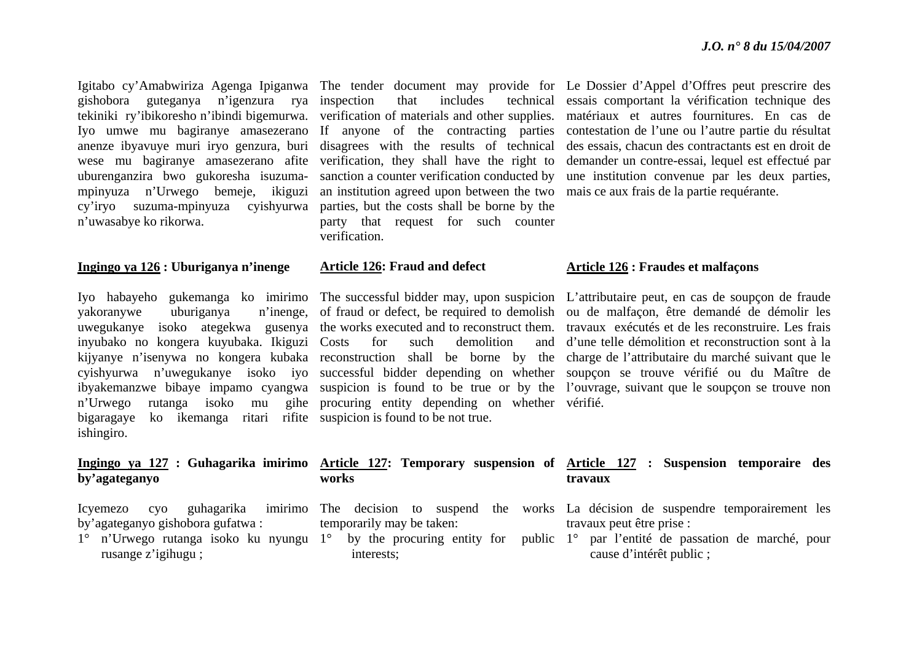gishobora guteganya n'igenzura rya anenze ibyavuye muri iryo genzura, buri disagrees with the results of technical wese mu bagiranye amasezerano afite verification, they shall have the right to uburenganzira bwo gukoresha isuzumampinyuza n'Urwego bemeje, ikiguzi an institution agreed upon between the two mais ce aux frais de la partie requérante. cy'iryo suzuma-mpinyuza cyishyurwa parties, but the costs shall be borne by the <sup>n</sup>'uwasabye ko rikorwa.

#### **Ingingo ya 126 : Uburiganya n'inenge**

yakoranywe uburiganya inyubako no kongera kuyubaka. Ikiguzi <sup>n</sup>'Urwego rutanga isoko mu gihe bigaragaye ko ikemanga ritari rifite suspicion is found to be not true. ishingiro.

### **by'agateganyo**

Icyemezo cyo guhagarika by'agateganyo gishobora gufatwa :

rusange z'igihugu ;

sanction a counter verification conducted by party that request for such counter verification.

#### **Article 126: Fraud and defect**

**works**

interests;

for such demolition procuring entity depending on whether vérifié.

Igitabo cy'Amabwiriza Agenga Ipiganwa The tender document may provide for Le Dossier d'Appel d'Offres peut prescrire des tekiniki ry'ibikoresho n'ibindi bigemurwa. verification of materials and other supplies. matériaux et autres fournitures. En cas de Iyo umwe mu bagiranye amasezerano If anyone of the contracting parties contestation de l'une ou l'autre-partie du résultat inspection that includes technical essais comportant la vérification technique des des essais, chacun des contractants est en droit de demander un contre-essai, lequel est effectué par une institution convenue par les deux parties,

#### **Article 126 : Fraudes et malfaçons**

Iyo habayeho gukemanga ko imirimo The successful bidder may, upon suspicion L'attributaire peut, en cas de soupçon de fraude uwegukanye isoko ategekwa gusenya the works executed and to reconstruct them. travaux exécutés et de les reconstruire. Les frais kijyanye n'isenywa no kongera kubaka reconstruction shall be borne by the charge de l'attributaire du marché suivant que le cyishyurwa n'uwegukanye isoko iyo successful bidder depending on whether soupçon se trouve vérifié ou du Maître de ibyakemanzwe bibaye impamo cyangwa suspicion is found to be true or by the l'ouvrage, suivant que le soupçon se trouve non of fraud or defect, be required to demolish ou de malfaçon, être demandé de démolir les d'une telle démolition et reconstruction sont à la

#### **Ingingo ya 127 : Guhagarika imirimo Article 127: Temporary suspension of Article 127 : Suspension temporaire des travaux**

- 1° <sup>n</sup>'Urwego rutanga isoko ku nyungu 1° by the procuring entity for public 1° par l'entité de passation de marché, pour The decision to suspend the works La décision de suspendre temporairement les temporarily may be taken: travaux peut être prise :
	- cause d'intérêt public ;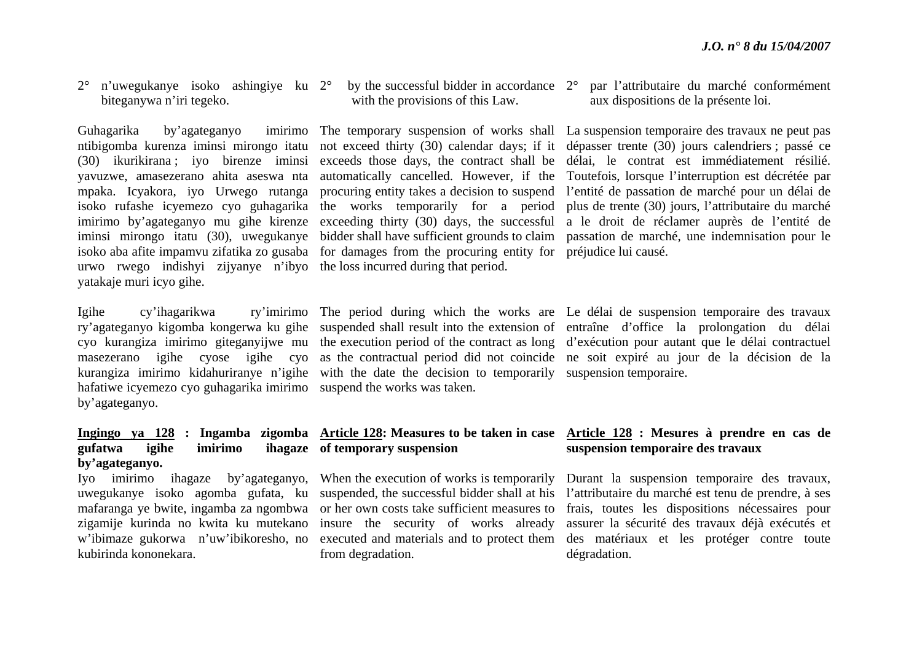2° <sup>n</sup>'uwegukanye isoko ashingiye ku 2°biteganywa n'iri tegeko.

Guhagarika by'agateganyo yavuzwe, amasezerano ahita aseswa nta urwo rwego indishyi zijyanye n'ibyo the loss incurred during that period. yatakaje muri icyo gihe.

Igihe cy'ihagarikwa hafatiwe icyemezo cyo guhagarika imirimo suspend the works was taken. by'agateganyo.

### **gufatwa igihe imirimo ihagaze by'agateganyo.**

zigamije kurinda no kwita ku mutekano kubirinda kononekara.

with the provisions of this Law.

isoko aba afite impamvu zifatika zo gusaba for damages from the procuring entity for préjudice lui causé.

kurangiza imirimo kidahuriranye n'igihe with the date the decision to temporarily suspension temporaire.

#### $\degree$  by the successful bidder in accordance  $2\degree$  par l'attributaire du marché conformément aux dispositions de la présente loi.

ntibigomba kurenza iminsi mirongo itatu not exceed thirty (30) calendar days; if it dépasser trente (30) jours calendriers ; passé ce (30) ikurikirana ; iyo birenze iminsi exceeds those days, the contract shall be délai, le contrat est immédiatement résilié. mpaka. Icyakora, iyo Urwego rutanga procuring entity takes a decision to suspend l'entité de passation de marché pour un délai de isoko rufashe icyemezo cyo guhagarika the works temporarily for a period plus de trente (30) jours, l'attributaire du marché imirimo by'agateganyo mu gihe kirenze exceeding thirty (30) days, the successful a le droit de réclamer auprès de l'entité de iminsi mirongo itatu (30), uwegukanye bidder shall have sufficient grounds to claim passation de marché, une indemnisation pour le The temporary suspension of works shall La suspension temporaire des travaux ne peut pas automatically cancelled. However, if the Toutefois, lorsque l'interruption est décrétée par

ry'agateganyo kigomba kongerwa ku gihe suspended shall result into the extension of entraîne d'office la prolongation du délai cyo kurangiza imirimo giteganyijwe mu the execution period of the contract as long d'exécution pour autant que le délai contractuel masezerano igihe cyose igihe cyo as the contractual period did not coincide ne soit expiré au jour de la décision de la The period during which the works are Le délai de suspension temporaire des travaux

### **of temporary suspension**

insure the security of works already from degradation.

#### **Ingingo ya 128 : Ingamba zigomba Article 128: Measures to be taken in case Article 128 : Mesures à prendre en cas de suspension temporaire des travaux**

Iyo imirimo ihagaze by'agateganyo, When the execution of works is temporarily Durant la suspension temporaire des travaux, uwegukanye isoko agomba gufata, ku suspended, the successful bidder shall at his l'attributaire du marché est tenu de prendre, à ses mafaranga ye bwite, ingamba za ngombwa or her own costs take sufficient measures to frais, toutes les dispositions nécessaires pour <sup>w</sup>'ibimaze gukorwa n'uw'ibikoresho, no executed and materials and to protect them des matériaux et les protéger contre toute assurer la sécurité des travaux déjà exécutés et dégradation.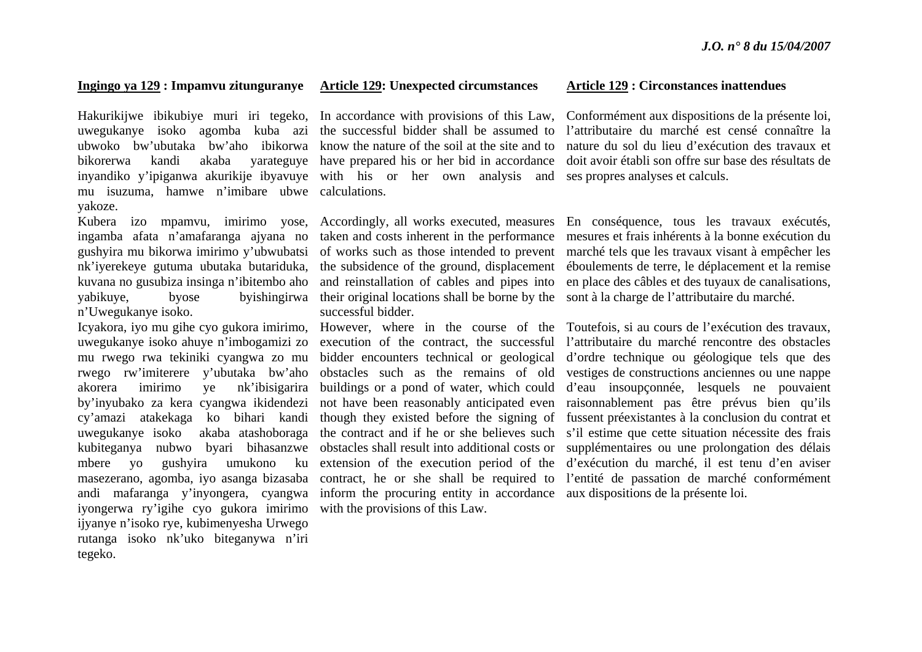#### **Ingingo ya 129 : Impamvu zitunguranye Article 129: Unexpected circumstances**

Hakurikijwe ibikubiye muri iri tegeko, In accordance with provisions of this Law, uwegukanye isoko agomba kuba azi the successful bidder shall be assumed to ubwoko bw'ubutaka bw'aho ibikorwa know the nature of the soil at the site and to bikorerwa kandi akaba yarateguye have prepared his or her bid in accordance inyandiko y'ipiganwa akurikije ibyavuye with his or her own analysis and mu isuzuma, hamwe n'imibare ubwe calculations. yakoze.

ingamba afata n'amafaranga ajyana no gushyira mu bikorwa imirimo y'ubwubatsi nk'iyerekeye gutuma ubutaka butariduka, kuvana no gusubiza insinga n'ibitembo aho yabikuye, byose byishingirwa <sup>n</sup>'Uwegukanye isoko.

uwegukanye isoko ahuye n'imbogamizi zo mu rwego rwa tekiniki cyangwa zo mu rwego rw'imiterere y'ubutaka bw'aho akorera imirimo ye nk'ibisigarira by'inyubako za kera cyangwa ikidendezi cy'amazi atakekaga ko bihari kandi uwegukanye isoko akaba atashoboraga kubiteganya nubwo byari bihasanzwe mbere yo gushyira umukono ku masezerano, agomba, iyo asanga bizasaba andi mafaranga y'inyongera, cyangwa iyongerwa ry'igihe cyo gukora imirimo ijyanye n'isoko rye, kubimenyesha Urwego rutanga isoko nk'uko biteganywa n'iri tegeko.

taken and costs inherent in the performance of works such as those intended to prevent the subsidence of the ground, displacement and reinstallation of cables and pipes into their original locations shall be borne by the sont à la charge de l'attributaire du marché. successful bidder.

inform the procuring entity in accordance aux dispositions de la présente loi. with the provisions of this Law.

#### **Article 129 : Circonstances inattendues**

Conformément aux dispositions de la présente loi, l'attributaire du marché est censé connaître la nature du sol du lieu d'exécution des travaux et doit avoir établi son offre sur base des résultats de ses propres analyses et calculs.

Kubera izo mpamvu, imirimo yose, Accordingly, all works executed, measures En conséquence, tous les travaux exécutés, mesures et frais inhérents à la bonne exécution du marché tels que les travaux visant à empêcher les éboulements de terre, le déplacement et la remise en place des câbles et des tuyaux de canalisations,

Icyakora, iyo mu gihe cyo gukora imirimo, However, where in the course of the Toutefois, si au cours de l'exécution des travaux, execution of the contract, the successful l'attributaire du marché rencontre des obstacles bidder encounters technical or geological d'ordre technique ou géologique tels que des obstacles such as the remains of old vestiges de constructions anciennes ou une nappe buildings or a pond of water, which could d'eau insoupçonnée, lesquels ne pouvaient not have been reasonably anticipated even raisonnablement pas être prévus bien qu'ils though they existed before the signing of fussent préexistantes à la conclusion du contrat et the contract and if he or she believes such <sup>s</sup>'il estime que cette situation nécessite des frais obstacles shall result into additional costs or supplémentaires ou une prolongation des délais extension of the execution period of the d'exécution du marché, il est tenu d'en aviser contract, he or she shall be required to l'entité de passation de marché conformément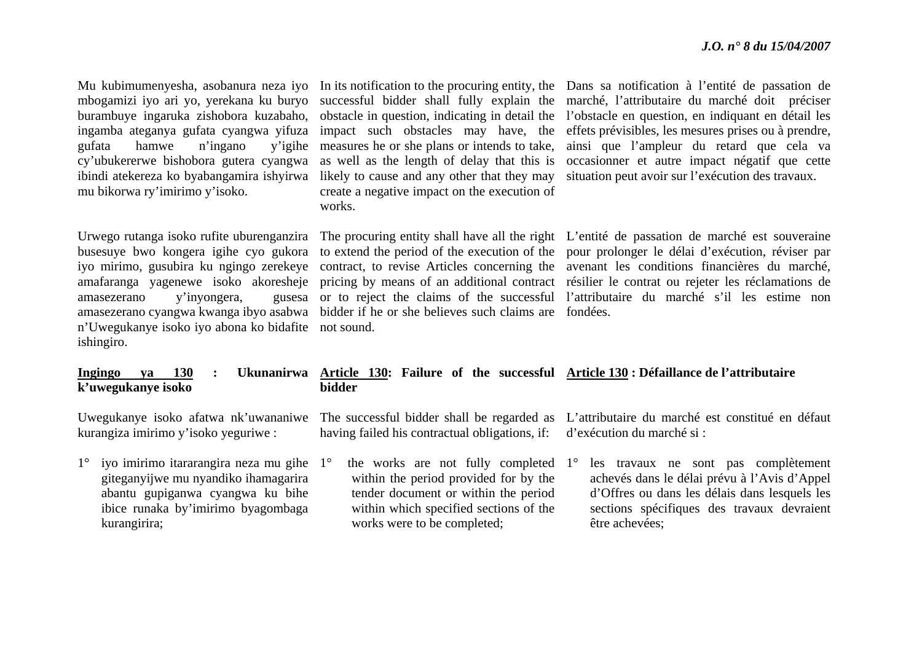| Mu kubimumenyesha, asobanura neza iyo<br>mbogamizi iyo ari yo, yerekana ku buryo<br>burambuye ingaruka zishobora kuzabaho,<br>ingamba ateganya gufata cyangwa yifuza<br>hamwe<br>n'ingano<br>gufata<br>y'igihe<br>cy'ubukererwe bishobora gutera cyangwa<br>ibindi atekereza ko byabangamira ishyirwa<br>mu bikorwa ry'imirimo y'isoko. | In its notification to the procuring entity, the<br>successful bidder shall fully explain the<br>obstacle in question, indicating in detail the<br>impact such obstacles may have, the<br>measures he or she plans or intends to take,<br>as well as the length of delay that this is<br>likely to cause and any other that they may<br>create a negative impact on the execution of<br>works. | Dans sa notification à l'entité de passation de<br>marché, l'attributaire du marché doit préciser<br>l'obstacle en question, en indiquant en détail les<br>effets prévisibles, les mesures prises ou à prendre,<br>ainsi que l'ampleur du retard que cela va<br>occasionner et autre impact négatif que cette<br>situation peut avoir sur l'exécution des travaux.                                                                                                                    |
|-----------------------------------------------------------------------------------------------------------------------------------------------------------------------------------------------------------------------------------------------------------------------------------------------------------------------------------------|------------------------------------------------------------------------------------------------------------------------------------------------------------------------------------------------------------------------------------------------------------------------------------------------------------------------------------------------------------------------------------------------|---------------------------------------------------------------------------------------------------------------------------------------------------------------------------------------------------------------------------------------------------------------------------------------------------------------------------------------------------------------------------------------------------------------------------------------------------------------------------------------|
| Urwego rutanga isoko rufite uburenganzira<br>busesuye bwo kongera igihe cyo gukora<br>iyo mirimo, gusubira ku ngingo zerekeye<br>amafaranga yagenewe isoko akoresheje<br>y'inyongera,<br>amasezerano<br>gusesa<br>amasezerano cyangwa kwanga ibyo asabwa<br>n'Uwegukanye isoko iyo abona ko bidafite<br>ishingiro.                      | bidder if he or she believes such claims are fondées.<br>not sound.                                                                                                                                                                                                                                                                                                                            | The procuring entity shall have all the right L'entité de passation de marché est souveraine<br>to extend the period of the execution of the pour prolonger le délai d'exécution, réviser par<br>contract, to revise Articles concerning the avenant les conditions financières du marché,<br>pricing by means of an additional contract résilier le contrat ou rejeter les réclamations de<br>or to reject the claims of the successful l'attributaire du marché s'il les estime non |
| <b>130</b><br>Ingingo<br>ya<br>k'uwegukanye isoko                                                                                                                                                                                                                                                                                       | Ukunanirwa Article 130: Failure of the successful Article 130: Défaillance de l'attributaire<br>bidder                                                                                                                                                                                                                                                                                         |                                                                                                                                                                                                                                                                                                                                                                                                                                                                                       |
| Uwegukanye isoko afatwa nk'uwananiwe<br>kurangiza imirimo y'isoko yeguriwe :                                                                                                                                                                                                                                                            | The successful bidder shall be regarded as<br>having failed his contractual obligations, if:                                                                                                                                                                                                                                                                                                   | L'attributaire du marché est constitué en défaut<br>d'exécution du marché si :                                                                                                                                                                                                                                                                                                                                                                                                        |
| iyo imirimo itararangira neza mu gihe 1°<br>$1^{\circ}$<br>giteganyijwe mu nyandiko ihamagarira<br>abantu gupiganwa cyangwa ku bihe<br>ibice runaka by'imirimo byagombaga<br>kurangirira;                                                                                                                                               | the works are not fully completed $1^{\circ}$<br>within the period provided for by the<br>tender document or within the period<br>within which specified sections of the<br>works were to be completed;                                                                                                                                                                                        | les travaux ne sont pas complètement<br>achevés dans le délai prévu à l'Avis d'Appel<br>d'Offres ou dans les délais dans lesquels les<br>sections spécifiques des travaux devraient<br>être achevées;                                                                                                                                                                                                                                                                                 |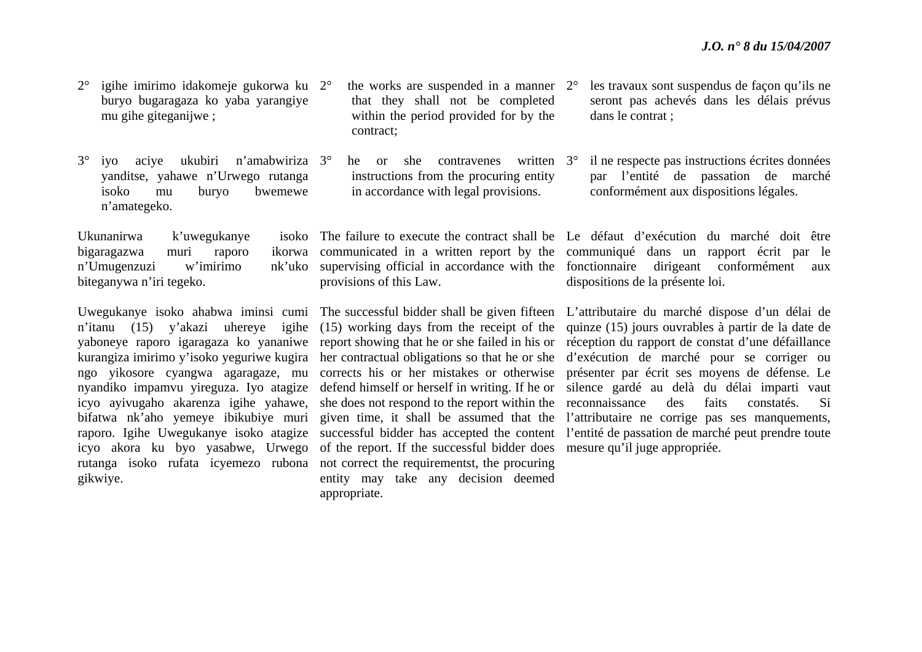- 2° igihe imirimo idakomeje gukorwa ku 2°buryo bugaragaza ko yaba yarangiye mu gihe giteganijwe ;
- $3^\circ$  iyo aciye ukubiri n'amabwiriza 3°yanditse, yahawe n'Urwego rutanga isoko mu buryo bwemewe <sup>n</sup>'amategeko.

Ukunanirwa k'uwegukanye bigaragazwa muri raporo n'Umugenzuzi w'imirimo biteganywa n'iri tegeko.

kurangiza imirimo y'isoko yeguriwe kugira icyo ayivugaho akarenza igihe yahawe, bifatwa nk'aho yemeye ibikubiye muri raporo. Igihe Uwegukanye isoko atagize icyo akora ku byo yasabwe, Urwego gikwiye.

- $\degree$  the works are suspended in a manner 2 $\degree$ that they shall not be completed within the period provided for by the contract;
	- he or she contravenes instructions from the procuring entity in accordance with legal provisions. written  $3^\circ$

provisions of this Law.

rutanga isoko rufata icyemezo rubona not correct the requirementst, the procuring of the report. If the successful bidder does mesure qu'il juge appropriée. entity may take any decision deemed appropriate.

- les travaux sont suspendus de façon qu'ils ne seront pas achevés dans les délais prévus dans le contrat ;
- il ne respecte pas instructions écrites données par l'entité de passation de marché conformément aux dispositions légales.

The failure to execute the contract shall be Le défaut d'exécution du marché doit être communicated in a written report by the communiqué dans un rapport écrit par le supervising official in accordance with the fonctionnaire dirigeant conformément aux dispositions de la présente loi.

Uwegukanye isoko ahabwa iminsi cumi The successful bidder shall be given fifteen L'attributaire du marché dispose d'un délai de <sup>n</sup>'itanu (15) y'akazi uhereye igihe (15) working days from the receipt of the quinze (15) jours ouvrables à partir de la date de yaboneye raporo igaragaza ko yananiwe report showing that he or she failed in his or réception du rapport de constat d'une défaillance ngo yikosore cyangwa agaragaze, mu corrects his or her mistakes or otherwise présenter par écrit ses moyens de défense. Le nyandiko impamvu yireguza. Iyo atagize defend himself or herself in writing. If he or silence gardé au delà du délai imparti vaut her contractual obligations so that he or she d'exécution de marché pour se corriger ou she does not respond to the report within the reconnaissance des faits constatés. Si given time, it shall be assumed that the l'attributaire ne corrige pas ses manquements, successful bidder has accepted the content l'entité de passation de marché peut prendre toute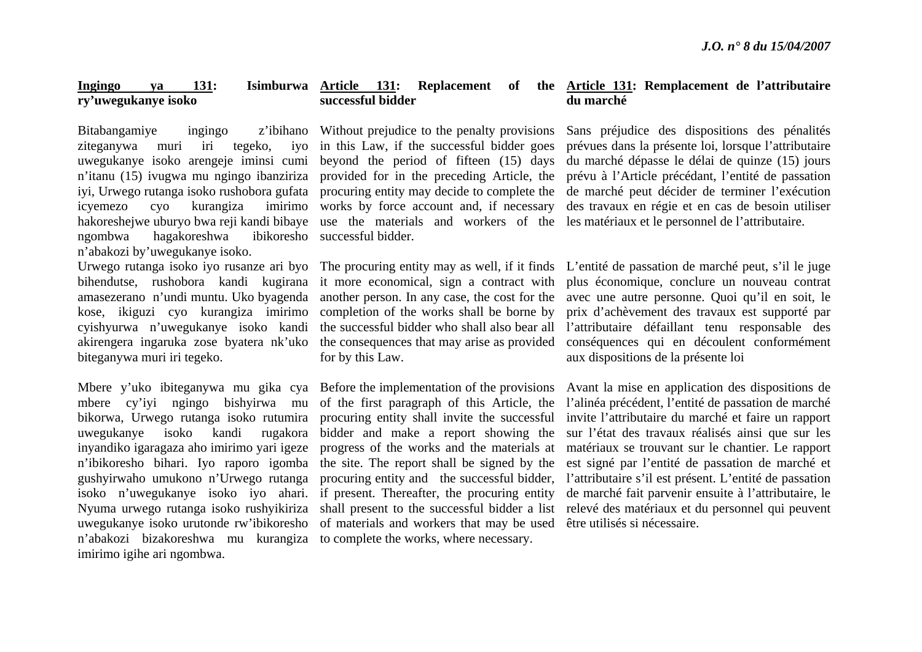#### **Ingingo ya 131: Isimburwa Article 131: Replacement of the Article 131: Remplacement de l'attributaire ry'uwegukanye isoko successful bidder**

Bitabangamiye ingingo z'ibihano ziteganywa muri iri tegeko, ngombwa hagakoreshwa <sup>n</sup>'abakozi by'uwegukanye isoko.

amasezerano n'undi muntu. Uko byagenda cyishyurwa n'uwegukanye isoko kandi akirengera ingaruka zose byatera nk'uko biteganywa muri iri tegeko.

<sup>n</sup>'abakozi bizakoreshwa mu kurangiza to complete the works, where necessary. imirimo igihe ari ngombwa.

### uwegukanye isoko arengeje iminsi cumi beyond the period of fifteen (15) days <sup>n</sup>'itanu (15) ivugwa mu ngingo ibanziriza provided for in the preceding Article, the iyi, Urwego rutanga isoko rushobora gufata procuring entity may decide to complete the icyemezo cyo kurangiza imirimo works by force account and, if necessary Without prejudice to the penalty provisions ivo in this Law, if the successful bidder goes successful bidder.

for by this Law.

<sup>n</sup>'ibikoresho bihari. Iyo raporo igomba the site. The report shall be signed by the uwegukanye isoko urutonde rw'ibikoresho of materials and workers that may be used être utilisés si nécessaire.

## **du marché**

hakoreshejwe uburyo bwa reji kandi bibaye use the materials and workers of the les-matériaux et le personnel de l'attributaire. Sans préjudice des dispositions des pénalités prévues dans la présente loi, lorsque l'attributaire du marché dépasse le délai de quinze (15) jours prévu à l'Article précédant, l'entité de passation de marché peut décider de terminer l'exécution des travaux en régie et en cas de besoin utiliser

Urwego rutanga isoko iyo rusanze ari byo The procuring entity may as well, if it finds L'entité de passation de marché peut, s'il le juge bihendutse, rushobora kandi kugirana it more economical, sign a contract with plus économique, conclure un nouveau contrat kose, ikiguzi cyo kurangiza imirimo completion of the works shall be borne by prix d'achèvement des travaux est supporté par another person. In any case, the cost for the avec une autre personne. Quoi qu'il en soit, le the successful bidder who shall also bear all l'attributaire défaillant tenu responsable des the consequences that may arise as provided conséquences qui en découlent conformément aux dispositions de la présente loi

Mbere y'uko ibiteganywa mu gika cya Before the implementation of the provisions Avant la mise en application des dispositions de mbere cy'iyi ngingo bishyirwa mu of the first paragraph of this Article, the l'alinéa précédent, l'entité de passation de marché bikorwa, Urwego rutanga isoko rutumira procuring entity shall invite the successful invite l'attributaire du marché et faire un rapport uwegukanye isoko kandi rugakora bidder and make a report showing the sur l'état des travaux réalisés ainsi que sur les inyandiko igaragaza aho imirimo yari igeze progress of the works and the materials at matériaux se trouvant sur le chantier. Le rapport gushyirwaho umukono n'Urwego rutanga procuring entity and the successful bidder, l'attributaire s'il est présent. L'entité de passation isoko n'uwegukanye isoko iyo ahari. if present. Thereafter, the procuring entity de marché fait parvenir ensuite à l'attributaire, le Nyuma urwego rutanga isoko rushyikiriza shall present to the successful bidder a list relevé des matériaux et du personnel qui peuvent est signé par l'entité de passation de marché et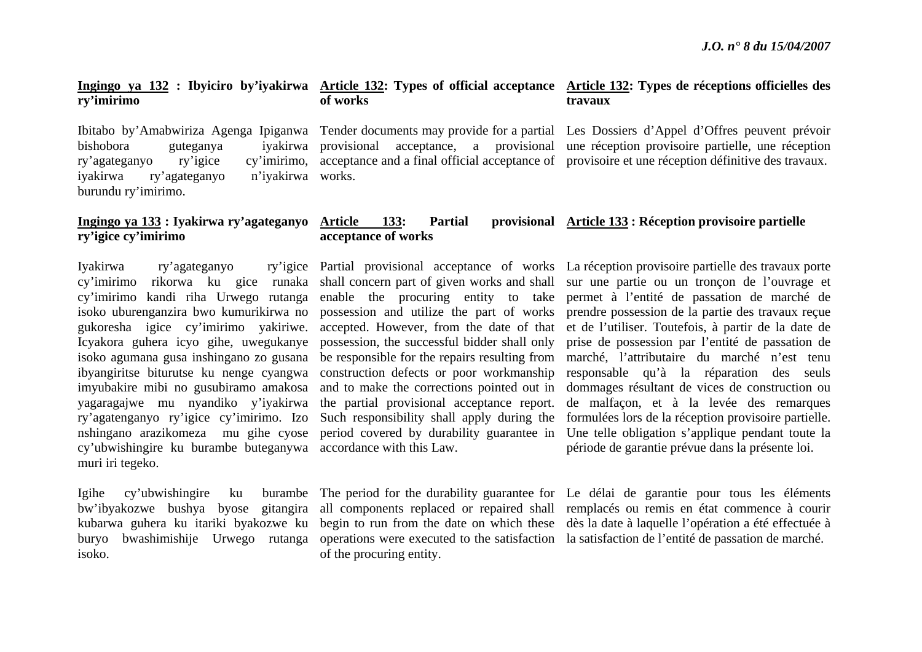#### **Ingingo ya 132 : Ibyiciro by'iyakirwa Article 132: Types of official acceptance Article 132: Types de réceptions officielles des ry'imirimo**

bishobora guteganya ry'agateganyo ry'igice iyakirwa ry'agateganyo burundu ry'imirimo.

### **of works**

**acceptance of works**

works.

**Article 133: Partial provisional Article 133 : Réception provisoire partielle**

# **travaux**

Ibitabo by'Amabwiriza Agenga Ipiganwa Tender documents may provide for a partial Les Dossiers d'Appel d'Offres peuvent prévoir provisional acceptance, a provisional une réception provisoire partielle, une réception acceptance and a final official acceptance of provisoire et une réception définitive des travaux.

### **Ingingo ya 133 : Iyakirwa ry'agateganyo ry'igice cy'imirimo**

Iyakirwa ry'agateganyo yagaragajwe mu nyandiko y'iyakirwa ry'agatenganyo ry'igice cy'imirimo. Izo cy'ubwishingire ku burambe buteganywa accordance with this Law. muri iri tegeko.

Igihe cy'ubwishingire ku kubarwa guhera ku itariki byakozwe ku isoko.

the partial provisional acceptance report.

of the procuring entity.

cy'imirimo rikorwa ku gice runaka shall concern part of given works and shall sur une partie ou un tronçon de l'ouvrage et cy'imirimo kandi riha Urwego rutanga enable the procuring entity to take permet à l'entité de passation de marché de isoko uburenganzira bwo kumurikirwa no possession and utilize the part of works prendre possession de la partie des travaux reçue gukoresha igice cy'imirimo yakiriwe. accepted. However, from the date of that et de l'utiliser. Toutefois, à partir de la date de Icyakora guhera icyo gihe, uwegukanye possession, the successful bidder shall only prise de possession par l'entité de passation de isoko agumana gusa inshingano zo gusana be responsible for the repairs resulting from marché, l'attributaire du marché n'est tenu ibyangiritse biturutse ku nenge cyangwa construction defects or poor workmanship responsable qu'à la réparation des seuls imyubakire mibi no gusubiramo amakosa and to make the corrections pointed out in dommages résultant de vices de construction ou nshingano arazikomeza mu gihe cyose period covered by durability guarantee in Une telle obligation s'applique pendant toute la Partial provisional acceptance of works La réception provisoire partielle des travaux porte Such responsibility shall apply during the formulées lors de la réception provisoire partielle. de malfaçon, et à la levée des remarques période de garantie prévue dans la présente loi.

bw'ibyakozwe bushya byose gitangira all components replaced or repaired shall remplacés ou remis en état commence à courir buryo bwashimishije Urwego rutanga operations were executed to the satisfaction la satisfaction de l'entité de passation de marché. The period for the durability guarantee for Le délai de garantie pour tous les éléments begin to run from the date on which these dès la date à laquelle l'opération a été effectuée à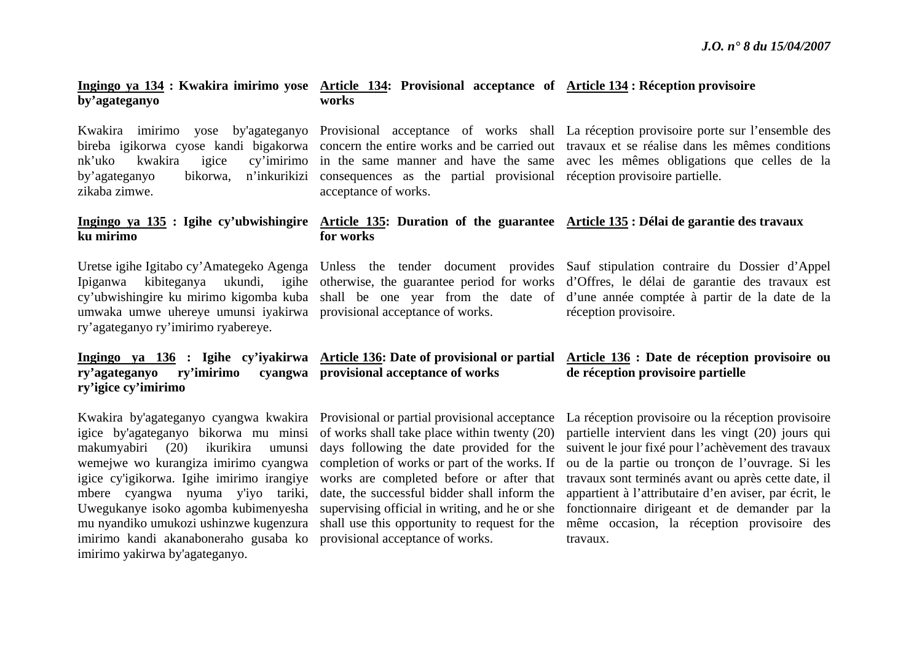#### **Ingingo ya 134 : Kwakira imirimo yose Article 134: Provisional acceptance of Article 134 : Réception provisoire by'agateganyo works**

zikaba zimwe.

**ku mirimo** 

by'agateganyo bikorwa, n'inkurikizi consequences as the partial provisional réception provisoire-partielle. acceptance of works.

Kwakira imirimo yose by'agateganyo Provisional acceptance of works shall La-réception-provisoire-porte-sur-l'ensemble-des bireba igikorwa cyose kandi bigakorwa concern the entire works and be carried out travaux et se réalise dans les mêmes conditions nk'uko kwakira igice cy'imirimo in the same manner and have the same avec les mêmes obligations que celles de la

#### Ingingo ya 135 : Igihe cy'ubwishingire Article 135: Duration of the guarantee Article 135 : Délai de garantie des travaux **for works**

umwaka umwe uhereye umunsi iyakirwa provisional acceptance of works. ry'agateganyo ry'imirimo ryabereye.

**ry'agateganyo ry'imirimo cyangwa provisional acceptance of works ry'igice cy'imirimo** 

imirimo kandi akanaboneraho gusaba ko provisional acceptance of works. imirimo yakirwa by'agateganyo.

Uretse igihe Igitabo cy'Amategeko Agenga Unless the tender document provides Sauf stipulation contraire du Dossier d'Appel Ipiganwa kibiteganya ukundi, igihe otherwise, the guarantee period for works d'Offres, le délai de garantie des travaux est cy'ubwishingire ku mirimo kigomba kuba shall be one year from the date of d'une année comptée à partir de la date de la réception provisoire.

#### **Ingingo ya 136 : Igihe cy'iyakirwa Article 136: Date of provisional or partial Article 136 : Date de réception provisoire ou de réception provisoire partielle**

Kwakira by'agateganyo cyangwa kwakira Provisional or partial provisional acceptance La réception provisoire ou la réception provisoire igice by'agateganyo bikorwa mu minsi of works shall take place within twenty (20) partielle intervient dans les vingt (20) jours qui makumyabiri (20) ikurikira umunsi days following the date provided for the suivent le jour fixé pour l'achèvement des travaux wemejwe wo kurangiza imirimo cyangwa completion of works or part of the works. If ou de la partie ou tronçon de l'ouvrage. Si les igice cy'igikorwa. Igihe imirimo irangiye works are completed before or after that travaux sont terminés avant ou après cette date, il mbere cyangwa nyuma y'iyo tariki, date, the successful bidder shall inform the appartient à l'attributaire d'en aviser, par écrit, le Uwegukanye isoko agomba kubimenyesha supervising official in writing, and he or she fonctionnaire dirigeant et de demander par la mu nyandiko umukozi ushinzwe kugenzura shall use this opportunity to request for the même occasion, la réception provisoire des travaux.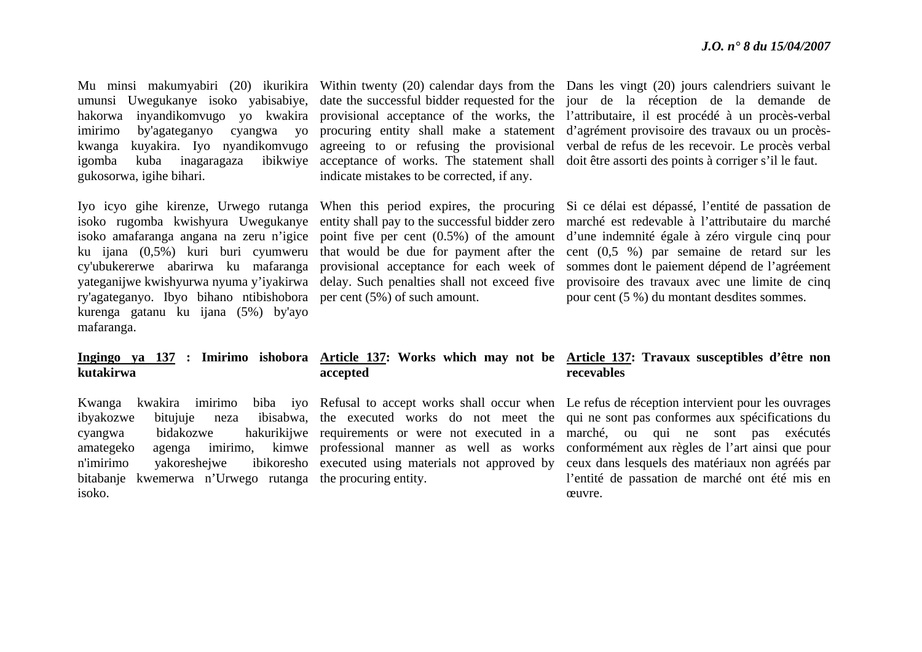gukosorwa, igihe bihari.

Iyo icyo gihe kirenze, Urwego rutanga When this period expires, the procuring isoko rugomba kwishyura Uwegukanye entity shall pay to the successful bidder zero isoko amafaranga angana na zeru n'igice point five per cent (0.5%) of the amount yateganijwe kwishyurwa nyuma y'iyakirwa delay. Such penalties shall not exceed five ry'agateganyo. Ibyo bihano ntibishobora per cent (5%) of such amount. kurenga gatanu ku ijana (5%) by'ayo mafaranga.

### **kutakirwa**

ibyakozwe bitujuje neza amategeko agenga imirimo, n'imirimo vakoreshejwe bitabanje kwemerwa n'Urwego rutanga the procuring entity. isoko.

indicate mistakes to be corrected, if any.

## **accepted**

Mu minsi makumyabiri (20) ikurikira Within twenty (20) calendar days from the Dans les vingt (20) jours calendriers suivant le umunsi Uwegukanye isoko yabisabiye, date the successful bidder requested for the jour de la réception de la demande de hakorwa inyandikomvugo yo kwakira provisional acceptance of the works, the l'attributaire, il est procédé à un procès-verbal imirimo by'agateganyo cyangwa yo procuring entity shall make a statement d'agrément provisoire des travaux ou un procèskwanga kuyakira. Iyo nyandikomvugo agreeing to or refusing the provisional verbal-de-refus-de-les-recevoir. Le-procès-verbaligomba kuba inagaragaza ibikwiye acceptance of works. The statement shall doit être assorti des points à corriger s'il le faut.

ku ijana (0,5%) kuri buri cyumweru that would be due for payment after the cent (0,5 %) par semaine de retard sur les cy'ubukererwe abarirwa ku mafaranga provisional acceptance for each week of sommes dont le paiement dépend de l'agréement Si ce délai est dépassé, l'entité de passation de marché est redevable à l'attributaire du marché d'une indemnité égale à zéro virgule cinq pour provisoire des travaux avec une limite de cinq pour cent (5 %) du montant desdites sommes.

### **Ingingo ya 137 : Imirimo ishobora Article 137: Works which may not be Article 137: Travaux susceptibles d'être non recevables**

Kwanga kwakira imirimo biba iyo Refusal to accept works shall occur when Le refus de réception intervient pour les ouvrages cyangwa bidakozwe hakurikijwe requirements or were not executed in a marché, ou qui ne sont pas exécutés the executed works do not meet the qui ne sont pas conformes aux spécifications du professional manner as well as works conformément aux règles de l'art ainsi que pour executed using materials not approved by ceux dans lesquels des matériaux non agréés par l'entité de passation de marché ont été mis en œuvre.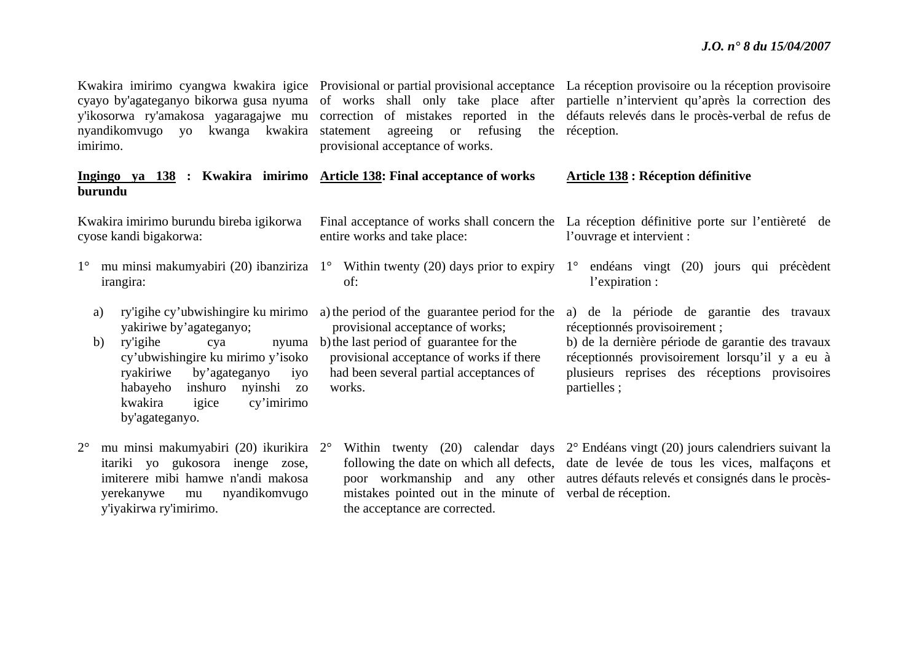| cyayo by'agateganyo bikorwa gusa nyuma<br>nyandikomvugo yo kwanga kwakira<br>imirimo.                                                                                                                                                                                                    | agreeing or refusing<br>statement<br>provisional acceptance of works.                                                                                                                                                         | Kwakira imirimo cyangwa kwakira igice Provisional or partial provisional acceptance La réception provisoire ou la réception provisoire<br>of works shall only take place after partielle n'intervient qu'après la correction des<br>y'ikosorwa ry'amakosa yagaragajwe mu correction of mistakes reported in the défauts relevés dans le procès-verbal de refus de<br>the réception. |
|------------------------------------------------------------------------------------------------------------------------------------------------------------------------------------------------------------------------------------------------------------------------------------------|-------------------------------------------------------------------------------------------------------------------------------------------------------------------------------------------------------------------------------|-------------------------------------------------------------------------------------------------------------------------------------------------------------------------------------------------------------------------------------------------------------------------------------------------------------------------------------------------------------------------------------|
| Ingingo ya 138 : Kwakira imirimo Article 138: Final acceptance of works<br>burundu                                                                                                                                                                                                       |                                                                                                                                                                                                                               | <b>Article 138 : Réception définitive</b>                                                                                                                                                                                                                                                                                                                                           |
| Kwakira imirimo burundu bireba igikorwa<br>cyose kandi bigakorwa:                                                                                                                                                                                                                        | entire works and take place:                                                                                                                                                                                                  | Final acceptance of works shall concern the La réception définitive porte sur l'entièreté de<br>l'ouvrage et intervient :                                                                                                                                                                                                                                                           |
| $1^{\circ}$<br>irangira:                                                                                                                                                                                                                                                                 | of:                                                                                                                                                                                                                           | mu minsi makumyabiri (20) ibanziriza 1° Within twenty (20) days prior to expiry 1° endéans vingt (20) jours qui précèdent<br>l'expiration :                                                                                                                                                                                                                                         |
| ry'igihe cy'ubwishingire ku mirimo<br>a)<br>yakiriwe by'agateganyo;<br>b)<br>ry'igihe<br>nyuma<br>cya<br>cy'ubwishingire ku mirimo y'isoko<br>ryakiriwe<br>by'agateganyo<br>iyo<br>habayeho<br>inshuro<br>nyinshi<br>ZO <sup>1</sup><br>kwakira<br>cy'imirimo<br>igice<br>by'agateganyo. | a) the period of the guarantee period for the<br>provisional acceptance of works;<br>b) the last period of guarantee for the<br>provisional acceptance of works if there<br>had been several partial acceptances of<br>works. | a) de la période de garantie des travaux<br>réceptionnés provisoirement;<br>b) de la dernière période de garantie des travaux<br>réceptionnés provisoirement lorsqu'il y a eu à<br>plusieurs reprises des réceptions provisoires<br>partielles;                                                                                                                                     |
| $2^{\circ}$<br>itariki yo gukosora inenge zose,<br>imiterere mibi hamwe n'andi makosa                                                                                                                                                                                                    |                                                                                                                                                                                                                               | mu minsi makumyabiri (20) ikurikira 2° Within twenty (20) calendar days 2° Endéans vingt (20) jours calendriers suivant la<br>following the date on which all defects, date de levée de tous les vices, malfaçons et<br>poor workmanship and any other autres défauts relevés et consignés dans le procès-                                                                          |

the acceptance are corrected.

mistakes pointed out in the minute of verbal de réception.

yerekanywe mu nyandikomvugo

y'iyakirwa ry'imirimo.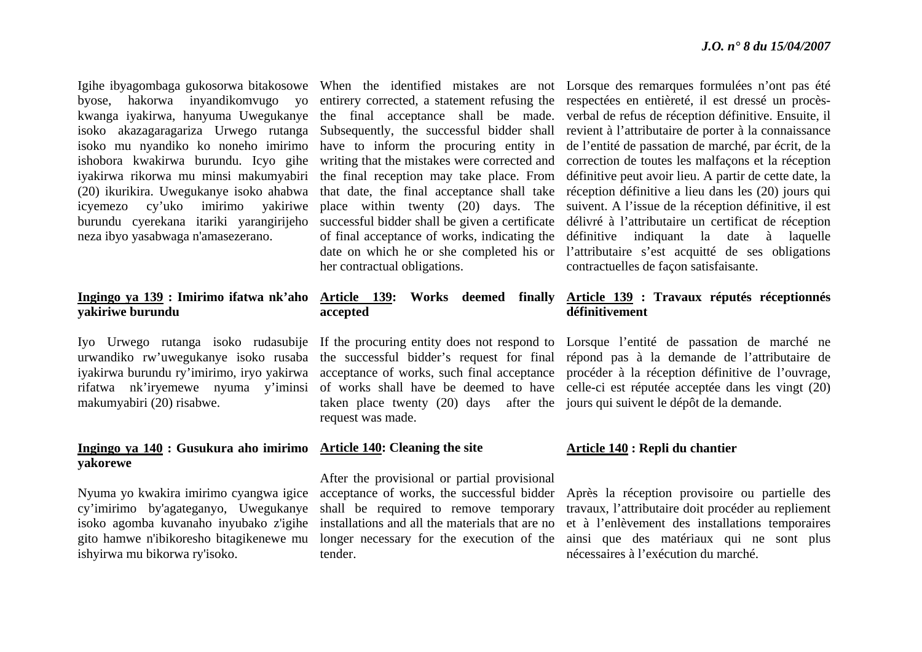isoko mu nyandiko ko noneho imirimo ishobora kwakirwa burundu. Icyo gihe iyakirwa rikorwa mu minsi makumyabiri (20) ikurikira. Uwegukanye isoko ahabwa icyemezo cy'uko imirimo yakiriwe burundu cyerekana itariki yarangirijeho neza ibyo yasabwaga n'amasezerano.

### **Ingingo ya 139 : Imirimo ifatwa nk'aho yakiriwe burundu**

makumyabiri (20) risabwe.

#### **Ingingo ya 140 : Gusukura aho imirimo Article 140: Cleaning the site yakorewe**

Nyuma yo kwakira imirimo cyangwa igice cy'imirimo by'agateganyo, Uwegukanye isoko agomba kuvanaho inyubako z'igihe ishyirwa mu bikorwa ry'isoko.

of final acceptance of works, indicating the her contractual obligations.

## **accepted**

taken place twenty (20) days after the jours qui suivent le dépôt de la demande. request was made.

After the provisional or partial provisional acceptance of works, the successful bidder shall be required to remove temporary installations and all the materials that are no tender.

Igihe ibyagombaga gukosorwa bitakosowe When the identified mistakes are not Lorsque des remarques formulées n'ont pas été byose, hakorwa inyandikomvugo yo entirery corrected, a statement refusing the respectées en entièreté, il est dressé un procèskwanga iyakirwa, hanyuma Uwegukanye the final acceptance shall be made. verbal-de-refus-de-réception-définitive. Ensuite, il isoko akazagaragariza Urwego rutanga Subsequently, the successful bidder shall revient à l'attributaire de porter à la connaissance have to inform the procuring entity in de l'entité de passation de marché, par écrit, de la writing that the mistakes were corrected and correction de toutes les malfaçons et la réception the final reception may take place. From définitive peut avoir lieu. A partir de cette date, la that date, the final acceptance shall take réception définitive a lieu dans les (20) jours qui place within twenty (20) days. The suivent. A l'issue de la réception définitive, il est successful bidder shall be given a certificate délivré à l'attributaire un certificat de réception date on which he or she completed his or l'attributaire s'est acquitté de ses obligations définitive indiquant la date à laquelle contractuelles de façon satisfaisante.

#### **Article 139: Works deemed finally Article 139 : Travaux réputés réceptionnés définitivement**

Iyo Urwego rutanga isoko rudasubije If the procuring entity does not respond to Lorsque l'entité de passation de marché ne urwandiko rw'uwegukanye isoko rusaba the successful bidder's request for final répond pas à la demande de l'attributaire de iyakirwa burundu ry'imirimo, iryo yakirwa acceptance of works, such final acceptance procéder à la réception définitive de l'ouvrage, rifatwa nk'iryemewe nyuma y'iminsi of works shall have be deemed to have celle-ci est réputée acceptée dans les vingt (20)

#### **Article 140 : Repli du chantier**

gito hamwe n'ibikoresho bitagikenewe mu longer necessary for the execution of the ainsi que des matériaux qui ne sont plus Après la réception provisoire ou partielle des travaux, l'attributaire doit procéder au repliement et à l'enlèvement des installations temporaires nécessaires à l'exécution du marché.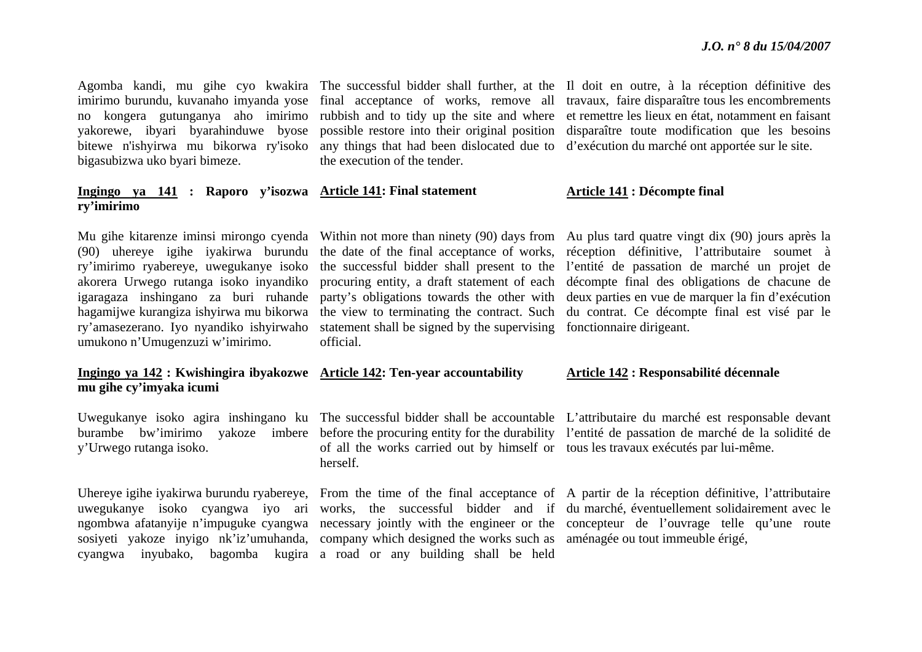no kongera gutunganya aho imirimo yakorewe, ibyari byarahinduwe byose bitewe n'ishyirwa mu bikorwa ry'isoko bigasubizwa uko byari bimeze.

#### **Ingingo ya 141 : Raporo y'isozwa Article 141: Final statement ry'imirimo**

(90) uhereye igihe iyakirwa burundu ry'imirimo ryabereye, uwegukanye isoko akorera Urwego rutanga isoko inyandiko igaragaza inshingano za buri ruhande hagamijwe kurangiza ishyirwa mu bikorwa ry'amasezerano. Iyo nyandiko ishyirwaho umukono n'Umugenzuzi w'imirimo.

#### **Ingingo ya 142 : Kwishingira ibyakozwe Article 142: Ten-year accountability mu gihe cy'imyaka icumi**

y'Urwego rutanga isoko.

the execution of the tender.

party's obligations towards the other with statement shall be signed by the supervising fonctionnaire dirigeant. official.

of all the works carried out by himself or tous les travaux exécutés par lui-même. herself.

sosiyeti yakoze inyigo nk'iz'umuhanda, company which designed the works such as aménagée ou tout immeuble érigé, cyangwa inyubako, bagomba kugira a road or any building shall be held

Agomba kandi, mu gihe cyo kwakira The successful bidder shall further, at the Il doit en outre, à la réception définitive des imirimo burundu, kuvanaho imyanda yose final acceptance of works, remove all travaux, faire disparaître tous les encombrements rubbish and to tidy up the site and where et remettre les lieux en état, notamment en faisant possible restore into their original position disparaître toute modification que les besoins any things that had been dislocated due to d'exécution du marché ont apportée sur le site.

#### **Article 141 : Décompte final**

Mu gihe kitarenze iminsi mirongo cyenda Within not more than ninety (90) days from Au plus tard quatre vingt dix (90) jours après la the date of the final acceptance of works, réception définitive, l'attributaire soumet à the successful bidder shall present to the l'entité de passation de marché un projet de procuring entity, a draft statement of each décompte final des obligations de chacune de the view to terminating the contract. Such du contrat. Ce décompte final est visé par le deux parties en vue de marquer la fin d'exécution

#### **Article 142 : Responsabilité décennale**

Uwegukanye isoko agira inshingano ku The successful bidder shall be accountable L'attributaire du marché est responsable devant burambe bw'imirimo yakoze imbere before the procuring entity for the durability l'entité de passation de marché de la solidité de

Uhereye igihe iyakirwa burundu ryabereye, From the time of the final acceptance of A partir de la réception définitive, l'attributaire uwegukanye isoko cyangwa iyo ari works, the successful bidder and if du marché, éventuellement solidairement avec le ngombwa afatanyije n'impuguke cyangwa necessary jointly with the engineer or the concepteur de l'ouvrage telle qu'une route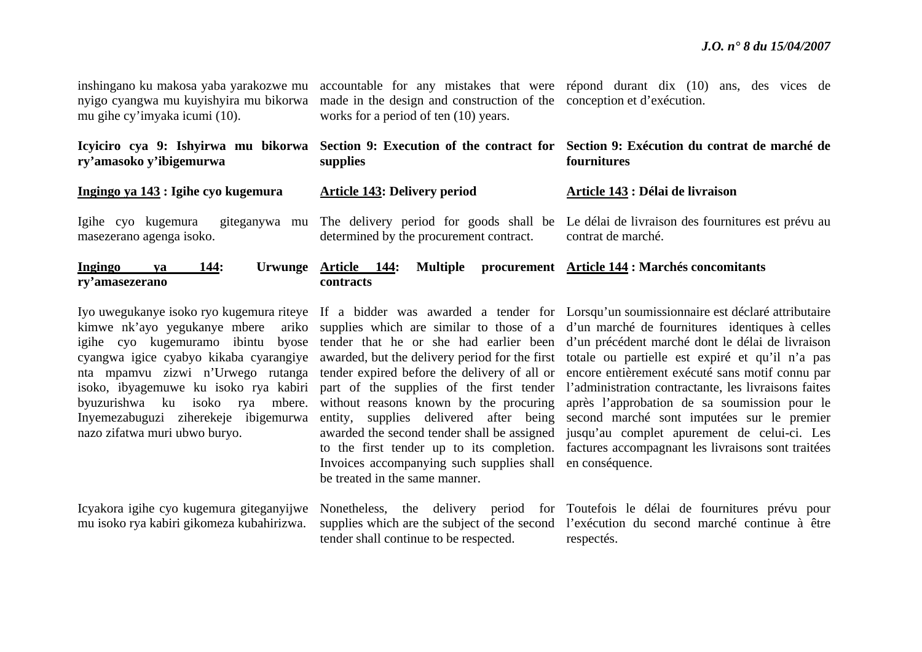| inshingano ku makosa yaba yarakozwe mu<br>nyigo cyangwa mu kuyishyira mu bikorwa<br>mu gihe cy'imyaka icumi (10). | made in the design and construction of the conception et d'exécution.<br>works for a period of ten (10) years. | accountable for any mistakes that were repond durant dix (10) ans, des vices de                                 |
|-------------------------------------------------------------------------------------------------------------------|----------------------------------------------------------------------------------------------------------------|-----------------------------------------------------------------------------------------------------------------|
| Icyiciro cya 9: Ishyirwa mu bikorwa<br>ry'amasoko y'ibigemurwa                                                    | supplies                                                                                                       | Section 9: Execution of the contract for Section 9: Exécution du contrat de marché de<br>fournitures            |
| Ingingo ya 143 : Igihe cyo kugemura                                                                               | <b>Article 143: Delivery period</b>                                                                            | Article 143 : Délai de livraison                                                                                |
| giteganywa mu<br>Igihe cyo kugemura<br>masezerano agenga isoko.                                                   | determined by the procurement contract.                                                                        | The delivery period for goods shall be Le délai de livraison des fournitures est prévu au<br>contrat de marché. |
| Ingingo<br><b>144:</b><br>Urwunge<br>va<br>ry'amasezerano                                                         | <b>Multiple</b><br>Article 144:<br>contracts                                                                   | procurement Article 144 : Marchés concomitants                                                                  |

nazo zifatwa muri ubwo buryo.

Icyakora igihe cyo kugemura giteganyijwe mu isoko rya kabiri gikomeza kubahirizwa.

Invoices accompanying such supplies shall en conséquence. be treated in the same manner.

tender shall continue to be respected.

Iyo uwegukanye isoko ryo kugemura riteye If a bidder was awarded a tender for Lorsqu'un soumissionnaire est déclaré attributaire kimwe nk'ayo yegukanye mbere ariko supplies which are similar to those of a d'un marché de fournitures identiques à celles igihe cyo kugemuramo ibintu byose tender that he or she had earlier been d'un précédent marché dont le délai de livraison cyangwa igice cyabyo kikaba cyarangiye awarded, but the delivery period for the first totale ou partielle est expiré et qu'il n'a pas nta mpamvu zizwi n'Urwego rutanga tender expired before the delivery of all or encore entièrement exécuté sans motif connu par isoko, ibyagemuwe ku isoko rya kabiri part of the supplies of the first tender l'administration contractante, les livraisons faites byuzurishwa ku isoko rya mbere. without reasons known by the procuring après l'approbation de sa soumission pour le Inyemezabuguzi ziherekeje ibigemurwa entity, supplies delivered after being second marché sont imputées sur le premier awarded the second tender shall be assigned jusqu'au complet apurement de celui-ci. Les to the first tender up to its completion. factures accompagnant les livraisons sont traitées

> Nonetheless, the delivery period for Toutefois le délai de fournitures prévu pour supplies which are the subject of the second l'exécution du second marché continue à être respectés.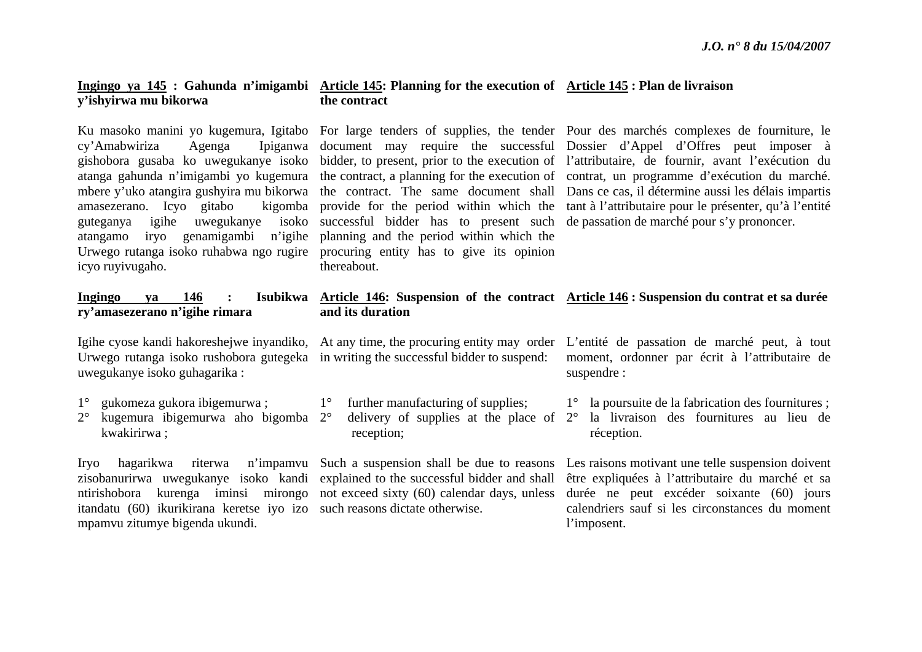### **Ingingo ya 145 : Gahunda n'imigambi Article 145: Planning for the execution of Article 145 : Plan de livraison y'ishyirwa mu bikorwa the contract**

 $cv'Amabwiriza$  Agenga amasezerano. Icyo gitabo atangamo iryo genamigambi n'igihe planning and the period within which the Urwego rutanga isoko ruhabwa ngo rugire procuring entity has to give its opinion icyo ruyivugaho.

## **ry'amasezerano n'igihe rimara**

Urwego rutanga isoko rushobora gutegeka in writing the successful bidder to suspend: uwegukanye isoko guhagarika :

- 1°gukomeza gukora ibigemurwa ;
- 2° kugemura ibigemurwa aho bigomba 2°kwakirirwa ;

itandatu (60) ikurikirana keretse iyo izo such reasons dictate otherwise. mpamvu zitumye bigenda ukundi.

guteganya igihe uwegukanye isoko successful bidder has to present such de passation de marché pour s'y prononcer. thereabout.

Ku masoko manini yo kugemura, Igitabo For large tenders of supplies, the tender Pour des marchés complexes de fourniture, le gishobora gusaba ko uwegukanye isoko bidder, to present, prior to the execution of l'attributaire, de fournir, avant l'exécution du atanga gahunda <sup>n</sup>'imigambi yo kugemura the contract, a planning for the execution of contrat, un programme d'exécution du marché. mbere y'uko atangira gushyira mu bikorwa the contract. The same document shall Dans ce cas, il détermine aussi les délais impartis document may require the successful Dossier d'Appel d'Offres peut imposer à provide for the period within which the tant à l'attributaire pour le présenter, qu'à l'entité

### **Ingingo ya 146 : Isubikwa Article 146: Suspension of the contract Article 146 : Suspension du contrat et sa durée and its duration**

1° further manufacturing of supplies; reception;

Igihe cyose kandi hakoreshejwe inyandiko, At any time, the procuring entity may order L'entité de passation de marché peut, à tout moment, ordonner par écrit à l'attributaire de suspendre :

1° la poursuite de la fabrication des fournitures ;

 $\degree$  delivery of supplies at the place of  $2\degree$  la livraison des fournitures au lieu de réception.

Iryo hagarikwa riterwa n'impamvu Such a suspension shall be due to reasons Les raisons motivant une telle suspension doivent zisobanurirwa uwegukanye isoko kandi explained to the successful bidder and shall être expliquées à l'attributaire du marché et sa ntirishobora kurenga iminsi mirongo not exceed sixty (60) calendar days, unless durée ne peut excéder soixante (60) jours calendriers sauf si les circonstances du moment l'imposent.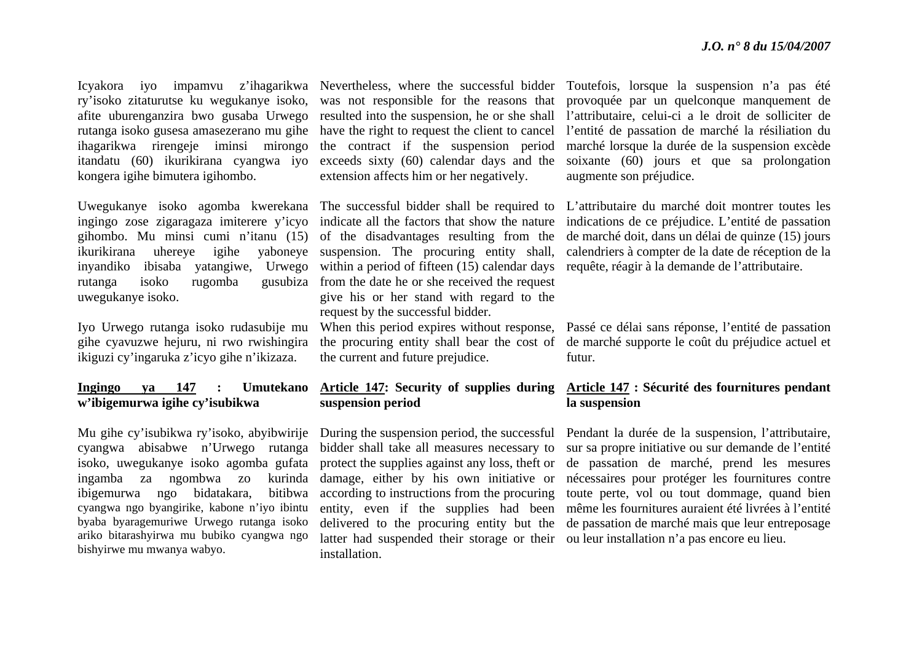ry'isoko zitaturutse ku wegukanye isoko, afite uburenganzira bwo gusaba Urwego rutanga isoko gusesa amasezerano mu gihe ihagarikwa rirengeje iminsi mirongo itandatu (60) ikurikirana cyangwa iyo kongera igihe bimutera igihombo.

ingingo zose zigaragaza imiterere y'icyo gihombo. Mu minsi cumi n'itanu (15) inyandiko ibisaba yatangiwe, Urwego rutanga isoko rugomba gusubiza uwegukanye isoko.

Iyo Urwego rutanga isoko rudasubije mu gihe cyavuzwe hejuru, ni rwo rwishingira ikiguzi cy'ingaruka z'icyo gihe n'ikizaza.

### **Ingingo ya 147 : Umutekano <sup>w</sup>'ibigemurwa igihe cy'isubikwa**

Mu gihe cy'isubikwa ry'isoko, abyibwirije cyangwa abisabwe n'Urwego rutanga isoko, uwegukanye isoko agomba gufata ingamba za ngombwa zo kurinda ibigemurwa ngo bidatakara, bitibwa cyangwa ngo byangirike, kabone n'iyo ibintu byaba byaragemuriwe Urwego rutanga isoko ariko bitarashyirwa mu bubiko cyangwa ngo bishyirwe mu mwanya wabyo.

resulted into the suspension, he or she shall the contract if the suspension period exceeds sixty (60) calendar days and the extension affects him or her negatively.

Uwegukanye isoko agomba kwerekana The successful bidder shall be required to ikurikirana uhereye igihe yaboneye suspension. The procuring entity shall, indicate all the factors that show the nature of the disadvantages resulting from the within a period of fifteen (15) calendar days from the date he or she received the request give his or her stand with regard to the request by the successful bidder.

> the procuring entity shall bear the cost of the current and future prejudice.

## **Article 147: Security of supplies during suspension period**

During the suspension period, the successful bidder shall take all measures necessary to protect the supplies against any loss, theft or damage, either by his own initiative or according to instructions from the procuring delivered to the procuring entity but the latter had suspended their storage or their ou leur installation n'a pas encore eu lieu. installation.

Icyakora iyo impamvu z'ihagarikwa Nevertheless, where the successful bidder Toutefois, lorsque la suspension n'a pas été was not responsible for the reasons that provoquée par un quelconque manquement de have the right to request the client to cancel l'entité de passation de marché la résiliation du l'attributaire, celui-ci a le droit de solliciter de marché lorsque la durée de la suspension excède soixante (60) jours et que sa prolongation augmente son préjudice.

> L'attributaire du marché doit montrer toutes les indications de ce préjudice. L'entité de passation de marché doit, dans un délai de quinze (15) jours calendriers à compter de la date de réception de la requête, réagir à la demande de l'attributaire.

When this period expires without response, Passé ce délai sans réponse, l'entité de passation de marché supporte le coût du préjudice actuel et futur.

### **Article 147 : Sécurité des fournitures pendant la suspension**

entity, even if the supplies had been même les fournitures auraient été livrées à l'entité Pendant la durée de la suspension, l'attributaire, sur sa propre initiative ou sur demande de l'entité de passation de marché, prend les mesures nécessaires pour protéger les fournitures contre toute perte, vol ou tout dommage, quand bien de passation de marché mais que leur entreposage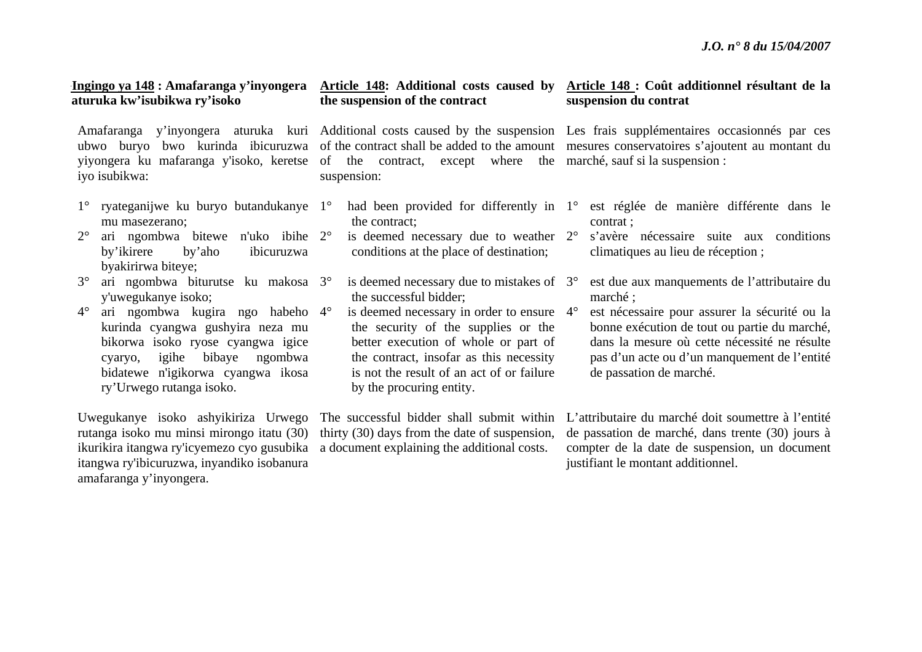### **GIngingo ya 148 : Amafaranga y'inyongera aturuka kw'isubikwa ry'isoko**

yiyongera ku mafaranga y'isoko, keretse iyo isubikwa:

- 1° ryateganijwe ku buryo butandukanye 1°mu masezerano;
- $2^{\circ}$  ari ngombwa bitewe n'uko ibihe 2°by'ikirere by'aho ibicuruzwa byakirirwa biteye;
- $3^\circ$  ari ngombwa biturutse ku makosa 3°y'uwegukanye isoko;
- $4^\circ$  ari ngombwa kugira ngo habeho 4°kurinda cyangwa gushyira neza mu bikorwa isoko ryose cyangwa igice cyaryo, igihe bibaye ngombwa bidatewe n'igikorwa cyangwa ikosa ry'Urwego rutanga isoko.

Uwegukanye isoko ashyikiriza Urwego rutanga isoko mu minsi mirongo itatu (30) ikurikira itangwa ry'icyemezo cyo gusubika itangwa ry'ibicuruzwa, inyandiko isobanura amafaranga y'inyongera.

## **the suspension of the contract**

of the contract, except where the marché, sauf si la suspension : suspension:

- <sup>o</sup> had been provided for differently in 1<sup>o</sup> the contract;
- <sup>o</sup> is deemed necessary due to weather 2<sup>o</sup> conditions at the place of destination;
- $\degree$  is deemed necessary due to mistakes of 3 $\degree$ the successful bidder;
- $\degree$  is deemed necessary in order to ensure  $\frac{4}{\degree}$ the security of the supplies or the better execution of whole or part of the contract, insofar as this necessity is not the result of an act of or failure by the procuring entity.

The successful bidder shall submit within thirty (30) days from the date of suspension, a document explaining the additional costs.

### **Article 148: Additional costs caused by Article 148 : Coût additionnel résultant de la suspension du contrat**

Amafaranga y'inyongera aturuka kuri Additional costs caused by the suspension Les frais supplémentaires occasionnés par ces ubwo buryo bwo kurinda ibicuruzwa of the contract shall be added to the amount mesures conservatoires s'ajoutent au montant du

- est réglée de manière différente dans le contrat ;
- <sup>s</sup>'avère nécessaire suite aux conditions climatiques au lieu de réception ;
- est due aux manquements de l'attributaire du marché ;
- est nécessaire pour assurer la sécurité ou la bonne exécution de tout ou partie du marché, dans la mesure où cette nécessité ne résulte pas d'un acte ou d'un manquement de l'entité de passation de marché.

L'attributaire du marché doit soumettre à l'entité de passation de marché, dans trente (30) jours à compter de la date de suspension, un document justifiant le montant additionnel.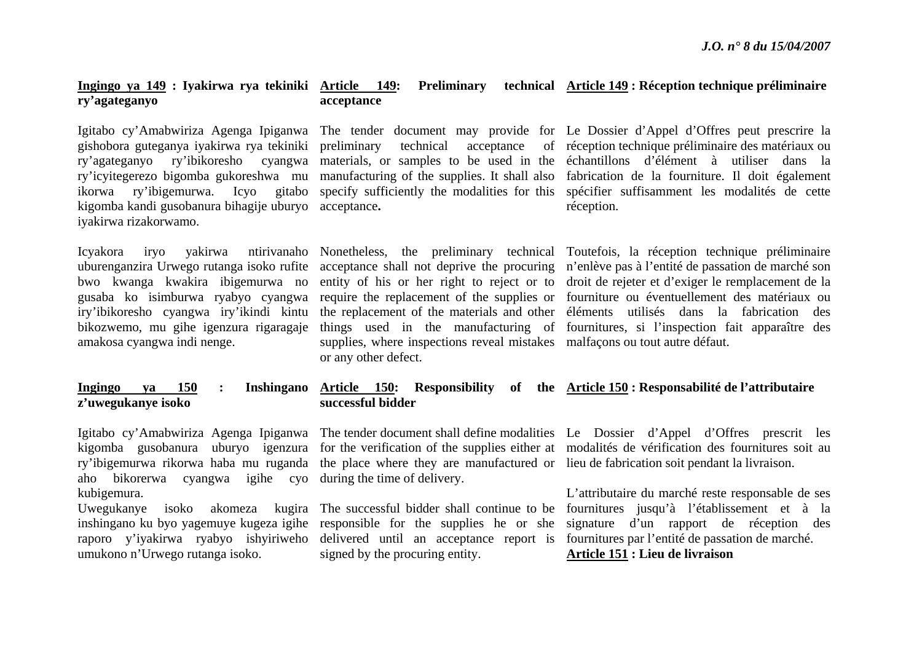### **Ingingo ya 149 : Iyakirwa rya tekiniki ry'agateganyo Article 149: Preliminary technical Article 149 : Réception technique préliminaire acceptance**

gishobora guteganya iyakirwa rya tekiniki preliminary technical acceptance of kigomba kandi gusobanura bihagije uburyo acceptance**.**  iyakirwa rizakorwamo.

bwo kwanga kwakira ibigemurwa no iry'ibikoresho cyangwa iry'ikindi kintu bikozwemo, mu gihe igenzura rigaragaje amakosa cyangwa indi nenge.

### **Ingingo ya 150 : Inshingano <sup>z</sup>'uwegukanye isoko**

aho bikorerwa cyangwa igihe cyo during the time of delivery. kubigemura.

umukono n'Urwego rutanga isoko.

supplies, where inspections reveal mistakes malfaçons ou tout autre défaut. or any other defect.

Igitabo cy'Amabwiriza Agenga Ipiganwa The tender document may provide for Le Dossier d'Appel d'Offres peut prescrire la ry'agateganyo ry'ibikoresho cyangwa materials, or samples to be used in the échantillons d'élément à utiliser dans la ry'icyitegerezo bigomba gukoreshwa mu manufacturing of the supplies. It shall also fabrication de la fourniture. Il doit également ikorwa ry'ibigemurwa. Icyo gitabo specify-sufficiently-the-modalities-for-this spécifier-suffisamment-les-modalités-de-cetteacceptance of réception technique préliminaire des matériaux ou réception.

Icyakora iryo yakirwa ntirivanaho Nonetheless, the preliminary technical Toutefois, la réception technique préliminaire uburenganzira Urwego rutanga isoko rufite acceptance shall not deprive the procuring <sup>n</sup>'enlève pas à l'entité de passation de marché son gusaba ko isimburwa ryabyo cyangwa require the replacement of the supplies or fourniture ou éventuellement des matériaux ou entity of his or her right to reject or to droit de rejeter et d'exiger le remplacement de la the replacement of the materials and other éléments utilisés dans la fabrication des things used in the manufacturing of fournitures, si l'inspection fait apparaître des

### **Article 150: Responsibility of the Article 150 : Responsabilité de l'attributaire successful bidder**

ry'ibigemurwa rikorwa haba mu ruganda the place where they are manufactured or lieu de fabrication soit pendant la livraison.

signed by the procuring entity.

Igitabo cy'Amabwiriza Agenga Ipiganwa The tender document shall define modalities Le Dossier d'Appel d'Offres prescrit les kigomba gusobanura uburyo igenzura for the verification of the supplies either at modalités de vérification des fournitures soit au

Uwegukanye isoko akomeza kugira The successful bidder shall continue to be fournitures jusqu'à l'établissement et à la inshingano ku byo yagemuye kugeza igihe responsible for the supplies he or she signature d'un rapport de réception des raporo y'iyakirwa ryabyo ishyiriweho delivered until an acceptance report is fournitures par l'entité de passation de marché. L'attributaire du marché reste responsable de ses **Article 151 : Lieu de livraison**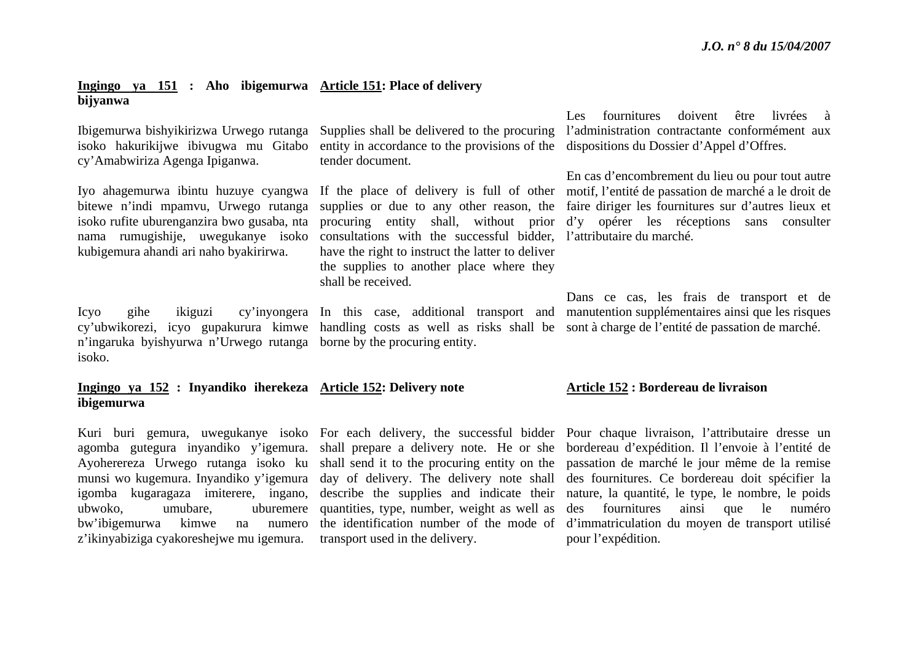### **Ingingo ya 151 : Aho ibigemurwa Article 151: Place of delivery bijyanwa**

cy'Amabwiriza Agenga Ipiganwa.

bitewe n'indi mpamvu, Urwego rutanga isoko rufite uburenganzira bwo gusaba, nta nama rumugishije, uwegukanye isoko kubigemura ahandi ari naho byakirirwa.

<sup>n</sup>'ingaruka byishyurwa n'Urwego rutanga borne by the procuring entity. isoko.

### **Ingingo ya 152 : Inyandiko iherekeza Article 152: Delivery note ibigemurwa**

agomba gutegura inyandiko y'igemura. shall prepare a delivery note. He or she Ayoherereza Urwego rutanga isoko ku shall send it to the procuring entity on the ubwoko, umubare, uburemere quantities, type, number, weight as well as bw'ibigemurwa kimwe na numero <sup>z</sup>'ikinyabiziga cyakoreshejwe mu igemura.

Ibigemurwa bishyikirizwa Urwego rutanga Supplies shall be delivered to the procuring isoko hakurikijwe ibivugwa mu Gitabo entity in accordance to the provisions of the dispositions du Dossier d'Appel d'Offres. tender document.

> supplies or due to any other reason, the consultations with the successful bidder, l'attributaire du marché. have the right to instruct the latter to deliver the supplies to another place where they shall be received.

transport used in the delivery.

Les fournitures doivent être livrées à l'administration contractante conformément aux

Iyo ahagemurwa ibintu huzuye cyangwa If the place of delivery is full of other motif, l'entité de passation de marché a le droit de procuring entity shall, without prior d'y opérer les réceptions sans consulter En cas d'encombrement du lieu ou pour tout autre faire diriger les fournitures sur d'autres lieux et

Icyo gihe ikiguzi cy'inyongera In this case, additional transport and manutention supplémentaires ainsi que les risques cy'ubwikorezi, icyo gupakurura kimwe handling costs as well as risks shall be sont à charge de l'entité de passation de marché. Dans ce cas, les frais de transport et de

### **Article 152 : Bordereau de livraison**

Kuri buri gemura, uwegukanye isoko For each delivery, the successful bidder Pour chaque livraison, l'attributaire dresse un munsi wo kugemura. Inyandiko y'igemura day of delivery. The delivery note shall des fournitures. Ce bordereau doit spécifier la igomba kugaragaza imiterere, ingano, describe the supplies and indicate their nature, la quantité, le type, le nombre, le poids the identification number of the mode of d'immatriculation du moyen de transport utilisé bordereau d'expédition. Il l'envoie à l'entité de passation de marché le jour même de la remise des fournitures ainsi que le numéro pour l'expédition.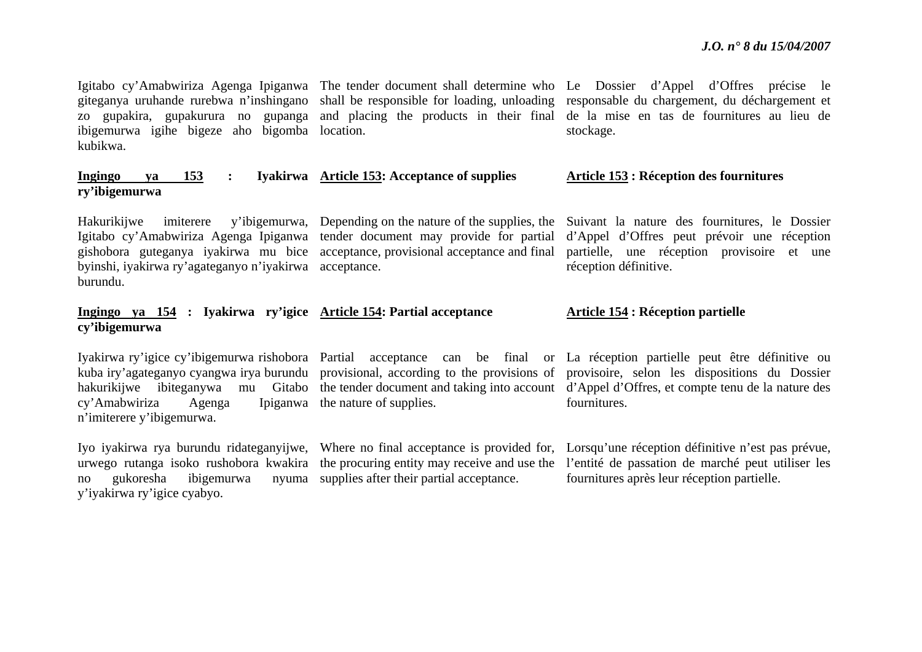Igitabo cy'Amabwiriza Agenga Ipiganwa The tender document shall determine who Le Dossier d'Appel d'Offres précise le giteganya uruhande rurebwa n'inshingano shall be responsible for loading, unloading responsable du chargement, du déchargement et zo gupakira, gupakurura no gupanga and placing the products in their final de la mise en tas de fournitures au lieu de ibigemurwa igihe bigeze aho bigomba location. kubikwa.

### **Ingingo ya 153 : Iyakirwa Article 153: Acceptance of supplies ry'ibigemurwa**

Igitabo cy'Amabwiriza Agenga Ipiganwa tender document may provide for partial byinshi, iyakirwa ry'agateganyo n'iyakirwa acceptance. burundu.

### **Ingingo ya 154 : Iyakirwa ry'igice Article 154: Partial acceptance cy'ibigemurwa**

 $cv'Amabwiriza$  Agenga <sup>n</sup>'imiterere y'ibigemurwa.

no gukoresha ibigemurwa y'iyakirwa ry'igice cyabyo.

Ipiganwa the nature of supplies.

nyuma supplies after their partial acceptance.

stockage.

### **Article 153 : Réception des fournitures**

Hakurikijwe imiterere y'ibigemurwa, Depending on the nature of the supplies, the Suivant la nature des fournitures, le Dossier gishobora guteganya iyakirwa mu bice acceptance, provisional acceptance and final partielle, une réception provisoire et une d'Appel d'Offres peut prévoir une réception réception définitive.

### **Article 154 : Réception partielle**

Iyakirwa ry'igice cy'ibigemurwa rishobora Partial acceptance can be final or La réception partielle peut être définitive ou kuba iry'agateganyo cyangwa irya burundu provisional, according to the provisions of provisoire, selon les dispositions du Dossier hakurikijwe ibiteganywa mu Gitabo the tender document and taking into account d'Appel d'Offres, et compte tenu de la nature des fournitures.

Iyo iyakirwa rya burundu ridateganyijwe, Where no final acceptance is provided for, Lorsqu'une réception définitive n'est pas prévue, urwego rutanga isoko rushobora kwakira the procuring entity may receive and use the l'entité de passation de marché peut utiliser les fournitures après leur réception partielle.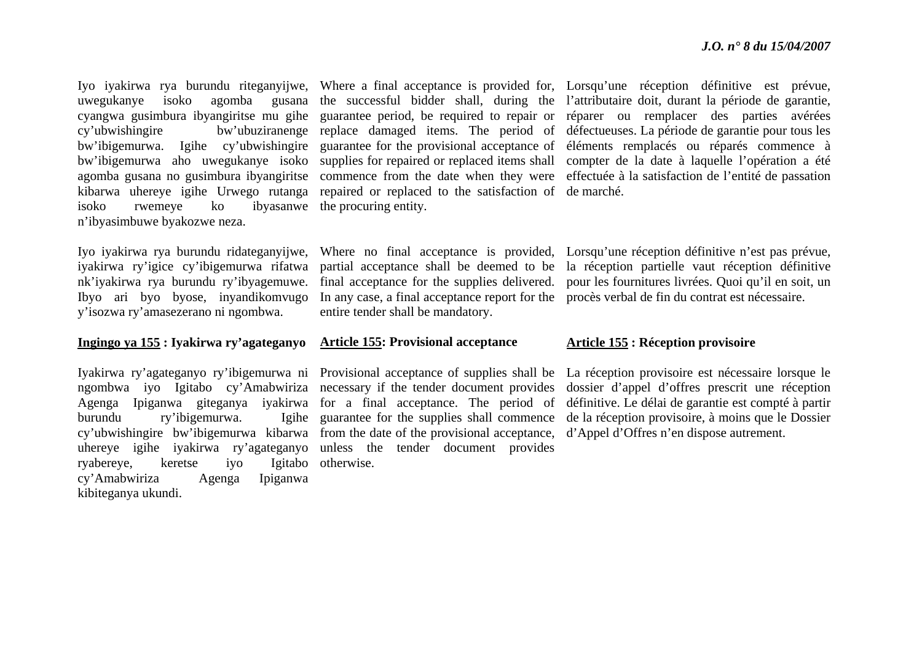uwegukanye isoko agomba gusana cyangwa gusimbura ibyangiritse mu gihe agomba gusana no gusimbura ibyangiritse kibarwa uhereye igihe Urwego rutanga repaired or replaced to the satisfaction of de marché. isoko rwemeye ko ibyasanwe the procuring entity. <sup>n</sup>'ibyasimbuwe byakozwe neza.

nk'iyakirwa rya burundu ry'ibyagemuwe. Ibyo ari byo byose, inyandikomvugo y'isozwa ry'amasezerano ni ngombwa.

### **Ingingo ya 155 : Iyakirwa ry'agateganyo**

burundu ry'ibigemurwa. Igihe ryabereye, keretse iyo cy'Amabwiriza Agenga Ipiganwa kibiteganya ukundi.

In any case, a final acceptance report for the procès verbal de fin du contrat est nécessaire. entire tender shall be mandatory.

### **Article 155: Provisional acceptance**

ngombwa iyo Igitabo cy'Amabwiriza necessary if the tender document provides Agenga Ipiganwa giteganya iyakirwa for a final acceptance. The period of cy'ubwishingire bw'ibigemurwa kibarwa from the date of the provisional acceptance, d'Appel d'Offres n'en dispose autrement. uhereye igihe iyakirwa ry'agateganyo unless the tender document provides guarantee for the supplies shall commence otherwise.

Iyo iyakirwa rya burundu riteganyijwe, Where a final acceptance is provided for, Lorsqu'une réception définitive est prévue, cy'ubwishingire bw'ubuziranenge replace damaged items. The period of défectueuses. La période de garantie pour tous les bw'ibigemurwa. Igihe cy'ubwishingire guarantee for the provisional acceptance of éléments remplacés ou réparés commence à bw'ibigemurwa aho uwegukanye isoko supplies for repaired or replaced items shall compter de la date à laquelle l'opération a été the successful bidder shall, during the l'attributaire doit, durant la période de garantie, guarantee period, be required to repair or réparer ou remplacer des parties avérées commence from the date when they were effectuée à la satisfaction de l'entité de passation

Iyo iyakirwa rya burundu ridateganyijwe, Where no final acceptance is provided, Lorsqu'une réception définitive n'est pas prévue, iyakirwa ry'igice cy'ibigemurwa rifatwa partial acceptance shall be deemed to be la réception partielle vaut réception définitive final acceptance for the supplies delivered. pour les fournitures livrées. Quoi qu'il en soit, un

### **Article 155 : Réception provisoire**

Iyakirwa ry'agateganyo ry'ibigemurwa ni Provisional acceptance of supplies shall be La réception provisoire est nécessaire lorsque le dossier d'appel d'offres prescrit une réception définitive. Le délai de garantie est compté à partir de la réception provisoire, à moins que le Dossier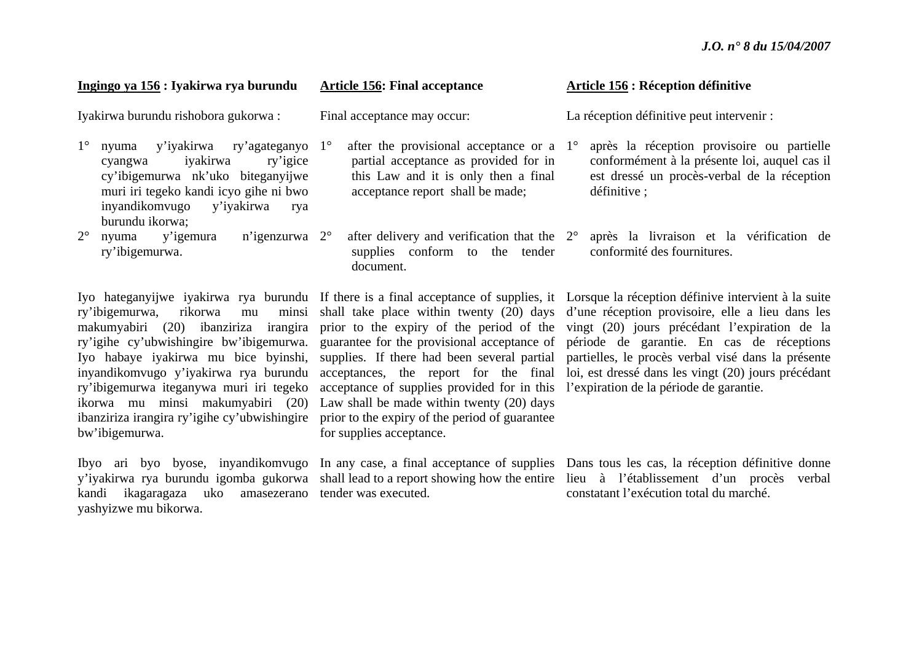### **Ingingo ya 156 : Iyakirwa rya burundu**

Iyakirwa burundu rishobora gukorwa :

- 1° nyuma y'iyakirwa ry'agateganyo 1°cyangwa iyakirwa ry'igice cy'ibigemurwa nk'uko biteganyijwe muri iri tegeko kandi icyo gihe ni bwo inyandikomvugo y'iyakirwa rya burundu ikorwa;
- $2^{\circ}$  nyuma y'igemura n'igenzurwa 2°ry'ibigemurwa.

ry'ibigemurwa, rikorwa mu ikorwa mu minsi makumyabiri (20) Law shall be made within twenty (20) days ibanziriza irangira ry'igihe cy'ubwishingire prior to the expiry of the period of guarantee bw'ibigemurwa.

kandi ikagaragaza uko amasezerano tender was executed. yashyizwe mu bikorwa.

### **Article 156: Final acceptance**

Final acceptance may occur:

 $\degree$  after the provisional acceptance or a 1 $\degree$ partial acceptance as provided for in this Law and it is only then a final acceptance report shall be made;

 $\degree$  after delivery and verification that the  $2\degree$ supplies conform to the tender document.

ry'ibigemurwa iteganywa muri iri tegeko acceptance of supplies provided for in this l'expiration de la période de garantie. for supplies acceptance.

### **Article 156 : Réception définitive**

La réception définitive peut intervenir :

- après la réception provisoire ou partielle conformément à la présente loi, auquel cas il est dressé un procès-verbal de la réception définitive ;
- après la livraison et la vérification de conformité des fournitures.

Iyo hateganyijwe iyakirwa rya burundu If there is a final acceptance of supplies, it Lorsque la réception définive intervient à la suite makumyabiri (20) ibanziriza irangira prior to the expiry of the period of the vingt (20) jours précédant l'expiration de la ry'igihe cy'ubwishingire bw'ibigemurwa. guarantee for the provisional acceptance of période de garantie. En cas de réceptions Iyo habaye iyakirwa mu bice byinshi, supplies. If there had been several partial partielles, le procès verbal visé dans la présente inyandikomvugo y'iyakirwa rya burundu acceptances, the report for the final loi, est dressé dans les vingt (20) jours précédant shall take place within twenty (20) days d'une réception provisoire, elle a lieu dans les

Ibyo ari byo byose, inyandikomvugo In any case, a final acceptance of supplies Dans tous les cas, la réception définitive donne y'iyakirwa rya burundu igomba gukorwa shall lead to a report showing how the entire lieu à l'établissement d'un procès verbal constatant l'exécution total du marché.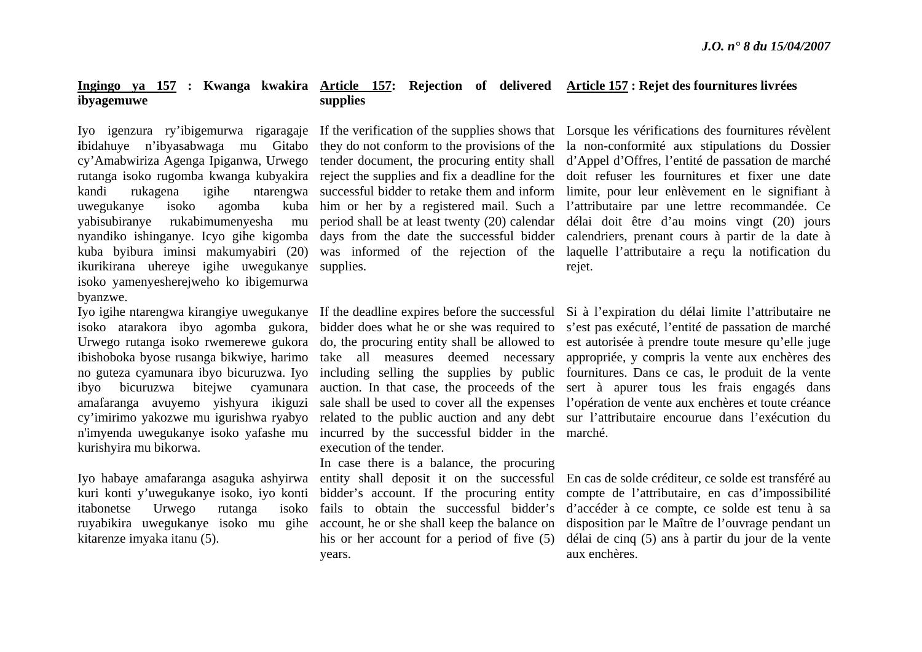### **Ingingo ya 157 : Kwanga kwakira Article 157: Rejection of delivered Article 157 : Rejet des fournitures livrées ibyagemuwe supplies**

uwegukanye isoko agomba kuba yabisubiranye rukabimumenyesha mu ikurikirana uhereye igihe uwegukanye supplies. isoko yamenyesherejweho ko ibigemurwa byanzwe.

isoko atarakora ibyo agomba gukora, Urwego rutanga isoko rwemerewe gukora ibishoboka byose rusanga bikwiye, harimo no guteza cyamunara ibyo bicuruzwa. Iyo ibyo bicuruzwa bitejwe cyamunara amafaranga avuyemo yishyura ikiguzi cy'imirimo yakozwe mu igurishwa ryabyo <sup>n</sup>'imyenda uwegukanye isoko yafashe mu kurishyira mu bikorwa.

itabonetse Urwego rutanga isoko kitarenze imyaka itanu (5).

incurred by the successful bidder in the marché. execution of the tender.

kuri konti y'uwegukanye isoko, iyo konti bidder's account. If the procuring entity ruyabikira uwegukanye isoko mu gihe account, he or she shall keep the balance on In case there is a balance, the procuring his or her account for a period of five (5) years.

Iyo igenzura ry'ibigemurwa rigaragaje If the verification of the supplies shows that Lorsque les vérifications des fournitures révèlent **i**bidahuye n'ibyasabwaga mu Gitabo they do not conform to the provisions of the la non-conformité aux stipulations du Dossier cy'Amabwiriza Agenga Ipiganwa, Urwego tender document, the procuring entity shall d'Appel d'Offres, l'entité de passation de marché rutanga isoko rugomba kwanga kubyakira reject the supplies and fix a deadline for the doit refuser les fournitures et fixer une date kandi rukagena igihe ntarengwa successful bidder to retake them and inform limite, pour leur enlèvement en le signifiant à nyandiko ishinganye. Icyo gihe kigomba days from the date the successful bidder calendriers, prenant cours à partir de la date à kuba byibura iminsi makumyabiri (20) was informed of the rejection of the laquelle l'attributaire a reçu la notification du him or her by a registered mail. Such a l'attributaire par une lettre recommandée. Ce period shall be at least twenty (20) calendar délai doit être d'au moins vingt (20) jours rejet.

Iyo igihe ntarengwa kirangiye uwegukanye If the deadline expires before the successful Si à l'expiration du délai limite l'attributaire ne bidder does what he or she was required to <sup>s</sup>'est pas exécuté, l'entité de passation de marché do, the procuring entity shall be allowed to est autorisée à prendre toute mesure qu'elle juge take all measures deemed necessary appropriée, y compris la vente aux enchères des including selling the supplies by public fournitures. Dans ce cas, le produit de la vente auction. In that case, the proceeds of the sert à apurer tous les frais engagés dans sale shall be used to cover all the expenses l'opération de vente aux enchères et toute créance related to the public auction and any debt sur l'attributaire encourue dans l'exécution du

Iyo habaye amafaranga asaguka ashyirwa entity shall deposit it on the successful En cas de solde créditeur, ce solde est transféré au fails to obtain the successful bidder's d'accéder à ce compte, ce solde est tenu à sa compte de l'attributaire, en cas d'impossibilité disposition par le Maître de l'ouvrage pendant un délai de cinq (5) ans à partir du jour de la vente aux enchères.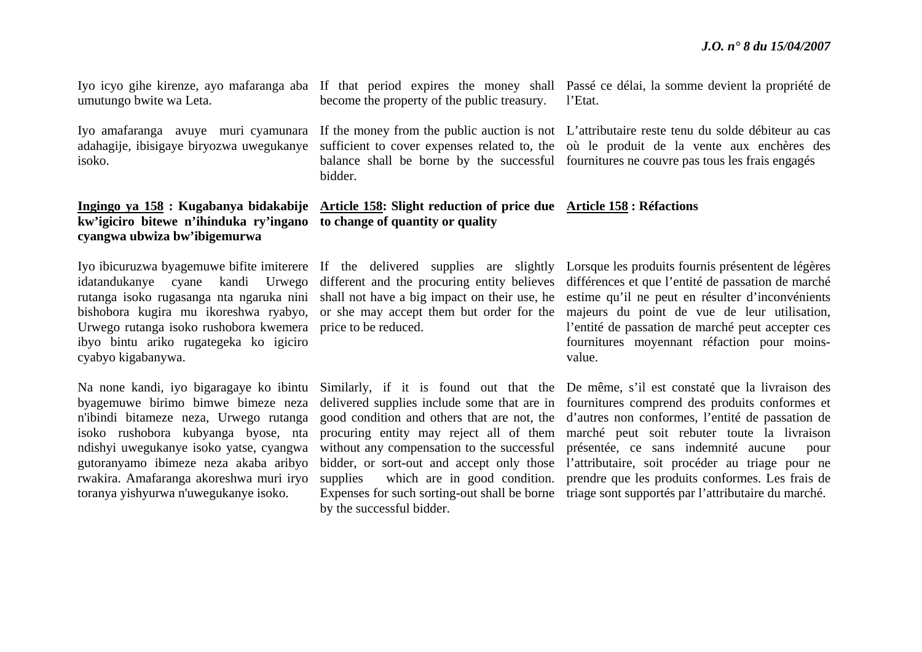umutungo bwite wa Leta.

isoko.

## **kw'igiciro bitewe n'ihinduka ry'ingano to change of quantity or quality cyangwa ubwiza bw'ibigemurwa**

Urwego rutanga isoko rushobora kwemera price to be reduced. ibyo bintu ariko rugategeka ko igiciro cyabyo kigabanywa.

Na none kandi, iyo bigaragaye ko ibintu byagemuwe birimo bimwe bimeze neza <sup>n</sup>'ibindi bitameze neza, Urwego rutanga isoko rushobora kubyanga byose, nta ndishyi uwegukanye isoko yatse, cyangwa gutoranyamo ibimeze neza akaba aribyo rwakira. Amafaranga akoreshwa muri iryo toranya yishyurwa n'uwegukanye isoko.

Iyo icyo gihe kirenze, ayo mafaranga aba If that period expires the money shall Passé ce délai, la somme devient la propriété de become the property of the public treasury. l'Etat.

Iyo amafaranga avuye muri cyamunara If the money from the public auction is not L'attributaire reste tenu du solde débiteur au cas adahagije, ibisigaye biryozwa uwegukanye sufficient to cover expenses related to, the où le produit de la vente aux enchères des balance shall be borne by the successful fournitures ne couvre pas tous les frais engagés bidder.

# **Ingingo ya 158 : Kugabanya bidakabije Article 158: Slight reduction of price due Article 158 : Réfactions**

by the successful bidder.

Iyo ibicuruzwa byagemuwe bifite imiterere If the delivered supplies are slightly Lorsque les produits fournis présentent de légères idatandukanye cyane kandi Urwego different and the procuring entity believes différences et que l'entité de passation de marché rutanga isoko rugasanga nta ngaruka nini shall not have a big impact on their use, he estime qu'il ne peut en résulter d'inconvénients bishobora kugira mu ikoreshwa ryabyo, or she may accept them but order for the majeurs du point de vue de leur utilisation, l'entité de passation de marché peut accepter ces fournitures moyennant réfaction pour moinsvalue.

> Similarly, if it is found out that the De même, s'il est constaté que la livraison des delivered supplies include some that are in fournitures comprend des produits conformes et good condition and others that are not, the d'autres non conformes, l'entité de passation de procuring entity may reject all of them marché peut soit rebuter toute la livraison without any compensation to the successful présentée, ce sans indemnité aucune pour bidder, or sort-out and accept only those l'attributaire, soit procéder au triage pour ne supplies which are in good condition. prendre que les produits conformes. Les frais de Expenses for such sorting-out shall be borne triage sont supportés par l'attributaire du marché.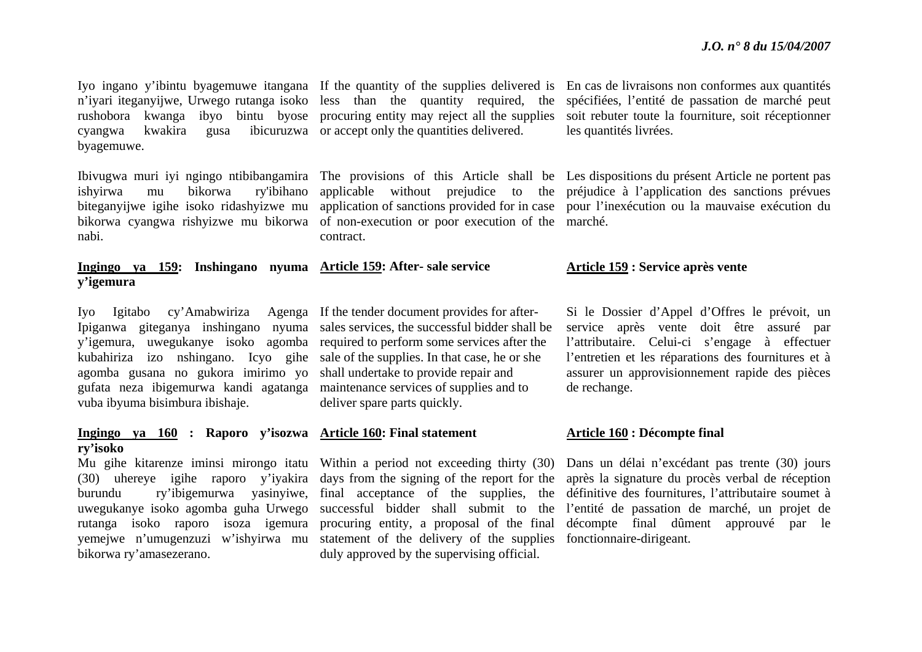cyangwa kwakira gusa ibicuruzwa or accept only the quantities delivered. byagemuwe.

nabi.

**Ingingo ya 159: Inshingano nyuma Article 159: After- sale service y'igemura** 

Iyo Igitabo cy'Amabwiriza Agenga If the tender document provides for after-Ipiganwa giteganya inshingano nyuma sales services, the successful bidder shall be y'igemura, uwegukanye isoko agomba required to perform some services after the kubahiriza izo nshingano. Icyo gihe sale of the supplies. In that case, he or she agomba gusana no gukora imirimo yo shall undertake to provide repair and gufata neza ibigemurwa kandi agatanga maintenance services of supplies and to vuba ibyuma bisimbura ibishaje.

### **Ingingo ya 160 : Raporo y'isozwa Article 160: Final statement ry'isoko**

bikorwa ry'amasezerano.

rushobora kwanga ibyo bintu byose procuring entity may reject all the supplies

bikorwa cyangwa rishyizwe mu bikorwa of non-execution or poor execution of the marché. contract.

deliver spare parts quickly.

burundu ry'ibigemurwa yasinyiwe, final acceptance of the supplies, the rutanga isoko raporo isoza igemura procuring entity, a proposal of the final yemejwe n'umugenzuzi w'ishyirwa mu statement of the delivery of the supplies fonctionnaire-dirigeant. duly approved by the supervising official.

Iyo ingano y'ibintu byagemuwe itangana If the quantity of the supplies delivered is En cas de livraisons non conformes aux quantités n'iyari iteganyijwe, Urwego rutanga isoko less than the quantity required, the spécifiées, l'entité de passation de marché peut soit rebuter toute la fourniture, soit réceptionner les quantités livrées.

Ibivugwa muri iyi ngingo ntibibangamira The provisions of this Article shall be Les dispositions du présent Article ne portent pas ishyirwa mu bikorwa ry'ibihano applicable without prejudice to the préjudice à l'application des sanctions prévues biteganyijwe igihe isoko ridashyizwe mu application of sanctions provided for in case pour l'inexécution ou la mauvaise exécution du

### **Article 159 : Service après vente**

Si le Dossier d'Appel d'Offres le prévoit, un service après vente doit être assuré par l'attributaire. Celui-ci s'engage à effectuer l'entretien et les réparations des fournitures et à assurer un approvisionnement rapide des pièces de rechange.

### **Article 160 : Décompte final**

Mu gihe kitarenze iminsi mirongo itatu Within a period not exceeding thirty (30) Dans un délai n'excédant pas trente (30) jours (30) uhereye igihe raporo y'iyakira days from the signing of the report for the après la signature du procès verbal de réception uwegukanye isoko agomba guha Urwego successful bidder shall submit to the l'entité de passation de marché, un projet de définitive des fournitures, l'attributaire soumet à décompte final dûment approuvé par le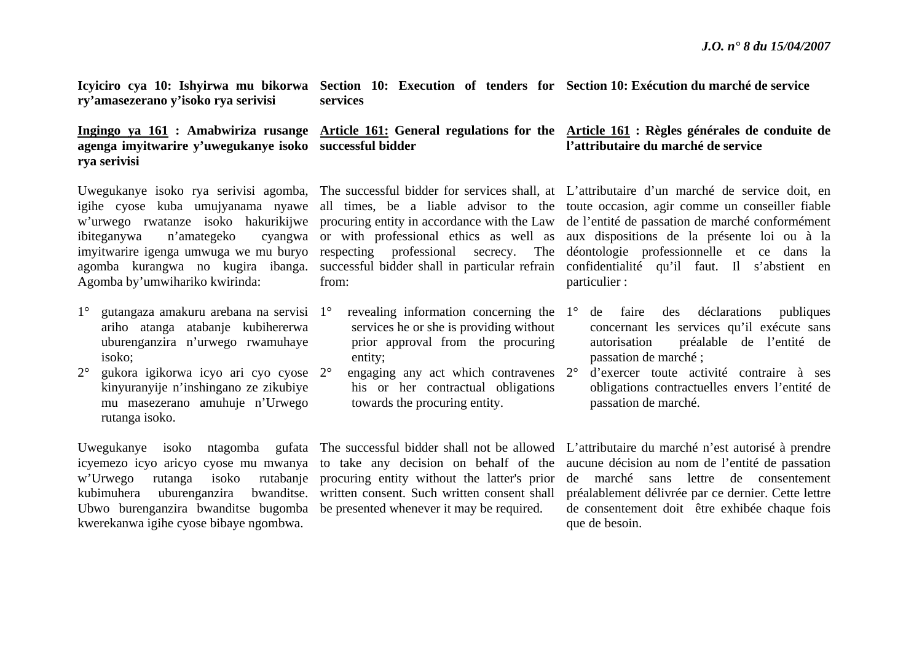**Icyiciro cya 10: Ishyirwa mu bikorwa Section 10: Execution of tenders for Section 10: Exécution du marché de service ry'amasezerano y'isoko rya serivisi services**

### **Ingingo ya 161 : Amabwiriza rusange Article 161: General regulations for the Article 161 : Règles générales de conduite de agenga imyitwarire y'uwegukanye isoko successful bidder rya serivisi**

ibiteganywa n'amategeko Agomba by'umwihariko kwirinda:

- 1° gutangaza amakuru arebana na servisi 1°ariho atanga atabanje kubihererwa uburenganzira n'urwego rwamuhaye isoko;
- $2^{\circ}$  gukora igikorwa icyo ari cyo cyose 2°kinyuranyije n'inshingano ze zikubiye mu masezerano amuhuje n'Urwego rutanga isoko.

Ubwo burenganzira bwanditse bugomba be presented whenever it may be required. kwerekanwa igihe cyose bibaye ngombwa.

# from:

- $\degree$  revealing information concerning the  $1\degree$ services he or she is providing without prior approval from the procuring entity;
- $\degree$  engaging any act which contravenes  $2\degree$ his or her contractual obligations towards the procuring entity.

icyemezo icyo aricyo cyose mu mwanya to take any decision on behalf of the kubimuhera uburenganzira bwanditse. written consent. Such written consent shall

## **l'attributaire du marché de service**

Uwegukanye isoko rya serivisi agomba, The successful bidder for services shall, at L'attributaire d'un marché de service doit, en igihe cyose kuba umujyanama nyawe all times, be a liable advisor to the toute occasion, agir comme un conseiller fiable <sup>w</sup>'urwego rwatanze isoko hakurikijwe procuring entity in accordance with the Law de l'entité de passation de marché conformément imyitwarire igenga umwuga we mu buryo respecting professional secrecy. The déontologie professionnelle et ce dans la agomba kurangwa no kugira ibanga. successful-bidder-shall-in-particular-refrain confidentialité qu'il faut. Il s'abstient en or with professional ethics as well as aux dispositions de la présente loi ou à la particulier :

- de faire des déclarations publiques concernant les services qu'il exécute sans autorisation préalable de l'entité de passation de marché ;
- d'exercer toute activité contraire à ses obligations contractuelles envers l'entité de passation de marché.

Uwegukanye isoko ntagomba gufata The successful bidder shall not be allowed L'attributaire du marché n'est autorisé à prendre <sup>w</sup>'Urwego rutanga isoko rutabanje procuring entity without the latter's prior de marché sans lettre de consentement aucune décision au nom de l'entité de passation préalablement délivrée par ce dernier. Cette lettre de consentement doit être exhibée chaque fois que de besoin.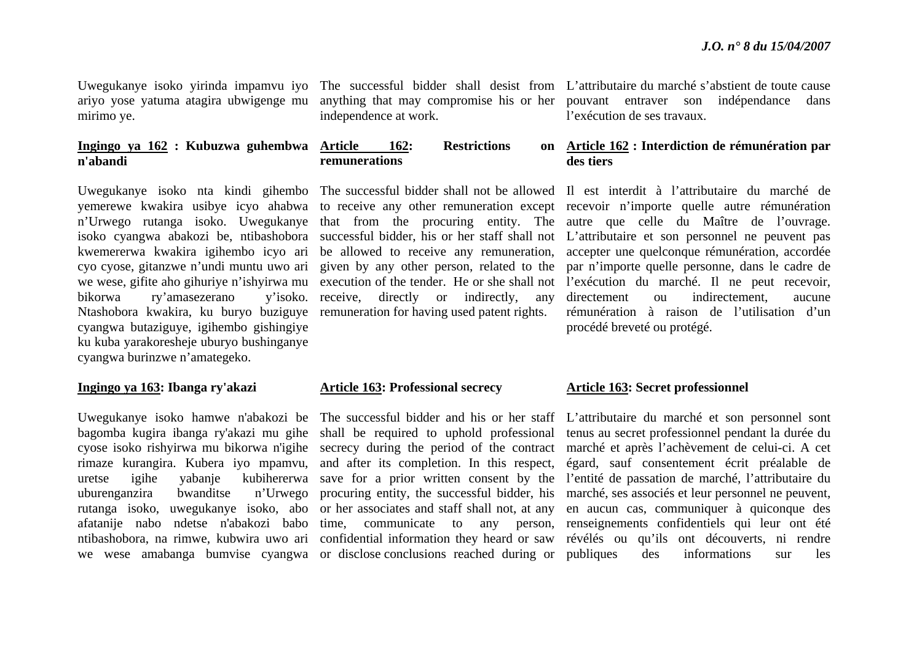ariyo yose yatuma atagira ubwigenge mu mirimo ye.

### **Ingingo ya 162 : Kubuzwa guhembwa n'abandi**

bikorwa ry'amasezerano Ntashobora kwakira, ku buryo buziguye remuneration for having used patent rights. cyangwa butaziguye, igihembo gishingiye ku kuba yarakoresheje uburyo bushinganye cyangwa burinzwe n'amategeko.

### **Ingingo ya 163: Ibanga ry'akazi**

uburenganzira bwanditse we wese amabanga bumvise cyangwa or disclose conclusions reached during or

independence at work.

### **162:** Restrictions **remunerations**

v'isoko. receive, directly or indirectly, any

### **Article 163: Professional secrecy**

rimaze kurangira. Kubera iyo mpamvu, and after its completion. In this respect, rutanga isoko, uwegukanye isoko, abo or her associates and staff shall not, at any

Uwegukanye isoko yirinda impamvu iyo The successful bidder shall desist from L'attributaire du marché s'abstient de toute cause anything that may compromise his or her pouvant entraver son indépendance dans l'exécution de ses travaux.

### **Article 162 : Interdiction de rémunération par des tiers**

Uwegukanye isoko nta kindi gihembo The successful bidder shall not be allowed Il est interdit à l'attributaire du marché de yemerewe kwakira usibye icyo ahabwa to receive any other remuneration except recevoir n'importe quelle autre rémunération n'Urwego rutanga isoko. Uwegukanye that from the procuring entity. The autre que celle du Maître de l'ouvrage. isoko cyangwa abakozi be, ntibashobora successful bidder, his or her staff shall not L'attributaire et son personnel ne peuvent pas kwemererwa kwakira igihembo icyo ari be allowed to receive any remuneration, accepter une quelconque rémunération, accordée cyo cyose, gitanzwe n'undi muntu uwo ari given by any other person, related to the par n'importe quelle personne, dans le cadre de we wese, gifite aho gihuriye n'ishyirwa mu execution of the tender. He or she shall not l'exécution du marché. Il ne peut recevoir, directement ou indirectement, aucune rémunération à raison de l'utilisation d'un procédé breveté ou protégé.

### **Article 163: Secret professionnel**

Uwegukanye isoko hamwe n'abakozi be The successful bidder and his or her staff L'attributaire du marché et son personnel sont bagomba kugira ibanga ry'akazi mu gihe shall be required to uphold professional tenus au secret professionnel pendant la durée du cyose isoko rishyirwa mu bikorwa n'igihe secrecy during the period of the contract marché et après l'achèvement de celui-ci. A cet uretse igihe yabanje kubihererwa save for a prior written consent by the l'entité de passation de marché, l'attributaire du afatanije nabo ndetse n'abakozi babo time, communicate to any person, renseignements confidentiels qui leur ont été ntibashobora, na rimwe, kubwira uwo ari confidential information they heard or saw révélés ou qu'ils ont découverts, ni rendre procuring entity, the successful bidder, his marché, ses associés et leur personnel ne peuvent, égard, sauf consentement écrit préalable de en aucun cas, communiquer à quiconque des publiques des informations sur les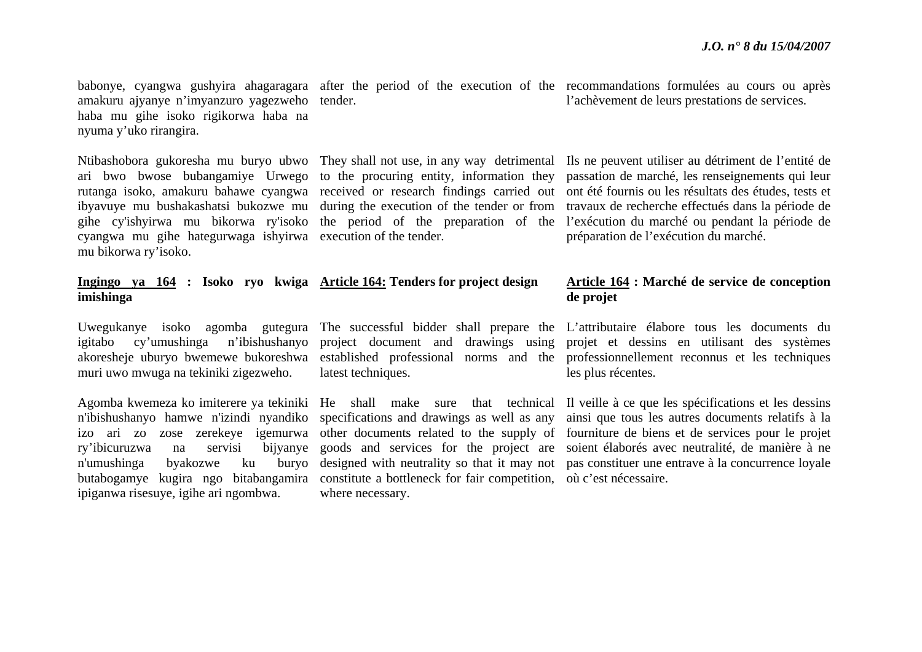babonye, cyangwa gushyira ahagaragara after the period of the execution of the recommandations formulées au cours ou après amakuru ajyanye n'imyanzuro yagezweho tender. haba mu gihe isoko rigikorwa haba na nyuma y'uko rirangira.

cyangwa mu gihe hategurwaga ishyirwa execution of the tender. mu bikorwa ry'isoko.

### **Ingingo ya 164 : Isoko ryo kwiga Article 164: Tenders for project design imishinga**

muri uwo mwuga na tekiniki zigezweho.

ry'ibicuruzwa na servisi n'umushinga byakozwe ku ipiganwa risesuye, igihe ari ngombwa. latest techniques.

butabogamye kugira ngo bitabangamira constitute a bottleneck for fair competition, où c'est nécessaire. where necessary.

l'achèvement de leurs prestations de services.

Ntibashobora gukoresha mu buryo ubwo They shall not use, in any way detrimental Ils ne peuvent utiliser au détriment de l'entité de ari bwo bwose bubangamiye Urwego to the procuring entity, information they passation de marché, les renseignements qui leur rutanga isoko, amakuru bahawe cyangwa received or research findings carried out ont été fournis ou les résultats des études, tests et ibyavuye mu bushakashatsi bukozwe mu during the execution of the tender or from travaux de recherche effectués dans la période de gihe cy'ishyirwa mu bikorwa ry'isoko the period of the preparation of the l'exécution du marché ou pendant la période de préparation de l'exécution du marché.

### **Article 164 : Marché de service de conception de projet**

Uwegukanye isoko agomba gutegura The successful bidder shall prepare the L'attributaire élabore tous les documents du igitabo cy'umushinga n'ibishushanyo project document and drawings using projet et dessins en utilisant des systèmes akoresheje uburyo bwemewe bukoreshwa established professional norms and the professionnellement reconnus et les techniques les plus récentes.

Agomba kwemeza ko imiterere ya tekiniki He shall make sure that technical Il veille à ce que les spécifications et les dessins <sup>n</sup>'ibishushanyo hamwe n'izindi nyandiko specifications and drawings as well as any ainsi que tous les autres documents relatifs à la izo ari zo zose zerekeye igemurwa other documents related to the supply of fourniture de biens et de services pour le projet goods and services for the project are soient élaborés avec neutralité, de manière à ne designed with neutrality so that it may not pas constituer une entrave à la concurrence loyale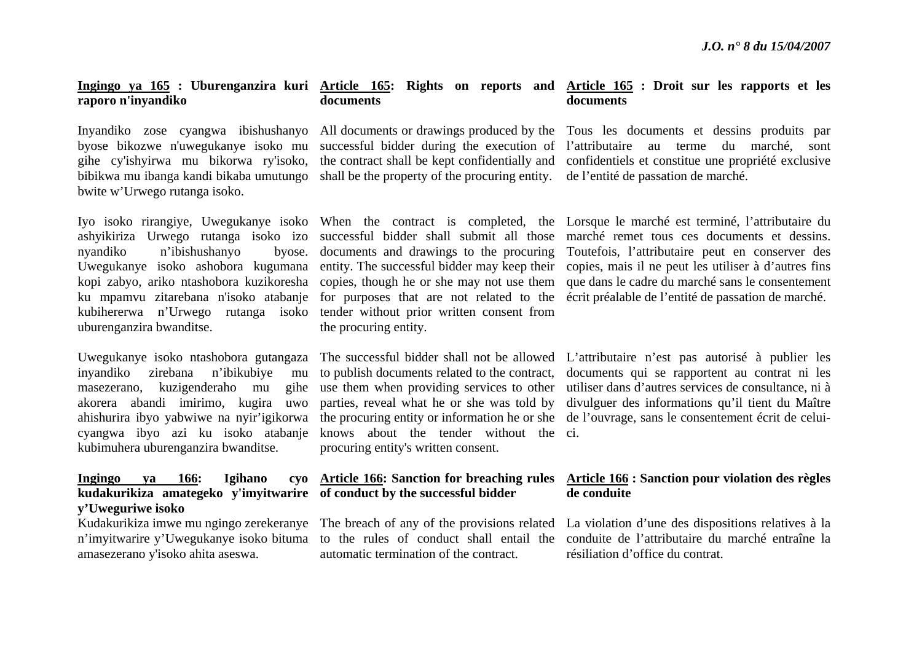### **Ingingo ya 165 : Uburenganzira kuri Article 165: Rights on reports and Article 165 : Droit sur les rapports et les raporo n'inyandiko documents**

bwite w'Urwego rutanga isoko.

nyandiko n'ibishushanyo. kubihererwa n'Urwego rutanga isoko tender without prior written consent from uburenganzira bwanditse.

inyandiko zirebana n'ibikubiye mu masezerano, kuzigenderaho mu akorera abandi imirimo, kugira uwo ahishurira ibyo yabwiwe na nyir'igikorwa kubimuhera uburenganzira bwanditse.

## **Ingingo ya 166: Igihano kudakurikiza amategeko y'imyitwarire of conduct by the successful bidder y'Uweguriwe isoko**

amasezerano y'isoko ahita aseswa.

bibikwa mu ibanga kandi bikaba umutungo shall be the property of the procuring entity. de l'entité de passation de marché.

the procuring entity.

cyangwa ibyo azi ku isoko atabanje knows about the tender without the ci. procuring entity's written consent.

automatic termination of the contract.

## **documents**

Inyandiko zose cyangwa ibishushanyo All documents or drawings produced by the Tous les documents et dessins produits par byose bikozwe n'uwegukanye isoko mu successful bidder during the execution of l'attributaire au terme du marché, sont gihe cy'ishyirwa mu bikorwa ry'isoko, the contract shall be kept confidentially and confidentiels et constitue une propriété exclusive

Iyo isoko rirangiye, Uwegukanye isoko When the contract is completed, the Lorsque le marché est terminé, l'attributaire du ashyikiriza Urwego rutanga isoko izo successful bidder shall submit all those marché remet tous ces documents et dessins. Uwegukanye isoko ashobora kugumana entity. The successful bidder may keep their copies, mais il ne peut les utiliser à d'autres fins kopi zabyo, ariko ntashobora kuzikoresha copies, though he or she may not use them que dans le cadre du marché sans le consentement ku mpamvu zitarebana n'isoko atabanje for purposes that are not related to the écrit préalable de l'entité de passation de marché. documents and drawings to the procuring Toutefois, l'attributaire peut en conserver des

Uwegukanye isoko ntashobora gutangaza The successful bidder shall not be allowed L'attributaire n'est pas autorisé à publier les to publish documents related to the contract, documents qui se rapportent au contrat ni les use them when providing services to other utiliser dans d'autres services de consultance, ni à parties, reveal what he or she was told by divulguer des informations qu'il tient du Maître the procuring entity or information he or she de l'ouvrage, sans le consentement écrit de celui-

### **Article 166: Sanction for breaching rules Article 166 : Sanction pour violation des règles de conduite**

Kudakurikiza imwe mu ngingo zerekeranye The breach of any of the provisions related La violation d'une des dispositions relatives à la <sup>n</sup>'imyitwarire y'Uwegukanye isoko bituma to the rules of conduct shall entail the conduite de l'attributaire du marché entraîne la résiliation d'office du contrat.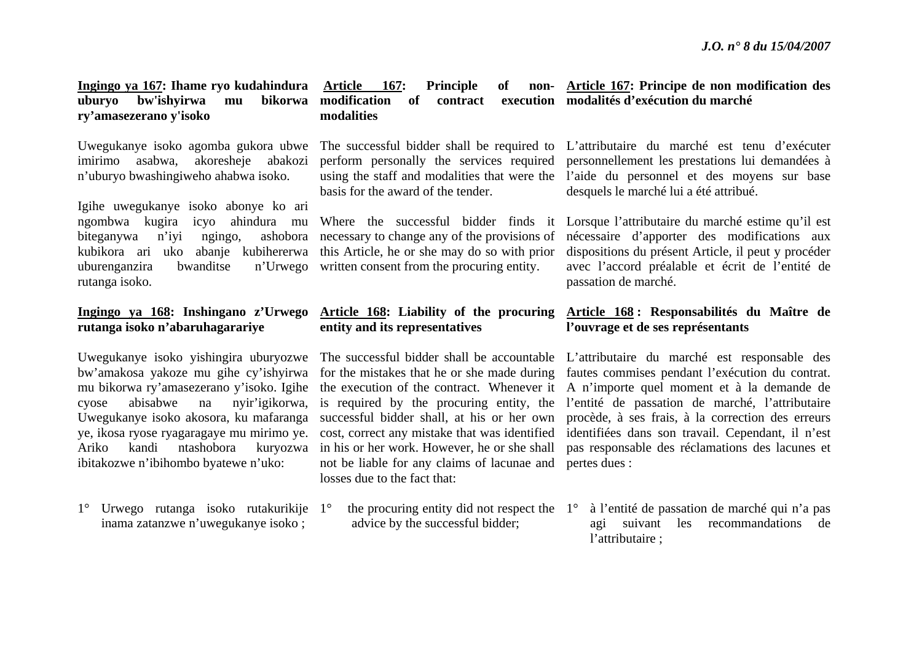### **Ingingo ya 167: Ihame ryo kudahindura Article 167: Principle of non**uburyo bw'ishyirwa mu **ry'amasezerano y'isoko bikorwa** modification of contract **modalities**

Uwegukanye isoko agomba gukora ubwe imirimo asabwa, akoresheje abakozi <sup>n</sup>'uburyo bwashingiweho ahabwa isoko.

Igihe uwegukanye isoko abonye ko ari ngombwa kugira icyo ahindura mu biteganywa n'iyi ngingo, ashobora uburenganzira bwanditse rutanga isoko.

### **Ingingo ya 168: Inshingano z'Urwego rutanga isoko n'abaruhagarariye**

Uwegukanye isoko yishingira uburyozwe bw'amakosa yakoze mu gihe cy'ishyirwa mu bikorwa ry'amasezerano y'isoko. Igihe cyose abisabwe na nyir'igikorwa, Uwegukanye isoko akosora, ku mafaranga ye, ikosa ryose ryagaragaye mu mirimo ye. Ariko kandi ntashobora kuryozwa ibitakozwe n'ibihombo byatewe n'uko:

1° Urwego rutanga isoko rutakurikije 1°inama zatanzwe n'uwegukanye isoko ;

basis for the award of the tender.

kubikora ari uko abanje kubihererwa this Article, he or she may do so with prior necessary to change any of the provisions of n' Urwego written consent from the procuring entity.

# **entity and its representatives**

not be liable for any claims of lacunae and pertes dues : losses due to the fact that:

advice by the successful bidder;

**Article 167: Principe de non modification des modalités d'exécution du marché** 

The successful bidder shall be required to L'attributaire du marché est tenu d'exécuter perform personally the services required personnellement les prestations lui demandées à using the staff and modalities that were the l'aide du personnel et des moyens sur base desquels le marché lui a été attribué.

Where the successful bidder finds it Lorsque l'attributaire du marché estime qu'il est nécessaire d'apporter des modifications aux dispositions du présent Article, il peut y procéder avec l'accord préalable et écrit de l'entité de passation de marché.

## **Article 168: Liability of the procuring Article 168 : Responsabilités du Maître de l'ouvrage et de ses représentants**

The successful bidder shall be accountable L'attributaire du marché est responsable des for the mistakes that he or she made during fautes commises pendant l'exécution du contrat. the execution of the contract. Whenever it A n'importe quel moment et à la demande de is required by the procuring entity, the l'entité de passation de marché, l'attributaire successful bidder shall, at his or her own procède, à ses frais, à la correction des erreurs cost, correct any mistake that was identified identifiées dans son travail. Cependant, il n'est in his or her work. However, he or she shall pas responsable des réclamations des lacunes et

 $\degree$  the procuring entity did not respect the  $1^\circ$  à l'entité de passation de marché qui n'a pas agi suivant les recommandations de l'attributaire ;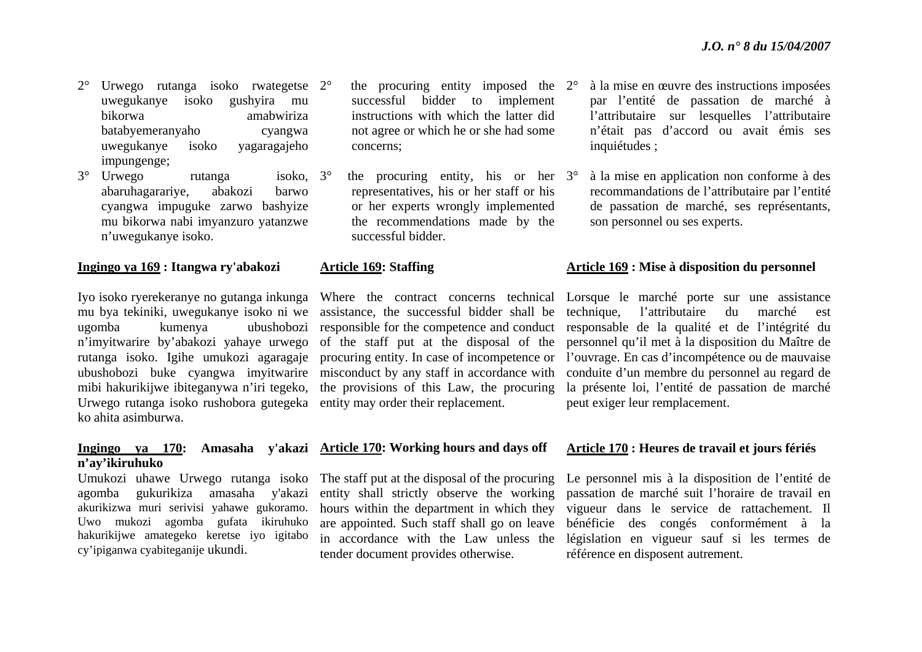- 2° Urwego rutanga isoko rwategetse uwegukanye isoko gushyira mu bikorwa amabwiriza batabyemeranyaho cyangwa uwegukanye isoko yagaragajeho impungenge;
- 3° Urwego rutanga isoko, abaruhagarariye, abakozi barwo cyangwa impuguke zarwo bashyize mu bikorwa nabi imyanzuro yatanzwe <sup>n</sup>'uwegukanye isoko. isoko.  $3^\circ$

### **Ingingo ya 169 : Itangwa ry'abakozi**

Urwego rutanga isoko rushobora gutegeka entity may order their replacement. ko ahita asimburwa.

## **<sup>n</sup>'ay'ikiruhuko**

agomba gukurikiza amasaha y'akazi akurikizwa muri serivisi yahawe gukoramo. Uwo mukozi agomba gufata ikiruhuko hakurikijwe amategeko keretse iyo igitabo cy'ipiganwa cyabiteganije ukundi.

- 2° the procuring entity imposed the 2°successful bidder to implement instructions with which the latter did not agree or which he or she had some concerns;
- $\degree$  the procuring entity, his or her 3 $\degree$ representatives, his or her staff or his or her experts wrongly implemented the recommendations made by the successful bidder.

### **Article 169: Staffing**

mibi hakurikijwe ibiteganywa n'iri tegeko, the provisions of this Law, the procuring

### **Ingingo ya 170: Amasaha y'akazi Article 170: Working hours and days off**

Umukozi uhawe Urwego rutanga isoko The staff put at the disposal of the procuring entity shall strictly observe the working hours within the department in which they are appointed. Such staff shall go on leave tender document provides otherwise.

- à la mise en œuvre des instructions imposées par l'entité de passation de marché à l'attributaire sur lesquelles l'attributaire <sup>n</sup>'était pas d'accord ou avait émis ses inquiétudes ;
- à la mise en application non conforme à des recommandations de l'attributaire par l'entité de passation de marché, ses représentants, son personnel ou ses experts.

### **Article 169 : Mise à disposition du personnel**

Iyo isoko ryerekeranye no gutanga inkunga Where the contract concerns technical Lorsque le marché porte sur une assistance mu bya tekiniki, uwegukanye isoko ni we assistance, the successful bidder shall be technique, l'attributaire du marché est ugomba kumenya ubushobozi responsible for the competence and conduct responsable de la qualité et de l'intégrité du <sup>n</sup>'imyitwarire by'abakozi yahaye urwego of the staff put at the disposal of the personnel qu'il met à la disposition du Maître de rutanga isoko. Igihe umukozi agaragaje procuring entity. In case of incompetence or l'ouvrage. En cas d'incompétence ou de mauvaise ubushobozi buke cyangwa imyitwarire misconduct by any staff in accordance with conduite d'un membre du personnel au regard de la présente loi, l'entité de passation de marché peut exiger leur remplacement.

### **Article 170 : Heures de travail et jours fériés**

in accordance with the Law unless the législation en vigueur sauf si les termes de Le personnel mis à la disposition de l'entité de passation de marché suit l'horaire de travail en vigueur dans le service de rattachement. Il bénéficie des congés conformément à la référence en disposent autrement.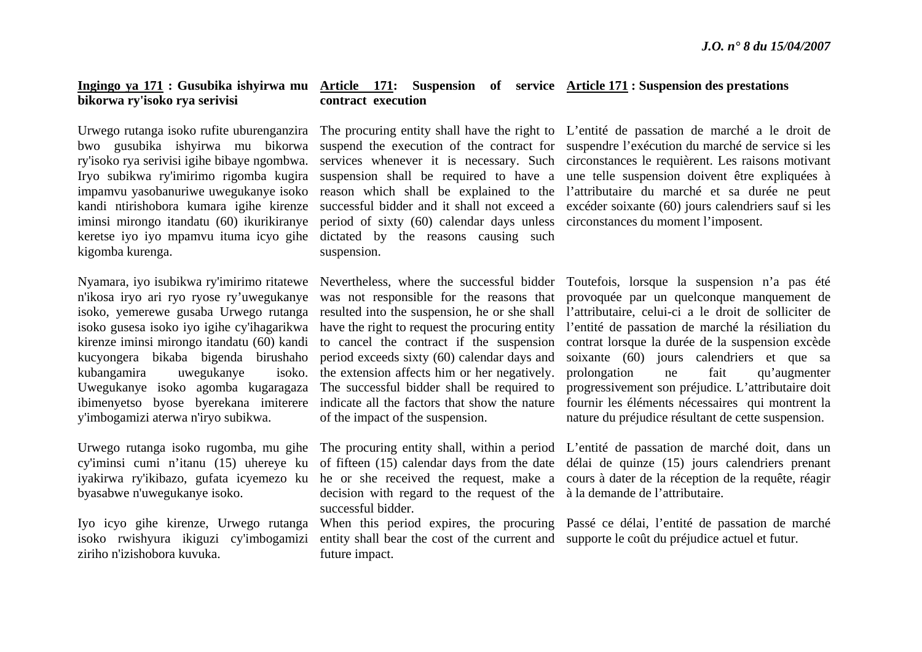## **bikorwa ry'isoko rya serivisi**

# kigomba kurenga.

<sup>n</sup>'ikosa iryo ari ryo ryose ry'uwegukanye kirenze iminsi mirongo itandatu (60) kandi kucyongera bikaba bigenda birushaho kubangamira uwegukanye ibimenyetso byose byerekana imiterere y'imbogamizi aterwa n'iryo subikwa.

byasabwe n'uwegukanye isoko.

Iyo icyo gihe kirenze, Urwego rutanga ziriho n'izishobora kuvuka.

### **Ingingo ya 171 : Gusubika ishyirwa mu Article 171: Suspension of service Article 171 : Suspension des prestations contract execution**

iminsi mirongo itandatu (60) ikurikiranye period of sixty (60) calendar days unless circonstances du moment l'imposent. keretse iyo iyo mpamvu ituma icyo gihe dictated by the reasons causing such suspension.

Uwegukanye isoko agomba kugaragaza The successful bidder shall be required to isoko. the extension affects him or her negatively. prolongation indicate all the factors that show the nature of the impact of the suspension.

> decision with regard to the request of the à la demande de l'attributaire. successful bidder.

isoko rwishyura ikiguzi cy'imbogamizi entity shall bear the cost of the current and supporte le coût du préjudice actuel et futur. future impact.

Urwego rutanga isoko rufite uburenganzira The procuring entity shall have the right to L'entité de passation de marché a le droit de bwo gusubika ishyirwa mu bikorwa suspend the execution of the contract for suspendre l'exécution du marché de service si les ry'isoko rya serivisi igihe bibaye ngombwa. services whenever it is necessary. Such circonstances le requièrent. Les raisons motivant Iryo subikwa ry'imirimo rigomba kugira suspension shall be required to have a une telle suspension doivent être expliquées à impamvu yasobanuriwe uwegukanye isoko reason which shall be explained to the l'attributaire du marché et sa durée ne peut kandi ntirishobora kumara igihe kirenze successful bidder and it shall not exceed a excéder soixante (60) jours calendriers sauf si les

Nyamara, iyo isubikwa ry'imirimo ritatewe Nevertheless, where the successful bidder Toutefois, lorsque la suspension n'a pas été isoko, yemerewe gusaba Urwego rutanga resulted into the suspension, he or she shall l'attributaire, celui-ci a le droit de solliciter de isoko gusesa isoko iyo igihe cy'ihagarikwa have the right to request the procuring entity l'entité de passation de marché la résiliation du was not responsible for the reasons that provoquée par un quelconque manquement de to cancel the contract if the suspension contrat lorsque la durée de la suspension excède period exceeds sixty (60) calendar days and soixante (60) jours calendriers et que sa ne fait qu'augmenter progressivement son préjudice. L'attributaire doit fournir les éléments nécessaires qui montrent la nature du préjudice résultant de cette suspension.

Urwego rutanga isoko rugomba, mu gihe The procuring entity shall, within a period L'entité de passation de marché doit, dans un cy'iminsi cumi n'itanu (15) uhereye ku of fifteen (15) calendar days from the date délai de quinze (15) jours calendriers prenant iyakirwa ry'ikibazo, gufata icyemezo ku he or she received the request, make a cours à dater de la réception de la requête, réagir

When this period expires, the procuring Passé ce délai, l'entité de passation de marché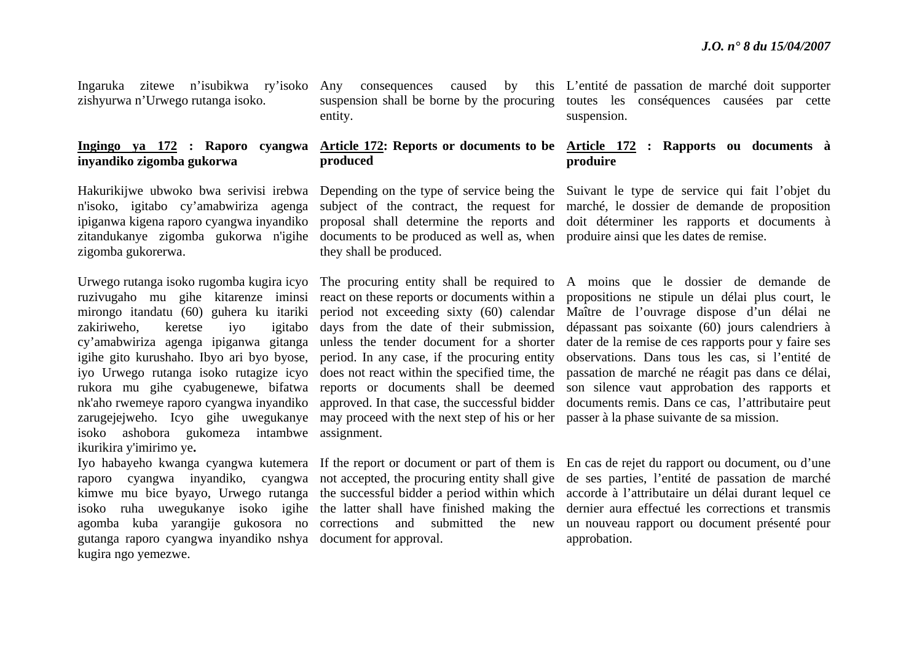zishyurwa n'Urwego rutanga isoko.

## **inyandiko zigomba gukorwa**

zigomba gukorerwa.

zakiriweho, keretse iyo isoko ashobora gukomeza intambwe assignment. ikurikira y'imirimo ye**.** 

gutanga raporo cyangwa inyandiko nshya document for approval. kugira ngo yemezwe.

entity.

## **produced**

zitandukanye zigomba gukorwa n'igihe documents to be produced as well as, when produire ainsi que les dates de remise. they shall be produced.

igihe gito kurushaho. Ibyo ari byo byose, period. In any case, if the procuring entity zarugejejweho. Icyo gihe uwegukanye may proceed with the next step of his or her passer à la phase suivante de sa mission. igitabo days from the date of their submission,

Ingaruka zitewe n'isubikwa ry'isoko Any consequences caused by this L'entité de passation de marché doit supporter suspension shall be borne by the procuring toutes les conséquences causées par cette suspension.

### **Ingingo ya 172 : Raporo cyangwa Article 172: Reports or documents to be Article 172 : Rapports ou documents à produire**

Hakurikijwe ubwoko bwa serivisi irebwa Depending on the type of service being the Suivant le type de service qui fait l'objet du <sup>n</sup>'isoko, igitabo cy'amabwiriza agenga subject of the contract, the request for marché, le dossier de demande de proposition ipiganwa kigena raporo cyangwa inyandiko proposal shall determine the reports and doit déterminer les rapports et documents à

Urwego rutanga isoko rugomba kugira icyo The procuring entity shall be required to A moins que le dossier de demande de ruzivugaho mu gihe kitarenze iminsi reactonthese reports or documents within a propositions ne stipule un délai plus court, le mirongo itandatu (60) guhera ku itariki period not exceeding sixty (60) calendar Maître de l'ouvrage dispose d'un délai ne cy'amabwiriza agenga ipiganwa gitanga unless the tender document for a shorter dater de la remise de ces rapports pour y faire ses iyo Urwego rutanga isoko rutagize icyo does not react within the specified time, the passation de marché ne réagit pas dans ce délai, rukora mu gihe cyabugenewe, bifatwa reports or documents shall be deemed son silence vaut approbation des rapports et nk'aho rwemeye raporo cyangwa inyandiko approved. In that case, the successful bidder documents remis. Dans ce cas, l'attributaire peut dépassant pas soixante (60) jours calendriers à observations. Dans tous les cas, si l'entité de

Iyo habayeho kwanga cyangwa kutemera If the report or document or part of them is En cas de rejet du rapport ou document, ou d'une raporo cyangwa inyandiko, cyangwa not accepted, the procuring entity shall give de ses parties, l'entité de passation de marché kimwe mu bice byayo, Urwego rutanga the successful bidder a period within which accorde à l'attributaire un délai durant lequel ce isoko ruha uwegukanye isoko igihe the latter shall have finished making the dernier aura effectué les corrections et transmis agomba kuba yarangije gukosora no corrections and submitted the new un nouveau rapport ou document présenté pour approbation.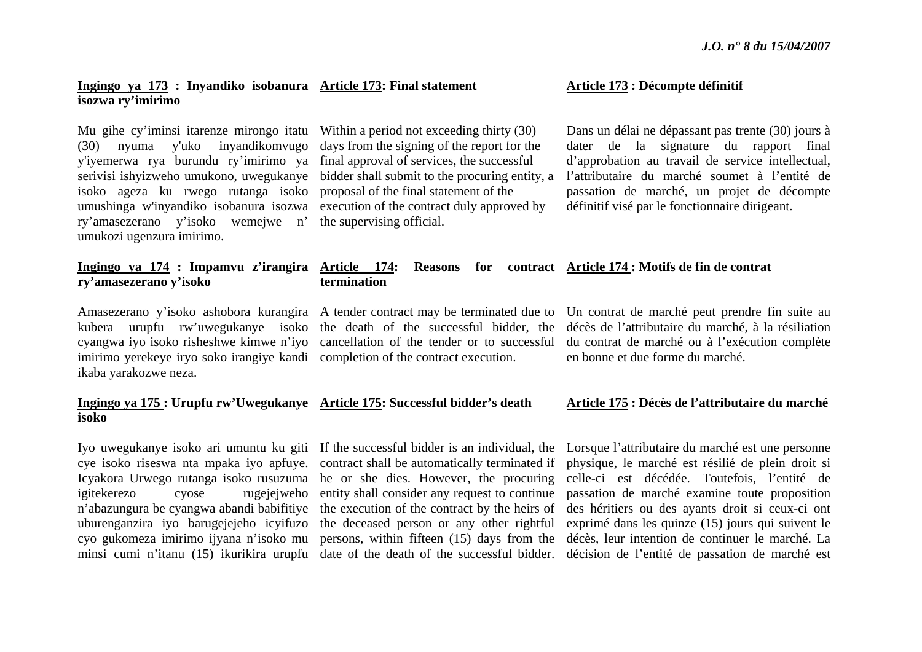### **Ingingo ya 173 : Inyandiko isobanura Article 173: Final statement isozwa ry'imirimo**

Mu gihe cy'iminsi itarenze mirongo itatu (30) nyuma y'uko inyandikomvugo y'iyemerwa rya burundu ry'imirimo ya final approval of services, the successful serivisi ishyizweho umukono, uwegukanye isoko ageza ku rwego rutanga isoko umushinga w'inyandiko isobanura isozwa execution of the contract duly approved by ry'amasezerano y'isoko wemejwe n' the supervising official. umukozi ugenzura imirimo.

Within a period not exceeding thirty (30) days from the signing of the report for the bidder shall submit to the procuring entity, a proposal of the final statement of the

### **Article 173 : Décompte définitif**

Dans un délai ne dépassant pas trente (30) jours à dater de la signature du rapport final d'approbation au travail de service intellectual, l'attributaire du marché soumet à l'entité de passation de marché, un projet de décompte définitif visé par le fonctionnaire dirigeant.

### **Ingingo ya 174 : Impamvu z'irangira Article 174: Reasons for contract Article 174 : Motifs de fin de contrat ry'amasezerano y'isoko termination**

imirimo yerekeye iryo soko irangiye kandi completion of the contract execution. ikaba yarakozwe neza.

### **Ingingo ya 175 : Urupfu rw'Uwegukanye Article 175: Successful bidder's death isoko**

<sup>n</sup>'abazungura be cyangwa abandi babifitiye uburenganzira iyo barugejejeho icyifuzo cyo gukomeza imirimo ijyana n'isoko mu

Amasezerano y'isoko ashobora kurangira A tender contract may be terminated due to kubera urupfu rw'uwegukanye isoko the death of the successful bidder, the cyangwa iyo isoko risheshwe kimwe n'iyo cancellation of the tender or to successful

cye isoko riseswa nta mpaka iyo apfuye. contract shall be automatically terminated if Icyakora Urwego rutanga isoko rusuzuma he or she dies. However, the procuring igitekerezo cyose rugejejweho entity shall consider any request to continue the execution of the contract by the heirs of the deceased person or any other rightful

Un contrat de marché peut prendre fin suite au décès de l'attributaire du marché, à la résiliation du contrat de marché ou à l'exécution complète en bonne et due forme du marché.

### **Article 175 : Décès de l'attributaire du marché**

Iyo uwegukanye isoko ari umuntu ku giti If the successful bidder is an individual, the Lorsque l'attributaire du marché est une personne minsi cumi n'itanu (15) ikurikira urupfu date of the death of the successful bidder. décision de l'entité de passation de marché est persons, within fifteen (15) days from the décès, leur intention de continuer le marché. La physique, le marché est résilié de plein droit si celle-ci est décédée. Toutefois, l'entité de passation de marché examine toute proposition des héritiers ou des ayants droit si ceux-ci ont exprimé dans les quinze (15) jours qui suivent le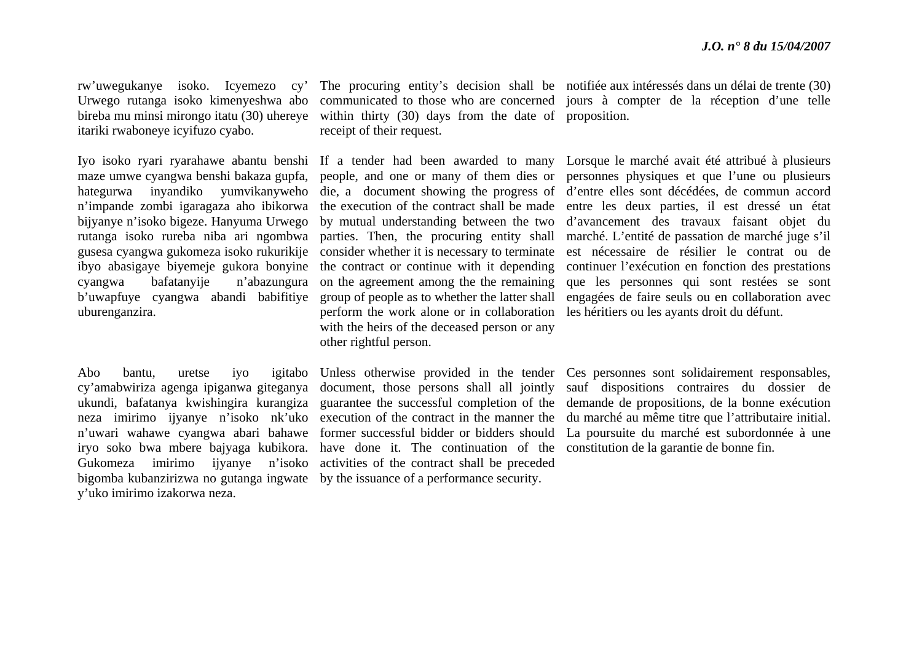bireba mu minsi mirongo itatu (30) uhereye itariki rwaboneye icyifuzo cyabo.

maze umwe cyangwa benshi bakaza gupfa, hategurwa inyandiko yumvikanyweho <sup>n</sup>'impande zombi igaragaza aho ibikorwa bijyanye n'isoko bigeze. Hanyuma Urwego rutanga isoko rureba niba ari ngombwa gusesa cyangwa gukomeza isoko rukurikije ibyo abasigaye biyemeje gukora bonyine cyangwa bafatanyije n'abazungura b'uwapfuye cyangwa abandi babifitiye uburenganzira.

cy'amabwiriza agenga ipiganwa giteganya bigomba kubanzirizwa no gutanga ingwate by the issuance of a performance security. y'uko imirimo izakorwa neza.

within thirty (30) days from the date of proposition. receipt of their request.

people, and one or many of them dies or by mutual understanding between the two parties. Then, the procuring entity shall consider whether it is necessary to terminate the contract or continue with it depending on the agreement among the the remaining group of people as to whether the latter shall perform the work alone or in collaboration with the heirs of the deceased person or any other rightful person.

ukundi, bafatanya kwishingira kurangiza guarantee the successful completion of the neza imirimo ijyanye n'isoko nk'uko execution of the contract in the manner the <sup>n</sup>'uwari wahawe cyangwa abari bahawe former successful bidder or bidders should iryo soko bwa mbere bajyaga kubikora. have done it. The continuation of the Gukomeza imirimo ijyanye n'isoko activities of the contract shall be preceded document, those persons shall all jointly

rw'uwegukanye isoko. Icyemezo cy' The procuring entity's decision shall be notifiée aux intéressés dans un délai de trente (30) Urwego rutanga isoko kimenyeshwa abo communicated to those who are concerned jours à compter de la réception d'une telle

Iyo isoko ryari ryarahawe abantu benshi If a tender had been awarded to many Lorsque le marché avait été attribué à plusieurs die, a document showing the progress of d'entre elles sont décédées, de commun accord the execution of the contract shall be made entre les deux parties, il est dressé un état personnes physiques et que l'une ou plusieurs d'avancement des travaux faisant objet du marché. L'entité de passation de marché juge s'il est nécessaire de résilier le contrat ou de continuer l'exécution en fonction des prestations que les personnes qui sont restées se sont engagées de faire seuls ou en collaboration avec les héritiers ou les ayants droit du défunt.

Abo bantu, uretse iyo igitabo Unless otherwise provided in the tender Ces personnes sont solidairement responsables, sauf dispositions contraires du dossier de demande de propositions, de la bonne exécution du marché au même titre que l'attributaire initial. La poursuite du marché est subordonnée à une constitution de la garantie de bonne fin.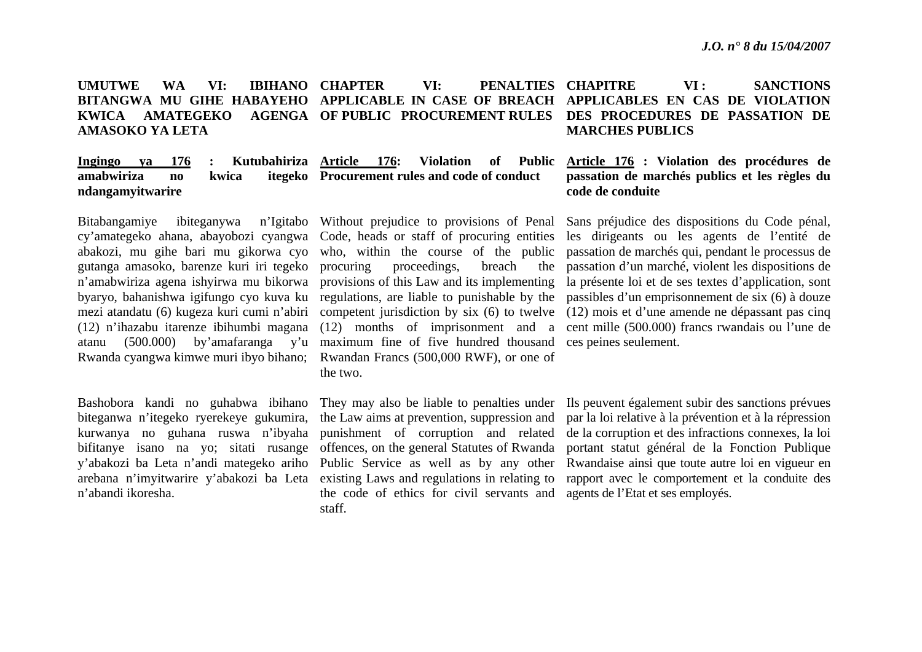### **UMUTWE WA VI: IBIHANO CHAPTER BITANGWA MU GIHE HABAYEHO APPLICABLE IN CASE OF BREACH APPLICABLES EN CAS DE VIOLATION KWICA AMATEGEKO AMASOKO YA LETA**  VI: PENALTIES CHAPITRE **OF PUBLIC PROCUREMENT RULES DES PROCEDURES DE PASSATION DE VI :** SANCTIONS **MARCHES PUBLICS**

### **Ingingo ya 176 : Kutubahiriza amabwiriza no kwica ndangamyitwarire Article 176: Violation of Public Procurement rules and code of conduct**

cy'amategeko ahana, abayobozi cyangwa Code, heads or staff of procuring entities abakozi, mu gihe bari mu gikorwa cyo who, within the course of the public gutanga amasoko, barenze kuri iri tegeko Rwanda cyangwa kimwe muri ibyo bihano; Rwandan Francs (500,000 RWF), or one of

n'abandi ikoresha.

atanu (500.000) by'amafaranga y'u maximum fine of five hundred thousand ces peines seulement. proceedings, breach the the two.

> the code of ethics for civil servants and agents de l'Etat et ses employés. staff.

### **Article 176 : Violation des procédures de passation de marchés publics et les règles du code de conduite**

Bitabangamiye ibiteganywa n'Igitabo Without prejudice to provisions of Penal Sans préjudice des dispositions du Code pénal, <sup>n</sup>'amabwiriza agena ishyirwa mu bikorwa provisions of this Law and its implementing la présente loi et de ses textes d'application, sont byaryo, bahanishwa igifungo cyo kuva ku regulations, are liable to punishable by the passibles d'un emprisonnement de six (6) à douze mezi atandatu (6) kugeza kuri cumi n'abiri competent jurisdiction by six (6) to twelve (12) mois et d'une amende ne dépassant pas cinq (12) n'ihazabu itarenze ibihumbi magana (12) months of imprisonment and a cent mille (500.000) francs rwandais ou l'une de les dirigeants ou les agents de l'entité de passation de marchés qui, pendant le processus de passation d'un marché, violent les dispositions de

Bashobora kandi no guhabwa ibihano They may also be liable to penalties under Ils peuvent également subir des sanctions prévues biteganwa n'itegeko ryerekeye gukumira, the Law aims at prevention, suppression and par la loi relative à la prévention et à la répression kurwanya no guhana ruswa n'ibyaha punishment of corruption and related de la corruption et des infractions connexes, la loi bifitanye isano na yo; sitati rusange offences, on the general Statutes of Rwanda portant statut général de la Fonction Publique y'abakozi ba Leta n'andi mategeko ariho Public Service as well as by any other Rwandaise ainsi que toute autre loi en vigueur en arebana n'imyitwarire y'abakozi ba Leta existing Laws and regulations in relating to rapport avec le comportement et la conduite des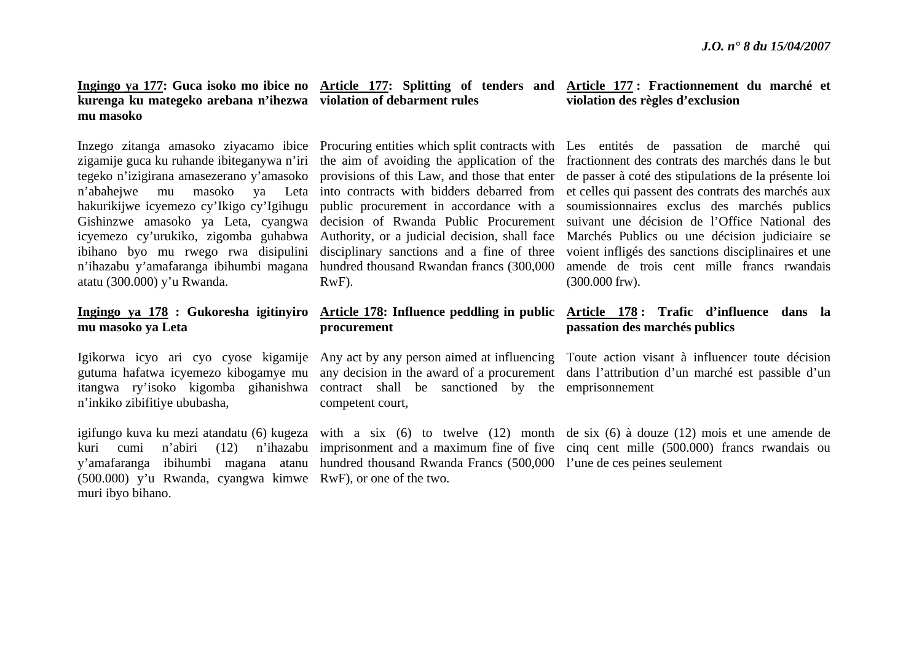## **kurenga ku mategeko arebana n'ihezwa violation of debarment rules mu masoko**

tegeko n'izigirana amasezerano y'amasoko icyemezo cy'urukiko, zigomba guhabwa ibihano byo mu rwego rwa disipulini disciplinary sanctions and a fine of three <sup>n</sup>'ihazabu y'amafaranga ibihumbi magana atatu (300.000) y'u Rwanda.

## **mu masoko ya Leta**

<sup>n</sup>'inkiko zibifitiye ububasha,

y'amafaranga ibihumbi magana atanu (500.000) y'u Rwanda, cyangwa kimwe RwF), or one of the two. muri ibyo bihano.

Authority, or a judicial decision, shall face hundred thousand Rwandan francs (300,000 RwF).

## **procurement**

itangwa ry'isoko kigomba gihanishwa contract shall be sanctioned by the emprisonnement competent court,

hundred thousand Rwanda Francs (500,000 l'une de ces peines seulement

### **Ingingo ya 177: Guca isoko mo ibice no Article 177: Splitting of tenders and Article 177 : Fractionnement du marché et violation des règles d'exclusion**

Inzego zitanga amasoko ziyacamo ibice Procuring entities which split contracts with Les entités de passation de marché qui zigamije guca ku ruhande ibiteganywa n'iri the aim of avoiding the application of the fractionnent des contrats des marchés dans le but <sup>n</sup>'abahejwe mu masoko ya Leta into contracts with bidders debarred from et celles qui passent des contrats des marchés aux hakurikijwe icyemezo cy'Ikigo cy'Igihugu public procurement in accordance with a soumissionnaires exclus des marchés publics Gishinzwe amasoko ya Leta, cyangwa decision of Rwanda Public Procurement suivant une décision de l'Office National des provisions of this Law, and those that enter de passer à coté des stipulations de la présente loi Marchés Publics ou une décision judiciaire se voient infligés des sanctions disciplinaires et une amende de trois cent mille francs rwandais (300.000 frw).

### **Ingingo ya 178 : Gukoresha igitinyiro Article 178: Influence peddling in public Article 178 : Trafic d'influence dans la passation des marchés publics**

Igikorwa icyo ari cyo cyose kigamije Any act by any person aimed at influencing Toute action visant à influencer toute décision gutuma hafatwa icyemezo kibogamye mu any decision in the award of a procurement dans l'attribution d'un marché est passible d'un

igifungo kuva ku mezi atandatu (6) kugeza with a six (6) to twelve (12) month de six (6) à douze (12) mois et une amende de kuri cumi n'abiri (12) n'ihazabu imprisonment and a maximum fine of five cinq cent mille (500.000) francs rwandais ou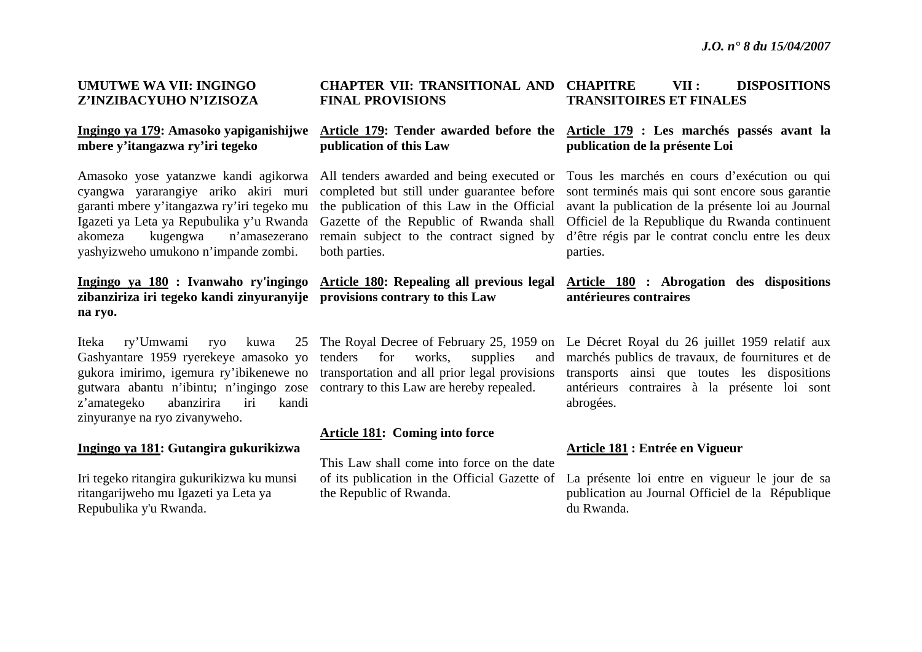### **UMUTWE WA VII: INGINGO Z'INZIBACYUHO N'IZISOZA**

### **Ingingo ya 179: Amasoko yapiganishijwe mbere y'itangazwa ry'iri tegeko**

Amasoko yose yatanzwe kandi agikorwa cyangwa yararangiye ariko akiri muri garanti mbere y'itangazwa ry'iri tegeko mu Igazeti ya Leta ya Repubulika y'u Rwanda akomeza kugengwa n'amasezerano yashyizweho umukono n'impande zombi.

## **Ingingo ya 180 : Ivanwaho ry'ingingo zibanziriza iri tegeko kandi zinyuranyije provisions contrary to this Law na ryo.**

Iteka ry'Umwami ryo kuwa Gashyantare 1959 ryerekeye amasoko yo gutwara abantu n'ibintu; n'ingingo zose contrary to this Law are hereby repealed. <sup>z</sup>'amategeko abanzirira iri kandi zinyuranye na ryo zivanyweho.

### **Ingingo ya 181: Gutangira gukurikizwa**

Iri tegeko ritangira gukurikizwa ku munsi ritangarijweho mu Igazeti ya Leta ya Repubulika y'u Rwanda.

### **CHAPTER VII: TRANSITIONAL AND FINAL PROVISIONS VII : DISPOSITIONS TRANSITOIRES ET FINALES**

## **publication of this Law**

completed but still under guarantee before the publication of this Law in the Official Gazette of the Republic of Rwanda shall remain subject to the contract signed by both parties.

# **Article 180: Repealing all previous legal**

gukora imirimo, igemura ry'ibikenewe no transportation and all prior legal provisions tenders for works, supplies and

### **Article 181: Coming into force**

This Law shall come into force on the date the Republic of Rwanda.

## **Article 179: Tender awarded before the Article 179 : Les marchés passés avant la publication de la présente Loi**

All tenders awarded and being executed or Tous les marchés en cours d'exécution ou qui sont terminés mais qui sont encore sous garantie avant la publication de la présente loi au Journal Officiel de la Republique du Rwanda continuent d'être régis par le contrat conclu entre les deux parties.

### **Article 180 : Abrogation des dispositions antérieures contraires**

The Royal Decree of February 25, 1959 on Le Décret Royal du 26 juillet 1959 relatif aux marchés publics de travaux, de fournitures et de transports ainsi que toutes les dispositions antérieurs contraires à la présente loi sont abrogées.

### **Article 181 : Entrée en Vigueur**

of its publication in the Official Gazette of La présente loi entre en vigueur le jour de sa publication au Journal Officiel de la République du Rwanda.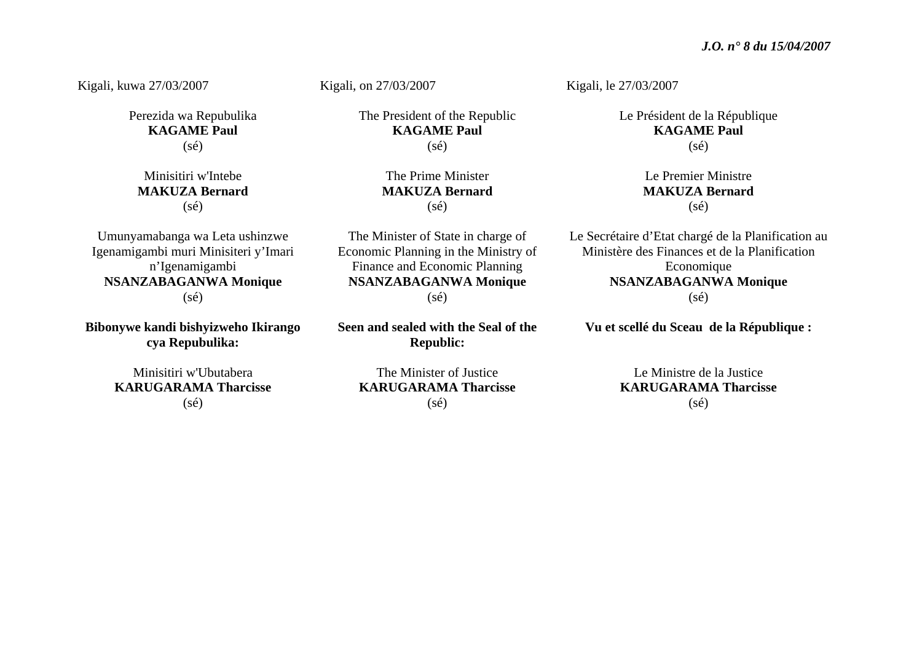Kigali, kuwa 27/03/2007

Perezida wa Repubulika **KAGAME Paul**  (sé)

Minisitiri w'Intebe **MAKUZA Bernard**  $(s\acute{e})$ 

Umunyamabanga wa Leta ushinzwe Igenamigambi muri Minisiteri y'Imari <sup>n</sup>'Igenamigambi **NSANZABAGANWA Monique**   $(s\acute{e})$ 

**Bibonywe kandi bishyizweho Ikirango cya Repubulika:** 

> Minisitiri w'Ubutabera **KARUGARAMA Tharcisse**  (sé)

Kigali, on 27/03/2007

The President of the Republic **KAGAME Paul**  (sé)

> The Prime Minister **MAKUZA Bernard**  $(s\acute{e})$

The Minister of State in charge of Economic Planning in the Ministry of Finance and Economic Planning **NSANZABAGANWA Monique**   $(s\acute{e})$ 

**Seen and sealed with the Seal of the Republic:** 

Kigali, le 27/03/2007

Le Président de la République **KAGAME Paul**   $(sé)$ 

> Le Premier Ministre **MAKUZA Bernard**  $(s\acute{e})$

Le Secrétaire d'Etat chargé de la Planification au Ministère des Finances et de la Planification Economique **NSANZABAGANWA Monique**   $(s\acute{e})$ 

**Vu et scellé du Sceau de la République :** 

Le Ministre de la Justice **KARUGARAMA Tharcisse**  $(s\acute{e})$ 

The Minister of Justice **KARUGARAMA Tharcisse**  (sé)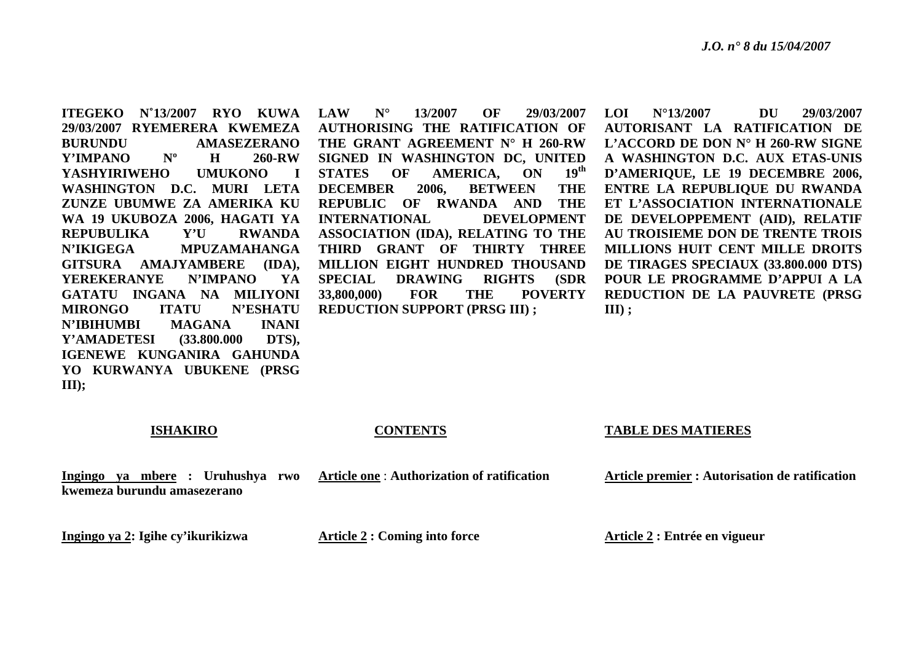**ITEGEKO N˚13/2007 RYO KUWA LAW N°29/03/2007 RYEMERERA KWEMEZA BURUNDU AMASEZERANO** Y'IMPANO Nº H **260-RW YASHYIRIWEHO UMUKONO I WASHINGTON D.C. MURI LETA ZUNZE UBUMWE ZA AMERIKA KU WA 19 UKUBOZA 2006, HAGATI YA REPUBULIKA Y'U RWANDA N'IKIGEGA MPUZAMAHANGA GITSURA AMAJYAMBERE (IDA), YEREKERANYE N'IMPANO YA GATATU INGANA NA MILIYONI MIRONGO ITATU N'ESHATU N'IBIHUMBI MAGANA INANI Y'AMADETESI (33.800.000 DTS), IGENEWE KUNGANIRA GAHUNDA YO KURWANYA UBUKENE (PRSG III);**

 **13/2007 OF 29/03/2007 AUTHORISING THE RATIFICATION OF THE GRANT AGREEMENT N° H 260-RW SIGNED IN WASHINGTON DC, UNITED STATES OF AMERICA, ON 19th DECEMBER 2006, BETWEEN THE REPUBLIC OF RWANDA AND THE INTERNATIONAL DEVELOPMENT ASSOCIATION (IDA), RELATING TO THE THIRD GRANT OF THIRTY THREE MILLION EIGHT HUNDRED THOUSAND SPECIAL DRAWING RIGHTS (SDR 33,800,000) FOR THE POVERTY REDUCTION SUPPORT (PRSG III) ;** 

 **LOI N°13/2007 DU 29/03/2007 AUTORISANT LA RATIFICATION DE L'ACCORD DE DON N° H 260-RW SIGNE A WASHINGTON D.C. AUX ETAS-UNIS D'AMERIQUE, LE 19 DECEMBRE 2006, ENTRE LA REPUBLIQUE DU RWANDA ET L'ASSOCIATION INTERNATIONALE DE DEVELOPPEMENT (AID), RELATIF AU TROISIEME DON DE TRENTE TROIS MILLIONS HUIT CENT MILLE DROITS DE TIRAGES SPECIAUX (33.800.000 DTS) POUR LE PROGRAMME D'APPUI A LA REDUCTION DE LA PAUVRETE (PRSG III) ;** 

### **ISHAKIRO**

**Ingingo ya mbere : Uruhushya rwo** 

**CONTENTS**

**Article one** : **Authorization of ratification** 

### **TABLE DES MATIERES**

**Article premier : Autorisation de ratification** 

**Ingingo ya 2: Igihe cy'ikurikizwa** 

**kwemeza burundu amasezerano** 

**Article 2 : Coming into force** 

**Article 2 : Entrée en vigueur**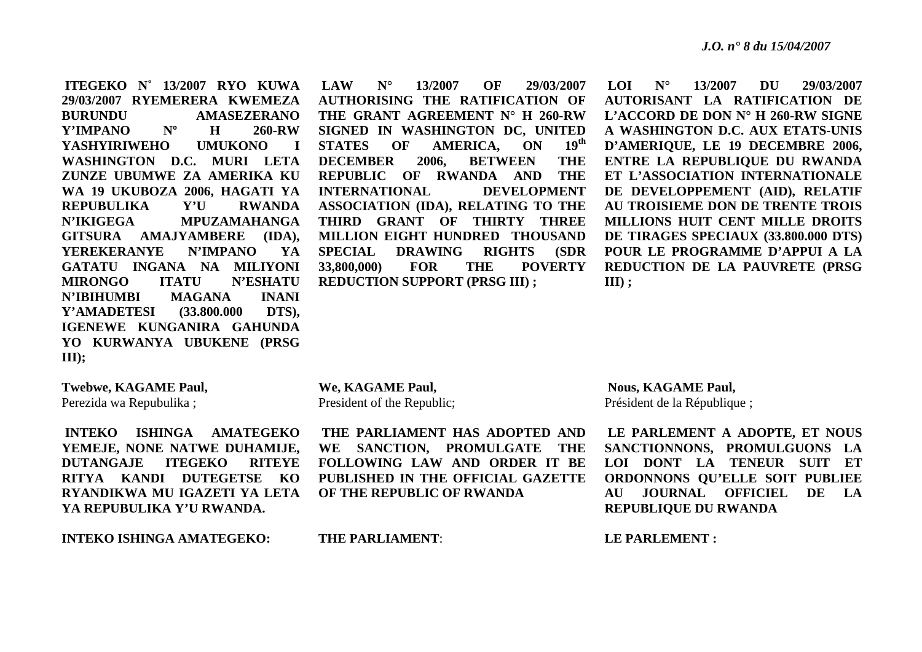**ITEGEKO N˚ 13/2007 RYO KUWA 29/03/2007 RYEMERERA KWEMEZA BURUNDU AMASEZERANO** Y'IMPANO Nº H **260-RW YASHYIRIWEHO UMUKONO I WASHINGTON D.C. MURI LETA ZUNZE UBUMWE ZA AMERIKA KU WA 19 UKUBOZA 2006, HAGATI YA REPUBULIKA Y'U RWANDA N'IKIGEGA MPUZAMAHANGA GITSURA AMAJYAMBERE (IDA), YEREKERANYE N'IMPANO YA GATATU INGANA NA MILIYONI MIRONGO ITATU N'ESHATU N'IBIHUMBI MAGANA INANI Y'AMADETESI (33.800.000 DTS), IGENEWE KUNGANIRA GAHUNDA YO KURWANYA UBUKENE (PRSG III);**

 **LAW N° 13/2007 OF 29/03/2007 AUTHORISING THE RATIFICATION OF THE GRANT AGREEMENT N° H 260-RW SIGNED IN WASHINGTON DC, UNITED STATES OF AMERICA, ON 19th DECEMBER 2006, BETWEEN THE REPUBLIC OF RWANDA AND THE INTERNATIONAL DEVELOPMENT ASSOCIATION (IDA), RELATING TO THE THIRD GRANT OF THIRTY THREE MILLION EIGHT HUNDRED THOUSAND SPECIAL DRAWING RIGHTS (SDR 33,800,000) FOR THE POVERTY REDUCTION SUPPORT (PRSG III) ;** 

 **LOI N° 13/2007 DU 29/03/2007 AUTORISANT LA RATIFICATION DE L'ACCORD DE DON N° H 260-RW SIGNE A WASHINGTON D.C. AUX ETATS-UNIS D'AMERIQUE, LE 19 DECEMBRE 2006, ENTRE LA REPUBLIQUE DU RWANDA ET L'ASSOCIATION INTERNATIONALE DE DEVELOPPEMENT (AID), RELATIF AU TROISIEME DON DE TRENTE TROIS MILLIONS HUIT CENT MILLE DROITS DE TIRAGES SPECIAUX (33.800.000 DTS) POUR LE PROGRAMME D'APPUI A LA REDUCTION DE LA PAUVRETE (PRSG III) ;** 

**Twebwe, KAGAME Paul,**  Perezida wa Repubulika ;

 **INTEKO ISHINGA AMATEGEKO YEMEJE, NONE NATWE DUHAMIJE, DUTANGAJE ITEGEKO RITEYE RITYA KANDI DUTEGETSE KO RYANDIKWA MU IGAZETI YA LETA YA REPUBULIKA Y'U RWANDA.** 

**INTEKO ISHINGA AMATEGEKO:** 

**We, KAGAME Paul,**  President of the Republic;

 **THE PARLIAMENT HAS ADOPTED AND WE SANCTION, PROMULGATE THE FOLLOWING LAW AND ORDER IT BE PUBLISHED IN THE OFFICIAL GAZETTE OF THE REPUBLIC OF RWANDA** 

 **Nous, KAGAME Paul,**  Président de la République ;

**LE PARLEMENT A ADOPTE, ET NOUS SANCTIONNONS, PROMULGUONS LA LOI DONT LA TENEUR SUIT ET ORDONNONS QU'ELLE SOIT PUBLIEE AU JOURNAL OFFICIEL DE LA REPUBLIQUE DU RWANDA** 

**LE PARLEMENT :** 

**THE PARLIAMENT**: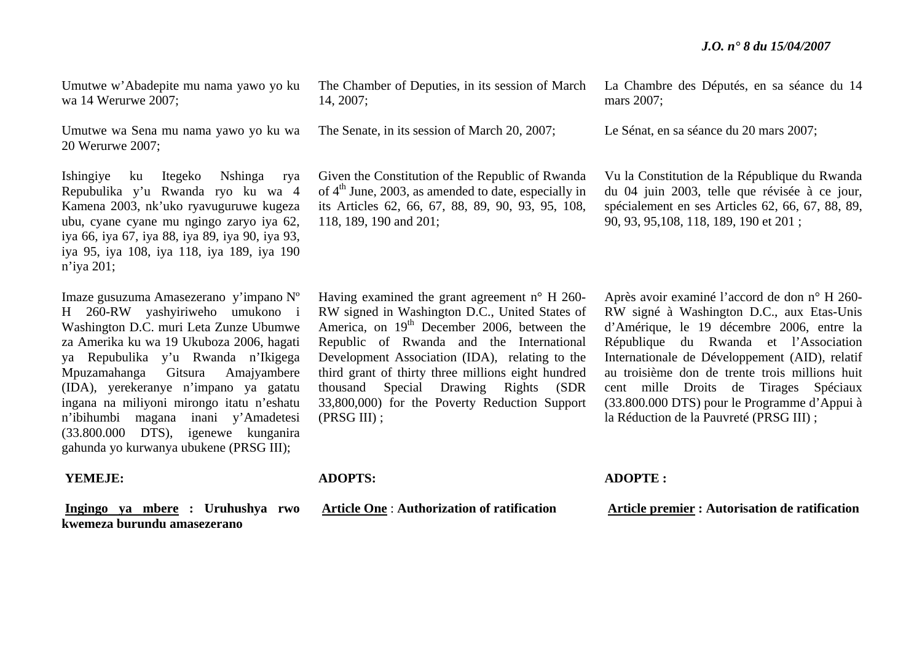Umutwe w'Abadepite mu nama yawo yo ku wa 14 Werurwe 2007;

Umutwe wa Sena mu nama yawo yo ku wa 20 Werurwe 2007;

Ishingiye ku Itegeko Nshinga rya Repubulika y'u Rwanda ryo ku wa 4 Kamena 2003, nk'uko ryavuguruwe kugeza ubu, cyane cyane mu ngingo zaryo iya 62, iya 66, iya 67, iya 88, iya 89, iya 90, iya 93, iya 95, iya 108, iya 118, iya 189, iya 190 <sup>n</sup>'iya 201;

Imaze gusuzuma Amasezerano y'impano Nº H 260-RW yashyiriweho umukono i Washington D.C. muri Leta Zunze Ubumwe za Amerika ku wa 19 Ukuboza 2006, hagati ya Repubulika y'u Rwanda n'Ikigega Mpuzamahanga Gitsura Amajyambere (IDA), yerekeranye <sup>n</sup>'impano ya gatatu ingana na miliyoni mirongo itatu n'eshatu <sup>n</sup>'ibihumbi magana inani y'Amadetesi (33.800.000 DTS), igenewe kunganira gahunda yo kurwanya ubukene (PRSG III);

### **YEMEJE:**

**Ingingo ya mbere : Uruhushya rwo kwemeza burundu amasezerano**

The Chamber of Deputies, in its session of March 14, 2007;

The Senate, in its session of March 20, 2007;

Given the Constitution of the Republic of Rwanda of  $4<sup>th</sup>$  June, 2003, as amended to date, especially in its Articles 62, 66, 67, 88, 89, 90, 93, 95, 108, 118, 189, 190 and 201;

Having examined the grant agreement <sup>n</sup>° H 260- RW signed in Washington D.C., United States of America, on 19<sup>th</sup> December 2006, between the Republic of Rwanda and the International Development Association (IDA), relating to the third grant of thirty three millions eight hundred thousand Special Drawing Rights (SDR 33,800,000) for the Poverty Reduction Support (PRSG III) ;

La Chambre des Députés, en sa séance du 14 mars 2007;

Le Sénat, en sa séance du 20 mars 2007;

Vu la Constitution de la République du Rwanda du 04 juin 2003, telle que révisée à ce jour, spécialement en ses Articles 62, 66, 67, 88, 89, 90, 93, 95,108, 118, 189, 190 et 201 ;

Après avoir examiné l'accord de don n° H 260- RW signé à Washington D.C., aux Etas-Unis d'Amérique, le 19 décembre 2006, entre la République du Rwanda et l'Association Internationale de Développement (AID), relatif au troisième don de trente trois millions huit cent mille Droits de Tirages Spéciaux (33.800.000 DTS) pour le Programme d'Appui à la Réduction de la Pauvreté (PRSG III) ;

**ADOPTS:** 

 **Article One** : **Authorization of ratification** 

**ADOPTE :** 

 **Article premier : Autorisation de ratification**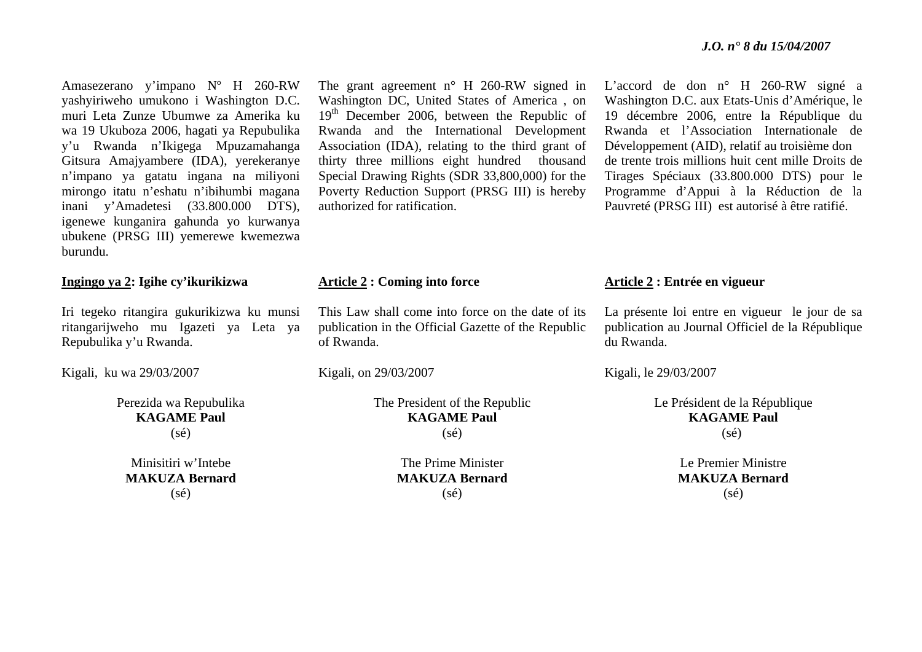Amasezerano y'impano Nº H 260-RW yashyiriweho umukono i Washington D.C. muri Leta Zunze Ubumwe za Amerika ku wa 19 Ukuboza 2006, hagati ya Repubulika y'u Rwanda n'Ikigega Mpuzamahanga Gitsura Amajyambere (IDA), yerekeranye <sup>n</sup>'impano ya gatatu ingana na miliyoni mirongo itatu n'eshatu n'ibihumbi magana inani y'Amadetesi (33.800.000 DTS), igenewe kunganira gahunda yo kurwanya ubukene (PRSG III) yemerewe kwemezwa burundu.

### **Ingingo ya 2: Igihe cy'ikurikizwa**

Iri tegeko ritangira gukurikizwa ku munsi ritangarijweho mu Igazeti ya Leta ya Repubulika y'u Rwanda.

Kigali, ku wa 29/03/2007

Perezida wa Repubulika **KAGAME Paul** (sé)

Minisitiri w'Intebe **MAKUZA Bernard** (sé)

The grant agreement n° H 260-RW signed in Washington DC, United States of America , on 19<sup>th</sup> December 2006, between the Republic of Rwanda and the International Development Association (IDA), relating to the third grant of thirty three millions eight hundred thousand Special Drawing Rights (SDR 33,800,000) for the Poverty Reduction Support (PRSG III) is hereby authorized for ratification.

### **Article 2 : Coming into force**

This Law shall come into force on the date of its publication in the Official Gazette of the Republic of Rwanda.

Kigali, on 29/03/2007

The President of the Republic **KAGAME Paul**  $(s\acute{e})$ 

> The Prime Minister **MAKUZA Bernard** (sé)

L'accord de don n° H 260-RW signé a Washington D.C. aux Etats-Unis d'Amérique, le 19 décembre 2006, entre la République du Rwanda et l'Association Internationale de Développement (AID), relatif au troisième don de trente trois millions huit cent mille Droits de Tirages Spéciaux (33.800.000 DTS) pour le Programme d'Appui à la Réduction de la Pauvreté (PRSG III) est autorisé à être ratifié.

### **Article 2 : Entrée en vigueur**

La présente loi entre en vigueur le jour de sa publication au Journal Officiel de la République du Rwanda.

Kigali, le 29/03/2007

Le Président de la République **KAGAME Paul** (sé)

> Le Premier Ministre **MAKUZA Bernard**  $(s<sub>é</sub>)$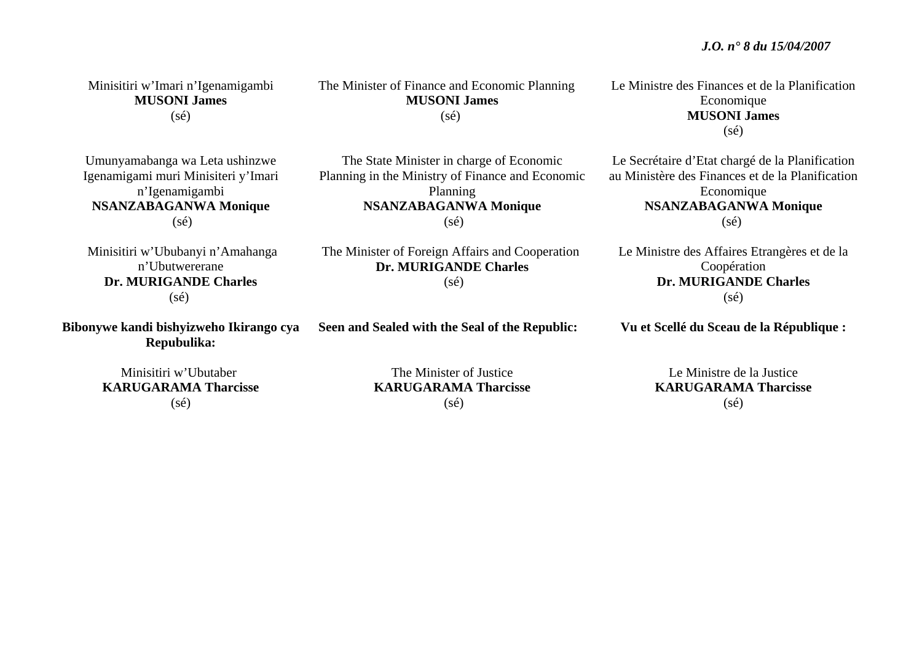Minisitiri w'Imari n'Igenamigambi **MUSONI James**  $(sé)$ 

Umunyamabanga wa Leta ushinzwe Igenamigami muri Minisiteri y'Imari <sup>n</sup>'Igenamigambi **NSANZABAGANWA Monique**  (sé)

 Minisitiri w'Ububanyi n'Amahanga n'Ubutwererane **Dr. MURIGANDE Charles** (sé)

**Bibonywe kandi bishyizweho Ikirango cya Repubulika:** 

> Minisitiri w'Ubutaber **KARUGARAMA Tharcisse** $(s<sub>é</sub>)$

The Minister of Finance and Economic Planning **MUSONI James**  $(sé)$ 

The State Minister in charge of Economic Planning in the Ministry of Finance and Economic Planning **NSANZABAGANWA Monique**   $(s\acute{e})$ 

 The Minister of Foreign Affairs and Cooperation **Dr. MURIGANDE Charles** 

### $(s\acute{e})$

**Seen and Sealed with the Seal of the Republic:** 

Le Ministre des Finances et de la Planification Economique **MUSONI James**  $(sé)$ 

Le Secrétaire d'Etat chargé de la Planification au Ministère des Finances et de la Planification Economique **NSANZABAGANWA Monique**   $(s\acute{e})$ 

Le Ministre des Affaires Etrangères et de la Coopération **Dr. MURIGANDE Charles**  $(s\acute{e})$ 

**Vu et Scellé du Sceau de la République :** 

The Minister of Justice **KARUGARAMA Tharcisse** $(s\acute{e})$ 

Le Ministre de la Justice **KARUGARAMA Tharcisse**  $(s<sub>é</sub>)$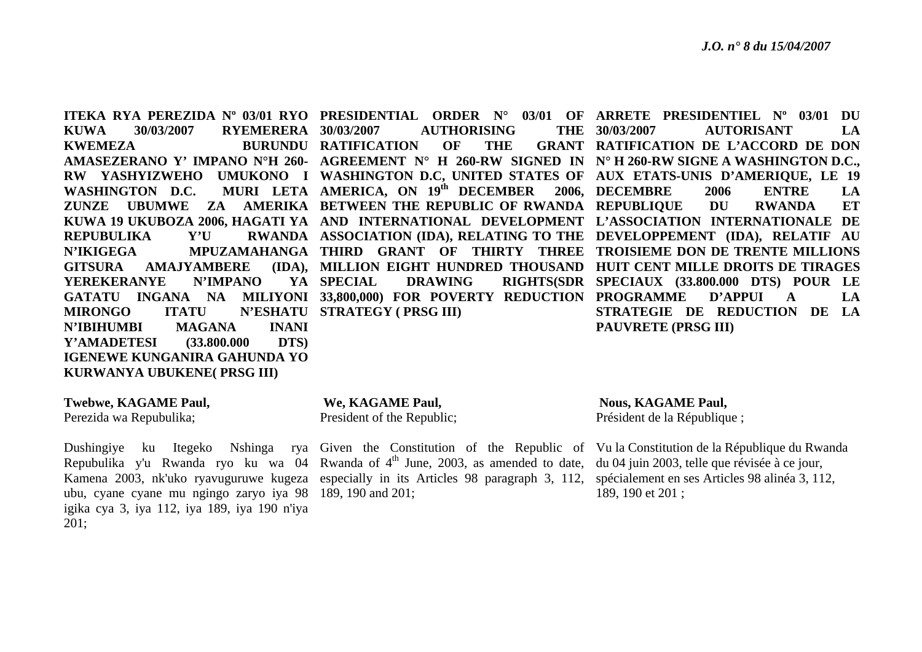**KUWA 30/03/2007 RYEMERERA KWEMEZA** WASHINGTON D.C. **REPUBULIKA Y'U GITSURA AMAJYAMBERE YEREKERANYE N'IMPANO MIRONGO ITATU N'ESHATU STRATEGY ( PRSG III) N'IBIHUMBI MAGANA INANI Y'AMADETESI (33.800.000 DTS) IGENEWE KUNGANIRA GAHUNDA YO KURWANYA UBUKENE( PRSG III)** 

### **Twebwe, KAGAME Paul,**

Perezida wa Repubulika;

ubu, cyane cyane mu ngingo zaryo iya 98 189, 190 and 201; igika cya 3, iya 112, iya 189, iya 190 n'iya 201;

YA SPECIAL **AUTHORISING BURUNDU RATIFICATION OF THE** 

**ITEKA RYA PEREZIDA Nº 03/01 RYO PRESIDENTIAL ORDER N° 03/01 OF ARRETE PRESIDENTIEL Nº 03/01 DU AMASEZERANO Y' IMPANO N°H 260- AGREEMENT N° H 260-RW SIGNED IN N° H 260-RW SIGNE A WASHINGTON D.C., RW YASHYIZWEHO UMUKONO I WASHINGTON D.C, UNITED STATES OF AUX ETATS-UNIS D'AMERIQUE, LE 19 AMERICA, ON 19th DECEMBER 2006, DECEMBRE 2006 ENTRE LA ZUNZE UBUMWE ZA AMERIKA BETWEEN THE REPUBLIC OF RWANDA REPUBLIQUE DU RWANDA ET KUWA 19 UKUBOZA 2006, HAGATI YA AND INTERNATIONAL DEVELOPMENT L'ASSOCIATION INTERNATIONALE DE ASSOCIATION (IDA), RELATING TO THE DEVELOPPEMENT (IDA), RELATIF AU N'IKIGEGA MPUZAMAHANGA THIRD GRANT OF THIRTY THREE TROISIEME DON DE TRENTE MILLIONS GATATU INGANA NA MILIYONI 33,800,000) FOR POVERTY REDUCTION PROGRAMME D'APPUI A LA** THE 30/03/2007 **MILLION EIGHT HUNDRED THOUSAND HUIT CENT MILLE DROITS DE TIRAGES SPECIAL DRAWING RIGHTS(SDR SPECIAUX (33.800.000 DTS) POUR LE 30/03/2007 AUTORISANT LA RATIFICATION DE L'ACCORD DE DON STRATEGIE DE REDUCTION DE LA PAUVRETE (PRSG III)** 

> **We, KAGAME Paul,**  President of the Republic;

Dushingiye ku Itegeko Nshinga rya Given the Constitution of the Republic of Vu la Constitution de la République du Rwanda Repubulika y'u Rwanda ryo ku wa 04 Rwanda of 4<sup>th</sup> June, 2003, as amended to date, du 04 juin 2003, telle que révisée à ce jour, Kamena 2003, nk'uko ryavuguruwe kugeza especially in its Articles 98 paragraph 3, 112, spécialement en ses Articles 98 alinéa 3, 112,

**Nous, KAGAME Paul,**  Président de la République ;

189, 190 et 201 ;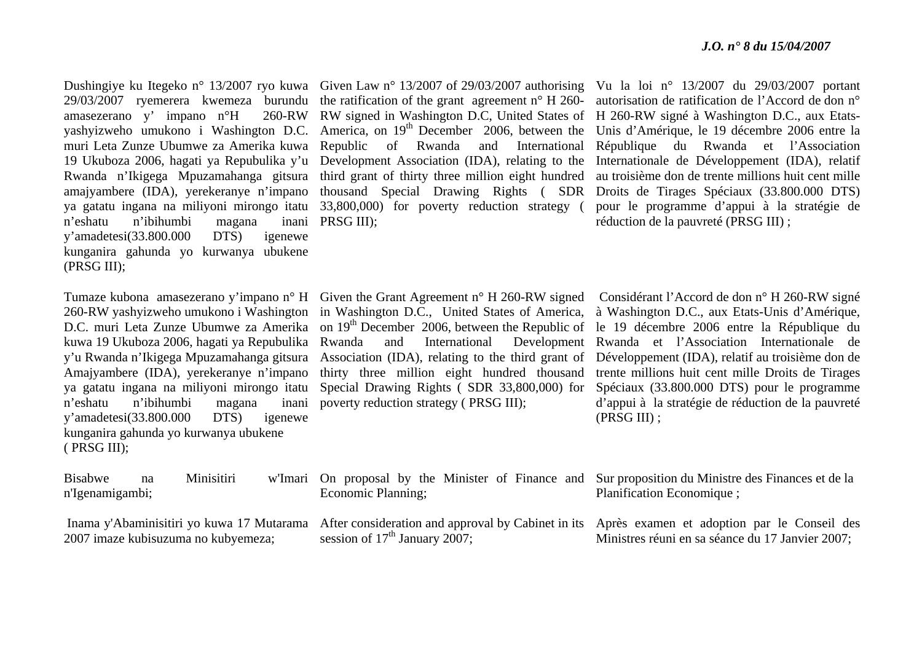amasezerano y' impano n°H 260-RW yashyizweho umukono i Washington D.C. muri Leta Zunze Ubumwe za Amerika kuwa 19 Ukuboza 2006, hagati ya Repubulika y'u Rwanda n'Ikigega Mpuzamahanga gitsura amajyambere (IDA), yerekeranye n'impano ya gatatu ingana na miliyoni mirongo itatu n'eshatu n'ibihumbi magana y'amadetesi(33.800.000 DTS) igenewe kunganira gahunda yo kurwanya ubukene (PRSG III);

Tumaze kubona amasezerano y'impano n° H 260-RW yashyizweho umukono i Washington D.C. muri Leta Zunze Ubumwe za Amerika kuwa 19 Ukuboza 2006, hagati ya Repubulika y'u Rwanda n'Ikigega Mpuzamahanga gitsura Amajyambere (IDA), yerekeranye n'impano ya gatatu ingana na miliyoni mirongo itatu <sup>n</sup>'eshatu n'ibihumbi magana inani y'amadetesi(33.800.000 DTS) igenewe kunganira gahunda yo kurwanya ubukene ( PRSG III);

Dushingiye ku Itegeko n° 13/2007 ryo kuwa Given Law n° 13/2007 of 29/03/2007 authorising Vu la loi n° 13/2007 du 29/03/2007 portant 29/03/2007 ryemerera kwemeza burundu the ratification of the grant agreement n° H 260- autorisation de ratification de l'Accord de don n° RW signed in Washington D.C, United States of H 260-RW signé à Washington D.C., aux Etats-America, on 19<sup>th</sup> December 2006, between the Unis d'Amérique, le 19 décembre 2006 entre la Republic of Rwanda and Development Association (IDA), relating to the Internationale de Développement (IDA), relatif third grant of thirty three million eight hundred au troisième don de trente millions huit cent mille thousand Special Drawing Rights ( SDR Droits de Tirages Spéciaux (33.800.000 DTS) 33,800,000) for poverty reduction strategy ( inani PRSG III);

International République du Rwanda et l'Association pour le programme d'appui à la stratégie de réduction de la pauvreté (PRSG III) ;

Given the Grant Agreement n° H 260-RW signed Considérant l'Accord de don n° H 260-RW signé poverty reduction strategy ( PRSG III);

in Washington D.C., United States of America, à Washington D.C., aux Etats-Unis d'Amérique, on  $19<sup>th</sup>$  December 2006, between the Republic of le 19 décembre 2006 entre la République du Rwanda and International Development Rwanda et l'Association Internationale de Association (IDA), relating to the third grant of Développement (IDA), relatif au troisième don de thirty three million eight hundred thousand trente millions huit cent mille Droits de Tirages Special Drawing Rights ( SDR 33,800,000) for Spéciaux (33.800.000 DTS) pour le programme d'appui à la stratégie de réduction de la pauvreté (PRSG III) ;

| <b>Bisabwe</b>  | Minisitiri | w'Imari On proposal by the Minister of Finance and Sur proposition du Ministre des Finances et de la<br>Economic Planning; |              |  |              |  |  |  | Planification Economique; |  |  |  |                                                          |  |  |  |  |  |
|-----------------|------------|----------------------------------------------------------------------------------------------------------------------------|--------------|--|--------------|--|--|--|---------------------------|--|--|--|----------------------------------------------------------|--|--|--|--|--|
| n'Igenamigambi; |            |                                                                                                                            | $\mathbf{1}$ |  | $\mathbf{A}$ |  |  |  |                           |  |  |  | $\sim$ 11 $\sim$ 11 $\sim$ 12 $\sim$ 12 $\sim$ 12 $\sim$ |  |  |  |  |  |

session of  $17<sup>th</sup>$  January 2007;

2007 imaze kubisuzuma no kubyemeza;

 Inama y'Abaminisitiri yo kuwa 17 Mutarama After consideration and approval by Cabinet in its Après examen et adoption par le Conseil des Ministres réuni en sa séance du 17 Janvier 2007;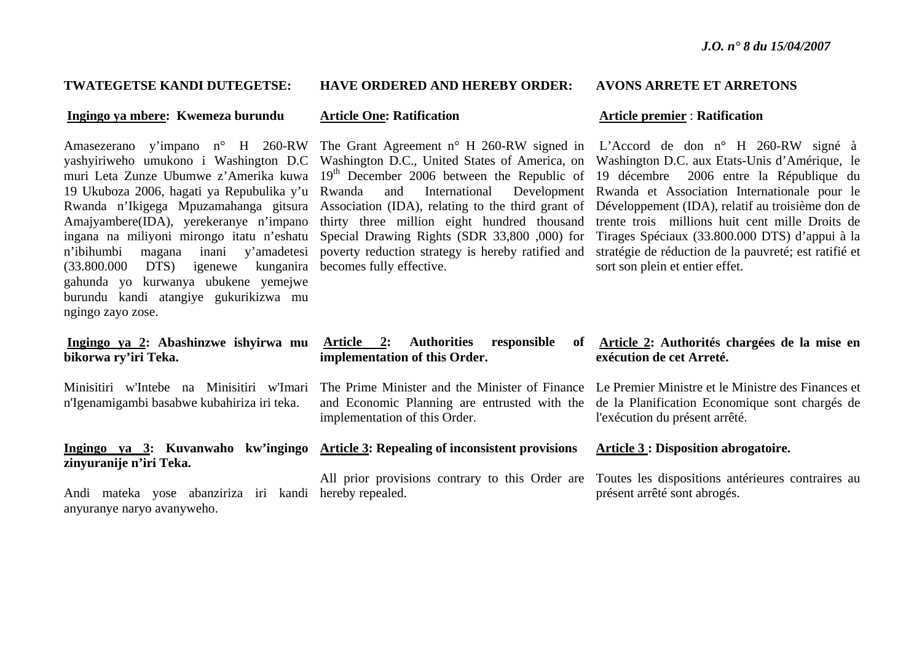### **TWATEGETSE KANDI DUTEGETSE:**

### **Ingingo ya mbere: Kwemeza burundu**

Amasezerano y'impano n° H 260-RW yashyiriweho umukono i Washington D.C muri Leta Zunze Ubumwe z'Amerika kuwa 19 Ukuboza 2006, hagati ya Repubulika y'u Rwanda n'Ikigega Mpuzamahanga gitsura Amajyambere(IDA), yerekeranye n'impano ingana na miliyoni mirongo itatu n'eshatu <sup>n</sup>'ibihumbi magana inani y'amadetesi (33.800.000 DTS) igenewe kunganira becomes fully effective. gahunda yo kurwanya ubukene yemejwe burundu kandi atangiye gukurikizwa mu ngingo zayo zose.

### **Ingingo ya 2: Abashinzwe ishyirwa mu bikorwa ry'iri Teka.**

Minisitiri w'Intebe na Minisitiri w'Imari <sup>n</sup>'Igenamigambi basabwe kubahiriza iri teka.

## **zinyuranije n'iri Teka.**

Andi mateka yose abanziriza iri kandi hereby repealed. anyuranye naryo avanyweho.

### **HAVE ORDERED AND HEREBY ORDER:**

### **Article One: Ratification**

Special Drawing Rights (SDR 33,800 ,000) for

## **AVONS ARRETE ET ARRETONS**

### **Article premier** : **Ratification**

The Grant Agreement n° H 260-RW signed in L'Accord de don n° H 260-RW signé à Washington D.C., United States of America, on Washington D.C. aux Etats-Unis d'Amérique, le 19<sup>th</sup> December 2006 between the Republic of 19 décembre 2006 entre la République du Rwanda and International Development Rwanda et Association Internationale pour le Association (IDA), relating to the third grant of Développement (IDA), relatif au troisième don de thirty three million eight hundred thousand trente trois millions huit cent mille Droits de poverty reduction strategy is hereby ratified and stratégie de réduction de la pauvreté; est ratifié et Tirages Spéciaux (33.800.000 DTS) d'appui à la sort son plein et entier effet.

### Article 2: Authorities responsible **implementation of this Order.**

implementation of this Order.

## **Ingingo ya 3: Kuvanwaho kw'ingingo Article 3: Repealing of inconsistent provisions**

### **Article 2: Authorités chargées de la mise en exécution de cet Arreté.**

The Prime Minister and the Minister of Finance Le Premier Ministre et le Ministre des Finances et and Economic Planning are entrusted with the de la Planification Economique sont chargés de l'exécution du présent arrêté.

### **Article 3 : Disposition abrogatoire.**

All prior provisions contrary to this Order are Toutes les dispositions antérieures contraires au présent arrêté sont abrogés.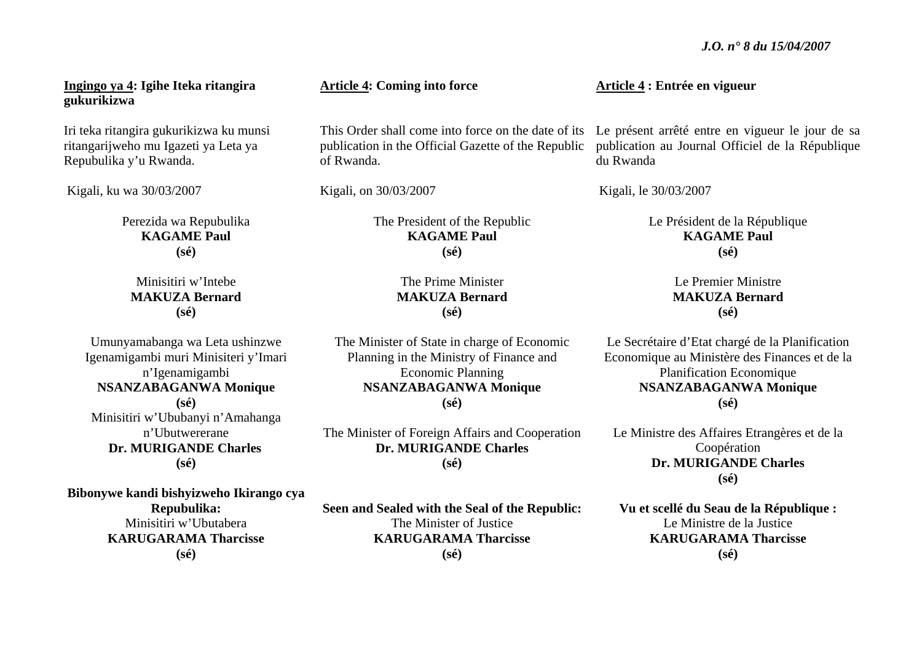**Ingingo ya 4: Igihe Iteka ritangira gukurikizwa** 

Iri teka ritangira gukurikizwa ku munsi ritangarijweho mu Igazeti ya Leta ya Repubulika y'u Rwanda.

Kigali, ku wa 30/03/2007

Perezida wa Repubulika **KAGAME Paul (sé)** 

Minisitiri w'Intebe **MAKUZA Bernard (sé)** 

Umunyamabanga wa Leta ushinzwe Igenamigambi muri Minisiteri y'Imari <sup>n</sup>'Igenamigambi **NSANZABAGANWA Monique (sé)**  Minisitiri w'Ububanyi n'Amahanga n'Ubutwererane **Dr. MURIGANDE Charles (sé)** 

**Bibonywe kandi bishyizweho Ikirango cya** 

**Repubulika:**  Minisitiri w'Ubutabera **KARUGARAMA Tharcisse(sé)**

**Article 4: Coming into force** 

publication in the Official Gazette of the Republic of Rwanda.

Kigali, on 30/03/2007

The President of the Republic **KAGAME Paul (sé)** 

### The Prime Minister **MAKUZA Bernard (sé)**

The Minister of State in charge of Economic Planning in the Ministry of Finance and Economic Planning **NSANZABAGANWA Monique (sé)** 

The Minister of Foreign Affairs and Cooperation **Dr. MURIGANDE Charles (sé)** 

**Seen and Sealed with the Seal of the Republic:**  The Minister of Justice **KARUGARAMA Tharcisse (sé)**

**Article 4 : Entrée en vigueur** 

This Order shall come into force on the date of its Le présent arrêté entre en vigueur le jour de sa publication au Journal Officiel de la République du Rwanda

Kigali, le 30/03/2007

Le Président de la République **KAGAME Paul (sé)**

> Le Premier Ministre **MAKUZA Bernard (sé)**

Le Secrétaire d'Etat chargé de la Planification Economique au Ministère des Finances et de la Planification Economique **NSANZABAGANWA Monique (sé)** 

Le Ministre des Affaires Etrangères et de la Coopération **Dr. MURIGANDE Charles (sé)**

**Vu et scellé du Seau de la République :**  Le Ministre de la Justice **KARUGARAMA Tharcisse(sé)**